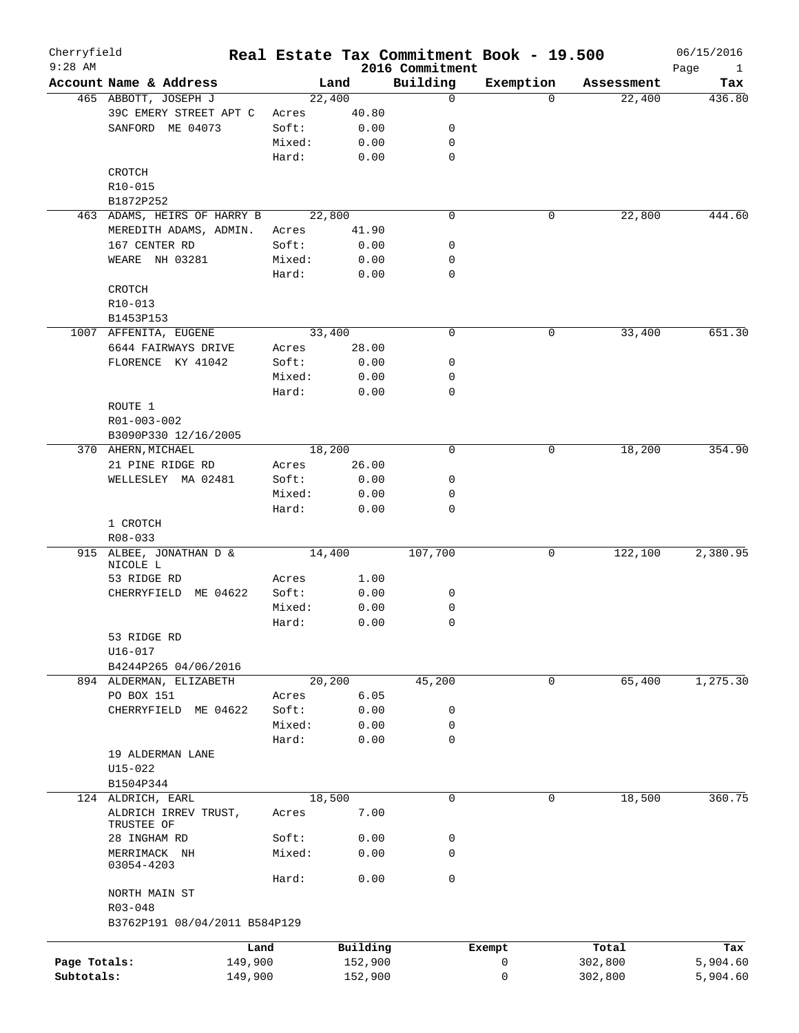| Cherryfield<br>$9:28$ AM   |                                     |                 |          | 2016 Commitment  | Real Estate Tax Commitment Book - 19.500 |            | 06/15/2016                  |
|----------------------------|-------------------------------------|-----------------|----------|------------------|------------------------------------------|------------|-----------------------------|
|                            | Account Name & Address              |                 | Land     | Building         | Exemption                                | Assessment | Page<br>$\mathbf{1}$<br>Tax |
|                            | 465 ABBOTT, JOSEPH J                |                 | 22,400   | 0                | $\Omega$                                 | 22,400     | 436.80                      |
|                            | 39C EMERY STREET APT C              | Acres           | 40.80    |                  |                                          |            |                             |
|                            | SANFORD ME 04073                    | Soft:           | 0.00     | 0                |                                          |            |                             |
|                            |                                     | Mixed:          | 0.00     | 0                |                                          |            |                             |
|                            |                                     | Hard:           | 0.00     | $\mathbf 0$      |                                          |            |                             |
|                            | CROTCH                              |                 |          |                  |                                          |            |                             |
|                            | R10-015                             |                 |          |                  |                                          |            |                             |
|                            | B1872P252                           |                 |          |                  |                                          |            |                             |
|                            | 463 ADAMS, HEIRS OF HARRY B         |                 | 22,800   | $\mathbf 0$      | 0                                        | 22,800     | 444.60                      |
|                            | MEREDITH ADAMS, ADMIN.              | Acres           | 41.90    |                  |                                          |            |                             |
|                            | 167 CENTER RD                       | Soft:           | 0.00     | 0                |                                          |            |                             |
|                            | WEARE NH 03281                      | Mixed:          | 0.00     | 0                |                                          |            |                             |
|                            |                                     | Hard:           | 0.00     | 0                |                                          |            |                             |
|                            | CROTCH                              |                 |          |                  |                                          |            |                             |
|                            | $R10 - 013$                         |                 |          |                  |                                          |            |                             |
|                            | B1453P153                           |                 |          |                  |                                          |            |                             |
|                            | 1007 AFFENITA, EUGENE               |                 | 33,400   | 0                | 0                                        | 33,400     | 651.30                      |
|                            | 6644 FAIRWAYS DRIVE                 | Acres           | 28.00    |                  |                                          |            |                             |
|                            |                                     |                 |          | $\mathbf 0$      |                                          |            |                             |
|                            | FLORENCE KY 41042                   | Soft:           | 0.00     |                  |                                          |            |                             |
|                            |                                     | Mixed:<br>Hard: | 0.00     | 0<br>$\mathbf 0$ |                                          |            |                             |
|                            |                                     |                 | 0.00     |                  |                                          |            |                             |
|                            | ROUTE 1                             |                 |          |                  |                                          |            |                             |
|                            | R01-003-002                         |                 |          |                  |                                          |            |                             |
|                            | B3090P330 12/16/2005                |                 |          |                  |                                          |            |                             |
|                            | 370 AHERN, MICHAEL                  |                 | 18,200   | $\mathbf 0$      | 0                                        | 18,200     | 354.90                      |
|                            | 21 PINE RIDGE RD                    | Acres           | 26.00    |                  |                                          |            |                             |
|                            | WELLESLEY MA 02481                  | Soft:           | 0.00     | 0                |                                          |            |                             |
|                            |                                     | Mixed:          | 0.00     | 0                |                                          |            |                             |
|                            |                                     | Hard:           | 0.00     | 0                |                                          |            |                             |
|                            | 1 CROTCH                            |                 |          |                  |                                          |            |                             |
|                            | $R08 - 033$                         |                 |          |                  |                                          |            |                             |
|                            | 915 ALBEE, JONATHAN D &<br>NICOLE L |                 | 14,400   | 107,700          | 0                                        | 122,100    | 2,380.95                    |
|                            | 53 RIDGE RD                         | Acres           | 1.00     |                  |                                          |            |                             |
|                            | CHERRYFIELD ME 04622                | Soft:           | 0.00     | 0                |                                          |            |                             |
|                            |                                     | Mixed:          | 0.00     | 0                |                                          |            |                             |
|                            |                                     | Hard:           | 0.00     | 0                |                                          |            |                             |
|                            | 53 RIDGE RD                         |                 |          |                  |                                          |            |                             |
|                            | U16-017                             |                 |          |                  |                                          |            |                             |
|                            | B4244P265 04/06/2016                |                 |          |                  |                                          |            |                             |
|                            | 894 ALDERMAN, ELIZABETH             |                 | 20,200   | 45,200           | 0                                        | 65,400     | 1,275.30                    |
|                            | PO BOX 151                          | Acres           | 6.05     |                  |                                          |            |                             |
|                            | CHERRYFIELD ME 04622                | Soft:           | 0.00     | 0                |                                          |            |                             |
|                            |                                     | Mixed:          | 0.00     | 0                |                                          |            |                             |
|                            |                                     | Hard:           | 0.00     | 0                |                                          |            |                             |
|                            | 19 ALDERMAN LANE                    |                 |          |                  |                                          |            |                             |
|                            | $U15 - 022$                         |                 |          |                  |                                          |            |                             |
|                            | B1504P344                           |                 |          |                  |                                          |            |                             |
|                            | 124 ALDRICH, EARL                   |                 | 18,500   | $\mathbf 0$      | 0                                        | 18,500     | 360.75                      |
|                            |                                     |                 | 7.00     |                  |                                          |            |                             |
|                            | ALDRICH IRREV TRUST,<br>TRUSTEE OF  | Acres           |          |                  |                                          |            |                             |
|                            | 28 INGHAM RD                        | Soft:           | 0.00     | 0                |                                          |            |                             |
|                            | MERRIMACK NH                        | Mixed:          | 0.00     | $\mathbf 0$      |                                          |            |                             |
|                            | 03054-4203                          |                 |          |                  |                                          |            |                             |
|                            |                                     | Hard:           | 0.00     | 0                |                                          |            |                             |
|                            | NORTH MAIN ST                       |                 |          |                  |                                          |            |                             |
|                            | R03-048                             |                 |          |                  |                                          |            |                             |
|                            | B3762P191 08/04/2011 B584P129       |                 |          |                  |                                          |            |                             |
|                            |                                     |                 |          |                  |                                          |            |                             |
|                            |                                     | Land            | Building |                  | Exempt                                   | Total      | Tax                         |
|                            |                                     |                 |          |                  |                                          |            |                             |
| Page Totals:<br>Subtotals: | 149,900                             |                 | 152,900  |                  | 0<br>0                                   | 302,800    | 5,904.60<br>5,904.60        |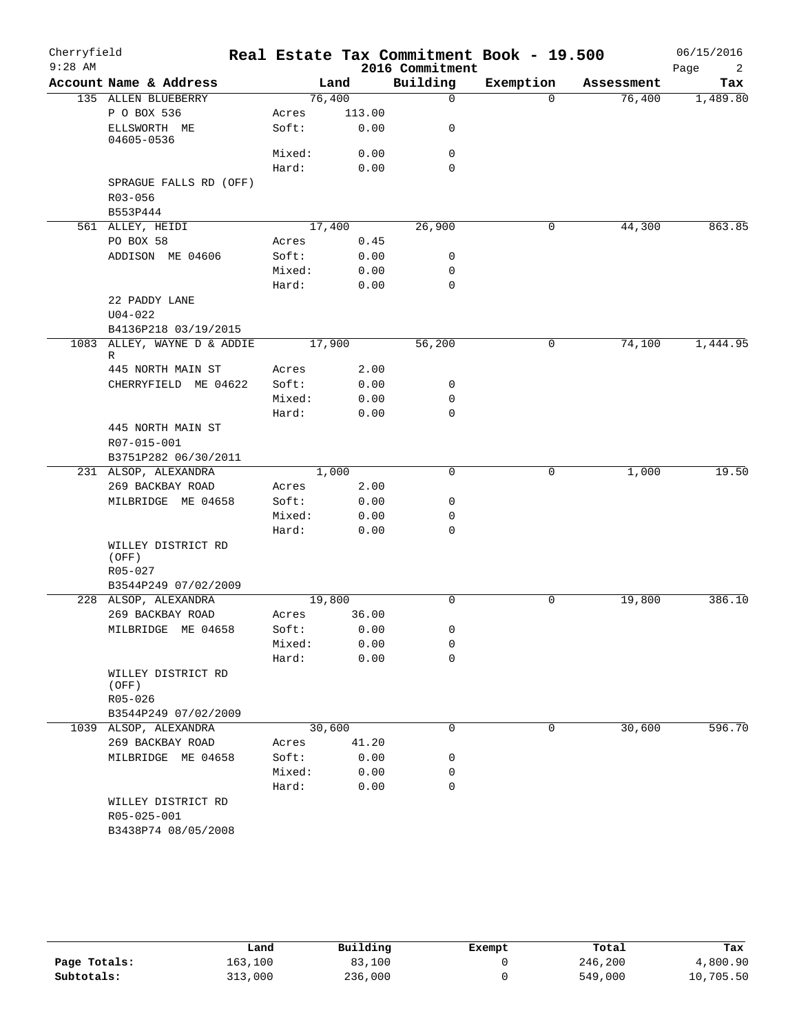| Cherryfield<br>$9:28$ AM |                                    |        |        | 2016 Commitment |             | Real Estate Tax Commitment Book - 19.500 |            | 06/15/2016<br>Page<br>2 |
|--------------------------|------------------------------------|--------|--------|-----------------|-------------|------------------------------------------|------------|-------------------------|
|                          | Account Name & Address             |        | Land   | Building        |             | Exemption                                | Assessment | Tax                     |
|                          | 135 ALLEN BLUEBERRY                | 76,400 |        |                 | $\mathbf 0$ | $\Omega$                                 | 76,400     | 1,489.80                |
|                          | P O BOX 536                        | Acres  | 113.00 |                 |             |                                          |            |                         |
|                          | ELLSWORTH ME<br>04605-0536         | Soft:  | 0.00   |                 | 0           |                                          |            |                         |
|                          |                                    | Mixed: | 0.00   |                 | $\mathbf 0$ |                                          |            |                         |
|                          |                                    | Hard:  | 0.00   |                 | $\Omega$    |                                          |            |                         |
|                          | SPRAGUE FALLS RD (OFF)             |        |        |                 |             |                                          |            |                         |
|                          | R03-056                            |        |        |                 |             |                                          |            |                         |
|                          | B553P444                           |        |        |                 |             |                                          |            |                         |
|                          | 561 ALLEY, HEIDI                   | 17,400 |        |                 | 26,900      | 0                                        | 44,300     | 863.85                  |
|                          | PO BOX 58                          | Acres  | 0.45   |                 |             |                                          |            |                         |
|                          | ADDISON ME 04606                   | Soft:  | 0.00   |                 | 0           |                                          |            |                         |
|                          |                                    | Mixed: | 0.00   |                 | 0           |                                          |            |                         |
|                          |                                    | Hard:  | 0.00   |                 | $\mathbf 0$ |                                          |            |                         |
|                          | 22 PADDY LANE                      |        |        |                 |             |                                          |            |                         |
|                          | $U04 - 022$                        |        |        |                 |             |                                          |            |                         |
|                          | B4136P218 03/19/2015               | 17,900 |        |                 |             | 0                                        |            | 1,444.95                |
|                          | 1083 ALLEY, WAYNE D & ADDIE<br>R   |        |        |                 | 56,200      |                                          | 74,100     |                         |
|                          | 445 NORTH MAIN ST                  | Acres  | 2.00   |                 |             |                                          |            |                         |
|                          | CHERRYFIELD ME 04622               | Soft:  | 0.00   |                 | 0           |                                          |            |                         |
|                          |                                    | Mixed: | 0.00   |                 | 0           |                                          |            |                         |
|                          |                                    | Hard:  | 0.00   |                 | $\mathbf 0$ |                                          |            |                         |
|                          | 445 NORTH MAIN ST                  |        |        |                 |             |                                          |            |                         |
|                          | R07-015-001                        |        |        |                 |             |                                          |            |                         |
|                          | B3751P282 06/30/2011               |        |        |                 |             |                                          |            |                         |
|                          | 231 ALSOP, ALEXANDRA               | 1,000  |        |                 | 0           | 0                                        | 1,000      | 19.50                   |
|                          | 269 BACKBAY ROAD                   | Acres  | 2.00   |                 |             |                                          |            |                         |
|                          | MILBRIDGE ME 04658                 | Soft:  | 0.00   |                 | 0           |                                          |            |                         |
|                          |                                    | Mixed: | 0.00   |                 | 0           |                                          |            |                         |
|                          |                                    | Hard:  | 0.00   |                 | $\mathbf 0$ |                                          |            |                         |
|                          | WILLEY DISTRICT RD<br>(OFF)        |        |        |                 |             |                                          |            |                         |
|                          | R05-027                            |        |        |                 |             |                                          |            |                         |
|                          | B3544P249 07/02/2009               |        |        |                 |             |                                          |            |                         |
|                          | 228 ALSOP, ALEXANDRA               | 19,800 |        |                 | $\mathbf 0$ | $\mathbf 0$                              | 19,800     | 386.10                  |
|                          | 269 BACKBAY ROAD                   | Acres  | 36.00  |                 |             |                                          |            |                         |
|                          | MILBRIDGE ME 04658                 | Soft:  | 0.00   |                 | 0           |                                          |            |                         |
|                          |                                    | Mixed: | 0.00   |                 | 0           |                                          |            |                         |
|                          |                                    | Hard:  | 0.00   |                 | $\mathbf 0$ |                                          |            |                         |
|                          | WILLEY DISTRICT RD<br>(OFF)        |        |        |                 |             |                                          |            |                         |
|                          | $R05 - 026$                        |        |        |                 |             |                                          |            |                         |
|                          | B3544P249 07/02/2009               |        |        |                 |             |                                          |            |                         |
|                          | 1039 ALSOP, ALEXANDRA              | 30,600 |        |                 | 0           | 0                                        | 30,600     | 596.70                  |
|                          | 269 BACKBAY ROAD                   | Acres  | 41.20  |                 |             |                                          |            |                         |
|                          | MILBRIDGE ME 04658                 | Soft:  | 0.00   |                 | 0           |                                          |            |                         |
|                          |                                    | Mixed: | 0.00   |                 | 0           |                                          |            |                         |
|                          |                                    | Hard:  | 0.00   |                 | 0           |                                          |            |                         |
|                          | WILLEY DISTRICT RD                 |        |        |                 |             |                                          |            |                         |
|                          | R05-025-001<br>B3438P74 08/05/2008 |        |        |                 |             |                                          |            |                         |
|                          |                                    |        |        |                 |             |                                          |            |                         |

|              | Land    | Building | Exempt | Total   | Tax       |
|--------------|---------|----------|--------|---------|-----------|
| Page Totals: | 163,100 | 83,100   |        | 246,200 | 4,800.90  |
| Subtotals:   | 313,000 | 236,000  |        | 549,000 | 10,705.50 |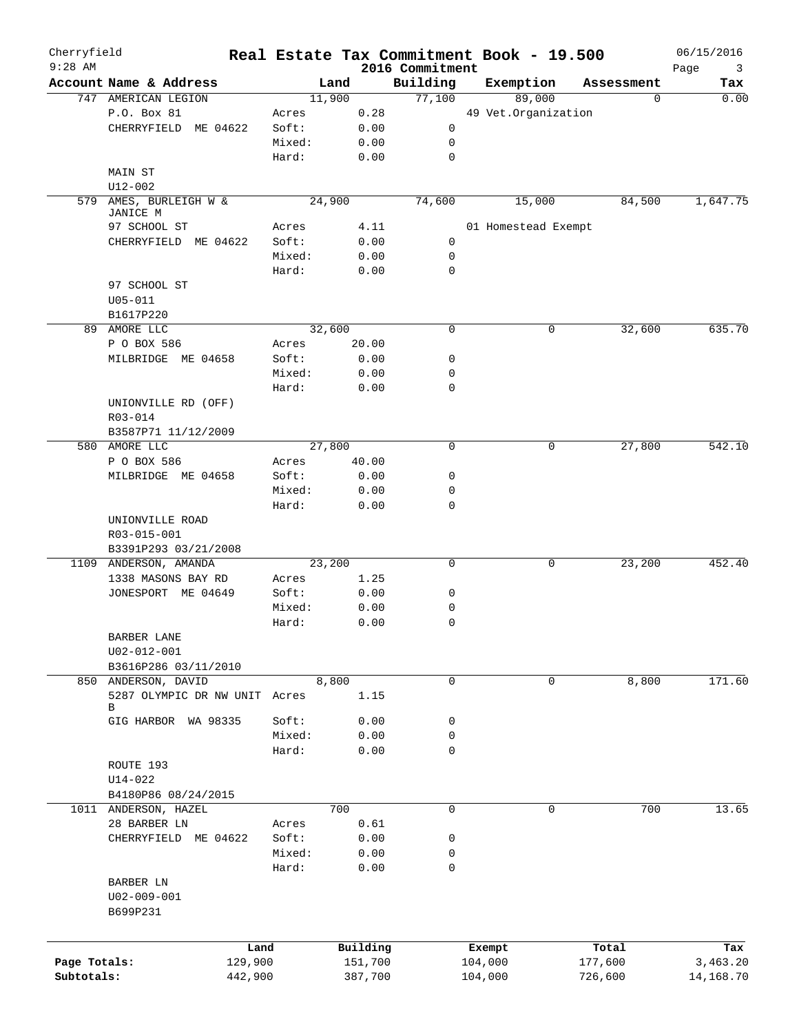| Cherryfield<br>$9:28$ AM |                              | Real Estate Tax Commitment Book - 19.500 |          | 2016 Commitment |           |                     |            | 06/15/2016<br>3 |
|--------------------------|------------------------------|------------------------------------------|----------|-----------------|-----------|---------------------|------------|-----------------|
|                          | Account Name & Address       | Land                                     |          | Building        | Exemption |                     | Assessment | Page<br>Tax     |
|                          | 747 AMERICAN LEGION          | 11,900                                   |          | 77,100          |           | 89,000              | 0          | 0.00            |
|                          | P.O. Box 81                  | Acres                                    | 0.28     |                 |           | 49 Vet.Organization |            |                 |
|                          | CHERRYFIELD ME 04622         | Soft:                                    | 0.00     | 0               |           |                     |            |                 |
|                          |                              | Mixed:                                   | 0.00     | 0               |           |                     |            |                 |
|                          |                              | Hard:                                    | 0.00     | 0               |           |                     |            |                 |
|                          | MAIN ST                      |                                          |          |                 |           |                     |            |                 |
|                          | U12-002                      |                                          |          |                 |           |                     |            |                 |
|                          | 579 AMES, BURLEIGH W &       | 24,900                                   |          | 74,600          |           | 15,000              | 84,500     | 1,647.75        |
|                          | JANICE M                     |                                          |          |                 |           |                     |            |                 |
|                          | 97 SCHOOL ST                 | Acres                                    | 4.11     |                 |           | 01 Homestead Exempt |            |                 |
|                          | CHERRYFIELD ME 04622         | Soft:                                    | 0.00     | 0               |           |                     |            |                 |
|                          |                              | Mixed:                                   | 0.00     | $\mathsf{O}$    |           |                     |            |                 |
|                          |                              | Hard:                                    | 0.00     | $\mathbf 0$     |           |                     |            |                 |
|                          | 97 SCHOOL ST                 |                                          |          |                 |           |                     |            |                 |
|                          | $U05 - 011$                  |                                          |          |                 |           |                     |            |                 |
|                          | B1617P220                    |                                          |          |                 |           |                     |            |                 |
|                          | 89 AMORE LLC                 | 32,600                                   |          | 0               |           | 0                   | 32,600     | 635.70          |
|                          | P O BOX 586                  | Acres                                    | 20.00    |                 |           |                     |            |                 |
|                          | MILBRIDGE ME 04658           | Soft:                                    | 0.00     | 0               |           |                     |            |                 |
|                          |                              | Mixed:                                   | 0.00     | 0               |           |                     |            |                 |
|                          |                              | Hard:                                    | 0.00     | 0               |           |                     |            |                 |
|                          | UNIONVILLE RD (OFF)          |                                          |          |                 |           |                     |            |                 |
|                          | R03-014                      |                                          |          |                 |           |                     |            |                 |
|                          | B3587P71 11/12/2009          |                                          |          |                 |           |                     |            |                 |
|                          | 580 AMORE LLC                | 27,800                                   |          | $\mathbf 0$     |           | 0                   | 27,800     | 542.10          |
|                          | P O BOX 586                  | Acres                                    | 40.00    |                 |           |                     |            |                 |
|                          | MILBRIDGE ME 04658           | Soft:                                    | 0.00     | 0               |           |                     |            |                 |
|                          |                              | Mixed:                                   | 0.00     | $\mathbf 0$     |           |                     |            |                 |
|                          |                              | Hard:                                    | 0.00     | $\mathbf 0$     |           |                     |            |                 |
|                          | UNIONVILLE ROAD              |                                          |          |                 |           |                     |            |                 |
|                          | R03-015-001                  |                                          |          |                 |           |                     |            |                 |
|                          | B3391P293 03/21/2008         |                                          |          |                 |           |                     |            |                 |
|                          | 1109 ANDERSON, AMANDA        | 23,200                                   |          | 0               |           | 0                   | 23,200     | 452.40          |
|                          | 1338 MASONS BAY RD           | Acres                                    | 1.25     |                 |           |                     |            |                 |
|                          | JONESPORT ME 04649           | Soft:                                    | 0.00     | 0               |           |                     |            |                 |
|                          |                              | Mixed:                                   | 0.00     | 0               |           |                     |            |                 |
|                          |                              | Hard:                                    | 0.00     | 0               |           |                     |            |                 |
|                          | BARBER LANE                  |                                          |          |                 |           |                     |            |                 |
|                          | $U02 - 012 - 001$            |                                          |          |                 |           |                     |            |                 |
|                          | B3616P286 03/11/2010         |                                          |          |                 |           |                     |            |                 |
|                          | 850 ANDERSON, DAVID          | 8,800                                    |          | 0               |           | 0                   | 8,800      | 171.60          |
|                          | 5287 OLYMPIC DR NW UNIT<br>B | Acres                                    | 1.15     |                 |           |                     |            |                 |
|                          | GIG HARBOR WA 98335          | Soft:                                    | 0.00     | 0               |           |                     |            |                 |
|                          |                              | Mixed:                                   | 0.00     | 0               |           |                     |            |                 |
|                          |                              | Hard:                                    | 0.00     | $\mathbf 0$     |           |                     |            |                 |
|                          | ROUTE 193                    |                                          |          |                 |           |                     |            |                 |
|                          | $U14 - 022$                  |                                          |          |                 |           |                     |            |                 |
|                          | B4180P86 08/24/2015          |                                          |          |                 |           |                     |            |                 |
|                          | 1011 ANDERSON, HAZEL         | 700                                      |          | $\mathsf{O}$    |           | 0                   | 700        | 13.65           |
|                          | 28 BARBER LN                 | Acres                                    | 0.61     |                 |           |                     |            |                 |
|                          | CHERRYFIELD ME 04622         | Soft:                                    | 0.00     | 0               |           |                     |            |                 |
|                          |                              | Mixed:                                   | 0.00     | 0               |           |                     |            |                 |
|                          |                              | Hard:                                    | 0.00     | $\mathbf 0$     |           |                     |            |                 |
|                          | BARBER LN                    |                                          |          |                 |           |                     |            |                 |
|                          | $U02 - 009 - 001$            |                                          |          |                 |           |                     |            |                 |
|                          | B699P231                     |                                          |          |                 |           |                     |            |                 |
|                          |                              |                                          |          |                 |           |                     |            |                 |
|                          |                              |                                          |          |                 |           |                     |            |                 |
|                          | Land                         |                                          | Building |                 | Exempt    |                     | Total      | Tax             |
| Page Totals:             | 129,900                      |                                          | 151,700  |                 | 104,000   |                     | 177,600    | 3,463.20        |
| Subtotals:               | 442,900                      |                                          | 387,700  |                 | 104,000   |                     | 726,600    | 14,168.70       |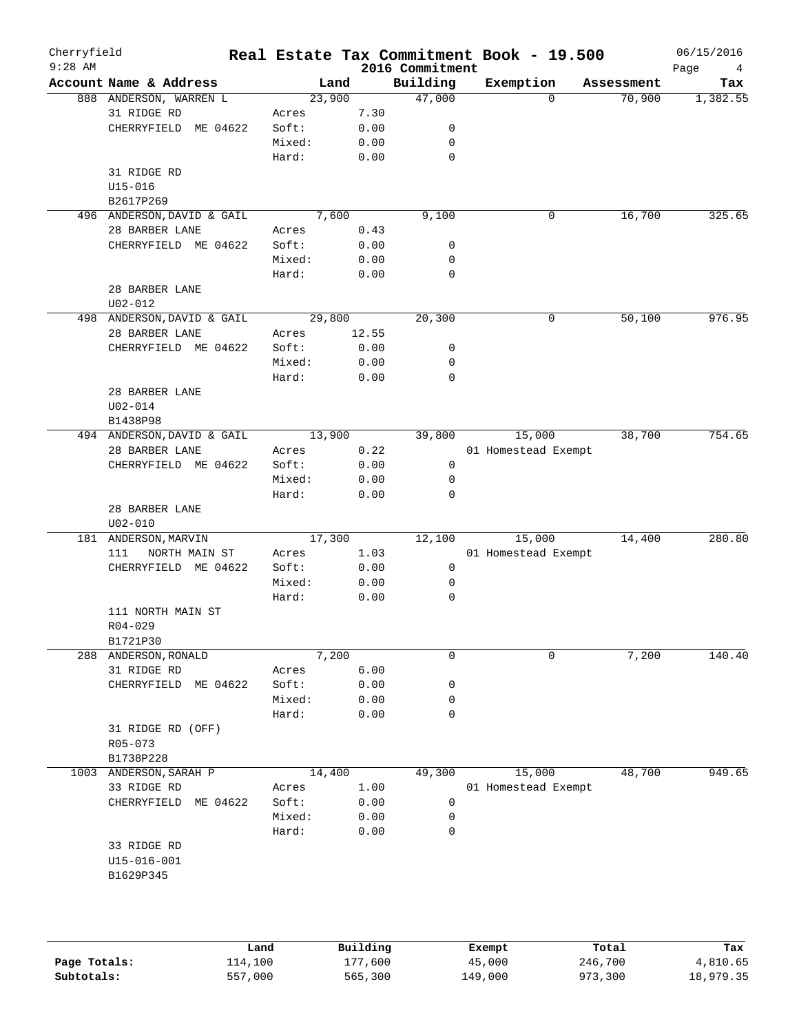| Cherryfield<br>$9:28$ AM |                            |        |       |      | 2016 Commitment | Real Estate Tax Commitment Book - 19.500 |            | 06/15/2016<br>Page<br>4 |
|--------------------------|----------------------------|--------|-------|------|-----------------|------------------------------------------|------------|-------------------------|
|                          | Account Name & Address     | Land   |       |      | Building        | Exemption                                | Assessment | Tax                     |
|                          | 888 ANDERSON, WARREN L     | 23,900 |       |      | 47,000          | $\Omega$                                 | 70,900     | 1,382.55                |
|                          | 31 RIDGE RD                | Acres  | 7.30  |      |                 |                                          |            |                         |
|                          | CHERRYFIELD ME 04622       | Soft:  | 0.00  |      | 0               |                                          |            |                         |
|                          |                            | Mixed: | 0.00  |      | $\mathbf 0$     |                                          |            |                         |
|                          |                            | Hard:  | 0.00  |      | $\mathbf 0$     |                                          |            |                         |
|                          | 31 RIDGE RD                |        |       |      |                 |                                          |            |                         |
|                          | $U15 - 016$                |        |       |      |                 |                                          |            |                         |
|                          | B2617P269                  |        |       |      |                 |                                          |            |                         |
|                          | 496 ANDERSON, DAVID & GAIL | 7,600  |       |      | 9,100           | 0                                        | 16,700     | 325.65                  |
|                          | 28 BARBER LANE             | Acres  | 0.43  |      |                 |                                          |            |                         |
|                          | CHERRYFIELD ME 04622       | Soft:  | 0.00  |      | 0               |                                          |            |                         |
|                          |                            | Mixed: | 0.00  |      | 0               |                                          |            |                         |
|                          |                            | Hard:  | 0.00  |      | $\mathbf 0$     |                                          |            |                         |
|                          | 28 BARBER LANE             |        |       |      |                 |                                          |            |                         |
|                          | $U02 - 012$                |        |       |      |                 |                                          |            |                         |
|                          | 498 ANDERSON, DAVID & GAIL | 29,800 |       |      | 20,300          | 0                                        | 50,100     | 976.95                  |
|                          | 28 BARBER LANE             | Acres  | 12.55 |      |                 |                                          |            |                         |
|                          | CHERRYFIELD ME 04622       | Soft:  | 0.00  |      | 0               |                                          |            |                         |
|                          |                            | Mixed: | 0.00  |      | 0               |                                          |            |                         |
|                          |                            | Hard:  | 0.00  |      | 0               |                                          |            |                         |
|                          | 28 BARBER LANE             |        |       |      |                 |                                          |            |                         |
|                          | $U02 - 014$                |        |       |      |                 |                                          |            |                         |
|                          | B1438P98                   |        |       |      |                 |                                          |            |                         |
|                          | 494 ANDERSON, DAVID & GAIL | 13,900 |       |      | 39,800          | 15,000                                   | 38,700     | 754.65                  |
|                          | 28 BARBER LANE             | Acres  | 0.22  |      |                 | 01 Homestead Exempt                      |            |                         |
|                          | CHERRYFIELD ME 04622       | Soft:  | 0.00  |      | $\mathsf{O}$    |                                          |            |                         |
|                          |                            | Mixed: | 0.00  |      | 0               |                                          |            |                         |
|                          |                            | Hard:  | 0.00  |      | 0               |                                          |            |                         |
|                          | 28 BARBER LANE             |        |       |      |                 |                                          |            |                         |
|                          | $U02 - 010$                |        |       |      |                 |                                          |            |                         |
|                          | 181 ANDERSON, MARVIN       | 17,300 |       |      | 12,100          | 15,000                                   | 14,400     | 280.80                  |
|                          | 111<br>NORTH MAIN ST       | Acres  | 1.03  |      |                 | 01 Homestead Exempt                      |            |                         |
|                          | CHERRYFIELD ME 04622       | Soft:  | 0.00  |      | $\mathsf{O}$    |                                          |            |                         |
|                          |                            | Mixed: | 0.00  |      | 0               |                                          |            |                         |
|                          |                            | Hard:  | 0.00  |      | 0               |                                          |            |                         |
|                          | 111 NORTH MAIN ST          |        |       |      |                 |                                          |            |                         |
|                          | $R04 - 029$                |        |       |      |                 |                                          |            |                         |
|                          | B1721P30                   |        |       |      |                 |                                          |            |                         |
|                          | 288 ANDERSON, RONALD       | 7,200  |       |      | $\mathbf 0$     | 0                                        | 7,200      | 140.40                  |
|                          | 31 RIDGE RD                | Acres  | 6.00  |      |                 |                                          |            |                         |
|                          | CHERRYFIELD<br>ME 04622    | Soft:  | 0.00  |      | 0               |                                          |            |                         |
|                          |                            | Mixed: | 0.00  |      | 0               |                                          |            |                         |
|                          |                            | Hard:  | 0.00  |      | 0               |                                          |            |                         |
|                          | 31 RIDGE RD (OFF)          |        |       |      |                 |                                          |            |                         |
|                          | R05-073                    |        |       |      |                 |                                          |            |                         |
|                          | B1738P228                  |        |       |      |                 |                                          |            |                         |
|                          | 1003 ANDERSON, SARAH P     | 14,400 |       |      | 49,300          | 15,000                                   | 48,700     | 949.65                  |
|                          | 33 RIDGE RD                | Acres  | 1.00  |      |                 | 01 Homestead Exempt                      |            |                         |
|                          | CHERRYFIELD<br>ME 04622    | Soft:  | 0.00  |      | 0               |                                          |            |                         |
|                          |                            | Mixed: |       | 0.00 | 0               |                                          |            |                         |
|                          |                            | Hard:  | 0.00  |      | 0               |                                          |            |                         |
|                          | 33 RIDGE RD                |        |       |      |                 |                                          |            |                         |
|                          |                            |        |       |      |                 |                                          |            |                         |
|                          | U15-016-001                |        |       |      |                 |                                          |            |                         |
|                          | B1629P345                  |        |       |      |                 |                                          |            |                         |
|                          |                            |        |       |      |                 |                                          |            |                         |
|                          |                            |        |       |      |                 |                                          |            |                         |

|              | Land    | Building | Exempt  | Total   | Tax       |
|--------------|---------|----------|---------|---------|-----------|
| Page Totals: | 114,100 | 177,600  | 45,000  | 246,700 | 4,810.65  |
| Subtotals:   | 557,000 | 565,300  | 149,000 | 973,300 | 18,979.35 |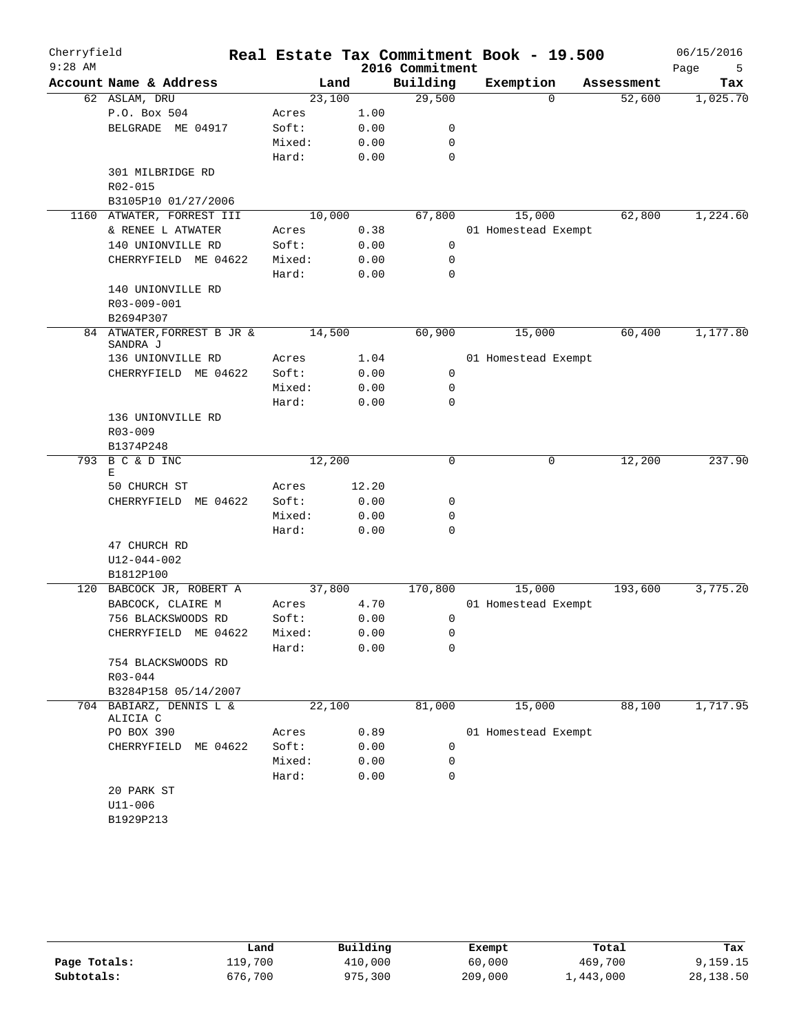| Cherryfield<br>$9:28$ AM |                                     |        |       | 2016 Commitment | Real Estate Tax Commitment Book - 19.500 |            | 06/15/2016<br>Page<br>5 |
|--------------------------|-------------------------------------|--------|-------|-----------------|------------------------------------------|------------|-------------------------|
|                          | Account Name & Address              |        | Land  | Building        | Exemption                                | Assessment | Tax                     |
|                          | 62 ASLAM, DRU                       | 23,100 |       | 29,500          | $\Omega$                                 | 52,600     | 1,025.70                |
|                          | P.O. Box 504                        | Acres  | 1.00  |                 |                                          |            |                         |
|                          | BELGRADE ME 04917                   | Soft:  | 0.00  | 0               |                                          |            |                         |
|                          |                                     | Mixed: | 0.00  | 0               |                                          |            |                         |
|                          |                                     | Hard:  | 0.00  | 0               |                                          |            |                         |
|                          | 301 MILBRIDGE RD                    |        |       |                 |                                          |            |                         |
|                          | R02-015                             |        |       |                 |                                          |            |                         |
|                          | B3105P10 01/27/2006                 |        |       |                 |                                          |            |                         |
|                          | 1160 ATWATER, FORREST III           | 10,000 |       | 67,800          | 15,000                                   | 62,800     | 1,224.60                |
|                          | & RENEE L ATWATER                   | Acres  | 0.38  |                 | 01 Homestead Exempt                      |            |                         |
|                          | 140 UNIONVILLE RD                   | Soft:  | 0.00  | 0               |                                          |            |                         |
|                          | CHERRYFIELD ME 04622                | Mixed: | 0.00  | 0               |                                          |            |                         |
|                          |                                     | Hard:  | 0.00  | 0               |                                          |            |                         |
|                          | 140 UNIONVILLE RD                   |        |       |                 |                                          |            |                         |
|                          | R03-009-001                         |        |       |                 |                                          |            |                         |
|                          | B2694P307                           |        |       |                 |                                          |            |                         |
|                          | 84 ATWATER, FORREST B JR &          | 14,500 |       | 60,900          | 15,000                                   | 60,400     | 1,177.80                |
|                          | SANDRA J                            |        |       |                 |                                          |            |                         |
|                          | 136 UNIONVILLE RD                   | Acres  | 1.04  |                 | 01 Homestead Exempt                      |            |                         |
|                          | CHERRYFIELD ME 04622                | Soft:  | 0.00  | 0               |                                          |            |                         |
|                          |                                     | Mixed: | 0.00  | 0               |                                          |            |                         |
|                          |                                     | Hard:  | 0.00  | $\Omega$        |                                          |            |                         |
|                          | 136 UNIONVILLE RD                   |        |       |                 |                                          |            |                         |
|                          | $R03 - 009$                         |        |       |                 |                                          |            |                         |
| 793                      | B1374P248<br>B C & D INC            | 12,200 |       | 0               | 0                                        | 12,200     | 237.90                  |
|                          | Ε                                   |        |       |                 |                                          |            |                         |
|                          | 50 CHURCH ST                        | Acres  | 12.20 |                 |                                          |            |                         |
|                          | CHERRYFIELD ME 04622                | Soft:  | 0.00  | 0               |                                          |            |                         |
|                          |                                     | Mixed: | 0.00  | 0               |                                          |            |                         |
|                          |                                     | Hard:  | 0.00  | 0               |                                          |            |                         |
|                          | 47 CHURCH RD                        |        |       |                 |                                          |            |                         |
|                          | $U12 - 044 - 002$                   |        |       |                 |                                          |            |                         |
|                          | B1812P100                           |        |       |                 |                                          |            |                         |
|                          | 120 BABCOCK JR, ROBERT A            | 37,800 |       | 170,800         | 15,000                                   | 193,600    | 3,775.20                |
|                          | BABCOCK, CLAIRE M                   | Acres  | 4.70  |                 | 01 Homestead Exempt                      |            |                         |
|                          | 756 BLACKSWOODS RD                  | Soft:  | 0.00  | 0               |                                          |            |                         |
|                          | CHERRYFIELD ME 04622                | Mixed: | 0.00  | 0               |                                          |            |                         |
|                          |                                     | Hard:  | 0.00  | 0               |                                          |            |                         |
|                          | 754 BLACKSWOODS RD                  |        |       |                 |                                          |            |                         |
|                          | $R03 - 044$                         |        |       |                 |                                          |            |                         |
|                          | B3284P158 05/14/2007                |        |       |                 |                                          |            |                         |
|                          | 704 BABIARZ, DENNIS L &<br>ALICIA C | 22,100 |       | 81,000          | 15,000                                   | 88,100     | 1,717.95                |
|                          | PO BOX 390                          | Acres  | 0.89  |                 | 01 Homestead Exempt                      |            |                         |
|                          | CHERRYFIELD ME 04622                | Soft:  | 0.00  | 0               |                                          |            |                         |
|                          |                                     | Mixed: | 0.00  | 0               |                                          |            |                         |
|                          |                                     | Hard:  | 0.00  | 0               |                                          |            |                         |
|                          | 20 PARK ST                          |        |       |                 |                                          |            |                         |
|                          | $U11 - 006$                         |        |       |                 |                                          |            |                         |
|                          | B1929P213                           |        |       |                 |                                          |            |                         |
|                          |                                     |        |       |                 |                                          |            |                         |

|              | Land    | Building | Exempt  | Total             | Tax       |
|--------------|---------|----------|---------|-------------------|-----------|
| Page Totals: | 119,700 | 410,000  | 60,000  | 469,700           | 9,159.15  |
| Subtotals:   | 676,700 | 975,300  | 209,000 | $\perp$ , 443,000 | 28,138.50 |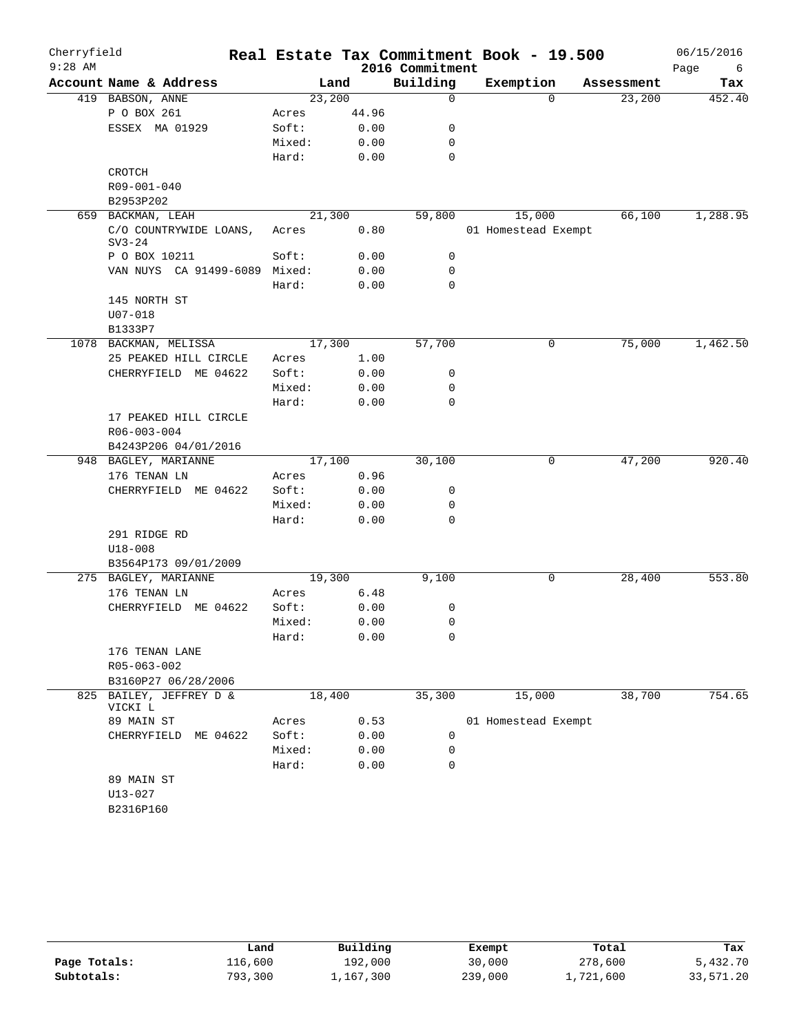| Cherryfield |                                                |        |        |                 | Real Estate Tax Commitment Book - 19.500 |            | 06/15/2016 |
|-------------|------------------------------------------------|--------|--------|-----------------|------------------------------------------|------------|------------|
| $9:28$ AM   |                                                |        |        | 2016 Commitment |                                          |            | Page<br>6  |
|             | Account Name & Address                         |        | Land   | Building        | Exemption                                | Assessment | Tax        |
|             | 419 BABSON, ANNE                               |        | 23,200 | 0               | $\Omega$                                 | 23,200     | 452.40     |
|             | P O BOX 261                                    | Acres  | 44.96  |                 |                                          |            |            |
|             | ESSEX MA 01929                                 | Soft:  | 0.00   | 0               |                                          |            |            |
|             |                                                | Mixed: | 0.00   | 0               |                                          |            |            |
|             |                                                | Hard:  | 0.00   | $\mathbf 0$     |                                          |            |            |
|             | CROTCH                                         |        |        |                 |                                          |            |            |
|             | R09-001-040                                    |        |        |                 |                                          |            |            |
|             | B2953P202                                      |        |        |                 |                                          |            |            |
| 659         | BACKMAN, LEAH                                  |        | 21,300 | 59,800          | 15,000                                   | 66,100     | 1,288.95   |
|             | C/O COUNTRYWIDE LOANS,<br>$SV3-24$             | Acres  | 0.80   |                 | 01 Homestead Exempt                      |            |            |
|             | P O BOX 10211                                  | Soft:  | 0.00   | 0               |                                          |            |            |
|             | VAN NUYS CA 91499-6089 Mixed:                  |        | 0.00   | 0               |                                          |            |            |
|             |                                                | Hard:  | 0.00   | 0               |                                          |            |            |
|             | 145 NORTH ST                                   |        |        |                 |                                          |            |            |
|             | U07-018                                        |        |        |                 |                                          |            |            |
|             | B1333P7                                        |        |        |                 |                                          |            |            |
|             | 1078 BACKMAN, MELISSA                          |        | 17,300 | 57,700          | 0                                        | 75,000     | 1,462.50   |
|             | 25 PEAKED HILL CIRCLE                          | Acres  | 1.00   |                 |                                          |            |            |
|             | CHERRYFIELD ME 04622                           | Soft:  | 0.00   | 0               |                                          |            |            |
|             |                                                | Mixed: | 0.00   | 0               |                                          |            |            |
|             |                                                | Hard:  | 0.00   | 0               |                                          |            |            |
|             | 17 PEAKED HILL CIRCLE                          |        |        |                 |                                          |            |            |
|             | R06-003-004                                    |        |        |                 |                                          |            |            |
|             | B4243P206 04/01/2016                           |        |        |                 |                                          |            |            |
|             | 948 BAGLEY, MARIANNE                           |        | 17,100 | 30,100          | 0                                        | 47,200     | 920.40     |
|             | 176 TENAN LN                                   | Acres  | 0.96   |                 |                                          |            |            |
|             | CHERRYFIELD ME 04622                           | Soft:  | 0.00   | 0               |                                          |            |            |
|             |                                                | Mixed: | 0.00   | 0               |                                          |            |            |
|             |                                                | Hard:  | 0.00   | $\mathbf 0$     |                                          |            |            |
|             | 291 RIDGE RD                                   |        |        |                 |                                          |            |            |
|             | $U18 - 008$                                    |        |        |                 |                                          |            |            |
|             | B3564P173 09/01/2009                           |        |        |                 |                                          |            |            |
|             | 275 BAGLEY, MARIANNE                           |        | 19,300 | 9,100           | 0                                        | 28,400     | 553.80     |
|             | 176 TENAN LN                                   | Acres  | 6.48   |                 |                                          |            |            |
|             | CHERRYFIELD ME 04622                           | Soft:  | 0.00   | 0               |                                          |            |            |
|             |                                                | Mixed: | 0.00   | 0               |                                          |            |            |
|             |                                                | Hard:  | 0.00   | 0               |                                          |            |            |
|             | 176 TENAN LANE                                 |        |        |                 |                                          |            |            |
|             | R05-063-002                                    |        |        |                 |                                          |            |            |
|             | B3160P27 06/28/2006<br>825 BAILEY, JEFFREY D & |        | 18,400 | 35,300          | 15,000                                   | 38,700     | 754.65     |
|             | VICKI L                                        |        |        |                 |                                          |            |            |
|             | 89 MAIN ST                                     | Acres  | 0.53   |                 | 01 Homestead Exempt                      |            |            |
|             | CHERRYFIELD ME 04622                           | Soft:  | 0.00   | 0               |                                          |            |            |
|             |                                                | Mixed: | 0.00   | 0               |                                          |            |            |
|             |                                                | Hard:  | 0.00   | 0               |                                          |            |            |
|             | 89 MAIN ST                                     |        |        |                 |                                          |            |            |
|             | $U13 - 027$                                    |        |        |                 |                                          |            |            |
|             | B2316P160                                      |        |        |                 |                                          |            |            |

|              | Land    | Building  | Exempt  | Total     | Tax       |
|--------------|---------|-----------|---------|-----------|-----------|
| Page Totals: | 116,600 | 192,000   | 30,000  | 278,600   | 5,432.70  |
| Subtotals:   | 793,300 | 1,167,300 | 239,000 | 1,721,600 | 33,571.20 |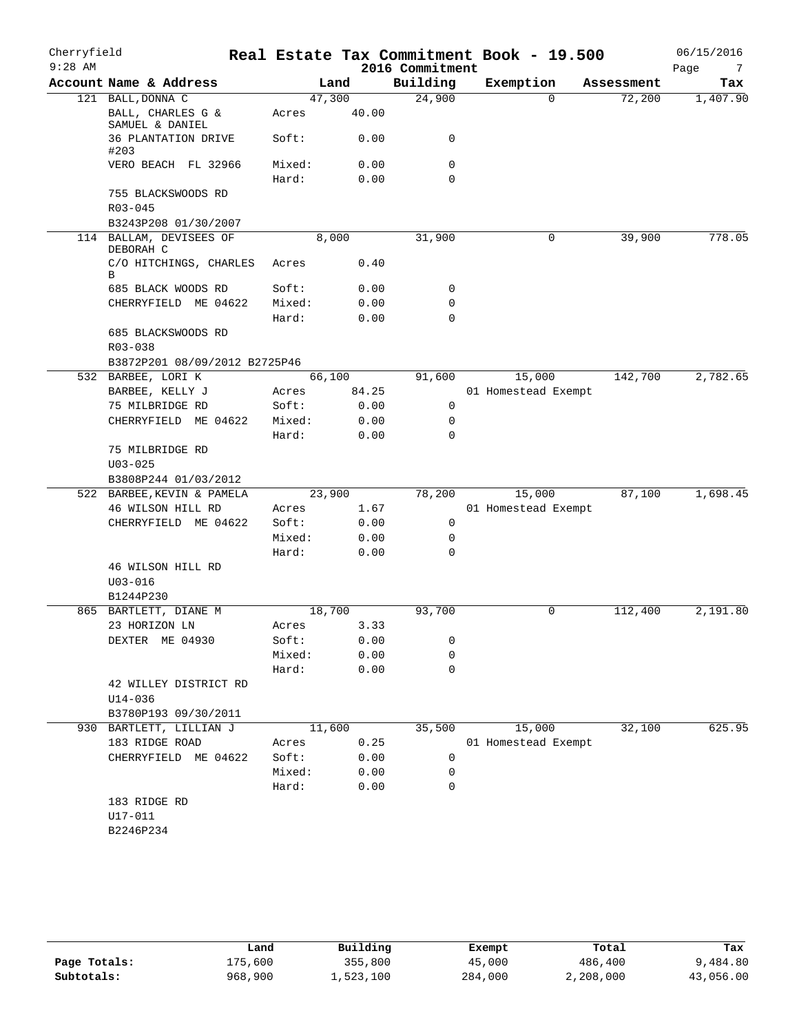| Cherryfield<br>$9:28$ AM |                                      |                 |              | 2016 Commitment  | Real Estate Tax Commitment Book - 19.500 |            | 06/15/2016<br>Page<br>7 |
|--------------------------|--------------------------------------|-----------------|--------------|------------------|------------------------------------------|------------|-------------------------|
|                          | Account Name & Address               |                 | Land         | Building         | Exemption                                | Assessment | Tax                     |
|                          | 121 BALL, DONNA C                    | 47,300          |              | 24,900           | $\Omega$                                 | 72,200     | 1,407.90                |
|                          | BALL, CHARLES G &<br>SAMUEL & DANIEL | Acres           | 40.00        |                  |                                          |            |                         |
|                          | 36 PLANTATION DRIVE<br>#203          | Soft:           | 0.00         | 0                |                                          |            |                         |
|                          | VERO BEACH FL 32966                  | Mixed:<br>Hard: | 0.00<br>0.00 | 0<br>$\Omega$    |                                          |            |                         |
|                          | 755 BLACKSWOODS RD                   |                 |              |                  |                                          |            |                         |
|                          | $R03 - 045$                          |                 |              |                  |                                          |            |                         |
|                          | B3243P208 01/30/2007                 |                 |              |                  |                                          |            |                         |
|                          | 114 BALLAM, DEVISEES OF<br>DEBORAH C |                 | 8,000        | 31,900           | 0                                        | 39,900     | 778.05                  |
|                          | C/O HITCHINGS, CHARLES<br>В          | Acres           | 0.40         |                  |                                          |            |                         |
|                          | 685 BLACK WOODS RD                   | Soft:           | 0.00         | 0                |                                          |            |                         |
|                          | CHERRYFIELD ME 04622                 | Mixed:          | 0.00         | 0                |                                          |            |                         |
|                          |                                      | Hard:           | 0.00         | 0                |                                          |            |                         |
|                          | 685 BLACKSWOODS RD<br>R03-038        |                 |              |                  |                                          |            |                         |
|                          | B3872P201 08/09/2012 B2725P46        |                 |              |                  |                                          |            |                         |
|                          | 532 BARBEE, LORI K                   | 66,100          |              | 91,600           | 15,000                                   | 142,700    | 2,782.65                |
|                          | BARBEE, KELLY J                      | Acres           | 84.25        |                  | 01 Homestead Exempt                      |            |                         |
|                          | 75 MILBRIDGE RD                      | Soft:           | 0.00         | 0                |                                          |            |                         |
|                          | CHERRYFIELD ME 04622                 | Mixed:<br>Hard: | 0.00<br>0.00 | $\mathbf 0$<br>0 |                                          |            |                         |
|                          | 75 MILBRIDGE RD                      |                 |              |                  |                                          |            |                         |
|                          | $U03 - 025$                          |                 |              |                  |                                          |            |                         |
|                          | B3808P244 01/03/2012                 |                 |              |                  |                                          |            |                         |
|                          | 522 BARBEE, KEVIN & PAMELA           | 23,900          |              | 78,200           | 15,000                                   | 87,100     | 1,698.45                |
|                          | 46 WILSON HILL RD                    | Acres           | 1.67         |                  | 01 Homestead Exempt                      |            |                         |
|                          | CHERRYFIELD ME 04622                 | Soft:           | 0.00         | 0                |                                          |            |                         |
|                          |                                      | Mixed:          | 0.00         | $\mathbf 0$      |                                          |            |                         |
|                          |                                      | Hard:           | 0.00         | 0                |                                          |            |                         |
|                          | 46 WILSON HILL RD                    |                 |              |                  |                                          |            |                         |
|                          | $U03 - 016$                          |                 |              |                  |                                          |            |                         |
|                          | B1244P230                            |                 |              |                  |                                          |            |                         |
|                          | 865 BARTLETT, DIANE M                | 18,700          |              | 93,700           | 0                                        | 112,400    | 2,191.80                |
|                          | 23 HORIZON LN                        | Acres           | 3.33         |                  |                                          |            |                         |
|                          | DEXTER ME 04930                      | Soft:           | 0.00         | 0                |                                          |            |                         |
|                          |                                      | Mixed:          | 0.00         | 0                |                                          |            |                         |
|                          |                                      | Hard:           | 0.00         | 0                |                                          |            |                         |
|                          | 42 WILLEY DISTRICT RD                |                 |              |                  |                                          |            |                         |
|                          | $U14 - 036$                          |                 |              |                  |                                          |            |                         |
|                          | B3780P193 09/30/2011                 |                 |              |                  |                                          |            |                         |
|                          | 930 BARTLETT, LILLIAN J              | 11,600          |              | 35,500           | 15,000                                   | 32,100     | 625.95                  |
|                          | 183 RIDGE ROAD                       | Acres           | 0.25         |                  | 01 Homestead Exempt                      |            |                         |
|                          | CHERRYFIELD ME 04622                 | Soft:           | 0.00         | $\mathbf 0$      |                                          |            |                         |
|                          |                                      | Mixed:          | 0.00         | 0                |                                          |            |                         |
|                          |                                      | Hard:           | 0.00         | 0                |                                          |            |                         |
|                          | 183 RIDGE RD                         |                 |              |                  |                                          |            |                         |
|                          | U17-011                              |                 |              |                  |                                          |            |                         |
|                          | B2246P234                            |                 |              |                  |                                          |            |                         |
|                          |                                      |                 |              |                  |                                          |            |                         |

|              | Land    | Building  | Exempt  | Total     | Tax       |
|--------------|---------|-----------|---------|-----------|-----------|
| Page Totals: | 175,600 | 355,800   | 45,000  | 486,400   | 9,484.80  |
| Subtotals:   | 968,900 | 1,523,100 | 284,000 | 2,208,000 | 43,056.00 |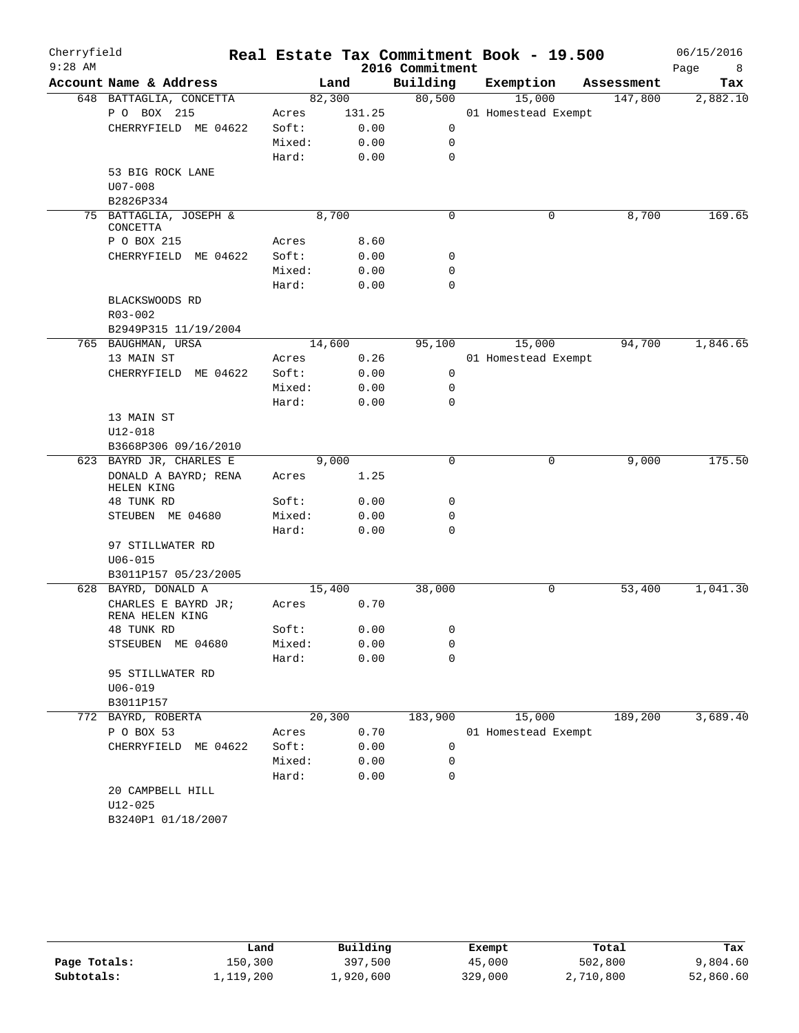| Cherryfield<br>$9:28$ AM |                                        |        |        | 2016 Commitment | Real Estate Tax Commitment Book - 19.500 |            | 06/15/2016<br>Page<br>8 |
|--------------------------|----------------------------------------|--------|--------|-----------------|------------------------------------------|------------|-------------------------|
|                          | Account Name & Address                 |        | Land   | Building        | Exemption                                | Assessment | Tax                     |
|                          | 648 BATTAGLIA, CONCETTA                | 82,300 |        | 80,500          | 15,000                                   | 147,800    | 2,882.10                |
|                          | P O BOX 215                            | Acres  | 131.25 |                 | 01 Homestead Exempt                      |            |                         |
|                          | CHERRYFIELD ME 04622                   | Soft:  | 0.00   | 0               |                                          |            |                         |
|                          |                                        | Mixed: | 0.00   | 0               |                                          |            |                         |
|                          |                                        | Hard:  | 0.00   | $\mathbf 0$     |                                          |            |                         |
|                          | 53 BIG ROCK LANE                       |        |        |                 |                                          |            |                         |
|                          | $U07 - 008$                            |        |        |                 |                                          |            |                         |
|                          | B2826P334                              |        |        |                 |                                          |            |                         |
|                          | 75 BATTAGLIA, JOSEPH &<br>CONCETTA     | 8,700  |        | $\mathbf 0$     | 0                                        | 8,700      | 169.65                  |
|                          | P O BOX 215                            | Acres  | 8.60   |                 |                                          |            |                         |
|                          | CHERRYFIELD<br>ME 04622                | Soft:  | 0.00   | 0               |                                          |            |                         |
|                          |                                        | Mixed: | 0.00   | $\mathbf 0$     |                                          |            |                         |
|                          |                                        | Hard:  | 0.00   | $\mathbf 0$     |                                          |            |                         |
|                          | BLACKSWOODS RD                         |        |        |                 |                                          |            |                         |
|                          | R03-002                                |        |        |                 |                                          |            |                         |
|                          | B2949P315 11/19/2004                   |        |        |                 |                                          |            |                         |
|                          | 765 BAUGHMAN, URSA                     | 14,600 |        | 95,100          | 15,000                                   | 94,700     | 1,846.65                |
|                          | 13 MAIN ST                             | Acres  | 0.26   |                 | 01 Homestead Exempt                      |            |                         |
|                          | CHERRYFIELD ME 04622                   | Soft:  | 0.00   | 0               |                                          |            |                         |
|                          |                                        | Mixed: | 0.00   | 0               |                                          |            |                         |
|                          |                                        | Hard:  | 0.00   | $\mathbf 0$     |                                          |            |                         |
|                          | 13 MAIN ST                             |        |        |                 |                                          |            |                         |
|                          | $U12 - 018$                            |        |        |                 |                                          |            |                         |
|                          | B3668P306 09/16/2010                   |        |        |                 |                                          |            |                         |
|                          | 623 BAYRD JR, CHARLES E                |        | 9,000  | $\mathbf 0$     | 0                                        | 9,000      | 175.50                  |
|                          | DONALD A BAYRD; RENA<br>HELEN KING     | Acres  | 1.25   |                 |                                          |            |                         |
|                          | 48 TUNK RD                             | Soft:  | 0.00   | 0               |                                          |            |                         |
|                          | STEUBEN ME 04680                       | Mixed: | 0.00   | $\mathbf 0$     |                                          |            |                         |
|                          |                                        | Hard:  | 0.00   | $\mathbf 0$     |                                          |            |                         |
|                          | 97 STILLWATER RD                       |        |        |                 |                                          |            |                         |
|                          | $U06 - 015$                            |        |        |                 |                                          |            |                         |
|                          | B3011P157 05/23/2005                   |        |        |                 |                                          |            |                         |
|                          | 628 BAYRD, DONALD A                    | 15,400 |        | 38,000          | 0                                        | 53,400     | 1,041.30                |
|                          | CHARLES E BAYRD JR;<br>RENA HELEN KING | Acres  | 0.70   |                 |                                          |            |                         |
|                          | 48 TUNK RD                             | Soft:  | 0.00   | 0               |                                          |            |                         |
|                          | STSEUBEN ME 04680                      | Mixed: | 0.00   | 0               |                                          |            |                         |
|                          |                                        | Hard:  | 0.00   | 0               |                                          |            |                         |
|                          | 95 STILLWATER RD                       |        |        |                 |                                          |            |                         |
|                          | $U06 - 019$                            |        |        |                 |                                          |            |                         |
|                          | B3011P157                              |        |        |                 |                                          |            |                         |
| 772                      | BAYRD, ROBERTA                         | 20,300 |        | 183,900         | 15,000                                   | 189,200    | 3,689.40                |
|                          | P O BOX 53                             | Acres  | 0.70   |                 | 01 Homestead Exempt                      |            |                         |
|                          | CHERRYFIELD ME 04622                   | Soft:  | 0.00   | 0               |                                          |            |                         |
|                          |                                        | Mixed: | 0.00   | 0               |                                          |            |                         |
|                          |                                        | Hard:  | 0.00   | 0               |                                          |            |                         |
|                          | 20 CAMPBELL HILL                       |        |        |                 |                                          |            |                         |
|                          | $U12 - 025$                            |        |        |                 |                                          |            |                         |
|                          | B3240P1 01/18/2007                     |        |        |                 |                                          |            |                         |
|                          |                                        |        |        |                 |                                          |            |                         |

|              | Land      | Building  | Exempt  | Total     | Tax       |
|--------------|-----------|-----------|---------|-----------|-----------|
| Page Totals: | 150,300   | 397,500   | 45,000  | 502,800   | 9,804.60  |
| Subtotals:   | 1,119,200 | 1,920,600 | 329,000 | 2,710,800 | 52,860.60 |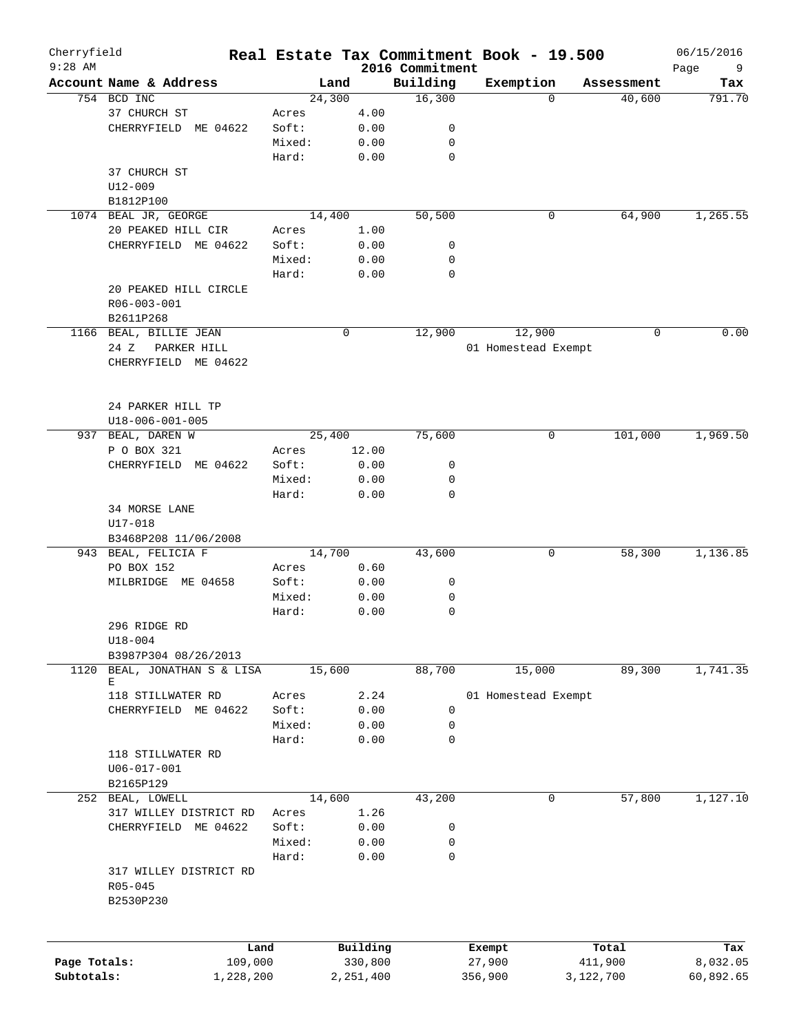| Cherryfield<br>$9:28$ AM |                         |        |           |                             | Real Estate Tax Commitment Book - 19.500 |            | 06/15/2016       |
|--------------------------|-------------------------|--------|-----------|-----------------------------|------------------------------------------|------------|------------------|
|                          | Account Name & Address  |        | Land      | 2016 Commitment<br>Building | Exemption                                | Assessment | Page<br>9<br>Tax |
|                          | 754 BCD INC             |        | 24,300    | 16,300                      | $\Omega$                                 | 40,600     | 791.70           |
|                          | 37 CHURCH ST            | Acres  | 4.00      |                             |                                          |            |                  |
|                          | CHERRYFIELD ME 04622    | Soft:  | 0.00      | 0                           |                                          |            |                  |
|                          |                         | Mixed: | 0.00      | $\mathbf 0$                 |                                          |            |                  |
|                          |                         |        |           |                             |                                          |            |                  |
|                          |                         | Hard:  | 0.00      | $\mathbf 0$                 |                                          |            |                  |
|                          | 37 CHURCH ST            |        |           |                             |                                          |            |                  |
|                          | U12-009                 |        |           |                             |                                          |            |                  |
|                          | B1812P100               |        |           |                             |                                          |            |                  |
|                          | 1074 BEAL JR, GEORGE    |        | 14,400    | 50,500                      | 0                                        | 64,900     | 1,265.55         |
|                          | 20 PEAKED HILL CIR      | Acres  | 1.00      |                             |                                          |            |                  |
|                          | CHERRYFIELD ME 04622    | Soft:  | 0.00      | 0                           |                                          |            |                  |
|                          |                         | Mixed: | 0.00      | 0                           |                                          |            |                  |
|                          |                         | Hard:  | 0.00      | $\mathbf 0$                 |                                          |            |                  |
|                          | 20 PEAKED HILL CIRCLE   |        |           |                             |                                          |            |                  |
|                          | R06-003-001             |        |           |                             |                                          |            |                  |
|                          | B2611P268               |        |           |                             |                                          |            |                  |
|                          | 1166 BEAL, BILLIE JEAN  |        | 0         | 12,900                      | 12,900                                   | 0          | 0.00             |
|                          | 24 Z<br>PARKER HILL     |        |           |                             | 01 Homestead Exempt                      |            |                  |
|                          | CHERRYFIELD ME 04622    |        |           |                             |                                          |            |                  |
|                          |                         |        |           |                             |                                          |            |                  |
|                          |                         |        |           |                             |                                          |            |                  |
|                          | 24 PARKER HILL TP       |        |           |                             |                                          |            |                  |
|                          | $U18 - 006 - 001 - 005$ |        |           |                             |                                          |            |                  |
| 937                      | BEAL, DAREN W           |        | 25,400    | 75,600                      | 0                                        | 101,000    | 1,969.50         |
|                          | P O BOX 321             | Acres  | 12.00     |                             |                                          |            |                  |
|                          |                         |        |           | 0                           |                                          |            |                  |
|                          | CHERRYFIELD ME 04622    | Soft:  | 0.00      |                             |                                          |            |                  |
|                          |                         | Mixed: | 0.00      | 0                           |                                          |            |                  |
|                          |                         | Hard:  | 0.00      | $\mathbf 0$                 |                                          |            |                  |
|                          | 34 MORSE LANE           |        |           |                             |                                          |            |                  |
|                          | $U17 - 018$             |        |           |                             |                                          |            |                  |
|                          | B3468P208 11/06/2008    |        |           |                             |                                          |            |                  |
|                          | 943 BEAL, FELICIA F     |        | 14,700    | 43,600                      | 0                                        | 58,300     | 1,136.85         |
|                          | PO BOX 152              | Acres  | 0.60      |                             |                                          |            |                  |
|                          | MILBRIDGE ME 04658      | Soft:  | 0.00      | 0                           |                                          |            |                  |
|                          |                         | Mixed: | 0.00      | 0                           |                                          |            |                  |
|                          |                         | Hard:  | 0.00      | 0                           |                                          |            |                  |
|                          | 296 RIDGE RD            |        |           |                             |                                          |            |                  |
|                          | $U18 - 004$             |        |           |                             |                                          |            |                  |
|                          | B3987P304 08/26/2013    |        |           |                             |                                          |            |                  |
| 1120                     | BEAL, JONATHAN S & LISA |        | 15,600    | 88,700                      | 15,000                                   | 89,300     | 1,741.35         |
|                          | Е                       |        |           |                             |                                          |            |                  |
|                          | 118 STILLWATER RD       | Acres  | 2.24      |                             | 01 Homestead Exempt                      |            |                  |
|                          | CHERRYFIELD ME 04622    | Soft:  | 0.00      | 0                           |                                          |            |                  |
|                          |                         | Mixed: | 0.00      | 0                           |                                          |            |                  |
|                          |                         | Hard:  | 0.00      | $\mathbf 0$                 |                                          |            |                  |
|                          | 118 STILLWATER RD       |        |           |                             |                                          |            |                  |
|                          | $U06 - 017 - 001$       |        |           |                             |                                          |            |                  |
|                          | B2165P129               |        |           |                             |                                          |            |                  |
|                          | 252 BEAL, LOWELL        |        | 14,600    | 43,200                      | 0                                        | 57,800     | 1,127.10         |
|                          | 317 WILLEY DISTRICT RD  | Acres  | 1.26      |                             |                                          |            |                  |
|                          | CHERRYFIELD<br>ME 04622 | Soft:  | 0.00      | 0                           |                                          |            |                  |
|                          |                         |        |           |                             |                                          |            |                  |
|                          |                         | Mixed: | 0.00      | 0                           |                                          |            |                  |
|                          |                         | Hard:  | 0.00      | 0                           |                                          |            |                  |
|                          | 317 WILLEY DISTRICT RD  |        |           |                             |                                          |            |                  |
|                          | $R05 - 045$             |        |           |                             |                                          |            |                  |
|                          | B2530P230               |        |           |                             |                                          |            |                  |
|                          |                         |        |           |                             |                                          |            |                  |
|                          |                         |        |           |                             |                                          |            |                  |
|                          |                         | Land   | Building  |                             | Exempt                                   | Total      | Tax              |
| Page Totals:             | 109,000                 |        | 330,800   |                             | 27,900                                   | 411,900    | 8,032.05         |
| Subtotals:               | 1,228,200               |        | 2,251,400 |                             | 356,900                                  | 3,122,700  | 60,892.65        |
|                          |                         |        |           |                             |                                          |            |                  |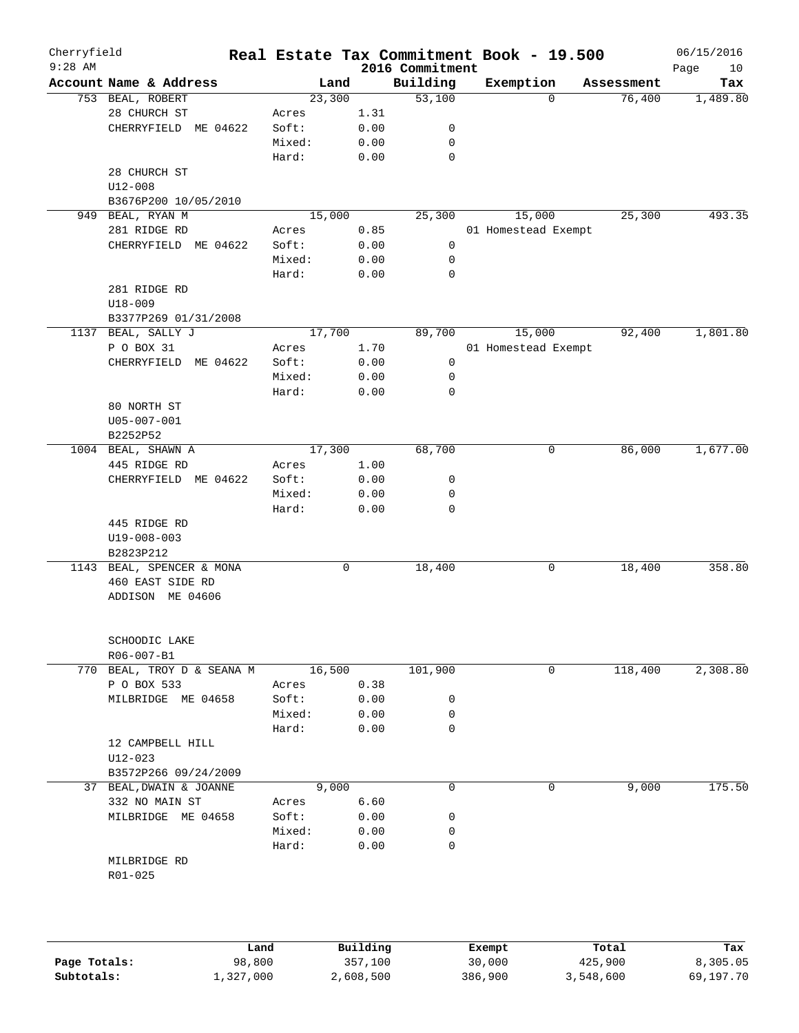| Cherryfield<br>$9:28$ AM |                             |        |      | 2016 Commitment | Real Estate Tax Commitment Book - 19.500 |            | 06/15/2016<br>Page<br>10 |
|--------------------------|-----------------------------|--------|------|-----------------|------------------------------------------|------------|--------------------------|
|                          | Account Name & Address      | Land   |      | Building        | Exemption                                | Assessment | Tax                      |
|                          | 753 BEAL, ROBERT            | 23,300 |      | 53,100          | $\Omega$                                 | 76,400     | 1,489.80                 |
|                          | 28 CHURCH ST                | Acres  | 1.31 |                 |                                          |            |                          |
|                          | CHERRYFIELD ME 04622        | Soft:  | 0.00 | 0               |                                          |            |                          |
|                          |                             | Mixed: | 0.00 | 0               |                                          |            |                          |
|                          |                             | Hard:  | 0.00 | 0               |                                          |            |                          |
|                          | 28 CHURCH ST                |        |      |                 |                                          |            |                          |
|                          | $U12 - 008$                 |        |      |                 |                                          |            |                          |
|                          | B3676P200 10/05/2010        |        |      |                 |                                          |            |                          |
|                          | 949 BEAL, RYAN M            | 15,000 |      | 25,300          | 15,000                                   | 25,300     | 493.35                   |
|                          | 281 RIDGE RD                | Acres  | 0.85 |                 | 01 Homestead Exempt                      |            |                          |
|                          | CHERRYFIELD ME 04622        | Soft:  | 0.00 | $\mathsf{O}$    |                                          |            |                          |
|                          |                             | Mixed: | 0.00 | 0               |                                          |            |                          |
|                          |                             | Hard:  | 0.00 | 0               |                                          |            |                          |
|                          | 281 RIDGE RD                |        |      |                 |                                          |            |                          |
|                          | $U18 - 009$                 |        |      |                 |                                          |            |                          |
|                          | B3377P269 01/31/2008        |        |      |                 |                                          |            |                          |
| 1137                     | BEAL, SALLY J               | 17,700 |      | 89,700          | 15,000                                   | 92,400     | 1,801.80                 |
|                          | P O BOX 31                  | Acres  | 1.70 |                 | 01 Homestead Exempt                      |            |                          |
|                          | CHERRYFIELD ME 04622        | Soft:  | 0.00 | 0               |                                          |            |                          |
|                          |                             | Mixed: | 0.00 | 0               |                                          |            |                          |
|                          |                             | Hard:  | 0.00 | 0               |                                          |            |                          |
|                          | 80 NORTH ST                 |        |      |                 |                                          |            |                          |
|                          | U05-007-001                 |        |      |                 |                                          |            |                          |
|                          | B2252P52                    |        |      |                 |                                          |            |                          |
|                          | 1004 BEAL, SHAWN A          | 17,300 |      | 68,700          | 0                                        | 86,000     | 1,677.00                 |
|                          | 445 RIDGE RD                | Acres  | 1.00 |                 |                                          |            |                          |
|                          | CHERRYFIELD ME 04622        | Soft:  | 0.00 | 0               |                                          |            |                          |
|                          |                             | Mixed: | 0.00 | 0<br>0          |                                          |            |                          |
|                          |                             | Hard:  | 0.00 |                 |                                          |            |                          |
|                          | 445 RIDGE RD<br>U19-008-003 |        |      |                 |                                          |            |                          |
|                          | B2823P212                   |        |      |                 |                                          |            |                          |
|                          | 1143 BEAL, SPENCER & MONA   |        | 0    | 18,400          | 0                                        | 18,400     | 358.80                   |
|                          | 460 EAST SIDE RD            |        |      |                 |                                          |            |                          |
|                          | ADDISON ME 04606            |        |      |                 |                                          |            |                          |
|                          |                             |        |      |                 |                                          |            |                          |
|                          |                             |        |      |                 |                                          |            |                          |
|                          | SCHOODIC LAKE<br>R06-007-B1 |        |      |                 |                                          |            |                          |
|                          | 770 BEAL, TROY D & SEANA M  | 16,500 |      | 101,900         | $\mathbf 0$                              | 118,400    | 2,308.80                 |
|                          | P O BOX 533                 | Acres  | 0.38 |                 |                                          |            |                          |
|                          | MILBRIDGE ME 04658          | Soft:  | 0.00 | 0               |                                          |            |                          |
|                          |                             | Mixed: | 0.00 | 0               |                                          |            |                          |
|                          |                             | Hard:  | 0.00 | 0               |                                          |            |                          |
|                          | 12 CAMPBELL HILL            |        |      |                 |                                          |            |                          |
|                          | $U12 - 023$                 |        |      |                 |                                          |            |                          |
|                          | B3572P266 09/24/2009        |        |      |                 |                                          |            |                          |
|                          | 37 BEAL, DWAIN & JOANNE     | 9,000  |      | $\mathbf 0$     | 0                                        | 9,000      | 175.50                   |
|                          | 332 NO MAIN ST              | Acres  | 6.60 |                 |                                          |            |                          |
|                          | MILBRIDGE ME 04658          | Soft:  | 0.00 | 0               |                                          |            |                          |
|                          |                             | Mixed: | 0.00 | 0               |                                          |            |                          |
|                          |                             | Hard:  | 0.00 | 0               |                                          |            |                          |
|                          | MILBRIDGE RD                |        |      |                 |                                          |            |                          |
|                          | R01-025                     |        |      |                 |                                          |            |                          |
|                          |                             |        |      |                 |                                          |            |                          |
|                          |                             |        |      |                 |                                          |            |                          |
|                          |                             |        |      |                 |                                          |            |                          |
|                          |                             |        |      |                 |                                          |            |                          |

|              | Land      | Building  | Exempt  | Total     | Tax       |
|--------------|-----------|-----------|---------|-----------|-----------|
| Page Totals: | 98,800    | 357,100   | 30,000  | 425,900   | 8,305.05  |
| Subtotals:   | 1,327,000 | 2,608,500 | 386,900 | 3,548,600 | 69,197.70 |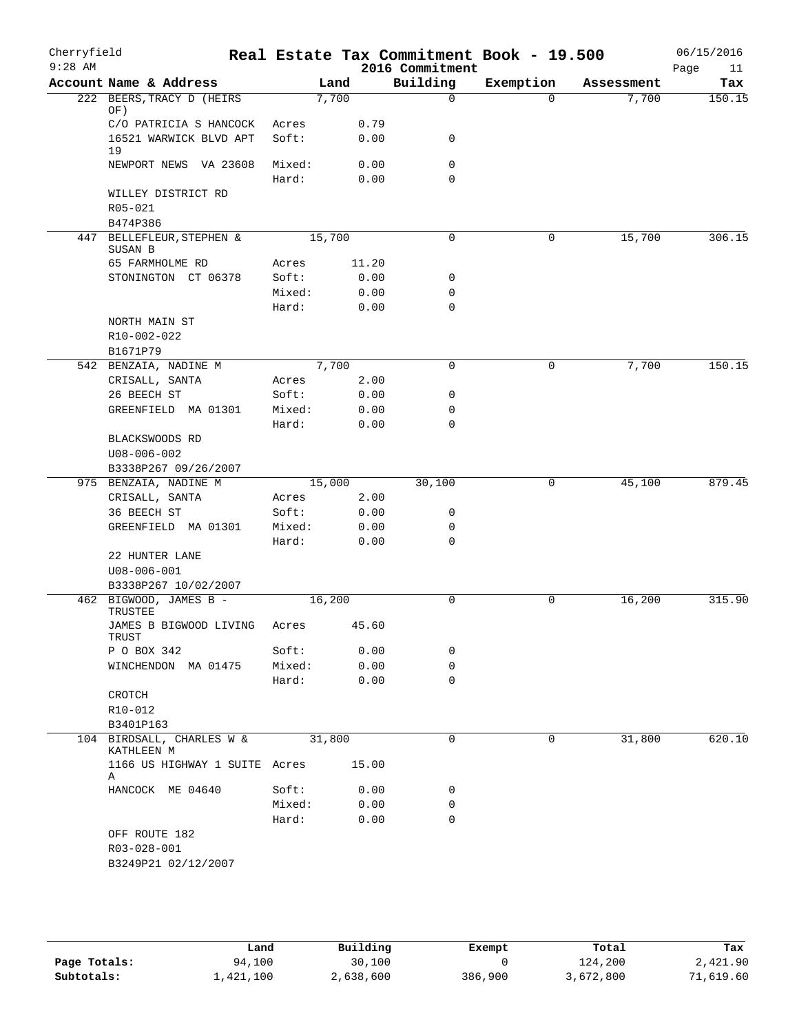| Cherryfield<br>$9:28$ AM |                                                |                 |        |              | 2016 Commitment            | Real Estate Tax Commitment Book - 19.500 |          |            | 06/15/2016<br>Page<br>11 |
|--------------------------|------------------------------------------------|-----------------|--------|--------------|----------------------------|------------------------------------------|----------|------------|--------------------------|
|                          | Account Name & Address                         |                 | Land   |              | Building                   | Exemption                                |          | Assessment | Tax                      |
|                          | 222 BEERS, TRACY D (HEIRS<br>OF)               |                 | 7,700  |              | $\Omega$                   |                                          | $\Omega$ | 7,700      | 150.15                   |
|                          | C/O PATRICIA S HANCOCK                         | Acres           |        | 0.79         |                            |                                          |          |            |                          |
|                          | 16521 WARWICK BLVD APT<br>19                   | Soft:           |        | 0.00         | 0                          |                                          |          |            |                          |
|                          | NEWPORT NEWS VA 23608                          | Mixed:<br>Hard: |        | 0.00<br>0.00 | $\mathbf 0$<br>$\mathbf 0$ |                                          |          |            |                          |
|                          | WILLEY DISTRICT RD<br>R05-021<br>B474P386      |                 |        |              |                            |                                          |          |            |                          |
|                          | 447 BELLEFLEUR, STEPHEN &<br>SUSAN B           |                 | 15,700 |              | $\mathbf 0$                |                                          | 0        | 15,700     | 306.15                   |
|                          | 65 FARMHOLME RD                                | Acres           |        | 11.20        |                            |                                          |          |            |                          |
|                          | STONINGTON CT 06378                            | Soft:           |        | 0.00         | 0                          |                                          |          |            |                          |
|                          |                                                | Mixed:          |        | 0.00         | $\mathbf 0$                |                                          |          |            |                          |
|                          |                                                | Hard:           |        | 0.00         | $\mathbf 0$                |                                          |          |            |                          |
|                          | NORTH MAIN ST<br>R10-002-022<br>B1671P79       |                 |        |              |                            |                                          |          |            |                          |
|                          | 542 BENZAIA, NADINE M                          |                 | 7,700  |              | $\mathbf 0$                |                                          | 0        | 7,700      | 150.15                   |
|                          | CRISALL, SANTA                                 | Acres           |        | 2.00         |                            |                                          |          |            |                          |
|                          | 26 BEECH ST                                    | Soft:           |        | 0.00         | $\mathbf 0$                |                                          |          |            |                          |
|                          | GREENFIELD MA 01301                            | Mixed:          |        | 0.00         | 0                          |                                          |          |            |                          |
|                          |                                                | Hard:           |        | 0.00         | $\mathbf 0$                |                                          |          |            |                          |
|                          | BLACKSWOODS RD<br>$U08 - 006 - 002$            |                 |        |              |                            |                                          |          |            |                          |
|                          | B3338P267 09/26/2007                           |                 |        |              |                            |                                          |          |            |                          |
|                          | 975 BENZAIA, NADINE M                          |                 | 15,000 |              | 30,100                     |                                          | 0        | 45,100     | 879.45                   |
|                          | CRISALL, SANTA                                 | Acres           |        | 2.00         |                            |                                          |          |            |                          |
|                          | 36 BEECH ST                                    | Soft:           |        | 0.00         | 0                          |                                          |          |            |                          |
|                          | GREENFIELD MA 01301                            | Mixed:          |        | 0.00         | 0                          |                                          |          |            |                          |
|                          |                                                | Hard:           |        | 0.00         | $\mathbf 0$                |                                          |          |            |                          |
|                          | 22 HUNTER LANE                                 |                 |        |              |                            |                                          |          |            |                          |
|                          | $U08 - 006 - 001$                              |                 |        |              |                            |                                          |          |            |                          |
|                          | B3338P267 10/02/2007<br>462 BIGWOOD, JAMES B - |                 | 16,200 |              | $\mathbf 0$                |                                          | 0        | 16,200     | 315.90                   |
|                          | TRUSTEE<br>JAMES B BIGWOOD LIVING              | Acres           |        | 45.60        |                            |                                          |          |            |                          |
|                          | TRUST                                          |                 |        |              |                            |                                          |          |            |                          |
|                          | P O BOX 342                                    | Soft:           |        | 0.00         | $\mathbf 0$                |                                          |          |            |                          |
|                          | WINCHENDON MA 01475                            | Mixed:          |        | 0.00         | $\mathbf 0$                |                                          |          |            |                          |
|                          |                                                | Hard:           |        | 0.00         | $\mathbf 0$                |                                          |          |            |                          |
|                          | CROTCH                                         |                 |        |              |                            |                                          |          |            |                          |
|                          | R10-012                                        |                 |        |              |                            |                                          |          |            |                          |
|                          | B3401P163<br>104 BIRDSALL, CHARLES W &         |                 | 31,800 |              | $\mathbf 0$                |                                          | 0        | 31,800     | 620.10                   |
|                          | KATHLEEN M                                     |                 |        |              |                            |                                          |          |            |                          |
|                          | 1166 US HIGHWAY 1 SUITE Acres<br>Α             |                 |        | 15.00        |                            |                                          |          |            |                          |
|                          | HANCOCK ME 04640                               | Soft:           |        | 0.00         | $\mathbf 0$                |                                          |          |            |                          |
|                          |                                                | Mixed:          |        | 0.00         | $\mathbf 0$                |                                          |          |            |                          |
|                          |                                                | Hard:           |        | 0.00         | $\mathbf 0$                |                                          |          |            |                          |
|                          | OFF ROUTE 182                                  |                 |        |              |                            |                                          |          |            |                          |
|                          | R03-028-001                                    |                 |        |              |                            |                                          |          |            |                          |
|                          | B3249P21 02/12/2007                            |                 |        |              |                            |                                          |          |            |                          |

|              | Land      | Building  | Exempt  | Total     | Tax       |
|--------------|-----------|-----------|---------|-----------|-----------|
| Page Totals: | 94,100    | 30,100    |         | 124,200   | 2,421.90  |
| Subtotals:   | 1,421,100 | 2,638,600 | 386,900 | 3,672,800 | 71,619.60 |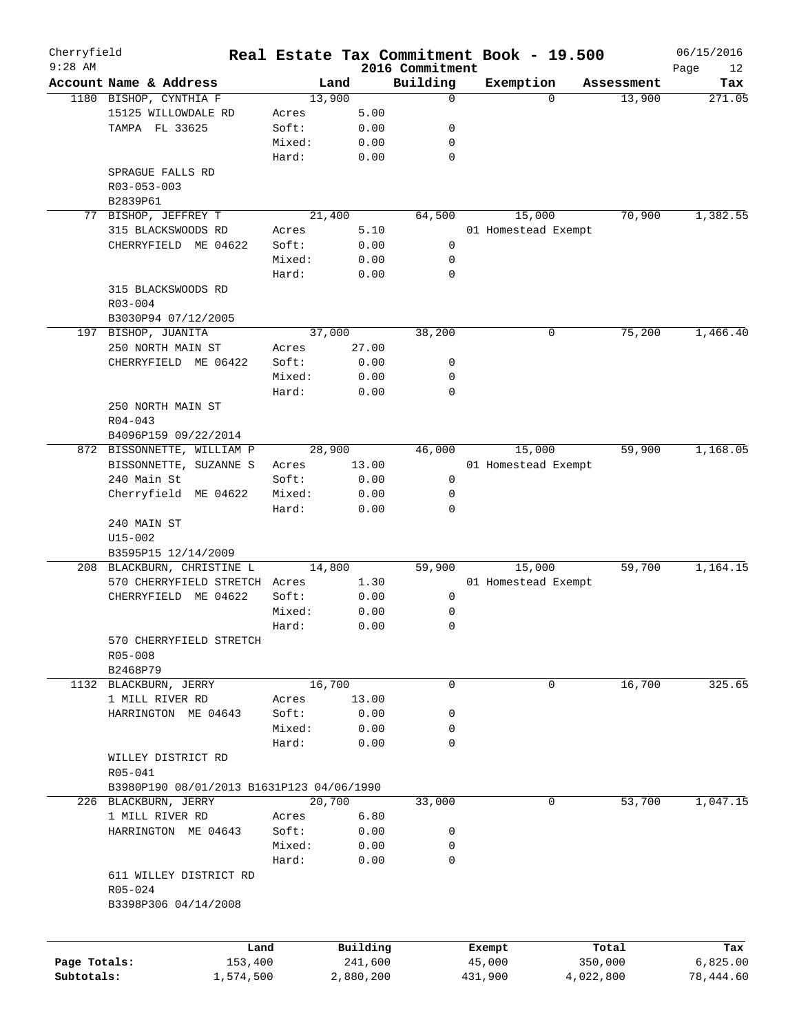| Cherryfield<br>$9:28$ AM |                                           |        |           |                             | Real Estate Tax Commitment Book - 19.500 |           |            | 06/15/2016        |
|--------------------------|-------------------------------------------|--------|-----------|-----------------------------|------------------------------------------|-----------|------------|-------------------|
|                          | Account Name & Address                    |        | Land      | 2016 Commitment<br>Building | Exemption                                |           | Assessment | Page<br>12<br>Tax |
|                          | 1180 BISHOP, CYNTHIA F                    | 13,900 |           | 0                           |                                          | $\Omega$  | 13,900     | 271.05            |
|                          | 15125 WILLOWDALE RD                       | Acres  | 5.00      |                             |                                          |           |            |                   |
|                          | TAMPA FL 33625                            | Soft:  | 0.00      | 0                           |                                          |           |            |                   |
|                          |                                           | Mixed: | 0.00      | 0                           |                                          |           |            |                   |
|                          |                                           | Hard:  | 0.00      | 0                           |                                          |           |            |                   |
|                          | SPRAGUE FALLS RD                          |        |           |                             |                                          |           |            |                   |
|                          |                                           |        |           |                             |                                          |           |            |                   |
|                          | R03-053-003                               |        |           |                             |                                          |           |            |                   |
|                          | B2839P61                                  |        |           |                             |                                          |           |            |                   |
| 77                       | BISHOP, JEFFREY T                         | 21,400 |           | 64,500                      | 15,000                                   |           | 70,900     | 1,382.55          |
|                          | 315 BLACKSWOODS RD                        | Acres  | 5.10      |                             | 01 Homestead Exempt                      |           |            |                   |
|                          | CHERRYFIELD ME 04622                      | Soft:  | 0.00      | 0                           |                                          |           |            |                   |
|                          |                                           | Mixed: | 0.00      | 0                           |                                          |           |            |                   |
|                          |                                           | Hard:  | 0.00      | $\mathbf 0$                 |                                          |           |            |                   |
|                          | 315 BLACKSWOODS RD                        |        |           |                             |                                          |           |            |                   |
|                          | R03-004                                   |        |           |                             |                                          |           |            |                   |
|                          | B3030P94 07/12/2005                       |        |           |                             |                                          |           |            |                   |
|                          | 197 BISHOP, JUANITA                       | 37,000 |           | 38,200                      |                                          | 0         | 75,200     | 1,466.40          |
|                          | 250 NORTH MAIN ST                         | Acres  | 27.00     |                             |                                          |           |            |                   |
|                          | CHERRYFIELD ME 06422                      | Soft:  | 0.00      | 0                           |                                          |           |            |                   |
|                          |                                           | Mixed: | 0.00      | 0                           |                                          |           |            |                   |
|                          |                                           | Hard:  | 0.00      | 0                           |                                          |           |            |                   |
|                          | 250 NORTH MAIN ST                         |        |           |                             |                                          |           |            |                   |
|                          |                                           |        |           |                             |                                          |           |            |                   |
|                          | $R04 - 043$                               |        |           |                             |                                          |           |            |                   |
|                          | B4096P159 09/22/2014                      |        |           |                             |                                          |           |            |                   |
|                          | 872 BISSONNETTE, WILLIAM P                | 28,900 |           | 46,000                      | 15,000                                   |           | 59,900     | 1,168.05          |
|                          | BISSONNETTE, SUZANNE S                    | Acres  | 13.00     |                             | 01 Homestead Exempt                      |           |            |                   |
|                          | 240 Main St                               | Soft:  | 0.00      | 0                           |                                          |           |            |                   |
|                          | Cherryfield ME 04622                      | Mixed: | 0.00      | 0                           |                                          |           |            |                   |
|                          |                                           | Hard:  | 0.00      | 0                           |                                          |           |            |                   |
|                          | 240 MAIN ST                               |        |           |                             |                                          |           |            |                   |
|                          | $U15 - 002$                               |        |           |                             |                                          |           |            |                   |
|                          | B3595P15 12/14/2009                       |        |           |                             |                                          |           |            |                   |
|                          | 208 BLACKBURN, CHRISTINE L                | 14,800 |           | 59,900                      | 15,000                                   |           | 59,700     | 1,164.15          |
|                          | 570 CHERRYFIELD STRETCH Acres             |        | 1.30      |                             | 01 Homestead Exempt                      |           |            |                   |
|                          | CHERRYFIELD ME 04622                      | Soft:  | 0.00      | 0                           |                                          |           |            |                   |
|                          |                                           | Mixed: | 0.00      | 0                           |                                          |           |            |                   |
|                          |                                           | Hard:  | 0.00      | 0                           |                                          |           |            |                   |
|                          |                                           |        |           |                             |                                          |           |            |                   |
|                          | 570 CHERRYFIELD STRETCH                   |        |           |                             |                                          |           |            |                   |
|                          | $R05 - 008$                               |        |           |                             |                                          |           |            |                   |
|                          | B2468P79                                  |        |           |                             |                                          |           |            |                   |
|                          | 1132 BLACKBURN, JERRY                     | 16,700 |           | 0                           |                                          | 0         | 16,700     | 325.65            |
|                          | 1 MILL RIVER RD                           | Acres  | 13.00     |                             |                                          |           |            |                   |
|                          | HARRINGTON ME 04643                       | Soft:  | 0.00      | 0                           |                                          |           |            |                   |
|                          |                                           | Mixed: | 0.00      | 0                           |                                          |           |            |                   |
|                          |                                           | Hard:  | 0.00      | 0                           |                                          |           |            |                   |
|                          | WILLEY DISTRICT RD                        |        |           |                             |                                          |           |            |                   |
|                          | R05-041                                   |        |           |                             |                                          |           |            |                   |
|                          | B3980P190 08/01/2013 B1631P123 04/06/1990 |        |           |                             |                                          |           |            |                   |
|                          | 226 BLACKBURN, JERRY                      | 20,700 |           | 33,000                      |                                          | 0         | 53,700     | 1,047.15          |
|                          | 1 MILL RIVER RD                           | Acres  | 6.80      |                             |                                          |           |            |                   |
|                          | HARRINGTON ME 04643                       | Soft:  | 0.00      | 0                           |                                          |           |            |                   |
|                          |                                           |        |           |                             |                                          |           |            |                   |
|                          |                                           | Mixed: | 0.00      | 0                           |                                          |           |            |                   |
|                          |                                           | Hard:  | 0.00      | $\mathbf 0$                 |                                          |           |            |                   |
|                          | 611 WILLEY DISTRICT RD                    |        |           |                             |                                          |           |            |                   |
|                          | R05-024                                   |        |           |                             |                                          |           |            |                   |
|                          | B3398P306 04/14/2008                      |        |           |                             |                                          |           |            |                   |
|                          |                                           |        |           |                             |                                          |           |            |                   |
|                          |                                           |        |           |                             |                                          |           |            |                   |
|                          |                                           | Land   | Building  |                             | Exempt                                   |           | Total      | Tax               |
| Page Totals:             | 153,400                                   |        | 241,600   |                             | 45,000                                   |           | 350,000    | 6,825.00          |
| Subtotals:               | 1,574,500                                 |        | 2,880,200 |                             | 431,900                                  | 4,022,800 |            | 78,444.60         |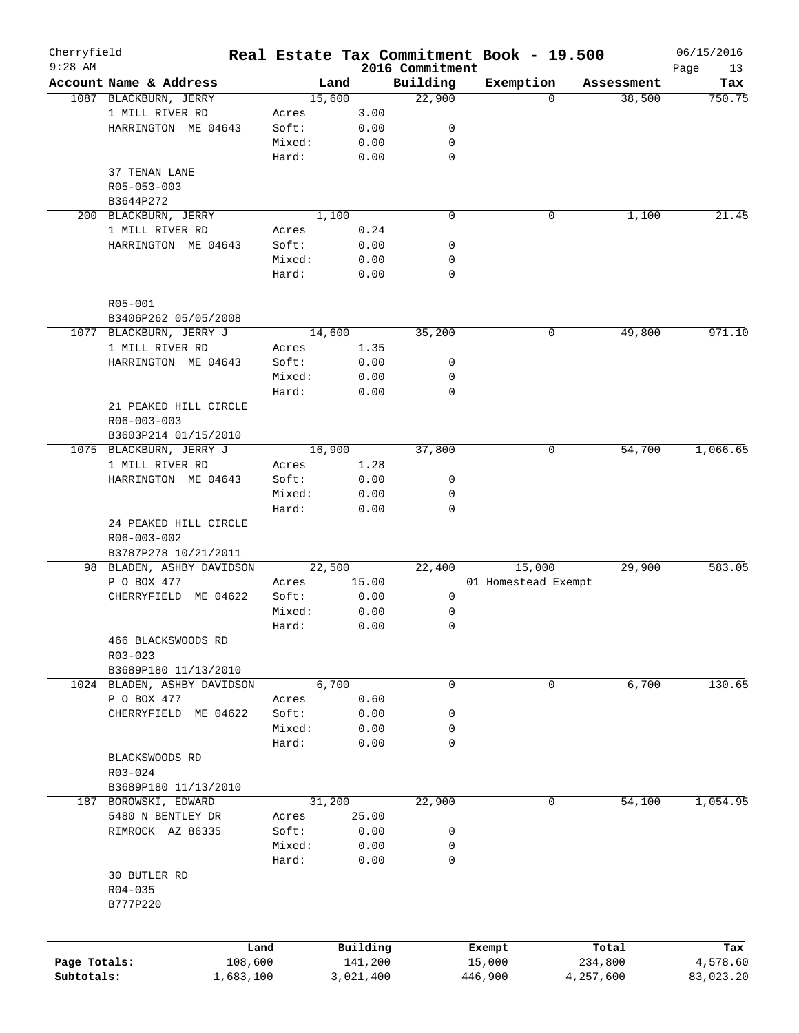| Cherryfield<br>$9:28$ AM |                             |        |           | 2016 Commitment | Real Estate Tax Commitment Book - 19.500 |            | 06/15/2016<br>Page<br>13 |
|--------------------------|-----------------------------|--------|-----------|-----------------|------------------------------------------|------------|--------------------------|
|                          | Account Name & Address      | Land   |           | Building        | Exemption                                | Assessment | Tax                      |
|                          | 1087 BLACKBURN, JERRY       | 15,600 |           | 22,900          | $\Omega$                                 | 38,500     | 750.75                   |
|                          | 1 MILL RIVER RD             | Acres  | 3.00      |                 |                                          |            |                          |
|                          | HARRINGTON ME 04643         | Soft:  | 0.00      | 0               |                                          |            |                          |
|                          |                             | Mixed: | 0.00      | 0               |                                          |            |                          |
|                          |                             | Hard:  | 0.00      | 0               |                                          |            |                          |
|                          | 37 TENAN LANE               |        |           |                 |                                          |            |                          |
|                          | R05-053-003                 |        |           |                 |                                          |            |                          |
|                          | B3644P272                   |        |           |                 |                                          |            |                          |
|                          | 200 BLACKBURN, JERRY        | 1,100  |           | $\mathbf 0$     | 0                                        | 1,100      | 21.45                    |
|                          | 1 MILL RIVER RD             | Acres  | 0.24      |                 |                                          |            |                          |
|                          | HARRINGTON ME 04643         | Soft:  | 0.00      | 0               |                                          |            |                          |
|                          |                             | Mixed: | 0.00      | 0               |                                          |            |                          |
|                          |                             |        |           | 0               |                                          |            |                          |
|                          |                             | Hard:  | 0.00      |                 |                                          |            |                          |
|                          | R05-001                     |        |           |                 |                                          |            |                          |
|                          |                             |        |           |                 |                                          |            |                          |
|                          | B3406P262 05/05/2008        |        |           |                 |                                          |            |                          |
|                          | 1077 BLACKBURN, JERRY J     | 14,600 |           | 35,200          | 0                                        | 49,800     | 971.10                   |
|                          | 1 MILL RIVER RD             | Acres  | 1.35      |                 |                                          |            |                          |
|                          | HARRINGTON ME 04643         | Soft:  | 0.00      | 0               |                                          |            |                          |
|                          |                             | Mixed: | 0.00      | 0               |                                          |            |                          |
|                          |                             | Hard:  | 0.00      | 0               |                                          |            |                          |
|                          | 21 PEAKED HILL CIRCLE       |        |           |                 |                                          |            |                          |
|                          | $R06 - 003 - 003$           |        |           |                 |                                          |            |                          |
|                          | B3603P214 01/15/2010        |        |           |                 |                                          |            |                          |
|                          | 1075 BLACKBURN, JERRY J     | 16,900 |           | 37,800          | 0                                        | 54,700     | 1,066.65                 |
|                          | 1 MILL RIVER RD             | Acres  | 1.28      |                 |                                          |            |                          |
|                          | HARRINGTON ME 04643         | Soft:  | 0.00      | 0               |                                          |            |                          |
|                          |                             | Mixed: | 0.00      | 0               |                                          |            |                          |
|                          |                             | Hard:  | 0.00      | 0               |                                          |            |                          |
|                          | 24 PEAKED HILL CIRCLE       |        |           |                 |                                          |            |                          |
|                          | R06-003-002                 |        |           |                 |                                          |            |                          |
|                          | B3787P278 10/21/2011        |        |           |                 |                                          |            |                          |
|                          | 98 BLADEN, ASHBY DAVIDSON   | 22,500 |           | 22,400          | 15,000                                   | 29,900     | 583.05                   |
|                          | P O BOX 477                 | Acres  | 15.00     |                 | 01 Homestead Exempt                      |            |                          |
|                          | ME 04622<br>CHERRYFIELD     | Soft:  | 0.00      | 0               |                                          |            |                          |
|                          |                             | Mixed: | 0.00      | 0               |                                          |            |                          |
|                          |                             | Hard:  | 0.00      | 0               |                                          |            |                          |
|                          | 466 BLACKSWOODS RD          |        |           |                 |                                          |            |                          |
|                          | $R03 - 023$                 |        |           |                 |                                          |            |                          |
|                          | B3689P180 11/13/2010        |        |           |                 |                                          |            |                          |
|                          | 1024 BLADEN, ASHBY DAVIDSON | 6,700  |           | 0               | 0                                        | 6,700      | 130.65                   |
|                          | P O BOX 477                 | Acres  | 0.60      |                 |                                          |            |                          |
|                          | CHERRYFIELD<br>ME 04622     | Soft:  | 0.00      | 0               |                                          |            |                          |
|                          |                             | Mixed: | 0.00      | 0               |                                          |            |                          |
|                          |                             | Hard:  | 0.00      | 0               |                                          |            |                          |
|                          | BLACKSWOODS RD              |        |           |                 |                                          |            |                          |
|                          | R03-024                     |        |           |                 |                                          |            |                          |
|                          | B3689P180 11/13/2010        |        |           |                 |                                          |            |                          |
| 187                      | BOROWSKI, EDWARD            | 31,200 |           | 22,900          | 0                                        | 54,100     | 1,054.95                 |
|                          | 5480 N BENTLEY DR           | Acres  | 25.00     |                 |                                          |            |                          |
|                          | RIMROCK AZ 86335            | Soft:  | 0.00      | 0               |                                          |            |                          |
|                          |                             | Mixed: | 0.00      | 0               |                                          |            |                          |
|                          |                             | Hard:  | 0.00      | $\mathbf 0$     |                                          |            |                          |
|                          | 30 BUTLER RD                |        |           |                 |                                          |            |                          |
|                          |                             |        |           |                 |                                          |            |                          |
|                          | R04-035                     |        |           |                 |                                          |            |                          |
|                          | B777P220                    |        |           |                 |                                          |            |                          |
|                          |                             |        |           |                 |                                          |            |                          |
|                          |                             | Land   | Building  |                 |                                          |            | Tax                      |
| Page Totals:             | 108,600                     |        | 141,200   |                 | Exempt                                   | Total      |                          |
| Subtotals:               |                             |        |           |                 | 15,000                                   | 234,800    | 4,578.60                 |
|                          | 1,683,100                   |        | 3,021,400 |                 | 446,900                                  | 4,257,600  | 83,023.20                |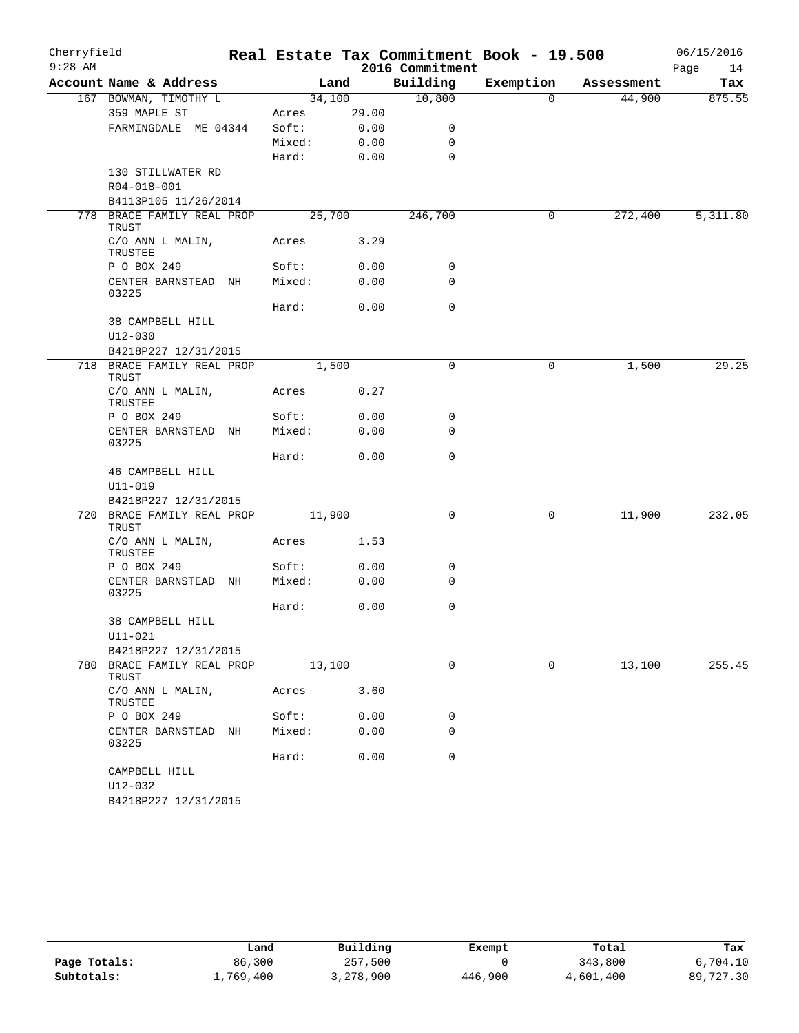| Cherryfield |                                            |        |       |                 | Real Estate Tax Commitment Book - 19.500 |            | 06/15/2016 |
|-------------|--------------------------------------------|--------|-------|-----------------|------------------------------------------|------------|------------|
| $9:28$ AM   |                                            |        |       | 2016 Commitment |                                          |            | Page<br>14 |
|             | Account Name & Address                     |        | Land  | Building        | Exemption                                | Assessment | Tax        |
|             | 167 BOWMAN, TIMOTHY L                      | 34,100 |       | 10,800          | $\overline{0}$                           | 44,900     | 875.55     |
|             | 359 MAPLE ST                               | Acres  | 29.00 |                 |                                          |            |            |
|             | FARMINGDALE ME 04344                       | Soft:  | 0.00  | 0               |                                          |            |            |
|             |                                            | Mixed: | 0.00  | 0               |                                          |            |            |
|             |                                            | Hard:  | 0.00  | $\mathbf 0$     |                                          |            |            |
|             | 130 STILLWATER RD                          |        |       |                 |                                          |            |            |
|             | R04-018-001<br>B4113P105 11/26/2014        |        |       |                 |                                          |            |            |
|             | 778 BRACE FAMILY REAL PROP                 | 25,700 |       | 246,700         | 0                                        | 272,400    | 5,311.80   |
|             | TRUST                                      |        |       |                 |                                          |            |            |
|             | C/O ANN L MALIN,<br>TRUSTEE                | Acres  | 3.29  |                 |                                          |            |            |
|             | P O BOX 249                                | Soft:  | 0.00  | 0               |                                          |            |            |
|             | CENTER BARNSTEAD NH<br>03225               | Mixed: | 0.00  | $\mathbf 0$     |                                          |            |            |
|             |                                            | Hard:  | 0.00  | $\mathbf 0$     |                                          |            |            |
|             | 38 CAMPBELL HILL                           |        |       |                 |                                          |            |            |
|             | $U12 - 030$                                |        |       |                 |                                          |            |            |
|             | B4218P227 12/31/2015                       |        |       |                 |                                          |            |            |
|             | 718 BRACE FAMILY REAL PROP<br>TRUST        | 1,500  |       | 0               | 0                                        | 1,500      | 29.25      |
|             | C/O ANN L MALIN,<br>TRUSTEE                | Acres  | 0.27  |                 |                                          |            |            |
|             | P O BOX 249                                | Soft:  | 0.00  | 0               |                                          |            |            |
|             | CENTER BARNSTEAD NH<br>03225               | Mixed: | 0.00  | 0               |                                          |            |            |
|             |                                            | Hard:  | 0.00  | 0               |                                          |            |            |
|             | 46 CAMPBELL HILL                           |        |       |                 |                                          |            |            |
|             | U11-019                                    |        |       |                 |                                          |            |            |
|             | B4218P227 12/31/2015                       |        |       |                 |                                          |            |            |
|             | 720 BRACE FAMILY REAL PROP<br><b>TRUST</b> | 11,900 |       | 0               | 0                                        | 11,900     | 232.05     |
|             | C/O ANN L MALIN,<br>TRUSTEE                | Acres  | 1.53  |                 |                                          |            |            |
|             | P O BOX 249                                | Soft:  | 0.00  | 0               |                                          |            |            |
|             | CENTER BARNSTEAD NH<br>03225               | Mixed: | 0.00  | 0               |                                          |            |            |
|             |                                            | Hard:  | 0.00  | 0               |                                          |            |            |
|             | 38 CAMPBELL HILL<br>U11-021                |        |       |                 |                                          |            |            |
|             | B4218P227 12/31/2015                       |        |       |                 |                                          |            |            |
|             | 780 BRACE FAMILY REAL PROP<br>TRUST        | 13,100 |       | 0               | $\mathbf 0$                              | 13,100     | 255.45     |
|             | C/O ANN L MALIN,<br>TRUSTEE                | Acres  | 3.60  |                 |                                          |            |            |
|             | P O BOX 249                                | Soft:  | 0.00  | 0               |                                          |            |            |
|             | CENTER BARNSTEAD NH<br>03225               | Mixed: | 0.00  | 0               |                                          |            |            |
|             |                                            | Hard:  | 0.00  | $\mathbf 0$     |                                          |            |            |
|             | CAMPBELL HILL                              |        |       |                 |                                          |            |            |
|             | U12-032                                    |        |       |                 |                                          |            |            |
|             | B4218P227 12/31/2015                       |        |       |                 |                                          |            |            |

|              | Land      | Building  | Exempt  | Total     | Tax       |
|--------------|-----------|-----------|---------|-----------|-----------|
| Page Totals: | 86,300    | 257,500   |         | 343,800   | 6,704.10  |
| Subtotals:   | 1,769,400 | 3,278,900 | 446,900 | 4,601,400 | 89,727.30 |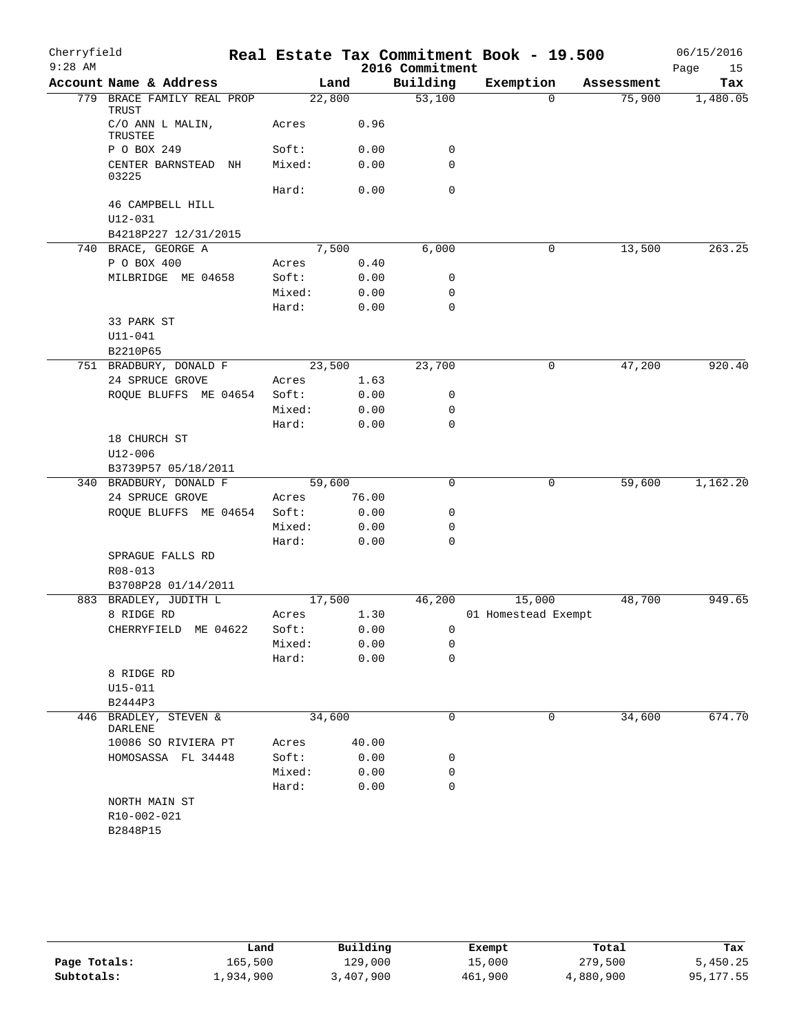| Cherryfield |                                     |                 |       |      | Real Estate Tax Commitment Book - 19.500 |                     |            | 06/15/2016 |          |
|-------------|-------------------------------------|-----------------|-------|------|------------------------------------------|---------------------|------------|------------|----------|
| $9:28$ AM   |                                     |                 |       |      | 2016 Commitment                          |                     |            | Page       | 15       |
|             | Account Name & Address              |                 | Land  |      | Building                                 | Exemption           | Assessment |            | Tax      |
|             | 779 BRACE FAMILY REAL PROP<br>TRUST | 22,800          |       |      | 53,100                                   | $\Omega$            | 75,900     |            | 1,480.05 |
|             | C/O ANN L MALIN,<br>TRUSTEE         | Acres           |       | 0.96 |                                          |                     |            |            |          |
|             | P O BOX 249                         | Soft:           |       | 0.00 | 0                                        |                     |            |            |          |
|             | CENTER BARNSTEAD NH<br>03225        | Mixed:          |       | 0.00 | 0                                        |                     |            |            |          |
|             |                                     | Hard:           |       | 0.00 | $\mathbf 0$                              |                     |            |            |          |
|             | 46 CAMPBELL HILL<br>U12-031         |                 |       |      |                                          |                     |            |            |          |
|             | B4218P227 12/31/2015                |                 |       |      |                                          |                     |            |            |          |
|             | 740 BRACE, GEORGE A                 | 7,500           |       |      | 6,000                                    | 0                   | 13,500     |            | 263.25   |
|             | P O BOX 400                         | Acres           |       | 0.40 |                                          |                     |            |            |          |
|             | MILBRIDGE ME 04658                  | Soft:           |       | 0.00 | 0                                        |                     |            |            |          |
|             |                                     | Mixed:          |       | 0.00 | 0                                        |                     |            |            |          |
|             |                                     | Hard:           |       | 0.00 | 0                                        |                     |            |            |          |
|             | 33 PARK ST                          |                 |       |      |                                          |                     |            |            |          |
|             | $U11 - 041$                         |                 |       |      |                                          |                     |            |            |          |
|             | B2210P65                            |                 |       |      |                                          |                     |            |            |          |
|             | 751 BRADBURY, DONALD F              | 23,500          |       |      | 23,700                                   | 0                   | 47,200     |            | 920.40   |
|             | 24 SPRUCE GROVE                     | Acres           | 1.63  |      |                                          |                     |            |            |          |
|             | ROQUE BLUFFS ME 04654               | Soft:           |       | 0.00 | 0                                        |                     |            |            |          |
|             |                                     | Mixed:          | 0.00  |      | $\mathbf 0$                              |                     |            |            |          |
|             |                                     | Hard:           |       | 0.00 | 0                                        |                     |            |            |          |
|             | 18 CHURCH ST                        |                 |       |      |                                          |                     |            |            |          |
|             | U12-006                             |                 |       |      |                                          |                     |            |            |          |
|             | B3739P57 05/18/2011                 |                 |       |      |                                          |                     |            |            |          |
|             | 340 BRADBURY, DONALD F              | 59,600          |       |      | $\mathbf 0$                              | 0                   | 59,600     |            | 1,162.20 |
|             | 24 SPRUCE GROVE                     | Acres           | 76.00 |      |                                          |                     |            |            |          |
|             | ROQUE BLUFFS ME 04654               | Soft:           | 0.00  |      | 0                                        |                     |            |            |          |
|             |                                     | Mixed:<br>Hard: |       | 0.00 | 0<br>0                                   |                     |            |            |          |
|             | SPRAGUE FALLS RD                    |                 |       | 0.00 |                                          |                     |            |            |          |
|             | R08-013                             |                 |       |      |                                          |                     |            |            |          |
|             | B3708P28 01/14/2011                 |                 |       |      |                                          |                     |            |            |          |
|             | 883 BRADLEY, JUDITH L               | 17,500          |       |      | 46,200                                   | 15,000              | 48,700     |            | 949.65   |
|             | 8 RIDGE RD                          | Acres           |       | 1.30 |                                          | 01 Homestead Exempt |            |            |          |
|             | CHERRYFIELD ME 04622                | Soft:           |       | 0.00 | $\mathbf{0}$                             |                     |            |            |          |
|             |                                     | Mixed:          |       | 0.00 | 0                                        |                     |            |            |          |
|             |                                     | Hard:           |       | 0.00 | 0                                        |                     |            |            |          |
|             | 8 RIDGE RD                          |                 |       |      |                                          |                     |            |            |          |
|             | U15-011                             |                 |       |      |                                          |                     |            |            |          |
|             | B2444P3                             |                 |       |      |                                          |                     |            |            |          |
| 446         | BRADLEY, STEVEN &<br>DARLENE        | 34,600          |       |      | 0                                        | 0                   | 34,600     |            | 674.70   |
|             | 10086 SO RIVIERA PT                 | Acres           | 40.00 |      |                                          |                     |            |            |          |
|             | HOMOSASSA FL 34448                  | Soft:           |       | 0.00 | 0                                        |                     |            |            |          |
|             |                                     | Mixed:          |       | 0.00 | 0                                        |                     |            |            |          |
|             |                                     | Hard:           |       | 0.00 | 0                                        |                     |            |            |          |
|             | NORTH MAIN ST                       |                 |       |      |                                          |                     |            |            |          |
|             | R10-002-021                         |                 |       |      |                                          |                     |            |            |          |
|             | B2848P15                            |                 |       |      |                                          |                     |            |            |          |
|             |                                     |                 |       |      |                                          |                     |            |            |          |

|              | Land      | Building  | Exempt  | Total     | Tax       |
|--------------|-----------|-----------|---------|-----------|-----------|
| Page Totals: | 165,500   | 129,000   | 15,000  | 279,500   | 5,450.25  |
| Subtotals:   | ⊥,934,900 | 3,407,900 | 461,900 | 4,880,900 | 95,177.55 |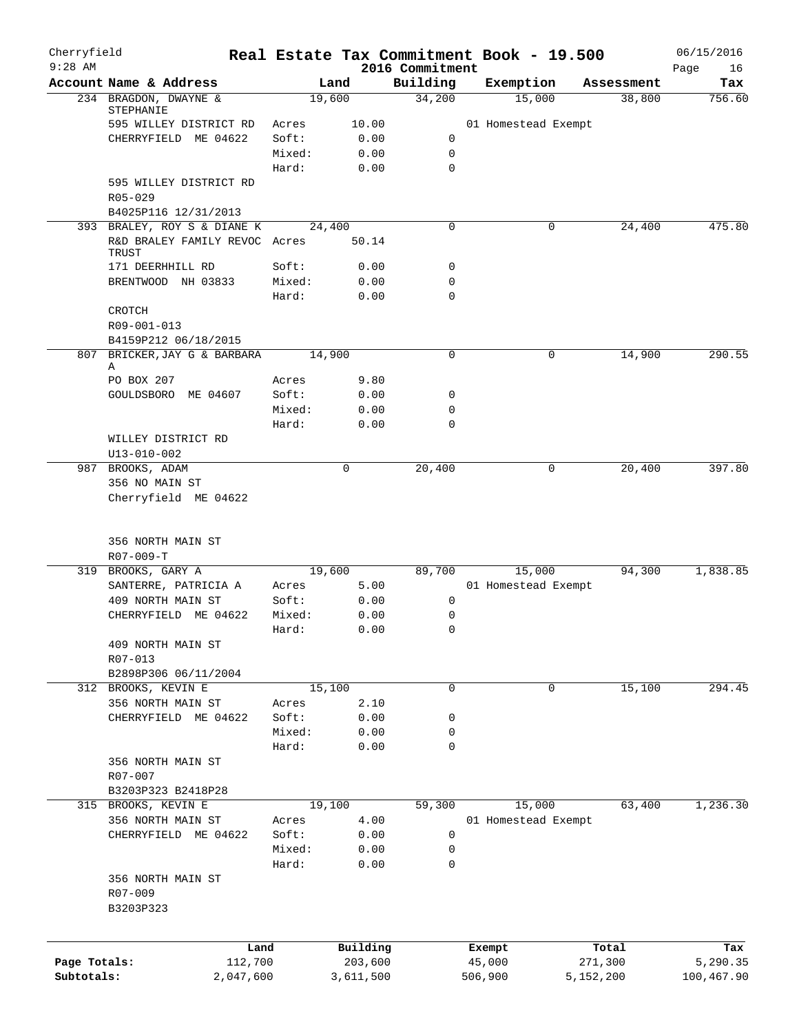| Cherryfield  |                                        |        |                     |                             | Real Estate Tax Commitment Book - 19.500 |                  | 06/15/2016        |
|--------------|----------------------------------------|--------|---------------------|-----------------------------|------------------------------------------|------------------|-------------------|
| $9:28$ AM    | Account Name & Address                 |        | Land                | 2016 Commitment<br>Building | Exemption                                | Assessment       | Page<br>16<br>Tax |
|              | 234 BRAGDON, DWAYNE &                  |        | 19,600              | 34,200                      | 15,000                                   | 38,800           | 756.60            |
|              | STEPHANIE                              |        |                     |                             |                                          |                  |                   |
|              | 595 WILLEY DISTRICT RD                 | Acres  | 10.00               |                             | 01 Homestead Exempt                      |                  |                   |
|              | CHERRYFIELD ME 04622                   | Soft:  | 0.00                | 0                           |                                          |                  |                   |
|              |                                        | Mixed: | 0.00                | $\mathbf 0$                 |                                          |                  |                   |
|              |                                        | Hard:  | 0.00                | $\mathbf 0$                 |                                          |                  |                   |
|              | 595 WILLEY DISTRICT RD<br>$R05 - 029$  |        |                     |                             |                                          |                  |                   |
|              | B4025P116 12/31/2013                   |        |                     |                             |                                          |                  |                   |
|              | 393 BRALEY, ROY S & DIANE K            |        | 24,400              | 0                           | 0                                        | 24,400           | 475.80            |
|              | R&D BRALEY FAMILY REVOC Acres<br>TRUST |        | 50.14               |                             |                                          |                  |                   |
|              | 171 DEERHHILL RD                       | Soft:  | 0.00                | $\mathbf 0$                 |                                          |                  |                   |
|              | BRENTWOOD NH 03833                     | Mixed: | 0.00                | $\mathbf 0$                 |                                          |                  |                   |
|              |                                        | Hard:  | 0.00                | $\mathbf 0$                 |                                          |                  |                   |
|              | CROTCH                                 |        |                     |                             |                                          |                  |                   |
|              | R09-001-013                            |        |                     |                             |                                          |                  |                   |
|              | B4159P212 06/18/2015                   |        |                     |                             |                                          |                  |                   |
| 807          | BRICKER, JAY G & BARBARA               |        | 14,900              | 0                           | 0                                        | 14,900           | 290.55            |
|              | Α                                      |        |                     |                             |                                          |                  |                   |
|              | PO BOX 207                             | Acres  | 9.80                |                             |                                          |                  |                   |
|              | GOULDSBORO ME 04607                    | Soft:  | 0.00                | 0                           |                                          |                  |                   |
|              |                                        | Mixed: | 0.00                | $\mathbf 0$                 |                                          |                  |                   |
|              |                                        | Hard:  | 0.00                | $\mathbf 0$                 |                                          |                  |                   |
|              | WILLEY DISTRICT RD                     |        |                     |                             |                                          |                  |                   |
|              | U13-010-002                            |        |                     |                             |                                          |                  |                   |
|              | 987 BROOKS, ADAM                       |        | 0                   | 20,400                      | 0                                        | 20,400           | 397.80            |
|              | 356 NO MAIN ST                         |        |                     |                             |                                          |                  |                   |
|              | Cherryfield ME 04622                   |        |                     |                             |                                          |                  |                   |
|              | 356 NORTH MAIN ST                      |        |                     |                             |                                          |                  |                   |
|              | $R07 - 009 - T$                        |        |                     |                             |                                          |                  |                   |
|              | 319 BROOKS, GARY A                     |        | 19,600              | 89,700                      | 15,000                                   | 94,300           | 1,838.85          |
|              | SANTERRE, PATRICIA A                   | Acres  | 5.00                |                             | 01 Homestead Exempt                      |                  |                   |
|              | 409 NORTH MAIN ST                      | Soft:  | 0.00                | 0                           |                                          |                  |                   |
|              | CHERRYFIELD ME 04622                   | Mixed: | 0.00                | $\mathbf 0$                 |                                          |                  |                   |
|              |                                        | Hard:  | 0.00                | $\mathbf 0$                 |                                          |                  |                   |
|              | 409 NORTH MAIN ST                      |        |                     |                             |                                          |                  |                   |
|              | R07-013                                |        |                     |                             |                                          |                  |                   |
|              | B2898P306 06/11/2004                   |        |                     |                             |                                          |                  |                   |
|              | 312 BROOKS, KEVIN E                    |        | 15,100              | 0                           | 0                                        | 15,100           | 294.45            |
|              | 356 NORTH MAIN ST                      | Acres  | 2.10                |                             |                                          |                  |                   |
|              | CHERRYFIELD ME 04622                   | Soft:  | 0.00                | 0                           |                                          |                  |                   |
|              |                                        | Mixed: | 0.00                | 0                           |                                          |                  |                   |
|              |                                        | Hard:  | 0.00                | 0                           |                                          |                  |                   |
|              | 356 NORTH MAIN ST                      |        |                     |                             |                                          |                  |                   |
|              | R07-007                                |        |                     |                             |                                          |                  |                   |
|              | B3203P323 B2418P28                     |        |                     |                             |                                          |                  |                   |
|              | 315 BROOKS, KEVIN E                    |        | 19,100              | 59,300                      | 15,000                                   | 63,400           | 1,236.30          |
|              | 356 NORTH MAIN ST                      | Acres  | 4.00                |                             | 01 Homestead Exempt                      |                  |                   |
|              | CHERRYFIELD ME 04622                   | Soft:  | 0.00                | 0                           |                                          |                  |                   |
|              |                                        | Mixed: | 0.00                | 0                           |                                          |                  |                   |
|              |                                        | Hard:  | 0.00                | $\mathbf 0$                 |                                          |                  |                   |
|              | 356 NORTH MAIN ST                      |        |                     |                             |                                          |                  |                   |
|              | R07-009                                |        |                     |                             |                                          |                  |                   |
|              | B3203P323                              |        |                     |                             |                                          |                  |                   |
|              |                                        |        |                     |                             |                                          |                  |                   |
| Page Totals: | Land<br>112,700                        |        | Building<br>203,600 |                             | Exempt<br>45,000                         | Total<br>271,300 | Tax<br>5,290.35   |
| Subtotals:   | 2,047,600                              |        | 3,611,500           |                             | 506,900                                  | 5,152,200        | 100,467.90        |
|              |                                        |        |                     |                             |                                          |                  |                   |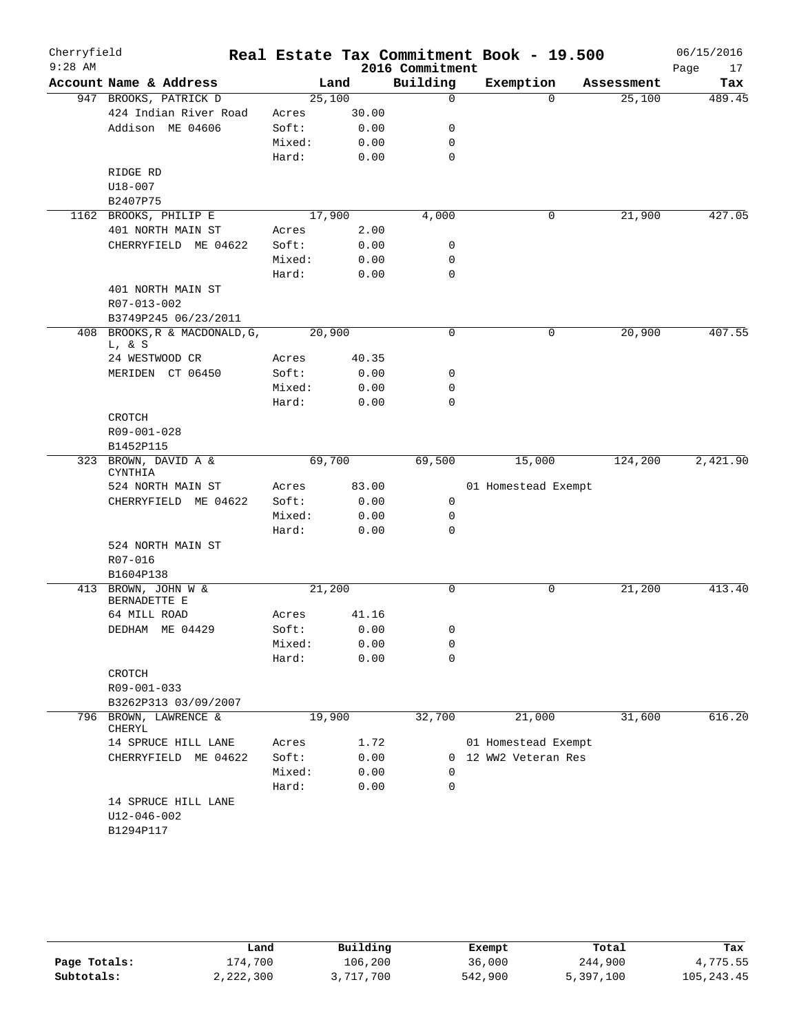| $9:28$ AM<br>2016 Commitment<br>Building<br>Account Name & Address<br>Exemption<br>Land<br>Assessment<br>947 BROOKS, PATRICK D<br>25,100<br>25,100<br>0<br>$\Omega$<br>424 Indian River Road<br>30.00<br>Acres<br>Addison ME 04606<br>Soft:<br>0.00<br>0<br>Mixed:<br>0.00<br>$\mathbf 0$<br>0.00<br>$\mathbf 0$<br>Hard:<br>RIDGE RD<br>$U18 - 007$<br>B2407P75<br>17,900<br>4,000<br>21,900<br>1162 BROOKS, PHILIP E<br>0<br>401 NORTH MAIN ST<br>2.00<br>Acres<br>Soft:<br>0.00<br>0<br>CHERRYFIELD ME 04622<br>Mixed:<br>0.00<br>0<br>$\mathbf 0$<br>Hard:<br>0.00<br>401 NORTH MAIN ST<br>R07-013-002<br>B3749P245 06/23/2011<br>20,900<br>408 BROOKS, R & MACDONALD, G,<br>20,900<br>$\mathbf 0$<br>0<br>L, & S<br>24 WESTWOOD CR<br>40.35<br>Acres<br>MERIDEN CT 06450<br>Soft:<br>0.00<br>0<br>$\mathbf 0$<br>Mixed:<br>0.00<br>Hard:<br>0.00<br>$\mathbf 0$<br>CROTCH<br>R09-001-028<br>B1452P115<br>69,700<br>69,500<br>323 BROWN, DAVID A &<br>15,000<br>124,200 | 17<br>Page<br>Tax<br>489.45<br>427.05<br>407.55 |
|-----------------------------------------------------------------------------------------------------------------------------------------------------------------------------------------------------------------------------------------------------------------------------------------------------------------------------------------------------------------------------------------------------------------------------------------------------------------------------------------------------------------------------------------------------------------------------------------------------------------------------------------------------------------------------------------------------------------------------------------------------------------------------------------------------------------------------------------------------------------------------------------------------------------------------------------------------------------------------|-------------------------------------------------|
|                                                                                                                                                                                                                                                                                                                                                                                                                                                                                                                                                                                                                                                                                                                                                                                                                                                                                                                                                                             |                                                 |
|                                                                                                                                                                                                                                                                                                                                                                                                                                                                                                                                                                                                                                                                                                                                                                                                                                                                                                                                                                             |                                                 |
|                                                                                                                                                                                                                                                                                                                                                                                                                                                                                                                                                                                                                                                                                                                                                                                                                                                                                                                                                                             |                                                 |
|                                                                                                                                                                                                                                                                                                                                                                                                                                                                                                                                                                                                                                                                                                                                                                                                                                                                                                                                                                             |                                                 |
|                                                                                                                                                                                                                                                                                                                                                                                                                                                                                                                                                                                                                                                                                                                                                                                                                                                                                                                                                                             |                                                 |
|                                                                                                                                                                                                                                                                                                                                                                                                                                                                                                                                                                                                                                                                                                                                                                                                                                                                                                                                                                             |                                                 |
|                                                                                                                                                                                                                                                                                                                                                                                                                                                                                                                                                                                                                                                                                                                                                                                                                                                                                                                                                                             |                                                 |
|                                                                                                                                                                                                                                                                                                                                                                                                                                                                                                                                                                                                                                                                                                                                                                                                                                                                                                                                                                             |                                                 |
|                                                                                                                                                                                                                                                                                                                                                                                                                                                                                                                                                                                                                                                                                                                                                                                                                                                                                                                                                                             |                                                 |
|                                                                                                                                                                                                                                                                                                                                                                                                                                                                                                                                                                                                                                                                                                                                                                                                                                                                                                                                                                             |                                                 |
|                                                                                                                                                                                                                                                                                                                                                                                                                                                                                                                                                                                                                                                                                                                                                                                                                                                                                                                                                                             |                                                 |
|                                                                                                                                                                                                                                                                                                                                                                                                                                                                                                                                                                                                                                                                                                                                                                                                                                                                                                                                                                             |                                                 |
|                                                                                                                                                                                                                                                                                                                                                                                                                                                                                                                                                                                                                                                                                                                                                                                                                                                                                                                                                                             |                                                 |
|                                                                                                                                                                                                                                                                                                                                                                                                                                                                                                                                                                                                                                                                                                                                                                                                                                                                                                                                                                             |                                                 |
|                                                                                                                                                                                                                                                                                                                                                                                                                                                                                                                                                                                                                                                                                                                                                                                                                                                                                                                                                                             |                                                 |
|                                                                                                                                                                                                                                                                                                                                                                                                                                                                                                                                                                                                                                                                                                                                                                                                                                                                                                                                                                             |                                                 |
|                                                                                                                                                                                                                                                                                                                                                                                                                                                                                                                                                                                                                                                                                                                                                                                                                                                                                                                                                                             |                                                 |
|                                                                                                                                                                                                                                                                                                                                                                                                                                                                                                                                                                                                                                                                                                                                                                                                                                                                                                                                                                             |                                                 |
|                                                                                                                                                                                                                                                                                                                                                                                                                                                                                                                                                                                                                                                                                                                                                                                                                                                                                                                                                                             |                                                 |
|                                                                                                                                                                                                                                                                                                                                                                                                                                                                                                                                                                                                                                                                                                                                                                                                                                                                                                                                                                             |                                                 |
|                                                                                                                                                                                                                                                                                                                                                                                                                                                                                                                                                                                                                                                                                                                                                                                                                                                                                                                                                                             |                                                 |
|                                                                                                                                                                                                                                                                                                                                                                                                                                                                                                                                                                                                                                                                                                                                                                                                                                                                                                                                                                             |                                                 |
|                                                                                                                                                                                                                                                                                                                                                                                                                                                                                                                                                                                                                                                                                                                                                                                                                                                                                                                                                                             |                                                 |
|                                                                                                                                                                                                                                                                                                                                                                                                                                                                                                                                                                                                                                                                                                                                                                                                                                                                                                                                                                             |                                                 |
|                                                                                                                                                                                                                                                                                                                                                                                                                                                                                                                                                                                                                                                                                                                                                                                                                                                                                                                                                                             |                                                 |
|                                                                                                                                                                                                                                                                                                                                                                                                                                                                                                                                                                                                                                                                                                                                                                                                                                                                                                                                                                             |                                                 |
| CYNTHIA                                                                                                                                                                                                                                                                                                                                                                                                                                                                                                                                                                                                                                                                                                                                                                                                                                                                                                                                                                     | 2,421.90                                        |
| 524 NORTH MAIN ST<br>Acres<br>83.00<br>01 Homestead Exempt                                                                                                                                                                                                                                                                                                                                                                                                                                                                                                                                                                                                                                                                                                                                                                                                                                                                                                                  |                                                 |
| Soft:<br>0.00<br>0<br>CHERRYFIELD ME 04622                                                                                                                                                                                                                                                                                                                                                                                                                                                                                                                                                                                                                                                                                                                                                                                                                                                                                                                                  |                                                 |
| Mixed:<br>0.00<br>0                                                                                                                                                                                                                                                                                                                                                                                                                                                                                                                                                                                                                                                                                                                                                                                                                                                                                                                                                         |                                                 |
| $\mathbf 0$<br>Hard:<br>0.00                                                                                                                                                                                                                                                                                                                                                                                                                                                                                                                                                                                                                                                                                                                                                                                                                                                                                                                                                |                                                 |
| 524 NORTH MAIN ST<br>R07-016                                                                                                                                                                                                                                                                                                                                                                                                                                                                                                                                                                                                                                                                                                                                                                                                                                                                                                                                                |                                                 |
| B1604P138                                                                                                                                                                                                                                                                                                                                                                                                                                                                                                                                                                                                                                                                                                                                                                                                                                                                                                                                                                   |                                                 |
| 413 BROWN, JOHN W &<br>21,200<br>$\mathbf 0$<br>21,200<br>0                                                                                                                                                                                                                                                                                                                                                                                                                                                                                                                                                                                                                                                                                                                                                                                                                                                                                                                 | 413.40                                          |
| BERNADETTE E                                                                                                                                                                                                                                                                                                                                                                                                                                                                                                                                                                                                                                                                                                                                                                                                                                                                                                                                                                |                                                 |
| 64 MILL ROAD<br>41.16<br>Acres                                                                                                                                                                                                                                                                                                                                                                                                                                                                                                                                                                                                                                                                                                                                                                                                                                                                                                                                              |                                                 |
| DEDHAM ME 04429<br>Soft:<br>0.00<br>0                                                                                                                                                                                                                                                                                                                                                                                                                                                                                                                                                                                                                                                                                                                                                                                                                                                                                                                                       |                                                 |
| Mixed:<br>0.00<br>0                                                                                                                                                                                                                                                                                                                                                                                                                                                                                                                                                                                                                                                                                                                                                                                                                                                                                                                                                         |                                                 |
| Hard:<br>0.00<br>0                                                                                                                                                                                                                                                                                                                                                                                                                                                                                                                                                                                                                                                                                                                                                                                                                                                                                                                                                          |                                                 |
| CROTCH                                                                                                                                                                                                                                                                                                                                                                                                                                                                                                                                                                                                                                                                                                                                                                                                                                                                                                                                                                      |                                                 |
| R09-001-033                                                                                                                                                                                                                                                                                                                                                                                                                                                                                                                                                                                                                                                                                                                                                                                                                                                                                                                                                                 |                                                 |
| B3262P313 03/09/2007                                                                                                                                                                                                                                                                                                                                                                                                                                                                                                                                                                                                                                                                                                                                                                                                                                                                                                                                                        |                                                 |
| BROWN, LAWRENCE &<br>19,900<br>32,700<br>21,000<br>31,600<br>796<br>CHERYL                                                                                                                                                                                                                                                                                                                                                                                                                                                                                                                                                                                                                                                                                                                                                                                                                                                                                                  | 616.20                                          |
| 01 Homestead Exempt<br>14 SPRUCE HILL LANE<br>1.72<br>Acres                                                                                                                                                                                                                                                                                                                                                                                                                                                                                                                                                                                                                                                                                                                                                                                                                                                                                                                 |                                                 |
| CHERRYFIELD ME 04622<br>Soft:<br>0.00<br>12 WW2 Veteran Res<br>$\Omega$                                                                                                                                                                                                                                                                                                                                                                                                                                                                                                                                                                                                                                                                                                                                                                                                                                                                                                     |                                                 |
| Mixed:<br>0.00<br>$\Omega$                                                                                                                                                                                                                                                                                                                                                                                                                                                                                                                                                                                                                                                                                                                                                                                                                                                                                                                                                  |                                                 |
| Hard:<br>0.00<br>$\mathbf 0$                                                                                                                                                                                                                                                                                                                                                                                                                                                                                                                                                                                                                                                                                                                                                                                                                                                                                                                                                |                                                 |
| 14 SPRUCE HILL LANE                                                                                                                                                                                                                                                                                                                                                                                                                                                                                                                                                                                                                                                                                                                                                                                                                                                                                                                                                         |                                                 |
| U12-046-002                                                                                                                                                                                                                                                                                                                                                                                                                                                                                                                                                                                                                                                                                                                                                                                                                                                                                                                                                                 |                                                 |
| B1294P117                                                                                                                                                                                                                                                                                                                                                                                                                                                                                                                                                                                                                                                                                                                                                                                                                                                                                                                                                                   |                                                 |

|              | Land      | Building  | Exempt  | Total     | Tax        |
|--------------|-----------|-----------|---------|-----------|------------|
| Page Totals: | 174,700   | 106,200   | 36,000  | 244,900   | 4,775.55   |
| Subtotals:   | 2,222,300 | 3,717,700 | 542,900 | 5,397,100 | 105,243.45 |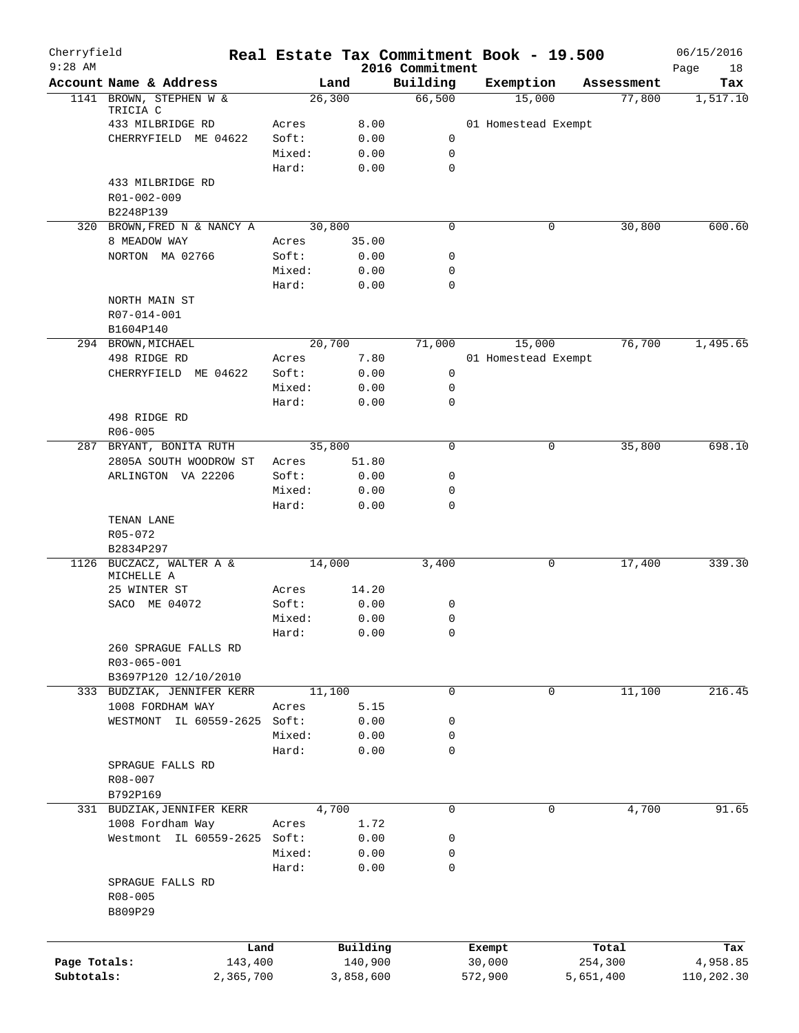| $9:28$ AM    | Cherryfield                              |                 |              | 2016 Commitment |         | Real Estate Tax Commitment Book - 19.500 |            | 06/15/2016<br>18 |
|--------------|------------------------------------------|-----------------|--------------|-----------------|---------|------------------------------------------|------------|------------------|
|              | Account Name & Address                   | Land            |              | Building        |         | Exemption                                | Assessment | Page<br>Tax      |
|              | 1141 BROWN, STEPHEN W &                  | 26,300          |              | 66,500          |         | 15,000                                   | 77,800     | 1,517.10         |
|              | TRICIA C                                 |                 |              |                 |         |                                          |            |                  |
|              | 433 MILBRIDGE RD<br>CHERRYFIELD ME 04622 | Acres<br>Soft:  | 8.00         | 0               |         | 01 Homestead Exempt                      |            |                  |
|              |                                          | Mixed:          | 0.00<br>0.00 | $\mathbf 0$     |         |                                          |            |                  |
|              |                                          | Hard:           | 0.00         | 0               |         |                                          |            |                  |
|              | 433 MILBRIDGE RD                         |                 |              |                 |         |                                          |            |                  |
|              | R01-002-009                              |                 |              |                 |         |                                          |            |                  |
|              | B2248P139                                |                 |              |                 |         |                                          |            |                  |
|              | 320 BROWN, FRED N & NANCY A              | 30,800          |              | 0               |         | 0                                        | 30,800     | 600.60           |
|              | 8 MEADOW WAY                             | Acres           | 35.00        |                 |         |                                          |            |                  |
|              | NORTON MA 02766                          | Soft:           | 0.00         | 0               |         |                                          |            |                  |
|              |                                          | Mixed:          | 0.00         | 0               |         |                                          |            |                  |
|              |                                          | Hard:           | 0.00         | 0               |         |                                          |            |                  |
|              | NORTH MAIN ST                            |                 |              |                 |         |                                          |            |                  |
|              | R07-014-001                              |                 |              |                 |         |                                          |            |                  |
|              | B1604P140                                |                 |              |                 |         |                                          |            |                  |
|              | 294 BROWN, MICHAEL                       | 20,700          |              | 71,000          |         | 15,000                                   | 76,700     | 1,495.65         |
|              | 498 RIDGE RD                             | Acres           | 7.80         |                 |         | 01 Homestead Exempt                      |            |                  |
|              | CHERRYFIELD ME 04622                     | Soft:           | 0.00         | $\mathbf 0$     |         |                                          |            |                  |
|              |                                          | Mixed:          | 0.00         | 0               |         |                                          |            |                  |
|              |                                          | Hard:           | 0.00         | 0               |         |                                          |            |                  |
|              | 498 RIDGE RD                             |                 |              |                 |         |                                          |            |                  |
|              | R06-005                                  |                 |              |                 |         |                                          |            |                  |
|              | 287 BRYANT, BONITA RUTH                  | 35,800          |              | $\mathbf 0$     |         | $\mathbf 0$                              | 35,800     | 698.10           |
|              | 2805A SOUTH WOODROW ST                   | Acres           | 51.80        |                 |         |                                          |            |                  |
|              | ARLINGTON VA 22206                       | Soft:           | 0.00<br>0.00 | 0<br>0          |         |                                          |            |                  |
|              |                                          | Mixed:<br>Hard: | 0.00         | 0               |         |                                          |            |                  |
|              | TENAN LANE<br>R05-072                    |                 |              |                 |         |                                          |            |                  |
|              | B2834P297<br>1126 BUCZACZ, WALTER A &    | 14,000          |              | 3,400           |         |                                          | 17,400     | 339.30           |
|              | MICHELLE A                               |                 |              |                 |         | 0                                        |            |                  |
|              | 25 WINTER ST                             | Acres           | 14.20        |                 |         |                                          |            |                  |
|              | SACO ME 04072                            | Soft:           | 0.00         | 0               |         |                                          |            |                  |
|              |                                          | Mixed:          | 0.00         | 0               |         |                                          |            |                  |
|              |                                          | Hard:           | 0.00         | $\Omega$        |         |                                          |            |                  |
|              | 260 SPRAGUE FALLS RD<br>R03-065-001      |                 |              |                 |         |                                          |            |                  |
|              | B3697P120 12/10/2010                     |                 |              |                 |         |                                          |            |                  |
|              | 333 BUDZIAK, JENNIFER KERR               | 11,100          |              | 0               |         | 0                                        | 11,100     | 216.45           |
|              | 1008 FORDHAM WAY                         | Acres           | 5.15         |                 |         |                                          |            |                  |
|              | WESTMONT IL 60559-2625                   | Soft:<br>Mixed: | 0.00<br>0.00 | 0<br>0          |         |                                          |            |                  |
|              |                                          | Hard:           | 0.00         | 0               |         |                                          |            |                  |
|              | SPRAGUE FALLS RD                         |                 |              |                 |         |                                          |            |                  |
|              | R08-007                                  |                 |              |                 |         |                                          |            |                  |
|              | B792P169                                 |                 |              |                 |         |                                          |            |                  |
|              | 331 BUDZIAK, JENNIFER KERR               | 4,700           |              | 0               |         | 0                                        | 4,700      | 91.65            |
|              | 1008 Fordham Way                         | Acres           | 1.72         |                 |         |                                          |            |                  |
|              | Westmont IL 60559-2625 Soft:             |                 | 0.00         | 0               |         |                                          |            |                  |
|              |                                          | Mixed:          | 0.00         | 0               |         |                                          |            |                  |
|              |                                          | Hard:           | 0.00         | 0               |         |                                          |            |                  |
|              | SPRAGUE FALLS RD<br>R08-005<br>B809P29   |                 |              |                 |         |                                          |            |                  |
|              | Land                                     |                 | Building     |                 | Exempt  |                                          | Total      | Tax              |
| Page Totals: | 143,400                                  |                 | 140,900      |                 | 30,000  |                                          | 254,300    | 4,958.85         |
| Subtotals:   | 2,365,700                                |                 | 3,858,600    |                 | 572,900 |                                          | 5,651,400  | 110,202.30       |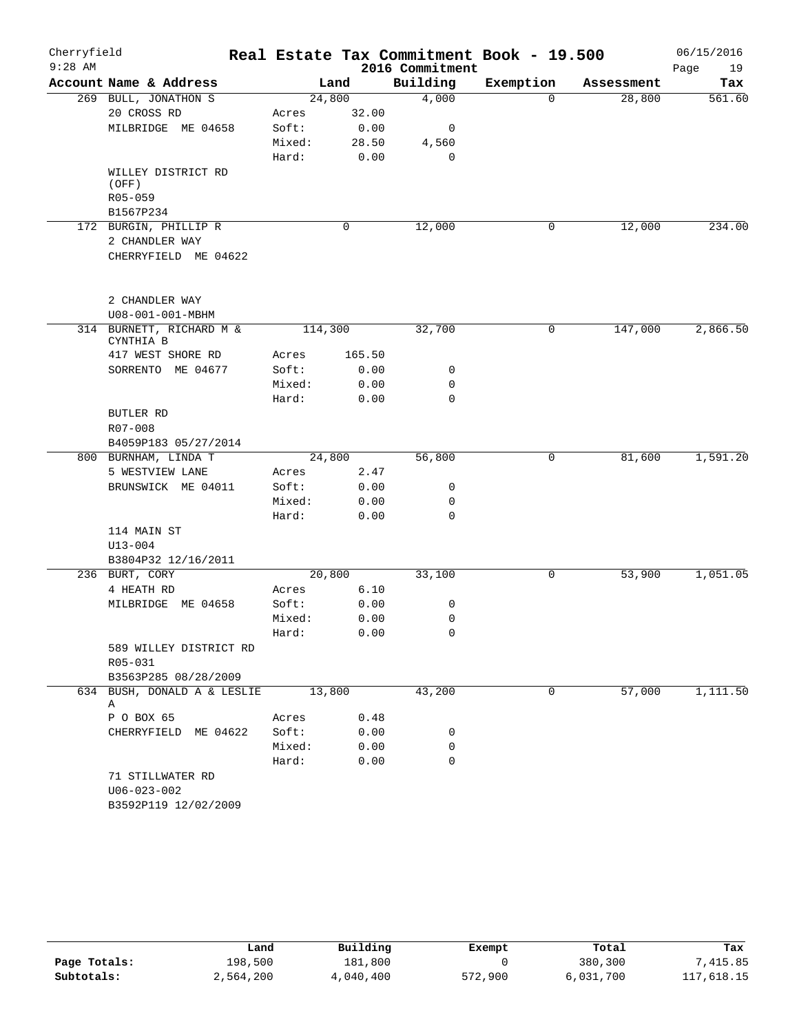| Cherryfield |                                           |                 |              |                 | Real Estate Tax Commitment Book - 19.500 |            | 06/15/2016 |
|-------------|-------------------------------------------|-----------------|--------------|-----------------|------------------------------------------|------------|------------|
| $9:28$ AM   |                                           |                 |              | 2016 Commitment |                                          |            | 19<br>Page |
|             | Account Name & Address                    |                 | Land         | Building        | Exemption                                | Assessment | Tax        |
|             | 269 BULL, JONATHON S                      |                 | 24,800       | 4,000           | $\Omega$                                 | 28,800     | 561.60     |
|             | 20 CROSS RD                               | Acres           | 32.00        |                 |                                          |            |            |
|             | MILBRIDGE ME 04658                        | Soft:           | 0.00         | 0               |                                          |            |            |
|             |                                           | Mixed:          | 28.50        | 4,560           |                                          |            |            |
|             |                                           | Hard:           | 0.00         | 0               |                                          |            |            |
|             | WILLEY DISTRICT RD<br>(OFF)               |                 |              |                 |                                          |            |            |
|             | R05-059                                   |                 |              |                 |                                          |            |            |
|             | B1567P234                                 |                 |              |                 |                                          |            |            |
|             | 172 BURGIN, PHILLIP R                     |                 | 0            | 12,000          | 0                                        | 12,000     | 234.00     |
|             | 2 CHANDLER WAY                            |                 |              |                 |                                          |            |            |
|             | CHERRYFIELD ME 04622                      |                 |              |                 |                                          |            |            |
|             | 2 CHANDLER WAY                            |                 |              |                 |                                          |            |            |
|             | U08-001-001-MBHM                          |                 |              |                 |                                          |            |            |
|             | 314 BURNETT, RICHARD M &                  |                 | 114,300      | 32,700          | 0                                        | 147,000    | 2,866.50   |
|             | CYNTHIA B                                 |                 |              |                 |                                          |            |            |
|             | 417 WEST SHORE RD                         | Acres           | 165.50       |                 |                                          |            |            |
|             | SORRENTO ME 04677                         | Soft:           | 0.00         | 0               |                                          |            |            |
|             |                                           | Mixed:          | 0.00         | 0               |                                          |            |            |
|             |                                           | Hard:           | 0.00         | 0               |                                          |            |            |
|             | BUTLER RD                                 |                 |              |                 |                                          |            |            |
|             | R07-008                                   |                 |              |                 |                                          |            |            |
|             | B4059P183 05/27/2014                      |                 |              |                 |                                          |            |            |
|             | 800 BURNHAM, LINDA T                      |                 | 24,800       | 56,800          | 0                                        | 81,600     | 1,591.20   |
|             | 5 WESTVIEW LANE                           | Acres           | 2.47         | 0               |                                          |            |            |
|             | BRUNSWICK ME 04011                        | Soft:<br>Mixed: | 0.00<br>0.00 | 0               |                                          |            |            |
|             |                                           | Hard:           | 0.00         | $\mathbf 0$     |                                          |            |            |
|             | 114 MAIN ST                               |                 |              |                 |                                          |            |            |
|             | $U13 - 004$                               |                 |              |                 |                                          |            |            |
|             | B3804P32 12/16/2011                       |                 |              |                 |                                          |            |            |
|             | 236 BURT, CORY                            |                 | 20,800       | 33,100          | 0                                        | 53,900     | 1,051.05   |
|             | 4 HEATH RD                                | Acres           | 6.10         |                 |                                          |            |            |
|             | MILBRIDGE ME 04658                        | Soft:           | 0.00         | 0               |                                          |            |            |
|             |                                           | Mixed:          | 0.00         | 0               |                                          |            |            |
|             |                                           | Hard:           | 0.00         | $\mathbf 0$     |                                          |            |            |
|             | 589 WILLEY DISTRICT RD                    |                 |              |                 |                                          |            |            |
|             | R05-031                                   |                 |              |                 |                                          |            |            |
|             | B3563P285 08/28/2009                      |                 |              |                 |                                          |            |            |
|             | 634 BUSH, DONALD A & LESLIE<br>Α          |                 | 13,800       | 43,200          | $\mathbf 0$                              | 57,000     | 1,111.50   |
|             | P O BOX 65                                | Acres           | 0.48         |                 |                                          |            |            |
|             | CHERRYFIELD ME 04622                      | Soft:           | 0.00         | 0               |                                          |            |            |
|             |                                           | Mixed:          | 0.00         | 0               |                                          |            |            |
|             |                                           | Hard:           | 0.00         | 0               |                                          |            |            |
|             | 71 STILLWATER RD                          |                 |              |                 |                                          |            |            |
|             | $U06 - 023 - 002$<br>B3592P119 12/02/2009 |                 |              |                 |                                          |            |            |
|             |                                           |                 |              |                 |                                          |            |            |

|              | Land      | Building  | Exempt  | Total     | Tax        |
|--------------|-----------|-----------|---------|-----------|------------|
| Page Totals: | 198,500   | 181,800   |         | 380,300   | 7,415.85   |
| Subtotals:   | 2,564,200 | 4,040,400 | 572,900 | 6,031,700 | 117,618.15 |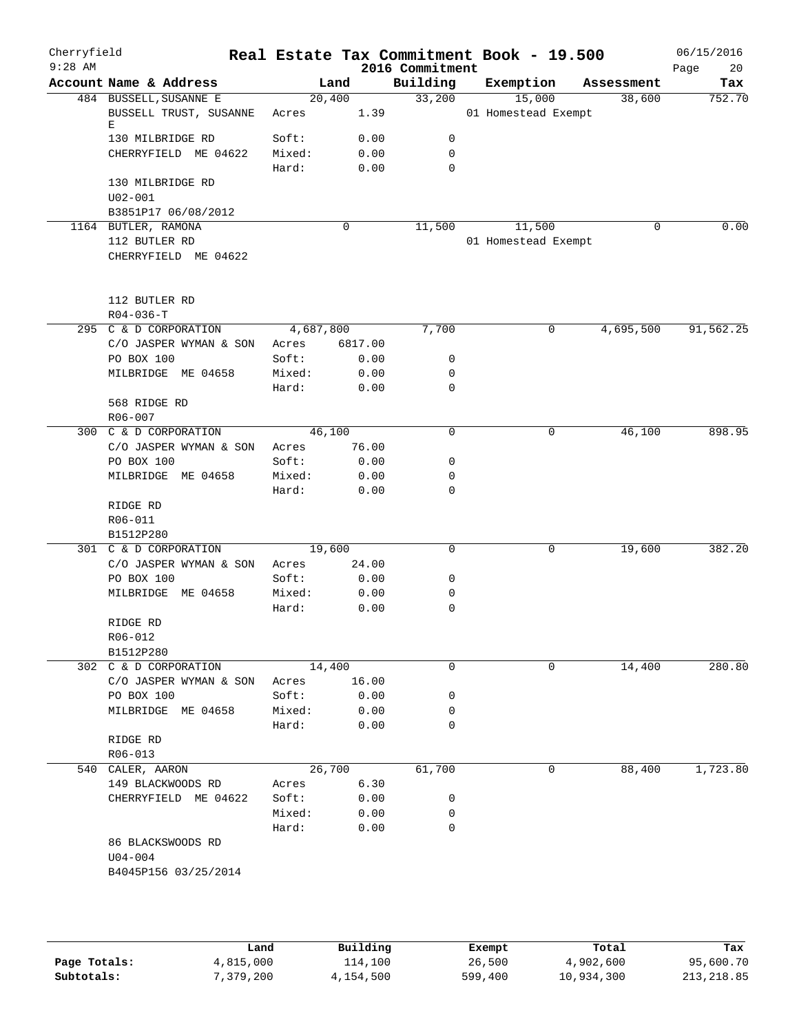| Cherryfield<br>$9:28$ AM |                                  |           |         |      | 2016 Commitment | Real Estate Tax Commitment Book - 19.500 |            | 06/15/2016<br>20<br>Page |
|--------------------------|----------------------------------|-----------|---------|------|-----------------|------------------------------------------|------------|--------------------------|
|                          | Account Name & Address           |           | Land    |      | Building        | Exemption                                | Assessment | Tax                      |
|                          | 484 BUSSELL, SUSANNE E           | 20,400    |         |      | 33,200          | 15,000                                   | 38,600     | 752.70                   |
|                          | BUSSELL TRUST, SUSANNE<br>Е      | Acres     |         | 1.39 |                 | 01 Homestead Exempt                      |            |                          |
|                          | 130 MILBRIDGE RD                 | Soft:     |         | 0.00 | 0               |                                          |            |                          |
|                          | CHERRYFIELD ME 04622             | Mixed:    |         | 0.00 | 0               |                                          |            |                          |
|                          |                                  | Hard:     |         | 0.00 | 0               |                                          |            |                          |
|                          | 130 MILBRIDGE RD                 |           |         |      |                 |                                          |            |                          |
|                          | $U02 - 001$                      |           |         |      |                 |                                          |            |                          |
|                          | B3851P17 06/08/2012              |           |         |      |                 |                                          |            |                          |
|                          | 1164 BUTLER, RAMONA              |           | 0       |      | 11,500          | 11,500                                   | $\Omega$   | 0.00                     |
|                          | 112 BUTLER RD                    |           |         |      |                 | 01 Homestead Exempt                      |            |                          |
|                          | CHERRYFIELD ME 04622             |           |         |      |                 |                                          |            |                          |
|                          | 112 BUTLER RD                    |           |         |      |                 |                                          |            |                          |
|                          | $R04 - 036 - T$                  |           |         |      |                 |                                          |            |                          |
|                          | 295 C & D CORPORATION            | 4,687,800 |         |      | 7,700           | 0                                        | 4,695,500  | 91,562.25                |
|                          | C/O JASPER WYMAN & SON           | Acres     | 6817.00 |      |                 |                                          |            |                          |
|                          | PO BOX 100                       | Soft:     |         | 0.00 | 0               |                                          |            |                          |
|                          | MILBRIDGE ME 04658               | Mixed:    |         | 0.00 | 0               |                                          |            |                          |
|                          |                                  | Hard:     |         | 0.00 | 0               |                                          |            |                          |
|                          | 568 RIDGE RD<br>R06-007          |           |         |      |                 |                                          |            |                          |
|                          | 300 C & D CORPORATION            | 46,100    |         |      | 0               | 0                                        | 46,100     | 898.95                   |
|                          | C/O JASPER WYMAN & SON           | Acres     | 76.00   |      |                 |                                          |            |                          |
|                          | PO BOX 100                       | Soft:     |         | 0.00 | 0               |                                          |            |                          |
|                          | MILBRIDGE ME 04658               | Mixed:    |         | 0.00 | 0               |                                          |            |                          |
|                          |                                  | Hard:     |         | 0.00 | $\mathbf 0$     |                                          |            |                          |
|                          | RIDGE RD                         |           |         |      |                 |                                          |            |                          |
|                          | R06-011                          |           |         |      |                 |                                          |            |                          |
|                          | B1512P280                        |           |         |      |                 |                                          |            |                          |
|                          | 301 C & D CORPORATION            | 19,600    |         |      | 0               | 0                                        | 19,600     | 382.20                   |
|                          | C/O JASPER WYMAN & SON           | Acres     | 24.00   |      |                 |                                          |            |                          |
|                          | PO BOX 100                       | Soft:     |         | 0.00 | 0               |                                          |            |                          |
|                          | MILBRIDGE ME 04658               | Mixed:    |         | 0.00 | 0               |                                          |            |                          |
|                          |                                  | Hard:     |         | 0.00 | 0               |                                          |            |                          |
|                          | RIDGE RD                         |           |         |      |                 |                                          |            |                          |
|                          | R06-012                          |           |         |      |                 |                                          |            |                          |
|                          | B1512P280                        |           |         |      |                 |                                          |            |                          |
|                          | 302 C & D CORPORATION            | 14,400    |         |      | 0               | 0                                        | 14,400     | 280.80                   |
|                          | C/O JASPER WYMAN & SON           | Acres     | 16.00   |      |                 |                                          |            |                          |
|                          | PO BOX 100                       | Soft:     |         | 0.00 | 0               |                                          |            |                          |
|                          | MILBRIDGE ME 04658               |           |         | 0.00 | 0               |                                          |            |                          |
|                          |                                  | Mixed:    |         |      | 0               |                                          |            |                          |
|                          |                                  | Hard:     |         | 0.00 |                 |                                          |            |                          |
|                          | RIDGE RD                         |           |         |      |                 |                                          |            |                          |
|                          | R06-013                          |           |         |      |                 |                                          |            |                          |
|                          | 540 CALER, AARON                 | 26,700    |         |      | 61,700          | $\mathbf{0}$                             | 88,400     | 1,723.80                 |
|                          | 149 BLACKWOODS RD                | Acres     |         | 6.30 |                 |                                          |            |                          |
|                          | CHERRYFIELD ME 04622             | Soft:     |         | 0.00 | 0               |                                          |            |                          |
|                          |                                  | Mixed:    |         | 0.00 | 0               |                                          |            |                          |
|                          |                                  | Hard:     |         | 0.00 | 0               |                                          |            |                          |
|                          | 86 BLACKSWOODS RD<br>$U04 - 004$ |           |         |      |                 |                                          |            |                          |
|                          | B4045P156 03/25/2014             |           |         |      |                 |                                          |            |                          |
|                          |                                  |           |         |      |                 |                                          |            |                          |
|                          |                                  |           |         |      |                 |                                          |            |                          |
|                          |                                  |           |         |      |                 |                                          |            |                          |

|              | Land      | Building  | Exempt  | Total      | Tax         |
|--------------|-----------|-----------|---------|------------|-------------|
| Page Totals: | 4,815,000 | 114,100   | 26,500  | 4,902,600  | 95,600.70   |
| Subtotals:   | 7,379,200 | 4,154,500 | 599,400 | 10,934,300 | 213, 218.85 |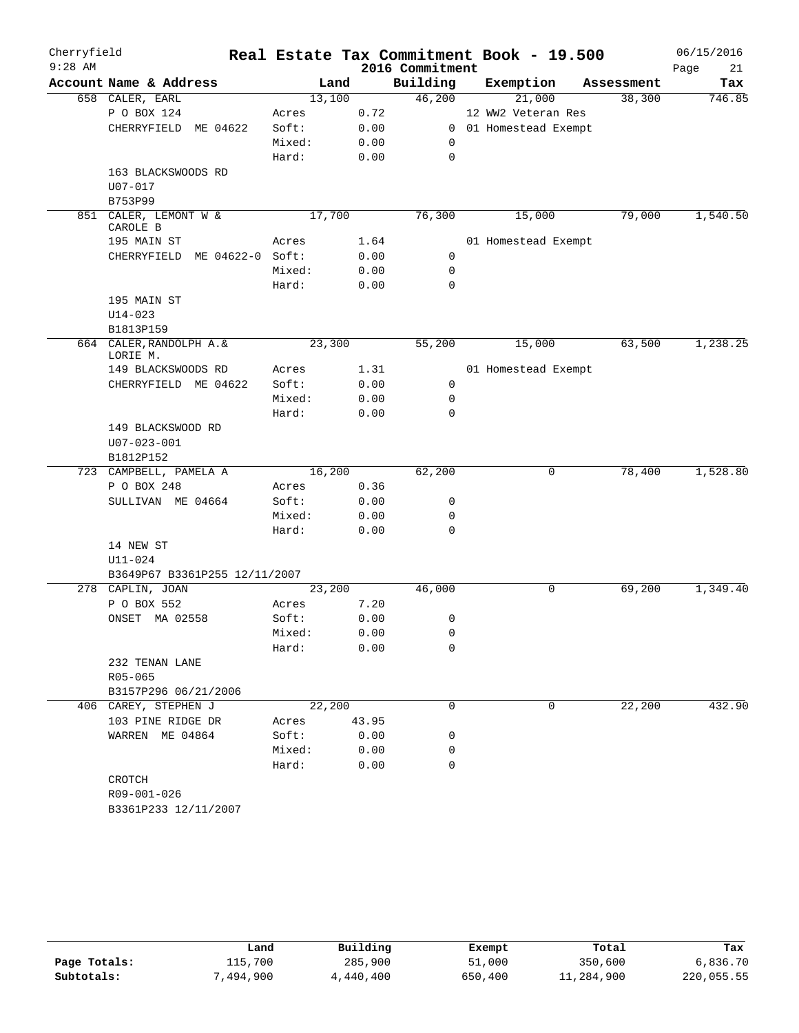| Cherryfield |                               |                 |              |                 | Real Estate Tax Commitment Book - 19.500 |            | 06/15/2016 |
|-------------|-------------------------------|-----------------|--------------|-----------------|------------------------------------------|------------|------------|
| $9:28$ AM   |                               |                 |              | 2016 Commitment |                                          |            | Page<br>21 |
|             | Account Name & Address        | Land            |              | Building        | Exemption                                | Assessment | Tax        |
|             | 658 CALER, EARL               | 13,100          |              | 46,200          | 21,000                                   | 38,300     | 746.85     |
|             | P O BOX 124                   | Acres           | 0.72         |                 | 12 WW2 Veteran Res                       |            |            |
|             | CHERRYFIELD<br>ME 04622       | Soft:           | 0.00         | $\mathbf{0}$    | 01 Homestead Exempt                      |            |            |
|             |                               | Mixed:          | 0.00         | 0               |                                          |            |            |
|             |                               | Hard:           | 0.00         | $\mathbf 0$     |                                          |            |            |
|             | 163 BLACKSWOODS RD            |                 |              |                 |                                          |            |            |
|             | $U07 - 017$                   |                 |              |                 |                                          |            |            |
|             | B753P99                       |                 |              |                 |                                          |            |            |
| 851         | CALER, LEMONT W &<br>CAROLE B | 17,700          |              | 76,300          | 15,000                                   | 79,000     | 1,540.50   |
|             | 195 MAIN ST                   | Acres           | 1.64         |                 | 01 Homestead Exempt                      |            |            |
|             | CHERRYFIELD ME 04622-0 Soft:  |                 | 0.00         | $\mathbf 0$     |                                          |            |            |
|             |                               | Mixed:          | 0.00         | 0               |                                          |            |            |
|             |                               | Hard:           | 0.00         | 0               |                                          |            |            |
|             | 195 MAIN ST                   |                 |              |                 |                                          |            |            |
|             | U14-023                       |                 |              |                 |                                          |            |            |
|             | B1813P159                     |                 |              |                 |                                          |            |            |
|             | 664 CALER, RANDOLPH A. &      | 23,300          |              | 55,200          | 15,000                                   | 63,500     | 1,238.25   |
|             | LORIE M.                      |                 |              |                 |                                          |            |            |
|             | 149 BLACKSWOODS RD            | Acres           | 1.31         |                 | 01 Homestead Exempt                      |            |            |
|             | CHERRYFIELD ME 04622          | Soft:           | 0.00         | 0               |                                          |            |            |
|             |                               | Mixed:          | 0.00         | 0               |                                          |            |            |
|             |                               | Hard:           | 0.00         | $\Omega$        |                                          |            |            |
|             | 149 BLACKSWOOD RD             |                 |              |                 |                                          |            |            |
|             | $U07 - 023 - 001$             |                 |              |                 |                                          |            |            |
|             | B1812P152                     |                 |              |                 |                                          |            |            |
|             | 723 CAMPBELL, PAMELA A        | 16,200          |              | 62,200          | 0                                        | 78,400     | 1,528.80   |
|             | P O BOX 248                   | Acres           | 0.36         |                 |                                          |            |            |
|             | SULLIVAN ME 04664             | Soft:<br>Mixed: | 0.00         | 0<br>0          |                                          |            |            |
|             |                               | Hard:           | 0.00<br>0.00 | 0               |                                          |            |            |
|             | 14 NEW ST                     |                 |              |                 |                                          |            |            |
|             | U11-024                       |                 |              |                 |                                          |            |            |
|             | B3649P67 B3361P255 12/11/2007 |                 |              |                 |                                          |            |            |
|             | 278 CAPLIN, JOAN              | 23,200          |              | 46,000          | 0                                        | 69,200     | 1,349.40   |
|             | P O BOX 552                   | Acres           | 7.20         |                 |                                          |            |            |
|             | ONSET MA 02558                | Soft:           | 0.00         | 0               |                                          |            |            |
|             |                               | Mixed:          | 0.00         | 0               |                                          |            |            |
|             |                               | Hard:           | 0.00         | 0               |                                          |            |            |
|             | 232 TENAN LANE                |                 |              |                 |                                          |            |            |
|             | R05-065                       |                 |              |                 |                                          |            |            |
|             | B3157P296 06/21/2006          |                 |              |                 |                                          |            |            |
|             | 406 CAREY, STEPHEN J          | 22,200          |              | 0               | 0                                        | 22,200     | 432.90     |
|             | 103 PINE RIDGE DR             | Acres           | 43.95        |                 |                                          |            |            |
|             | WARREN ME 04864               | Soft:           | 0.00         | 0               |                                          |            |            |
|             |                               | Mixed:          | 0.00         | 0               |                                          |            |            |
|             |                               | Hard:           | 0.00         | $\Omega$        |                                          |            |            |
|             | CROTCH                        |                 |              |                 |                                          |            |            |
|             | R09-001-026                   |                 |              |                 |                                          |            |            |
|             | B3361P233 12/11/2007          |                 |              |                 |                                          |            |            |

|              | Land     | Building  | Exempt  | Total      | Tax        |
|--------------|----------|-----------|---------|------------|------------|
| Page Totals: | 115,700  | 285,900   | 51,000  | 350,600    | 6,836.70   |
| Subtotals:   | .494.900 | 4,440,400 | 650,400 | 11,284,900 | 220,055.55 |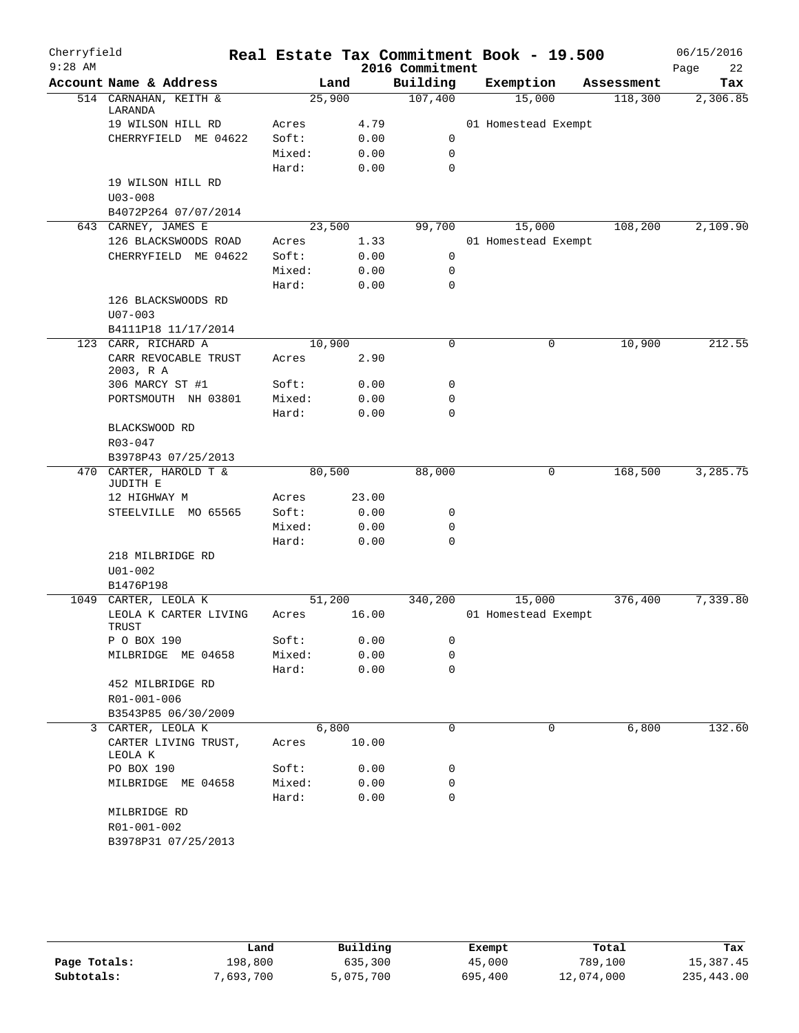| Cherryfield<br>$9:28$ AM |                                    |        |        |       | Real Estate Tax Commitment Book - 19.500<br>2016 Commitment |                     |   |            | 06/15/2016<br>Page | 22       |
|--------------------------|------------------------------------|--------|--------|-------|-------------------------------------------------------------|---------------------|---|------------|--------------------|----------|
|                          | Account Name & Address             |        | Land   |       | Building                                                    | Exemption           |   | Assessment |                    | Tax      |
|                          | 514 CARNAHAN, KEITH &<br>LARANDA   |        | 25,900 |       | 107,400                                                     | 15,000              |   | 118,300    |                    | 2,306.85 |
|                          | 19 WILSON HILL RD                  | Acres  |        | 4.79  |                                                             | 01 Homestead Exempt |   |            |                    |          |
|                          | CHERRYFIELD ME 04622               | Soft:  |        | 0.00  | 0                                                           |                     |   |            |                    |          |
|                          |                                    | Mixed: |        | 0.00  | $\mathbf 0$                                                 |                     |   |            |                    |          |
|                          |                                    | Hard:  |        | 0.00  | $\mathbf 0$                                                 |                     |   |            |                    |          |
|                          | 19 WILSON HILL RD<br>$U03 - 008$   |        |        |       |                                                             |                     |   |            |                    |          |
|                          | B4072P264 07/07/2014               |        |        |       |                                                             |                     |   |            |                    |          |
|                          | 643 CARNEY, JAMES E                |        | 23,500 |       | 99,700                                                      | 15,000              |   | 108,200    |                    | 2,109.90 |
|                          | 126 BLACKSWOODS ROAD               | Acres  |        | 1.33  |                                                             | 01 Homestead Exempt |   |            |                    |          |
|                          | CHERRYFIELD ME 04622               | Soft:  |        | 0.00  | 0                                                           |                     |   |            |                    |          |
|                          |                                    | Mixed: |        | 0.00  | 0                                                           |                     |   |            |                    |          |
|                          |                                    | Hard:  |        | 0.00  | $\mathbf 0$                                                 |                     |   |            |                    |          |
|                          | 126 BLACKSWOODS RD<br>$U07 - 003$  |        |        |       |                                                             |                     |   |            |                    |          |
|                          | B4111P18 11/17/2014                |        |        |       |                                                             |                     |   |            |                    |          |
|                          | 123 CARR, RICHARD A                |        | 10,900 |       | $\mathbf 0$                                                 |                     | 0 | 10,900     |                    | 212.55   |
|                          | CARR REVOCABLE TRUST<br>2003, R A  | Acres  |        | 2.90  |                                                             |                     |   |            |                    |          |
|                          | 306 MARCY ST #1                    | Soft:  |        | 0.00  | 0                                                           |                     |   |            |                    |          |
|                          | PORTSMOUTH NH 03801                | Mixed: |        | 0.00  | 0                                                           |                     |   |            |                    |          |
|                          |                                    | Hard:  |        | 0.00  | $\Omega$                                                    |                     |   |            |                    |          |
|                          | BLACKSWOOD RD<br>R03-047           |        |        |       |                                                             |                     |   |            |                    |          |
|                          | B3978P43 07/25/2013                |        |        |       |                                                             |                     |   |            |                    |          |
|                          | 470 CARTER, HAROLD T &<br>JUDITH E |        | 80,500 |       | 88,000                                                      |                     | 0 | 168,500    |                    | 3,285.75 |
|                          | 12 HIGHWAY M                       | Acres  |        | 23.00 |                                                             |                     |   |            |                    |          |
|                          | STEELVILLE MO 65565                | Soft:  |        | 0.00  | 0                                                           |                     |   |            |                    |          |
|                          |                                    | Mixed: |        | 0.00  | 0                                                           |                     |   |            |                    |          |
|                          |                                    | Hard:  |        | 0.00  | 0                                                           |                     |   |            |                    |          |
|                          | 218 MILBRIDGE RD                   |        |        |       |                                                             |                     |   |            |                    |          |
|                          | $U01 - 002$                        |        |        |       |                                                             |                     |   |            |                    |          |
|                          | B1476P198                          |        |        |       |                                                             |                     |   |            |                    |          |
| 1049                     | CARTER, LEOLA K                    |        | 51,200 |       | 340,200                                                     | 15,000              |   | 376,400    |                    | 7,339.80 |
|                          | LEOLA K CARTER LIVING<br>TRUST     | Acres  |        | 16.00 |                                                             | 01 Homestead Exempt |   |            |                    |          |
|                          | P O BOX 190                        | Soft:  |        | 0.00  | 0                                                           |                     |   |            |                    |          |
|                          | MILBRIDGE ME 04658                 | Mixed: |        | 0.00  | 0                                                           |                     |   |            |                    |          |
|                          |                                    | Hard:  |        | 0.00  | 0                                                           |                     |   |            |                    |          |
|                          | 452 MILBRIDGE RD                   |        |        |       |                                                             |                     |   |            |                    |          |
|                          | R01-001-006                        |        |        |       |                                                             |                     |   |            |                    |          |
|                          | B3543P85 06/30/2009                |        |        |       |                                                             |                     |   |            |                    |          |
|                          | 3 CARTER, LEOLA K                  |        | 6,800  |       | $\mathbf 0$                                                 |                     | 0 | 6,800      |                    | 132.60   |
|                          | CARTER LIVING TRUST,<br>LEOLA K    | Acres  |        | 10.00 |                                                             |                     |   |            |                    |          |
|                          | PO BOX 190                         | Soft:  |        | 0.00  | 0                                                           |                     |   |            |                    |          |
|                          | MILBRIDGE ME 04658                 | Mixed: |        | 0.00  | 0                                                           |                     |   |            |                    |          |
|                          |                                    | Hard:  |        | 0.00  | 0                                                           |                     |   |            |                    |          |
|                          | MILBRIDGE RD                       |        |        |       |                                                             |                     |   |            |                    |          |
|                          | R01-001-002                        |        |        |       |                                                             |                     |   |            |                    |          |
|                          | B3978P31 07/25/2013                |        |        |       |                                                             |                     |   |            |                    |          |

|              | Land      | Building  | Exempt  | Total      | Tax        |
|--------------|-----------|-----------|---------|------------|------------|
| Page Totals: | 198,800   | 635,300   | 45,000  | 789,100    | 15,387.45  |
| Subtotals:   | 7,693,700 | 5,075,700 | 695,400 | 12,074,000 | 235,443.00 |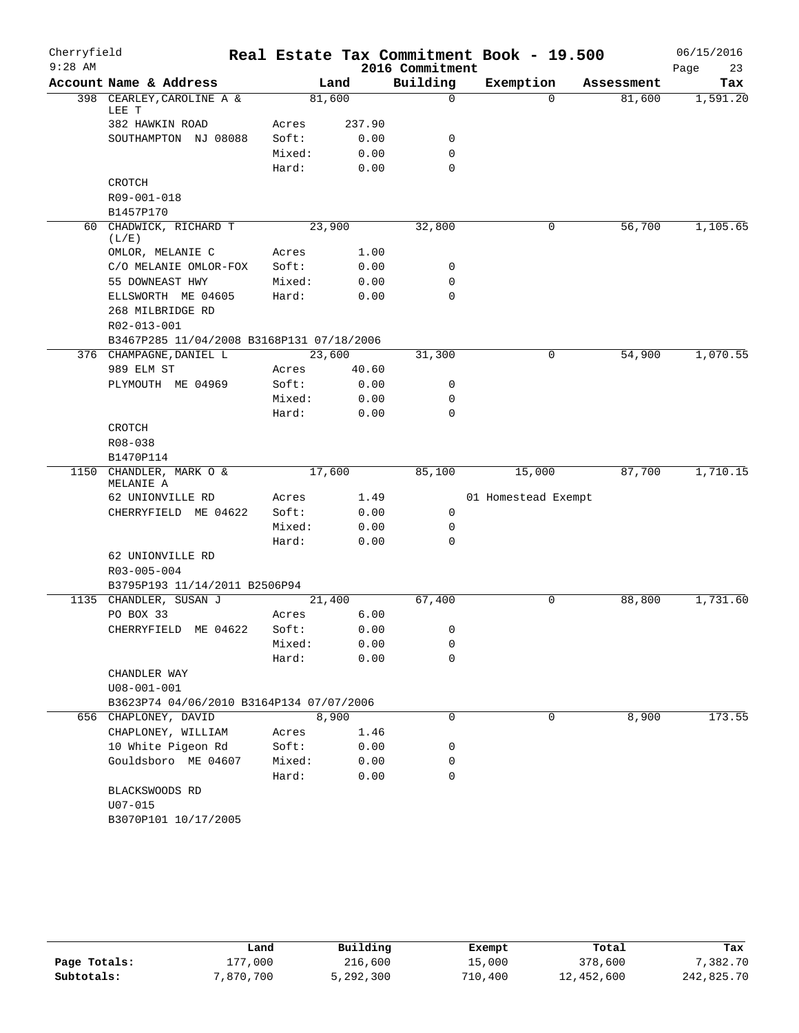| Cherryfield<br>$9:28$ AM |                                                               |        |        | Real Estate Tax Commitment Book - 19.500<br>2016 Commitment |                     |            | 06/15/2016<br>23<br>Page |
|--------------------------|---------------------------------------------------------------|--------|--------|-------------------------------------------------------------|---------------------|------------|--------------------------|
|                          | Account Name & Address                                        |        | Land   | Building                                                    | Exemption           | Assessment | Tax                      |
|                          | 398 CEARLEY, CAROLINE A &<br>LEE T                            | 81,600 |        | $\mathbf 0$                                                 | $\Omega$            | 81,600     | 1,591.20                 |
|                          | 382 HAWKIN ROAD                                               | Acres  | 237.90 |                                                             |                     |            |                          |
|                          | SOUTHAMPTON NJ 08088                                          | Soft:  | 0.00   | 0                                                           |                     |            |                          |
|                          |                                                               | Mixed: | 0.00   | 0                                                           |                     |            |                          |
|                          |                                                               | Hard:  | 0.00   | $\mathbf 0$                                                 |                     |            |                          |
|                          | CROTCH                                                        |        |        |                                                             |                     |            |                          |
|                          | R09-001-018                                                   |        |        |                                                             |                     |            |                          |
|                          | B1457P170                                                     |        |        |                                                             |                     |            |                          |
|                          | 60 CHADWICK, RICHARD T<br>(L/E)                               | 23,900 |        | 32,800                                                      | 0                   | 56,700     | 1,105.65                 |
|                          | OMLOR, MELANIE C                                              | Acres  | 1.00   |                                                             |                     |            |                          |
|                          | C/O MELANIE OMLOR-FOX                                         | Soft:  | 0.00   | 0                                                           |                     |            |                          |
|                          | 55 DOWNEAST HWY                                               | Mixed: | 0.00   | 0                                                           |                     |            |                          |
|                          | ELLSWORTH ME 04605                                            | Hard:  | 0.00   | $\mathbf 0$                                                 |                     |            |                          |
|                          | 268 MILBRIDGE RD                                              |        |        |                                                             |                     |            |                          |
|                          | R02-013-001                                                   |        |        |                                                             |                     |            |                          |
|                          | B3467P285 11/04/2008 B3168P131 07/18/2006                     |        |        |                                                             |                     |            |                          |
|                          | 376 CHAMPAGNE, DANIEL L                                       | 23,600 |        | 31,300                                                      | 0                   | 54,900     | 1,070.55                 |
|                          | 989 ELM ST                                                    | Acres  | 40.60  |                                                             |                     |            |                          |
|                          | PLYMOUTH ME 04969                                             | Soft:  | 0.00   | 0                                                           |                     |            |                          |
|                          |                                                               | Mixed: | 0.00   | 0                                                           |                     |            |                          |
|                          |                                                               | Hard:  | 0.00   | $\Omega$                                                    |                     |            |                          |
|                          | CROTCH                                                        |        |        |                                                             |                     |            |                          |
|                          | R08-038                                                       |        |        |                                                             |                     |            |                          |
|                          | B1470P114                                                     |        |        |                                                             |                     |            |                          |
| 1150                     | CHANDLER, MARK O &<br>MELANIE A                               | 17,600 |        | 85,100                                                      | 15,000              | 87,700     | 1,710.15                 |
|                          | 62 UNIONVILLE RD                                              | Acres  | 1.49   |                                                             | 01 Homestead Exempt |            |                          |
|                          | CHERRYFIELD ME 04622                                          | Soft:  | 0.00   | 0                                                           |                     |            |                          |
|                          |                                                               | Mixed: | 0.00   | 0                                                           |                     |            |                          |
|                          |                                                               | Hard:  | 0.00   | $\mathbf 0$                                                 |                     |            |                          |
|                          | 62 UNIONVILLE RD                                              |        |        |                                                             |                     |            |                          |
|                          | R03-005-004                                                   |        |        |                                                             |                     |            |                          |
|                          | B3795P193 11/14/2011 B2506P94                                 |        |        |                                                             |                     |            |                          |
| 1135                     | CHANDLER, SUSAN J                                             | 21,400 |        | 67,400                                                      | 0                   | 88,800     | 1,731.60                 |
|                          | PO BOX 33                                                     | Acres  | 6.00   |                                                             |                     |            |                          |
|                          | CHERRYFIELD ME 04622                                          | Soft:  | 0.00   | 0                                                           |                     |            |                          |
|                          |                                                               | Mixed: | 0.00   | 0                                                           |                     |            |                          |
|                          |                                                               | Hard:  | 0.00   | 0                                                           |                     |            |                          |
|                          | CHANDLER WAY                                                  |        |        |                                                             |                     |            |                          |
|                          | $U08 - 001 - 001$<br>B3623P74 04/06/2010 B3164P134 07/07/2006 |        |        |                                                             |                     |            |                          |
|                          | 656 CHAPLONEY, DAVID                                          | 8,900  |        | $\mathbf 0$                                                 | $\mathbf 0$         | 8,900      | 173.55                   |
|                          | CHAPLONEY, WILLIAM                                            | Acres  | 1.46   |                                                             |                     |            |                          |
|                          | 10 White Pigeon Rd                                            | Soft:  | 0.00   | 0                                                           |                     |            |                          |
|                          | Gouldsboro ME 04607                                           | Mixed: | 0.00   | 0                                                           |                     |            |                          |
|                          |                                                               | Hard:  | 0.00   | 0                                                           |                     |            |                          |
|                          | BLACKSWOODS RD                                                |        |        |                                                             |                     |            |                          |
|                          | $U07 - 015$                                                   |        |        |                                                             |                     |            |                          |
|                          | B3070P101 10/17/2005                                          |        |        |                                                             |                     |            |                          |
|                          |                                                               |        |        |                                                             |                     |            |                          |

|              | Land      | Building  | Exempt  | Total      | Tax        |
|--------------|-----------|-----------|---------|------------|------------|
| Page Totals: | 177.000   | 216,600   | 15,000  | 378,600    | 7,382.70   |
| Subtotals:   | 7,870,700 | 5,292,300 | 710,400 | 12,452,600 | 242,825.70 |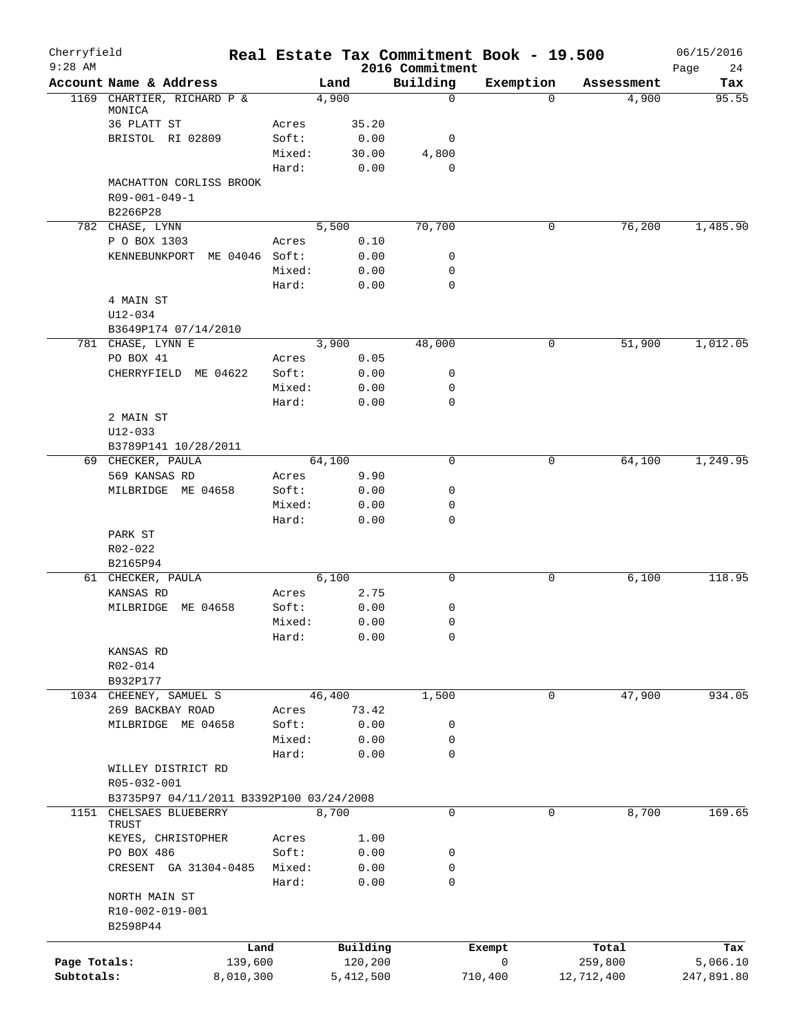| Cherryfield<br>$9:28$ AM |                                          |        |           | 2016 Commitment | Real Estate Tax Commitment Book - 19.500 |            | 06/15/2016        |
|--------------------------|------------------------------------------|--------|-----------|-----------------|------------------------------------------|------------|-------------------|
|                          | Account Name & Address                   |        | Land      | Building        | Exemption                                | Assessment | Page<br>24<br>Tax |
|                          | 1169 CHARTIER, RICHARD P &               |        | 4,900     | $\mathbf 0$     | $\Omega$                                 | 4,900      | 95.55             |
|                          | MONICA                                   |        |           |                 |                                          |            |                   |
|                          | 36 PLATT ST                              | Acres  | 35.20     |                 |                                          |            |                   |
|                          | BRISTOL RI 02809                         | Soft:  | 0.00      | 0               |                                          |            |                   |
|                          |                                          | Mixed: | 30.00     | 4,800<br>0      |                                          |            |                   |
|                          |                                          | Hard:  | 0.00      |                 |                                          |            |                   |
|                          | MACHATTON CORLISS BROOK<br>R09-001-049-1 |        |           |                 |                                          |            |                   |
|                          | B2266P28                                 |        |           |                 |                                          |            |                   |
|                          | 782 CHASE, LYNN                          |        | 5,500     | 70,700          | 0                                        | 76, 200    | 1,485.90          |
|                          | P O BOX 1303                             | Acres  | 0.10      |                 |                                          |            |                   |
|                          | ME 04046 Soft:<br>KENNEBUNKPORT          |        | 0.00      | 0               |                                          |            |                   |
|                          |                                          | Mixed: | 0.00      | 0               |                                          |            |                   |
|                          |                                          | Hard:  | 0.00      | 0               |                                          |            |                   |
|                          | 4 MAIN ST                                |        |           |                 |                                          |            |                   |
|                          | U12-034                                  |        |           |                 |                                          |            |                   |
|                          | B3649P174 07/14/2010                     |        |           |                 |                                          |            |                   |
|                          | 781 CHASE, LYNN E                        |        | 3,900     | 48,000          | 0                                        | 51,900     | 1,012.05          |
|                          | PO BOX 41                                | Acres  | 0.05      |                 |                                          |            |                   |
|                          | CHERRYFIELD ME 04622                     | Soft:  | 0.00      | 0               |                                          |            |                   |
|                          |                                          | Mixed: | 0.00      | $\mathbf 0$     |                                          |            |                   |
|                          |                                          | Hard:  | 0.00      | 0               |                                          |            |                   |
|                          | 2 MAIN ST                                |        |           |                 |                                          |            |                   |
|                          | $U12 - 033$                              |        |           |                 |                                          |            |                   |
|                          | B3789P141 10/28/2011                     |        |           |                 |                                          |            |                   |
|                          | 69 CHECKER, PAULA                        |        | 64,100    | 0               | 0                                        | 64,100     | 1,249.95          |
|                          | 569 KANSAS RD                            | Acres  | 9.90      |                 |                                          |            |                   |
|                          | ME 04658<br>MILBRIDGE                    | Soft:  | 0.00      | 0               |                                          |            |                   |
|                          |                                          | Mixed: | 0.00      | 0               |                                          |            |                   |
|                          |                                          | Hard:  | 0.00      | 0               |                                          |            |                   |
|                          | PARK ST                                  |        |           |                 |                                          |            |                   |
|                          | R02-022<br>B2165P94                      |        |           |                 |                                          |            |                   |
|                          | 61 CHECKER, PAULA                        |        | 6,100     | 0               | 0                                        | 6,100      | 118.95            |
|                          | KANSAS RD                                | Acres  | 2.75      |                 |                                          |            |                   |
|                          | MILBRIDGE<br>ME 04658                    | Soft:  | 0.00      | 0               |                                          |            |                   |
|                          |                                          | Mixed: | 0.00      | 0               |                                          |            |                   |
|                          |                                          | Hard:  | 0.00      | 0               |                                          |            |                   |
|                          | KANSAS RD                                |        |           |                 |                                          |            |                   |
|                          | R02-014                                  |        |           |                 |                                          |            |                   |
|                          | B932P177                                 |        |           |                 |                                          |            |                   |
|                          | 1034 CHEENEY, SAMUEL S                   |        | 46,400    | 1,500           | 0                                        | 47,900     | 934.05            |
|                          | 269 BACKBAY ROAD                         | Acres  | 73.42     |                 |                                          |            |                   |
|                          | MILBRIDGE ME 04658                       | Soft:  | 0.00      | 0               |                                          |            |                   |
|                          |                                          | Mixed: | 0.00      | 0               |                                          |            |                   |
|                          |                                          | Hard:  | 0.00      | 0               |                                          |            |                   |
|                          | WILLEY DISTRICT RD                       |        |           |                 |                                          |            |                   |
|                          | R05-032-001                              |        |           |                 |                                          |            |                   |
|                          | B3735P97 04/11/2011 B3392P100 03/24/2008 |        |           |                 |                                          |            |                   |
|                          | 1151 CHELSAES BLUEBERRY<br>TRUST         |        | 8,700     | $\mathbf 0$     | $\mathbf 0$                              | 8,700      | 169.65            |
|                          | KEYES, CHRISTOPHER                       | Acres  | 1.00      |                 |                                          |            |                   |
|                          | PO BOX 486                               | Soft:  | 0.00      | 0               |                                          |            |                   |
|                          | CRESENT GA 31304-0485                    | Mixed: | 0.00      | 0               |                                          |            |                   |
|                          |                                          | Hard:  | 0.00      | $\mathbf 0$     |                                          |            |                   |
|                          | NORTH MAIN ST                            |        |           |                 |                                          |            |                   |
|                          | R10-002-019-001                          |        |           |                 |                                          |            |                   |
|                          | B2598P44                                 |        |           |                 |                                          |            |                   |
|                          |                                          |        |           |                 |                                          |            |                   |
|                          | Land                                     |        | Building  |                 | Exempt                                   | Total      | Tax               |
| Page Totals:             | 139,600                                  |        | 120,200   |                 | 0                                        | 259,800    | 5,066.10          |
| Subtotals:               | 8,010,300                                |        | 5,412,500 |                 | 710,400                                  | 12,712,400 | 247,891.80        |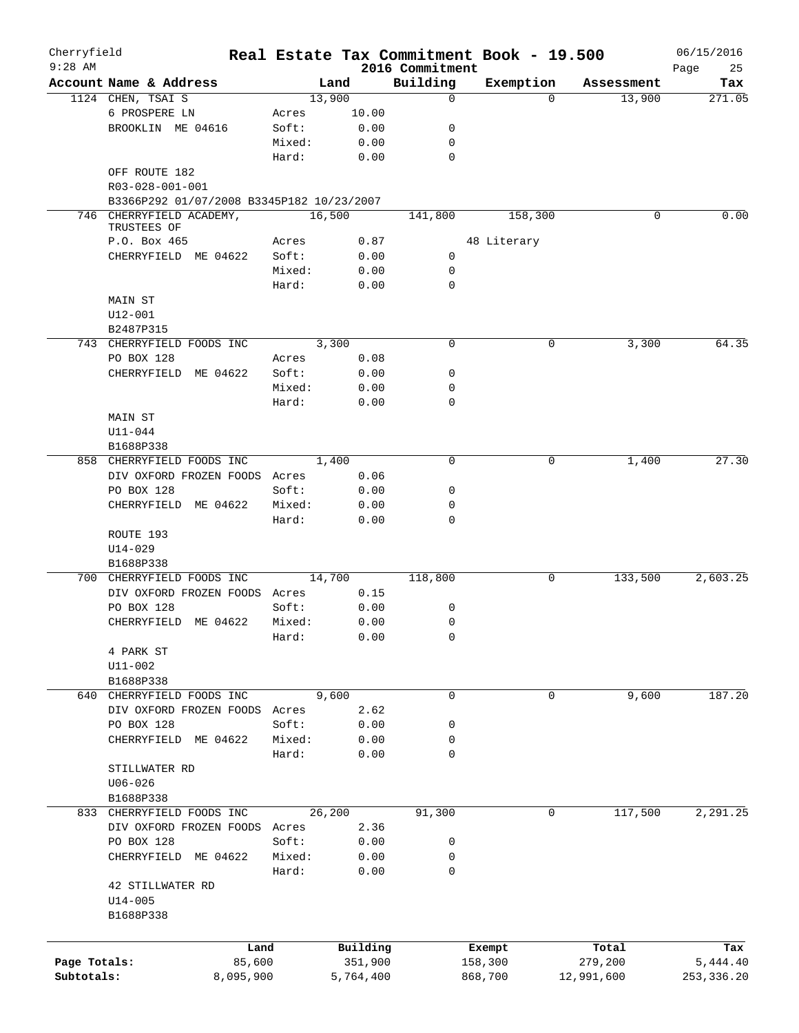| Cherryfield<br>$9:28$ AM |                                           |           |        | Real Estate Tax Commitment Book - 19.500 | 2016 Commitment |             |             |            | 06/15/2016        |
|--------------------------|-------------------------------------------|-----------|--------|------------------------------------------|-----------------|-------------|-------------|------------|-------------------|
|                          | Account Name & Address                    |           |        | Land                                     | Building        | Exemption   |             | Assessment | Page<br>25<br>Tax |
|                          | 1124 CHEN, TSAI S                         |           | 13,900 |                                          | $\mathbf 0$     |             | $\Omega$    | 13,900     | 271.05            |
|                          | 6 PROSPERE LN                             |           | Acres  | 10.00                                    |                 |             |             |            |                   |
|                          | BROOKLIN ME 04616                         |           | Soft:  | 0.00                                     | 0               |             |             |            |                   |
|                          |                                           |           | Mixed: | 0.00                                     | 0               |             |             |            |                   |
|                          |                                           |           | Hard:  | 0.00                                     | 0               |             |             |            |                   |
|                          | OFF ROUTE 182<br>R03-028-001-001          |           |        |                                          |                 |             |             |            |                   |
|                          | B3366P292 01/07/2008 B3345P182 10/23/2007 |           |        |                                          |                 |             |             |            |                   |
|                          | 746 CHERRYFIELD ACADEMY,<br>TRUSTEES OF   |           | 16,500 |                                          | 141,800         |             | 158,300     | 0          | 0.00              |
|                          | P.O. Box 465                              |           | Acres  | 0.87                                     |                 | 48 Literary |             |            |                   |
|                          | CHERRYFIELD ME 04622                      |           | Soft:  | 0.00                                     | 0               |             |             |            |                   |
|                          |                                           |           | Mixed: | 0.00                                     | 0               |             |             |            |                   |
|                          |                                           |           | Hard:  | 0.00                                     | 0               |             |             |            |                   |
|                          |                                           |           |        |                                          |                 |             |             |            |                   |
|                          | MAIN ST                                   |           |        |                                          |                 |             |             |            |                   |
|                          | U12-001                                   |           |        |                                          |                 |             |             |            |                   |
|                          | B2487P315                                 |           |        |                                          |                 |             |             |            |                   |
|                          | 743 CHERRYFIELD FOODS INC                 |           |        | 3,300                                    | $\mathbf 0$     |             | 0           | 3,300      | 64.35             |
|                          | PO BOX 128                                |           | Acres  | 0.08                                     |                 |             |             |            |                   |
|                          | CHERRYFIELD ME 04622                      |           | Soft:  | 0.00                                     | 0               |             |             |            |                   |
|                          |                                           |           | Mixed: | 0.00                                     | 0               |             |             |            |                   |
|                          |                                           |           | Hard:  | 0.00                                     | 0               |             |             |            |                   |
|                          | MAIN ST                                   |           |        |                                          |                 |             |             |            |                   |
|                          | $U11 - 044$                               |           |        |                                          |                 |             |             |            |                   |
|                          | B1688P338                                 |           |        |                                          |                 |             |             |            |                   |
|                          | 858 CHERRYFIELD FOODS INC                 |           |        | 1,400                                    | 0               |             | 0           | 1,400      | 27.30             |
|                          | DIV OXFORD FROZEN FOODS Acres             |           |        | 0.06                                     |                 |             |             |            |                   |
|                          | PO BOX 128                                |           | Soft:  | 0.00                                     | 0               |             |             |            |                   |
|                          | CHERRYFIELD ME 04622                      |           | Mixed: | 0.00                                     | 0               |             |             |            |                   |
|                          |                                           |           | Hard:  | 0.00                                     | 0               |             |             |            |                   |
|                          | ROUTE 193                                 |           |        |                                          |                 |             |             |            |                   |
|                          | $U14 - 029$                               |           |        |                                          |                 |             |             |            |                   |
|                          | B1688P338                                 |           |        |                                          |                 |             |             |            |                   |
|                          | 700 CHERRYFIELD FOODS INC                 |           | 14,700 |                                          | 118,800         |             | 0           | 133,500    | 2,603.25          |
|                          | DIV OXFORD FROZEN FOODS Acres             |           |        | 0.15                                     |                 |             |             |            |                   |
|                          | PO BOX 128                                |           | Soft:  | 0.00                                     | 0               |             |             |            |                   |
|                          | CHERRYFIELD ME 04622                      |           | Mixed: | 0.00                                     | 0               |             |             |            |                   |
|                          |                                           |           |        |                                          |                 |             |             |            |                   |
|                          |                                           |           | Hard:  | 0.00                                     | 0               |             |             |            |                   |
|                          | 4 PARK ST                                 |           |        |                                          |                 |             |             |            |                   |
|                          | U11-002                                   |           |        |                                          |                 |             |             |            |                   |
|                          | B1688P338                                 |           |        |                                          |                 |             |             |            |                   |
|                          | 640 CHERRYFIELD FOODS INC                 |           |        | 9,600                                    | $\mathbf 0$     |             | 0           | 9,600      | 187.20            |
|                          | DIV OXFORD FROZEN FOODS Acres             |           |        | 2.62                                     |                 |             |             |            |                   |
|                          | PO BOX 128                                |           | Soft:  | 0.00                                     | 0               |             |             |            |                   |
|                          | CHERRYFIELD ME 04622                      |           | Mixed: | 0.00                                     | 0               |             |             |            |                   |
|                          |                                           |           | Hard:  | 0.00                                     | 0               |             |             |            |                   |
|                          | STILLWATER RD                             |           |        |                                          |                 |             |             |            |                   |
|                          | $U06 - 026$                               |           |        |                                          |                 |             |             |            |                   |
|                          | B1688P338                                 |           |        |                                          |                 |             |             |            |                   |
|                          | 833 CHERRYFIELD FOODS INC                 |           | 26,200 |                                          | 91,300          |             | $\mathbf 0$ | 117,500    | 2,291.25          |
|                          | DIV OXFORD FROZEN FOODS Acres             |           |        | 2.36                                     |                 |             |             |            |                   |
|                          | PO BOX 128                                |           | Soft:  | 0.00                                     | 0               |             |             |            |                   |
|                          | CHERRYFIELD ME 04622                      |           | Mixed: | 0.00                                     | 0               |             |             |            |                   |
|                          |                                           |           | Hard:  | 0.00                                     | 0               |             |             |            |                   |
|                          | 42 STILLWATER RD                          |           |        |                                          |                 |             |             |            |                   |
|                          | $U14 - 005$                               |           |        |                                          |                 |             |             |            |                   |
|                          | B1688P338                                 |           |        |                                          |                 |             |             |            |                   |
|                          |                                           |           |        |                                          |                 |             |             |            |                   |
|                          |                                           |           |        |                                          |                 |             |             |            |                   |
|                          |                                           | Land      |        | Building                                 |                 | Exempt      |             | Total      | Tax               |
| Page Totals:             |                                           | 85,600    |        | 351,900                                  |                 | 158,300     |             | 279,200    | 5,444.40          |
| Subtotals:               |                                           | 8,095,900 |        | 5,764,400                                |                 | 868,700     |             | 12,991,600 | 253, 336.20       |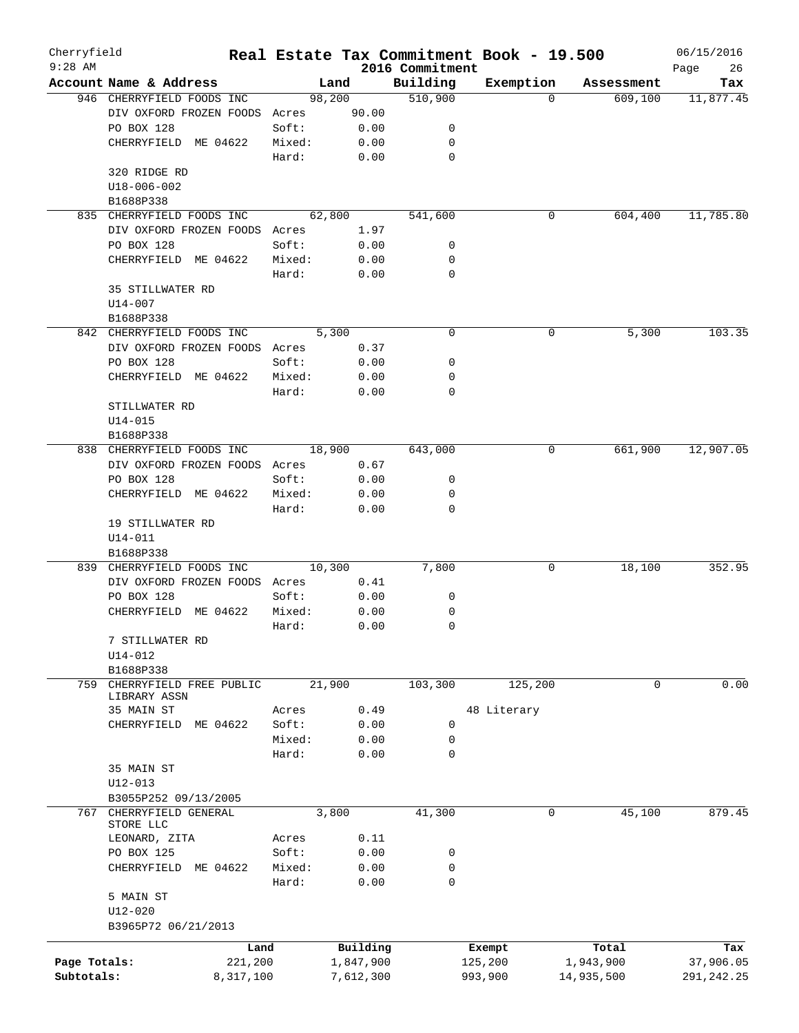| Cherryfield<br>$9:28$ AM |                               |        |           | 2016 Commitment | Real Estate Tax Commitment Book - 19.500 |            | 06/15/2016<br>26 |
|--------------------------|-------------------------------|--------|-----------|-----------------|------------------------------------------|------------|------------------|
|                          | Account Name & Address        |        | Land      | Building        | Exemption                                | Assessment | Page<br>Tax      |
|                          | 946 CHERRYFIELD FOODS INC     |        | 98,200    | 510,900         | $\Omega$                                 | 609,100    | 11,877.45        |
|                          | DIV OXFORD FROZEN FOODS Acres |        | 90.00     |                 |                                          |            |                  |
|                          | PO BOX 128                    | Soft:  | 0.00      | 0               |                                          |            |                  |
|                          | CHERRYFIELD ME 04622          | Mixed: | 0.00      | $\mathbf 0$     |                                          |            |                  |
|                          |                               | Hard:  | 0.00      | $\mathbf 0$     |                                          |            |                  |
|                          | 320 RIDGE RD                  |        |           |                 |                                          |            |                  |
|                          | U18-006-002                   |        |           |                 |                                          |            |                  |
|                          | B1688P338                     |        |           |                 |                                          |            |                  |
| 835                      | CHERRYFIELD FOODS INC         |        | 62,800    | 541,600         | 0                                        | 604,400    | 11,785.80        |
|                          | DIV OXFORD FROZEN FOODS Acres |        | 1.97      |                 |                                          |            |                  |
|                          | PO BOX 128                    | Soft:  | 0.00      | 0               |                                          |            |                  |
|                          | CHERRYFIELD ME 04622          | Mixed: | 0.00      | 0               |                                          |            |                  |
|                          |                               | Hard:  | 0.00      | 0               |                                          |            |                  |
|                          | 35 STILLWATER RD              |        |           |                 |                                          |            |                  |
|                          | $U14 - 007$                   |        |           |                 |                                          |            |                  |
|                          | B1688P338                     |        |           |                 |                                          |            |                  |
|                          | 842 CHERRYFIELD FOODS INC     |        | 5,300     | $\mathbf 0$     | 0                                        | 5,300      | 103.35           |
|                          | DIV OXFORD FROZEN FOODS       | Acres  | 0.37      |                 |                                          |            |                  |
|                          | PO BOX 128                    | Soft:  | 0.00      | 0               |                                          |            |                  |
|                          | CHERRYFIELD ME 04622          | Mixed: | 0.00      | $\mathbf 0$     |                                          |            |                  |
|                          |                               | Hard:  | 0.00      | 0               |                                          |            |                  |
|                          | STILLWATER RD                 |        |           |                 |                                          |            |                  |
|                          | $U14 - 015$                   |        |           |                 |                                          |            |                  |
|                          | B1688P338                     |        |           |                 |                                          |            |                  |
| 838                      | CHERRYFIELD FOODS INC         |        | 18,900    | 643,000         | 0                                        | 661,900    | 12,907.05        |
|                          | DIV OXFORD FROZEN FOODS       | Acres  | 0.67      |                 |                                          |            |                  |
|                          | PO BOX 128                    | Soft:  | 0.00      | 0               |                                          |            |                  |
|                          | CHERRYFIELD ME 04622          | Mixed: | 0.00      | 0               |                                          |            |                  |
|                          |                               | Hard:  | 0.00      | $\mathbf 0$     |                                          |            |                  |
|                          | 19 STILLWATER RD              |        |           |                 |                                          |            |                  |
|                          | $U14 - 011$                   |        |           |                 |                                          |            |                  |
|                          | B1688P338                     |        |           |                 |                                          |            |                  |
| 839                      | CHERRYFIELD FOODS INC         |        | 10,300    | 7,800           | 0                                        | 18,100     | 352.95           |
|                          | DIV OXFORD FROZEN FOODS Acres |        | 0.41      |                 |                                          |            |                  |
|                          | PO BOX 128                    | Soft:  | 0.00      | 0               |                                          |            |                  |
|                          | CHERRYFIELD<br>ME 04622       | Mixed: | 0.00      | 0               |                                          |            |                  |
|                          |                               | Hard:  | 0.00      | $\mathbf 0$     |                                          |            |                  |
|                          | 7 STILLWATER RD               |        |           |                 |                                          |            |                  |
|                          | $U14 - 012$                   |        |           |                 |                                          |            |                  |
|                          | B1688P338                     |        |           |                 |                                          |            |                  |
| 759                      | CHERRYFIELD FREE PUBLIC       |        | 21,900    | 103,300         | 125,200                                  | 0          | 0.00             |
|                          | LIBRARY ASSN                  |        |           |                 |                                          |            |                  |
|                          | 35 MAIN ST                    | Acres  | 0.49      |                 | 48 Literary                              |            |                  |
|                          | CHERRYFIELD<br>ME 04622       | Soft:  | 0.00      | 0               |                                          |            |                  |
|                          |                               | Mixed: | 0.00      | 0               |                                          |            |                  |
|                          |                               | Hard:  | 0.00      | $\mathbf 0$     |                                          |            |                  |
|                          | 35 MAIN ST                    |        |           |                 |                                          |            |                  |
|                          | U12-013                       |        |           |                 |                                          |            |                  |
|                          | B3055P252 09/13/2005          |        |           |                 |                                          |            |                  |
| 767                      | CHERRYFIELD GENERAL           |        | 3,800     | 41,300          | 0                                        | 45,100     | 879.45           |
|                          | STORE LLC                     |        |           |                 |                                          |            |                  |
|                          | LEONARD, ZITA                 | Acres  | 0.11      |                 |                                          |            |                  |
|                          | PO BOX 125                    | Soft:  | 0.00      | 0               |                                          |            |                  |
|                          | CHERRYFIELD ME 04622          | Mixed: | 0.00      | 0               |                                          |            |                  |
|                          |                               | Hard:  | 0.00      | $\mathbf 0$     |                                          |            |                  |
|                          | 5 MAIN ST                     |        |           |                 |                                          |            |                  |
|                          | U12-020                       |        |           |                 |                                          |            |                  |
|                          | B3965P72 06/21/2013           |        |           |                 |                                          |            |                  |
|                          |                               | Land   | Building  |                 | Exempt                                   | Total      | Tax              |
| Page Totals:             | 221,200                       |        | 1,847,900 |                 | 125,200                                  | 1,943,900  | 37,906.05        |
| Subtotals:               | 8,317,100                     |        | 7,612,300 |                 | 993,900                                  | 14,935,500 | 291, 242. 25     |
|                          |                               |        |           |                 |                                          |            |                  |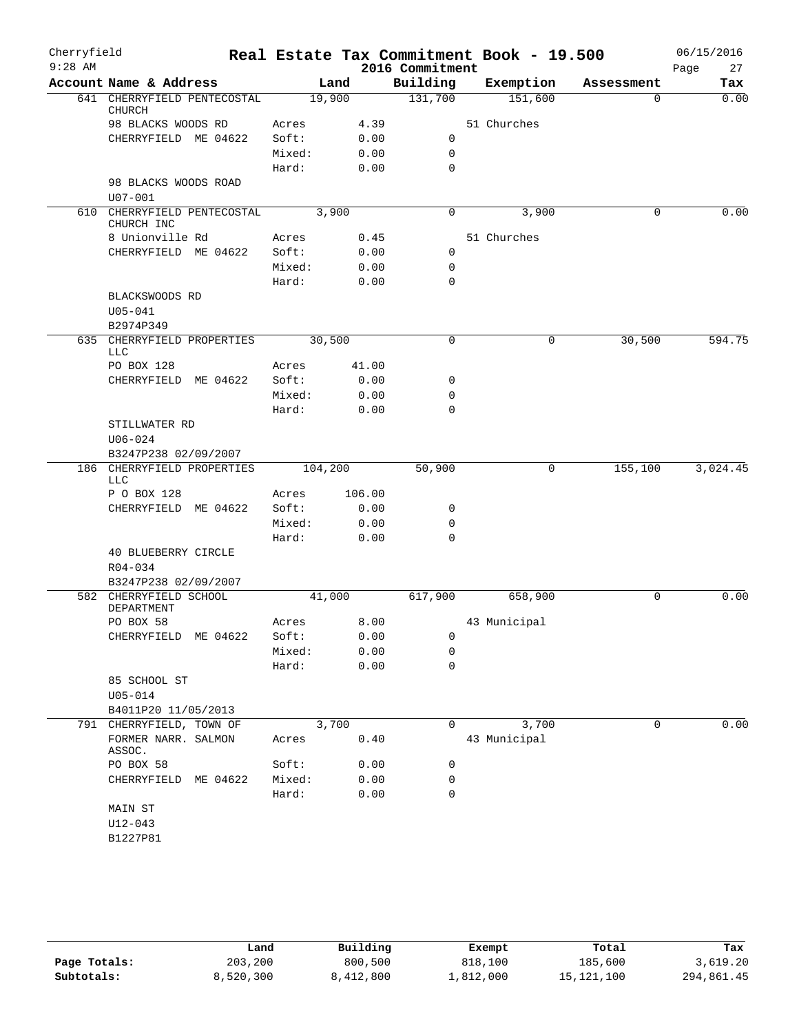| Cherryfield<br>$9:28$ AM |                                              |         |        | 2016 Commitment | Real Estate Tax Commitment Book - 19.500 |   |             | 06/15/2016<br>Page<br>27 |
|--------------------------|----------------------------------------------|---------|--------|-----------------|------------------------------------------|---|-------------|--------------------------|
|                          | Account Name & Address                       |         | Land   | Building        | Exemption                                |   | Assessment  | Tax                      |
|                          | 641 CHERRYFIELD PENTECOSTAL<br><b>CHURCH</b> | 19,900  |        | 131,700         | 151,600                                  |   | 0           | 0.00                     |
|                          | 98 BLACKS WOODS RD                           | Acres   | 4.39   |                 | 51 Churches                              |   |             |                          |
|                          | CHERRYFIELD ME 04622                         | Soft:   | 0.00   | $\mathbf 0$     |                                          |   |             |                          |
|                          |                                              | Mixed:  | 0.00   | $\mathbf 0$     |                                          |   |             |                          |
|                          |                                              | Hard:   | 0.00   | $\mathbf 0$     |                                          |   |             |                          |
|                          | 98 BLACKS WOODS ROAD<br>$U07 - 001$          |         |        |                 |                                          |   |             |                          |
|                          | 610 CHERRYFIELD PENTECOSTAL<br>CHURCH INC    | 3,900   |        | 0               | 3,900                                    |   | $\mathbf 0$ | 0.00                     |
|                          | 8 Unionville Rd                              | Acres   | 0.45   |                 | 51 Churches                              |   |             |                          |
|                          | CHERRYFIELD ME 04622                         | Soft:   | 0.00   | 0               |                                          |   |             |                          |
|                          |                                              | Mixed:  | 0.00   | 0               |                                          |   |             |                          |
|                          |                                              | Hard:   | 0.00   | $\mathbf 0$     |                                          |   |             |                          |
|                          | BLACKSWOODS RD                               |         |        |                 |                                          |   |             |                          |
|                          | $U05 - 041$                                  |         |        |                 |                                          |   |             |                          |
|                          | B2974P349<br>635 CHERRYFIELD PROPERTIES      | 30,500  |        | $\mathbf 0$     |                                          | 0 | 30,500      | 594.75                   |
|                          | LLC<br>PO BOX 128                            | Acres   | 41.00  |                 |                                          |   |             |                          |
|                          | CHERRYFIELD ME 04622                         | Soft:   | 0.00   | 0               |                                          |   |             |                          |
|                          |                                              | Mixed:  | 0.00   | $\mathbf 0$     |                                          |   |             |                          |
|                          |                                              | Hard:   | 0.00   | $\mathbf 0$     |                                          |   |             |                          |
|                          | STILLWATER RD                                |         |        |                 |                                          |   |             |                          |
|                          | $U06 - 024$                                  |         |        |                 |                                          |   |             |                          |
|                          | B3247P238 02/09/2007                         |         |        |                 |                                          |   |             |                          |
|                          | 186 CHERRYFIELD PROPERTIES<br><b>LLC</b>     | 104,200 |        | 50,900          |                                          | 0 | 155,100     | 3,024.45                 |
|                          | P O BOX 128                                  | Acres   | 106.00 |                 |                                          |   |             |                          |
|                          | CHERRYFIELD ME 04622                         | Soft:   | 0.00   | 0               |                                          |   |             |                          |
|                          |                                              | Mixed:  | 0.00   | $\mathbf 0$     |                                          |   |             |                          |
|                          |                                              | Hard:   | 0.00   | $\Omega$        |                                          |   |             |                          |
|                          | 40 BLUEBERRY CIRCLE                          |         |        |                 |                                          |   |             |                          |
|                          | R04-034                                      |         |        |                 |                                          |   |             |                          |
|                          | B3247P238 02/09/2007                         |         |        |                 |                                          |   |             |                          |
|                          | 582 CHERRYFIELD SCHOOL                       | 41,000  |        | 617,900         | 658,900                                  |   | $\mathbf 0$ | 0.00                     |
|                          | DEPARTMENT<br>PO BOX 58                      | Acres   | 8.00   |                 | 43 Municipal                             |   |             |                          |
|                          | CHERRYFIELD ME 04622                         | Soft:   | 0.00   | 0               |                                          |   |             |                          |
|                          |                                              | Mixed:  | 0.00   | 0               |                                          |   |             |                          |
|                          |                                              | Hard:   | 0.00   | $\mathbf 0$     |                                          |   |             |                          |
|                          | 85 SCHOOL ST                                 |         |        |                 |                                          |   |             |                          |
|                          | $U05 - 014$                                  |         |        |                 |                                          |   |             |                          |
|                          | B4011P20 11/05/2013                          |         |        |                 |                                          |   |             |                          |
| 791                      | CHERRYFIELD, TOWN OF                         | 3,700   |        | $\mathbf 0$     | 3,700                                    |   | $\mathbf 0$ | 0.00                     |
|                          | FORMER NARR. SALMON<br>ASSOC.                | Acres   | 0.40   |                 | 43 Municipal                             |   |             |                          |
|                          | PO BOX 58                                    | Soft:   | 0.00   | 0               |                                          |   |             |                          |
|                          | CHERRYFIELD ME 04622                         | Mixed:  | 0.00   | $\mathbf 0$     |                                          |   |             |                          |
|                          |                                              | Hard:   | 0.00   | $\mathbf 0$     |                                          |   |             |                          |
|                          | MAIN ST                                      |         |        |                 |                                          |   |             |                          |
|                          | $U12 - 043$                                  |         |        |                 |                                          |   |             |                          |
|                          | B1227P81                                     |         |        |                 |                                          |   |             |                          |
|                          |                                              |         |        |                 |                                          |   |             |                          |

|              | Land      | Building  | Exempt    | Total      | Tax        |
|--------------|-----------|-----------|-----------|------------|------------|
| Page Totals: | 203,200   | 800,500   | 818,100   | 185,600    | 3,619.20   |
| Subtotals:   | 8,520,300 | 8,412,800 | 1,812,000 | 15,121,100 | 294,861.45 |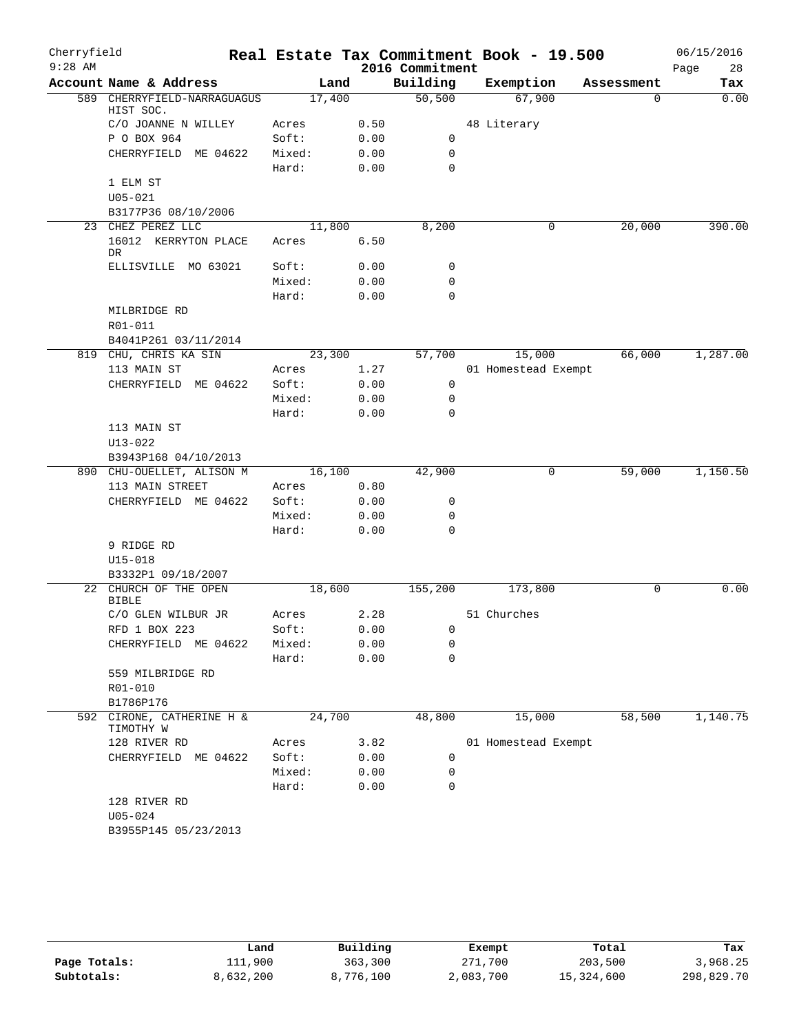| Cherryfield<br>$9:28$ AM |                                          |                |              | 2016 Commitment     | Real Estate Tax Commitment Book - 19.500 |            | 06/15/2016<br>Page<br>28 |
|--------------------------|------------------------------------------|----------------|--------------|---------------------|------------------------------------------|------------|--------------------------|
|                          | Account Name & Address                   |                | Land         | Building            | Exemption                                | Assessment | Tax                      |
|                          | 589 CHERRYFIELD-NARRAGUAGUS<br>HIST SOC. | 17,400         |              | $\overline{50,500}$ | 67,900                                   | 0          | 0.00                     |
|                          | C/O JOANNE N WILLEY                      | Acres          | 0.50         |                     | 48 Literary                              |            |                          |
|                          | P O BOX 964                              | Soft:          | 0.00         | 0                   |                                          |            |                          |
|                          | CHERRYFIELD ME 04622                     | Mixed:         | 0.00         | $\mathbf 0$         |                                          |            |                          |
|                          |                                          | Hard:          | 0.00         | $\mathbf 0$         |                                          |            |                          |
|                          | 1 ELM ST                                 |                |              |                     |                                          |            |                          |
|                          | $U05 - 021$                              |                |              |                     |                                          |            |                          |
|                          | B3177P36 08/10/2006                      |                |              |                     |                                          |            |                          |
|                          | 23 CHEZ PEREZ LLC                        | 11,800         |              | 8,200               | 0                                        | 20,000     | 390.00                   |
|                          | 16012 KERRYTON PLACE<br>DR.              | Acres          | 6.50         |                     |                                          |            |                          |
|                          | ELLISVILLE MO 63021                      | Soft:          | 0.00         | 0                   |                                          |            |                          |
|                          |                                          | Mixed:         | 0.00         | $\mathbf 0$         |                                          |            |                          |
|                          |                                          | Hard:          | 0.00         | $\mathbf 0$         |                                          |            |                          |
|                          | MILBRIDGE RD                             |                |              |                     |                                          |            |                          |
|                          | R01-011                                  |                |              |                     |                                          |            |                          |
|                          | B4041P261 03/11/2014                     |                |              |                     |                                          |            |                          |
|                          | 819 CHU, CHRIS KA SIN                    | 23,300         |              | 57,700              | 15,000                                   | 66,000     | 1,287.00                 |
|                          | 113 MAIN ST<br>CHERRYFIELD ME 04622      | Acres<br>Soft: | 1.27<br>0.00 | 0                   | 01 Homestead Exempt                      |            |                          |
|                          |                                          | Mixed:         | 0.00         | 0                   |                                          |            |                          |
|                          |                                          | Hard:          | 0.00         | $\Omega$            |                                          |            |                          |
|                          | 113 MAIN ST                              |                |              |                     |                                          |            |                          |
|                          | $U13 - 022$                              |                |              |                     |                                          |            |                          |
|                          | B3943P168 04/10/2013                     |                |              |                     |                                          |            |                          |
|                          | 890 CHU-OUELLET, ALISON M                | 16,100         |              | 42,900              | 0                                        | 59,000     | 1,150.50                 |
|                          | 113 MAIN STREET                          | Acres          | 0.80         |                     |                                          |            |                          |
|                          | CHERRYFIELD ME 04622                     | Soft:          | 0.00         | 0                   |                                          |            |                          |
|                          |                                          | Mixed:         | 0.00         | 0                   |                                          |            |                          |
|                          |                                          | Hard:          | 0.00         | $\mathbf 0$         |                                          |            |                          |
|                          | 9 RIDGE RD                               |                |              |                     |                                          |            |                          |
|                          | $U15 - 018$                              |                |              |                     |                                          |            |                          |
|                          | B3332P1 09/18/2007                       |                |              |                     |                                          |            | 0.00                     |
|                          | 22 CHURCH OF THE OPEN<br><b>BIBLE</b>    | 18,600         |              | 155,200             | 173,800                                  | 0          |                          |
|                          | C/O GLEN WILBUR JR                       | Acres          | 2.28         |                     | 51 Churches                              |            |                          |
|                          | RFD 1 BOX 223                            | Soft:          | 0.00         | 0                   |                                          |            |                          |
|                          | CHERRYFIELD ME 04622                     | Mixed:         | 0.00         | 0                   |                                          |            |                          |
|                          |                                          | Hard:          | 0.00         | 0                   |                                          |            |                          |
|                          | 559 MILBRIDGE RD                         |                |              |                     |                                          |            |                          |
|                          | R01-010                                  |                |              |                     |                                          |            |                          |
|                          | B1786P176                                |                |              |                     |                                          |            |                          |
| 592                      | CIRONE, CATHERINE H &<br>TIMOTHY W       | 24,700         |              | 48,800              | 15,000                                   | 58,500     | 1,140.75                 |
|                          | 128 RIVER RD                             | Acres          | 3.82         |                     | 01 Homestead Exempt                      |            |                          |
|                          | CHERRYFIELD ME 04622                     | Soft:          | 0.00         | 0                   |                                          |            |                          |
|                          |                                          | Mixed:         | 0.00         | 0                   |                                          |            |                          |
|                          |                                          | Hard:          | 0.00         | $\mathbf 0$         |                                          |            |                          |
|                          | 128 RIVER RD<br>$U05 - 024$              |                |              |                     |                                          |            |                          |
|                          | B3955P145 05/23/2013                     |                |              |                     |                                          |            |                          |
|                          |                                          |                |              |                     |                                          |            |                          |

|              | Land      | Building  | Exempt    | Total      | Tax        |
|--------------|-----------|-----------|-----------|------------|------------|
| Page Totals: | 111,900   | 363,300   | 271,700   | 203,500    | 3,968.25   |
| Subtotals:   | 8,632,200 | 8,776,100 | 2,083,700 | 15,324,600 | 298,829.70 |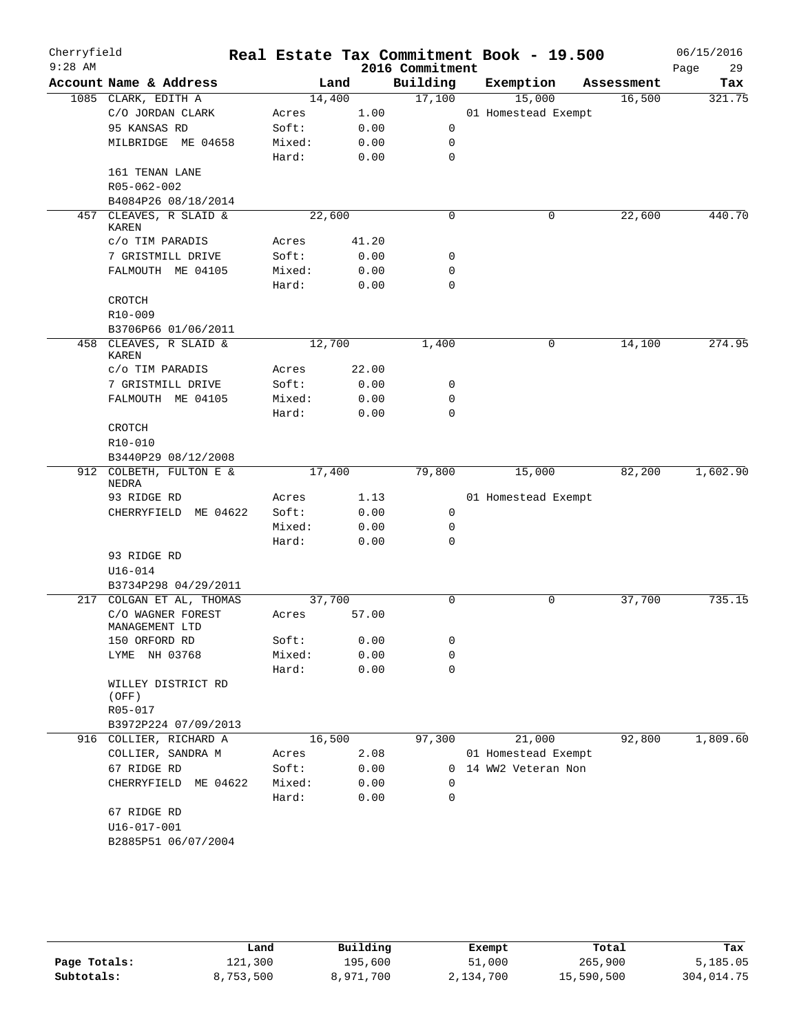| Cherryfield<br>$9:28$ AM |                                        |       |        |       | 2016 Commitment | Real Estate Tax Commitment Book - 19.500 |            | 06/15/2016<br>Page<br>29 |
|--------------------------|----------------------------------------|-------|--------|-------|-----------------|------------------------------------------|------------|--------------------------|
|                          | Account Name & Address                 |       | Land   |       | Building        | Exemption                                | Assessment | Tax                      |
|                          | 1085 CLARK, EDITH A                    |       | 14,400 |       | 17,100          | 15,000                                   | 16,500     | 321.75                   |
|                          | C/O JORDAN CLARK                       | Acres |        | 1.00  |                 | 01 Homestead Exempt                      |            |                          |
|                          | 95 KANSAS RD                           | Soft: |        | 0.00  | 0               |                                          |            |                          |
|                          | MILBRIDGE ME 04658                     |       | Mixed: | 0.00  | 0               |                                          |            |                          |
|                          |                                        | Hard: |        | 0.00  | 0               |                                          |            |                          |
|                          | 161 TENAN LANE                         |       |        |       |                 |                                          |            |                          |
|                          | R05-062-002                            |       |        |       |                 |                                          |            |                          |
|                          | B4084P26 08/18/2014                    |       |        |       |                 |                                          |            |                          |
| 457                      | CLEAVES, R SLAID &<br><b>KAREN</b>     |       | 22,600 |       | $\mathbf 0$     | 0                                        | 22,600     | 440.70                   |
|                          | c/o TIM PARADIS                        | Acres |        | 41.20 |                 |                                          |            |                          |
|                          | 7 GRISTMILL DRIVE                      | Soft: |        | 0.00  | 0               |                                          |            |                          |
|                          | FALMOUTH ME 04105                      |       | Mixed: | 0.00  | 0               |                                          |            |                          |
|                          |                                        | Hard: |        | 0.00  | 0               |                                          |            |                          |
|                          | CROTCH                                 |       |        |       |                 |                                          |            |                          |
|                          | R10-009                                |       |        |       |                 |                                          |            |                          |
|                          | B3706P66 01/06/2011                    |       |        |       |                 |                                          |            |                          |
|                          | 458 CLEAVES, R SLAID &<br><b>KAREN</b> |       | 12,700 |       | 1,400           | 0                                        | 14,100     | 274.95                   |
|                          | c/o TIM PARADIS                        | Acres |        | 22.00 |                 |                                          |            |                          |
|                          | 7 GRISTMILL DRIVE                      | Soft: |        | 0.00  | 0               |                                          |            |                          |
|                          | FALMOUTH ME 04105                      |       | Mixed: | 0.00  | 0               |                                          |            |                          |
|                          |                                        | Hard: |        | 0.00  | $\Omega$        |                                          |            |                          |
|                          | CROTCH                                 |       |        |       |                 |                                          |            |                          |
|                          | R10-010                                |       |        |       |                 |                                          |            |                          |
|                          | B3440P29 08/12/2008                    |       |        |       |                 |                                          |            |                          |
|                          | 912 COLBETH, FULTON E &<br>NEDRA       |       | 17,400 |       | 79,800          | 15,000                                   | 82,200     | 1,602.90                 |
|                          | 93 RIDGE RD                            | Acres |        | 1.13  |                 | 01 Homestead Exempt                      |            |                          |
|                          | CHERRYFIELD ME 04622                   | Soft: |        | 0.00  | 0               |                                          |            |                          |
|                          |                                        |       | Mixed: | 0.00  | 0               |                                          |            |                          |
|                          |                                        | Hard: |        | 0.00  | $\mathbf 0$     |                                          |            |                          |
|                          | 93 RIDGE RD                            |       |        |       |                 |                                          |            |                          |
|                          | $U16 - 014$                            |       |        |       |                 |                                          |            |                          |
|                          | B3734P298 04/29/2011                   |       |        |       |                 |                                          |            |                          |
| 217                      | COLGAN ET AL, THOMAS                   |       | 37,700 |       | 0               | 0                                        | 37,700     | 735.15                   |
|                          | C/O WAGNER FOREST<br>MANAGEMENT LTD    | Acres |        | 57.00 |                 |                                          |            |                          |
|                          | 150 ORFORD RD                          | Soft: |        | 0.00  | 0               |                                          |            |                          |
|                          | NH 03768<br>LYME                       |       | Mixed: | 0.00  | 0               |                                          |            |                          |
|                          |                                        | Hard: |        | 0.00  | 0               |                                          |            |                          |
|                          | WILLEY DISTRICT RD<br>(OFF)<br>R05-017 |       |        |       |                 |                                          |            |                          |
|                          | B3972P224 07/09/2013                   |       |        |       |                 |                                          |            |                          |
| 916                      | COLLIER, RICHARD A                     |       | 16,500 |       | 97,300          | 21,000                                   | 92,800     | 1,809.60                 |
|                          | COLLIER, SANDRA M                      | Acres |        | 2.08  |                 | 01 Homestead Exempt                      |            |                          |
|                          | 67 RIDGE RD                            | Soft: |        | 0.00  | 0               | 14 WW2 Veteran Non                       |            |                          |
|                          | CHERRYFIELD<br>ME 04622                |       | Mixed: | 0.00  | $\Omega$        |                                          |            |                          |
|                          |                                        | Hard: |        | 0.00  | 0               |                                          |            |                          |
|                          | 67 RIDGE RD                            |       |        |       |                 |                                          |            |                          |
|                          | $U16 - 017 - 001$                      |       |        |       |                 |                                          |            |                          |
|                          | B2885P51 06/07/2004                    |       |        |       |                 |                                          |            |                          |
|                          |                                        |       |        |       |                 |                                          |            |                          |

|              | Land      | Building  | Exempt    | Total      | Tax        |
|--------------|-----------|-----------|-----------|------------|------------|
| Page Totals: | 121,300   | 195,600   | 51,000    | 265,900    | 5,185.05   |
| Subtotals:   | 8,753,500 | 8,971,700 | 2,134,700 | 15,590,500 | 304,014.75 |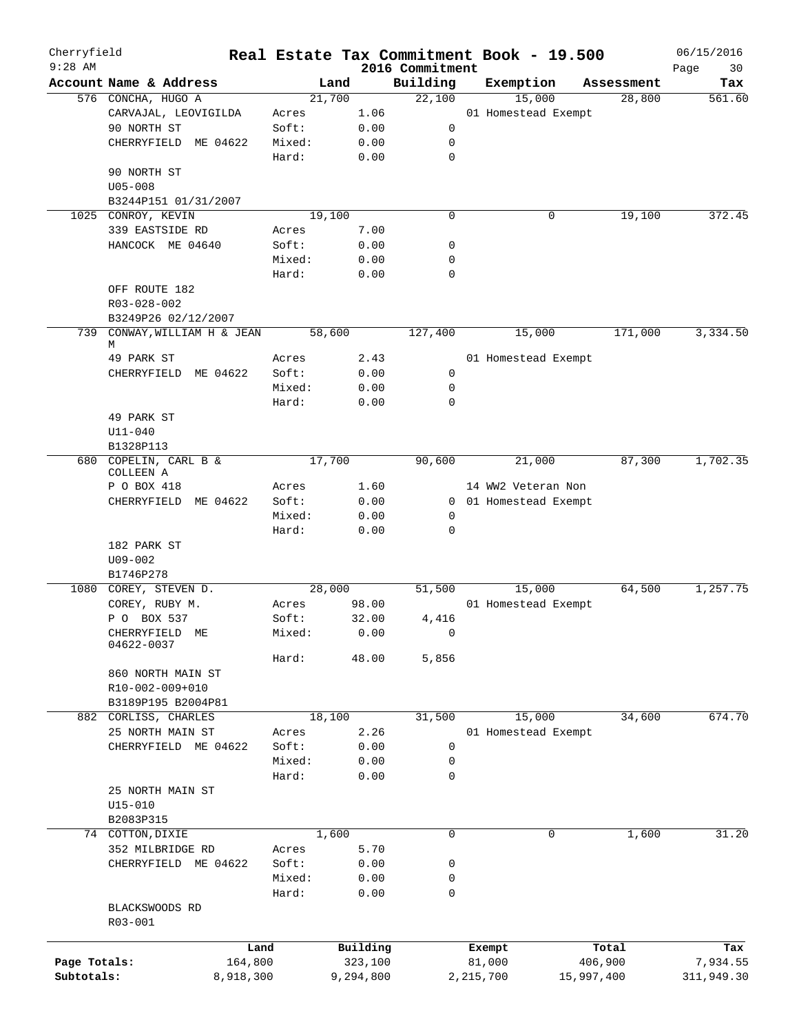| Cherryfield<br>$9:28$ AM |                                   |           |        |           | 2016 Commitment | Real Estate Tax Commitment Book - 19.500 |            | 06/15/2016        |
|--------------------------|-----------------------------------|-----------|--------|-----------|-----------------|------------------------------------------|------------|-------------------|
|                          | Account Name & Address            |           | Land   |           | Building        | Exemption                                | Assessment | Page<br>30<br>Tax |
|                          | 576 CONCHA, HUGO A                |           | 21,700 |           | 22,100          | 15,000                                   | 28,800     | 561.60            |
|                          | CARVAJAL, LEOVIGILDA              |           | Acres  | 1.06      |                 | 01 Homestead Exempt                      |            |                   |
|                          | 90 NORTH ST                       |           | Soft:  | 0.00      | 0               |                                          |            |                   |
|                          | CHERRYFIELD ME 04622              |           | Mixed: | 0.00      | 0               |                                          |            |                   |
|                          |                                   |           | Hard:  | 0.00      | 0               |                                          |            |                   |
|                          | 90 NORTH ST                       |           |        |           |                 |                                          |            |                   |
|                          | $U05 - 008$                       |           |        |           |                 |                                          |            |                   |
|                          | B3244P151 01/31/2007              |           |        |           |                 |                                          |            |                   |
|                          | 1025 CONROY, KEVIN                |           | 19,100 |           | 0               | 0                                        | 19,100     | 372.45            |
|                          | 339 EASTSIDE RD                   |           | Acres  |           |                 |                                          |            |                   |
|                          |                                   |           | Soft:  | 7.00      |                 |                                          |            |                   |
|                          | HANCOCK ME 04640                  |           |        | 0.00      | 0               |                                          |            |                   |
|                          |                                   |           | Mixed: | 0.00      | 0<br>0          |                                          |            |                   |
|                          |                                   |           | Hard:  | 0.00      |                 |                                          |            |                   |
|                          | OFF ROUTE 182                     |           |        |           |                 |                                          |            |                   |
|                          | R03-028-002                       |           |        |           |                 |                                          |            |                   |
|                          | B3249P26 02/12/2007               |           |        |           |                 |                                          |            |                   |
|                          | 739 CONWAY, WILLIAM H & JEAN<br>M |           | 58,600 |           | 127,400         | 15,000                                   | 171,000    | 3,334.50          |
|                          | 49 PARK ST                        |           | Acres  | 2.43      |                 | 01 Homestead Exempt                      |            |                   |
|                          | CHERRYFIELD ME 04622              |           | Soft:  | 0.00      | 0               |                                          |            |                   |
|                          |                                   |           | Mixed: | 0.00      | 0               |                                          |            |                   |
|                          |                                   |           | Hard:  | 0.00      | 0               |                                          |            |                   |
|                          | 49 PARK ST                        |           |        |           |                 |                                          |            |                   |
|                          | $U11 - 040$                       |           |        |           |                 |                                          |            |                   |
|                          | B1328P113                         |           |        |           |                 |                                          |            |                   |
|                          | 680 COPELIN, CARL B &             |           | 17,700 |           | 90,600          | 21,000                                   | 87,300     | 1,702.35          |
|                          | COLLEEN A                         |           |        |           |                 |                                          |            |                   |
|                          | P O BOX 418                       |           | Acres  | 1.60      |                 | 14 WW2 Veteran Non                       |            |                   |
|                          | ME 04622<br>CHERRYFIELD           |           | Soft:  | 0.00      |                 | 0 01 Homestead Exempt                    |            |                   |
|                          |                                   |           | Mixed: | 0.00      | 0               |                                          |            |                   |
|                          |                                   |           | Hard:  | 0.00      | $\mathbf 0$     |                                          |            |                   |
|                          | 182 PARK ST                       |           |        |           |                 |                                          |            |                   |
|                          | $U09 - 002$                       |           |        |           |                 |                                          |            |                   |
|                          | B1746P278                         |           |        |           |                 |                                          |            |                   |
|                          | 1080 COREY, STEVEN D.             |           | 28,000 |           | 51,500          | 15,000                                   | 64,500     | 1,257.75          |
|                          | COREY, RUBY M.                    |           | Acres  | 98.00     |                 | 01 Homestead Exempt                      |            |                   |
|                          | P O BOX 537                       |           | Soft:  | 32.00     | 4,416           |                                          |            |                   |
|                          | CHERRYFIELD ME                    |           | Mixed: | 0.00      | $\overline{a}$  |                                          |            |                   |
|                          | 04622-0037                        |           |        |           |                 |                                          |            |                   |
|                          |                                   |           | Hard:  | 48.00     | 5,856           |                                          |            |                   |
|                          | 860 NORTH MAIN ST                 |           |        |           |                 |                                          |            |                   |
|                          | R10-002-009+010                   |           |        |           |                 |                                          |            |                   |
|                          | B3189P195 B2004P81                |           |        |           |                 |                                          |            |                   |
|                          | 882 CORLISS, CHARLES              |           | 18,100 |           | 31,500          | 15,000                                   | 34,600     | 674.70            |
|                          | 25 NORTH MAIN ST                  |           | Acres  | 2.26      |                 | 01 Homestead Exempt                      |            |                   |
|                          | CHERRYFIELD ME 04622              |           | Soft:  | 0.00      | 0               |                                          |            |                   |
|                          |                                   |           | Mixed: | 0.00      | 0               |                                          |            |                   |
|                          |                                   |           | Hard:  | 0.00      | 0               |                                          |            |                   |
|                          | 25 NORTH MAIN ST                  |           |        |           |                 |                                          |            |                   |
|                          | $U15 - 010$                       |           |        |           |                 |                                          |            |                   |
|                          | B2083P315                         |           |        |           |                 |                                          |            |                   |
|                          | 74 COTTON, DIXIE                  |           | 1,600  |           | 0               | 0                                        | 1,600      | 31.20             |
|                          | 352 MILBRIDGE RD                  |           | Acres  | 5.70      |                 |                                          |            |                   |
|                          | CHERRYFIELD ME 04622              |           | Soft:  | 0.00      | 0               |                                          |            |                   |
|                          |                                   |           | Mixed: | 0.00      | 0               |                                          |            |                   |
|                          |                                   |           | Hard:  | 0.00      | 0               |                                          |            |                   |
|                          | BLACKSWOODS RD                    |           |        |           |                 |                                          |            |                   |
|                          | R03-001                           |           |        |           |                 |                                          |            |                   |
|                          |                                   |           |        |           |                 |                                          |            |                   |
|                          |                                   | Land      |        | Building  |                 | Exempt                                   | Total      | Tax               |
| Page Totals:             |                                   | 164,800   |        | 323,100   |                 | 81,000                                   | 406,900    | 7,934.55          |
| Subtotals:               |                                   | 8,918,300 |        | 9,294,800 |                 | 2,215,700                                | 15,997,400 | 311,949.30        |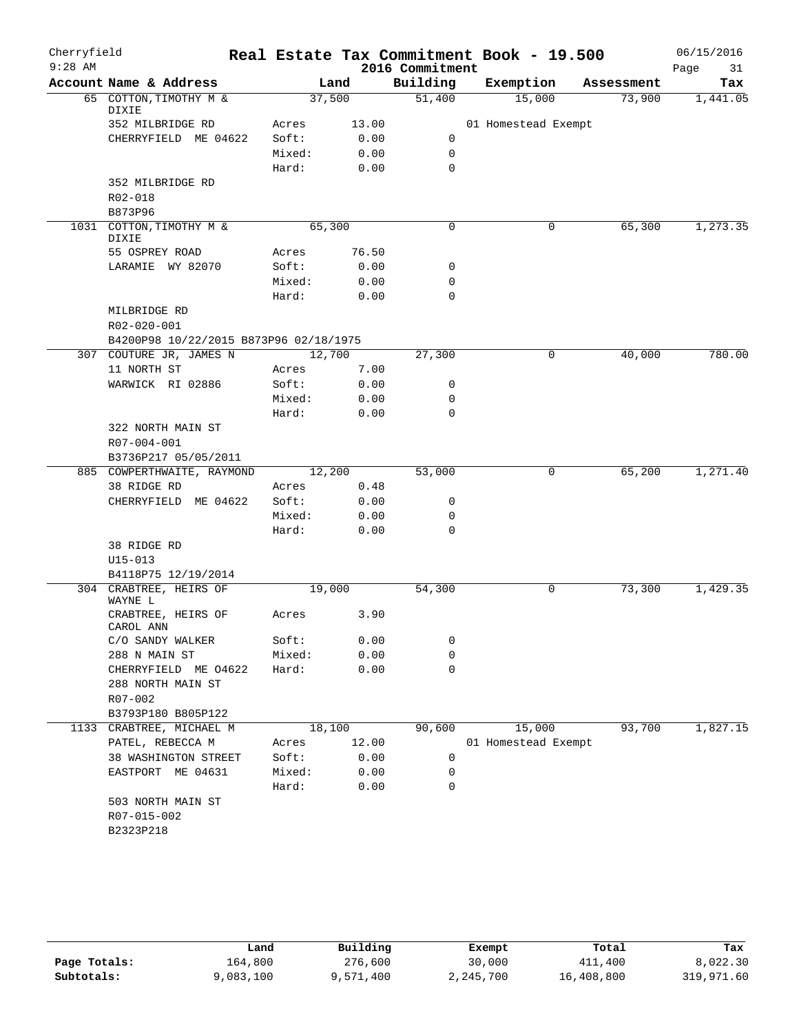| Cherryfield<br>$9:28$ AM |                                        |        |       | Real Estate Tax Commitment Book - 19.500 |                     |             |            | 06/15/2016        |
|--------------------------|----------------------------------------|--------|-------|------------------------------------------|---------------------|-------------|------------|-------------------|
|                          | Account Name & Address                 | Land   |       | 2016 Commitment<br>Building              | Exemption           |             | Assessment | Page<br>31<br>Tax |
|                          | 65 COTTON, TIMOTHY M &                 | 37,500 |       | 51,400                                   | 15,000              |             | 73,900     | 1,441.05          |
|                          | DIXIE                                  |        |       |                                          |                     |             |            |                   |
|                          | 352 MILBRIDGE RD                       | Acres  | 13.00 |                                          | 01 Homestead Exempt |             |            |                   |
|                          | CHERRYFIELD ME 04622                   | Soft:  | 0.00  | 0                                        |                     |             |            |                   |
|                          |                                        | Mixed: | 0.00  | $\mathbf 0$                              |                     |             |            |                   |
|                          |                                        | Hard:  | 0.00  | $\mathbf 0$                              |                     |             |            |                   |
|                          | 352 MILBRIDGE RD                       |        |       |                                          |                     |             |            |                   |
|                          | R02-018                                |        |       |                                          |                     |             |            |                   |
|                          | B873P96                                |        |       |                                          |                     |             |            |                   |
|                          | 1031 COTTON, TIMOTHY M &<br>DIXIE      | 65,300 |       | 0                                        |                     | 0           | 65,300     | 1,273.35          |
|                          | 55 OSPREY ROAD                         | Acres  | 76.50 |                                          |                     |             |            |                   |
|                          | LARAMIE WY 82070                       | Soft:  | 0.00  | 0                                        |                     |             |            |                   |
|                          |                                        | Mixed: | 0.00  | 0                                        |                     |             |            |                   |
|                          |                                        | Hard:  | 0.00  | $\mathbf 0$                              |                     |             |            |                   |
|                          | MILBRIDGE RD                           |        |       |                                          |                     |             |            |                   |
|                          | R02-020-001                            |        |       |                                          |                     |             |            |                   |
|                          | B4200P98 10/22/2015 B873P96 02/18/1975 |        |       |                                          |                     |             |            |                   |
|                          | 307 COUTURE JR, JAMES N                | 12,700 |       | 27,300                                   |                     | $\mathbf 0$ | 40,000     | 780.00            |
|                          | 11 NORTH ST                            | Acres  | 7.00  |                                          |                     |             |            |                   |
|                          | WARWICK RI 02886                       | Soft:  | 0.00  | 0                                        |                     |             |            |                   |
|                          |                                        | Mixed: | 0.00  | 0                                        |                     |             |            |                   |
|                          |                                        | Hard:  | 0.00  | $\mathbf 0$                              |                     |             |            |                   |
|                          | 322 NORTH MAIN ST                      |        |       |                                          |                     |             |            |                   |
|                          | R07-004-001                            |        |       |                                          |                     |             |            |                   |
|                          | B3736P217 05/05/2011                   |        |       |                                          |                     |             |            |                   |
|                          | 885 COWPERTHWAITE, RAYMOND             | 12,200 |       | 53,000                                   |                     | 0           | 65,200     | 1,271.40          |
|                          | 38 RIDGE RD                            | Acres  | 0.48  |                                          |                     |             |            |                   |
|                          | CHERRYFIELD ME 04622                   | Soft:  | 0.00  | 0                                        |                     |             |            |                   |
|                          |                                        | Mixed: | 0.00  | 0                                        |                     |             |            |                   |
|                          |                                        | Hard:  | 0.00  | 0                                        |                     |             |            |                   |
|                          | 38 RIDGE RD                            |        |       |                                          |                     |             |            |                   |
|                          | $U15 - 013$                            |        |       |                                          |                     |             |            |                   |
|                          | B4118P75 12/19/2014                    |        |       |                                          |                     |             |            |                   |
|                          | 304 CRABTREE, HEIRS OF<br>WAYNE L      | 19,000 |       | 54,300                                   |                     | 0           | 73,300     | 1,429.35          |
|                          | CRABTREE, HEIRS OF<br>CAROL ANN        | Acres  | 3.90  |                                          |                     |             |            |                   |
|                          | C/O SANDY WALKER                       | Soft:  | 0.00  | 0                                        |                     |             |            |                   |
|                          | 288 N MAIN ST                          | Mixed: | 0.00  | 0                                        |                     |             |            |                   |
|                          | CHERRYFIELD ME 04622                   | Hard:  | 0.00  | 0                                        |                     |             |            |                   |
|                          | 288 NORTH MAIN ST                      |        |       |                                          |                     |             |            |                   |
|                          | R07-002                                |        |       |                                          |                     |             |            |                   |
|                          | B3793P180 B805P122                     |        |       |                                          |                     |             |            |                   |
|                          | 1133 CRABTREE, MICHAEL M               | 18,100 |       | 90,600                                   | 15,000              |             | 93,700     | 1,827.15          |
|                          | PATEL, REBECCA M                       | Acres  | 12.00 |                                          | 01 Homestead Exempt |             |            |                   |
|                          | 38 WASHINGTON STREET                   | Soft:  | 0.00  | 0                                        |                     |             |            |                   |
|                          | EASTPORT ME 04631                      | Mixed: | 0.00  | 0                                        |                     |             |            |                   |
|                          |                                        | Hard:  | 0.00  | 0                                        |                     |             |            |                   |
|                          | 503 NORTH MAIN ST                      |        |       |                                          |                     |             |            |                   |
|                          | R07-015-002                            |        |       |                                          |                     |             |            |                   |
|                          | B2323P218                              |        |       |                                          |                     |             |            |                   |
|                          |                                        |        |       |                                          |                     |             |            |                   |

|              | Land      | Building  | Exempt    | Total      | Tax        |
|--------------|-----------|-----------|-----------|------------|------------|
| Page Totals: | 164,800   | 276,600   | 30,000    | 411,400    | 8,022.30   |
| Subtotals:   | 9,083,100 | 9,571,400 | 2,245,700 | 16,408,800 | 319,971.60 |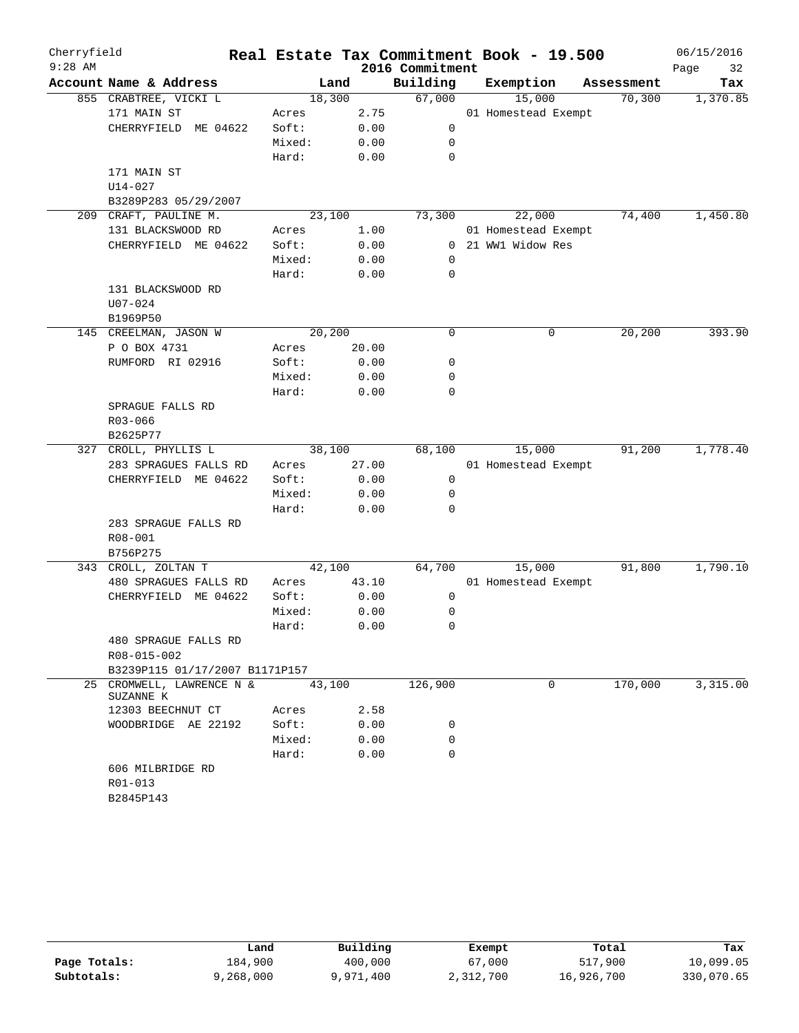| Cherryfield |                                     |         |       |                 | Real Estate Tax Commitment Book - 19.500 |            | 06/15/2016 |
|-------------|-------------------------------------|---------|-------|-----------------|------------------------------------------|------------|------------|
| $9:28$ AM   |                                     |         |       | 2016 Commitment |                                          |            | 32<br>Page |
|             | Account Name & Address              | Land    |       | Building        | Exemption                                | Assessment | Tax        |
|             | 855 CRABTREE, VICKI L               | 18,300  |       | 67,000          | 15,000                                   | 70,300     | 1,370.85   |
|             | 171 MAIN ST                         | Acres   | 2.75  |                 | 01 Homestead Exempt                      |            |            |
|             | CHERRYFIELD ME 04622                | Soft:   | 0.00  | $\mathbf 0$     |                                          |            |            |
|             |                                     | Mixed:  | 0.00  | $\mathbf 0$     |                                          |            |            |
|             |                                     | Hard:   | 0.00  | $\mathbf 0$     |                                          |            |            |
|             | 171 MAIN ST                         |         |       |                 |                                          |            |            |
|             | $U14 - 027$                         |         |       |                 |                                          |            |            |
|             | B3289P283 05/29/2007                |         |       |                 |                                          |            |            |
|             | 209 CRAFT, PAULINE M.               | 23,100  |       | 73,300          | 22,000                                   | 74,400     | 1,450.80   |
|             | 131 BLACKSWOOD RD                   | Acres   | 1.00  |                 | 01 Homestead Exempt                      |            |            |
|             | CHERRYFIELD ME 04622                | Soft:   | 0.00  |                 | 0 21 WW1 Widow Res                       |            |            |
|             |                                     | Mixed:  | 0.00  | $\mathbf 0$     |                                          |            |            |
|             |                                     | Hard:   | 0.00  | 0               |                                          |            |            |
|             | 131 BLACKSWOOD RD                   |         |       |                 |                                          |            |            |
|             | $U07 - 024$                         |         |       |                 |                                          |            |            |
|             | B1969P50                            |         |       |                 |                                          |            |            |
|             | 145 CREELMAN, JASON W               | 20, 200 |       | 0               | $\mathbf 0$                              | 20, 200    | 393.90     |
|             | P O BOX 4731                        | Acres   | 20.00 |                 |                                          |            |            |
|             | RUMFORD RI 02916                    | Soft:   | 0.00  | 0               |                                          |            |            |
|             |                                     | Mixed:  | 0.00  | 0               |                                          |            |            |
|             |                                     | Hard:   | 0.00  | 0               |                                          |            |            |
|             | SPRAGUE FALLS RD                    |         |       |                 |                                          |            |            |
|             | R03-066                             |         |       |                 |                                          |            |            |
|             | B2625P77                            |         |       |                 |                                          |            |            |
| 327         | CROLL, PHYLLIS L                    | 38,100  |       | 68,100          | 15,000                                   | 91,200     | 1,778.40   |
|             | 283 SPRAGUES FALLS RD               | Acres   | 27.00 |                 | 01 Homestead Exempt                      |            |            |
|             | CHERRYFIELD ME 04622                | Soft:   | 0.00  | $\mathbf 0$     |                                          |            |            |
|             |                                     | Mixed:  | 0.00  | 0               |                                          |            |            |
|             |                                     | Hard:   | 0.00  | $\Omega$        |                                          |            |            |
|             | 283 SPRAGUE FALLS RD                |         |       |                 |                                          |            |            |
|             | R08-001                             |         |       |                 |                                          |            |            |
|             | B756P275                            |         |       |                 |                                          |            |            |
| 343         | CROLL, ZOLTAN T                     | 42,100  |       | 64,700          | 15,000                                   | 91,800     | 1,790.10   |
|             | 480 SPRAGUES FALLS RD               | Acres   | 43.10 |                 | 01 Homestead Exempt                      |            |            |
|             | CHERRYFIELD ME 04622                | Soft:   | 0.00  | 0               |                                          |            |            |
|             |                                     | Mixed:  | 0.00  | 0               |                                          |            |            |
|             |                                     | Hard:   | 0.00  | 0               |                                          |            |            |
|             | 480 SPRAGUE FALLS RD                |         |       |                 |                                          |            |            |
|             | R08-015-002                         |         |       |                 |                                          |            |            |
|             | B3239P115 01/17/2007 B1171P157      |         |       |                 |                                          |            |            |
| 25          | CROMWELL, LAWRENCE N &<br>SUZANNE K | 43,100  |       | 126,900         | 0                                        | 170,000    | 3,315.00   |
|             | 12303 BEECHNUT CT                   | Acres   | 2.58  |                 |                                          |            |            |
|             | WOODBRIDGE AE 22192                 | Soft:   | 0.00  | 0               |                                          |            |            |
|             |                                     | Mixed:  | 0.00  | 0               |                                          |            |            |
|             |                                     | Hard:   | 0.00  | $\Omega$        |                                          |            |            |
|             | 606 MILBRIDGE RD                    |         |       |                 |                                          |            |            |
|             | R01-013                             |         |       |                 |                                          |            |            |
|             | B2845P143                           |         |       |                 |                                          |            |            |

|              | Land      | Building  | Exempt    | Total      | Tax        |
|--------------|-----------|-----------|-----------|------------|------------|
| Page Totals: | 184,900   | 400,000   | 67,000    | 517,900    | 10,099.05  |
| Subtotals:   | 9,268,000 | 9,971,400 | 2,312,700 | 16,926,700 | 330,070.65 |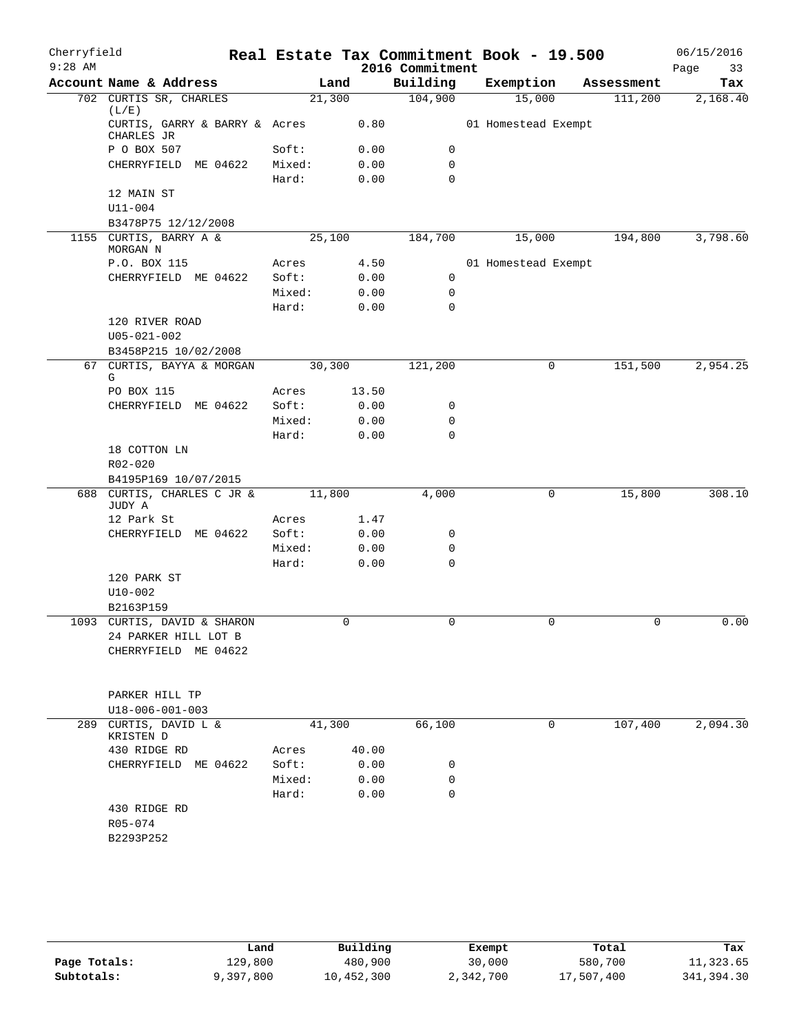| Cherryfield |                                              |        |        |       | Real Estate Tax Commitment Book - 19.500 |                     |            |      | 06/15/2016 |
|-------------|----------------------------------------------|--------|--------|-------|------------------------------------------|---------------------|------------|------|------------|
| $9:28$ AM   |                                              |        |        |       | 2016 Commitment                          |                     |            | Page | 33         |
|             | Account Name & Address                       |        | Land   |       | Building                                 | Exemption           | Assessment |      | Tax        |
|             | 702 CURTIS SR, CHARLES<br>(L/E)              |        | 21,300 |       | 104,900                                  | 15,000              | 111,200    |      | 2,168.40   |
|             | CURTIS, GARRY & BARRY & Acres<br>CHARLES JR  |        |        | 0.80  |                                          | 01 Homestead Exempt |            |      |            |
|             | P O BOX 507                                  | Soft:  |        | 0.00  | 0                                        |                     |            |      |            |
|             | CHERRYFIELD ME 04622                         | Mixed: |        | 0.00  | 0                                        |                     |            |      |            |
|             |                                              | Hard:  |        | 0.00  | $\mathbf 0$                              |                     |            |      |            |
|             | 12 MAIN ST<br>$U11 - 004$                    |        |        |       |                                          |                     |            |      |            |
|             | B3478P75 12/12/2008                          |        |        |       |                                          |                     |            |      |            |
|             | 1155 CURTIS, BARRY A &                       |        | 25,100 |       | 184,700                                  | 15,000              | 194,800    |      | 3,798.60   |
|             | MORGAN N                                     |        |        |       |                                          |                     |            |      |            |
|             | P.O. BOX 115                                 | Acres  |        | 4.50  |                                          | 01 Homestead Exempt |            |      |            |
|             | CHERRYFIELD ME 04622                         | Soft:  |        | 0.00  | 0                                        |                     |            |      |            |
|             |                                              | Mixed: |        | 0.00  | 0                                        |                     |            |      |            |
|             |                                              | Hard:  |        | 0.00  | 0                                        |                     |            |      |            |
|             | 120 RIVER ROAD<br>$U05 - 021 - 002$          |        |        |       |                                          |                     |            |      |            |
|             | B3458P215 10/02/2008                         |        |        |       |                                          |                     |            |      |            |
|             | 67 CURTIS, BAYYA & MORGAN<br>G               |        | 30,300 |       | 121,200                                  | 0                   | 151,500    |      | 2,954.25   |
|             | PO BOX 115                                   | Acres  |        | 13.50 |                                          |                     |            |      |            |
|             | CHERRYFIELD ME 04622                         | Soft:  |        | 0.00  | 0                                        |                     |            |      |            |
|             |                                              | Mixed: |        | 0.00  | $\mathbf 0$                              |                     |            |      |            |
|             |                                              | Hard:  |        | 0.00  | $\mathbf 0$                              |                     |            |      |            |
|             | 18 COTTON LN                                 |        |        |       |                                          |                     |            |      |            |
|             | R02-020                                      |        |        |       |                                          |                     |            |      |            |
|             | B4195P169 10/07/2015                         |        |        |       |                                          |                     |            |      |            |
|             | 688 CURTIS, CHARLES C JR &<br>JUDY A         |        | 11,800 |       | 4,000                                    | 0                   | 15,800     |      | 308.10     |
|             | 12 Park St                                   | Acres  |        | 1.47  |                                          |                     |            |      |            |
|             | CHERRYFIELD ME 04622                         | Soft:  |        | 0.00  | 0                                        |                     |            |      |            |
|             |                                              | Mixed: |        | 0.00  | 0                                        |                     |            |      |            |
|             |                                              | Hard:  |        | 0.00  | $\mathbf 0$                              |                     |            |      |            |
|             | 120 PARK ST                                  |        |        |       |                                          |                     |            |      |            |
|             | $U10 - 002$                                  |        |        |       |                                          |                     |            |      |            |
|             | B2163P159                                    |        |        |       |                                          |                     |            |      |            |
|             | 1093 CURTIS, DAVID & SHARON                  |        |        | 0     | 0                                        | 0                   | 0          |      | 0.00       |
|             | 24 PARKER HILL LOT B<br>CHERRYFIELD ME 04622 |        |        |       |                                          |                     |            |      |            |
|             |                                              |        |        |       |                                          |                     |            |      |            |
|             | PARKER HILL TP                               |        |        |       |                                          |                     |            |      |            |
|             | U18-006-001-003                              |        |        |       |                                          |                     |            |      |            |
| 289         | CURTIS, DAVID L &<br>KRISTEN D               |        | 41,300 |       | 66,100                                   | 0                   | 107,400    |      | 2,094.30   |
|             | 430 RIDGE RD                                 | Acres  |        | 40.00 |                                          |                     |            |      |            |
|             | CHERRYFIELD ME 04622                         | Soft:  |        | 0.00  | 0                                        |                     |            |      |            |
|             |                                              | Mixed: |        | 0.00  | 0                                        |                     |            |      |            |
|             |                                              | Hard:  |        | 0.00  | $\mathbf 0$                              |                     |            |      |            |
|             | 430 RIDGE RD                                 |        |        |       |                                          |                     |            |      |            |
|             | R05-074                                      |        |        |       |                                          |                     |            |      |            |
|             | B2293P252                                    |        |        |       |                                          |                     |            |      |            |
|             |                                              |        |        |       |                                          |                     |            |      |            |
|             |                                              |        |        |       |                                          |                     |            |      |            |

|              | Land      | Building   | Exempt    | Total      | Tax        |
|--------------|-----------|------------|-----------|------------|------------|
| Page Totals: | 129,800   | 480,900    | 30,000    | 580,700    | 11,323.65  |
| Subtotals:   | 9,397,800 | 10,452,300 | 2,342,700 | 17,507,400 | 341,394.30 |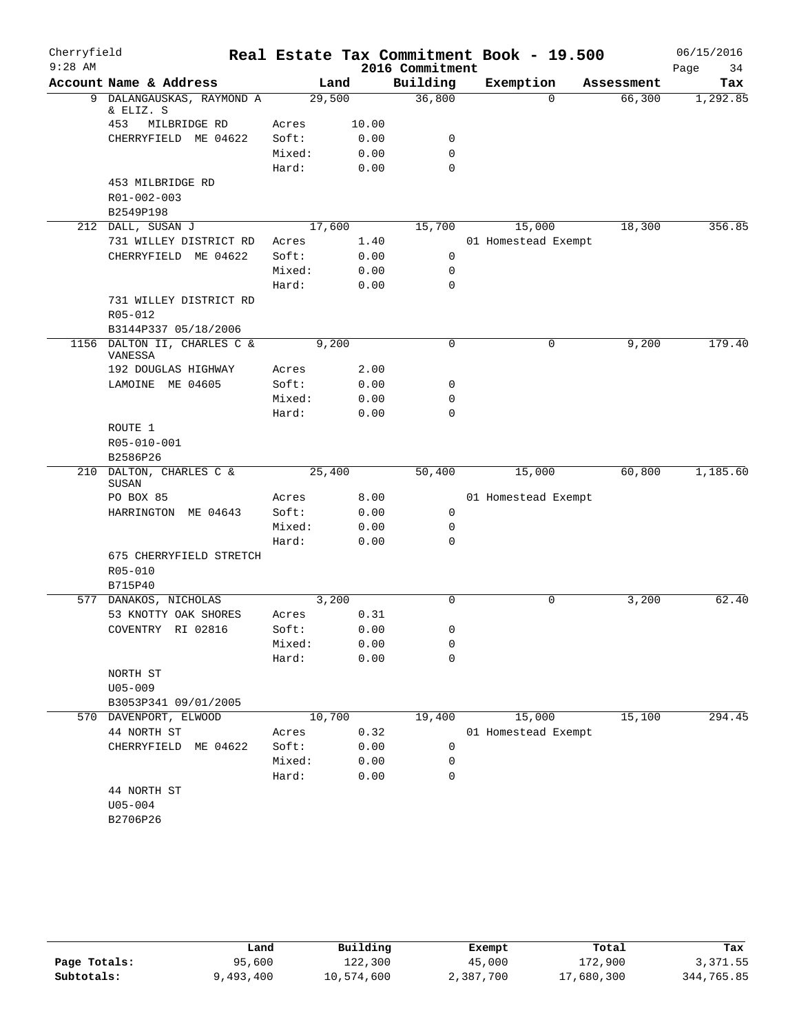| Cherryfield |                                        |        |       |                 | Real Estate Tax Commitment Book - 19.500 |            | 06/15/2016 |
|-------------|----------------------------------------|--------|-------|-----------------|------------------------------------------|------------|------------|
| $9:28$ AM   |                                        |        |       | 2016 Commitment |                                          |            | Page<br>34 |
|             | Account Name & Address                 | Land   |       | Building        | Exemption                                | Assessment | Tax        |
|             | 9 DALANGAUSKAS, RAYMOND A              | 29,500 |       | 36,800          | $\Omega$                                 | 66,300     | 1,292.85   |
|             | & ELIZ. S<br>453<br>MILBRIDGE RD       | Acres  | 10.00 |                 |                                          |            |            |
|             | CHERRYFIELD ME 04622                   | Soft:  | 0.00  | 0               |                                          |            |            |
|             |                                        | Mixed: | 0.00  | $\mathbf 0$     |                                          |            |            |
|             |                                        | Hard:  | 0.00  | $\Omega$        |                                          |            |            |
|             | 453 MILBRIDGE RD                       |        |       |                 |                                          |            |            |
|             | R01-002-003                            |        |       |                 |                                          |            |            |
|             | B2549P198                              |        |       |                 |                                          |            |            |
|             | 212 DALL, SUSAN J                      | 17,600 |       | 15,700          | 15,000                                   | 18,300     | 356.85     |
|             | 731 WILLEY DISTRICT RD                 | Acres  | 1.40  |                 | 01 Homestead Exempt                      |            |            |
|             | CHERRYFIELD ME 04622                   | Soft:  | 0.00  | $\mathbf 0$     |                                          |            |            |
|             |                                        | Mixed: | 0.00  | $\mathbf 0$     |                                          |            |            |
|             |                                        | Hard:  | 0.00  | $\mathbf 0$     |                                          |            |            |
|             | 731 WILLEY DISTRICT RD                 |        |       |                 |                                          |            |            |
|             | R05-012                                |        |       |                 |                                          |            |            |
|             | B3144P337 05/18/2006                   |        |       |                 |                                          |            |            |
|             | 1156 DALTON II, CHARLES C &<br>VANESSA | 9,200  |       | $\mathsf{O}$    | 0                                        | 9,200      | 179.40     |
|             | 192 DOUGLAS HIGHWAY                    | Acres  | 2.00  |                 |                                          |            |            |
|             | LAMOINE ME 04605                       | Soft:  | 0.00  | 0               |                                          |            |            |
|             |                                        | Mixed: | 0.00  | 0               |                                          |            |            |
|             |                                        | Hard:  | 0.00  | $\mathbf 0$     |                                          |            |            |
|             | ROUTE 1                                |        |       |                 |                                          |            |            |
|             | R05-010-001                            |        |       |                 |                                          |            |            |
|             | B2586P26                               |        |       |                 |                                          |            |            |
|             | 210 DALTON, CHARLES C &<br>SUSAN       | 25,400 |       | 50,400          | 15,000                                   | 60,800     | 1,185.60   |
|             | PO BOX 85                              | Acres  | 8.00  |                 | 01 Homestead Exempt                      |            |            |
|             | HARRINGTON ME 04643                    | Soft:  | 0.00  | 0               |                                          |            |            |
|             |                                        | Mixed: | 0.00  | $\mathsf{O}$    |                                          |            |            |
|             |                                        | Hard:  | 0.00  | 0               |                                          |            |            |
|             | 675 CHERRYFIELD STRETCH                |        |       |                 |                                          |            |            |
|             | R05-010                                |        |       |                 |                                          |            |            |
|             | B715P40                                |        |       |                 |                                          |            |            |
|             | 577 DANAKOS, NICHOLAS                  | 3,200  |       | $\Omega$        | 0                                        | 3,200      | 62.40      |
|             | 53 KNOTTY OAK SHORES                   | Acres  | 0.31  |                 |                                          |            |            |
|             | COVENTRY RI 02816                      | Soft:  | 0.00  | 0               |                                          |            |            |
|             |                                        | Mixed: | 0.00  | 0               |                                          |            |            |
|             |                                        | Hard:  | 0.00  | 0               |                                          |            |            |
|             | NORTH ST                               |        |       |                 |                                          |            |            |
|             | $U05 - 009$                            |        |       |                 |                                          |            |            |
|             | B3053P341 09/01/2005                   |        |       |                 |                                          |            |            |
|             | 570 DAVENPORT, ELWOOD                  | 10,700 |       | 19,400          | 15,000                                   | 15,100     | 294.45     |
|             | 44 NORTH ST                            | Acres  | 0.32  |                 | 01 Homestead Exempt                      |            |            |
|             | ME 04622<br>CHERRYFIELD                | Soft:  | 0.00  | 0               |                                          |            |            |
|             |                                        | Mixed: | 0.00  | 0               |                                          |            |            |
|             |                                        | Hard:  | 0.00  | 0               |                                          |            |            |
|             | 44 NORTH ST<br>$U05 - 004$             |        |       |                 |                                          |            |            |
|             | B2706P26                               |        |       |                 |                                          |            |            |
|             |                                        |        |       |                 |                                          |            |            |

|              | Land      | Building   | Exempt    | Total      | Tax        |
|--------------|-----------|------------|-----------|------------|------------|
| Page Totals: | 95,600    | 122,300    | 45,000    | 172,900    | 3,371.55   |
| Subtotals:   | 9,493,400 | 10,574,600 | 2,387,700 | 17,680,300 | 344,765.85 |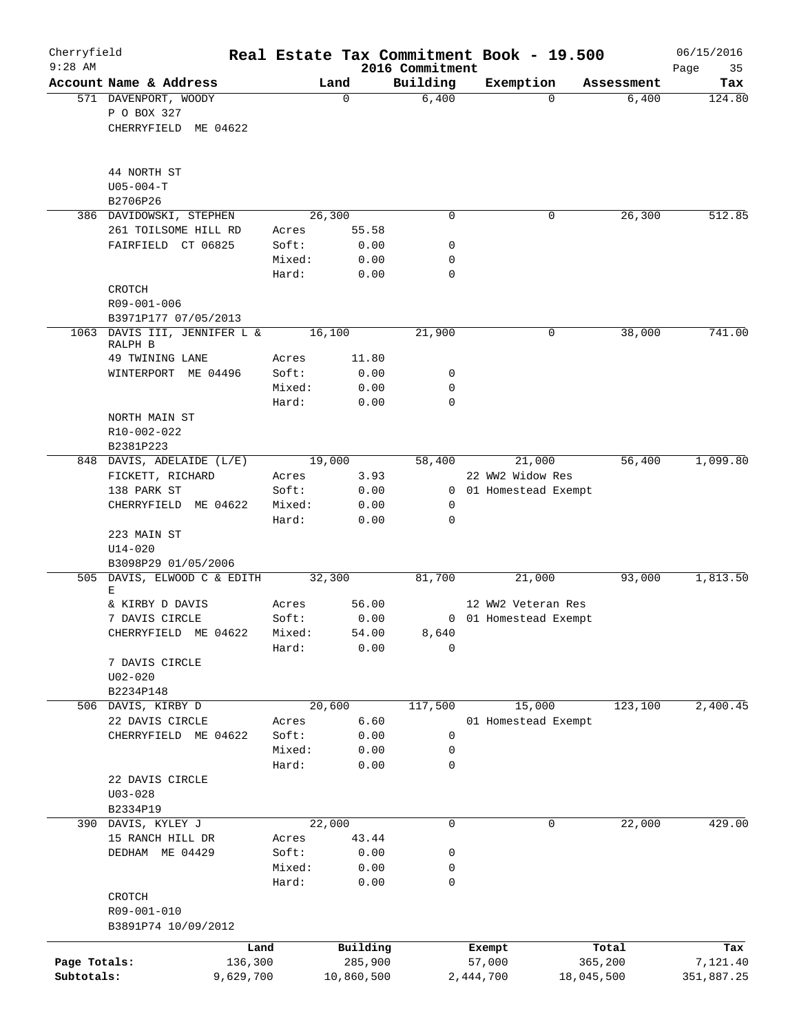| Cherryfield<br>$9:28$ AM |                                            |                 |               |                             | Real Estate Tax Commitment Book - 19.500 |            | 06/15/2016        |
|--------------------------|--------------------------------------------|-----------------|---------------|-----------------------------|------------------------------------------|------------|-------------------|
|                          | Account Name & Address                     |                 | Land          | 2016 Commitment<br>Building | Exemption                                | Assessment | 35<br>Page<br>Tax |
|                          | 571 DAVENPORT, WOODY                       |                 | 0             | 6,400                       | $\Omega$                                 | 6,400      | 124.80            |
|                          | P O BOX 327                                |                 |               |                             |                                          |            |                   |
|                          | CHERRYFIELD ME 04622                       |                 |               |                             |                                          |            |                   |
|                          |                                            |                 |               |                             |                                          |            |                   |
|                          | 44 NORTH ST                                |                 |               |                             |                                          |            |                   |
|                          | $U05 - 004 - T$                            |                 |               |                             |                                          |            |                   |
|                          | B2706P26                                   |                 |               |                             |                                          |            |                   |
|                          | 386 DAVIDOWSKI, STEPHEN                    |                 | 26,300        | $\Omega$                    | 0                                        | 26,300     | 512.85            |
|                          | 261 TOILSOME HILL RD<br>FAIRFIELD CT 06825 | Acres<br>Soft:  | 55.58<br>0.00 | 0                           |                                          |            |                   |
|                          |                                            | Mixed:          | 0.00          | 0                           |                                          |            |                   |
|                          |                                            | Hard:           | 0.00          | $\mathbf 0$                 |                                          |            |                   |
|                          | CROTCH                                     |                 |               |                             |                                          |            |                   |
|                          | R09-001-006                                |                 |               |                             |                                          |            |                   |
|                          | B3971P177 07/05/2013                       |                 |               |                             |                                          |            |                   |
| 1063                     | DAVIS III, JENNIFER L &<br>RALPH B         |                 | 16,100        | 21,900                      | 0                                        | 38,000     | 741.00            |
|                          | 49 TWINING LANE                            | Acres           | 11.80         |                             |                                          |            |                   |
|                          | WINTERPORT ME 04496                        | Soft:           | 0.00          | 0                           |                                          |            |                   |
|                          |                                            | Mixed:          | 0.00          | 0                           |                                          |            |                   |
|                          |                                            | Hard:           | 0.00          | 0                           |                                          |            |                   |
|                          | NORTH MAIN ST                              |                 |               |                             |                                          |            |                   |
|                          | R10-002-022                                |                 |               |                             |                                          |            |                   |
|                          | B2381P223                                  |                 |               |                             |                                          |            |                   |
|                          | 848 DAVIS, ADELAIDE (L/E)                  |                 | 19,000        | 58,400                      | 21,000                                   | 56,400     | 1,099.80          |
|                          | FICKETT, RICHARD                           | Acres           | 3.93          |                             | 22 WW2 Widow Res                         |            |                   |
|                          | 138 PARK ST                                | Soft:           | 0.00          |                             | 0 01 Homestead Exempt                    |            |                   |
|                          | CHERRYFIELD<br>ME 04622                    | Mixed:<br>Hard: | 0.00<br>0.00  | 0<br>0                      |                                          |            |                   |
|                          | 223 MAIN ST                                |                 |               |                             |                                          |            |                   |
|                          | $U14 - 020$                                |                 |               |                             |                                          |            |                   |
|                          | B3098P29 01/05/2006                        |                 |               |                             |                                          |            |                   |
| 505                      | DAVIS, ELWOOD C & EDITH                    |                 | 32,300        | 81,700                      | 21,000                                   | 93,000     | 1,813.50          |
|                          | Е<br>& KIRBY D DAVIS                       | Acres           | 56.00         |                             | 12 WW2 Veteran Res                       |            |                   |
|                          | 7 DAVIS CIRCLE                             | Soft:           | 0.00          |                             | 0 01 Homestead Exempt                    |            |                   |
|                          | CHERRYFIELD ME 04622 Mixed:                |                 | 54.00         | 8,640                       |                                          |            |                   |
|                          |                                            | Hard:           | 0.00          | 0                           |                                          |            |                   |
|                          | 7 DAVIS CIRCLE                             |                 |               |                             |                                          |            |                   |
|                          | $U02 - 020$                                |                 |               |                             |                                          |            |                   |
|                          | B2234P148                                  |                 |               |                             |                                          |            |                   |
|                          | 506 DAVIS, KIRBY D                         |                 | 20,600        | 117,500                     | 15,000                                   | 123,100    | 2,400.45          |
|                          | 22 DAVIS CIRCLE                            | Acres           | 6.60          |                             | 01 Homestead Exempt                      |            |                   |
|                          | CHERRYFIELD ME 04622                       | Soft:           | 0.00          | $\mathsf{O}$                |                                          |            |                   |
|                          |                                            | Mixed:          | 0.00          | 0                           |                                          |            |                   |
|                          |                                            | Hard:           | 0.00          | 0                           |                                          |            |                   |
|                          | 22 DAVIS CIRCLE                            |                 |               |                             |                                          |            |                   |
|                          | $U03 - 028$                                |                 |               |                             |                                          |            |                   |
|                          | B2334P19                                   |                 |               |                             |                                          |            |                   |
|                          | 390 DAVIS, KYLEY J                         |                 | 22,000        | 0                           | 0                                        | 22,000     | 429.00            |
|                          | 15 RANCH HILL DR                           | Acres           | 43.44         |                             |                                          |            |                   |
|                          | DEDHAM ME 04429                            | Soft:           | 0.00          | 0                           |                                          |            |                   |
|                          |                                            | Mixed:          | 0.00          | 0                           |                                          |            |                   |
|                          |                                            | Hard:           | 0.00          | 0                           |                                          |            |                   |
|                          | CROTCH                                     |                 |               |                             |                                          |            |                   |
|                          | R09-001-010                                |                 |               |                             |                                          |            |                   |
|                          | B3891P74 10/09/2012                        |                 |               |                             |                                          |            |                   |
|                          | Land                                       |                 | Building      |                             | Exempt                                   | Total      | Tax               |
| Page Totals:             | 136,300                                    |                 | 285,900       |                             | 57,000                                   | 365,200    | 7,121.40          |
| Subtotals:               | 9,629,700                                  |                 | 10,860,500    |                             | 2,444,700<br>18,045,500                  |            | 351,887.25        |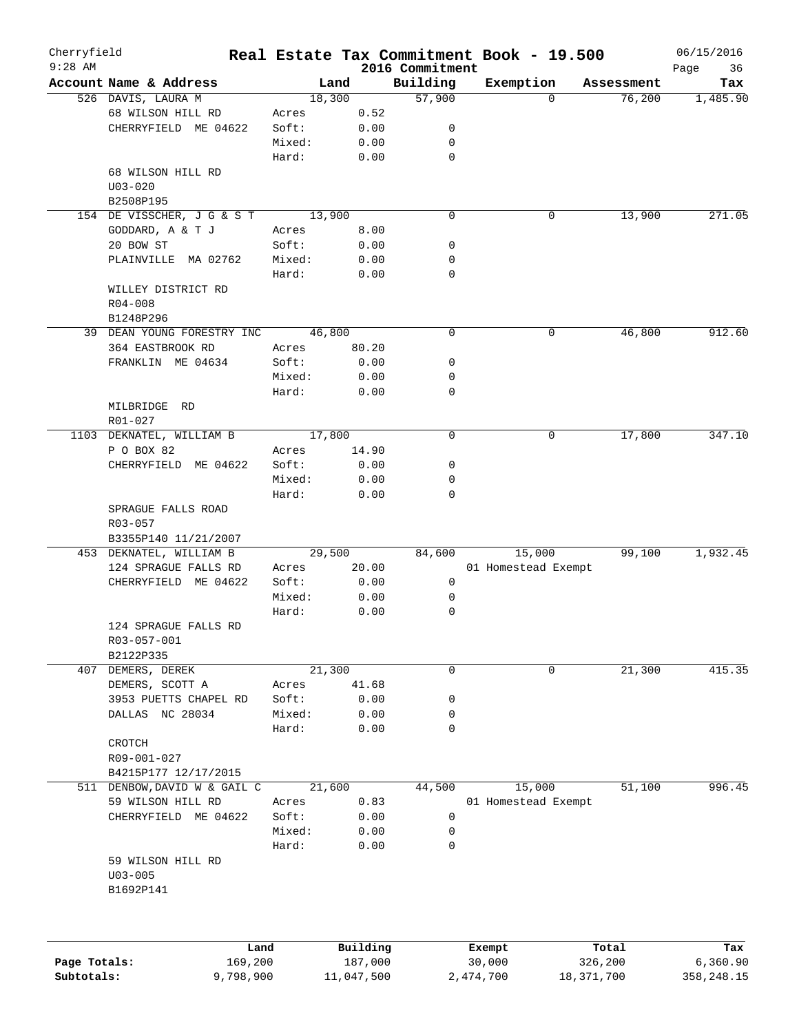| Cherryfield<br>$9:28$ AM |                              | Real Estate Tax Commitment Book - 19.500 |            |                             |                     |              |            | 06/15/2016        |
|--------------------------|------------------------------|------------------------------------------|------------|-----------------------------|---------------------|--------------|------------|-------------------|
|                          | Account Name & Address       | Land                                     |            | 2016 Commitment<br>Building | Exemption           |              | Assessment | Page<br>36<br>Tax |
|                          | 526 DAVIS, LAURA M           | 18,300                                   |            | 57,900                      |                     | $\Omega$     | 76,200     | 1,485.90          |
|                          | 68 WILSON HILL RD            | Acres                                    | 0.52       |                             |                     |              |            |                   |
|                          | CHERRYFIELD ME 04622         | Soft:                                    | 0.00       | 0                           |                     |              |            |                   |
|                          |                              | Mixed:                                   | 0.00       | 0                           |                     |              |            |                   |
|                          |                              | Hard:                                    | 0.00       | 0                           |                     |              |            |                   |
|                          | 68 WILSON HILL RD            |                                          |            |                             |                     |              |            |                   |
|                          | $U03 - 020$                  |                                          |            |                             |                     |              |            |                   |
|                          | B2508P195                    |                                          |            |                             |                     |              |            |                   |
|                          | 154 DE VISSCHER, J G & S T   |                                          |            | 0                           |                     | 0            | 13,900     | 271.05            |
|                          |                              | 13,900                                   |            |                             |                     |              |            |                   |
|                          | GODDARD, A & T J             | Acres                                    | 8.00       |                             |                     |              |            |                   |
|                          | 20 BOW ST                    | Soft:                                    | 0.00       | 0                           |                     |              |            |                   |
|                          | PLAINVILLE MA 02762          | Mixed:                                   | 0.00       | 0                           |                     |              |            |                   |
|                          |                              | Hard:                                    | 0.00       | 0                           |                     |              |            |                   |
|                          | WILLEY DISTRICT RD           |                                          |            |                             |                     |              |            |                   |
|                          | $R04 - 008$                  |                                          |            |                             |                     |              |            |                   |
|                          | B1248P296                    |                                          |            |                             |                     |              |            |                   |
|                          | 39 DEAN YOUNG FORESTRY INC   | 46,800                                   |            | 0                           |                     | 0            | 46,800     | 912.60            |
|                          | 364 EASTBROOK RD             | Acres                                    | 80.20      |                             |                     |              |            |                   |
|                          | FRANKLIN ME 04634            | Soft:                                    | 0.00       | 0                           |                     |              |            |                   |
|                          |                              | Mixed:                                   | 0.00       | 0                           |                     |              |            |                   |
|                          |                              | Hard:                                    | 0.00       | 0                           |                     |              |            |                   |
|                          | MILBRIDGE<br>RD              |                                          |            |                             |                     |              |            |                   |
|                          | R01-027                      |                                          |            |                             |                     |              |            |                   |
|                          | 1103 DEKNATEL, WILLIAM B     | 17,800                                   |            | 0                           |                     | 0            | 17,800     | 347.10            |
|                          | P O BOX 82                   | Acres                                    | 14.90      |                             |                     |              |            |                   |
|                          | CHERRYFIELD ME 04622         | Soft:                                    | 0.00       | 0                           |                     |              |            |                   |
|                          |                              | Mixed:                                   | 0.00       | 0                           |                     |              |            |                   |
|                          |                              |                                          |            | 0                           |                     |              |            |                   |
|                          |                              | Hard:                                    | 0.00       |                             |                     |              |            |                   |
|                          | SPRAGUE FALLS ROAD           |                                          |            |                             |                     |              |            |                   |
|                          | R03-057                      |                                          |            |                             |                     |              |            |                   |
|                          | B3355P140 11/21/2007         |                                          |            |                             |                     |              |            |                   |
|                          | 453 DEKNATEL, WILLIAM B      | 29,500                                   |            | 84,600                      | 15,000              |              | 99,100     | 1,932.45          |
|                          | 124 SPRAGUE FALLS RD         | Acres                                    | 20.00      |                             | 01 Homestead Exempt |              |            |                   |
|                          | CHERRYFIELD ME 04622         | Soft:                                    | 0.00       | 0                           |                     |              |            |                   |
|                          |                              | Mixed:                                   | 0.00       | 0                           |                     |              |            |                   |
|                          |                              | Hard:                                    | 0.00       | 0                           |                     |              |            |                   |
|                          | 124 SPRAGUE FALLS RD         |                                          |            |                             |                     |              |            |                   |
|                          | R03-057-001                  |                                          |            |                             |                     |              |            |                   |
|                          | B2122P335                    |                                          |            |                             |                     |              |            |                   |
| 407                      | DEMERS, DEREK                | 21,300                                   |            | 0                           |                     | 0            | 21,300     | 415.35            |
|                          | DEMERS, SCOTT A              | Acres                                    | 41.68      |                             |                     |              |            |                   |
|                          | 3953 PUETTS CHAPEL RD        | Soft:                                    | 0.00       | 0                           |                     |              |            |                   |
|                          | DALLAS NC 28034              | Mixed:                                   | 0.00       | 0                           |                     |              |            |                   |
|                          |                              | Hard:                                    | 0.00       | 0                           |                     |              |            |                   |
|                          | CROTCH                       |                                          |            |                             |                     |              |            |                   |
|                          | R09-001-027                  |                                          |            |                             |                     |              |            |                   |
|                          | B4215P177 12/17/2015         |                                          |            |                             |                     |              |            |                   |
|                          | 511 DENBOW, DAVID W & GAIL C | 21,600                                   |            | 44,500                      | 15,000              |              | 51,100     | 996.45            |
|                          |                              |                                          |            |                             |                     |              |            |                   |
|                          | 59 WILSON HILL RD            | Acres                                    | 0.83       |                             | 01 Homestead Exempt |              |            |                   |
|                          | CHERRYFIELD ME 04622         | Soft:                                    | 0.00       | 0                           |                     |              |            |                   |
|                          |                              | Mixed:                                   | 0.00       | 0                           |                     |              |            |                   |
|                          |                              | Hard:                                    | 0.00       | 0                           |                     |              |            |                   |
|                          | 59 WILSON HILL RD            |                                          |            |                             |                     |              |            |                   |
|                          | $U03 - 005$                  |                                          |            |                             |                     |              |            |                   |
|                          | B1692P141                    |                                          |            |                             |                     |              |            |                   |
|                          |                              |                                          |            |                             |                     |              |            |                   |
|                          |                              | Land                                     | Building   |                             | Exempt              |              | Total      | Tax               |
| Page Totals:             | 169,200                      |                                          | 187,000    |                             | 30,000              |              | 326,200    | 6,360.90          |
| Subtotals:               | 9,798,900                    |                                          | 11,047,500 |                             | 2,474,700           | 18, 371, 700 |            | 358,248.15        |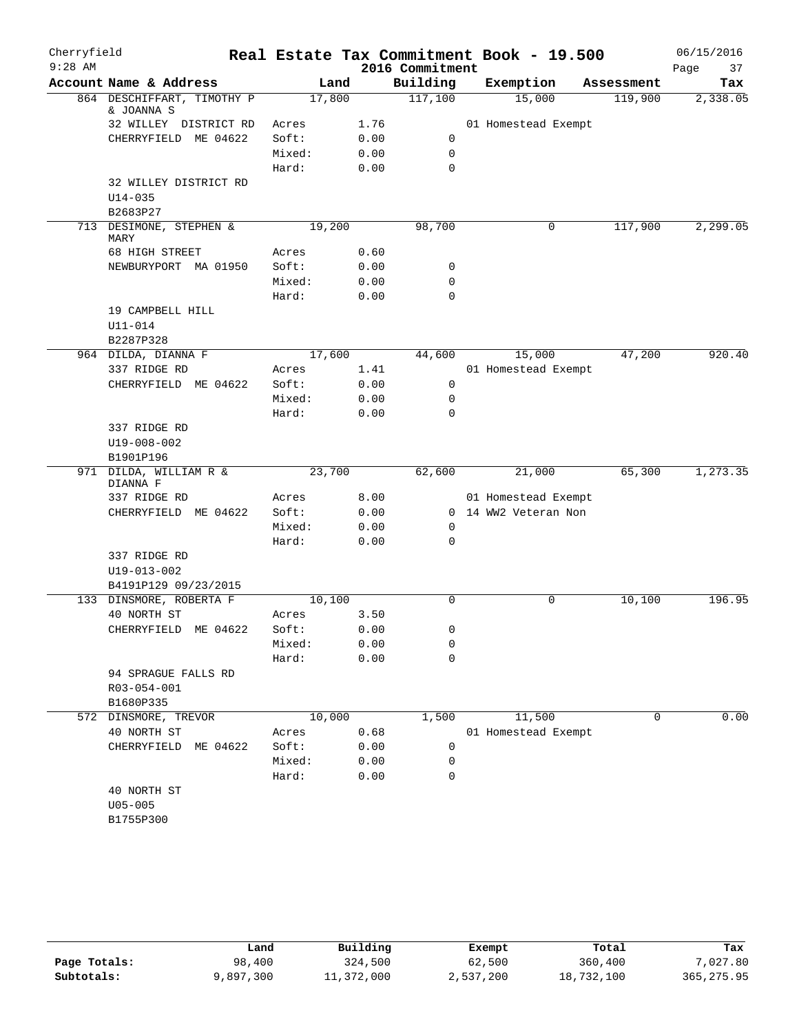| Cherryfield<br>$9:28$ AM |                                          |        |      | 2016 Commitment | Real Estate Tax Commitment Book - 19.500 |             | 06/15/2016<br>Page<br>37 |
|--------------------------|------------------------------------------|--------|------|-----------------|------------------------------------------|-------------|--------------------------|
|                          | Account Name & Address                   |        | Land | Building        | Exemption                                | Assessment  | Tax                      |
|                          | 864 DESCHIFFART, TIMOTHY P<br>& JOANNA S | 17,800 |      | 117,100         | 15,000                                   | 119,900     | 2,338.05                 |
|                          | 32 WILLEY DISTRICT RD                    | Acres  | 1.76 |                 | 01 Homestead Exempt                      |             |                          |
|                          | CHERRYFIELD ME 04622                     | Soft:  | 0.00 | 0               |                                          |             |                          |
|                          |                                          | Mixed: | 0.00 | 0               |                                          |             |                          |
|                          |                                          | Hard:  | 0.00 | $\mathbf 0$     |                                          |             |                          |
|                          | 32 WILLEY DISTRICT RD                    |        |      |                 |                                          |             |                          |
|                          | $U14 - 035$                              |        |      |                 |                                          |             |                          |
|                          | B2683P27                                 |        |      |                 |                                          |             |                          |
|                          | 713 DESIMONE, STEPHEN &<br>MARY          | 19,200 |      | 98,700          | 0                                        | 117,900     | 2, 299.05                |
|                          | 68 HIGH STREET                           | Acres  | 0.60 |                 |                                          |             |                          |
|                          | NEWBURYPORT MA 01950                     | Soft:  | 0.00 | 0               |                                          |             |                          |
|                          |                                          | Mixed: | 0.00 | 0               |                                          |             |                          |
|                          |                                          | Hard:  | 0.00 | 0               |                                          |             |                          |
|                          | 19 CAMPBELL HILL                         |        |      |                 |                                          |             |                          |
|                          | U11-014                                  |        |      |                 |                                          |             |                          |
|                          | B2287P328                                |        |      |                 |                                          |             |                          |
|                          | 964 DILDA, DIANNA F                      | 17,600 |      | 44,600          | 15,000                                   | 47,200      | 920.40                   |
|                          | 337 RIDGE RD                             | Acres  | 1.41 |                 | 01 Homestead Exempt                      |             |                          |
|                          | CHERRYFIELD ME 04622                     | Soft:  | 0.00 | 0               |                                          |             |                          |
|                          |                                          | Mixed: | 0.00 | $\mathsf{O}$    |                                          |             |                          |
|                          |                                          | Hard:  | 0.00 | 0               |                                          |             |                          |
|                          | 337 RIDGE RD                             |        |      |                 |                                          |             |                          |
|                          | U19-008-002<br>B1901P196                 |        |      |                 |                                          |             |                          |
|                          | 971 DILDA, WILLIAM R &                   | 23,700 |      | 62,600          | 21,000                                   | 65,300      | 1, 273.35                |
|                          | DIANNA F                                 |        |      |                 |                                          |             |                          |
|                          | 337 RIDGE RD                             | Acres  | 8.00 |                 | 01 Homestead Exempt                      |             |                          |
|                          | CHERRYFIELD ME 04622                     | Soft:  | 0.00 |                 | 0 14 WW2 Veteran Non                     |             |                          |
|                          |                                          | Mixed: | 0.00 | 0               |                                          |             |                          |
|                          |                                          | Hard:  | 0.00 | 0               |                                          |             |                          |
|                          | 337 RIDGE RD                             |        |      |                 |                                          |             |                          |
|                          | U19-013-002                              |        |      |                 |                                          |             |                          |
|                          | B4191P129 09/23/2015                     |        |      |                 |                                          |             |                          |
|                          | 133 DINSMORE, ROBERTA F                  | 10,100 |      | $\mathbf 0$     | 0                                        | 10,100      | 196.95                   |
|                          | 40 NORTH ST                              | Acres  | 3.50 |                 |                                          |             |                          |
|                          | CHERRYFIELD ME 04622                     | Soft:  | 0.00 | 0               |                                          |             |                          |
|                          |                                          | Mixed: | 0.00 | 0               |                                          |             |                          |
|                          |                                          | Hard:  | 0.00 | 0               |                                          |             |                          |
|                          | 94 SPRAGUE FALLS RD                      |        |      |                 |                                          |             |                          |
|                          | R03-054-001<br>B1680P335                 |        |      |                 |                                          |             |                          |
| 572                      | DINSMORE, TREVOR                         | 10,000 |      | 1,500           | 11,500                                   | $\mathbf 0$ | 0.00                     |
|                          | 40 NORTH ST                              | Acres  | 0.68 |                 | 01 Homestead Exempt                      |             |                          |
|                          | CHERRYFIELD<br>ME 04622                  | Soft:  | 0.00 | 0               |                                          |             |                          |
|                          |                                          | Mixed: | 0.00 | 0               |                                          |             |                          |
|                          |                                          | Hard:  | 0.00 | 0               |                                          |             |                          |
|                          | 40 NORTH ST                              |        |      |                 |                                          |             |                          |
|                          | $U05 - 005$                              |        |      |                 |                                          |             |                          |
|                          | B1755P300                                |        |      |                 |                                          |             |                          |
|                          |                                          |        |      |                 |                                          |             |                          |

|              | Land      | Building   | Exempt    | Total      | Tax         |
|--------------|-----------|------------|-----------|------------|-------------|
| Page Totals: | 98,400    | 324,500    | 62,500    | 360,400    | 7,027.80    |
| Subtotals:   | 9,897,300 | 11,372,000 | 2,537,200 | 18,732,100 | 365, 275.95 |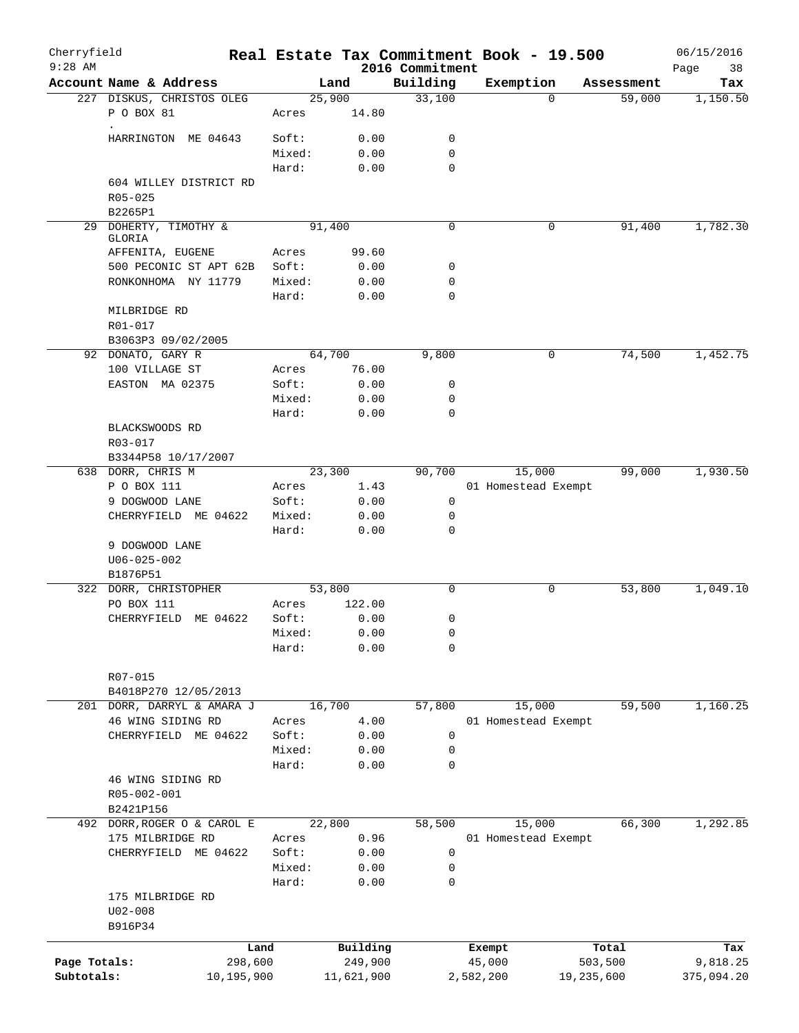| Cherryfield<br>$9:28$ AM |                                 |                 |            | 2016 Commitment  | Real Estate Tax Commitment Book - 19.500 |            | 06/15/2016<br>38<br>Page |
|--------------------------|---------------------------------|-----------------|------------|------------------|------------------------------------------|------------|--------------------------|
|                          | Account Name & Address          |                 | Land       | Building         | Exemption                                | Assessment | Tax                      |
|                          | 227 DISKUS, CHRISTOS OLEG       |                 | 25,900     | 33,100           | $\Omega$                                 | 59,000     | 1,150.50                 |
|                          | P O BOX 81<br>$\bullet$         | Acres           | 14.80      |                  |                                          |            |                          |
|                          | HARRINGTON ME 04643             | Soft:           | 0.00       | 0                |                                          |            |                          |
|                          |                                 | Mixed:          | 0.00       | 0                |                                          |            |                          |
|                          |                                 | Hard:           | 0.00       | 0                |                                          |            |                          |
|                          | 604 WILLEY DISTRICT RD          |                 |            |                  |                                          |            |                          |
|                          | $R05 - 025$                     |                 |            |                  |                                          |            |                          |
|                          | B2265P1                         |                 |            |                  |                                          |            |                          |
|                          | 29 DOHERTY, TIMOTHY &<br>GLORIA |                 | 91,400     | 0                | 0                                        | 91,400     | 1,782.30                 |
|                          | AFFENITA, EUGENE                | Acres           | 99.60      |                  |                                          |            |                          |
|                          | 500 PECONIC ST APT 62B          | Soft:           | 0.00       | 0                |                                          |            |                          |
|                          | RONKONHOMA NY 11779             | Mixed:          | 0.00       | 0                |                                          |            |                          |
|                          |                                 | Hard:           | 0.00       | 0                |                                          |            |                          |
|                          | MILBRIDGE RD                    |                 |            |                  |                                          |            |                          |
|                          | R01-017                         |                 |            |                  |                                          |            |                          |
|                          | B3063P3 09/02/2005              |                 |            |                  |                                          |            |                          |
|                          | 92 DONATO, GARY R               |                 | 64,700     | 9,800            | 0                                        | 74,500     | 1,452.75                 |
|                          | 100 VILLAGE ST                  | Acres           | 76.00      |                  |                                          |            |                          |
|                          | EASTON MA 02375                 | Soft:           | 0.00       | 0                |                                          |            |                          |
|                          |                                 | Mixed:<br>Hard: | 0.00       | 0<br>$\mathbf 0$ |                                          |            |                          |
|                          | BLACKSWOODS RD                  |                 | 0.00       |                  |                                          |            |                          |
|                          | R03-017                         |                 |            |                  |                                          |            |                          |
|                          | B3344P58 10/17/2007             |                 |            |                  |                                          |            |                          |
|                          | 638 DORR, CHRIS M               |                 | 23,300     | 90,700           | 15,000                                   | 99,000     | 1,930.50                 |
|                          | P O BOX 111                     | Acres           | 1.43       |                  | 01 Homestead Exempt                      |            |                          |
|                          | 9 DOGWOOD LANE                  | Soft:           | 0.00       | 0                |                                          |            |                          |
|                          | CHERRYFIELD ME 04622            | Mixed:          | 0.00       | 0                |                                          |            |                          |
|                          |                                 | Hard:           | 0.00       | $\mathbf 0$      |                                          |            |                          |
|                          | 9 DOGWOOD LANE                  |                 |            |                  |                                          |            |                          |
|                          | $U06 - 025 - 002$               |                 |            |                  |                                          |            |                          |
|                          | B1876P51                        |                 |            |                  |                                          |            |                          |
|                          | 322 DORR, CHRISTOPHER           |                 | 53,800     | 0                | 0                                        | 53,800     | 1,049.10                 |
|                          | PO BOX 111                      | Acres           | 122.00     |                  |                                          |            |                          |
|                          | CHERRYFIELD ME 04622            | Soft:           | 0.00       | 0                |                                          |            |                          |
|                          |                                 | Mixed:          | 0.00       | 0                |                                          |            |                          |
|                          |                                 | Hard:           | 0.00       | 0                |                                          |            |                          |
|                          | $R07 - 015$                     |                 |            |                  |                                          |            |                          |
|                          | B4018P270 12/05/2013            |                 |            |                  |                                          |            |                          |
| 201                      | DORR, DARRYL & AMARA J          |                 | 16,700     | 57,800           | 15,000                                   | 59,500     | 1,160.25                 |
|                          | 46 WING SIDING RD               | Acres           | 4.00       |                  | 01 Homestead Exempt                      |            |                          |
|                          | CHERRYFIELD ME 04622            | Soft:           | 0.00       | 0                |                                          |            |                          |
|                          |                                 | Mixed:          | 0.00       | 0                |                                          |            |                          |
|                          |                                 | Hard:           | 0.00       | $\mathbf 0$      |                                          |            |                          |
|                          | 46 WING SIDING RD               |                 |            |                  |                                          |            |                          |
|                          | R05-002-001                     |                 |            |                  |                                          |            |                          |
|                          | B2421P156                       |                 |            |                  |                                          |            |                          |
|                          | 492 DORR, ROGER O & CAROL E     |                 | 22,800     | 58,500           | 15,000                                   | 66,300     | 1,292.85                 |
|                          | 175 MILBRIDGE RD                | Acres           | 0.96       |                  | 01 Homestead Exempt                      |            |                          |
|                          | CHERRYFIELD ME 04622            | Soft:           | 0.00       | 0                |                                          |            |                          |
|                          |                                 | Mixed:          | 0.00       | 0                |                                          |            |                          |
|                          |                                 | Hard:           | 0.00       | 0                |                                          |            |                          |
|                          | 175 MILBRIDGE RD                |                 |            |                  |                                          |            |                          |
|                          | $U02 - 008$                     |                 |            |                  |                                          |            |                          |
|                          | B916P34                         |                 |            |                  |                                          |            |                          |
|                          |                                 | Land            | Building   |                  | Exempt                                   | Total      | Tax                      |
| Page Totals:             | 298,600                         |                 | 249,900    |                  | 45,000                                   | 503,500    | 9,818.25                 |
| Subtotals:               | 10,195,900                      |                 | 11,621,900 |                  | 2,582,200                                | 19,235,600 | 375,094.20               |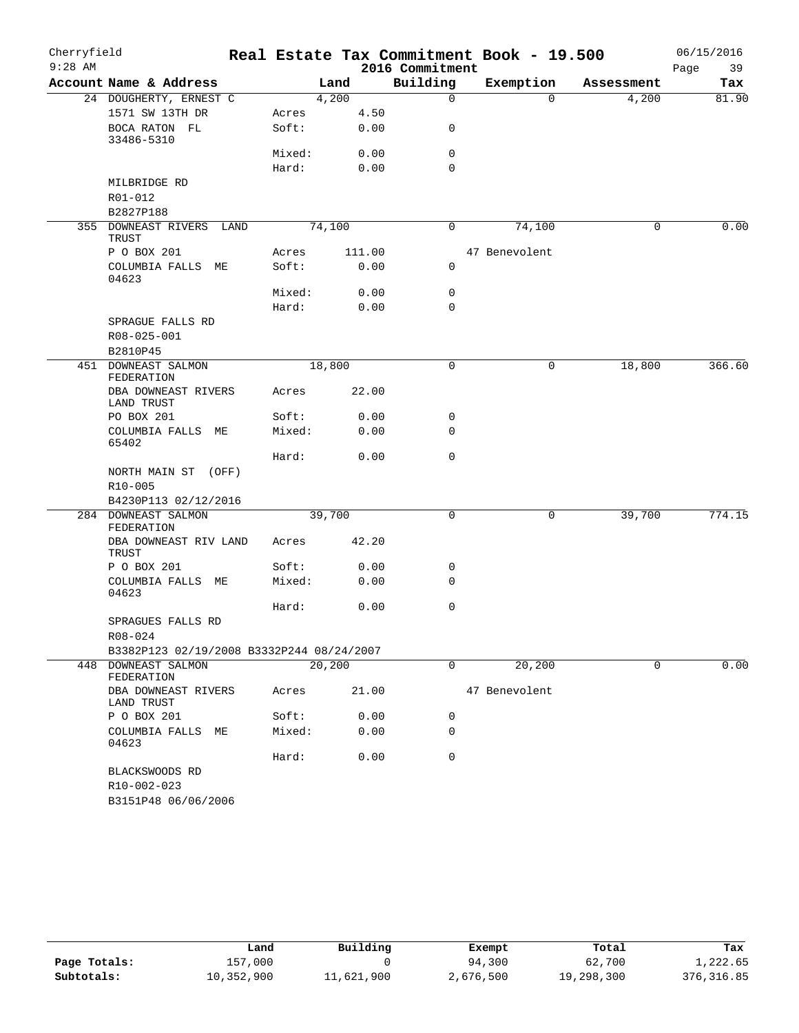| Cherryfield |                                           |        |         |                 | Real Estate Tax Commitment Book - 19.500 |            | 06/15/2016 |
|-------------|-------------------------------------------|--------|---------|-----------------|------------------------------------------|------------|------------|
| $9:28$ AM   |                                           |        |         | 2016 Commitment |                                          |            | 39<br>Page |
|             | Account Name & Address                    |        | Land    | Building        | Exemption                                | Assessment | Tax        |
|             | 24 DOUGHERTY, ERNEST C                    |        | 4,200   | $\mathbf 0$     | $\Omega$                                 | 4,200      | 81.90      |
|             | 1571 SW 13TH DR                           | Acres  | 4.50    |                 |                                          |            |            |
|             | BOCA RATON FL<br>33486-5310               | Soft:  | 0.00    | 0               |                                          |            |            |
|             |                                           | Mixed: | 0.00    | $\mathbf 0$     |                                          |            |            |
|             |                                           | Hard:  | 0.00    | $\Omega$        |                                          |            |            |
|             | MILBRIDGE RD                              |        |         |                 |                                          |            |            |
|             | R01-012                                   |        |         |                 |                                          |            |            |
|             | B2827P188                                 |        |         |                 |                                          |            |            |
|             | 355 DOWNEAST RIVERS LAND<br>TRUST         |        | 74,100  | 0               | 74,100                                   | 0          | 0.00       |
|             | P O BOX 201                               | Acres  | 111.00  |                 | 47 Benevolent                            |            |            |
|             | COLUMBIA FALLS ME<br>04623                | Soft:  | 0.00    | 0               |                                          |            |            |
|             |                                           | Mixed: | 0.00    | $\mathbf 0$     |                                          |            |            |
|             |                                           | Hard:  | 0.00    | $\mathbf 0$     |                                          |            |            |
|             | SPRAGUE FALLS RD                          |        |         |                 |                                          |            |            |
|             | R08-025-001                               |        |         |                 |                                          |            |            |
|             | B2810P45                                  |        |         |                 |                                          |            |            |
|             | 451 DOWNEAST SALMON<br>FEDERATION         |        | 18,800  | $\mathbf 0$     | 0                                        | 18,800     | 366.60     |
|             | DBA DOWNEAST RIVERS<br>LAND TRUST         | Acres  | 22.00   |                 |                                          |            |            |
|             | PO BOX 201                                | Soft:  | 0.00    | 0               |                                          |            |            |
|             | COLUMBIA FALLS ME<br>65402                | Mixed: | 0.00    | $\mathbf 0$     |                                          |            |            |
|             |                                           | Hard:  | 0.00    | $\mathbf 0$     |                                          |            |            |
|             | NORTH MAIN ST (OFF)<br>R10-005            |        |         |                 |                                          |            |            |
|             | B4230P113 02/12/2016                      |        |         |                 |                                          |            |            |
|             | 284 DOWNEAST SALMON                       |        | 39,700  | $\mathsf{O}$    | 0                                        | 39,700     | 774.15     |
|             | FEDERATION                                |        |         |                 |                                          |            |            |
|             | DBA DOWNEAST RIV LAND<br>TRUST            | Acres  | 42.20   |                 |                                          |            |            |
|             | P O BOX 201                               | Soft:  | 0.00    | 0               |                                          |            |            |
|             | COLUMBIA FALLS ME<br>04623                | Mixed: | 0.00    | $\mathbf 0$     |                                          |            |            |
|             |                                           | Hard:  | 0.00    | $\mathbf 0$     |                                          |            |            |
|             | SPRAGUES FALLS RD                         |        |         |                 |                                          |            |            |
|             | R08-024                                   |        |         |                 |                                          |            |            |
|             | B3382P123 02/19/2008 B3332P244 08/24/2007 |        |         |                 |                                          |            |            |
|             | 448 DOWNEAST SALMON<br>FEDERATION         |        | 20, 200 | $\mathsf{O}$    | 20,200                                   | 0          | 0.00       |
|             | DBA DOWNEAST RIVERS<br>LAND TRUST         | Acres  | 21.00   |                 | 47 Benevolent                            |            |            |
|             | P O BOX 201                               | Soft:  | 0.00    | 0               |                                          |            |            |
|             | COLUMBIA FALLS<br>MЕ<br>04623             | Mixed: | 0.00    | 0               |                                          |            |            |
|             |                                           | Hard:  | 0.00    | $\mathbf 0$     |                                          |            |            |
|             | BLACKSWOODS RD                            |        |         |                 |                                          |            |            |
|             | R10-002-023                               |        |         |                 |                                          |            |            |
|             | B3151P48 06/06/2006                       |        |         |                 |                                          |            |            |

|              | Land       | Building   | Exempt    | Total      | Tax         |
|--------------|------------|------------|-----------|------------|-------------|
| Page Totals: | 157,000    |            | 94,300    | 62,700     | 1,222.65    |
| Subtotals:   | 10,352,900 | 11,621,900 | 2,676,500 | 19,298,300 | 376, 316.85 |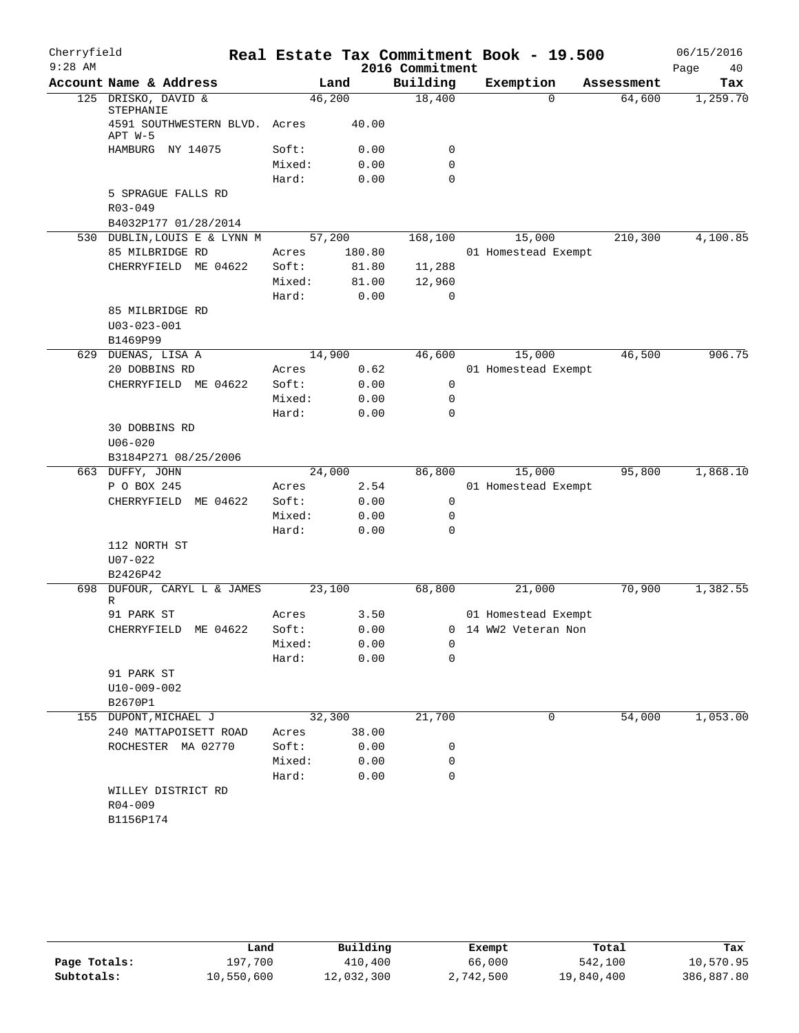| Cherryfield<br>$9:28$ AM |                                          |        |        | 2016 Commitment | Real Estate Tax Commitment Book - 19.500 |            | 06/15/2016<br>Page<br>40 |
|--------------------------|------------------------------------------|--------|--------|-----------------|------------------------------------------|------------|--------------------------|
|                          | Account Name & Address                   |        | Land   | Building        | Exemption                                | Assessment | Tax                      |
|                          | 125 DRISKO, DAVID &<br>STEPHANIE         | 46,200 |        | 18,400          | 0                                        | 64,600     | 1,259.70                 |
|                          | 4591 SOUTHWESTERN BLVD. Acres<br>APT W-5 |        | 40.00  |                 |                                          |            |                          |
|                          | HAMBURG NY 14075                         | Soft:  | 0.00   | 0               |                                          |            |                          |
|                          |                                          | Mixed: | 0.00   | $\mathbf 0$     |                                          |            |                          |
|                          |                                          | Hard:  | 0.00   | $\mathbf 0$     |                                          |            |                          |
|                          | 5 SPRAGUE FALLS RD<br>$R03 - 049$        |        |        |                 |                                          |            |                          |
|                          | B4032P177 01/28/2014                     |        |        |                 |                                          |            |                          |
|                          | 530 DUBLIN, LOUIS E & LYNN M             | 57,200 |        | 168,100         | 15,000                                   | 210,300    | 4,100.85                 |
|                          | 85 MILBRIDGE RD                          | Acres  | 180.80 |                 | 01 Homestead Exempt                      |            |                          |
|                          | CHERRYFIELD ME 04622                     | Soft:  | 81.80  | 11,288          |                                          |            |                          |
|                          |                                          | Mixed: | 81.00  | 12,960          |                                          |            |                          |
|                          |                                          | Hard:  | 0.00   | 0               |                                          |            |                          |
|                          | 85 MILBRIDGE RD<br>$U03 - 023 - 001$     |        |        |                 |                                          |            |                          |
|                          | B1469P99                                 |        |        |                 |                                          |            |                          |
|                          | 629 DUENAS, LISA A                       | 14,900 |        | 46,600          | 15,000                                   | 46,500     | 906.75                   |
|                          | 20 DOBBINS RD                            | Acres  | 0.62   |                 | 01 Homestead Exempt                      |            |                          |
|                          | CHERRYFIELD ME 04622                     | Soft:  | 0.00   | 0               |                                          |            |                          |
|                          |                                          | Mixed: | 0.00   | $\mathbf 0$     |                                          |            |                          |
|                          |                                          | Hard:  | 0.00   | $\Omega$        |                                          |            |                          |
|                          | 30 DOBBINS RD                            |        |        |                 |                                          |            |                          |
|                          | $U06 - 020$                              |        |        |                 |                                          |            |                          |
|                          | B3184P271 08/25/2006                     |        |        |                 |                                          |            |                          |
|                          | 663 DUFFY, JOHN                          | 24,000 |        | 86,800          | 15,000                                   | 95,800     | 1,868.10                 |
|                          | P O BOX 245                              | Acres  | 2.54   |                 | 01 Homestead Exempt                      |            |                          |
|                          | CHERRYFIELD<br>ME 04622                  | Soft:  | 0.00   | 0               |                                          |            |                          |
|                          |                                          | Mixed: | 0.00   | 0               |                                          |            |                          |
|                          |                                          | Hard:  | 0.00   | $\mathbf 0$     |                                          |            |                          |
|                          | 112 NORTH ST                             |        |        |                 |                                          |            |                          |
|                          | $U07 - 022$                              |        |        |                 |                                          |            |                          |
|                          | B2426P42                                 |        |        |                 |                                          |            |                          |
| 698                      | DUFOUR, CARYL L & JAMES<br>R             | 23,100 |        | 68,800          | 21,000                                   | 70,900     | 1,382.55                 |
|                          | 91 PARK ST                               | Acres  | 3.50   |                 | 01 Homestead Exempt                      |            |                          |
|                          | CHERRYFIELD<br>ME 04622                  | Soft:  | 0.00   |                 | 0 14 WW2 Veteran Non                     |            |                          |
|                          |                                          | Mixed: | 0.00   | 0               |                                          |            |                          |
|                          |                                          | Hard:  | 0.00   | 0               |                                          |            |                          |
|                          | 91 PARK ST                               |        |        |                 |                                          |            |                          |
|                          | $U10 - 009 - 002$                        |        |        |                 |                                          |            |                          |
|                          | B2670P1                                  |        |        |                 |                                          |            |                          |
|                          | 155 DUPONT, MICHAEL J                    | 32,300 |        | 21,700          | 0                                        | 54,000     | 1,053.00                 |
|                          | 240 MATTAPOISETT ROAD                    | Acres  | 38.00  |                 |                                          |            |                          |
|                          | ROCHESTER MA 02770                       | Soft:  | 0.00   | 0               |                                          |            |                          |
|                          |                                          | Mixed: | 0.00   | 0               |                                          |            |                          |
|                          |                                          | Hard:  | 0.00   | 0               |                                          |            |                          |
|                          | WILLEY DISTRICT RD<br>$R04 - 009$        |        |        |                 |                                          |            |                          |
|                          | B1156P174                                |        |        |                 |                                          |            |                          |
|                          |                                          |        |        |                 |                                          |            |                          |

|              | Land       | Building   | Exempt    | Total      | Tax        |
|--------------|------------|------------|-----------|------------|------------|
| Page Totals: | 197.700    | 410,400    | 66,000    | 542,100    | 10,570.95  |
| Subtotals:   | 10,550,600 | 12,032,300 | 2,742,500 | 19,840,400 | 386,887.80 |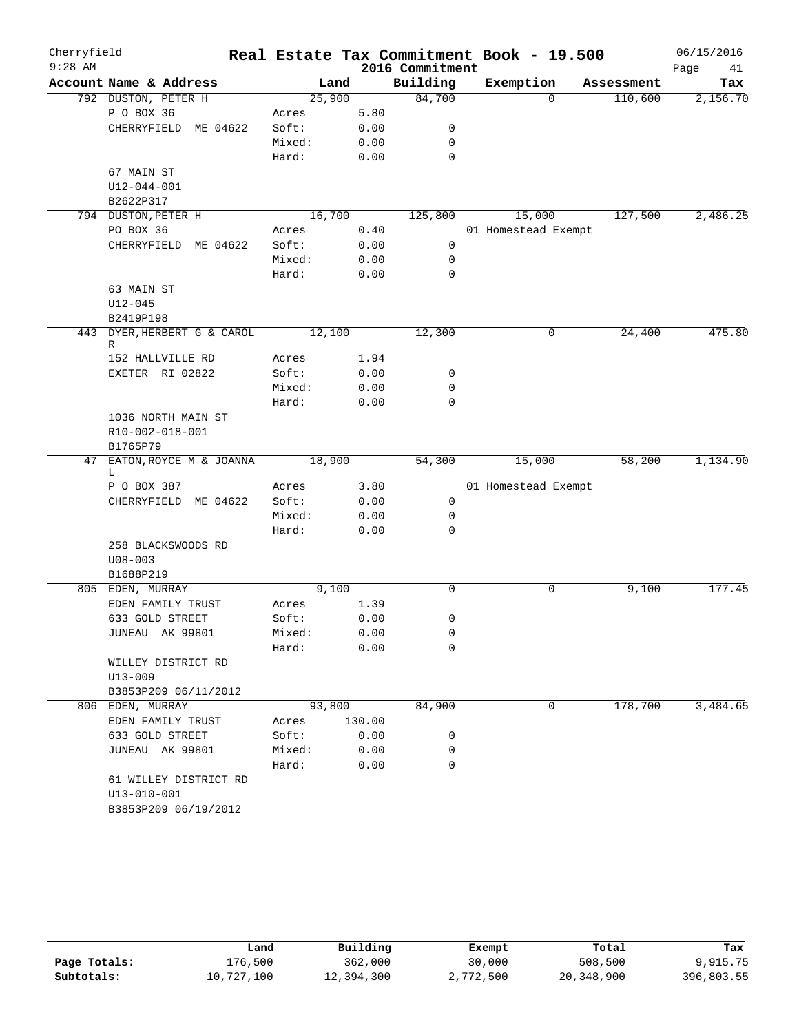| Cherryfield |                              |        |        |                 | Real Estate Tax Commitment Book - 19.500 |            | 06/15/2016 |
|-------------|------------------------------|--------|--------|-----------------|------------------------------------------|------------|------------|
| $9:28$ AM   |                              |        |        | 2016 Commitment |                                          |            | Page<br>41 |
|             | Account Name & Address       |        | Land   | Building        | Exemption                                | Assessment | Tax        |
|             | 792 DUSTON, PETER H          | 25,900 |        | 84,700          | $\Omega$                                 | 110,600    | 2,156.70   |
|             | P O BOX 36                   | Acres  | 5.80   |                 |                                          |            |            |
|             | CHERRYFIELD ME 04622         | Soft:  | 0.00   | 0               |                                          |            |            |
|             |                              | Mixed: | 0.00   | 0               |                                          |            |            |
|             |                              | Hard:  | 0.00   | 0               |                                          |            |            |
|             | 67 MAIN ST                   |        |        |                 |                                          |            |            |
|             | $U12 - 044 - 001$            |        |        |                 |                                          |            |            |
|             | B2622P317                    |        |        |                 |                                          |            |            |
|             | 794 DUSTON, PETER H          | 16,700 |        | 125,800         | 15,000                                   | 127,500    | 2,486.25   |
|             | PO BOX 36                    | Acres  | 0.40   |                 | 01 Homestead Exempt                      |            |            |
|             | CHERRYFIELD ME 04622         | Soft:  | 0.00   | 0               |                                          |            |            |
|             |                              | Mixed: | 0.00   | 0               |                                          |            |            |
|             |                              | Hard:  | 0.00   | 0               |                                          |            |            |
|             | 63 MAIN ST                   |        |        |                 |                                          |            |            |
|             | $U12 - 045$                  |        |        |                 |                                          |            |            |
|             | B2419P198                    |        |        |                 |                                          |            |            |
| 443         | DYER, HERBERT G & CAROL<br>R | 12,100 |        | 12,300          | 0                                        | 24,400     | 475.80     |
|             | 152 HALLVILLE RD             | Acres  | 1.94   |                 |                                          |            |            |
|             | EXETER RI 02822              | Soft:  | 0.00   | 0               |                                          |            |            |
|             |                              | Mixed: | 0.00   | 0               |                                          |            |            |
|             |                              | Hard:  | 0.00   | 0               |                                          |            |            |
|             | 1036 NORTH MAIN ST           |        |        |                 |                                          |            |            |
|             | R10-002-018-001              |        |        |                 |                                          |            |            |
|             | B1765P79                     |        |        |                 |                                          |            |            |
|             | 47 EATON, ROYCE M & JOANNA   | 18,900 |        | 54,300          | 15,000                                   | 58,200     | 1,134.90   |
|             | L                            |        |        |                 |                                          |            |            |
|             | P O BOX 387                  | Acres  | 3.80   |                 | 01 Homestead Exempt                      |            |            |
|             | CHERRYFIELD ME 04622         | Soft:  | 0.00   | 0               |                                          |            |            |
|             |                              | Mixed: | 0.00   | 0               |                                          |            |            |
|             |                              | Hard:  | 0.00   | 0               |                                          |            |            |
|             | 258 BLACKSWOODS RD           |        |        |                 |                                          |            |            |
|             | $U08 - 003$                  |        |        |                 |                                          |            |            |
|             | B1688P219                    |        |        |                 |                                          |            |            |
|             | 805 EDEN, MURRAY             |        | 9,100  | 0               | 0                                        | 9,100      | 177.45     |
|             | EDEN FAMILY TRUST            | Acres  | 1.39   |                 |                                          |            |            |
|             | 633 GOLD STREET              | Soft:  | 0.00   | 0               |                                          |            |            |
|             | JUNEAU AK 99801              | Mixed: | 0.00   | $\mathsf 0$     |                                          |            |            |
|             |                              | Hard:  | 0.00   | 0               |                                          |            |            |
|             | WILLEY DISTRICT RD           |        |        |                 |                                          |            |            |
|             | $U13 - 009$                  |        |        |                 |                                          |            |            |
|             | B3853P209 06/11/2012         |        |        |                 |                                          |            |            |
|             | 806 EDEN, MURRAY             | 93,800 |        | 84,900          | 0                                        | 178,700    | 3,484.65   |
|             | EDEN FAMILY TRUST            | Acres  | 130.00 |                 |                                          |            |            |
|             | 633 GOLD STREET              | Soft:  | 0.00   | 0               |                                          |            |            |
|             | JUNEAU AK 99801              | Mixed: | 0.00   | 0               |                                          |            |            |
|             |                              | Hard:  | 0.00   | 0               |                                          |            |            |
|             | 61 WILLEY DISTRICT RD        |        |        |                 |                                          |            |            |
|             | $U13 - 010 - 001$            |        |        |                 |                                          |            |            |
|             | B3853P209 06/19/2012         |        |        |                 |                                          |            |            |

|              | Land       | Building   | Exempt    | Total      | Tax        |
|--------------|------------|------------|-----------|------------|------------|
| Page Totals: | 176,500    | 362,000    | 30,000    | 508,500    | 9,915.75   |
| Subtotals:   | 10,727,100 | 12,394,300 | 2,772,500 | 20,348,900 | 396,803.55 |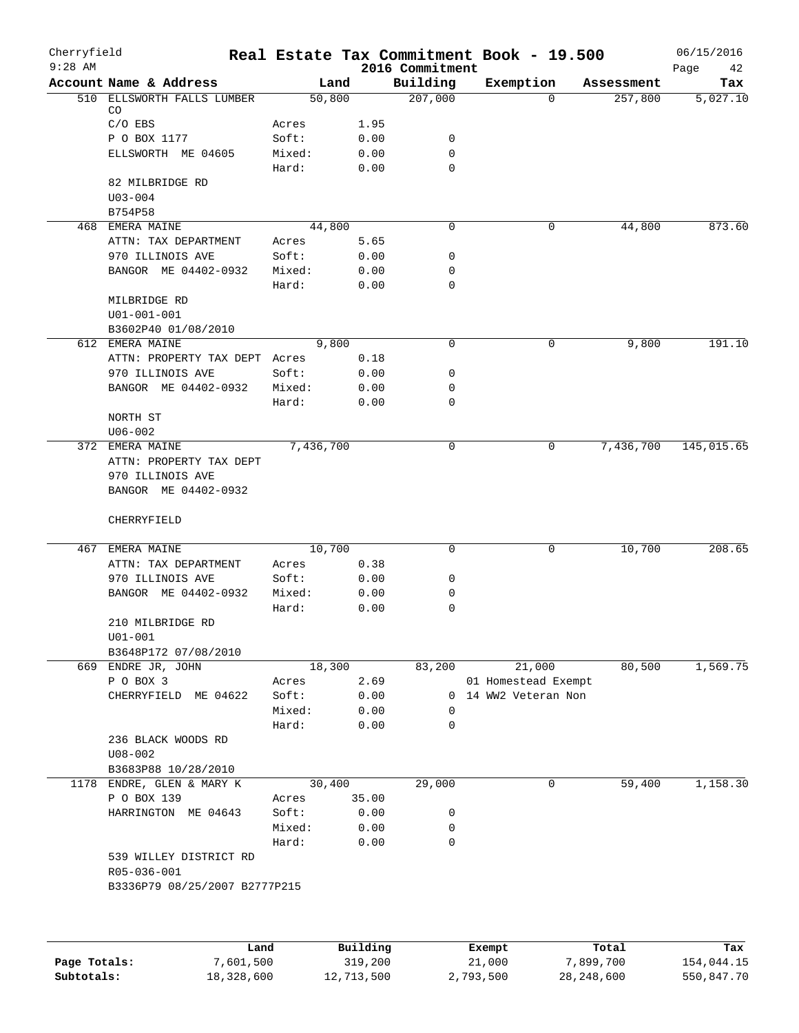| Cherryfield<br>$9:28$ AM |                                       |                 |              |                             | Real Estate Tax Commitment Book - 19.500 |            | 06/15/2016        |
|--------------------------|---------------------------------------|-----------------|--------------|-----------------------------|------------------------------------------|------------|-------------------|
|                          | Account Name & Address                | Land            |              | 2016 Commitment<br>Building | Exemption                                | Assessment | Page<br>42<br>Tax |
| 510                      | ELLSWORTH FALLS LUMBER                | 50,800          |              | 207,000                     | $\Omega$                                 | 257,800    | 5,027.10          |
|                          | CO                                    |                 |              |                             |                                          |            |                   |
|                          | $C/O$ EBS                             | Acres           | 1.95         |                             |                                          |            |                   |
|                          | P O BOX 1177                          | Soft:           | 0.00         | 0                           |                                          |            |                   |
|                          | ELLSWORTH ME 04605                    | Mixed:<br>Hard: | 0.00<br>0.00 | 0<br>0                      |                                          |            |                   |
|                          | 82 MILBRIDGE RD                       |                 |              |                             |                                          |            |                   |
|                          | $U03 - 004$                           |                 |              |                             |                                          |            |                   |
|                          | B754P58                               |                 |              |                             |                                          |            |                   |
|                          | 468 EMERA MAINE                       | 44,800          |              | 0                           | 0                                        | 44,800     | 873.60            |
|                          | ATTN: TAX DEPARTMENT                  | Acres           | 5.65         |                             |                                          |            |                   |
|                          | 970 ILLINOIS AVE                      | Soft:           | 0.00         | 0                           |                                          |            |                   |
|                          | BANGOR ME 04402-0932                  | Mixed:          | 0.00         | 0                           |                                          |            |                   |
|                          |                                       | Hard:           | 0.00         | $\mathbf 0$                 |                                          |            |                   |
|                          | MILBRIDGE RD                          |                 |              |                             |                                          |            |                   |
|                          | $U01 - 001 - 001$                     |                 |              |                             |                                          |            |                   |
|                          | B3602P40 01/08/2010                   |                 |              |                             |                                          |            |                   |
|                          | 612 EMERA MAINE                       | 9,800           |              | 0                           | 0                                        | 9,800      | 191.10            |
|                          | ATTN: PROPERTY TAX DEPT Acres         |                 | 0.18         |                             |                                          |            |                   |
|                          | 970 ILLINOIS AVE                      | Soft:           | 0.00         | 0                           |                                          |            |                   |
|                          | BANGOR ME 04402-0932                  | Mixed:          | 0.00         | 0                           |                                          |            |                   |
|                          |                                       | Hard:           | 0.00         | 0                           |                                          |            |                   |
|                          | NORTH ST                              |                 |              |                             |                                          |            |                   |
|                          | $U06 - 002$                           |                 |              |                             |                                          |            |                   |
|                          | 372 EMERA MAINE                       | 7,436,700       |              | 0                           | 0                                        | 7,436,700  | 145,015.65        |
|                          | ATTN: PROPERTY TAX DEPT               |                 |              |                             |                                          |            |                   |
|                          | 970 ILLINOIS AVE                      |                 |              |                             |                                          |            |                   |
|                          | BANGOR ME 04402-0932                  |                 |              |                             |                                          |            |                   |
|                          | CHERRYFIELD                           |                 |              |                             |                                          |            |                   |
|                          | 467 EMERA MAINE                       | 10,700          |              | 0                           | 0                                        | 10,700     | 208.65            |
|                          | ATTN: TAX DEPARTMENT                  | Acres           | 0.38         |                             |                                          |            |                   |
|                          | 970 ILLINOIS AVE                      | Soft:           | 0.00         | 0                           |                                          |            |                   |
|                          | BANGOR ME 04402-0932                  | Mixed:          | 0.00         | 0                           |                                          |            |                   |
|                          |                                       | Hard:           | 0.00         | 0                           |                                          |            |                   |
|                          | 210 MILBRIDGE RD                      |                 |              |                             |                                          |            |                   |
|                          | $U01 - 001$                           |                 |              |                             |                                          |            |                   |
|                          | B3648P172 07/08/2010                  |                 |              |                             |                                          |            |                   |
|                          | 669 ENDRE JR, JOHN                    | 18,300          |              | 83,200                      | 21,000                                   | 80,500     | 1,569.75          |
|                          | P O BOX 3                             | Acres           | 2.69         |                             | 01 Homestead Exempt                      |            |                   |
|                          | CHERRYFIELD ME 04622                  | Soft:           | 0.00         | $\Omega$                    | 14 WW2 Veteran Non                       |            |                   |
|                          |                                       | Mixed:          | 0.00         | 0                           |                                          |            |                   |
|                          |                                       | Hard:           | 0.00         | 0                           |                                          |            |                   |
|                          | 236 BLACK WOODS RD                    |                 |              |                             |                                          |            |                   |
|                          | $U08 - 002$                           |                 |              |                             |                                          |            |                   |
|                          | B3683P88 10/28/2010                   |                 |              |                             |                                          |            |                   |
|                          | 1178 ENDRE, GLEN & MARY K             | 30,400          |              | 29,000                      | $\mathbf 0$                              | 59,400     | 1,158.30          |
|                          | P O BOX 139                           | Acres           | 35.00        |                             |                                          |            |                   |
|                          | HARRINGTON ME 04643                   | Soft:           | 0.00         | 0                           |                                          |            |                   |
|                          |                                       | Mixed:          | 0.00         | 0                           |                                          |            |                   |
|                          |                                       | Hard:           | 0.00         | $\mathbf 0$                 |                                          |            |                   |
|                          | 539 WILLEY DISTRICT RD<br>R05-036-001 |                 |              |                             |                                          |            |                   |
|                          | B3336P79 08/25/2007 B2777P215         |                 |              |                             |                                          |            |                   |
|                          |                                       |                 |              |                             |                                          |            |                   |
|                          | Land                                  |                 | Building     |                             | Exempt                                   | Total      | Tax               |
| Page Totals:             | 7,601,500                             |                 | 319,200      |                             | 21,000                                   | 7,899,700  | 154,044.15        |

**Subtotals:** 18,328,600 12,713,500 2,793,500 28,248,600 550,847.70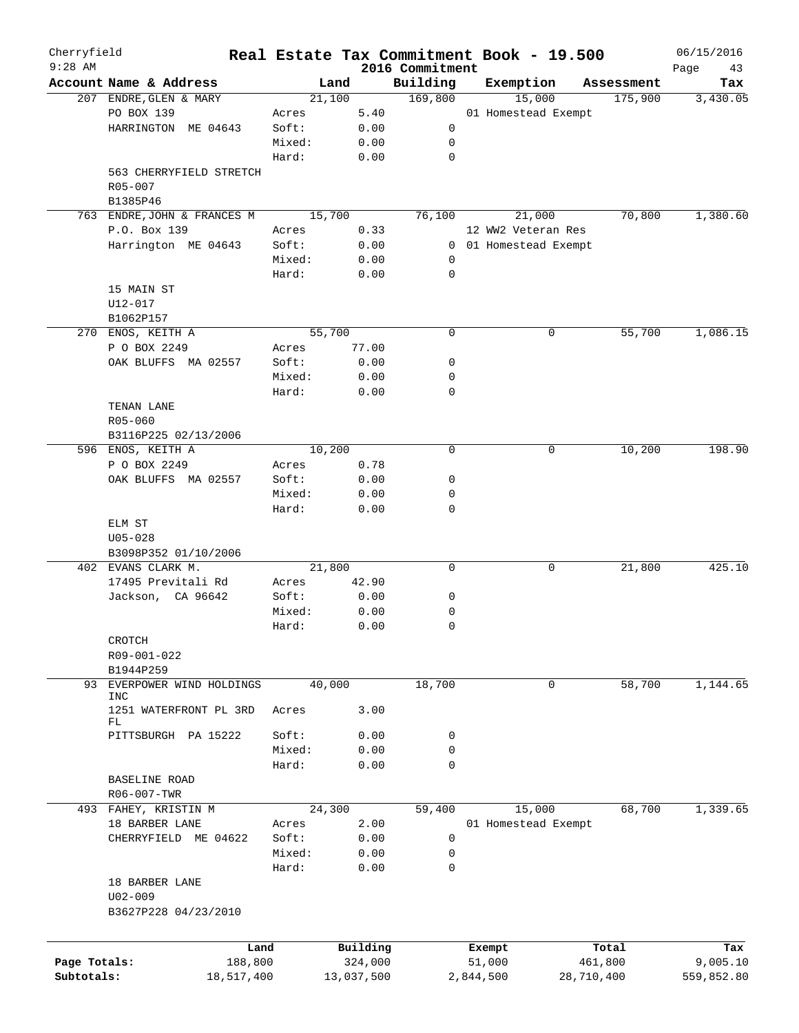| Cherryfield<br>$9:28$ AM |                                |        |            | 2016 Commitment | Real Estate Tax Commitment Book - 19.500 |            | 06/15/2016        |
|--------------------------|--------------------------------|--------|------------|-----------------|------------------------------------------|------------|-------------------|
|                          | Account Name & Address         | Land   |            | Building        | Exemption                                | Assessment | Page<br>43<br>Tax |
|                          | 207 ENDRE, GLEN & MARY         | 21,100 |            | 169,800         | 15,000                                   | 175,900    | 3,430.05          |
|                          | PO BOX 139                     | Acres  | 5.40       |                 | 01 Homestead Exempt                      |            |                   |
|                          | HARRINGTON ME 04643            | Soft:  | 0.00       | 0               |                                          |            |                   |
|                          |                                | Mixed: | 0.00       | 0               |                                          |            |                   |
|                          |                                | Hard:  | 0.00       | 0               |                                          |            |                   |
|                          | 563 CHERRYFIELD STRETCH        |        |            |                 |                                          |            |                   |
|                          | R05-007                        |        |            |                 |                                          |            |                   |
|                          | B1385P46                       |        |            |                 |                                          |            |                   |
|                          | 763 ENDRE, JOHN & FRANCES M    | 15,700 |            | 76,100          | 21,000                                   | 70,800     | 1,380.60          |
|                          | P.O. Box 139                   | Acres  | 0.33       |                 | 12 WW2 Veteran Res                       |            |                   |
|                          | Harrington ME 04643            | Soft:  | 0.00       | 0               | 01 Homestead Exempt                      |            |                   |
|                          |                                | Mixed: | 0.00       | 0               |                                          |            |                   |
|                          |                                |        |            | 0               |                                          |            |                   |
|                          |                                | Hard:  | 0.00       |                 |                                          |            |                   |
|                          | 15 MAIN ST                     |        |            |                 |                                          |            |                   |
|                          | U12-017                        |        |            |                 |                                          |            |                   |
|                          | B1062P157                      |        |            |                 |                                          |            |                   |
|                          | 270 ENOS, KEITH A              | 55,700 |            | 0               | 0                                        | 55,700     | 1,086.15          |
|                          | P O BOX 2249                   | Acres  | 77.00      |                 |                                          |            |                   |
|                          | OAK BLUFFS MA 02557            | Soft:  | 0.00       | 0               |                                          |            |                   |
|                          |                                | Mixed: | 0.00       | 0               |                                          |            |                   |
|                          |                                | Hard:  | 0.00       | 0               |                                          |            |                   |
|                          | TENAN LANE                     |        |            |                 |                                          |            |                   |
|                          | R05-060                        |        |            |                 |                                          |            |                   |
|                          | B3116P225 02/13/2006           |        |            |                 |                                          |            |                   |
|                          | 596 ENOS, KEITH A              | 10,200 |            | 0               | 0                                        | 10,200     | 198.90            |
|                          | P O BOX 2249                   | Acres  | 0.78       |                 |                                          |            |                   |
|                          | OAK BLUFFS MA 02557            | Soft:  | 0.00       | 0               |                                          |            |                   |
|                          |                                | Mixed: | 0.00       | 0               |                                          |            |                   |
|                          |                                | Hard:  | 0.00       | 0               |                                          |            |                   |
|                          | ELM ST                         |        |            |                 |                                          |            |                   |
|                          | $U05 - 028$                    |        |            |                 |                                          |            |                   |
|                          | B3098P352 01/10/2006           |        |            |                 |                                          |            |                   |
|                          | 402 EVANS CLARK M.             | 21,800 |            | 0               | 0                                        | 21,800     | 425.10            |
|                          | 17495 Previtali Rd             | Acres  | 42.90      |                 |                                          |            |                   |
|                          | Jackson, CA 96642              | Soft:  | 0.00       | 0               |                                          |            |                   |
|                          |                                | Mixed: | 0.00       | 0               |                                          |            |                   |
|                          |                                | Hard:  | 0.00       | 0               |                                          |            |                   |
|                          |                                |        |            |                 |                                          |            |                   |
|                          | CROTCH                         |        |            |                 |                                          |            |                   |
|                          | R09-001-022                    |        |            |                 |                                          |            |                   |
|                          | B1944P259                      |        |            |                 |                                          |            |                   |
| 93                       | EVERPOWER WIND HOLDINGS<br>INC | 40,000 |            | 18,700          | 0                                        | 58,700     | 1,144.65          |
|                          | 1251 WATERFRONT PL 3RD         | Acres  | 3.00       |                 |                                          |            |                   |
|                          | FL                             |        |            |                 |                                          |            |                   |
|                          | PITTSBURGH PA 15222            | Soft:  | 0.00       | 0               |                                          |            |                   |
|                          |                                | Mixed: | 0.00       | 0               |                                          |            |                   |
|                          |                                | Hard:  | 0.00       | $\mathbf 0$     |                                          |            |                   |
|                          | <b>BASELINE ROAD</b>           |        |            |                 |                                          |            |                   |
|                          | R06-007-TWR                    |        |            |                 |                                          |            |                   |
|                          |                                |        |            |                 |                                          | 68,700     | 1,339.65          |
|                          | 493 FAHEY, KRISTIN M           | 24,300 |            | 59,400          | 15,000                                   |            |                   |
|                          | 18 BARBER LANE                 | Acres  | 2.00       |                 | 01 Homestead Exempt                      |            |                   |
|                          | CHERRYFIELD ME 04622           | Soft:  | 0.00       | 0               |                                          |            |                   |
|                          |                                | Mixed: | 0.00       | 0               |                                          |            |                   |
|                          |                                | Hard:  | 0.00       | 0               |                                          |            |                   |
|                          | 18 BARBER LANE                 |        |            |                 |                                          |            |                   |
|                          | $U02 - 009$                    |        |            |                 |                                          |            |                   |
|                          | B3627P228 04/23/2010           |        |            |                 |                                          |            |                   |
|                          |                                |        |            |                 |                                          |            |                   |
|                          | Land                           |        | Building   |                 | Exempt                                   | Total      | Tax               |
| Page Totals:             | 188,800                        |        | 324,000    |                 | 51,000                                   | 461,800    | 9,005.10          |
| Subtotals:               | 18,517,400                     |        | 13,037,500 |                 | 2,844,500                                | 28,710,400 | 559,852.80        |
|                          |                                |        |            |                 |                                          |            |                   |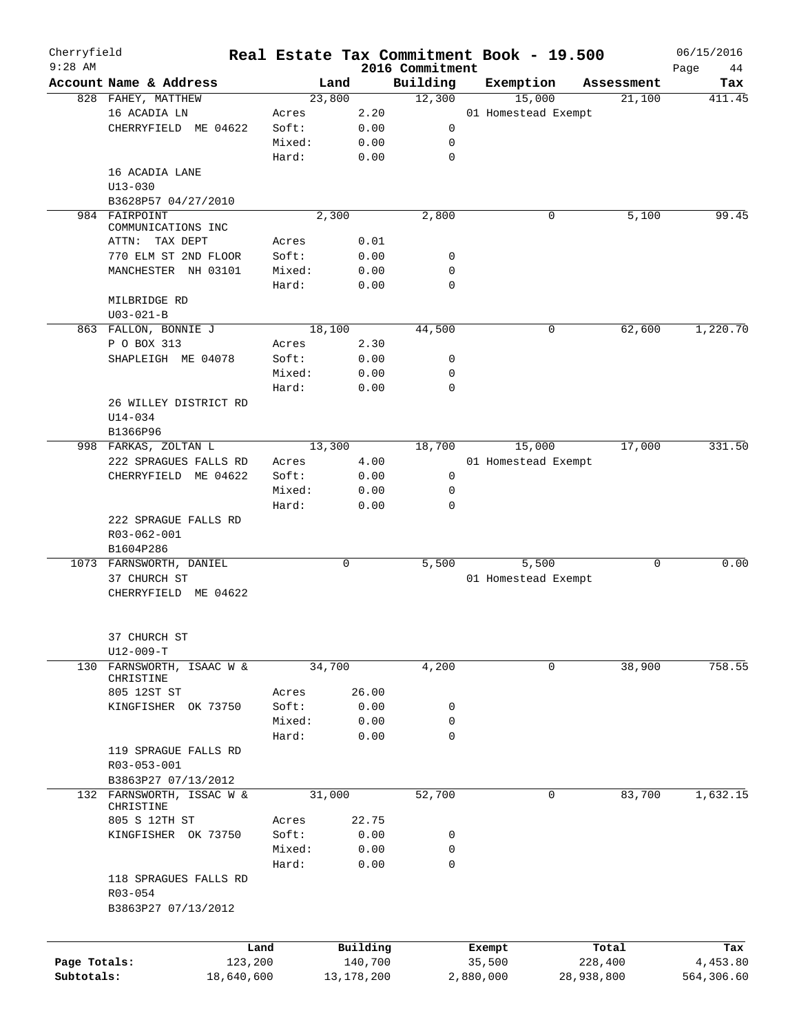| Cherryfield<br>$9:28$ AM |                                     |         |        |            | 2016 Commitment | Real Estate Tax Commitment Book - 19.500 |            |            | 06/15/2016<br>Page<br>44 |
|--------------------------|-------------------------------------|---------|--------|------------|-----------------|------------------------------------------|------------|------------|--------------------------|
|                          | Account Name & Address              |         | Land   |            | Building        | Exemption                                |            | Assessment | Tax                      |
|                          | 828 FAHEY, MATTHEW                  |         | 23,800 |            | 12,300          | 15,000                                   |            | 21,100     | 411.45                   |
|                          | 16 ACADIA LN                        | Acres   |        | 2.20       |                 | 01 Homestead Exempt                      |            |            |                          |
|                          | CHERRYFIELD ME 04622                | Soft:   |        | 0.00       | 0               |                                          |            |            |                          |
|                          |                                     | Mixed:  |        | 0.00       | 0               |                                          |            |            |                          |
|                          |                                     |         |        |            | $\mathbf 0$     |                                          |            |            |                          |
|                          |                                     | Hard:   |        | 0.00       |                 |                                          |            |            |                          |
|                          | 16 ACADIA LANE                      |         |        |            |                 |                                          |            |            |                          |
|                          | $U13 - 030$                         |         |        |            |                 |                                          |            |            |                          |
|                          | B3628P57 04/27/2010                 |         |        |            |                 |                                          |            |            |                          |
|                          | 984 FAIRPOINT<br>COMMUNICATIONS INC |         | 2,300  |            | 2,800           | 0                                        |            | 5,100      | 99.45                    |
|                          | ATTN: TAX DEPT                      | Acres   |        | 0.01       |                 |                                          |            |            |                          |
|                          | 770 ELM ST 2ND FLOOR                | Soft:   |        | 0.00       | 0               |                                          |            |            |                          |
|                          | MANCHESTER NH 03101                 | Mixed:  |        | 0.00       | 0               |                                          |            |            |                          |
|                          |                                     |         |        |            |                 |                                          |            |            |                          |
|                          |                                     | Hard:   |        | 0.00       | $\mathbf 0$     |                                          |            |            |                          |
|                          | MILBRIDGE RD                        |         |        |            |                 |                                          |            |            |                          |
|                          | $U03 - 021 - B$                     |         |        |            |                 |                                          |            |            |                          |
|                          | 863 FALLON, BONNIE J                |         | 18,100 |            | 44,500          | 0                                        |            | 62,600     | 1,220.70                 |
|                          | P O BOX 313                         | Acres   |        | 2.30       |                 |                                          |            |            |                          |
|                          | SHAPLEIGH ME 04078                  | Soft:   |        | 0.00       | 0               |                                          |            |            |                          |
|                          |                                     | Mixed:  |        | 0.00       | 0               |                                          |            |            |                          |
|                          |                                     | Hard:   |        | 0.00       | 0               |                                          |            |            |                          |
|                          | 26 WILLEY DISTRICT RD               |         |        |            |                 |                                          |            |            |                          |
|                          | $U14 - 034$                         |         |        |            |                 |                                          |            |            |                          |
|                          | B1366P96                            |         |        |            |                 |                                          |            |            |                          |
|                          | 998 FARKAS, ZOLTAN L                |         | 13,300 |            | 18,700          | 15,000                                   |            | 17,000     | 331.50                   |
|                          | 222 SPRAGUES FALLS RD               | Acres   |        | 4.00       |                 | 01 Homestead Exempt                      |            |            |                          |
|                          | CHERRYFIELD ME 04622                | Soft:   |        | 0.00       | $\mathbf 0$     |                                          |            |            |                          |
|                          |                                     | Mixed:  |        | 0.00       | 0               |                                          |            |            |                          |
|                          |                                     | Hard:   |        | 0.00       | 0               |                                          |            |            |                          |
|                          | 222 SPRAGUE FALLS RD                |         |        |            |                 |                                          |            |            |                          |
|                          | R03-062-001                         |         |        |            |                 |                                          |            |            |                          |
|                          | B1604P286                           |         |        |            |                 |                                          |            |            |                          |
|                          | 1073 FARNSWORTH, DANIEL             |         | 0      |            | 5,500           | 5,500                                    |            | 0          | 0.00                     |
|                          | 37 CHURCH ST                        |         |        |            |                 | 01 Homestead Exempt                      |            |            |                          |
|                          | CHERRYFIELD ME 04622                |         |        |            |                 |                                          |            |            |                          |
|                          |                                     |         |        |            |                 |                                          |            |            |                          |
|                          |                                     |         |        |            |                 |                                          |            |            |                          |
|                          | 37 CHURCH ST                        |         |        |            |                 |                                          |            |            |                          |
|                          | $U12-009-T$                         |         |        |            |                 |                                          |            |            |                          |
| 130                      | FARNSWORTH, ISAAC W &<br>CHRISTINE  |         | 34,700 |            | 4,200           | 0                                        |            | 38,900     | 758.55                   |
|                          | 805 12ST ST                         | Acres   |        | 26.00      |                 |                                          |            |            |                          |
|                          | KINGFISHER OK 73750                 | Soft:   |        | 0.00       | 0               |                                          |            |            |                          |
|                          |                                     | Mixed:  |        | 0.00       | 0               |                                          |            |            |                          |
|                          |                                     |         |        |            | $\mathbf 0$     |                                          |            |            |                          |
|                          |                                     | Hard:   |        | 0.00       |                 |                                          |            |            |                          |
|                          | 119 SPRAGUE FALLS RD                |         |        |            |                 |                                          |            |            |                          |
|                          | R03-053-001                         |         |        |            |                 |                                          |            |            |                          |
|                          | B3863P27 07/13/2012                 |         |        |            |                 |                                          |            |            |                          |
|                          | 132 FARNSWORTH, ISSAC W &           |         | 31,000 |            | 52,700          | 0                                        |            | 83,700     | 1,632.15                 |
|                          | CHRISTINE                           |         |        |            |                 |                                          |            |            |                          |
|                          | 805 S 12TH ST                       | Acres   |        | 22.75      |                 |                                          |            |            |                          |
|                          | KINGFISHER OK 73750                 | Soft:   |        | 0.00       | 0               |                                          |            |            |                          |
|                          |                                     | Mixed:  |        | 0.00       | 0               |                                          |            |            |                          |
|                          |                                     | Hard:   |        | 0.00       | 0               |                                          |            |            |                          |
|                          | 118 SPRAGUES FALLS RD               |         |        |            |                 |                                          |            |            |                          |
|                          | R03-054                             |         |        |            |                 |                                          |            |            |                          |
|                          | B3863P27 07/13/2012                 |         |        |            |                 |                                          |            |            |                          |
|                          |                                     |         |        |            |                 |                                          |            |            |                          |
|                          |                                     | Land    |        | Building   |                 | Exempt                                   |            | Total      | Tax                      |
| Page Totals:             |                                     | 123,200 |        | 140,700    |                 | 35,500                                   | 228,400    |            | 4,453.80                 |
| Subtotals:               | 18,640,600                          |         |        | 13,178,200 |                 | 2,880,000                                | 28,938,800 |            | 564,306.60               |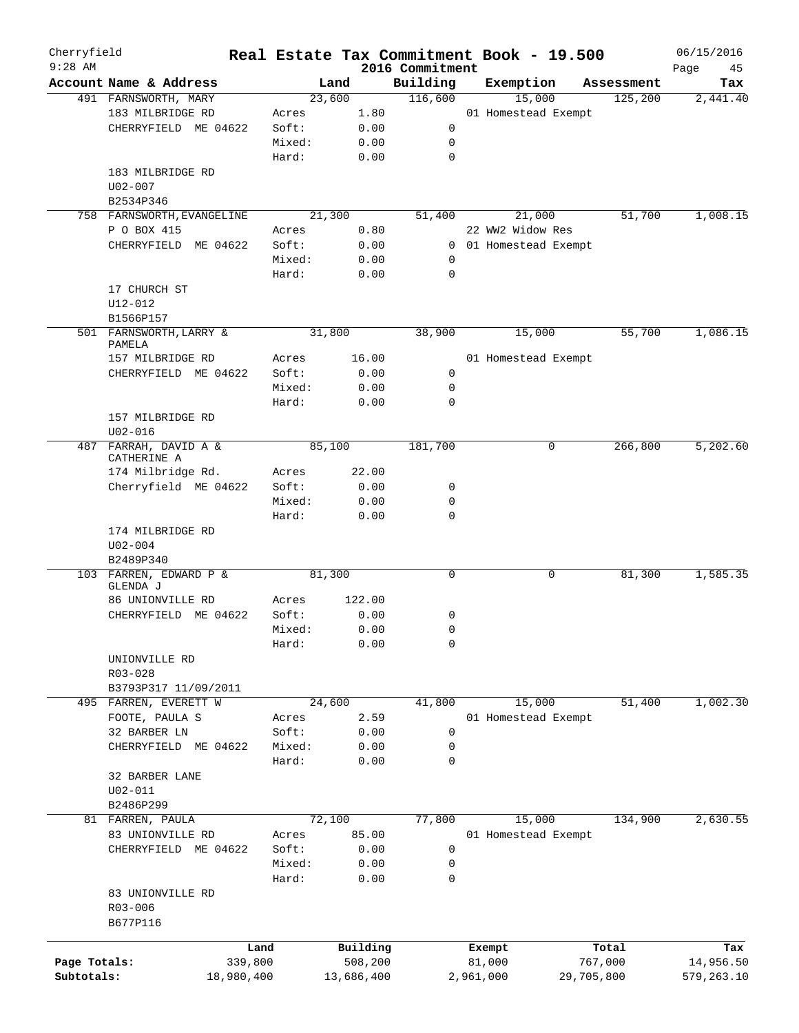| Cherryfield<br>$9:28$ AM |                                           |            |        |            | 2016 Commitment | Real Estate Tax Commitment Book - 19.500 |            | 06/15/2016        |
|--------------------------|-------------------------------------------|------------|--------|------------|-----------------|------------------------------------------|------------|-------------------|
|                          | Account Name & Address                    |            | Land   |            | Building        | Exemption                                | Assessment | Page<br>45<br>Tax |
|                          | 491 FARNSWORTH, MARY                      |            | 23,600 |            | 116,600         | 15,000                                   | 125,200    | 2,441.40          |
|                          | 183 MILBRIDGE RD                          |            | Acres  | 1.80       |                 | 01 Homestead Exempt                      |            |                   |
|                          | CHERRYFIELD ME 04622                      |            | Soft:  | 0.00       | 0               |                                          |            |                   |
|                          |                                           |            | Mixed: | 0.00       | 0               |                                          |            |                   |
|                          |                                           |            | Hard:  | 0.00       | $\mathbf 0$     |                                          |            |                   |
|                          | 183 MILBRIDGE RD                          |            |        |            |                 |                                          |            |                   |
|                          |                                           |            |        |            |                 |                                          |            |                   |
|                          | U02-007                                   |            |        |            |                 |                                          |            |                   |
|                          | B2534P346                                 |            | 21,300 |            | 51,400          | 21,000                                   | 51,700     | 1,008.15          |
|                          | 758 FARNSWORTH, EVANGELINE<br>P O BOX 415 |            |        |            |                 | 22 WW2 Widow Res                         |            |                   |
|                          |                                           |            | Acres  | 0.80       |                 |                                          |            |                   |
|                          | CHERRYFIELD ME 04622                      |            | Soft:  | 0.00       | $\mathbf{0}$    | 01 Homestead Exempt                      |            |                   |
|                          |                                           |            | Mixed: | 0.00       | 0               |                                          |            |                   |
|                          |                                           |            | Hard:  | 0.00       | $\mathbf 0$     |                                          |            |                   |
|                          | 17 CHURCH ST                              |            |        |            |                 |                                          |            |                   |
|                          | $U12 - 012$                               |            |        |            |                 |                                          |            |                   |
|                          | B1566P157                                 |            |        |            |                 |                                          |            |                   |
|                          | 501 FARNSWORTH, LARRY &<br>PAMELA         |            | 31,800 |            | 38,900          | 15,000                                   | 55,700     | 1,086.15          |
|                          | 157 MILBRIDGE RD                          |            | Acres  | 16.00      |                 | 01 Homestead Exempt                      |            |                   |
|                          | CHERRYFIELD ME 04622                      |            | Soft:  | 0.00       | 0               |                                          |            |                   |
|                          |                                           |            |        |            | $\mathbf 0$     |                                          |            |                   |
|                          |                                           |            | Mixed: | 0.00       |                 |                                          |            |                   |
|                          |                                           |            | Hard:  | 0.00       | 0               |                                          |            |                   |
|                          | 157 MILBRIDGE RD                          |            |        |            |                 |                                          |            |                   |
|                          | $U02 - 016$                               |            |        |            |                 |                                          |            |                   |
|                          | 487 FARRAH, DAVID A &<br>CATHERINE A      |            | 85,100 |            | 181,700         | 0                                        | 266,800    | 5,202.60          |
|                          | 174 Milbridge Rd.                         |            | Acres  | 22.00      |                 |                                          |            |                   |
|                          | Cherryfield ME 04622                      |            | Soft:  | 0.00       | 0               |                                          |            |                   |
|                          |                                           |            |        |            |                 |                                          |            |                   |
|                          |                                           |            | Mixed: | 0.00       | 0               |                                          |            |                   |
|                          |                                           |            | Hard:  | 0.00       | $\mathbf 0$     |                                          |            |                   |
|                          | 174 MILBRIDGE RD                          |            |        |            |                 |                                          |            |                   |
|                          | $U02 - 004$                               |            |        |            |                 |                                          |            |                   |
|                          | B2489P340                                 |            |        |            |                 |                                          |            |                   |
|                          | 103 FARREN, EDWARD P &<br>GLENDA J        |            | 81,300 |            | 0               | 0                                        | 81,300     | 1,585.35          |
|                          | 86 UNIONVILLE RD                          |            | Acres  | 122.00     |                 |                                          |            |                   |
|                          | CHERRYFIELD ME 04622                      |            | Soft:  | 0.00       | 0               |                                          |            |                   |
|                          |                                           |            | Mixed: | 0.00       | 0               |                                          |            |                   |
|                          |                                           |            |        |            | 0               |                                          |            |                   |
|                          |                                           |            | Hard:  | 0.00       |                 |                                          |            |                   |
|                          | UNIONVILLE RD                             |            |        |            |                 |                                          |            |                   |
|                          | R03-028                                   |            |        |            |                 |                                          |            |                   |
|                          | B3793P317 11/09/2011                      |            |        |            |                 |                                          |            |                   |
|                          | 495 FARREN, EVERETT W                     |            | 24,600 |            | 41,800          | 15,000                                   | 51,400     | 1,002.30          |
|                          | FOOTE, PAULA S                            |            | Acres  | 2.59       |                 | 01 Homestead Exempt                      |            |                   |
|                          | 32 BARBER LN                              |            | Soft:  | 0.00       | 0               |                                          |            |                   |
|                          | CHERRYFIELD ME 04622                      |            | Mixed: | 0.00       | 0               |                                          |            |                   |
|                          |                                           |            | Hard:  | 0.00       | 0               |                                          |            |                   |
|                          | 32 BARBER LANE                            |            |        |            |                 |                                          |            |                   |
|                          | $U02 - 011$                               |            |        |            |                 |                                          |            |                   |
|                          | B2486P299                                 |            |        |            |                 |                                          |            |                   |
|                          | 81 FARREN, PAULA                          |            | 72,100 |            | 77,800          | 15,000                                   | 134,900    | 2,630.55          |
|                          | 83 UNIONVILLE RD                          |            | Acres  | 85.00      |                 | 01 Homestead Exempt                      |            |                   |
|                          | CHERRYFIELD ME 04622                      |            | Soft:  | 0.00       | 0               |                                          |            |                   |
|                          |                                           |            | Mixed: | 0.00       | 0               |                                          |            |                   |
|                          |                                           |            | Hard:  | 0.00       | 0               |                                          |            |                   |
|                          | 83 UNIONVILLE RD                          |            |        |            |                 |                                          |            |                   |
|                          | $R03 - 006$                               |            |        |            |                 |                                          |            |                   |
|                          | B677P116                                  |            |        |            |                 |                                          |            |                   |
|                          |                                           |            |        |            |                 |                                          |            |                   |
|                          |                                           | Land       |        | Building   |                 | Exempt                                   | Total      | Tax               |
| Page Totals:             |                                           | 339,800    |        | 508,200    |                 | 81,000                                   | 767,000    | 14,956.50         |
| Subtotals:               |                                           | 18,980,400 |        | 13,686,400 |                 | 2,961,000                                | 29,705,800 | 579,263.10        |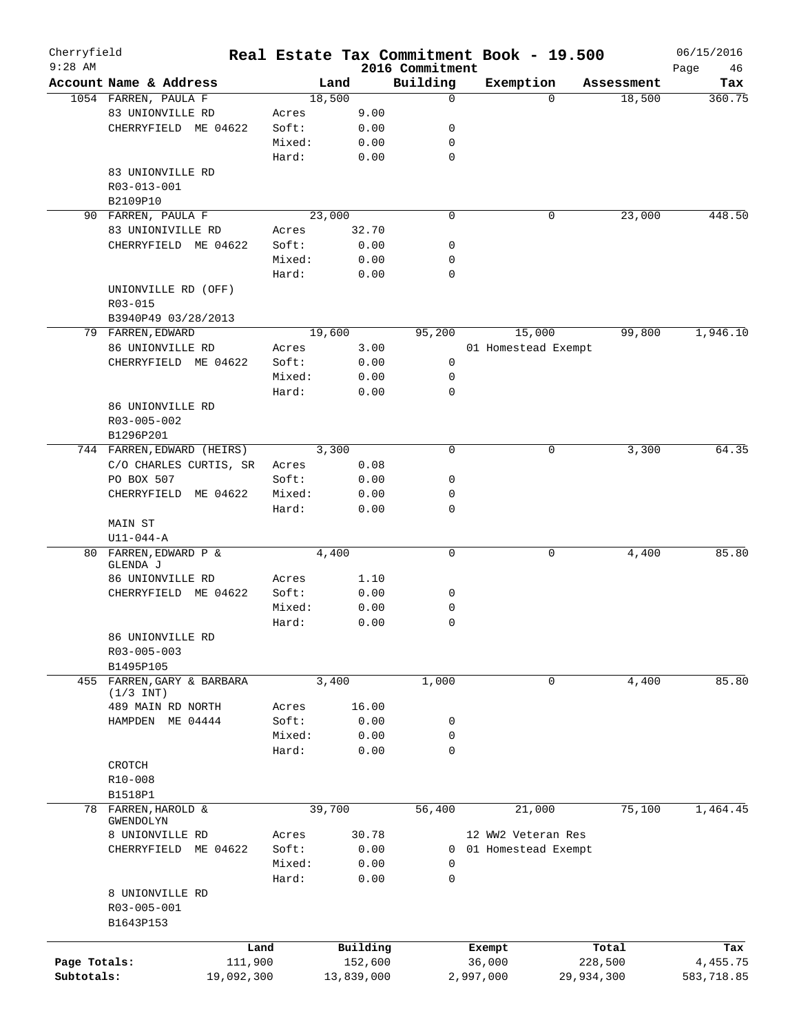| Cherryfield<br>$9:28$ AM |                            |            |        |        |            |                             | Real Estate Tax Commitment Book - 19.500 |          |            | 06/15/2016        |
|--------------------------|----------------------------|------------|--------|--------|------------|-----------------------------|------------------------------------------|----------|------------|-------------------|
|                          | Account Name & Address     |            |        | Land   |            | 2016 Commitment<br>Building | Exemption                                |          | Assessment | 46<br>Page<br>Tax |
|                          | 1054 FARREN, PAULA F       |            |        | 18,500 |            | 0                           |                                          | $\Omega$ | 18,500     | 360.75            |
|                          | 83 UNIONVILLE RD           |            | Acres  |        | 9.00       |                             |                                          |          |            |                   |
|                          | CHERRYFIELD ME 04622       |            | Soft:  |        | 0.00       | 0                           |                                          |          |            |                   |
|                          |                            |            | Mixed: |        | 0.00       | 0                           |                                          |          |            |                   |
|                          |                            |            | Hard:  |        | 0.00       | 0                           |                                          |          |            |                   |
|                          | 83 UNIONVILLE RD           |            |        |        |            |                             |                                          |          |            |                   |
|                          | R03-013-001                |            |        |        |            |                             |                                          |          |            |                   |
|                          | B2109P10                   |            |        |        |            |                             |                                          |          |            |                   |
|                          | 90 FARREN, PAULA F         |            |        | 23,000 |            | $\mathbf 0$                 |                                          | 0        | 23,000     | 448.50            |
|                          | 83 UNIONIVILLE RD          |            | Acres  |        | 32.70      |                             |                                          |          |            |                   |
|                          | CHERRYFIELD ME 04622       |            | Soft:  |        | 0.00       | 0                           |                                          |          |            |                   |
|                          |                            |            | Mixed: |        | 0.00       | 0                           |                                          |          |            |                   |
|                          |                            |            | Hard:  |        | 0.00       | 0                           |                                          |          |            |                   |
|                          | UNIONVILLE RD (OFF)        |            |        |        |            |                             |                                          |          |            |                   |
|                          | R03-015                    |            |        |        |            |                             |                                          |          |            |                   |
|                          | B3940P49 03/28/2013        |            |        |        |            |                             |                                          |          |            |                   |
|                          | 79 FARREN, EDWARD          |            |        | 19,600 |            | 95,200                      | 15,000                                   |          | 99,800     | 1,946.10          |
|                          | 86 UNIONVILLE RD           |            | Acres  |        | 3.00       |                             | 01 Homestead Exempt                      |          |            |                   |
|                          | CHERRYFIELD ME 04622       |            | Soft:  |        | 0.00       | 0                           |                                          |          |            |                   |
|                          |                            |            | Mixed: |        | 0.00       | 0                           |                                          |          |            |                   |
|                          |                            |            | Hard:  |        | 0.00       | 0                           |                                          |          |            |                   |
|                          | 86 UNIONVILLE RD           |            |        |        |            |                             |                                          |          |            |                   |
|                          | R03-005-002                |            |        |        |            |                             |                                          |          |            |                   |
|                          | B1296P201                  |            |        |        |            |                             |                                          |          |            |                   |
|                          | 744 FARREN, EDWARD (HEIRS) |            |        | 3,300  |            | 0                           |                                          | 0        | 3,300      | 64.35             |
|                          | C/O CHARLES CURTIS, SR     |            | Acres  |        | 0.08       |                             |                                          |          |            |                   |
|                          | PO BOX 507                 |            | Soft:  |        | 0.00       | 0                           |                                          |          |            |                   |
|                          | CHERRYFIELD                | ME 04622   | Mixed: |        | 0.00       | 0                           |                                          |          |            |                   |
|                          |                            |            | Hard:  |        | 0.00       | 0                           |                                          |          |            |                   |
|                          | <b>MAIN ST</b>             |            |        |        |            |                             |                                          |          |            |                   |
|                          | $U11 - 044 - A$            |            |        |        |            |                             |                                          |          |            |                   |
| 80                       | FARREN, EDWARD P &         |            |        | 4,400  |            | 0                           |                                          | 0        | 4,400      | 85.80             |
|                          | GLENDA J                   |            |        |        |            |                             |                                          |          |            |                   |
|                          | 86 UNIONVILLE RD           |            | Acres  |        | 1.10       |                             |                                          |          |            |                   |
|                          | CHERRYFIELD ME 04622       |            | Soft:  |        | 0.00       | 0                           |                                          |          |            |                   |
|                          |                            |            | Mixed: |        | 0.00       | 0                           |                                          |          |            |                   |
|                          |                            |            | Hard:  |        | 0.00       | 0                           |                                          |          |            |                   |
|                          | 86 UNIONVILLE RD           |            |        |        |            |                             |                                          |          |            |                   |
|                          | R03-005-003                |            |        |        |            |                             |                                          |          |            |                   |
|                          | B1495P105                  |            |        |        |            |                             |                                          |          |            |                   |
|                          | 455 FARREN, GARY & BARBARA |            |        | 3,400  |            | 1,000                       |                                          | 0        | 4,400      | 85.80             |
|                          | $(1/3$ INT)                |            |        |        |            |                             |                                          |          |            |                   |
|                          | 489 MAIN RD NORTH          |            | Acres  |        | 16.00      |                             |                                          |          |            |                   |
|                          | HAMPDEN ME 04444           |            | Soft:  |        | 0.00       | 0                           |                                          |          |            |                   |
|                          |                            |            | Mixed: |        | 0.00       | 0                           |                                          |          |            |                   |
|                          |                            |            | Hard:  |        | 0.00       | 0                           |                                          |          |            |                   |
|                          | CROTCH                     |            |        |        |            |                             |                                          |          |            |                   |
|                          | R10-008                    |            |        |        |            |                             |                                          |          |            |                   |
|                          | B1518P1                    |            |        |        |            |                             |                                          |          |            |                   |
| 78                       | FARREN, HAROLD &           |            |        | 39,700 |            | 56,400                      |                                          | 21,000   | 75,100     | 1,464.45          |
|                          | GWENDOLYN                  |            |        |        |            |                             |                                          |          |            |                   |
|                          | 8 UNIONVILLE RD            |            | Acres  |        | 30.78      |                             | 12 WW2 Veteran Res                       |          |            |                   |
|                          | CHERRYFIELD ME 04622       |            | Soft:  |        | 0.00       | 0                           | 01 Homestead Exempt                      |          |            |                   |
|                          |                            |            | Mixed: |        | 0.00       | 0                           |                                          |          |            |                   |
|                          |                            |            | Hard:  |        | 0.00       | 0                           |                                          |          |            |                   |
|                          | 8 UNIONVILLE RD            |            |        |        |            |                             |                                          |          |            |                   |
|                          | R03-005-001                |            |        |        |            |                             |                                          |          |            |                   |
|                          | B1643P153                  |            |        |        |            |                             |                                          |          |            |                   |
|                          |                            | Land       |        |        | Building   |                             | Exempt                                   |          | Total      | Tax               |
| Page Totals:             |                            | 111,900    |        |        | 152,600    |                             | 36,000                                   |          | 228,500    | 4, 455.75         |
| Subtotals:               |                            | 19,092,300 |        |        | 13,839,000 |                             | 2,997,000                                |          | 29,934,300 | 583,718.85        |
|                          |                            |            |        |        |            |                             |                                          |          |            |                   |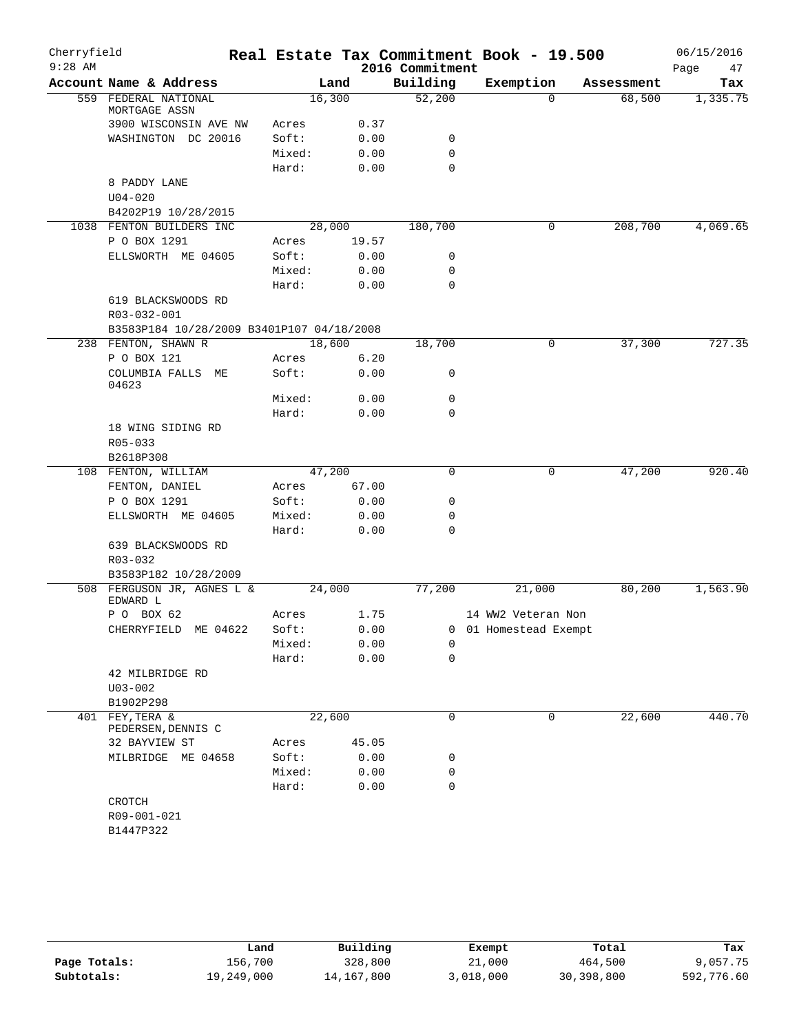| Cherryfield<br>$9:28$ AM |                                           |                 |              | 2016 Commitment | Real Estate Tax Commitment Book - 19.500 |            | 06/15/2016<br>Page<br>47 |
|--------------------------|-------------------------------------------|-----------------|--------------|-----------------|------------------------------------------|------------|--------------------------|
|                          | Account Name & Address                    |                 | Land         | Building        | Exemption                                | Assessment | Tax                      |
|                          | 559 FEDERAL NATIONAL<br>MORTGAGE ASSN     | 16,300          |              | 52,200          | $\Omega$                                 | 68,500     | 1,335.75                 |
|                          | 3900 WISCONSIN AVE NW                     | Acres           | 0.37         |                 |                                          |            |                          |
|                          | WASHINGTON DC 20016                       | Soft:           | 0.00         | 0               |                                          |            |                          |
|                          |                                           | Mixed:          | 0.00         | $\mathbf 0$     |                                          |            |                          |
|                          |                                           | Hard:           | 0.00         | $\mathbf 0$     |                                          |            |                          |
|                          | 8 PADDY LANE<br>$U04 - 020$               |                 |              |                 |                                          |            |                          |
|                          | B4202P19 10/28/2015                       |                 |              |                 |                                          |            |                          |
|                          | 1038 FENTON BUILDERS INC                  |                 | 28,000       | 180,700         | 0                                        | 208,700    | 4,069.65                 |
|                          | P O BOX 1291                              | Acres           | 19.57        |                 |                                          |            |                          |
|                          | ELLSWORTH ME 04605                        | Soft:           | 0.00         | 0               |                                          |            |                          |
|                          |                                           | Mixed:          | 0.00         | $\mathbf 0$     |                                          |            |                          |
|                          |                                           | Hard:           | 0.00         | $\mathbf 0$     |                                          |            |                          |
|                          | 619 BLACKSWOODS RD<br>R03-032-001         |                 |              |                 |                                          |            |                          |
|                          | B3583P184 10/28/2009 B3401P107 04/18/2008 |                 |              |                 |                                          |            |                          |
|                          | 238 FENTON, SHAWN R                       | 18,600          |              | 18,700          | 0                                        | 37,300     | 727.35                   |
|                          | P O BOX 121                               | Acres           | 6.20         |                 |                                          |            |                          |
|                          | COLUMBIA FALLS ME<br>04623                | Soft:           | 0.00         | 0               |                                          |            |                          |
|                          |                                           | Mixed:          | 0.00         | $\mathbf 0$     |                                          |            |                          |
|                          |                                           | Hard:           | 0.00         | $\mathbf 0$     |                                          |            |                          |
|                          | 18 WING SIDING RD<br>R05-033              |                 |              |                 |                                          |            |                          |
|                          | B2618P308                                 |                 |              |                 |                                          |            |                          |
|                          | 108 FENTON, WILLIAM                       | 47,200          |              | $\mathbf 0$     | 0                                        | 47,200     | 920.40                   |
|                          | FENTON, DANIEL                            | Acres           | 67.00        |                 |                                          |            |                          |
|                          | P O BOX 1291                              | Soft:           | 0.00         | $\mathbf 0$     |                                          |            |                          |
|                          | ELLSWORTH ME 04605                        | Mixed:          | 0.00         | 0               |                                          |            |                          |
|                          |                                           | Hard:           | 0.00         | $\mathbf 0$     |                                          |            |                          |
|                          | 639 BLACKSWOODS RD<br>R03-032             |                 |              |                 |                                          |            |                          |
|                          | B3583P182 10/28/2009                      |                 |              |                 |                                          |            |                          |
|                          | 508 FERGUSON JR, AGNES L &<br>EDWARD L    | 24,000          |              | 77,200          | 21,000                                   | 80,200     | 1,563.90                 |
|                          | P O BOX 62                                | Acres           | 1.75         |                 | 14 WW2 Veteran Non                       |            |                          |
|                          | CHERRYFIELD<br>ME 04622                   | Soft:<br>Mixed: | 0.00<br>0.00 | 0               | 0 01 Homestead Exempt                    |            |                          |
|                          |                                           | Hard:           | 0.00         | $\mathbf 0$     |                                          |            |                          |
|                          | 42 MILBRIDGE RD                           |                 |              |                 |                                          |            |                          |
|                          | $U03 - 002$                               |                 |              |                 |                                          |            |                          |
|                          | B1902P298                                 |                 |              |                 |                                          |            |                          |
| 401                      | FEY, TERA &                               | 22,600          |              | 0               | $\mathbf 0$                              | 22,600     | 440.70                   |
|                          | PEDERSEN, DENNIS C                        |                 |              |                 |                                          |            |                          |
|                          | 32 BAYVIEW ST                             | Acres           | 45.05        |                 |                                          |            |                          |
|                          | MILBRIDGE ME 04658                        | Soft:           | 0.00         | 0               |                                          |            |                          |
|                          |                                           | Mixed:          | 0.00         | 0               |                                          |            |                          |
|                          |                                           | Hard:           | 0.00         | $\mathbf 0$     |                                          |            |                          |
|                          | CROTCH                                    |                 |              |                 |                                          |            |                          |
|                          | R09-001-021                               |                 |              |                 |                                          |            |                          |
|                          | B1447P322                                 |                 |              |                 |                                          |            |                          |

|              | Land       | Building   | Exempt    | Total      | Tax        |
|--------------|------------|------------|-----------|------------|------------|
| Page Totals: | 156.700    | 328,800    | 21,000    | 464,500    | 9,057.75   |
| Subtotals:   | 19,249,000 | 14,167,800 | 3,018,000 | 30,398,800 | 592,776.60 |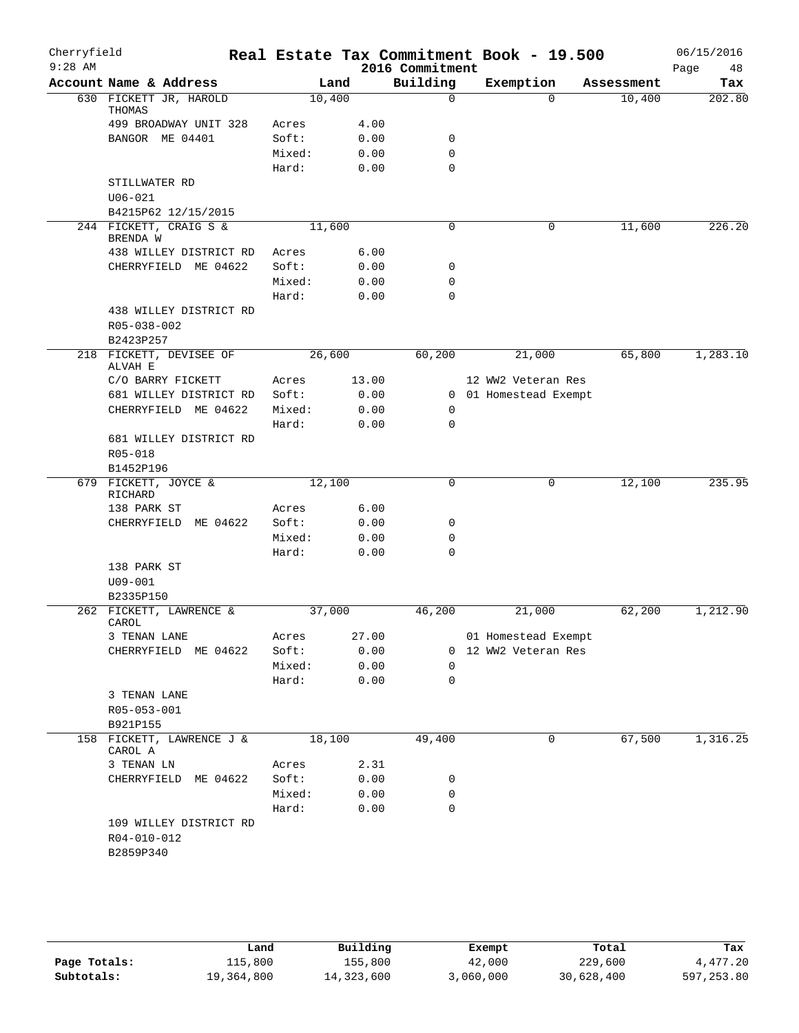| Cherryfield<br>$9:28$ AM |                                                    |        |        |       | Real Estate Tax Commitment Book - 19.500<br>2016 Commitment |                       |            | 06/15/2016<br>48<br>Page |
|--------------------------|----------------------------------------------------|--------|--------|-------|-------------------------------------------------------------|-----------------------|------------|--------------------------|
|                          | Account Name & Address                             |        | Land   |       | Building                                                    | Exemption             | Assessment | Tax                      |
|                          | 630 FICKETT JR, HAROLD<br>THOMAS                   |        | 10,400 |       | $\mathbf 0$                                                 | $\Omega$              | 10,400     | 202.80                   |
|                          | 499 BROADWAY UNIT 328                              | Acres  |        | 4.00  |                                                             |                       |            |                          |
|                          | BANGOR ME 04401                                    | Soft:  |        | 0.00  | 0                                                           |                       |            |                          |
|                          |                                                    | Mixed: |        | 0.00  | $\mathbf 0$                                                 |                       |            |                          |
|                          |                                                    | Hard:  |        | 0.00  | $\mathbf 0$                                                 |                       |            |                          |
|                          | STILLWATER RD<br>$U06 - 021$                       |        |        |       |                                                             |                       |            |                          |
|                          | B4215P62 12/15/2015                                |        |        |       |                                                             |                       |            |                          |
|                          | 244 FICKETT, CRAIG S &<br>BRENDA W                 |        | 11,600 |       | 0                                                           | $\mathbf 0$           | 11,600     | 226.20                   |
|                          | 438 WILLEY DISTRICT RD                             | Acres  |        | 6.00  |                                                             |                       |            |                          |
|                          | CHERRYFIELD ME 04622                               | Soft:  |        | 0.00  | 0                                                           |                       |            |                          |
|                          |                                                    | Mixed: |        | 0.00  | 0                                                           |                       |            |                          |
|                          |                                                    | Hard:  |        | 0.00  | $\mathbf 0$                                                 |                       |            |                          |
|                          | 438 WILLEY DISTRICT RD<br>R05-038-002<br>B2423P257 |        |        |       |                                                             |                       |            |                          |
|                          | 218 FICKETT, DEVISEE OF<br>ALVAH E                 |        | 26,600 |       | 60,200                                                      | 21,000                | 65,800     | 1,283.10                 |
|                          | C/O BARRY FICKETT                                  | Acres  |        | 13.00 |                                                             | 12 WW2 Veteran Res    |            |                          |
|                          | 681 WILLEY DISTRICT RD                             | Soft:  |        | 0.00  |                                                             | 0 01 Homestead Exempt |            |                          |
|                          | CHERRYFIELD ME 04622                               | Mixed: |        | 0.00  | 0                                                           |                       |            |                          |
|                          |                                                    | Hard:  |        | 0.00  | 0                                                           |                       |            |                          |
|                          | 681 WILLEY DISTRICT RD                             |        |        |       |                                                             |                       |            |                          |
|                          | R05-018<br>B1452P196                               |        |        |       |                                                             |                       |            |                          |
| 679                      | FICKETT, JOYCE &                                   |        | 12,100 |       | $\mathbf 0$                                                 | 0                     | 12,100     | 235.95                   |
|                          | RICHARD                                            |        |        |       |                                                             |                       |            |                          |
|                          | 138 PARK ST                                        | Acres  |        | 6.00  |                                                             |                       |            |                          |
|                          | CHERRYFIELD ME 04622                               | Soft:  |        | 0.00  | 0                                                           |                       |            |                          |
|                          |                                                    | Mixed: |        | 0.00  | 0                                                           |                       |            |                          |
|                          |                                                    | Hard:  |        | 0.00  | $\Omega$                                                    |                       |            |                          |
|                          | 138 PARK ST                                        |        |        |       |                                                             |                       |            |                          |
|                          | $U09 - 001$                                        |        |        |       |                                                             |                       |            |                          |
|                          | B2335P150                                          |        |        |       |                                                             |                       |            |                          |
|                          | 262 FICKETT, LAWRENCE &                            |        | 37,000 |       | 46,200                                                      | 21,000                | 62,200     | 1,212.90                 |
|                          | CAROL                                              |        |        |       |                                                             |                       |            |                          |
|                          | 3 TENAN LANE                                       | Acres  |        | 27.00 |                                                             | 01 Homestead Exempt   |            |                          |
|                          | CHERRYFIELD ME 04622                               | Soft:  |        | 0.00  |                                                             | 0 12 WW2 Veteran Res  |            |                          |
|                          |                                                    | Mixed: |        | 0.00  | 0                                                           |                       |            |                          |
|                          |                                                    | Hard:  |        | 0.00  | 0                                                           |                       |            |                          |
|                          | 3 TENAN LANE                                       |        |        |       |                                                             |                       |            |                          |
|                          | R05-053-001                                        |        |        |       |                                                             |                       |            |                          |
|                          | B921P155                                           |        |        |       |                                                             |                       |            |                          |
|                          | 158 FICKETT, LAWRENCE J &<br>CAROL A               |        | 18,100 |       | 49,400                                                      | 0                     | 67,500     | 1,316.25                 |
|                          | 3 TENAN LN                                         | Acres  |        | 2.31  |                                                             |                       |            |                          |
|                          | CHERRYFIELD ME 04622                               | Soft:  |        | 0.00  | 0                                                           |                       |            |                          |
|                          |                                                    | Mixed: |        | 0.00  | 0                                                           |                       |            |                          |
|                          |                                                    | Hard:  |        | 0.00  | $\mathbf 0$                                                 |                       |            |                          |
|                          | 109 WILLEY DISTRICT RD<br>R04-010-012<br>B2859P340 |        |        |       |                                                             |                       |            |                          |
|                          |                                                    |        |        |       |                                                             |                       |            |                          |

|              | Land       | Building   | Exempt    | Total      | Tax        |
|--------------|------------|------------|-----------|------------|------------|
| Page Totals: | 115,800    | 155,800    | 42,000    | 229,600    | 4,477.20   |
| Subtotals:   | 19,364,800 | 14,323,600 | 3,060,000 | 30,628,400 | 597,253.80 |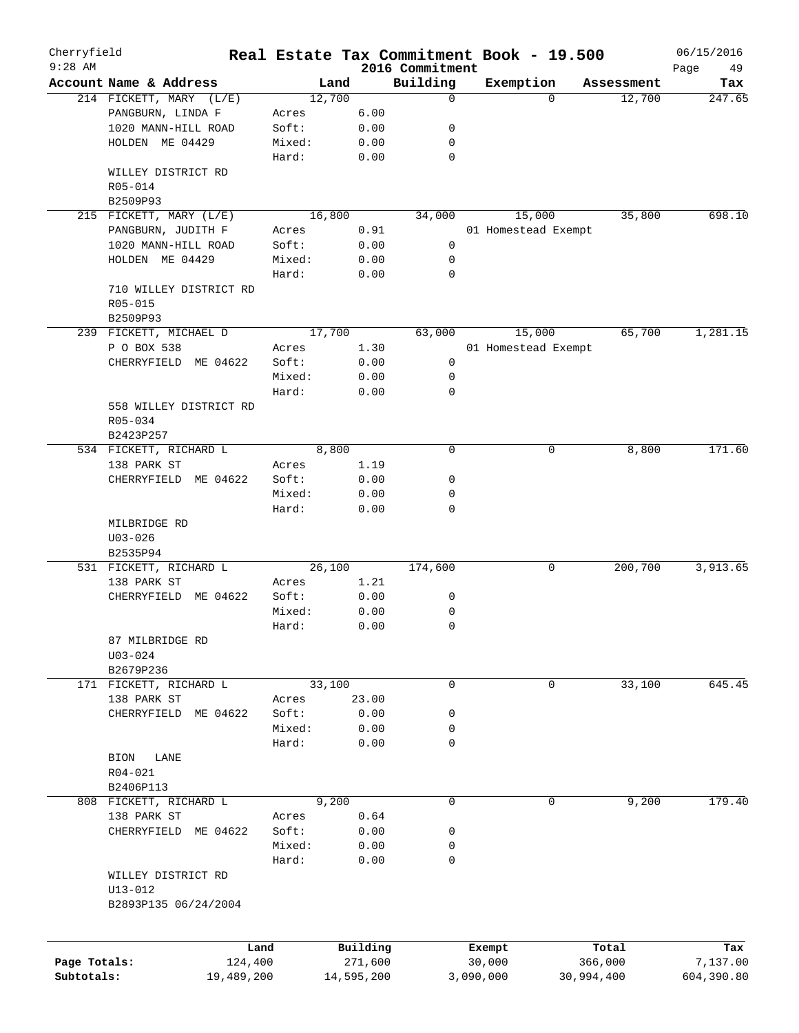| Cherryfield<br>$9:28$ AM |                                         | Real Estate Tax Commitment Book - 19.500 |            | 2016 Commitment |                     |            |            | 06/15/2016<br>49<br>Page |
|--------------------------|-----------------------------------------|------------------------------------------|------------|-----------------|---------------------|------------|------------|--------------------------|
|                          | Account Name & Address                  | Land                                     |            | Building        | Exemption           |            | Assessment | Tax                      |
|                          | 214 FICKETT, MARY (L/E)                 | 12,700                                   |            | 0               |                     | $\Omega$   | 12,700     | 247.65                   |
|                          | PANGBURN, LINDA F                       | Acres                                    | 6.00       |                 |                     |            |            |                          |
|                          | 1020 MANN-HILL ROAD                     | Soft:                                    | 0.00       | 0               |                     |            |            |                          |
|                          | HOLDEN ME 04429                         | Mixed:                                   | 0.00       | 0               |                     |            |            |                          |
|                          |                                         | Hard:                                    | 0.00       | 0               |                     |            |            |                          |
|                          | WILLEY DISTRICT RD                      |                                          |            |                 |                     |            |            |                          |
|                          | R05-014                                 |                                          |            |                 |                     |            |            |                          |
|                          | B2509P93                                |                                          |            |                 |                     |            |            |                          |
|                          | 215 FICKETT, MARY (L/E)                 | 16,800                                   |            | 34,000          |                     | 15,000     | 35,800     | 698.10                   |
|                          | PANGBURN, JUDITH F                      |                                          |            |                 |                     |            |            |                          |
|                          |                                         | Acres                                    | 0.91       |                 | 01 Homestead Exempt |            |            |                          |
|                          | 1020 MANN-HILL ROAD                     | Soft:                                    | 0.00       | 0               |                     |            |            |                          |
|                          | HOLDEN ME 04429                         | Mixed:                                   | 0.00       | 0               |                     |            |            |                          |
|                          |                                         | Hard:                                    | 0.00       | 0               |                     |            |            |                          |
|                          | 710 WILLEY DISTRICT RD                  |                                          |            |                 |                     |            |            |                          |
|                          | $R05 - 015$                             |                                          |            |                 |                     |            |            |                          |
|                          | B2509P93                                |                                          |            |                 |                     |            |            |                          |
|                          | 239 FICKETT, MICHAEL D                  | 17,700                                   |            | 63,000          |                     | 15,000     | 65,700     | 1,281.15                 |
|                          | P O BOX 538                             | Acres                                    | 1.30       |                 | 01 Homestead Exempt |            |            |                          |
|                          | ME 04622<br>CHERRYFIELD                 | Soft:                                    | 0.00       | 0               |                     |            |            |                          |
|                          |                                         | Mixed:                                   | 0.00       | 0               |                     |            |            |                          |
|                          |                                         | Hard:                                    | 0.00       | $\mathbf 0$     |                     |            |            |                          |
|                          | 558 WILLEY DISTRICT RD                  |                                          |            |                 |                     |            |            |                          |
|                          | R05-034                                 |                                          |            |                 |                     |            |            |                          |
|                          | B2423P257                               |                                          |            |                 |                     |            |            |                          |
|                          | 534 FICKETT, RICHARD L                  | 8,800                                    |            | $\mathbf 0$     |                     | 0          | 8,800      | 171.60                   |
|                          | 138 PARK ST                             | Acres                                    | 1.19       |                 |                     |            |            |                          |
|                          |                                         |                                          |            |                 |                     |            |            |                          |
|                          | CHERRYFIELD<br>ME 04622                 | Soft:                                    | 0.00       | 0               |                     |            |            |                          |
|                          |                                         | Mixed:                                   | 0.00       | 0               |                     |            |            |                          |
|                          | MILBRIDGE RD<br>$U03 - 026$<br>B2535P94 | Hard:                                    | 0.00       | 0               |                     |            |            |                          |
|                          | 531 FICKETT, RICHARD L                  | 26,100                                   |            | 174,600         |                     | 0          | 200,700    | 3,913.65                 |
|                          | 138 PARK ST                             |                                          | 1.21       |                 |                     |            |            |                          |
|                          |                                         | Acres                                    |            |                 |                     |            |            |                          |
|                          | ME 04622<br>CHERRYFIELD                 | Soft:                                    | 0.00       | 0               |                     |            |            |                          |
|                          |                                         | Mixed:                                   | 0.00       | 0               |                     |            |            |                          |
|                          |                                         | Hard:                                    | 0.00       | 0               |                     |            |            |                          |
|                          | 87 MILBRIDGE RD                         |                                          |            |                 |                     |            |            |                          |
|                          | $U03 - 024$                             |                                          |            |                 |                     |            |            |                          |
|                          | B2679P236                               |                                          |            |                 |                     |            |            |                          |
|                          | 171 FICKETT, RICHARD L                  | 33,100                                   |            | 0               |                     | 0          | 33,100     | 645.45                   |
|                          | 138 PARK ST                             | Acres                                    | 23.00      |                 |                     |            |            |                          |
|                          | CHERRYFIELD<br>ME 04622                 | Soft:                                    | 0.00       | 0               |                     |            |            |                          |
|                          |                                         | Mixed:                                   | 0.00       | 0               |                     |            |            |                          |
|                          |                                         | Hard:                                    | 0.00       | 0               |                     |            |            |                          |
|                          | <b>BION</b><br>LANE                     |                                          |            |                 |                     |            |            |                          |
|                          | R04-021                                 |                                          |            |                 |                     |            |            |                          |
|                          | B2406P113                               |                                          |            |                 |                     |            |            |                          |
|                          | 808 FICKETT, RICHARD L                  | 9,200                                    |            | 0               |                     | 0          | 9,200      | 179.40                   |
|                          | 138 PARK ST                             | Acres                                    | 0.64       |                 |                     |            |            |                          |
|                          |                                         |                                          |            |                 |                     |            |            |                          |
|                          | CHERRYFIELD<br>ME 04622                 | Soft:                                    | 0.00       | 0               |                     |            |            |                          |
|                          |                                         | Mixed:                                   | 0.00       | 0               |                     |            |            |                          |
|                          |                                         | Hard:                                    | 0.00       | $\mathbf 0$     |                     |            |            |                          |
|                          | WILLEY DISTRICT RD                      |                                          |            |                 |                     |            |            |                          |
|                          | $U13 - 012$                             |                                          |            |                 |                     |            |            |                          |
|                          | B2893P135 06/24/2004                    |                                          |            |                 |                     |            |            |                          |
|                          |                                         | Land                                     | Building   |                 | Exempt              |            | Total      | Tax                      |
| Page Totals:             | 124,400                                 |                                          | 271,600    |                 | 30,000              |            | 366,000    | 7,137.00                 |
| Subtotals:               | 19,489,200                              |                                          | 14,595,200 |                 | 3,090,000           | 30,994,400 |            | 604,390.80               |
|                          |                                         |                                          |            |                 |                     |            |            |                          |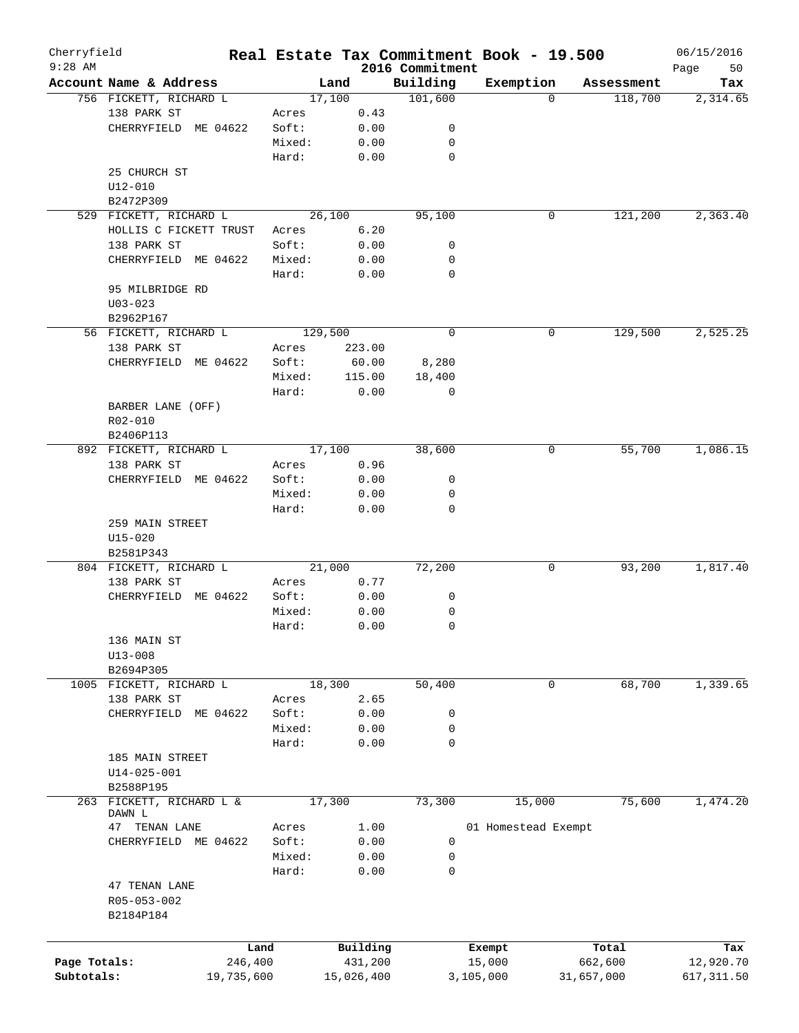| Cherryfield  |                          |            |         |            |                             | Real Estate Tax Commitment Book - 19.500 |            | 06/15/2016        |
|--------------|--------------------------|------------|---------|------------|-----------------------------|------------------------------------------|------------|-------------------|
| $9:28$ AM    | Account Name & Address   |            |         | Land       | 2016 Commitment<br>Building | Exemption                                | Assessment | 50<br>Page<br>Tax |
|              | 756 FICKETT, RICHARD L   |            | 17,100  |            | 101,600                     | $\Omega$                                 | 118,700    | 2,314.65          |
|              | 138 PARK ST              |            | Acres   | 0.43       |                             |                                          |            |                   |
|              | CHERRYFIELD ME 04622     |            | Soft:   | 0.00       | 0                           |                                          |            |                   |
|              |                          |            | Mixed:  | 0.00       | 0                           |                                          |            |                   |
|              |                          |            | Hard:   | 0.00       | 0                           |                                          |            |                   |
|              | 25 CHURCH ST             |            |         |            |                             |                                          |            |                   |
|              | U12-010                  |            |         |            |                             |                                          |            |                   |
|              | B2472P309                |            |         |            |                             |                                          |            |                   |
|              | 529 FICKETT, RICHARD L   |            | 26,100  |            | 95,100                      | 0                                        | 121,200    | 2,363.40          |
|              | HOLLIS C FICKETT TRUST   |            | Acres   | 6.20       |                             |                                          |            |                   |
|              | 138 PARK ST              |            | Soft:   | 0.00       | 0                           |                                          |            |                   |
|              | CHERRYFIELD ME 04622     |            | Mixed:  | 0.00       | 0                           |                                          |            |                   |
|              |                          |            | Hard:   | 0.00       | $\mathbf 0$                 |                                          |            |                   |
|              | 95 MILBRIDGE RD          |            |         |            |                             |                                          |            |                   |
|              | $U03 - 023$              |            |         |            |                             |                                          |            |                   |
|              | B2962P167                |            |         |            |                             |                                          |            |                   |
|              | 56 FICKETT, RICHARD L    |            | 129,500 |            | $\mathbf 0$                 | 0                                        | 129,500    | 2,525.25          |
|              | 138 PARK ST              |            | Acres   | 223.00     |                             |                                          |            |                   |
|              | CHERRYFIELD ME 04622     |            | Soft:   | 60.00      | 8,280                       |                                          |            |                   |
|              |                          |            | Mixed:  | 115.00     | 18,400                      |                                          |            |                   |
|              |                          |            | Hard:   | 0.00       | 0                           |                                          |            |                   |
|              | BARBER LANE (OFF)        |            |         |            |                             |                                          |            |                   |
|              | R02-010                  |            |         |            |                             |                                          |            |                   |
|              | B2406P113                |            |         |            |                             |                                          |            |                   |
|              | 892 FICKETT, RICHARD L   |            | 17,100  |            | 38,600                      | 0                                        | 55,700     | 1,086.15          |
|              | 138 PARK ST              |            | Acres   | 0.96       |                             |                                          |            |                   |
|              | CHERRYFIELD ME 04622     |            | Soft:   | 0.00       | 0                           |                                          |            |                   |
|              |                          |            | Mixed:  | 0.00       | 0                           |                                          |            |                   |
|              |                          |            | Hard:   | 0.00       | $\mathbf 0$                 |                                          |            |                   |
|              | 259 MAIN STREET          |            |         |            |                             |                                          |            |                   |
|              | $U15 - 020$              |            |         |            |                             |                                          |            |                   |
|              | B2581P343                |            |         |            |                             |                                          |            |                   |
|              | 804 FICKETT, RICHARD L   |            | 21,000  |            | 72,200                      | 0                                        | 93,200     | 1,817.40          |
|              | 138 PARK ST              |            | Acres   | 0.77       |                             |                                          |            |                   |
|              | CHERRYFIELD              | ME 04622   | Soft:   | 0.00       | 0                           |                                          |            |                   |
|              |                          |            | Mixed:  | 0.00       | 0                           |                                          |            |                   |
|              |                          |            | Hard:   | 0.00       | $\mathbf 0$                 |                                          |            |                   |
|              | 136 MAIN ST              |            |         |            |                             |                                          |            |                   |
|              | $U13 - 008$              |            |         |            |                             |                                          |            |                   |
|              | B2694P305                |            |         |            |                             |                                          |            |                   |
|              | 1005 FICKETT, RICHARD L  |            | 18,300  |            | 50,400                      | 0                                        | 68,700     | 1,339.65          |
|              | 138 PARK ST              |            | Acres   | 2.65       |                             |                                          |            |                   |
|              | CHERRYFIELD              | ME 04622   | Soft:   | 0.00       | 0                           |                                          |            |                   |
|              |                          |            | Mixed:  | 0.00       | 0                           |                                          |            |                   |
|              |                          |            | Hard:   | 0.00       | $\mathbf 0$                 |                                          |            |                   |
|              | 185 MAIN STREET          |            |         |            |                             |                                          |            |                   |
|              | $U14 - 025 - 001$        |            |         |            |                             |                                          |            |                   |
|              | B2588P195                |            |         |            |                             |                                          |            |                   |
|              | 263 FICKETT, RICHARD L & |            | 17,300  |            | 73,300                      | 15,000                                   | 75,600     | 1,474.20          |
|              | DAWN L                   |            |         |            |                             |                                          |            |                   |
|              | TENAN LANE<br>47         |            | Acres   | 1.00       |                             | 01 Homestead Exempt                      |            |                   |
|              | CHERRYFIELD ME 04622     |            | Soft:   | 0.00       | 0                           |                                          |            |                   |
|              |                          |            | Mixed:  | 0.00       | 0                           |                                          |            |                   |
|              |                          |            | Hard:   | 0.00       | 0                           |                                          |            |                   |
|              | 47 TENAN LANE            |            |         |            |                             |                                          |            |                   |
|              | R05-053-002              |            |         |            |                             |                                          |            |                   |
|              | B2184P184                |            |         |            |                             |                                          |            |                   |
|              |                          |            |         |            |                             |                                          |            |                   |
|              |                          | Land       |         | Building   |                             | Exempt                                   | Total      | Tax               |
| Page Totals: |                          | 246,400    |         | 431,200    |                             | 15,000                                   | 662,600    | 12,920.70         |
| Subtotals:   |                          | 19,735,600 |         | 15,026,400 |                             | 3,105,000                                | 31,657,000 | 617, 311.50       |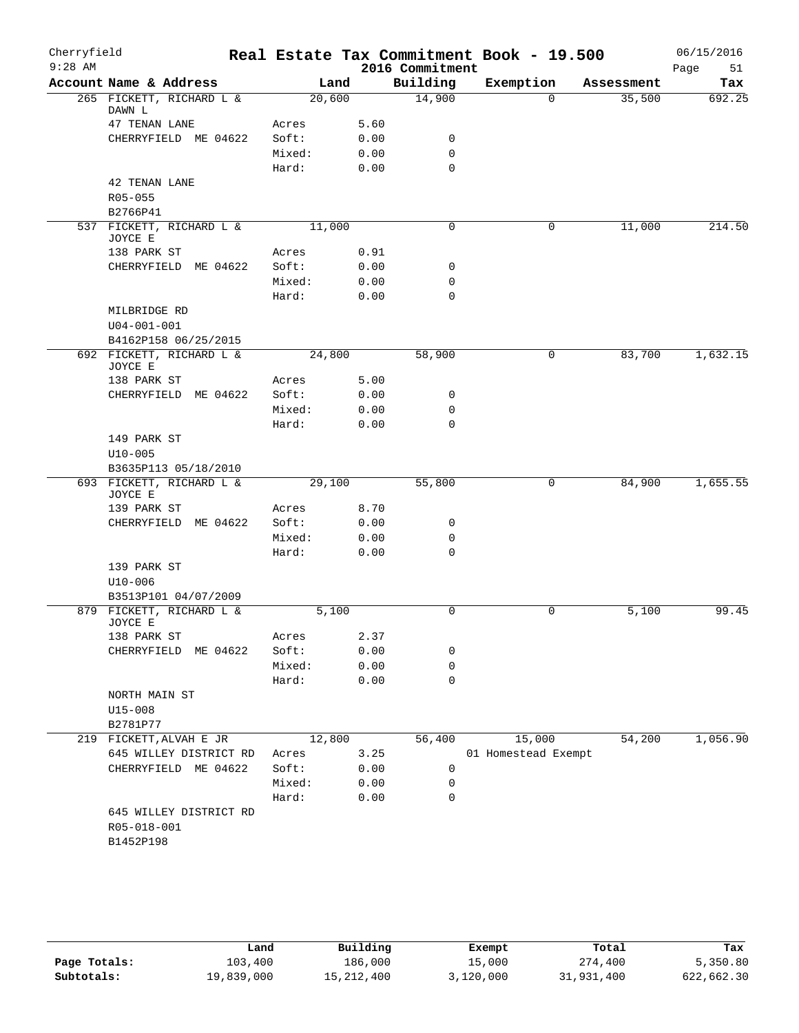| Cherryfield<br>$9:28$ AM |                                       |        |        | 2016 Commitment | Real Estate Tax Commitment Book - 19.500 |            | 06/15/2016<br>51<br>Page |
|--------------------------|---------------------------------------|--------|--------|-----------------|------------------------------------------|------------|--------------------------|
|                          | Account Name & Address                |        | Land   | Building        | Exemption                                | Assessment | Tax                      |
|                          | 265 FICKETT, RICHARD L &<br>DAWN L    |        | 20,600 | 14,900          | $\Omega$                                 | 35,500     | 692.25                   |
|                          | 47 TENAN LANE                         | Acres  | 5.60   |                 |                                          |            |                          |
|                          | CHERRYFIELD ME 04622                  | Soft:  | 0.00   | 0               |                                          |            |                          |
|                          |                                       | Mixed: | 0.00   | $\mathbf 0$     |                                          |            |                          |
|                          |                                       | Hard:  | 0.00   | $\mathbf 0$     |                                          |            |                          |
|                          | 42 TENAN LANE                         |        |        |                 |                                          |            |                          |
|                          | $R05 - 055$                           |        |        |                 |                                          |            |                          |
|                          | B2766P41                              |        |        |                 |                                          |            |                          |
|                          | 537 FICKETT, RICHARD L &              |        | 11,000 | 0               | $\mathbf 0$                              | 11,000     | 214.50                   |
|                          | JOYCE E                               |        |        |                 |                                          |            |                          |
|                          | 138 PARK ST                           | Acres  | 0.91   |                 |                                          |            |                          |
|                          | CHERRYFIELD ME 04622                  | Soft:  | 0.00   | 0               |                                          |            |                          |
|                          |                                       | Mixed: | 0.00   | 0               |                                          |            |                          |
|                          |                                       | Hard:  | 0.00   | $\mathbf 0$     |                                          |            |                          |
|                          | MILBRIDGE RD                          |        |        |                 |                                          |            |                          |
|                          | $U04 - 001 - 001$                     |        |        |                 |                                          |            |                          |
|                          | B4162P158 06/25/2015                  |        |        |                 |                                          |            |                          |
|                          | 692 FICKETT, RICHARD L &<br>JOYCE E   |        | 24,800 | 58,900          | 0                                        | 83,700     | 1,632.15                 |
|                          | 138 PARK ST                           | Acres  | 5.00   |                 |                                          |            |                          |
|                          | CHERRYFIELD<br>ME 04622               | Soft:  | 0.00   | 0               |                                          |            |                          |
|                          |                                       | Mixed: | 0.00   | $\mathbf 0$     |                                          |            |                          |
|                          |                                       | Hard:  | 0.00   | $\mathbf 0$     |                                          |            |                          |
|                          | 149 PARK ST                           |        |        |                 |                                          |            |                          |
|                          | $U10 - 005$                           |        |        |                 |                                          |            |                          |
|                          | B3635P113 05/18/2010                  |        |        |                 |                                          |            |                          |
|                          | 693 FICKETT, RICHARD L &              |        | 29,100 | 55,800          | 0                                        | 84,900     | 1,655.55                 |
|                          | JOYCE E<br>139 PARK ST                | Acres  | 8.70   |                 |                                          |            |                          |
|                          | CHERRYFIELD ME 04622                  | Soft:  | 0.00   | 0               |                                          |            |                          |
|                          |                                       | Mixed: | 0.00   | $\mathbf 0$     |                                          |            |                          |
|                          |                                       | Hard:  | 0.00   | $\Omega$        |                                          |            |                          |
|                          | 139 PARK ST                           |        |        |                 |                                          |            |                          |
|                          | $U10 - 006$                           |        |        |                 |                                          |            |                          |
|                          | B3513P101 04/07/2009                  |        |        |                 |                                          |            |                          |
|                          | 879 FICKETT, RICHARD L &              |        | 5,100  | $\mathbf 0$     | 0                                        | 5,100      | 99.45                    |
|                          | JOYCE E                               |        |        |                 |                                          |            |                          |
|                          | 138 PARK ST                           | Acres  | 2.37   |                 |                                          |            |                          |
|                          | CHERRYFIELD<br>ME 04622               | Soft:  | 0.00   | 0               |                                          |            |                          |
|                          |                                       | Mixed: | 0.00   | $\mathbf 0$     |                                          |            |                          |
|                          |                                       | Hard:  | 0.00   | $\mathbf 0$     |                                          |            |                          |
|                          | NORTH MAIN ST                         |        |        |                 |                                          |            |                          |
|                          | $U15 - 008$                           |        |        |                 |                                          |            |                          |
|                          | B2781P77                              |        |        |                 |                                          |            |                          |
|                          | 219 FICKETT, ALVAH E JR               |        | 12,800 | 56,400          | 15,000                                   | 54,200     | 1,056.90                 |
|                          | 645 WILLEY DISTRICT RD                | Acres  | 3.25   |                 | 01 Homestead Exempt                      |            |                          |
|                          | CHERRYFIELD ME 04622                  | Soft:  | 0.00   | 0               |                                          |            |                          |
|                          |                                       | Mixed: | 0.00   | 0               |                                          |            |                          |
|                          |                                       | Hard:  | 0.00   | $\mathbf 0$     |                                          |            |                          |
|                          | 645 WILLEY DISTRICT RD<br>R05-018-001 |        |        |                 |                                          |            |                          |
|                          | B1452P198                             |        |        |                 |                                          |            |                          |
|                          |                                       |        |        |                 |                                          |            |                          |
|                          |                                       |        |        |                 |                                          |            |                          |

|              | Land       | Building     | Exempt    | Total      | Tax        |
|--------------|------------|--------------|-----------|------------|------------|
| Page Totals: | 103,400    | 186,000      | 15,000    | 274,400    | 5,350.80   |
| Subtotals:   | 19,839,000 | 15, 212, 400 | 3,120,000 | 31,931,400 | 622,662.30 |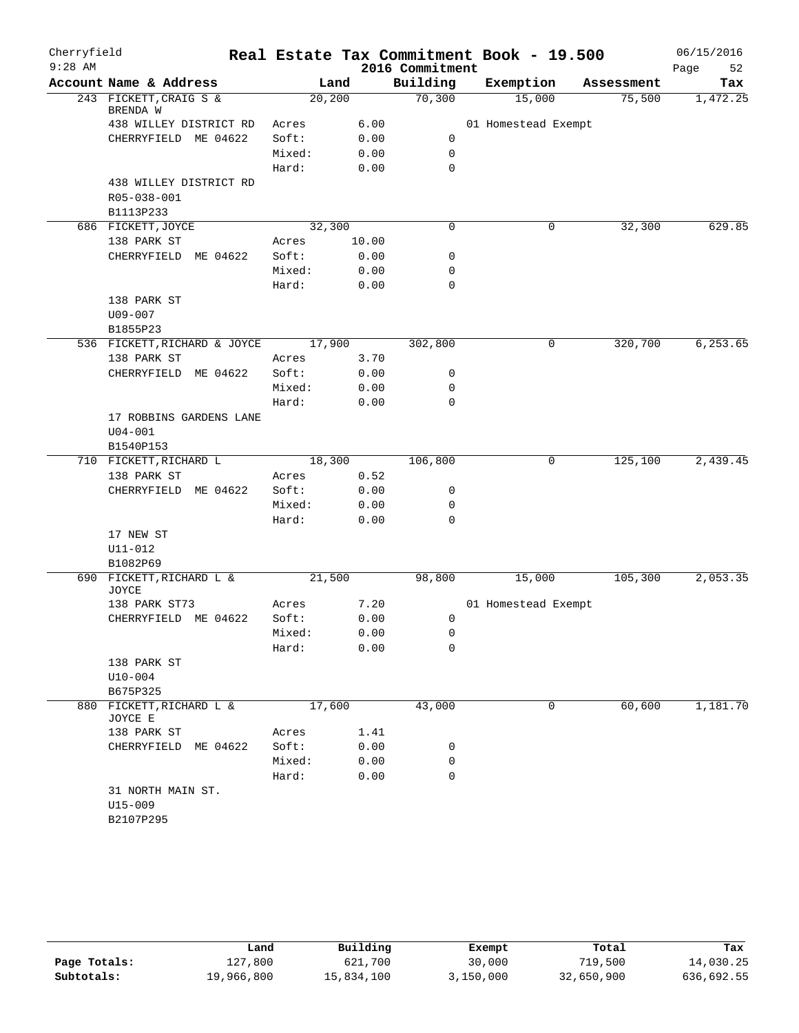| Cherryfield |                                    |         |       |                 | Real Estate Tax Commitment Book - 19.500 |            | 06/15/2016 |
|-------------|------------------------------------|---------|-------|-----------------|------------------------------------------|------------|------------|
| $9:28$ AM   |                                    |         |       | 2016 Commitment |                                          |            | Page<br>52 |
|             | Account Name & Address             | Land    |       | Building        | Exemption                                | Assessment | Tax        |
|             | 243 FICKETT, CRAIG S &<br>BRENDA W | 20, 200 |       | 70,300          | 15,000                                   | 75,500     | 1,472.25   |
|             | 438 WILLEY DISTRICT RD             | Acres   | 6.00  |                 | 01 Homestead Exempt                      |            |            |
|             | CHERRYFIELD ME 04622               | Soft:   | 0.00  | 0               |                                          |            |            |
|             |                                    | Mixed:  | 0.00  | 0               |                                          |            |            |
|             |                                    | Hard:   | 0.00  | $\mathbf 0$     |                                          |            |            |
|             | 438 WILLEY DISTRICT RD             |         |       |                 |                                          |            |            |
|             | R05-038-001                        |         |       |                 |                                          |            |            |
|             | B1113P233                          |         |       |                 |                                          |            |            |
|             | 686 FICKETT, JOYCE                 | 32,300  |       | 0               | 0                                        | 32,300     | 629.85     |
|             | 138 PARK ST                        | Acres   | 10.00 |                 |                                          |            |            |
|             | CHERRYFIELD ME 04622               | Soft:   | 0.00  | 0               |                                          |            |            |
|             |                                    | Mixed:  | 0.00  | 0               |                                          |            |            |
|             |                                    | Hard:   | 0.00  | $\mathbf 0$     |                                          |            |            |
|             | 138 PARK ST                        |         |       |                 |                                          |            |            |
|             | U09-007                            |         |       |                 |                                          |            |            |
|             | B1855P23                           |         |       |                 |                                          |            |            |
|             | 536 FICKETT, RICHARD & JOYCE       | 17,900  |       | 302,800         | 0                                        | 320,700    | 6,253.65   |
|             | 138 PARK ST                        | Acres   | 3.70  |                 |                                          |            |            |
|             | CHERRYFIELD ME 04622               | Soft:   | 0.00  | 0               |                                          |            |            |
|             |                                    | Mixed:  | 0.00  | 0               |                                          |            |            |
|             |                                    | Hard:   | 0.00  | 0               |                                          |            |            |
|             | 17 ROBBINS GARDENS LANE            |         |       |                 |                                          |            |            |
|             | $U04 - 001$                        |         |       |                 |                                          |            |            |
|             | B1540P153                          |         |       |                 |                                          |            |            |
|             | 710 FICKETT, RICHARD L             | 18,300  |       | 106,800         | 0                                        | 125,100    | 2,439.45   |
|             | 138 PARK ST                        | Acres   | 0.52  |                 |                                          |            |            |
|             | ME 04622<br>CHERRYFIELD            | Soft:   | 0.00  | 0               |                                          |            |            |
|             |                                    | Mixed:  | 0.00  | 0               |                                          |            |            |
|             |                                    | Hard:   | 0.00  | 0               |                                          |            |            |
|             | 17 NEW ST                          |         |       |                 |                                          |            |            |
|             | $U11 - 012$                        |         |       |                 |                                          |            |            |
|             | B1082P69                           |         |       |                 |                                          |            |            |
|             | 690 FICKETT, RICHARD L &           | 21,500  |       | 98,800          | 15,000                                   | 105,300    | 2,053.35   |
|             | <b>JOYCE</b>                       |         |       |                 |                                          |            |            |
|             | 138 PARK ST73                      | Acres   | 7.20  |                 | 01 Homestead Exempt                      |            |            |
|             | CHERRYFIELD ME 04622               | Soft:   | 0.00  | 0               |                                          |            |            |
|             |                                    | Mixed:  | 0.00  | 0               |                                          |            |            |
|             |                                    | Hard:   | 0.00  | 0               |                                          |            |            |
|             | 138 PARK ST                        |         |       |                 |                                          |            |            |
|             | $U10-004$                          |         |       |                 |                                          |            |            |
|             | B675P325                           |         |       |                 |                                          |            |            |
|             | 880 FICKETT, RICHARD L &           | 17,600  |       | 43,000          | 0                                        | 60,600     | 1,181.70   |
|             | JOYCE E                            |         |       |                 |                                          |            |            |
|             | 138 PARK ST                        | Acres   | 1.41  |                 |                                          |            |            |
|             | CHERRYFIELD ME 04622               | Soft:   | 0.00  | 0               |                                          |            |            |
|             |                                    | Mixed:  | 0.00  | 0               |                                          |            |            |
|             |                                    | Hard:   | 0.00  | 0               |                                          |            |            |
|             | 31 NORTH MAIN ST.                  |         |       |                 |                                          |            |            |
|             | U15-009                            |         |       |                 |                                          |            |            |
|             | B2107P295                          |         |       |                 |                                          |            |            |
|             |                                    |         |       |                 |                                          |            |            |

|              | Land       | Building   | Exempt    | Total      | Tax        |
|--------------|------------|------------|-----------|------------|------------|
| Page Totals: | 127,800    | 621,700    | 30,000    | 719,500    | 14,030.25  |
| Subtotals:   | 19,966,800 | 15,834,100 | 3,150,000 | 32,650,900 | 636,692.55 |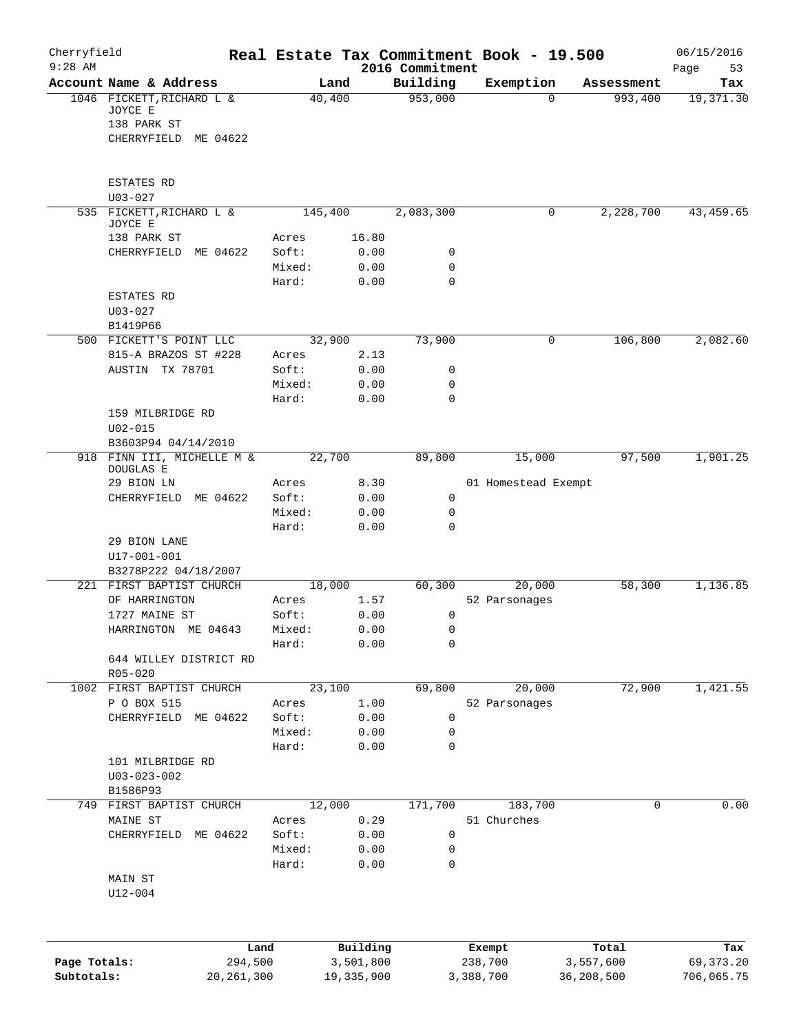| Cherryfield<br>$9:28$ AM |                                                     |                 |              |                             | Real Estate Tax Commitment Book - 19.500 |            | 06/15/2016        |
|--------------------------|-----------------------------------------------------|-----------------|--------------|-----------------------------|------------------------------------------|------------|-------------------|
|                          | Account Name & Address                              |                 | Land         | 2016 Commitment<br>Building | Exemption                                | Assessment | 53<br>Page<br>Tax |
|                          | 1046 FICKETT, RICHARD L &<br>JOYCE E<br>138 PARK ST |                 | 40,400       | 953,000                     | $\Omega$                                 | 993,400    | 19,371.30         |
|                          | CHERRYFIELD<br>ME 04622                             |                 |              |                             |                                          |            |                   |
|                          | ESTATES RD<br>$U03 - 027$                           |                 |              |                             |                                          |            |                   |
|                          | 535 FICKETT, RICHARD L &                            |                 | 145,400      | 2,083,300                   | 0                                        | 2,228,700  | 43, 459.65        |
|                          | JOYCE E<br>138 PARK ST                              | Acres           | 16.80        |                             |                                          |            |                   |
|                          | CHERRYFIELD<br>ME 04622                             | Soft:           | 0.00         | 0                           |                                          |            |                   |
|                          |                                                     | Mixed:          | 0.00         | 0                           |                                          |            |                   |
|                          |                                                     | Hard:           | 0.00         | $\mathbf 0$                 |                                          |            |                   |
|                          | ESTATES RD                                          |                 |              |                             |                                          |            |                   |
|                          | $U03 - 027$                                         |                 |              |                             |                                          |            |                   |
|                          | B1419P66<br>500 FICKETT'S POINT LLC                 |                 | 32,900       | 73,900                      | 0                                        | 106,800    | 2,082.60          |
|                          | 815-A BRAZOS ST #228                                | Acres           | 2.13         |                             |                                          |            |                   |
|                          | AUSTIN TX 78701                                     | Soft:           | 0.00         | 0                           |                                          |            |                   |
|                          |                                                     | Mixed:          | 0.00         | 0                           |                                          |            |                   |
|                          |                                                     | Hard:           | 0.00         | $\mathbf 0$                 |                                          |            |                   |
|                          | 159 MILBRIDGE RD<br>$U02 - 015$                     |                 |              |                             |                                          |            |                   |
|                          | B3603P94 04/14/2010                                 |                 |              |                             |                                          |            |                   |
|                          | 918 FINN III, MICHELLE M &                          |                 | 22,700       | 89,800                      | 15,000                                   | 97,500     | 1,901.25          |
|                          | DOUGLAS E                                           |                 |              |                             |                                          |            |                   |
|                          | 29 BION LN<br>CHERRYFIELD ME 04622                  | Acres<br>Soft:  | 8.30<br>0.00 | $\mathbf 0$                 | 01 Homestead Exempt                      |            |                   |
|                          |                                                     | Mixed:          | 0.00         | 0                           |                                          |            |                   |
|                          |                                                     | Hard:           | 0.00         | 0                           |                                          |            |                   |
|                          | 29 BION LANE                                        |                 |              |                             |                                          |            |                   |
|                          | $U17 - 001 - 001$                                   |                 |              |                             |                                          |            |                   |
|                          | B3278P222 04/18/2007<br>221 FIRST BAPTIST CHURCH    |                 | 18,000       | 60,300                      | 20,000                                   | 58,300     | 1,136.85          |
|                          | OF HARRINGTON                                       | Acres           | 1.57         |                             | 52 Parsonages                            |            |                   |
|                          | 1727 MAINE ST                                       | Soft:           | 0.00         | 0                           |                                          |            |                   |
|                          | HARRINGTON ME 04643                                 | Mixed:          | 0.00         | 0                           |                                          |            |                   |
|                          |                                                     | Hard:           | 0.00         | 0                           |                                          |            |                   |
|                          | 644 WILLEY DISTRICT RD<br>$R05 - 020$               |                 |              |                             |                                          |            |                   |
|                          | 1002 FIRST BAPTIST CHURCH                           |                 | 23,100       | 69,800                      | 20,000                                   | 72,900     | 1,421.55          |
|                          | P O BOX 515                                         | Acres           | 1.00         |                             | 52 Parsonages                            |            |                   |
|                          | ME 04622<br>CHERRYFIELD                             | Soft:           | 0.00         | $\mathsf{O}$                |                                          |            |                   |
|                          |                                                     | Mixed:          | 0.00         | 0                           |                                          |            |                   |
|                          |                                                     | Hard:           | 0.00         | 0                           |                                          |            |                   |
|                          | 101 MILBRIDGE RD<br>$U03 - 023 - 002$               |                 |              |                             |                                          |            |                   |
|                          | B1586P93                                            |                 |              |                             |                                          |            |                   |
|                          | 749 FIRST BAPTIST CHURCH                            |                 | 12,000       | 171,700                     | 183,700                                  | 0          | 0.00              |
|                          | MAINE ST                                            | Acres           | 0.29         |                             | 51 Churches                              |            |                   |
|                          | CHERRYFIELD<br>ME 04622                             | Soft:           | 0.00         | 0                           |                                          |            |                   |
|                          |                                                     | Mixed:<br>Hard: | 0.00<br>0.00 | 0<br>0                      |                                          |            |                   |
|                          | MAIN ST                                             |                 |              |                             |                                          |            |                   |
|                          | $U12 - 004$                                         |                 |              |                             |                                          |            |                   |
|                          |                                                     | Land            | Building     |                             | Exempt                                   | Total      | Tax               |
| Page Totals:             |                                                     | 294,500         | 3,501,800    |                             | 238,700                                  | 3,557,600  | 69, 373. 20       |
| Subtotals:               | 20, 261, 300                                        |                 | 19, 335, 900 |                             | 3,388,700                                | 36,208,500 | 706,065.75        |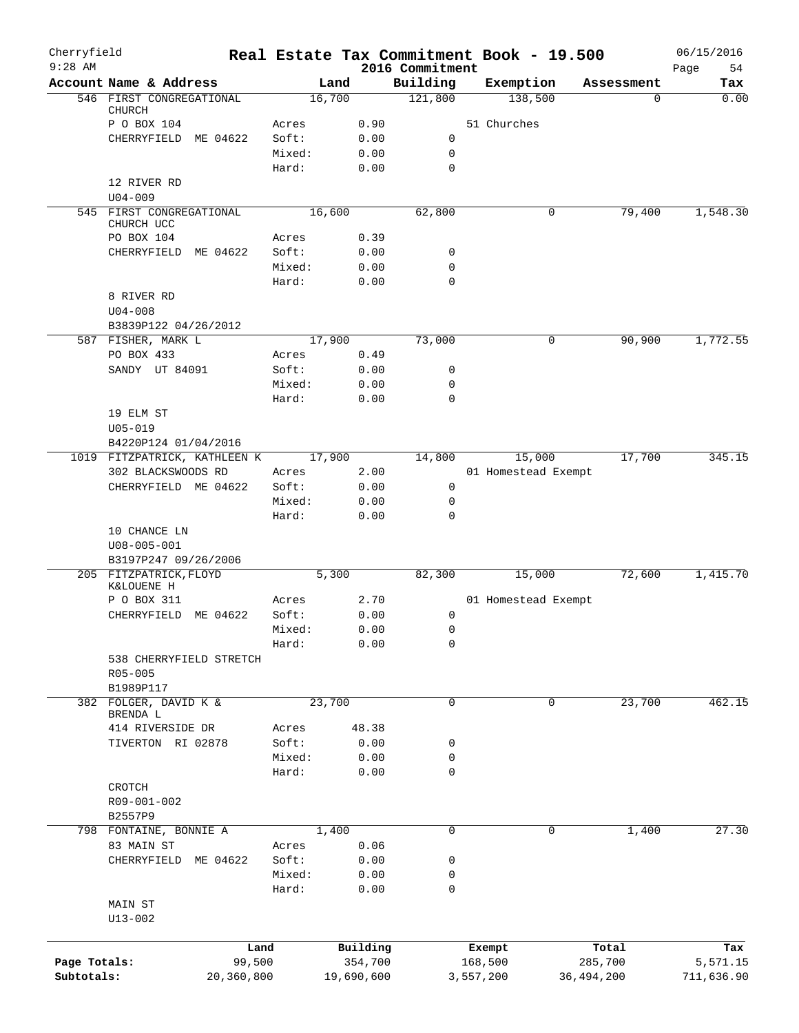| Cherryfield<br>$9:28$ AM   |                                   | Real Estate Tax Commitment Book - 19.500 |                       | 2016 Commitment  |                      |                     |                         | 06/15/2016<br>Page<br>54 |
|----------------------------|-----------------------------------|------------------------------------------|-----------------------|------------------|----------------------|---------------------|-------------------------|--------------------------|
|                            | Account Name & Address            | Land                                     |                       | Building         |                      | Exemption           | Assessment              | Tax                      |
|                            | 546 FIRST CONGREGATIONAL          | 16,700                                   |                       | 121,800          |                      | 138,500             | 0                       | 0.00                     |
|                            | <b>CHURCH</b>                     |                                          |                       |                  |                      |                     |                         |                          |
|                            | P O BOX 104                       | Acres                                    | 0.90                  |                  | 51 Churches          |                     |                         |                          |
|                            | ME 04622<br>CHERRYFIELD           | Soft:                                    | 0.00                  | 0                |                      |                     |                         |                          |
|                            |                                   | Mixed:                                   | 0.00                  | 0<br>$\mathbf 0$ |                      |                     |                         |                          |
|                            |                                   | Hard:                                    | 0.00                  |                  |                      |                     |                         |                          |
|                            | 12 RIVER RD<br>$U04 - 009$        |                                          |                       |                  |                      |                     |                         |                          |
|                            | 545 FIRST CONGREGATIONAL          | 16,600                                   |                       | 62,800           |                      | 0                   | 79,400                  | 1,548.30                 |
|                            | CHURCH UCC                        |                                          |                       |                  |                      |                     |                         |                          |
|                            | PO BOX 104                        | Acres                                    | 0.39                  |                  |                      |                     |                         |                          |
|                            | CHERRYFIELD<br>ME 04622           | Soft:                                    | 0.00                  | 0                |                      |                     |                         |                          |
|                            |                                   | Mixed:                                   | 0.00                  | 0                |                      |                     |                         |                          |
|                            |                                   | Hard:                                    | 0.00                  | $\mathbf 0$      |                      |                     |                         |                          |
|                            | 8 RIVER RD                        |                                          |                       |                  |                      |                     |                         |                          |
|                            | $U04 - 008$                       |                                          |                       |                  |                      |                     |                         |                          |
|                            | B3839P122 04/26/2012              |                                          |                       |                  |                      |                     |                         |                          |
|                            | 587 FISHER, MARK L                | 17,900                                   |                       | 73,000           |                      | 0                   | 90,900                  | 1,772.55                 |
|                            | PO BOX 433                        | Acres                                    | 0.49                  |                  |                      |                     |                         |                          |
|                            | SANDY UT 84091                    | Soft:                                    | 0.00                  | 0                |                      |                     |                         |                          |
|                            |                                   | Mixed:                                   | 0.00                  | 0                |                      |                     |                         |                          |
|                            |                                   | Hard:                                    | 0.00                  | 0                |                      |                     |                         |                          |
|                            | 19 ELM ST                         |                                          |                       |                  |                      |                     |                         |                          |
|                            | $U05 - 019$                       |                                          |                       |                  |                      |                     |                         |                          |
|                            | B4220P124 01/04/2016              |                                          |                       |                  |                      |                     |                         |                          |
|                            | 1019 FITZPATRICK, KATHLEEN K      | 17,900                                   |                       | 14,800           |                      | 15,000              | 17,700                  | 345.15                   |
|                            | 302 BLACKSWOODS RD                | Acres                                    | 2.00                  |                  |                      | 01 Homestead Exempt |                         |                          |
|                            | CHERRYFIELD ME 04622              | Soft:<br>Mixed:                          | 0.00<br>0.00          | 0<br>0           |                      |                     |                         |                          |
|                            |                                   | Hard:                                    | 0.00                  | $\mathbf 0$      |                      |                     |                         |                          |
|                            | 10 CHANCE LN                      |                                          |                       |                  |                      |                     |                         |                          |
|                            | $U08 - 005 - 001$                 |                                          |                       |                  |                      |                     |                         |                          |
|                            | B3197P247 09/26/2006              |                                          |                       |                  |                      |                     |                         |                          |
|                            | 205 FITZPATRICK, FLOYD            | 5,300                                    |                       | 82,300           |                      | 15,000              | 72,600                  | 1,415.70                 |
|                            | K&LOUENE H                        |                                          |                       |                  |                      |                     |                         |                          |
|                            | P O BOX 311                       | Acres                                    | 2.70                  |                  |                      | 01 Homestead Exempt |                         |                          |
|                            | CHERRYFIELD<br>ME 04622           | Soft:                                    | 0.00                  | 0                |                      |                     |                         |                          |
|                            |                                   | Mixed:                                   | 0.00                  | 0                |                      |                     |                         |                          |
|                            |                                   | Hard:                                    | 0.00                  | 0                |                      |                     |                         |                          |
|                            | 538 CHERRYFIELD STRETCH           |                                          |                       |                  |                      |                     |                         |                          |
|                            | R05-005                           |                                          |                       |                  |                      |                     |                         |                          |
|                            | B1989P117                         |                                          |                       |                  |                      |                     |                         |                          |
|                            | 382 FOLGER, DAVID K &<br>BRENDA L | 23,700                                   |                       | $\mathbf 0$      |                      | $\mathbf 0$         | 23,700                  | 462.15                   |
|                            | 414 RIVERSIDE DR                  | Acres                                    | 48.38                 |                  |                      |                     |                         |                          |
|                            | TIVERTON RI 02878                 | Soft:                                    | 0.00                  | 0                |                      |                     |                         |                          |
|                            |                                   | Mixed:                                   | 0.00                  | 0                |                      |                     |                         |                          |
|                            |                                   | Hard:                                    | 0.00                  | 0                |                      |                     |                         |                          |
|                            | CROTCH                            |                                          |                       |                  |                      |                     |                         |                          |
|                            | R09-001-002                       |                                          |                       |                  |                      |                     |                         |                          |
|                            | B2557P9                           |                                          |                       |                  |                      |                     |                         |                          |
|                            | 798 FONTAINE, BONNIE A            | 1,400                                    |                       | $\mathbf 0$      |                      | $\mathbf 0$         | 1,400                   | 27.30                    |
|                            | 83 MAIN ST                        | Acres                                    | 0.06                  |                  |                      |                     |                         |                          |
|                            | CHERRYFIELD ME 04622              | Soft:                                    | 0.00                  | 0                |                      |                     |                         |                          |
|                            |                                   | Mixed:                                   | 0.00                  | 0                |                      |                     |                         |                          |
|                            |                                   | Hard:                                    | 0.00                  | $\mathbf 0$      |                      |                     |                         |                          |
|                            | MAIN ST                           |                                          |                       |                  |                      |                     |                         |                          |
|                            | $U13 - 002$                       |                                          |                       |                  |                      |                     |                         |                          |
|                            |                                   |                                          |                       |                  |                      |                     |                         |                          |
|                            |                                   | Land                                     | Building              |                  | Exempt               |                     | Total                   | Tax                      |
| Page Totals:<br>Subtotals: | 99,500<br>20,360,800              |                                          | 354,700<br>19,690,600 |                  | 168,500<br>3,557,200 |                     | 285,700<br>36, 494, 200 | 5,571.15<br>711,636.90   |
|                            |                                   |                                          |                       |                  |                      |                     |                         |                          |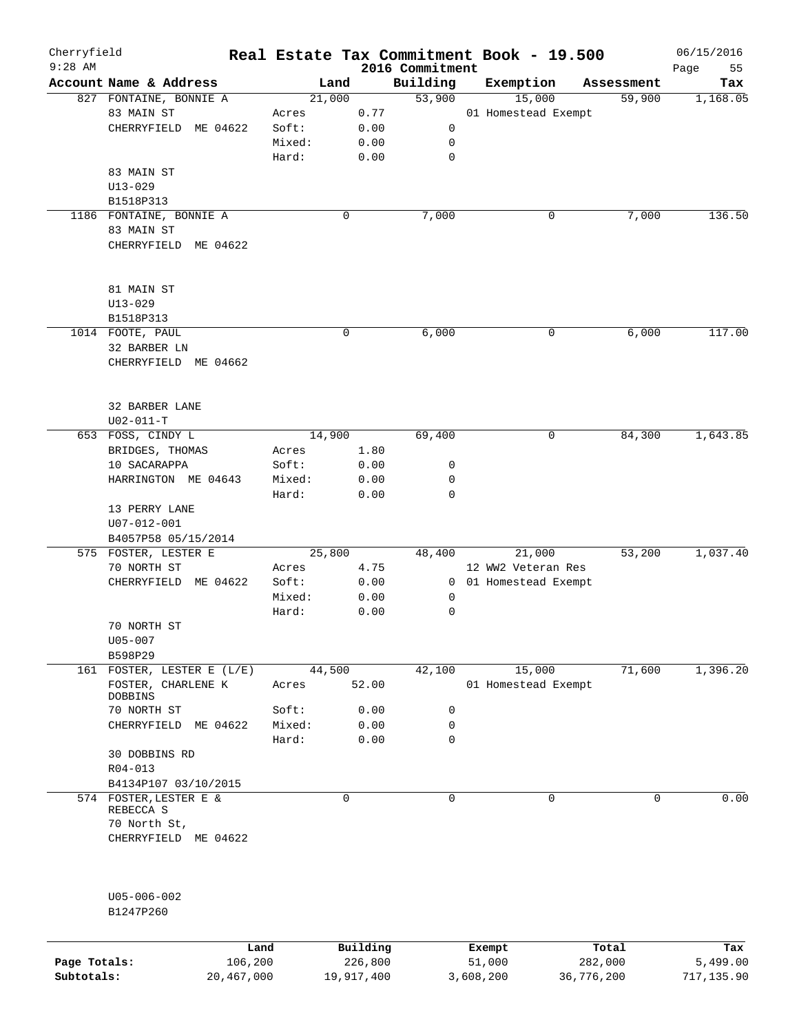| Cherryfield<br>$9:28$ AM |                                      |             |          | 2016 Commitment | Real Estate Tax Commitment Book - 19.500 |            | 06/15/2016        |
|--------------------------|--------------------------------------|-------------|----------|-----------------|------------------------------------------|------------|-------------------|
|                          | Account Name & Address               | Land        |          | Building        | Exemption                                | Assessment | Page<br>55<br>Tax |
|                          | 827 FONTAINE, BONNIE A               | 21,000      |          | 53,900          | 15,000                                   | 59,900     | 1,168.05          |
|                          | 83 MAIN ST                           | Acres       | 0.77     |                 | 01 Homestead Exempt                      |            |                   |
|                          | CHERRYFIELD ME 04622                 | Soft:       | 0.00     | 0               |                                          |            |                   |
|                          |                                      | Mixed:      | 0.00     | 0               |                                          |            |                   |
|                          |                                      | Hard:       | 0.00     | $\mathbf 0$     |                                          |            |                   |
|                          | 83 MAIN ST                           |             |          |                 |                                          |            |                   |
|                          | $U13 - 029$                          |             |          |                 |                                          |            |                   |
|                          | B1518P313                            |             |          |                 |                                          |            |                   |
|                          | 1186 FONTAINE, BONNIE A              | 0           |          | 7,000           | 0                                        | 7,000      | 136.50            |
|                          | 83 MAIN ST                           |             |          |                 |                                          |            |                   |
|                          | CHERRYFIELD ME 04622                 |             |          |                 |                                          |            |                   |
|                          |                                      |             |          |                 |                                          |            |                   |
|                          | 81 MAIN ST                           |             |          |                 |                                          |            |                   |
|                          | $U13 - 029$                          |             |          |                 |                                          |            |                   |
|                          | B1518P313                            |             |          |                 |                                          |            |                   |
|                          | 1014 FOOTE, PAUL                     | $\mathbf 0$ |          | 6,000           | 0                                        | 6,000      | 117.00            |
|                          | 32 BARBER LN                         |             |          |                 |                                          |            |                   |
|                          | CHERRYFIELD ME 04662                 |             |          |                 |                                          |            |                   |
|                          |                                      |             |          |                 |                                          |            |                   |
|                          | 32 BARBER LANE<br>$U02 - 011 - T$    |             |          |                 |                                          |            |                   |
|                          | 653 FOSS, CINDY L                    | 14,900      |          | 69,400          | 0                                        | 84,300     | 1,643.85          |
|                          | BRIDGES, THOMAS                      | Acres       | 1.80     |                 |                                          |            |                   |
|                          | 10 SACARAPPA                         | Soft:       | 0.00     | 0               |                                          |            |                   |
|                          | HARRINGTON ME 04643                  | Mixed:      | 0.00     | 0               |                                          |            |                   |
|                          |                                      | Hard:       | 0.00     | $\mathbf 0$     |                                          |            |                   |
|                          | 13 PERRY LANE                        |             |          |                 |                                          |            |                   |
|                          | U07-012-001                          |             |          |                 |                                          |            |                   |
|                          | B4057P58 05/15/2014                  |             |          |                 |                                          |            |                   |
|                          | 575 FOSTER, LESTER E                 | 25,800      |          | 48,400          | 21,000                                   | 53,200     | 1,037.40          |
|                          | 70 NORTH ST                          | Acres       | 4.75     |                 | 12 WW2 Veteran Res                       |            |                   |
|                          | CHERRYFIELD ME 04622                 | Soft:       | 0.00     |                 | 0 01 Homestead Exempt                    |            |                   |
|                          |                                      | Mixed:      | 0.00     | 0               |                                          |            |                   |
|                          |                                      | Hard:       | 0.00     | 0               |                                          |            |                   |
|                          | 70 NORTH ST                          |             |          |                 |                                          |            |                   |
|                          | U05-007                              |             |          |                 |                                          |            |                   |
|                          | B598P29                              |             |          |                 |                                          |            |                   |
|                          | 161 FOSTER, LESTER E (L/E)           | 44,500      |          | 42,100          | 15,000                                   | 71,600     | 1,396.20          |
|                          | FOSTER, CHARLENE K<br><b>DOBBINS</b> | Acres       | 52.00    |                 | 01 Homestead Exempt                      |            |                   |
|                          | 70 NORTH ST                          | Soft:       | 0.00     | 0               |                                          |            |                   |
|                          | CHERRYFIELD ME 04622                 | Mixed:      | 0.00     | $\mathbf 0$     |                                          |            |                   |
|                          |                                      | Hard:       | 0.00     | $\mathbf 0$     |                                          |            |                   |
|                          | 30 DOBBINS RD                        |             |          |                 |                                          |            |                   |
|                          | $R04 - 013$                          |             |          |                 |                                          |            |                   |
|                          | B4134P107 03/10/2015                 |             |          |                 |                                          |            |                   |
|                          | 574 FOSTER, LESTER E &               | $\mathbf 0$ |          | $\mathbf 0$     | 0                                        | $\Omega$   | 0.00              |
|                          | REBECCA S                            |             |          |                 |                                          |            |                   |
|                          | 70 North St,                         |             |          |                 |                                          |            |                   |
|                          | CHERRYFIELD ME 04622                 |             |          |                 |                                          |            |                   |
|                          | U05-006-002                          |             |          |                 |                                          |            |                   |
|                          | B1247P260                            |             |          |                 |                                          |            |                   |
|                          |                                      | Land        | Building |                 | Exempt                                   | Total      | Tax               |
| Page Totals:             | 106,200                              |             | 226,800  |                 | 51,000                                   | 282,000    | 5,499.00          |

**Subtotals:** 20,467,000 19,917,400 3,608,200 36,776,200 717,135.90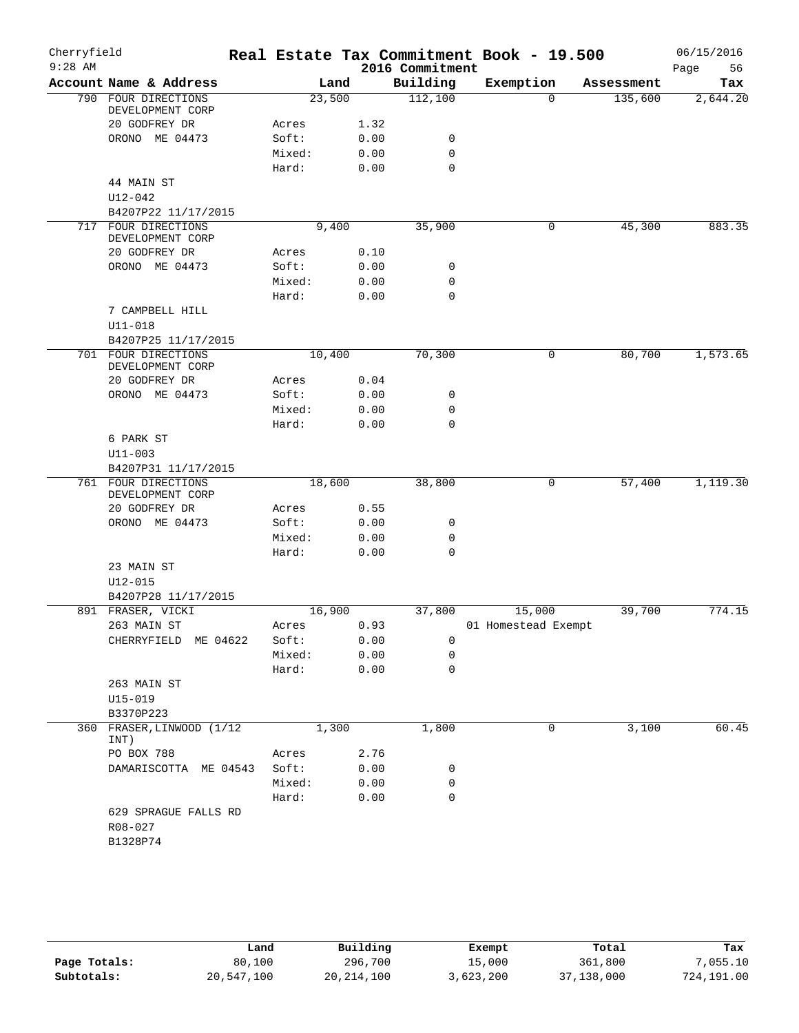| Cherryfield<br>$9:28$ AM |                                                          |        |       |      | Real Estate Tax Commitment Book - 19.500<br>2016 Commitment |                     |          |            | 06/15/2016<br>Page<br>56 |
|--------------------------|----------------------------------------------------------|--------|-------|------|-------------------------------------------------------------|---------------------|----------|------------|--------------------------|
|                          | Account Name & Address                                   |        | Land  |      | Building                                                    | Exemption           |          | Assessment | Tax                      |
|                          | 790 FOUR DIRECTIONS<br>DEVELOPMENT CORP                  | 23,500 |       |      | 112,100                                                     |                     | $\Omega$ | 135,600    | 2,644.20                 |
|                          | 20 GODFREY DR                                            | Acres  |       | 1.32 |                                                             |                     |          |            |                          |
|                          | ORONO ME 04473                                           | Soft:  |       | 0.00 | 0                                                           |                     |          |            |                          |
|                          |                                                          | Mixed: |       | 0.00 | 0                                                           |                     |          |            |                          |
|                          |                                                          | Hard:  |       | 0.00 | $\mathbf 0$                                                 |                     |          |            |                          |
|                          | 44 MAIN ST<br>U12-042                                    |        |       |      |                                                             |                     |          |            |                          |
|                          | B4207P22 11/17/2015                                      |        |       |      |                                                             |                     |          |            |                          |
|                          | 717 FOUR DIRECTIONS<br>DEVELOPMENT CORP<br>20 GODFREY DR | Acres  | 9,400 | 0.10 | 35,900                                                      |                     | 0        | 45,300     | 883.35                   |
|                          | ORONO ME 04473                                           | Soft:  |       | 0.00 | 0                                                           |                     |          |            |                          |
|                          |                                                          | Mixed: |       | 0.00 | 0                                                           |                     |          |            |                          |
|                          |                                                          | Hard:  |       | 0.00 | $\mathbf 0$                                                 |                     |          |            |                          |
|                          | 7 CAMPBELL HILL                                          |        |       |      |                                                             |                     |          |            |                          |
|                          | $U11 - 018$                                              |        |       |      |                                                             |                     |          |            |                          |
|                          | B4207P25 11/17/2015                                      |        |       |      |                                                             |                     |          |            |                          |
|                          | 701 FOUR DIRECTIONS<br>DEVELOPMENT CORP                  | 10,400 |       |      | 70,300                                                      | 0                   |          | 80,700     | 1,573.65                 |
|                          | 20 GODFREY DR                                            | Acres  |       | 0.04 |                                                             |                     |          |            |                          |
|                          | ORONO ME 04473                                           | Soft:  |       | 0.00 | 0                                                           |                     |          |            |                          |
|                          |                                                          | Mixed: |       | 0.00 | 0                                                           |                     |          |            |                          |
|                          |                                                          | Hard:  |       | 0.00 | $\mathbf 0$                                                 |                     |          |            |                          |
|                          | 6 PARK ST                                                |        |       |      |                                                             |                     |          |            |                          |
|                          | $U11 - 003$                                              |        |       |      |                                                             |                     |          |            |                          |
|                          | B4207P31 11/17/2015                                      |        |       |      |                                                             |                     |          |            |                          |
|                          | 761 FOUR DIRECTIONS<br>DEVELOPMENT CORP                  | 18,600 |       |      | 38,800                                                      |                     | 0        | 57,400     | 1,119.30                 |
|                          | 20 GODFREY DR                                            | Acres  |       | 0.55 |                                                             |                     |          |            |                          |
|                          | ORONO ME 04473                                           | Soft:  |       | 0.00 | 0                                                           |                     |          |            |                          |
|                          |                                                          | Mixed: |       | 0.00 | 0                                                           |                     |          |            |                          |
|                          |                                                          | Hard:  |       | 0.00 | $\mathbf 0$                                                 |                     |          |            |                          |
|                          | 23 MAIN ST<br>U12-015                                    |        |       |      |                                                             |                     |          |            |                          |
|                          | B4207P28 11/17/2015<br>891 FRASER, VICKI                 | 16,900 |       |      | 37,800                                                      | 15,000              |          | 39,700     | 774.15                   |
|                          | 263 MAIN ST                                              | Acres  |       | 0.93 |                                                             | 01 Homestead Exempt |          |            |                          |
|                          | CHERRYFIELD ME 04622                                     | Soft:  |       | 0.00 | 0                                                           |                     |          |            |                          |
|                          |                                                          | Mixed: |       | 0.00 | 0                                                           |                     |          |            |                          |
|                          |                                                          | Hard:  |       | 0.00 | $\mathbf 0$                                                 |                     |          |            |                          |
|                          | 263 MAIN ST                                              |        |       |      |                                                             |                     |          |            |                          |
|                          | $U15 - 019$                                              |        |       |      |                                                             |                     |          |            |                          |
|                          | B3370P223                                                |        |       |      |                                                             |                     |          |            |                          |
| 360                      | FRASER, LINWOOD (1/12<br>INT)                            |        | 1,300 |      | 1,800                                                       |                     | 0        | 3,100      | 60.45                    |
|                          | PO BOX 788                                               | Acres  |       | 2.76 |                                                             |                     |          |            |                          |
|                          | DAMARISCOTTA ME 04543                                    | Soft:  |       | 0.00 | 0                                                           |                     |          |            |                          |
|                          |                                                          | Mixed: |       | 0.00 | 0                                                           |                     |          |            |                          |
|                          |                                                          | Hard:  |       | 0.00 | $\mathbf 0$                                                 |                     |          |            |                          |
|                          | 629 SPRAGUE FALLS RD                                     |        |       |      |                                                             |                     |          |            |                          |
|                          | R08-027                                                  |        |       |      |                                                             |                     |          |            |                          |
|                          | B1328P74                                                 |        |       |      |                                                             |                     |          |            |                          |
|                          |                                                          |        |       |      |                                                             |                     |          |            |                          |

|              | Land       | Building     | Exempt    | Total      | Tax        |
|--------------|------------|--------------|-----------|------------|------------|
| Page Totals: | 80,100     | 296,700      | 15,000    | 361,800    | 7,055.10   |
| Subtotals:   | 20,547,100 | 20, 214, 100 | 3,623,200 | 37,138,000 | 724,191.00 |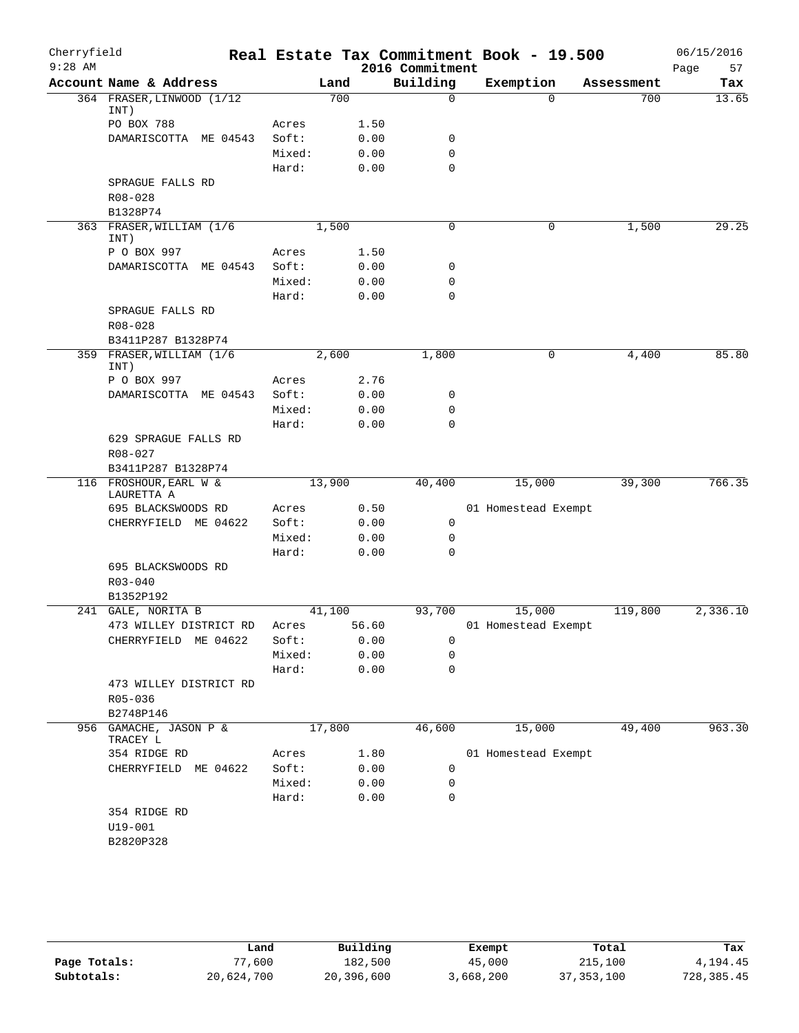| Cherryfield |                                      |        |        |       |                 | Real Estate Tax Commitment Book - 19.500 |            | 06/15/2016 |
|-------------|--------------------------------------|--------|--------|-------|-----------------|------------------------------------------|------------|------------|
| $9:28$ AM   |                                      |        |        |       | 2016 Commitment |                                          |            | 57<br>Page |
|             | Account Name & Address               |        | Land   |       | Building        | Exemption                                | Assessment | Tax        |
|             | 364 FRASER, LINWOOD (1/12<br>INT)    |        | 700    |       | $\mathbf 0$     | $\Omega$                                 | 700        | 13.65      |
|             | PO BOX 788                           | Acres  |        | 1.50  |                 |                                          |            |            |
|             | DAMARISCOTTA ME 04543                | Soft:  |        | 0.00  | $\mathbf 0$     |                                          |            |            |
|             |                                      | Mixed: |        | 0.00  | 0               |                                          |            |            |
|             |                                      | Hard:  |        | 0.00  | $\mathbf 0$     |                                          |            |            |
|             | SPRAGUE FALLS RD                     |        |        |       |                 |                                          |            |            |
|             | R08-028                              |        |        |       |                 |                                          |            |            |
|             | B1328P74                             |        |        |       |                 |                                          |            |            |
|             | 363 FRASER, WILLIAM (1/6<br>INT)     |        | 1,500  |       | $\mathbf 0$     | 0                                        | 1,500      | 29.25      |
|             | P O BOX 997                          | Acres  |        | 1.50  |                 |                                          |            |            |
|             | DAMARISCOTTA ME 04543                | Soft:  |        | 0.00  | 0               |                                          |            |            |
|             |                                      | Mixed: |        | 0.00  | 0               |                                          |            |            |
|             |                                      | Hard:  |        | 0.00  | $\mathbf 0$     |                                          |            |            |
|             | SPRAGUE FALLS RD<br>R08-028          |        |        |       |                 |                                          |            |            |
|             | B3411P287 B1328P74                   |        |        |       |                 |                                          |            |            |
|             | 359 FRASER, WILLIAM (1/6<br>INT)     |        | 2,600  |       | 1,800           | 0                                        | 4,400      | 85.80      |
|             | P O BOX 997                          | Acres  |        | 2.76  |                 |                                          |            |            |
|             | DAMARISCOTTA ME 04543                | Soft:  |        | 0.00  | 0               |                                          |            |            |
|             |                                      | Mixed: |        | 0.00  | 0               |                                          |            |            |
|             |                                      | Hard:  |        | 0.00  | $\mathbf 0$     |                                          |            |            |
|             | 629 SPRAGUE FALLS RD                 |        |        |       |                 |                                          |            |            |
|             | R08-027                              |        |        |       |                 |                                          |            |            |
|             | B3411P287 B1328P74                   |        |        |       |                 |                                          |            |            |
|             | 116 FROSHOUR, EARL W &<br>LAURETTA A |        | 13,900 |       | 40,400          | 15,000                                   | 39,300     | 766.35     |
|             | 695 BLACKSWOODS RD                   | Acres  |        | 0.50  |                 | 01 Homestead Exempt                      |            |            |
|             | CHERRYFIELD ME 04622                 | Soft:  |        | 0.00  | 0               |                                          |            |            |
|             |                                      | Mixed: |        | 0.00  | $\mathbf 0$     |                                          |            |            |
|             |                                      | Hard:  |        | 0.00  | 0               |                                          |            |            |
|             | 695 BLACKSWOODS RD                   |        |        |       |                 |                                          |            |            |
|             | $R03 - 040$                          |        |        |       |                 |                                          |            |            |
|             | B1352P192                            |        |        |       |                 |                                          |            |            |
|             | 241 GALE, NORITA B                   |        | 41,100 |       | 93,700          | 15,000                                   | 119,800    | 2,336.10   |
|             | 473 WILLEY DISTRICT RD               | Acres  |        | 56.60 |                 | 01 Homestead Exempt                      |            |            |
|             | CHERRYFIELD ME 04622                 | Soft:  |        | 0.00  | 0               |                                          |            |            |
|             |                                      | Mixed: |        | 0.00  | 0               |                                          |            |            |
|             |                                      | Hard:  |        | 0.00  | 0               |                                          |            |            |
|             | 473 WILLEY DISTRICT RD               |        |        |       |                 |                                          |            |            |
|             | R05-036<br>B2748P146                 |        |        |       |                 |                                          |            |            |
|             | 956 GAMACHE, JASON P &               |        | 17,800 |       | 46,600          | 15,000                                   | 49,400     | 963.30     |
|             | TRACEY L                             |        |        |       |                 |                                          |            |            |
|             | 354 RIDGE RD                         | Acres  |        | 1.80  |                 | 01 Homestead Exempt                      |            |            |
|             | CHERRYFIELD ME 04622                 | Soft:  |        | 0.00  | 0               |                                          |            |            |
|             |                                      | Mixed: |        | 0.00  | 0               |                                          |            |            |
|             |                                      | Hard:  |        | 0.00  | 0               |                                          |            |            |
|             | 354 RIDGE RD                         |        |        |       |                 |                                          |            |            |
|             | $U19 - 001$                          |        |        |       |                 |                                          |            |            |
|             | B2820P328                            |        |        |       |                 |                                          |            |            |
|             |                                      |        |        |       |                 |                                          |            |            |

|              | Land       | Building   | Exempt    | Total        | Tax        |
|--------------|------------|------------|-----------|--------------|------------|
| Page Totals: | 77,600     | 182,500    | 45,000    | 215,100      | 4,194.45   |
| Subtotals:   | 20,624,700 | 20,396,600 | 3,668,200 | 37, 353, 100 | 728,385.45 |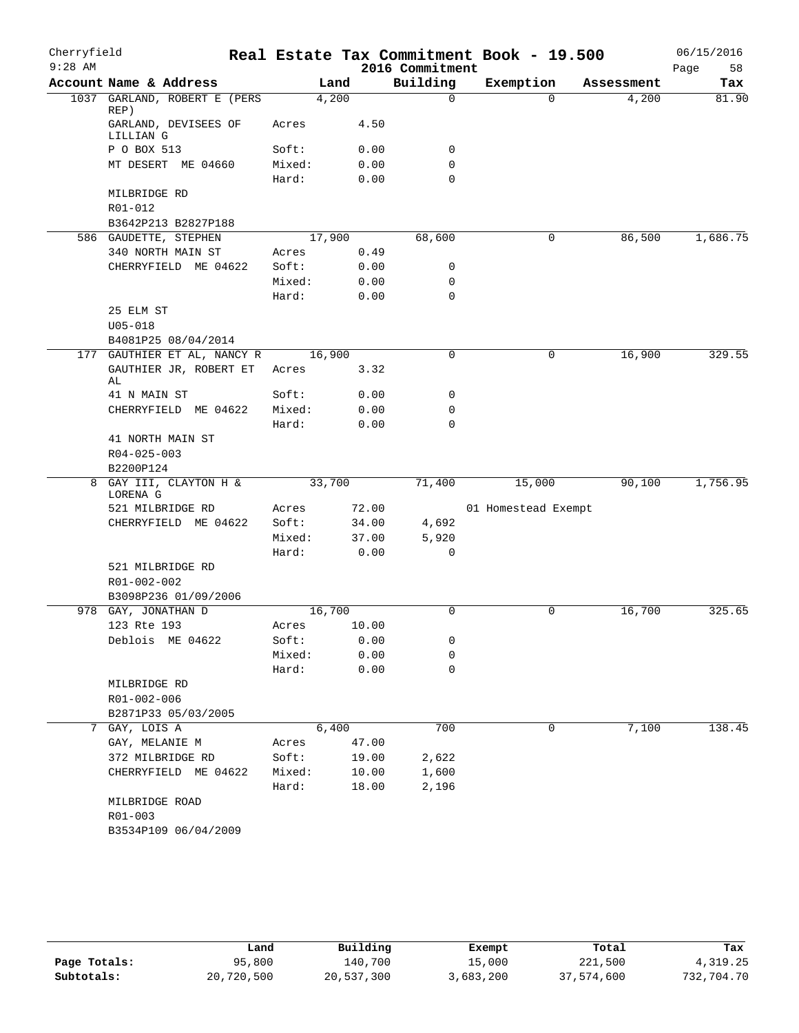| Cherryfield |                                      |                 |        |              |                            | Real Estate Tax Commitment Book - 19.500 |            | 06/15/2016 |
|-------------|--------------------------------------|-----------------|--------|--------------|----------------------------|------------------------------------------|------------|------------|
| $9:28$ AM   |                                      |                 |        |              | 2016 Commitment            |                                          |            | 58<br>Page |
|             | Account Name & Address               |                 | Land   |              | Building                   | Exemption                                | Assessment | Tax        |
|             | 1037 GARLAND, ROBERT E (PERS<br>REP) |                 | 4,200  |              | 0                          | $\Omega$                                 | 4,200      | 81.90      |
|             | GARLAND, DEVISEES OF<br>LILLIAN G    | Acres           |        | 4.50         |                            |                                          |            |            |
|             | P O BOX 513                          | Soft:           |        | 0.00         | 0                          |                                          |            |            |
|             | MT DESERT ME 04660                   | Mixed:<br>Hard: |        | 0.00<br>0.00 | $\mathbf 0$<br>$\mathbf 0$ |                                          |            |            |
|             | MILBRIDGE RD                         |                 |        |              |                            |                                          |            |            |
|             | R01-012                              |                 |        |              |                            |                                          |            |            |
|             | B3642P213 B2827P188                  |                 |        |              |                            |                                          |            |            |
|             | 586 GAUDETTE, STEPHEN                |                 | 17,900 |              | 68,600                     | 0                                        | 86,500     | 1,686.75   |
|             | 340 NORTH MAIN ST                    | Acres           |        | 0.49         |                            |                                          |            |            |
|             | CHERRYFIELD ME 04622                 | Soft:           |        | 0.00         | 0                          |                                          |            |            |
|             |                                      | Mixed:          |        | 0.00         | 0                          |                                          |            |            |
|             |                                      | Hard:           |        | 0.00         | $\mathbf 0$                |                                          |            |            |
|             | 25 ELM ST                            |                 |        |              |                            |                                          |            |            |
|             | $U05 - 018$                          |                 |        |              |                            |                                          |            |            |
|             | B4081P25 08/04/2014                  |                 |        |              |                            |                                          |            |            |
|             | 177 GAUTHIER ET AL, NANCY R          |                 | 16,900 |              | $\mathbf 0$                | 0                                        | 16,900     | 329.55     |
|             | GAUTHIER JR, ROBERT ET<br>AL         | Acres           |        | 3.32         |                            |                                          |            |            |
|             | 41 N MAIN ST                         | Soft:           |        | 0.00         | $\mathbf 0$                |                                          |            |            |
|             | CHERRYFIELD ME 04622                 | Mixed:          |        | 0.00         | $\mathbf 0$                |                                          |            |            |
|             |                                      | Hard:           |        | 0.00         | $\mathbf 0$                |                                          |            |            |
|             | 41 NORTH MAIN ST                     |                 |        |              |                            |                                          |            |            |
|             | R04-025-003                          |                 |        |              |                            |                                          |            |            |
|             | B2200P124                            |                 |        |              |                            |                                          |            |            |
| 8           | GAY III, CLAYTON H &<br>LORENA G     |                 | 33,700 |              | 71,400                     | 15,000                                   | 90,100     | 1,756.95   |
|             | 521 MILBRIDGE RD                     | Acres           |        | 72.00        |                            | 01 Homestead Exempt                      |            |            |
|             | CHERRYFIELD ME 04622                 | Soft:           |        | 34.00        | 4,692                      |                                          |            |            |
|             |                                      | Mixed:          |        | 37.00        | 5,920                      |                                          |            |            |
|             |                                      | Hard:           |        | 0.00         | $\mathbf 0$                |                                          |            |            |
|             | 521 MILBRIDGE RD                     |                 |        |              |                            |                                          |            |            |
|             | R01-002-002                          |                 |        |              |                            |                                          |            |            |
|             | B3098P236 01/09/2006                 |                 |        |              |                            |                                          |            |            |
|             | 978 GAY, JONATHAN D                  |                 | 16,700 |              | $\mathbf 0$                | 0                                        | 16,700     | 325.65     |
|             | 123 Rte 193                          | Acres           |        | 10.00        |                            |                                          |            |            |
|             | Deblois ME 04622                     | Soft:           |        | 0.00         | 0                          |                                          |            |            |
|             |                                      | Mixed:          |        | 0.00         | 0                          |                                          |            |            |
|             |                                      | Hard:           |        | 0.00         | $\mathbf 0$                |                                          |            |            |
|             | MILBRIDGE RD                         |                 |        |              |                            |                                          |            |            |
|             | R01-002-006                          |                 |        |              |                            |                                          |            |            |
|             | B2871P33 05/03/2005                  |                 |        |              |                            |                                          |            |            |
| 7           | GAY, LOIS A                          |                 | 6,400  |              | 700                        | 0                                        | 7,100      | 138.45     |
|             | GAY, MELANIE M                       | Acres           |        | 47.00        |                            |                                          |            |            |
|             | 372 MILBRIDGE RD                     | Soft:           |        | 19.00        | 2,622                      |                                          |            |            |
|             | CHERRYFIELD ME 04622                 | Mixed:          |        | 10.00        | 1,600                      |                                          |            |            |
|             |                                      | Hard:           |        | 18.00        | 2,196                      |                                          |            |            |
|             | MILBRIDGE ROAD                       |                 |        |              |                            |                                          |            |            |
|             | R01-003                              |                 |        |              |                            |                                          |            |            |
|             | B3534P109 06/04/2009                 |                 |        |              |                            |                                          |            |            |

|              | Land       | Building   | Exempt    | Total      | Tax        |
|--------------|------------|------------|-----------|------------|------------|
| Page Totals: | 95,800     | 140,700    | 15,000    | 221,500    | 4,319.25   |
| Subtotals:   | 20,720,500 | 20,537,300 | 3,683,200 | 37,574,600 | 732,704.70 |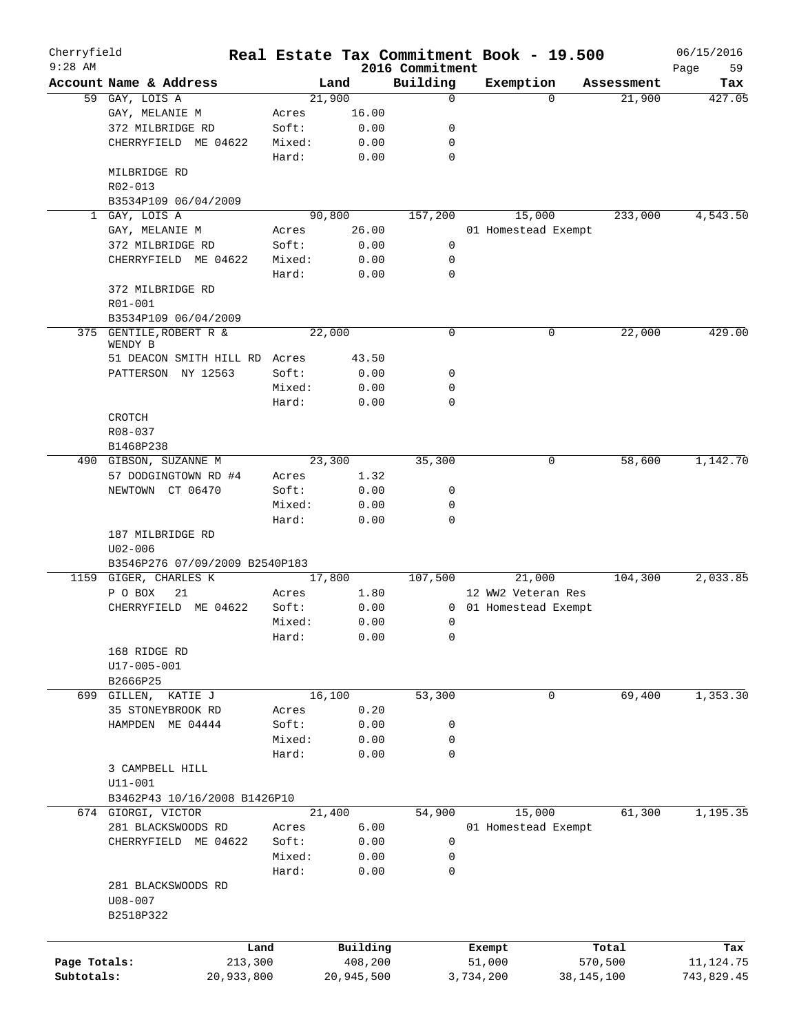| Cherryfield<br>$9:28$ AM |                                       |         |        |            |                             |           | Real Estate Tax Commitment Book - 19.500    |            |            | 06/15/2016        |
|--------------------------|---------------------------------------|---------|--------|------------|-----------------------------|-----------|---------------------------------------------|------------|------------|-------------------|
|                          | Account Name & Address                |         | Land   |            | 2016 Commitment<br>Building |           | Exemption                                   |            | Assessment | 59<br>Page<br>Tax |
|                          | 59 GAY, LOIS A                        |         | 21,900 |            | 0                           |           | $\Omega$                                    |            | 21,900     | 427.05            |
|                          | GAY, MELANIE M                        | Acres   |        | 16.00      |                             |           |                                             |            |            |                   |
|                          | 372 MILBRIDGE RD                      | Soft:   |        | 0.00       | 0                           |           |                                             |            |            |                   |
|                          | CHERRYFIELD ME 04622                  | Mixed:  |        | 0.00       | 0                           |           |                                             |            |            |                   |
|                          |                                       | Hard:   |        | 0.00       | 0                           |           |                                             |            |            |                   |
|                          | MILBRIDGE RD                          |         |        |            |                             |           |                                             |            |            |                   |
|                          | R02-013                               |         |        |            |                             |           |                                             |            |            |                   |
|                          | B3534P109 06/04/2009                  |         |        |            |                             |           |                                             |            |            |                   |
|                          | 1 GAY, LOIS A                         |         | 90,800 |            | 157,200                     |           | 15,000                                      |            | 233,000    | 4,543.50          |
|                          | GAY, MELANIE M                        | Acres   |        | 26.00      |                             |           | 01 Homestead Exempt                         |            |            |                   |
|                          | 372 MILBRIDGE RD                      | Soft:   |        | 0.00       | 0                           |           |                                             |            |            |                   |
|                          | CHERRYFIELD ME 04622                  | Mixed:  |        | 0.00       | 0                           |           |                                             |            |            |                   |
|                          |                                       | Hard:   |        | 0.00       | 0                           |           |                                             |            |            |                   |
|                          | 372 MILBRIDGE RD                      |         |        |            |                             |           |                                             |            |            |                   |
|                          | R01-001                               |         |        |            |                             |           |                                             |            |            |                   |
|                          | B3534P109 06/04/2009                  |         |        |            |                             |           |                                             |            |            |                   |
|                          | 375 GENTILE, ROBERT R &               |         | 22,000 |            | 0                           |           | 0                                           |            | 22,000     | 429.00            |
|                          | WENDY B                               |         |        |            |                             |           |                                             |            |            |                   |
|                          | 51 DEACON SMITH HILL RD Acres         |         |        | 43.50      |                             |           |                                             |            |            |                   |
|                          | PATTERSON NY 12563                    | Soft:   |        | 0.00       | 0                           |           |                                             |            |            |                   |
|                          |                                       | Mixed:  |        | 0.00       | 0                           |           |                                             |            |            |                   |
|                          |                                       | Hard:   |        | 0.00       | $\Omega$                    |           |                                             |            |            |                   |
|                          | <b>CROTCH</b>                         |         |        |            |                             |           |                                             |            |            |                   |
|                          | R08-037                               |         |        |            |                             |           |                                             |            |            |                   |
|                          | B1468P238                             |         |        |            |                             |           |                                             |            |            |                   |
|                          | 490 GIBSON, SUZANNE M                 |         | 23,300 |            | 35,300                      |           | 0                                           |            | 58,600     | 1,142.70          |
|                          | 57 DODGINGTOWN RD #4                  | Acres   |        | 1.32       |                             |           |                                             |            |            |                   |
|                          | NEWTOWN CT 06470                      | Soft:   |        | 0.00       | 0                           |           |                                             |            |            |                   |
|                          |                                       | Mixed:  |        | 0.00       | 0                           |           |                                             |            |            |                   |
|                          |                                       | Hard:   |        | 0.00       | 0                           |           |                                             |            |            |                   |
|                          | 187 MILBRIDGE RD                      |         |        |            |                             |           |                                             |            |            |                   |
|                          | $U02 - 006$                           |         |        |            |                             |           |                                             |            |            |                   |
|                          | B3546P276 07/09/2009 B2540P183        |         |        |            |                             |           |                                             |            |            |                   |
|                          | 1159 GIGER, CHARLES K                 |         | 17,800 |            | 107,500                     |           | 21,000                                      |            | 104,300    | 2,033.85          |
|                          | P O BOX<br>21<br>CHERRYFIELD ME 04622 | Acres   |        | 1.80       |                             |           | 12 WW2 Veteran Res<br>0 01 Homestead Exempt |            |            |                   |
|                          |                                       | Soft:   |        | 0.00       |                             |           |                                             |            |            |                   |
|                          |                                       | Mixed:  |        | 0.00       | 0                           |           |                                             |            |            |                   |
|                          |                                       | Hard:   |        | 0.00       | 0                           |           |                                             |            |            |                   |
|                          | 168 RIDGE RD                          |         |        |            |                             |           |                                             |            |            |                   |
|                          | U17-005-001                           |         |        |            |                             |           |                                             |            |            |                   |
|                          | B2666P25<br>699 GILLEN, KATIE J       |         | 16,100 |            | 53,300                      |           | 0                                           |            | 69,400     | 1,353.30          |
|                          | 35 STONEYBROOK RD                     | Acres   |        | 0.20       |                             |           |                                             |            |            |                   |
|                          | HAMPDEN ME 04444                      | Soft:   |        | 0.00       | 0                           |           |                                             |            |            |                   |
|                          |                                       | Mixed:  |        | 0.00       | 0                           |           |                                             |            |            |                   |
|                          |                                       | Hard:   |        | 0.00       | 0                           |           |                                             |            |            |                   |
|                          | 3 CAMPBELL HILL                       |         |        |            |                             |           |                                             |            |            |                   |
|                          | $U11 - 001$                           |         |        |            |                             |           |                                             |            |            |                   |
|                          | B3462P43 10/16/2008 B1426P10          |         |        |            |                             |           |                                             |            |            |                   |
|                          | 674 GIORGI, VICTOR                    |         | 21,400 |            | 54,900                      |           | 15,000                                      |            | 61,300     | 1,195.35          |
|                          | 281 BLACKSWOODS RD                    | Acres   |        | 6.00       |                             |           | 01 Homestead Exempt                         |            |            |                   |
|                          | CHERRYFIELD ME 04622                  | Soft:   |        | 0.00       | 0                           |           |                                             |            |            |                   |
|                          |                                       | Mixed:  |        | 0.00       | 0                           |           |                                             |            |            |                   |
|                          |                                       | Hard:   |        | 0.00       | 0                           |           |                                             |            |            |                   |
|                          | 281 BLACKSWOODS RD                    |         |        |            |                             |           |                                             |            |            |                   |
|                          | $U08 - 007$                           |         |        |            |                             |           |                                             |            |            |                   |
|                          | B2518P322                             |         |        |            |                             |           |                                             |            |            |                   |
|                          |                                       |         |        |            |                             |           |                                             |            |            |                   |
|                          |                                       |         |        |            |                             |           |                                             |            |            |                   |
|                          |                                       | Land    |        | Building   |                             |           | Exempt                                      |            | Total      | Tax               |
| Page Totals:             |                                       | 213,300 |        | 408,200    |                             | 51,000    |                                             |            | 570,500    | 11, 124.75        |
| Subtotals:               | 20,933,800                            |         |        | 20,945,500 |                             | 3,734,200 |                                             | 38,145,100 |            | 743,829.45        |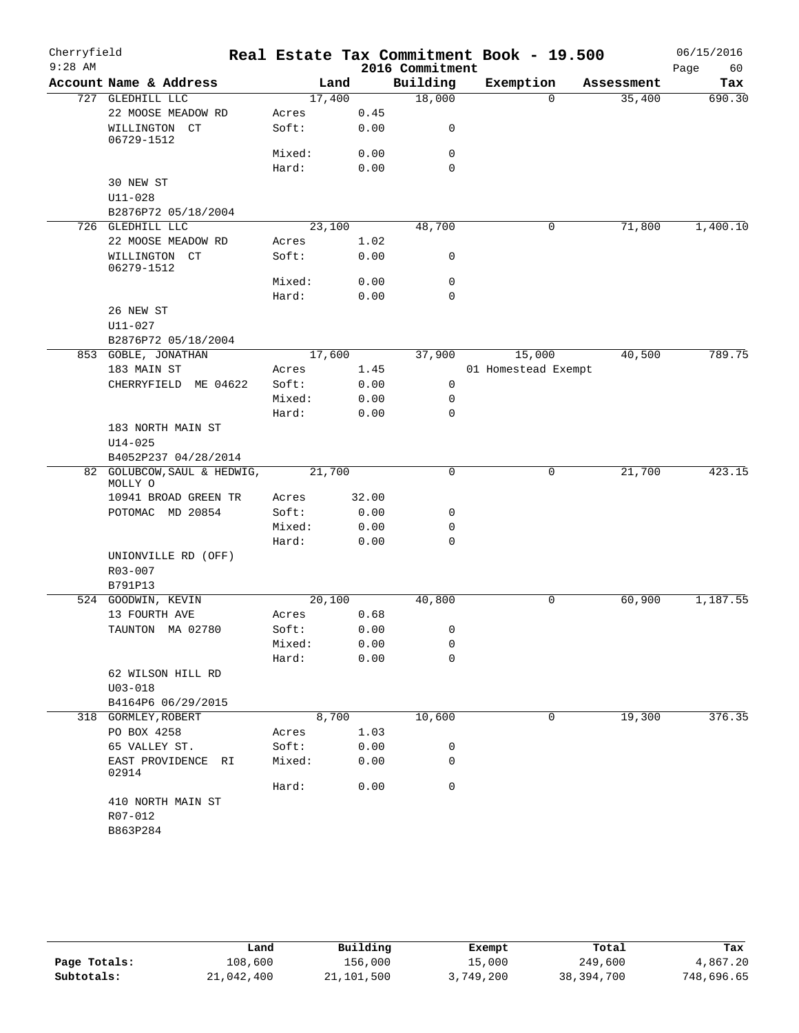| Cherryfield<br>$9:28$ AM |                                     |                |              | 2016 Commitment | Real Estate Tax Commitment Book - 19.500 |            | 06/15/2016<br>Page<br>60 |
|--------------------------|-------------------------------------|----------------|--------------|-----------------|------------------------------------------|------------|--------------------------|
|                          | Account Name & Address              | Land           |              | Building        | Exemption                                | Assessment | Tax                      |
|                          | 727 GLEDHILL LLC                    | 17,400         |              | 18,000          | $\mathbf{0}$                             | 35,400     | 690.30                   |
|                          | 22 MOOSE MEADOW RD                  | Acres          | 0.45         |                 |                                          |            |                          |
|                          | WILLINGTON CT<br>06729-1512         | Soft:          | 0.00         | 0               |                                          |            |                          |
|                          |                                     | Mixed:         | 0.00         | 0               |                                          |            |                          |
|                          |                                     | Hard:          | 0.00         | $\Omega$        |                                          |            |                          |
|                          | 30 NEW ST                           |                |              |                 |                                          |            |                          |
|                          | $U11 - 028$                         |                |              |                 |                                          |            |                          |
|                          | B2876P72 05/18/2004                 |                |              |                 |                                          |            |                          |
|                          | 726 GLEDHILL LLC                    | 23,100         |              | 48,700          | 0                                        | 71,800     | 1,400.10                 |
|                          | 22 MOOSE MEADOW RD                  | Acres          | 1.02         |                 |                                          |            |                          |
|                          | WILLINGTON CT<br>06279-1512         | Soft:          | 0.00         | 0               |                                          |            |                          |
|                          |                                     | Mixed:         | 0.00         | 0               |                                          |            |                          |
|                          |                                     | Hard:          | 0.00         | $\mathbf 0$     |                                          |            |                          |
|                          | 26 NEW ST                           |                |              |                 |                                          |            |                          |
|                          | $U11 - 027$                         |                |              |                 |                                          |            |                          |
|                          | B2876P72 05/18/2004                 |                |              |                 |                                          |            | 789.75                   |
|                          | 853 GOBLE, JONATHAN                 | 17,600         |              | 37,900          | 15,000                                   | 40,500     |                          |
|                          | 183 MAIN ST<br>CHERRYFIELD ME 04622 | Acres<br>Soft: | 1.45<br>0.00 | 0               | 01 Homestead Exempt                      |            |                          |
|                          |                                     | Mixed:         | 0.00         | 0               |                                          |            |                          |
|                          |                                     | Hard:          | 0.00         | $\mathbf 0$     |                                          |            |                          |
|                          | 183 NORTH MAIN ST                   |                |              |                 |                                          |            |                          |
|                          | $U14 - 025$                         |                |              |                 |                                          |            |                          |
|                          | B4052P237 04/28/2014                |                |              |                 |                                          |            |                          |
|                          | 82 GOLUBCOW, SAUL & HEDWIG,         | 21,700         |              | 0               | 0                                        | 21,700     | 423.15                   |
|                          | MOLLY O                             |                |              |                 |                                          |            |                          |
|                          | 10941 BROAD GREEN TR                | Acres          | 32.00        |                 |                                          |            |                          |
|                          | POTOMAC MD 20854                    | Soft:          | 0.00         | 0               |                                          |            |                          |
|                          |                                     | Mixed:         | 0.00         | 0               |                                          |            |                          |
|                          |                                     | Hard:          | 0.00         | $\mathbf 0$     |                                          |            |                          |
|                          | UNIONVILLE RD (OFF)                 |                |              |                 |                                          |            |                          |
|                          | $R03 - 007$                         |                |              |                 |                                          |            |                          |
|                          | B791P13<br>524 GOODWIN, KEVIN       | 20,100         |              | 40,800          | 0                                        | 60,900     | 1,187.55                 |
|                          | 13 FOURTH AVE                       | Acres          | 0.68         |                 |                                          |            |                          |
|                          | TAUNTON MA 02780                    | Soft:          | 0.00         | 0               |                                          |            |                          |
|                          |                                     | Mixed:         | 0.00         | 0               |                                          |            |                          |
|                          |                                     | Hard:          | 0.00         | 0               |                                          |            |                          |
|                          | 62 WILSON HILL RD                   |                |              |                 |                                          |            |                          |
|                          | $U03 - 018$                         |                |              |                 |                                          |            |                          |
|                          | B4164P6 06/29/2015                  |                |              |                 |                                          |            |                          |
|                          | 318 GORMLEY, ROBERT                 | 8,700          |              | 10,600          | 0                                        | 19,300     | 376.35                   |
|                          | PO BOX 4258                         | Acres          | 1.03         |                 |                                          |            |                          |
|                          | 65 VALLEY ST.                       | Soft:          | 0.00         | 0               |                                          |            |                          |
|                          | EAST PROVIDENCE RI<br>02914         | Mixed:         | 0.00         | 0               |                                          |            |                          |
|                          |                                     | Hard:          | 0.00         | $\mathbf 0$     |                                          |            |                          |
|                          | 410 NORTH MAIN ST                   |                |              |                 |                                          |            |                          |
|                          | R07-012                             |                |              |                 |                                          |            |                          |
|                          | B863P284                            |                |              |                 |                                          |            |                          |

|              | Land       | Building   | Exempt    | Total      | Tax        |
|--------------|------------|------------|-----------|------------|------------|
| Page Totals: | 108,600    | 156,000    | 15,000    | 249,600    | 4,867.20   |
| Subtotals:   | 21,042,400 | 21,101,500 | 3,749,200 | 38,394,700 | 748,696.65 |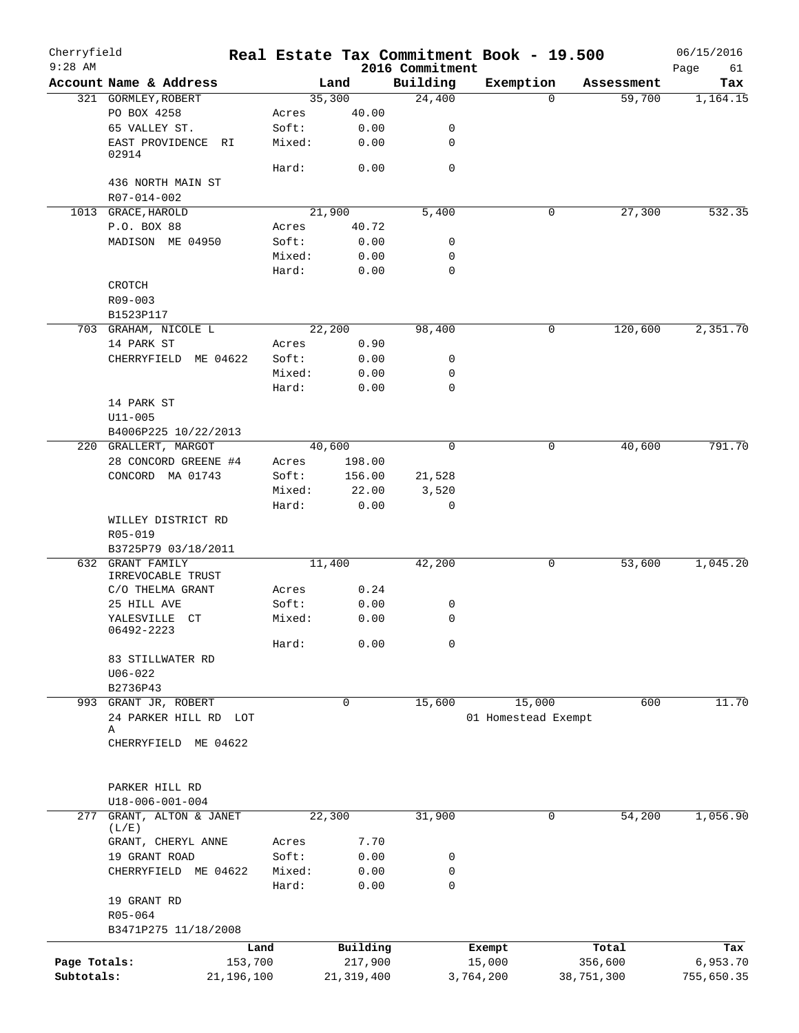| Cherryfield<br>$9:28$ AM |                                       |            |              | 2016 Commitment | Real Estate Tax Commitment Book - 19.500 |            | 06/15/2016<br>Page<br>61 |
|--------------------------|---------------------------------------|------------|--------------|-----------------|------------------------------------------|------------|--------------------------|
|                          | Account Name & Address                |            | Land         | Building        | Exemption                                | Assessment | Tax                      |
|                          | 321 GORMLEY, ROBERT                   |            | 35,300       | 24,400          | $\mathbf 0$                              | 59,700     | 1,164.15                 |
|                          | PO BOX 4258                           | Acres      | 40.00        |                 |                                          |            |                          |
|                          | 65 VALLEY ST.                         | Soft:      | 0.00         | 0               |                                          |            |                          |
|                          | EAST PROVIDENCE<br>RI<br>02914        | Mixed:     | 0.00         | 0               |                                          |            |                          |
|                          |                                       | Hard:      | 0.00         | $\mathbf 0$     |                                          |            |                          |
|                          | 436 NORTH MAIN ST                     |            |              |                 |                                          |            |                          |
|                          | R07-014-002                           |            |              |                 |                                          |            |                          |
|                          | 1013 GRACE, HAROLD                    |            | 21,900       | 5,400           | 0                                        | 27,300     | 532.35                   |
|                          | P.O. BOX 88                           | Acres      | 40.72        |                 |                                          |            |                          |
|                          | MADISON ME 04950                      | Soft:      | 0.00         | 0               |                                          |            |                          |
|                          |                                       | Mixed:     | 0.00         | 0               |                                          |            |                          |
|                          |                                       | Hard:      | 0.00         | 0               |                                          |            |                          |
|                          | CROTCH                                |            |              |                 |                                          |            |                          |
|                          | R09-003                               |            |              |                 |                                          |            |                          |
|                          | B1523P117                             |            |              |                 |                                          |            |                          |
|                          | 703 GRAHAM, NICOLE L                  |            | 22,200       | 98,400          | 0                                        | 120,600    | 2,351.70                 |
|                          | 14 PARK ST                            | Acres      | 0.90         |                 |                                          |            |                          |
|                          | CHERRYFIELD ME 04622                  | Soft:      | 0.00         | 0               |                                          |            |                          |
|                          |                                       | Mixed:     | 0.00         | 0               |                                          |            |                          |
|                          |                                       | Hard:      | 0.00         | 0               |                                          |            |                          |
|                          | 14 PARK ST                            |            |              |                 |                                          |            |                          |
|                          | $U11 - 005$                           |            |              |                 |                                          |            |                          |
|                          | B4006P225 10/22/2013                  |            |              |                 |                                          |            |                          |
|                          | 220 GRALLERT, MARGOT                  |            | 40,600       | 0               | 0                                        | 40,600     | 791.70                   |
|                          | 28 CONCORD GREENE #4                  | Acres      | 198.00       |                 |                                          |            |                          |
|                          | CONCORD MA 01743                      | Soft:      | 156.00       | 21,528          |                                          |            |                          |
|                          |                                       | Mixed:     | 22.00        | 3,520           |                                          |            |                          |
|                          |                                       | Hard:      | 0.00         | 0               |                                          |            |                          |
|                          | WILLEY DISTRICT RD                    |            |              |                 |                                          |            |                          |
|                          | R05-019                               |            |              |                 |                                          |            |                          |
|                          | B3725P79 03/18/2011                   |            |              |                 |                                          |            |                          |
|                          | 632 GRANT FAMILY<br>IRREVOCABLE TRUST |            | 11,400       | 42,200          | 0                                        | 53,600     | 1,045.20                 |
|                          | C/O THELMA GRANT                      | Acres      | 0.24         |                 |                                          |            |                          |
|                          | 25 HILL AVE                           | Soft:      | 0.00         | 0               |                                          |            |                          |
|                          | YALESVILLE CT                         | Mixed:     | 0.00         | 0               |                                          |            |                          |
|                          | 06492-2223                            |            |              |                 |                                          |            |                          |
|                          |                                       | Hard:      | 0.00         | 0               |                                          |            |                          |
|                          | 83 STILLWATER RD                      |            |              |                 |                                          |            |                          |
|                          | $U06 - 022$                           |            |              |                 |                                          |            |                          |
|                          | B2736P43                              |            |              |                 |                                          |            |                          |
|                          | 993 GRANT JR, ROBERT                  |            | $\mathbf 0$  | 15,600          | 15,000                                   | 600        | 11.70                    |
|                          | 24 PARKER HILL RD LOT                 |            |              |                 | 01 Homestead Exempt                      |            |                          |
|                          | Α<br>CHERRYFIELD ME 04622             |            |              |                 |                                          |            |                          |
|                          |                                       |            |              |                 |                                          |            |                          |
|                          | PARKER HILL RD                        |            |              |                 |                                          |            |                          |
|                          | U18-006-001-004                       |            |              |                 |                                          |            |                          |
| 277                      | GRANT, ALTON & JANET                  |            | 22,300       | 31,900          | 0                                        | 54,200     | 1,056.90                 |
|                          | (L/E)                                 |            |              |                 |                                          |            |                          |
|                          | GRANT, CHERYL ANNE                    | Acres      | 7.70         |                 |                                          |            |                          |
|                          | 19 GRANT ROAD                         | Soft:      | 0.00         | 0               |                                          |            |                          |
|                          | CHERRYFIELD ME 04622                  | Mixed:     | 0.00         | 0               |                                          |            |                          |
|                          |                                       | Hard:      | 0.00         | 0               |                                          |            |                          |
|                          | 19 GRANT RD                           |            |              |                 |                                          |            |                          |
|                          | R05-064                               |            |              |                 |                                          |            |                          |
|                          | B3471P275 11/18/2008                  |            |              |                 |                                          |            |                          |
|                          |                                       | Land       | Building     |                 | Exempt                                   | Total      | Tax                      |
| Page Totals:             |                                       | 153,700    | 217,900      |                 | 15,000                                   | 356,600    | 6,953.70                 |
| Subtotals:               |                                       | 21,196,100 | 21, 319, 400 |                 | 3,764,200                                | 38,751,300 | 755,650.35               |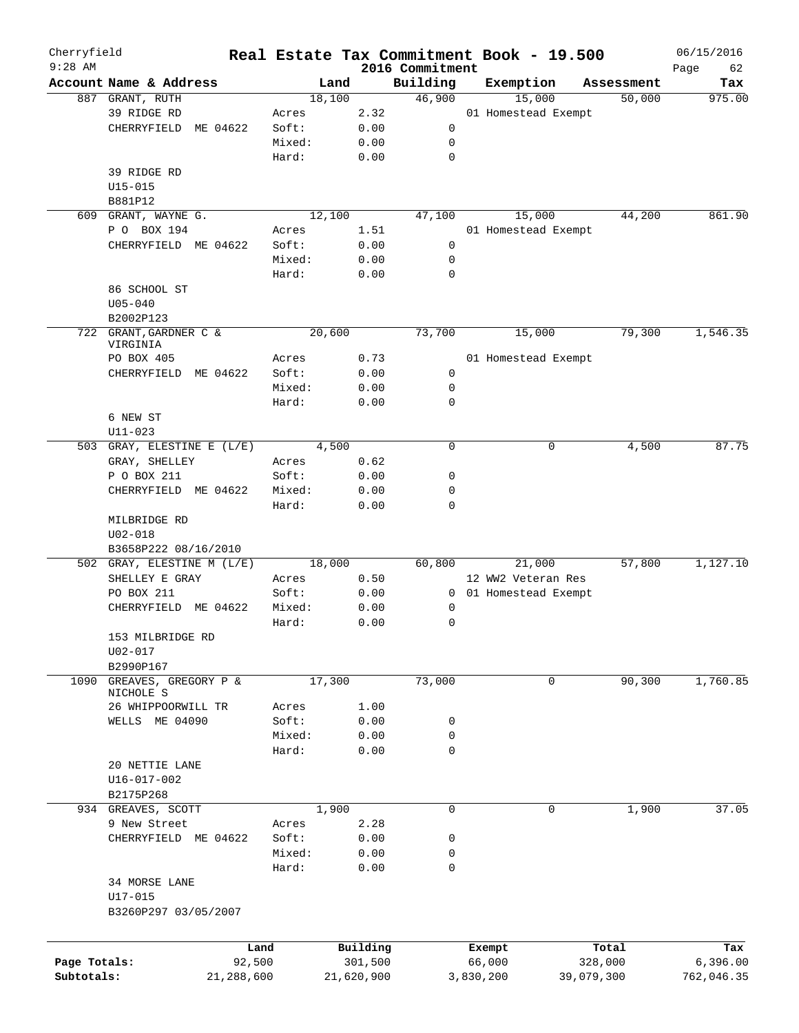| Cherryfield<br>$9:28$ AM |                            |            |        |        |            | 2016 Commitment | Real Estate Tax Commitment Book - 19.500 |            | 06/15/2016        |
|--------------------------|----------------------------|------------|--------|--------|------------|-----------------|------------------------------------------|------------|-------------------|
|                          | Account Name & Address     |            |        | Land   |            | Building        | Exemption                                | Assessment | Page<br>62<br>Tax |
|                          | 887 GRANT, RUTH            |            |        | 18,100 |            | 46,900          | 15,000                                   | 50,000     | 975.00            |
|                          | 39 RIDGE RD                |            | Acres  |        | 2.32       |                 | 01 Homestead Exempt                      |            |                   |
|                          | CHERRYFIELD<br>ME 04622    |            | Soft:  |        | 0.00       | 0               |                                          |            |                   |
|                          |                            |            | Mixed: |        | 0.00       | 0               |                                          |            |                   |
|                          |                            |            | Hard:  |        | 0.00       | 0               |                                          |            |                   |
|                          | 39 RIDGE RD                |            |        |        |            |                 |                                          |            |                   |
|                          |                            |            |        |        |            |                 |                                          |            |                   |
|                          | $U15 - 015$                |            |        |        |            |                 |                                          |            |                   |
|                          | B881P12                    |            |        |        |            |                 |                                          |            |                   |
|                          | 609 GRANT, WAYNE G.        |            |        | 12,100 |            | 47,100          | 15,000                                   | 44,200     | 861.90            |
|                          | P O BOX 194                |            | Acres  |        | 1.51       |                 | 01 Homestead Exempt                      |            |                   |
|                          | CHERRYFIELD ME 04622       |            | Soft:  |        | 0.00       | 0               |                                          |            |                   |
|                          |                            |            | Mixed: |        | 0.00       | 0               |                                          |            |                   |
|                          |                            |            | Hard:  |        | 0.00       | 0               |                                          |            |                   |
|                          | 86 SCHOOL ST               |            |        |        |            |                 |                                          |            |                   |
|                          | $U05 - 040$                |            |        |        |            |                 |                                          |            |                   |
|                          | B2002P123                  |            |        |        |            |                 |                                          |            |                   |
|                          | 722 GRANT, GARDNER C &     |            |        | 20,600 |            | 73,700          | 15,000                                   | 79,300     | 1,546.35          |
|                          | VIRGINIA                   |            |        |        |            |                 |                                          |            |                   |
|                          | PO BOX 405                 |            | Acres  |        | 0.73       |                 | 01 Homestead Exempt                      |            |                   |
|                          | CHERRYFIELD ME 04622       |            | Soft:  |        | 0.00       | 0               |                                          |            |                   |
|                          |                            |            | Mixed: |        | 0.00       | 0               |                                          |            |                   |
|                          |                            |            | Hard:  |        | 0.00       | 0               |                                          |            |                   |
|                          | 6 NEW ST                   |            |        |        |            |                 |                                          |            |                   |
|                          | $U11 - 023$                |            |        |        |            |                 |                                          |            |                   |
|                          | 503 GRAY, ELESTINE E (L/E) |            |        | 4,500  |            | 0               | 0                                        | 4,500      | 87.75             |
|                          | GRAY, SHELLEY              |            | Acres  |        | 0.62       |                 |                                          |            |                   |
|                          | P O BOX 211                |            | Soft:  |        | 0.00       | 0               |                                          |            |                   |
|                          | CHERRYFIELD ME 04622       |            | Mixed: |        | 0.00       | 0               |                                          |            |                   |
|                          |                            |            | Hard:  |        | 0.00       | 0               |                                          |            |                   |
|                          | MILBRIDGE RD               |            |        |        |            |                 |                                          |            |                   |
|                          |                            |            |        |        |            |                 |                                          |            |                   |
|                          | $U02 - 018$                |            |        |        |            |                 |                                          |            |                   |
|                          | B3658P222 08/16/2010       |            |        |        |            |                 |                                          |            |                   |
|                          | 502 GRAY, ELESTINE M (L/E) |            |        | 18,000 |            | 60,800          | 21,000                                   | 57,800     | 1,127.10          |
|                          | SHELLEY E GRAY             |            | Acres  |        | 0.50       |                 | 12 WW2 Veteran Res                       |            |                   |
|                          | PO BOX 211                 |            | Soft:  |        | 0.00       |                 | 0 01 Homestead Exempt                    |            |                   |
|                          | CHERRYFIELD ME 04622       |            | Mixed: |        | 0.00       | 0               |                                          |            |                   |
|                          |                            |            | Hard:  |        | 0.00       | 0               |                                          |            |                   |
|                          | 153 MILBRIDGE RD           |            |        |        |            |                 |                                          |            |                   |
|                          | U02-017                    |            |        |        |            |                 |                                          |            |                   |
|                          | B2990P167                  |            |        |        |            |                 |                                          |            |                   |
| 1090                     | GREAVES, GREGORY P &       |            |        | 17,300 |            | 73,000          | 0                                        | 90,300     | 1,760.85          |
|                          | NICHOLE S                  |            |        |        |            |                 |                                          |            |                   |
|                          | 26 WHIPPOORWILL TR         |            | Acres  |        | 1.00       |                 |                                          |            |                   |
|                          | WELLS ME 04090             |            | Soft:  |        | 0.00       | 0               |                                          |            |                   |
|                          |                            |            | Mixed: |        | 0.00       | 0               |                                          |            |                   |
|                          |                            |            | Hard:  |        | 0.00       | $\mathbf 0$     |                                          |            |                   |
|                          | 20 NETTIE LANE             |            |        |        |            |                 |                                          |            |                   |
|                          | U16-017-002                |            |        |        |            |                 |                                          |            |                   |
|                          | B2175P268                  |            |        |        |            |                 |                                          |            |                   |
|                          | 934 GREAVES, SCOTT         |            |        | 1,900  |            | 0               | 0                                        | 1,900      | 37.05             |
|                          | 9 New Street               |            | Acres  |        | 2.28       |                 |                                          |            |                   |
|                          | CHERRYFIELD ME 04622       |            | Soft:  |        | 0.00       | 0               |                                          |            |                   |
|                          |                            |            | Mixed: |        | 0.00       | 0               |                                          |            |                   |
|                          |                            |            | Hard:  |        | 0.00       | 0               |                                          |            |                   |
|                          |                            |            |        |        |            |                 |                                          |            |                   |
|                          | 34 MORSE LANE              |            |        |        |            |                 |                                          |            |                   |
|                          | U17-015                    |            |        |        |            |                 |                                          |            |                   |
|                          | B3260P297 03/05/2007       |            |        |        |            |                 |                                          |            |                   |
|                          |                            |            |        |        |            |                 |                                          |            |                   |
|                          |                            | Land       |        |        | Building   |                 | Exempt                                   | Total      | Tax               |
| Page Totals:             |                            | 92,500     |        |        | 301,500    |                 | 66,000                                   | 328,000    | 6,396.00          |
| Subtotals:               |                            | 21,288,600 |        |        | 21,620,900 |                 | 3,830,200                                | 39,079,300 | 762,046.35        |
|                          |                            |            |        |        |            |                 |                                          |            |                   |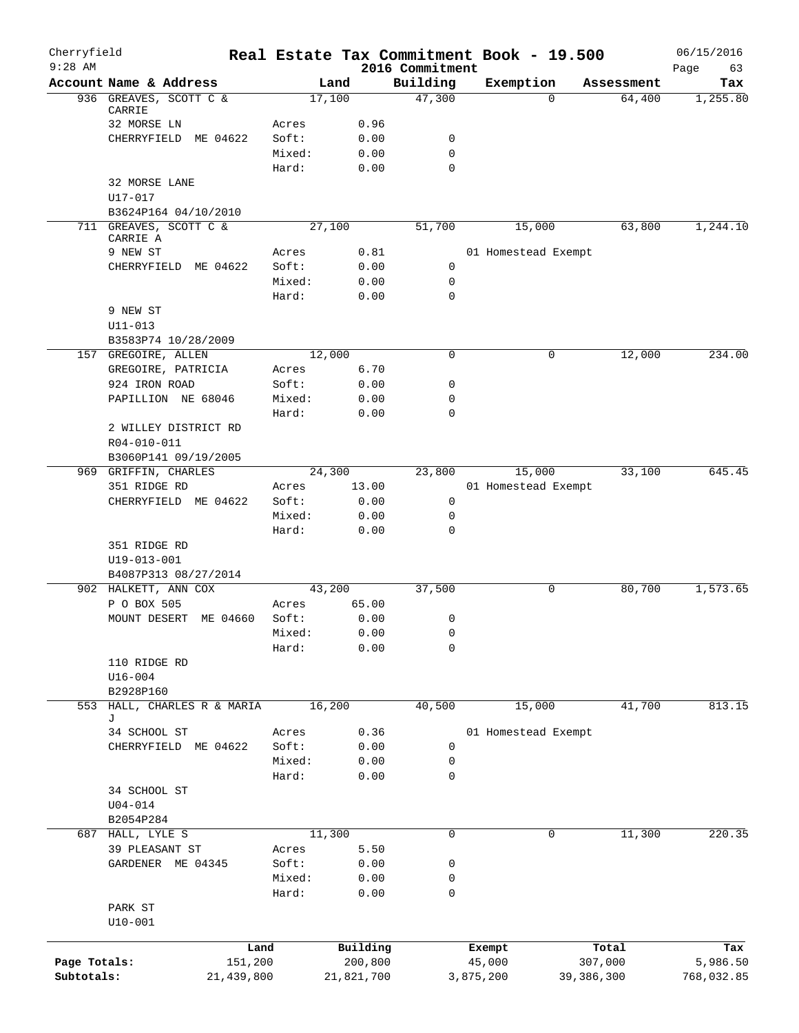| Cherryfield<br>$9:28$ AM |                             | Real Estate Tax Commitment Book - 19.500 |        |              | 2016 Commitment |           |                     |              | 06/15/2016<br>Page<br>63 |
|--------------------------|-----------------------------|------------------------------------------|--------|--------------|-----------------|-----------|---------------------|--------------|--------------------------|
|                          | Account Name & Address      |                                          | Land   |              | Building        |           | Exemption           | Assessment   | Tax                      |
|                          | 936 GREAVES, SCOTT C &      |                                          | 17,100 |              | 47,300          |           | $\Omega$            | 64,400       | 1,255.80                 |
|                          | CARRIE                      |                                          |        |              |                 |           |                     |              |                          |
|                          | 32 MORSE LN                 | Acres                                    |        | 0.96         |                 |           |                     |              |                          |
|                          | CHERRYFIELD ME 04622        | Soft:                                    |        | 0.00         | 0<br>0          |           |                     |              |                          |
|                          |                             | Mixed:<br>Hard:                          |        | 0.00<br>0.00 | 0               |           |                     |              |                          |
|                          | 32 MORSE LANE               |                                          |        |              |                 |           |                     |              |                          |
|                          | $U17 - 017$                 |                                          |        |              |                 |           |                     |              |                          |
|                          | B3624P164 04/10/2010        |                                          |        |              |                 |           |                     |              |                          |
|                          | 711 GREAVES, SCOTT C &      |                                          | 27,100 |              | 51,700          |           | 15,000              | 63,800       | 1,244.10                 |
|                          | CARRIE A                    |                                          |        |              |                 |           |                     |              |                          |
|                          | 9 NEW ST                    | Acres                                    |        | 0.81         |                 |           | 01 Homestead Exempt |              |                          |
|                          | CHERRYFIELD ME 04622        | Soft:                                    |        | 0.00         | 0               |           |                     |              |                          |
|                          |                             | Mixed:                                   |        | 0.00         | 0               |           |                     |              |                          |
|                          |                             | Hard:                                    |        | 0.00         | $\mathbf 0$     |           |                     |              |                          |
|                          | 9 NEW ST<br>U11-013         |                                          |        |              |                 |           |                     |              |                          |
|                          | B3583P74 10/28/2009         |                                          |        |              |                 |           |                     |              |                          |
|                          | 157 GREGOIRE, ALLEN         |                                          | 12,000 |              | $\mathbf 0$     |           | 0                   | 12,000       | 234.00                   |
|                          | GREGOIRE, PATRICIA          | Acres                                    |        | 6.70         |                 |           |                     |              |                          |
|                          | 924 IRON ROAD               | Soft:                                    |        | 0.00         | 0               |           |                     |              |                          |
|                          | PAPILLION NE 68046          | Mixed:                                   |        | 0.00         | 0               |           |                     |              |                          |
|                          |                             | Hard:                                    |        | 0.00         | $\mathbf 0$     |           |                     |              |                          |
|                          | 2 WILLEY DISTRICT RD        |                                          |        |              |                 |           |                     |              |                          |
|                          | R04-010-011                 |                                          |        |              |                 |           |                     |              |                          |
|                          | B3060P141 09/19/2005        |                                          |        |              |                 |           |                     |              |                          |
|                          | 969 GRIFFIN, CHARLES        |                                          | 24,300 |              | 23,800          |           | 15,000              | 33,100       | 645.45                   |
|                          | 351 RIDGE RD                | Acres                                    |        | 13.00        |                 |           | 01 Homestead Exempt |              |                          |
|                          | CHERRYFIELD ME 04622        | Soft:                                    |        | 0.00         | 0               |           |                     |              |                          |
|                          |                             | Mixed:                                   |        | 0.00         | 0               |           |                     |              |                          |
|                          |                             | Hard:                                    |        | 0.00         | $\mathbf 0$     |           |                     |              |                          |
|                          | 351 RIDGE RD                |                                          |        |              |                 |           |                     |              |                          |
|                          | U19-013-001                 |                                          |        |              |                 |           |                     |              |                          |
|                          | B4087P313 08/27/2014        |                                          |        |              |                 |           |                     |              |                          |
|                          | 902 HALKETT, ANN COX        |                                          | 43,200 |              | 37,500          |           | 0                   | 80,700       | 1,573.65                 |
|                          | P O BOX 505                 | Acres                                    |        | 65.00        |                 |           |                     |              |                          |
|                          | MOUNT DESERT<br>ME 04660    | Soft:                                    |        | 0.00         | 0               |           |                     |              |                          |
|                          |                             | Mixed:                                   |        | 0.00         | 0               |           |                     |              |                          |
|                          |                             | Hard:                                    |        | 0.00         | 0               |           |                     |              |                          |
|                          | 110 RIDGE RD<br>$U16 - 004$ |                                          |        |              |                 |           |                     |              |                          |
|                          | B2928P160                   |                                          |        |              |                 |           |                     |              |                          |
| 553                      | HALL, CHARLES R & MARIA     |                                          | 16,200 |              | 40,500          |           | 15,000              | 41,700       | 813.15                   |
|                          | J                           |                                          |        |              |                 |           |                     |              |                          |
|                          | 34 SCHOOL ST                | Acres                                    |        | 0.36         |                 |           | 01 Homestead Exempt |              |                          |
|                          | CHERRYFIELD ME 04622        | Soft:                                    |        | 0.00         | 0               |           |                     |              |                          |
|                          |                             | Mixed:                                   |        | 0.00         | 0               |           |                     |              |                          |
|                          |                             | Hard:                                    |        | 0.00         | 0               |           |                     |              |                          |
|                          | 34 SCHOOL ST                |                                          |        |              |                 |           |                     |              |                          |
|                          | $U04 - 014$                 |                                          |        |              |                 |           |                     |              |                          |
|                          | B2054P284                   |                                          |        |              |                 |           |                     |              |                          |
| 687                      | HALL, LYLE S                |                                          | 11,300 |              | $\mathsf{O}$    |           | 0                   | 11,300       | 220.35                   |
|                          | 39 PLEASANT ST              | Acres                                    |        | 5.50         |                 |           |                     |              |                          |
|                          | GARDENER ME 04345           | Soft:                                    |        | 0.00         | 0               |           |                     |              |                          |
|                          |                             | Mixed:                                   |        | 0.00         | 0               |           |                     |              |                          |
|                          |                             | Hard:                                    |        | 0.00         | 0               |           |                     |              |                          |
|                          | PARK ST                     |                                          |        |              |                 |           |                     |              |                          |
|                          | $U10-001$                   |                                          |        |              |                 |           |                     |              |                          |
|                          |                             | Land                                     |        | Building     |                 | Exempt    |                     | Total        | Tax                      |
| Page Totals:             |                             | 151,200                                  |        | 200,800      |                 | 45,000    |                     | 307,000      | 5,986.50                 |
| Subtotals:               |                             | 21,439,800                               |        | 21,821,700   |                 | 3,875,200 |                     | 39, 386, 300 | 768,032.85               |
|                          |                             |                                          |        |              |                 |           |                     |              |                          |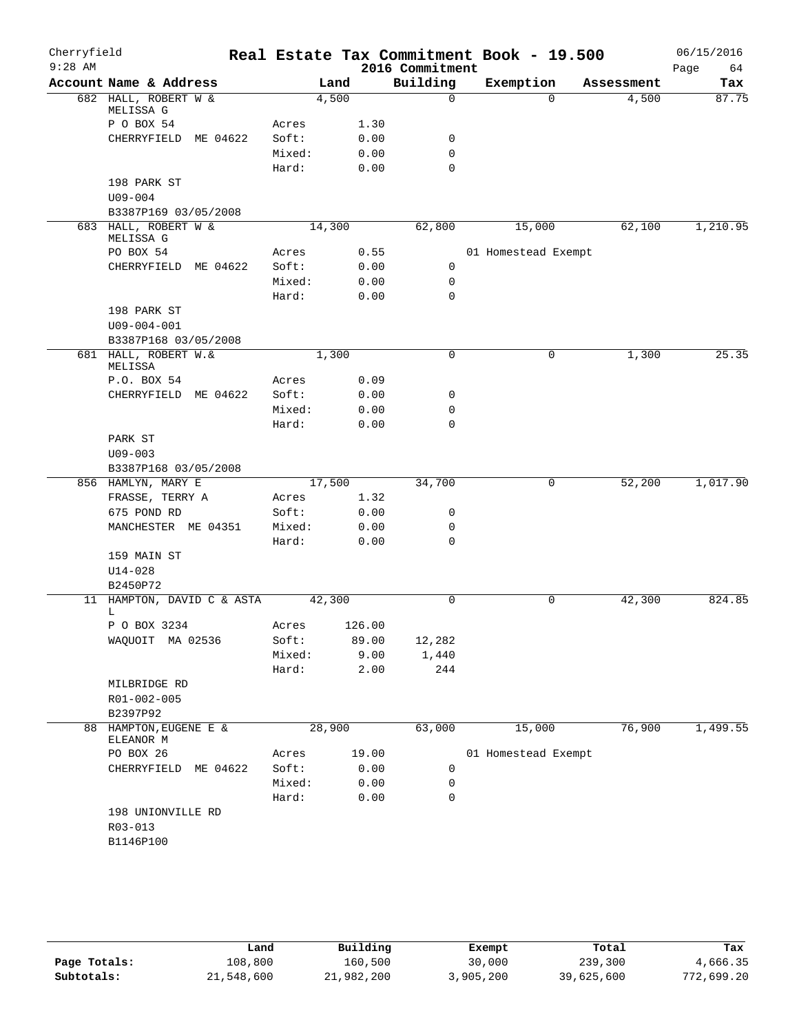| Cherryfield |                                   |                |        |      |                 | Real Estate Tax Commitment Book - 19.500 |            | 06/15/2016 |
|-------------|-----------------------------------|----------------|--------|------|-----------------|------------------------------------------|------------|------------|
| $9:28$ AM   |                                   |                |        |      | 2016 Commitment |                                          |            | Page<br>64 |
|             | Account Name & Address            |                | Land   |      | Building        | Exemption                                | Assessment | Tax        |
|             | 682 HALL, ROBERT W &<br>MELISSA G |                | 4,500  |      | $\mathbf 0$     | $\Omega$                                 | 4,500      | 87.75      |
|             | P O BOX 54                        | Acres          |        | 1.30 |                 |                                          |            |            |
|             | CHERRYFIELD ME 04622              | Soft:          |        | 0.00 | 0               |                                          |            |            |
|             |                                   | Mixed:         |        | 0.00 | $\mathbf 0$     |                                          |            |            |
|             |                                   | Hard:          |        | 0.00 | $\mathbf 0$     |                                          |            |            |
|             | 198 PARK ST                       |                |        |      |                 |                                          |            |            |
|             | $U09 - 004$                       |                |        |      |                 |                                          |            |            |
|             | B3387P169 03/05/2008              |                |        |      |                 |                                          |            |            |
|             | 683 HALL, ROBERT W &              |                | 14,300 |      | 62,800          | 15,000                                   | 62,100     | 1,210.95   |
|             | MELISSA G                         |                |        |      |                 |                                          |            |            |
|             | PO BOX 54                         | Acres          |        | 0.55 |                 | 01 Homestead Exempt                      |            |            |
|             | CHERRYFIELD ME 04622              | Soft:          |        | 0.00 | 0               |                                          |            |            |
|             |                                   | Mixed:         |        | 0.00 | 0               |                                          |            |            |
|             |                                   | Hard:          |        | 0.00 | $\mathbf 0$     |                                          |            |            |
|             | 198 PARK ST                       |                |        |      |                 |                                          |            |            |
|             | $U09 - 004 - 001$                 |                |        |      |                 |                                          |            |            |
|             | B3387P168 03/05/2008              |                |        |      |                 |                                          |            |            |
|             | 681 HALL, ROBERT W.&<br>MELISSA   |                | 1,300  |      | $\mathbf 0$     | 0                                        | 1,300      | 25.35      |
|             | P.O. BOX 54                       | Acres          |        | 0.09 |                 |                                          |            |            |
|             | CHERRYFIELD ME 04622              | Soft:          |        | 0.00 | 0               |                                          |            |            |
|             |                                   | Mixed:         |        | 0.00 | $\mathbf 0$     |                                          |            |            |
|             |                                   | Hard:          |        | 0.00 | $\mathbf 0$     |                                          |            |            |
|             | PARK ST                           |                |        |      |                 |                                          |            |            |
|             | $U09 - 003$                       |                |        |      |                 |                                          |            |            |
|             | B3387P168 03/05/2008              |                |        |      |                 |                                          |            |            |
|             | 856 HAMLYN, MARY E                |                | 17,500 |      | 34,700          | 0                                        | 52,200     | 1,017.90   |
|             | FRASSE, TERRY A                   | Acres          |        | 1.32 |                 |                                          |            |            |
|             | 675 POND RD                       | Soft:          |        | 0.00 | 0               |                                          |            |            |
|             | MANCHESTER ME 04351               | Mixed:         |        | 0.00 | 0               |                                          |            |            |
|             |                                   | Hard:          |        | 0.00 | $\mathbf 0$     |                                          |            |            |
|             | 159 MAIN ST                       |                |        |      |                 |                                          |            |            |
|             | $U14 - 028$                       |                |        |      |                 |                                          |            |            |
|             | B2450P72                          |                |        |      |                 |                                          |            |            |
|             | 11 HAMPTON, DAVID C & ASTA        |                | 42,300 |      | $\mathbf 0$     | 0                                        | 42,300     | 824.85     |
|             | L                                 |                | 126.00 |      |                 |                                          |            |            |
|             | P O BOX 3234<br>WAQUOIT MA 02536  | Acres<br>Soft: | 89.00  |      |                 |                                          |            |            |
|             |                                   | Mixed:         |        | 9.00 | 12,282<br>1,440 |                                          |            |            |
|             |                                   | Hard:          |        | 2.00 | 244             |                                          |            |            |
|             | MILBRIDGE RD                      |                |        |      |                 |                                          |            |            |
|             | R01-002-005                       |                |        |      |                 |                                          |            |            |
|             | B2397P92                          |                |        |      |                 |                                          |            |            |
|             | 88 HAMPTON, EUGENE E &            |                | 28,900 |      | 63,000          | 15,000                                   | 76,900     | 1,499.55   |
|             | ELEANOR M                         |                |        |      |                 |                                          |            |            |
|             | PO BOX 26                         | Acres          | 19.00  |      |                 | 01 Homestead Exempt                      |            |            |
|             | CHERRYFIELD ME 04622              | Soft:          |        | 0.00 | 0               |                                          |            |            |
|             |                                   | Mixed:         |        | 0.00 | 0               |                                          |            |            |
|             |                                   | Hard:          |        | 0.00 | $\mathbf 0$     |                                          |            |            |
|             | 198 UNIONVILLE RD                 |                |        |      |                 |                                          |            |            |
|             | $R03 - 013$                       |                |        |      |                 |                                          |            |            |
|             | B1146P100                         |                |        |      |                 |                                          |            |            |
|             |                                   |                |        |      |                 |                                          |            |            |

|              | Land       | Building   | Exempt    | Total      | Tax        |
|--------------|------------|------------|-----------|------------|------------|
| Page Totals: | 108,800    | 160,500    | 30,000    | 239,300    | 4,666.35   |
| Subtotals:   | 21,548,600 | 21,982,200 | 3,905,200 | 39,625,600 | 772,699.20 |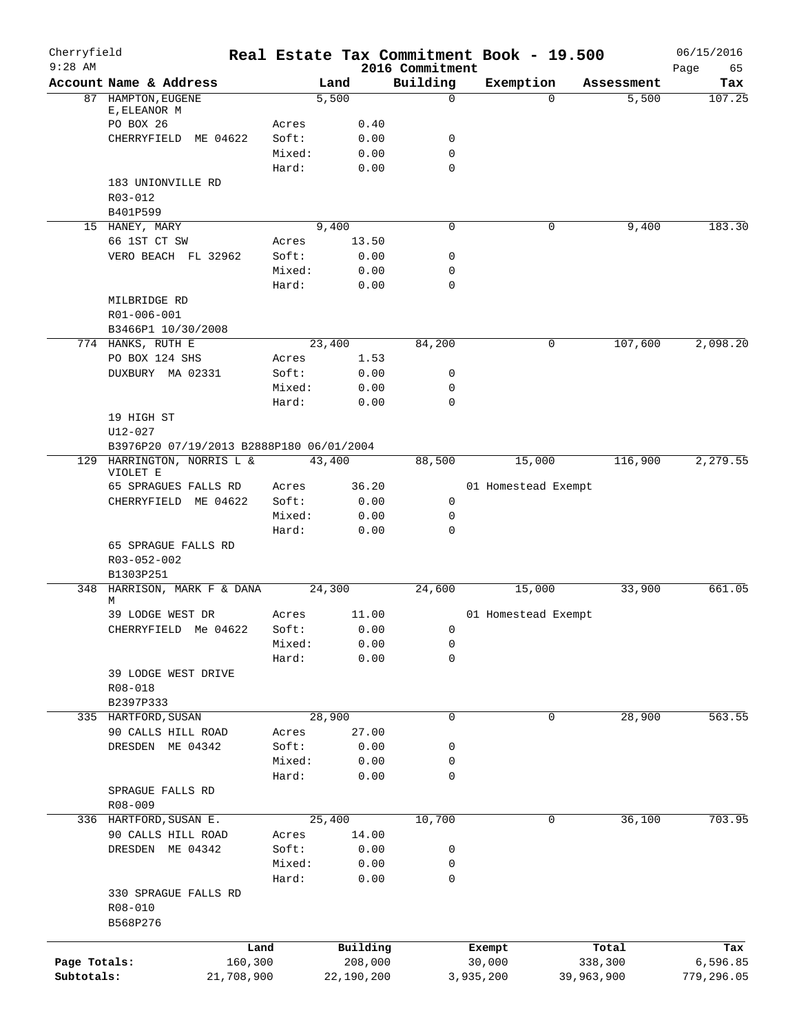| Cherryfield<br>$9:28$ AM |                                          |                 |              | 2016 Commitment  | Real Estate Tax Commitment Book - 19.500 |            | 06/15/2016<br>65<br>Page |
|--------------------------|------------------------------------------|-----------------|--------------|------------------|------------------------------------------|------------|--------------------------|
|                          | Account Name & Address                   |                 | Land         | Building         | Exemption                                | Assessment | Tax                      |
|                          | 87 HAMPTON, EUGENE                       |                 | 5,500        | 0                | $\Omega$                                 | 5,500      | 107.25                   |
|                          | E, ELEANOR M                             |                 |              |                  |                                          |            |                          |
|                          | PO BOX 26                                | Acres           | 0.40         |                  |                                          |            |                          |
|                          | CHERRYFIELD ME 04622                     | Soft:           | 0.00<br>0.00 | 0<br>$\mathbf 0$ |                                          |            |                          |
|                          |                                          | Mixed:<br>Hard: | 0.00         | $\mathbf 0$      |                                          |            |                          |
|                          | 183 UNIONVILLE RD                        |                 |              |                  |                                          |            |                          |
|                          | R03-012                                  |                 |              |                  |                                          |            |                          |
|                          | B401P599                                 |                 |              |                  |                                          |            |                          |
|                          | 15 HANEY, MARY                           |                 | 9,400        | 0                | 0                                        | 9,400      | 183.30                   |
|                          | 66 1ST CT SW                             | Acres           | 13.50        |                  |                                          |            |                          |
|                          | VERO BEACH FL 32962                      | Soft:           | 0.00         | 0                |                                          |            |                          |
|                          |                                          | Mixed:          | 0.00         | 0                |                                          |            |                          |
|                          |                                          | Hard:           | 0.00         | $\mathbf 0$      |                                          |            |                          |
|                          | MILBRIDGE RD                             |                 |              |                  |                                          |            |                          |
|                          | R01-006-001                              |                 |              |                  |                                          |            |                          |
|                          | B3466P1 10/30/2008                       |                 |              |                  |                                          |            |                          |
|                          | 774 HANKS, RUTH E                        |                 | 23,400       | 84,200           | 0                                        | 107,600    | 2,098.20                 |
|                          | PO BOX 124 SHS                           | Acres           | 1.53         |                  |                                          |            |                          |
|                          | DUXBURY MA 02331                         | Soft:           | 0.00         | 0                |                                          |            |                          |
|                          |                                          | Mixed:          | 0.00         | 0                |                                          |            |                          |
|                          |                                          | Hard:           | 0.00         | $\mathbf 0$      |                                          |            |                          |
|                          | 19 HIGH ST<br>$U12 - 027$                |                 |              |                  |                                          |            |                          |
|                          | B3976P20 07/19/2013 B2888P180 06/01/2004 |                 |              |                  |                                          |            |                          |
|                          | 129 HARRINGTON, NORRIS L &               |                 | 43,400       | 88,500           | 15,000                                   | 116,900    | 2,279.55                 |
|                          | VIOLET E                                 |                 |              |                  |                                          |            |                          |
|                          | 65 SPRAGUES FALLS RD                     | Acres           | 36.20        |                  | 01 Homestead Exempt                      |            |                          |
|                          | CHERRYFIELD ME 04622                     | Soft:           | 0.00         | 0                |                                          |            |                          |
|                          |                                          | Mixed:          | 0.00         | 0                |                                          |            |                          |
|                          |                                          | Hard:           | 0.00         | 0                |                                          |            |                          |
|                          | 65 SPRAGUE FALLS RD                      |                 |              |                  |                                          |            |                          |
|                          | R03-052-002                              |                 |              |                  |                                          |            |                          |
|                          | B1303P251                                |                 |              |                  |                                          |            |                          |
|                          | 348 HARRISON, MARK F & DANA<br>М         |                 | 24,300       | 24,600           | 15,000                                   | 33,900     | 661.05                   |
|                          | 39 LODGE WEST DR                         | Acres           | 11.00        |                  | 01 Homestead Exempt                      |            |                          |
|                          | CHERRYFIELD Me 04622                     | Soft:           | 0.00         | 0                |                                          |            |                          |
|                          |                                          | Mixed:          | 0.00         | 0                |                                          |            |                          |
|                          |                                          | Hard:           | 0.00         | 0                |                                          |            |                          |
|                          | 39 LODGE WEST DRIVE                      |                 |              |                  |                                          |            |                          |
|                          | R08-018                                  |                 |              |                  |                                          |            |                          |
|                          | B2397P333                                |                 |              |                  |                                          |            |                          |
|                          | 335 HARTFORD, SUSAN                      |                 | 28,900       | $\mathbf 0$      | $\mathbf 0$                              | 28,900     | 563.55                   |
|                          | 90 CALLS HILL ROAD                       | Acres           | 27.00        |                  |                                          |            |                          |
|                          | DRESDEN ME 04342                         | Soft:           | 0.00         | 0                |                                          |            |                          |
|                          |                                          | Mixed:          | 0.00         | 0                |                                          |            |                          |
|                          |                                          | Hard:           | 0.00         | 0                |                                          |            |                          |
|                          | SPRAGUE FALLS RD                         |                 |              |                  |                                          |            |                          |
|                          | $R08 - 009$                              |                 |              |                  |                                          |            |                          |
|                          | 336 HARTFORD, SUSAN E.                   |                 | 25,400       | 10,700           | 0                                        | 36,100     | 703.95                   |
|                          | 90 CALLS HILL ROAD                       | Acres           | 14.00        |                  |                                          |            |                          |
|                          | DRESDEN ME 04342                         | Soft:           | 0.00         | 0                |                                          |            |                          |
|                          |                                          | Mixed:          | 0.00         | 0                |                                          |            |                          |
|                          | 330 SPRAGUE FALLS RD                     | Hard:           | 0.00         | 0                |                                          |            |                          |
|                          | R08-010                                  |                 |              |                  |                                          |            |                          |
|                          | B568P276                                 |                 |              |                  |                                          |            |                          |
|                          |                                          |                 |              |                  |                                          |            |                          |
|                          |                                          | Land            | Building     |                  | Exempt                                   | Total      | Tax                      |
| Page Totals:             | 160,300                                  |                 | 208,000      |                  | 30,000                                   | 338,300    | 6,596.85                 |
| Subtotals:               | 21,708,900                               |                 | 22,190,200   |                  | 3,935,200                                | 39,963,900 | 779,296.05               |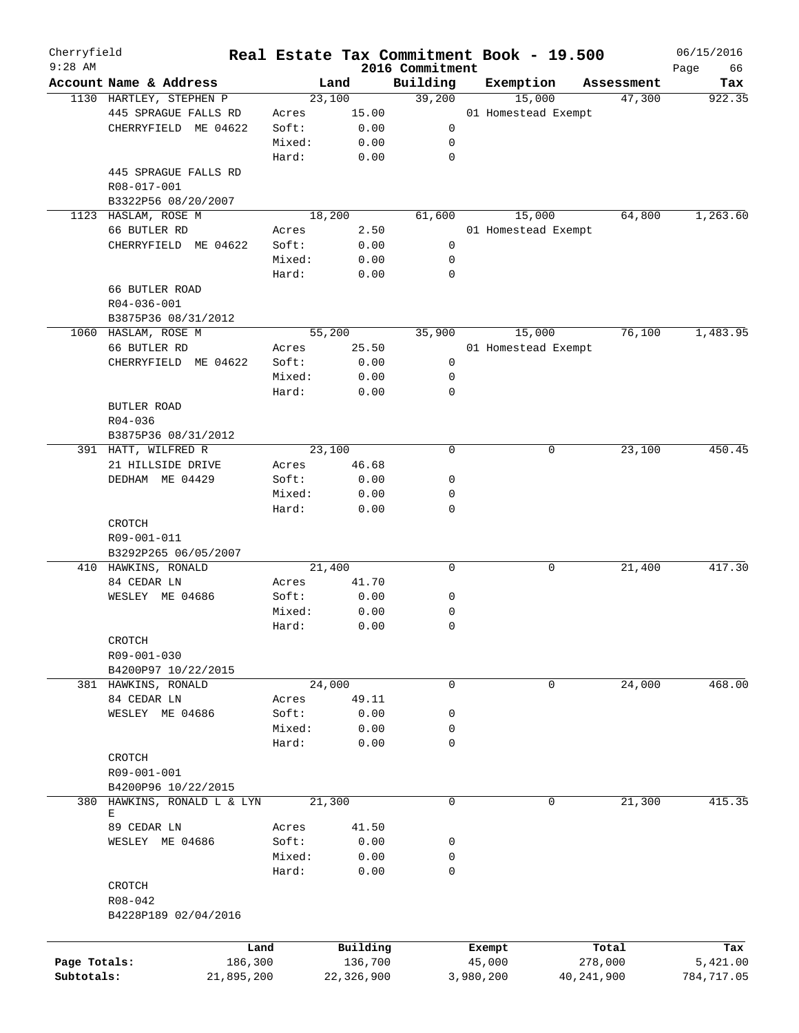| Cherryfield<br>$9:28$ AM |                                  |        | Real Estate Tax Commitment Book - 19.500 |                             |           |                     |              | 06/15/2016        |
|--------------------------|----------------------------------|--------|------------------------------------------|-----------------------------|-----------|---------------------|--------------|-------------------|
|                          | Account Name & Address           |        | Land                                     | 2016 Commitment<br>Building |           | Exemption           | Assessment   | Page<br>66<br>Tax |
|                          | 1130 HARTLEY, STEPHEN P          |        | 23,100                                   | 39,200                      |           | 15,000              | 47,300       | 922.35            |
|                          | 445 SPRAGUE FALLS RD             | Acres  | 15.00                                    |                             |           | 01 Homestead Exempt |              |                   |
|                          | CHERRYFIELD ME 04622             | Soft:  | 0.00                                     | 0                           |           |                     |              |                   |
|                          |                                  | Mixed: | 0.00                                     | 0                           |           |                     |              |                   |
|                          |                                  | Hard:  | 0.00                                     | $\mathbf 0$                 |           |                     |              |                   |
|                          | 445 SPRAGUE FALLS RD             |        |                                          |                             |           |                     |              |                   |
|                          | R08-017-001                      |        |                                          |                             |           |                     |              |                   |
|                          | B3322P56 08/20/2007              |        |                                          |                             |           |                     |              |                   |
|                          | 1123 HASLAM, ROSE M              |        | 18,200                                   | 61,600                      |           | 15,000              | 64,800       | 1,263.60          |
|                          | 66 BUTLER RD                     | Acres  | 2.50                                     |                             |           | 01 Homestead Exempt |              |                   |
|                          | CHERRYFIELD ME 04622             | Soft:  | 0.00                                     | 0                           |           |                     |              |                   |
|                          |                                  | Mixed: |                                          |                             |           |                     |              |                   |
|                          |                                  |        | 0.00                                     | 0<br>0                      |           |                     |              |                   |
|                          |                                  | Hard:  | 0.00                                     |                             |           |                     |              |                   |
|                          | 66 BUTLER ROAD                   |        |                                          |                             |           |                     |              |                   |
|                          | R04-036-001                      |        |                                          |                             |           |                     |              |                   |
|                          | B3875P36 08/31/2012              |        |                                          |                             |           |                     |              |                   |
|                          | 1060 HASLAM, ROSE M              |        | 55,200                                   | 35,900                      |           | 15,000              | 76,100       | 1,483.95          |
|                          | 66 BUTLER RD                     | Acres  | 25.50                                    |                             |           | 01 Homestead Exempt |              |                   |
|                          | CHERRYFIELD ME 04622             | Soft:  | 0.00                                     | 0                           |           |                     |              |                   |
|                          |                                  | Mixed: | 0.00                                     | 0                           |           |                     |              |                   |
|                          |                                  | Hard:  | 0.00                                     | $\mathbf 0$                 |           |                     |              |                   |
|                          | BUTLER ROAD                      |        |                                          |                             |           |                     |              |                   |
|                          | $R04 - 036$                      |        |                                          |                             |           |                     |              |                   |
|                          | B3875P36 08/31/2012              |        |                                          |                             |           |                     |              |                   |
|                          | 391 HATT, WILFRED R              |        | 23,100                                   | $\mathbf 0$                 |           | 0                   | 23,100       | 450.45            |
|                          | 21 HILLSIDE DRIVE                | Acres  | 46.68                                    |                             |           |                     |              |                   |
|                          | DEDHAM ME 04429                  | Soft:  | 0.00                                     | 0                           |           |                     |              |                   |
|                          |                                  | Mixed: | 0.00                                     | 0                           |           |                     |              |                   |
|                          |                                  | Hard:  | 0.00                                     | $\mathbf 0$                 |           |                     |              |                   |
|                          | CROTCH                           |        |                                          |                             |           |                     |              |                   |
|                          | R09-001-011                      |        |                                          |                             |           |                     |              |                   |
|                          | B3292P265 06/05/2007             |        |                                          |                             |           |                     |              |                   |
|                          | 410 HAWKINS, RONALD              |        | 21,400                                   | 0                           |           | 0                   | 21,400       | 417.30            |
|                          | 84 CEDAR LN                      | Acres  | 41.70                                    |                             |           |                     |              |                   |
|                          | WESLEY ME 04686                  | Soft:  | 0.00                                     | 0                           |           |                     |              |                   |
|                          |                                  | Mixed: | 0.00                                     | 0                           |           |                     |              |                   |
|                          |                                  | Hard:  | 0.00                                     | 0                           |           |                     |              |                   |
|                          | CROTCH                           |        |                                          |                             |           |                     |              |                   |
|                          | R09-001-030                      |        |                                          |                             |           |                     |              |                   |
|                          | B4200P97 10/22/2015              |        |                                          |                             |           |                     |              |                   |
|                          | 381 HAWKINS, RONALD              |        | 24,000                                   | 0                           |           | 0                   | 24,000       | 468.00            |
|                          | 84 CEDAR LN                      | Acres  | 49.11                                    |                             |           |                     |              |                   |
|                          | WESLEY ME 04686                  | Soft:  | 0.00                                     | 0                           |           |                     |              |                   |
|                          |                                  | Mixed: | 0.00                                     | 0                           |           |                     |              |                   |
|                          |                                  | Hard:  | 0.00                                     | 0                           |           |                     |              |                   |
|                          | CROTCH                           |        |                                          |                             |           |                     |              |                   |
|                          | R09-001-001                      |        |                                          |                             |           |                     |              |                   |
|                          | B4200P96 10/22/2015              |        |                                          |                             |           |                     |              |                   |
|                          |                                  |        | 21,300                                   | 0                           |           |                     | 21,300       |                   |
|                          | 380 HAWKINS, RONALD L & LYN<br>Е |        |                                          |                             |           | 0                   |              | 415.35            |
|                          | 89 CEDAR LN                      | Acres  | 41.50                                    |                             |           |                     |              |                   |
|                          | WESLEY ME 04686                  | Soft:  | 0.00                                     | 0                           |           |                     |              |                   |
|                          |                                  | Mixed: | 0.00                                     | 0                           |           |                     |              |                   |
|                          |                                  | Hard:  | 0.00                                     | 0                           |           |                     |              |                   |
|                          | CROTCH                           |        |                                          |                             |           |                     |              |                   |
|                          | R08-042                          |        |                                          |                             |           |                     |              |                   |
|                          | B4228P189 02/04/2016             |        |                                          |                             |           |                     |              |                   |
|                          |                                  |        |                                          |                             |           |                     |              |                   |
|                          |                                  |        |                                          |                             |           |                     |              |                   |
|                          | Land                             |        | Building                                 |                             | Exempt    |                     | Total        | Tax               |
| Page Totals:             | 186,300                          |        | 136,700                                  |                             | 45,000    |                     | 278,000      | 5,421.00          |
| Subtotals:               | 21,895,200                       |        | 22,326,900                               |                             | 3,980,200 |                     | 40, 241, 900 | 784,717.05        |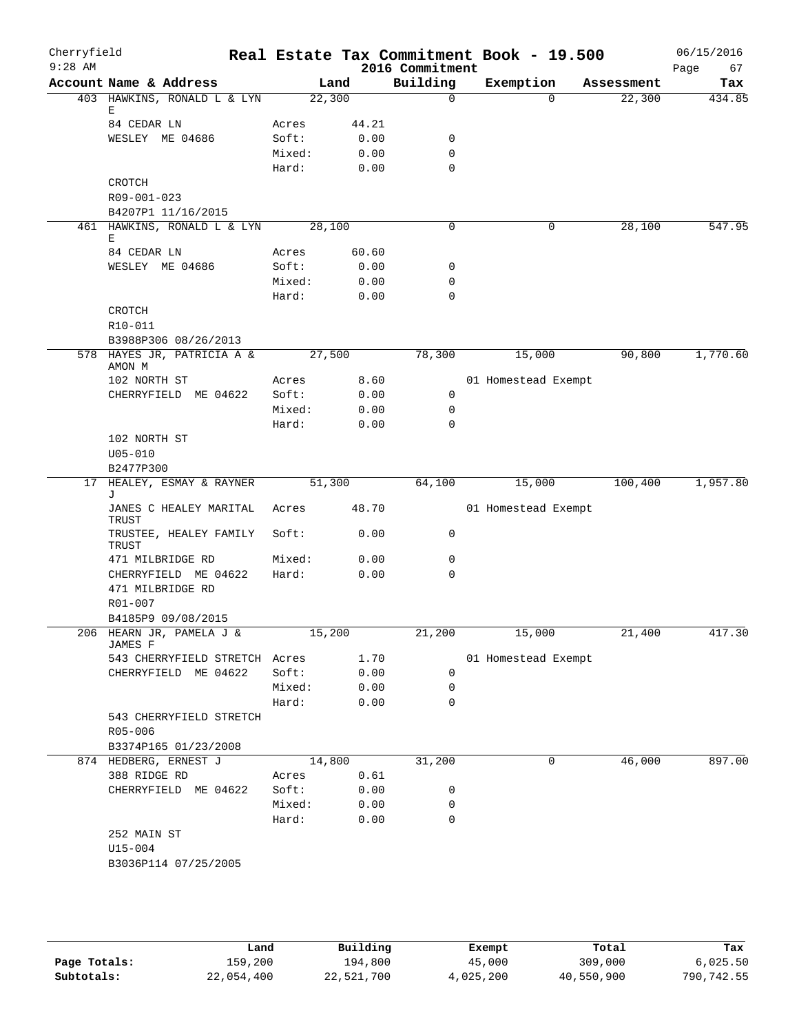| Cherryfield<br>$9:28$ AM |                                             |                 |              | 2016 Commitment  | Real Estate Tax Commitment Book - 19.500 |            | 06/15/2016<br>67<br>Page |
|--------------------------|---------------------------------------------|-----------------|--------------|------------------|------------------------------------------|------------|--------------------------|
|                          | Account Name & Address                      | Land            |              | Building         | Exemption                                | Assessment | Tax                      |
|                          | 403 HAWKINS, RONALD L & LYN                 | 22,300          |              | $\mathbf 0$      | $\Omega$                                 | 22,300     | 434.85                   |
|                          | Ε                                           |                 |              |                  |                                          |            |                          |
|                          | 84 CEDAR LN                                 | Acres           | 44.21        |                  |                                          |            |                          |
|                          | WESLEY ME 04686                             | Soft:           | 0.00         | 0<br>$\mathbf 0$ |                                          |            |                          |
|                          |                                             | Mixed:<br>Hard: | 0.00<br>0.00 | $\mathbf 0$      |                                          |            |                          |
|                          | CROTCH                                      |                 |              |                  |                                          |            |                          |
|                          | R09-001-023                                 |                 |              |                  |                                          |            |                          |
|                          | B4207P1 11/16/2015                          |                 |              |                  |                                          |            |                          |
|                          | 461 HAWKINS, RONALD L & LYN                 | 28,100          |              | 0                | 0                                        | 28,100     | 547.95                   |
|                          | Е                                           |                 |              |                  |                                          |            |                          |
|                          | 84 CEDAR LN                                 | Acres           | 60.60        |                  |                                          |            |                          |
|                          | WESLEY ME 04686                             | Soft:           | 0.00         | 0                |                                          |            |                          |
|                          |                                             | Mixed:          | 0.00         | 0                |                                          |            |                          |
|                          |                                             | Hard:           | 0.00         | $\mathbf 0$      |                                          |            |                          |
|                          | CROTCH                                      |                 |              |                  |                                          |            |                          |
|                          | R10-011                                     |                 |              |                  |                                          |            |                          |
|                          | B3988P306 08/26/2013                        |                 |              |                  |                                          |            |                          |
|                          | 578 HAYES JR, PATRICIA A &<br>AMON M        | 27,500          |              | 78,300           | 15,000                                   | 90,800     | 1,770.60                 |
|                          | 102 NORTH ST                                | Acres           | 8.60         |                  | 01 Homestead Exempt                      |            |                          |
|                          | CHERRYFIELD ME 04622                        | Soft:           | 0.00         | $\mathbf 0$      |                                          |            |                          |
|                          |                                             | Mixed:          | 0.00         | 0                |                                          |            |                          |
|                          |                                             | Hard:           | 0.00         | 0                |                                          |            |                          |
|                          | 102 NORTH ST                                |                 |              |                  |                                          |            |                          |
|                          | $U05 - 010$                                 |                 |              |                  |                                          |            |                          |
|                          | B2477P300                                   |                 |              |                  |                                          |            |                          |
| 17                       | HEALEY, ESMAY & RAYNER                      | 51,300          |              | 64,100           | 15,000                                   | 100,400    | 1,957.80                 |
|                          | J<br>JANES C HEALEY MARITAL<br><b>TRUST</b> | Acres           | 48.70        |                  | 01 Homestead Exempt                      |            |                          |
|                          | TRUSTEE, HEALEY FAMILY<br>TRUST             | Soft:           | 0.00         | 0                |                                          |            |                          |
|                          | 471 MILBRIDGE RD                            | Mixed:          | 0.00         | 0                |                                          |            |                          |
|                          | CHERRYFIELD ME 04622                        | Hard:           | 0.00         | 0                |                                          |            |                          |
|                          | 471 MILBRIDGE RD                            |                 |              |                  |                                          |            |                          |
|                          | R01-007                                     |                 |              |                  |                                          |            |                          |
|                          | B4185P9 09/08/2015                          |                 |              |                  |                                          |            |                          |
|                          | 206 HEARN JR, PAMELA J &<br>JAMES F         | 15,200          |              | 21,200           | 15,000                                   | 21,400     | 417.30                   |
|                          | 543 CHERRYFIELD STRETCH Acres               |                 | 1.70         |                  | 01 Homestead Exempt                      |            |                          |
|                          | CHERRYFIELD ME 04622                        | Soft:           | 0.00         | 0                |                                          |            |                          |
|                          |                                             | Mixed:          | 0.00         | 0                |                                          |            |                          |
|                          | 543 CHERRYFIELD STRETCH                     | Hard:           | 0.00         | 0                |                                          |            |                          |
|                          | R05-006                                     |                 |              |                  |                                          |            |                          |
|                          | B3374P165 01/23/2008                        |                 |              |                  |                                          |            |                          |
|                          | 874 HEDBERG, ERNEST J                       | 14,800          |              | 31,200           | 0                                        | 46,000     | 897.00                   |
|                          | 388 RIDGE RD                                | Acres           | 0.61         |                  |                                          |            |                          |
|                          | CHERRYFIELD ME 04622                        | Soft:           | 0.00         | 0                |                                          |            |                          |
|                          |                                             | Mixed:          | 0.00         | 0                |                                          |            |                          |
|                          |                                             | Hard:           | 0.00         | 0                |                                          |            |                          |
|                          | 252 MAIN ST                                 |                 |              |                  |                                          |            |                          |
|                          | $U15 - 004$                                 |                 |              |                  |                                          |            |                          |
|                          | B3036P114 07/25/2005                        |                 |              |                  |                                          |            |                          |
|                          |                                             |                 |              |                  |                                          |            |                          |
|                          |                                             |                 |              |                  |                                          |            |                          |

|              | Land       | Building   | Exempt    | Total      | Tax        |
|--------------|------------|------------|-----------|------------|------------|
| Page Totals: | 159,200    | 194,800    | 45,000    | 309,000    | 6,025.50   |
| Subtotals:   | 22,054,400 | 22,521,700 | 4,025,200 | 40,550,900 | 790,742.55 |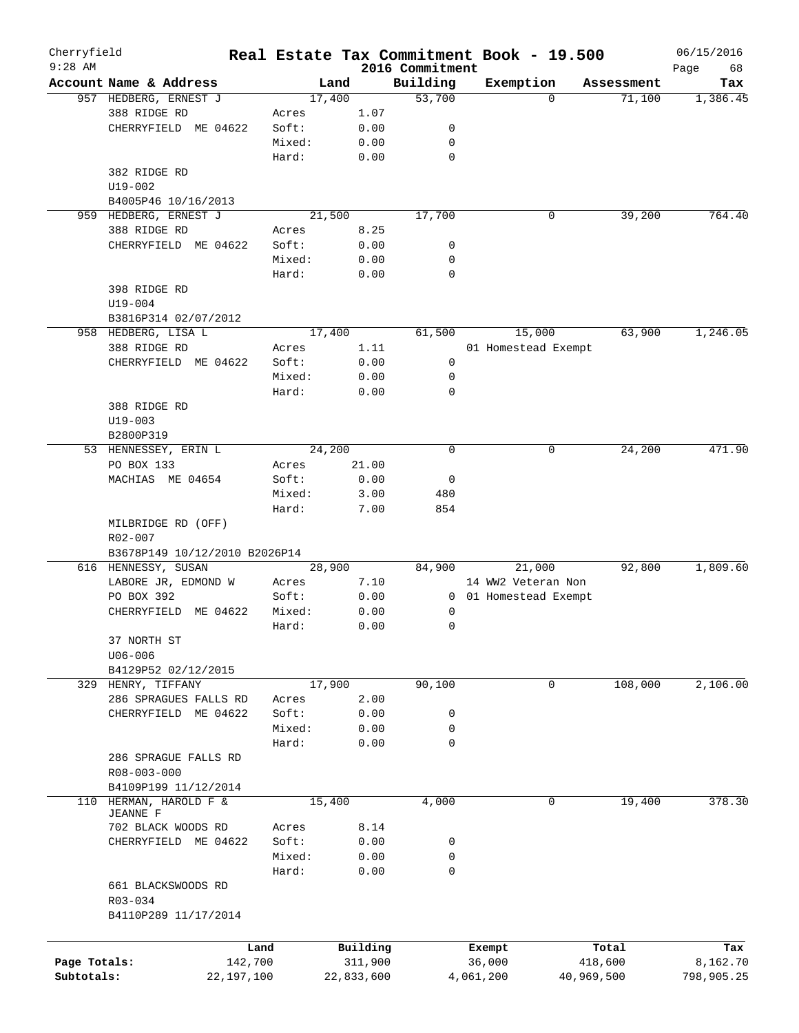| Cherryfield<br>$9:28$ AM |                                   |         |        |            |                             | Real Estate Tax Commitment Book - 19.500 |            | 06/15/2016        |
|--------------------------|-----------------------------------|---------|--------|------------|-----------------------------|------------------------------------------|------------|-------------------|
|                          | Account Name & Address            |         | Land   |            | 2016 Commitment<br>Building | Exemption                                | Assessment | Page<br>68<br>Tax |
|                          | 957 HEDBERG, ERNEST J             |         | 17,400 |            | 53,700                      | $\Omega$                                 | 71,100     | 1,386.45          |
|                          | 388 RIDGE RD                      | Acres   |        | 1.07       |                             |                                          |            |                   |
|                          | CHERRYFIELD ME 04622              | Soft:   |        | 0.00       | 0                           |                                          |            |                   |
|                          |                                   | Mixed:  |        | 0.00       | 0                           |                                          |            |                   |
|                          |                                   | Hard:   |        | 0.00       | 0                           |                                          |            |                   |
|                          | 382 RIDGE RD                      |         |        |            |                             |                                          |            |                   |
|                          | $U19 - 002$                       |         |        |            |                             |                                          |            |                   |
|                          | B4005P46 10/16/2013               |         |        |            |                             |                                          |            |                   |
|                          | 959 HEDBERG, ERNEST J             |         | 21,500 |            | 17,700                      | 0                                        | 39,200     | 764.40            |
|                          |                                   |         |        |            |                             |                                          |            |                   |
|                          | 388 RIDGE RD                      | Acres   |        | 8.25       |                             |                                          |            |                   |
|                          | CHERRYFIELD ME 04622              | Soft:   |        | 0.00       | 0                           |                                          |            |                   |
|                          |                                   | Mixed:  |        | 0.00       | 0                           |                                          |            |                   |
|                          |                                   | Hard:   |        | 0.00       | $\mathbf 0$                 |                                          |            |                   |
|                          | 398 RIDGE RD                      |         |        |            |                             |                                          |            |                   |
|                          | $U19 - 004$                       |         |        |            |                             |                                          |            |                   |
|                          | B3816P314 02/07/2012              |         |        |            |                             |                                          |            |                   |
|                          | 958 HEDBERG, LISA L               |         | 17,400 |            | 61,500                      | 15,000                                   | 63,900     | 1,246.05          |
|                          | 388 RIDGE RD                      | Acres   |        | 1.11       |                             | 01 Homestead Exempt                      |            |                   |
|                          | CHERRYFIELD ME 04622              | Soft:   |        | 0.00       | 0                           |                                          |            |                   |
|                          |                                   | Mixed:  |        | 0.00       | 0                           |                                          |            |                   |
|                          |                                   | Hard:   |        | 0.00       | 0                           |                                          |            |                   |
|                          | 388 RIDGE RD                      |         |        |            |                             |                                          |            |                   |
|                          | $U19 - 003$                       |         |        |            |                             |                                          |            |                   |
|                          | B2800P319                         |         |        |            |                             |                                          |            |                   |
|                          | 53 HENNESSEY, ERIN L              |         | 24,200 |            | 0                           | 0                                        | 24,200     | 471.90            |
|                          | PO BOX 133                        | Acres   |        | 21.00      |                             |                                          |            |                   |
|                          | MACHIAS ME 04654                  | Soft:   |        | 0.00       | 0                           |                                          |            |                   |
|                          |                                   | Mixed:  |        | 3.00       | 480                         |                                          |            |                   |
|                          |                                   | Hard:   |        | 7.00       | 854                         |                                          |            |                   |
|                          | MILBRIDGE RD (OFF)<br>$R02 - 007$ |         |        |            |                             |                                          |            |                   |
|                          | B3678P149 10/12/2010 B2026P14     |         |        |            |                             |                                          |            |                   |
|                          | 616 HENNESSY, SUSAN               |         | 28,900 |            | 84,900                      | 21,000                                   | 92,800     | 1,809.60          |
|                          | LABORE JR, EDMOND W               | Acres   |        | 7.10       |                             | 14 WW2 Veteran Non                       |            |                   |
|                          | PO BOX 392                        | Soft:   |        | 0.00       | 0                           | 01 Homestead Exempt                      |            |                   |
|                          | CHERRYFIELD<br>ME 04622           | Mixed:  |        | 0.00       | 0                           |                                          |            |                   |
|                          |                                   | Hard:   |        | 0.00       | 0                           |                                          |            |                   |
|                          | 37 NORTH ST                       |         |        |            |                             |                                          |            |                   |
|                          | $U06 - 006$                       |         |        |            |                             |                                          |            |                   |
|                          | B4129P52 02/12/2015               |         |        |            |                             |                                          |            |                   |
|                          | 329 HENRY, TIFFANY                |         | 17,900 |            | 90,100                      | 0                                        | 108,000    | 2,106.00          |
|                          | 286 SPRAGUES FALLS RD             | Acres   |        | 2.00       |                             |                                          |            |                   |
|                          | CHERRYFIELD ME 04622              | Soft:   |        | 0.00       | 0                           |                                          |            |                   |
|                          |                                   | Mixed:  |        | 0.00       | 0                           |                                          |            |                   |
|                          |                                   | Hard:   |        | 0.00       | $\mathbf 0$                 |                                          |            |                   |
|                          | 286 SPRAGUE FALLS RD              |         |        |            |                             |                                          |            |                   |
|                          | R08-003-000                       |         |        |            |                             |                                          |            |                   |
|                          | B4109P199 11/12/2014              |         |        |            |                             |                                          |            |                   |
| 110                      | HERMAN, HAROLD F &                |         | 15,400 |            | 4,000                       | 0                                        | 19,400     | 378.30            |
|                          | <b>JEANNE F</b>                   |         |        |            |                             |                                          |            |                   |
|                          | 702 BLACK WOODS RD                | Acres   |        | 8.14       |                             |                                          |            |                   |
|                          | CHERRYFIELD ME 04622              | Soft:   |        | 0.00       | 0                           |                                          |            |                   |
|                          |                                   | Mixed:  |        | 0.00       | 0                           |                                          |            |                   |
|                          |                                   | Hard:   |        | 0.00       | 0                           |                                          |            |                   |
|                          | 661 BLACKSWOODS RD                |         |        |            |                             |                                          |            |                   |
|                          | R03-034<br>B4110P289 11/17/2014   |         |        |            |                             |                                          |            |                   |
|                          |                                   |         |        |            |                             |                                          |            |                   |
|                          |                                   | Land    |        | Building   |                             | Exempt                                   | Total      | Tax               |
| Page Totals:             |                                   | 142,700 |        | 311,900    |                             | 36,000                                   | 418,600    | 8,162.70          |
| Subtotals:               | 22,197,100                        |         |        | 22,833,600 |                             | 4,061,200                                | 40,969,500 | 798,905.25        |
|                          |                                   |         |        |            |                             |                                          |            |                   |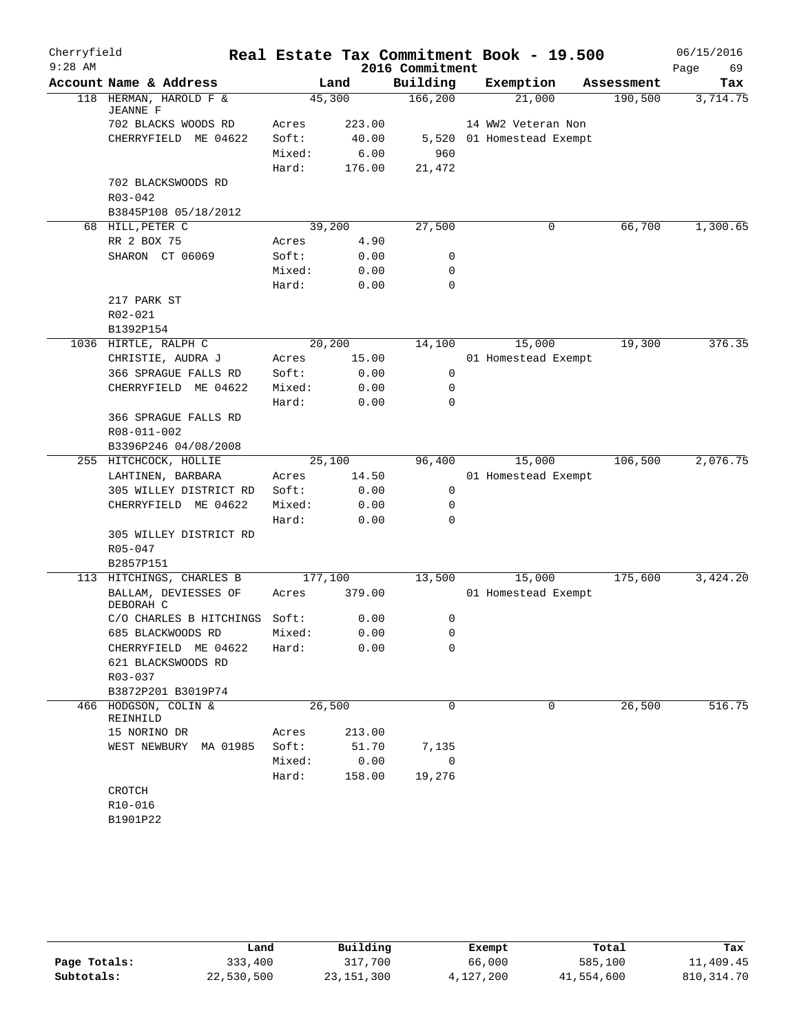| Cherryfield<br>$9:28$ AM |                                           |         |        | 2016 Commitment | Real Estate Tax Commitment Book - 19.500 |            | 06/15/2016<br>69<br>Page |
|--------------------------|-------------------------------------------|---------|--------|-----------------|------------------------------------------|------------|--------------------------|
|                          | Account Name & Address                    |         | Land   | Building        | Exemption                                | Assessment | Tax                      |
|                          | 118 HERMAN, HAROLD F &<br><b>JEANNE F</b> |         | 45,300 | 166, 200        | 21,000                                   | 190,500    | 3,714.75                 |
|                          | 702 BLACKS WOODS RD                       | Acres   | 223.00 |                 | 14 WW2 Veteran Non                       |            |                          |
|                          | CHERRYFIELD ME 04622                      | Soft:   | 40.00  |                 | 5,520 01 Homestead Exempt                |            |                          |
|                          |                                           | Mixed:  | 6.00   | 960             |                                          |            |                          |
|                          |                                           | Hard:   | 176.00 | 21,472          |                                          |            |                          |
|                          | 702 BLACKSWOODS RD                        |         |        |                 |                                          |            |                          |
|                          | $R03 - 042$                               |         |        |                 |                                          |            |                          |
|                          | B3845P108 05/18/2012                      |         |        |                 |                                          |            |                          |
|                          | 68 HILL, PETER C                          |         | 39,200 | 27,500          | 0                                        | 66,700     | 1,300.65                 |
|                          | RR 2 BOX 75                               | Acres   | 4.90   |                 |                                          |            |                          |
|                          | SHARON CT 06069                           | Soft:   | 0.00   | 0               |                                          |            |                          |
|                          |                                           | Mixed:  | 0.00   | 0               |                                          |            |                          |
|                          |                                           | Hard:   | 0.00   | 0               |                                          |            |                          |
|                          | 217 PARK ST                               |         |        |                 |                                          |            |                          |
|                          | R02-021                                   |         |        |                 |                                          |            |                          |
|                          | B1392P154                                 |         |        |                 |                                          |            |                          |
|                          | 1036 HIRTLE, RALPH C                      |         | 20,200 | 14,100          | 15,000                                   | 19,300     | 376.35                   |
|                          | CHRISTIE, AUDRA J                         | Acres   | 15.00  |                 | 01 Homestead Exempt                      |            |                          |
|                          | 366 SPRAGUE FALLS RD                      | Soft:   | 0.00   | 0               |                                          |            |                          |
|                          | CHERRYFIELD ME 04622                      | Mixed:  | 0.00   | 0               |                                          |            |                          |
|                          |                                           | Hard:   | 0.00   | $\mathbf 0$     |                                          |            |                          |
|                          | 366 SPRAGUE FALLS RD                      |         |        |                 |                                          |            |                          |
|                          | R08-011-002                               |         |        |                 |                                          |            |                          |
|                          | B3396P246 04/08/2008                      |         |        |                 |                                          |            |                          |
|                          | 255 HITCHCOCK, HOLLIE                     |         | 25,100 | 96,400          | 15,000                                   | 106,500    | 2,076.75                 |
|                          | LAHTINEN, BARBARA                         | Acres   | 14.50  |                 | 01 Homestead Exempt                      |            |                          |
|                          | 305 WILLEY DISTRICT RD                    | Soft:   | 0.00   | 0               |                                          |            |                          |
|                          | CHERRYFIELD ME 04622                      | Mixed:  | 0.00   | $\mathbf 0$     |                                          |            |                          |
|                          |                                           | Hard:   | 0.00   | 0               |                                          |            |                          |
|                          | 305 WILLEY DISTRICT RD                    |         |        |                 |                                          |            |                          |
|                          | $R05 - 047$                               |         |        |                 |                                          |            |                          |
|                          | B2857P151                                 |         |        |                 |                                          |            |                          |
|                          | 113 HITCHINGS, CHARLES B                  | 177,100 |        | 13,500          | 15,000                                   | 175,600    | 3,424.20                 |
|                          | BALLAM, DEVIESSES OF<br>DEBORAH C         | Acres   | 379.00 |                 | 01 Homestead Exempt                      |            |                          |
|                          | C/O CHARLES B HITCHINGS Soft:             |         | 0.00   | 0               |                                          |            |                          |
|                          | 685 BLACKWOODS RD                         | Mixed:  | 0.00   | 0               |                                          |            |                          |
|                          | CHERRYFIELD ME 04622                      | Hard:   | 0.00   | 0               |                                          |            |                          |
|                          | 621 BLACKSWOODS RD                        |         |        |                 |                                          |            |                          |
|                          | $R03 - 037$                               |         |        |                 |                                          |            |                          |
|                          | B3872P201 B3019P74                        |         |        |                 |                                          |            |                          |
|                          | 466 HODGSON, COLIN &<br>REINHILD          |         | 26,500 | $\Omega$        | $\mathbf 0$                              | 26,500     | 516.75                   |
|                          | 15 NORINO DR                              | Acres   | 213.00 |                 |                                          |            |                          |
|                          | WEST NEWBURY MA 01985                     | Soft:   | 51.70  | 7,135           |                                          |            |                          |
|                          |                                           | Mixed:  | 0.00   | 0               |                                          |            |                          |
|                          |                                           | Hard:   | 158.00 | 19,276          |                                          |            |                          |
|                          | CROTCH                                    |         |        |                 |                                          |            |                          |
|                          | R10-016                                   |         |        |                 |                                          |            |                          |
|                          | B1901P22                                  |         |        |                 |                                          |            |                          |

|              | Land       | Building     | Exempt    | Total      | Tax          |
|--------------|------------|--------------|-----------|------------|--------------|
| Page Totals: | 333,400    | 317,700      | 66,000    | 585,100    | 11,409.45    |
| Subtotals:   | 22,530,500 | 23, 151, 300 | 4,127,200 | 41,554,600 | 810, 314. 70 |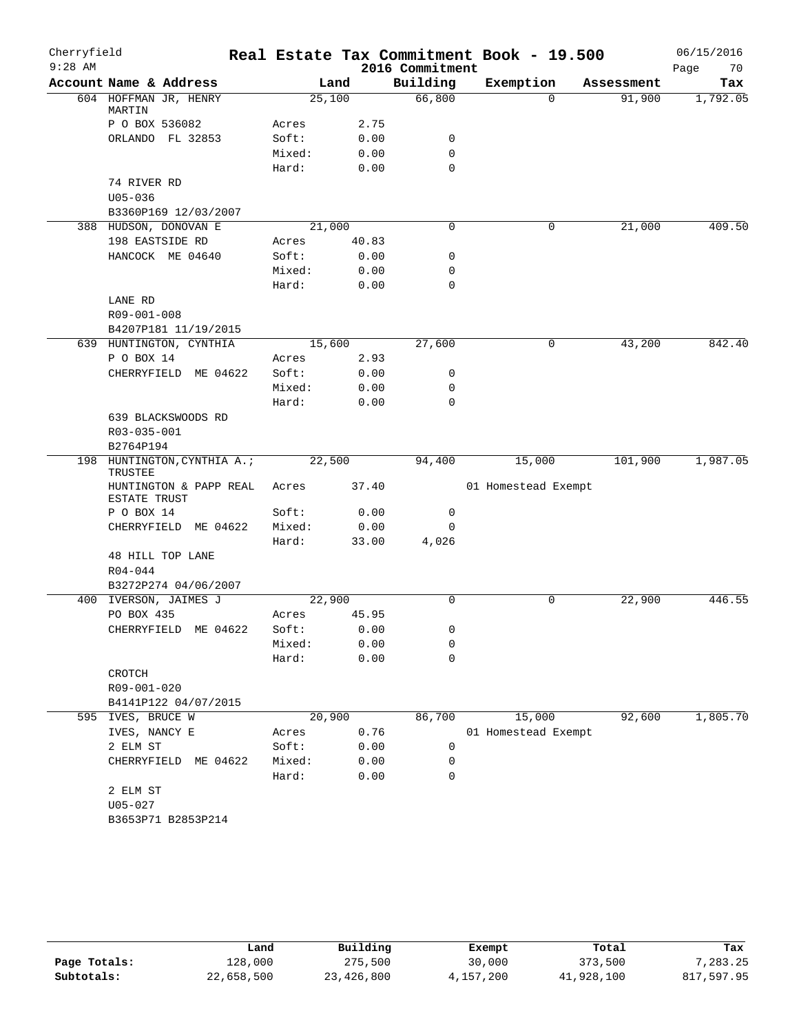| Cherryfield |                                        |        |       |                 | Real Estate Tax Commitment Book - 19.500 |            | 06/15/2016 |
|-------------|----------------------------------------|--------|-------|-----------------|------------------------------------------|------------|------------|
| $9:28$ AM   |                                        |        |       | 2016 Commitment |                                          |            | 70<br>Page |
|             | Account Name & Address                 |        | Land  | Building        | Exemption                                | Assessment | Tax        |
|             | 604 HOFFMAN JR, HENRY<br>MARTIN        | 25,100 |       | 66,800          | $\Omega$                                 | 91,900     | 1,792.05   |
|             | P O BOX 536082                         | Acres  | 2.75  |                 |                                          |            |            |
|             | ORLANDO FL 32853                       | Soft:  | 0.00  | 0               |                                          |            |            |
|             |                                        | Mixed: | 0.00  | $\mathbf 0$     |                                          |            |            |
|             |                                        | Hard:  | 0.00  | $\Omega$        |                                          |            |            |
|             | 74 RIVER RD                            |        |       |                 |                                          |            |            |
|             | $U05 - 036$                            |        |       |                 |                                          |            |            |
|             | B3360P169 12/03/2007                   |        |       |                 |                                          |            |            |
|             | 388 HUDSON, DONOVAN E                  | 21,000 |       | 0               | 0                                        | 21,000     | 409.50     |
|             | 198 EASTSIDE RD                        | Acres  | 40.83 |                 |                                          |            |            |
|             | HANCOCK ME 04640                       | Soft:  | 0.00  | 0               |                                          |            |            |
|             |                                        | Mixed: | 0.00  | 0               |                                          |            |            |
|             |                                        | Hard:  | 0.00  | 0               |                                          |            |            |
|             | LANE RD                                |        |       |                 |                                          |            |            |
|             | R09-001-008                            |        |       |                 |                                          |            |            |
|             | B4207P181 11/19/2015                   |        |       |                 |                                          |            |            |
|             | 639 HUNTINGTON, CYNTHIA                | 15,600 |       | 27,600          | 0                                        | 43,200     | 842.40     |
|             | P O BOX 14                             | Acres  | 2.93  |                 |                                          |            |            |
|             | CHERRYFIELD ME 04622                   | Soft:  | 0.00  | 0               |                                          |            |            |
|             |                                        | Mixed: | 0.00  | $\mathbf 0$     |                                          |            |            |
|             |                                        | Hard:  | 0.00  | $\Omega$        |                                          |            |            |
|             | 639 BLACKSWOODS RD                     |        |       |                 |                                          |            |            |
|             | R03-035-001                            |        |       |                 |                                          |            |            |
|             | B2764P194                              |        |       |                 |                                          |            |            |
|             | 198 HUNTINGTON, CYNTHIA A.;<br>TRUSTEE | 22,500 |       | 94,400          | 15,000                                   | 101,900    | 1,987.05   |
|             | HUNTINGTON & PAPP REAL<br>ESTATE TRUST | Acres  | 37.40 |                 | 01 Homestead Exempt                      |            |            |
|             | P O BOX 14                             | Soft:  | 0.00  | 0               |                                          |            |            |
|             | CHERRYFIELD ME 04622                   | Mixed: | 0.00  | 0               |                                          |            |            |
|             |                                        | Hard:  | 33.00 | 4,026           |                                          |            |            |
|             | 48 HILL TOP LANE                       |        |       |                 |                                          |            |            |
|             | $R04 - 044$                            |        |       |                 |                                          |            |            |
|             | B3272P274 04/06/2007                   |        |       |                 |                                          |            |            |
|             | 400 IVERSON, JAIMES J                  | 22,900 |       | $\Omega$        | $\mathbf 0$                              | 22,900     | 446.55     |
|             | PO BOX 435                             | Acres  | 45.95 |                 |                                          |            |            |
|             | CHERRYFIELD ME 04622                   | Soft:  | 0.00  | 0               |                                          |            |            |
|             |                                        | Mixed: | 0.00  | 0               |                                          |            |            |
|             |                                        | Hard:  | 0.00  | 0               |                                          |            |            |
|             | CROTCH                                 |        |       |                 |                                          |            |            |
|             | R09-001-020                            |        |       |                 |                                          |            |            |
|             | B4141P122 04/07/2015                   |        |       |                 |                                          |            |            |
|             | 595 IVES, BRUCE W                      | 20,900 |       | 86,700          | 15,000                                   | 92,600     | 1,805.70   |
|             | IVES, NANCY E                          | Acres  | 0.76  |                 | 01 Homestead Exempt                      |            |            |
|             | 2 ELM ST                               | Soft:  | 0.00  | 0               |                                          |            |            |
|             | CHERRYFIELD<br>ME 04622                | Mixed: | 0.00  | 0               |                                          |            |            |
|             |                                        | Hard:  | 0.00  | 0               |                                          |            |            |
|             | 2 ELM ST                               |        |       |                 |                                          |            |            |
|             | U05-027                                |        |       |                 |                                          |            |            |
|             | B3653P71 B2853P214                     |        |       |                 |                                          |            |            |
|             |                                        |        |       |                 |                                          |            |            |

|              | Land       | Building   | Exempt    | Total      | Tax        |
|--------------|------------|------------|-----------|------------|------------|
| Page Totals: | 128,000    | 275,500    | 30,000    | 373,500    | 7,283.25   |
| Subtotals:   | 22,658,500 | 23,426,800 | 4,157,200 | 41,928,100 | 817,597.95 |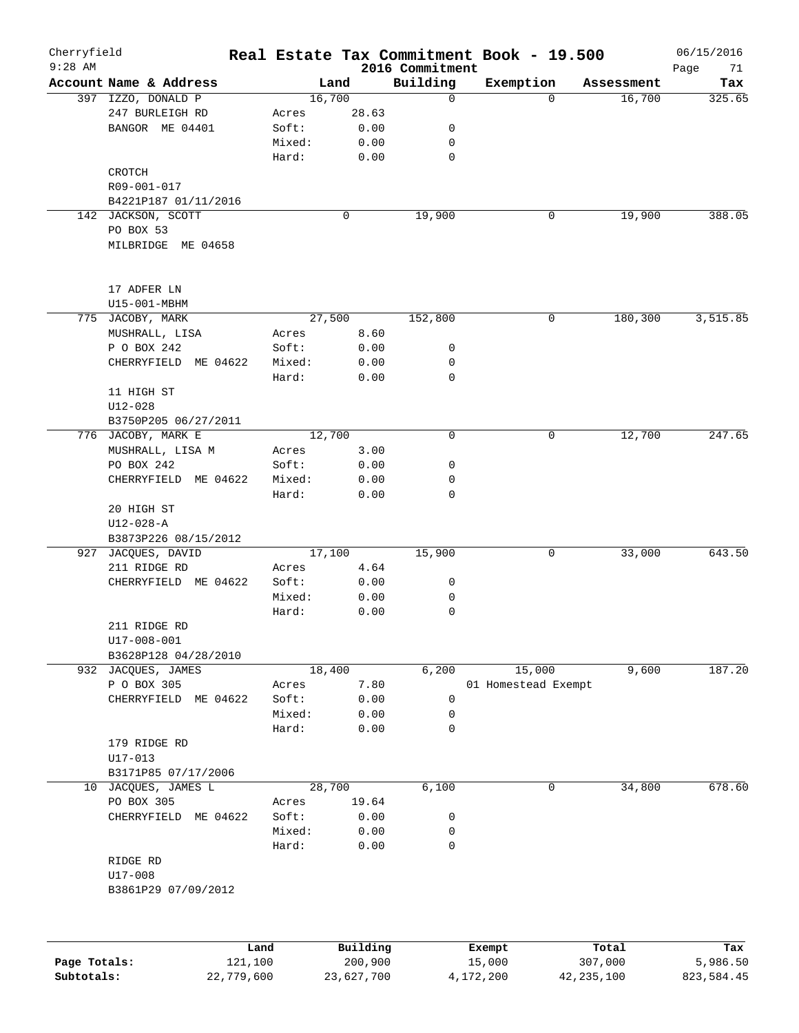| Cherryfield<br>$9:28$ AM |                         |         |        |          | 2016 Commitment | Real Estate Tax Commitment Book - 19.500 |          |            | 06/15/2016<br>Page<br>71 |
|--------------------------|-------------------------|---------|--------|----------|-----------------|------------------------------------------|----------|------------|--------------------------|
|                          | Account Name & Address  |         |        | Land     | Building        | Exemption                                |          | Assessment | Tax                      |
|                          | 397 IZZO, DONALD P      |         |        | 16,700   | 0               |                                          | $\Omega$ | 16,700     | 325.65                   |
|                          | 247 BURLEIGH RD         |         | Acres  | 28.63    |                 |                                          |          |            |                          |
|                          | BANGOR ME 04401         |         | Soft:  | 0.00     | 0               |                                          |          |            |                          |
|                          |                         |         | Mixed: | 0.00     | 0               |                                          |          |            |                          |
|                          |                         |         | Hard:  | 0.00     | 0               |                                          |          |            |                          |
|                          | CROTCH                  |         |        |          |                 |                                          |          |            |                          |
|                          | R09-001-017             |         |        |          |                 |                                          |          |            |                          |
|                          | B4221P187 01/11/2016    |         |        |          |                 |                                          |          |            |                          |
|                          | 142 JACKSON, SCOTT      |         |        | 0        | 19,900          | 0                                        |          | 19,900     | 388.05                   |
|                          |                         |         |        |          |                 |                                          |          |            |                          |
|                          | PO BOX 53               |         |        |          |                 |                                          |          |            |                          |
|                          | MILBRIDGE ME 04658      |         |        |          |                 |                                          |          |            |                          |
|                          | 17 ADFER LN             |         |        |          |                 |                                          |          |            |                          |
|                          | U15-001-MBHM            |         |        |          |                 |                                          |          |            |                          |
|                          | 775 JACOBY, MARK        |         |        | 27,500   | 152,800         | $\mathbf 0$                              |          | 180,300    | 3,515.85                 |
|                          | MUSHRALL, LISA          |         | Acres  | 8.60     |                 |                                          |          |            |                          |
|                          | P O BOX 242             |         | Soft:  | 0.00     | 0               |                                          |          |            |                          |
|                          | CHERRYFIELD<br>ME 04622 |         | Mixed: | 0.00     | 0               |                                          |          |            |                          |
|                          |                         |         | Hard:  | 0.00     | 0               |                                          |          |            |                          |
|                          | 11 HIGH ST              |         |        |          |                 |                                          |          |            |                          |
|                          |                         |         |        |          |                 |                                          |          |            |                          |
|                          | U12-028                 |         |        |          |                 |                                          |          |            |                          |
|                          | B3750P205 06/27/2011    |         |        |          |                 |                                          |          |            |                          |
|                          | 776 JACOBY, MARK E      |         |        | 12,700   | 0               | 0                                        |          | 12,700     | 247.65                   |
|                          | MUSHRALL, LISA M        |         | Acres  | 3.00     |                 |                                          |          |            |                          |
|                          | PO BOX 242              |         | Soft:  | 0.00     | 0               |                                          |          |            |                          |
|                          | CHERRYFIELD ME 04622    |         | Mixed: | 0.00     | 0               |                                          |          |            |                          |
|                          |                         |         | Hard:  | 0.00     | 0               |                                          |          |            |                          |
|                          | 20 HIGH ST              |         |        |          |                 |                                          |          |            |                          |
|                          | $U12 - 028 - A$         |         |        |          |                 |                                          |          |            |                          |
|                          | B3873P226 08/15/2012    |         |        |          |                 |                                          |          |            |                          |
| 927                      | JACQUES, DAVID          |         |        | 17,100   | 15,900          | 0                                        |          | 33,000     | 643.50                   |
|                          | 211 RIDGE RD            |         | Acres  | 4.64     |                 |                                          |          |            |                          |
|                          | CHERRYFIELD ME 04622    |         | Soft:  | 0.00     | 0               |                                          |          |            |                          |
|                          |                         |         | Mixed: | 0.00     | 0               |                                          |          |            |                          |
|                          |                         |         | Hard:  | 0.00     | 0               |                                          |          |            |                          |
|                          | 211 RIDGE RD            |         |        |          |                 |                                          |          |            |                          |
|                          | $U17 - 008 - 001$       |         |        |          |                 |                                          |          |            |                          |
|                          | B3628P128 04/28/2010    |         |        |          |                 |                                          |          |            |                          |
| 932                      | JACQUES, JAMES          |         |        | 18,400   | 6,200           | 15,000                                   |          | 9,600      | 187.20                   |
|                          | P O BOX 305             |         | Acres  | 7.80     |                 | 01 Homestead Exempt                      |          |            |                          |
|                          | CHERRYFIELD ME 04622    |         | Soft:  | 0.00     | 0               |                                          |          |            |                          |
|                          |                         |         | Mixed: | 0.00     | 0               |                                          |          |            |                          |
|                          |                         |         | Hard:  | 0.00     | $\mathsf{O}$    |                                          |          |            |                          |
|                          | 179 RIDGE RD            |         |        |          |                 |                                          |          |            |                          |
|                          | $U17 - 013$             |         |        |          |                 |                                          |          |            |                          |
|                          | B3171P85 07/17/2006     |         |        |          |                 |                                          |          |            |                          |
|                          |                         |         |        |          |                 |                                          | 0        |            | 678.60                   |
| 10                       | JACQUES, JAMES L        |         |        | 28,700   | 6,100           |                                          |          | 34,800     |                          |
|                          | PO BOX 305              |         | Acres  | 19.64    |                 |                                          |          |            |                          |
|                          | CHERRYFIELD ME 04622    |         | Soft:  | 0.00     | 0               |                                          |          |            |                          |
|                          |                         |         | Mixed: | 0.00     | 0               |                                          |          |            |                          |
|                          |                         |         | Hard:  | 0.00     | $\mathsf{O}$    |                                          |          |            |                          |
|                          | RIDGE RD                |         |        |          |                 |                                          |          |            |                          |
|                          | U17-008                 |         |        |          |                 |                                          |          |            |                          |
|                          | B3861P29 07/09/2012     |         |        |          |                 |                                          |          |            |                          |
|                          |                         |         |        |          |                 |                                          |          |            |                          |
|                          |                         | Land    |        | Building |                 | Exempt                                   |          | Total      | Tax                      |
| Page Totals:             |                         | 121,100 |        | 200,900  |                 | 15,000                                   | 307,000  |            | 5,986.50                 |

**Subtotals:** 22,779,600 23,627,700 4,172,200 42,235,100 823,584.45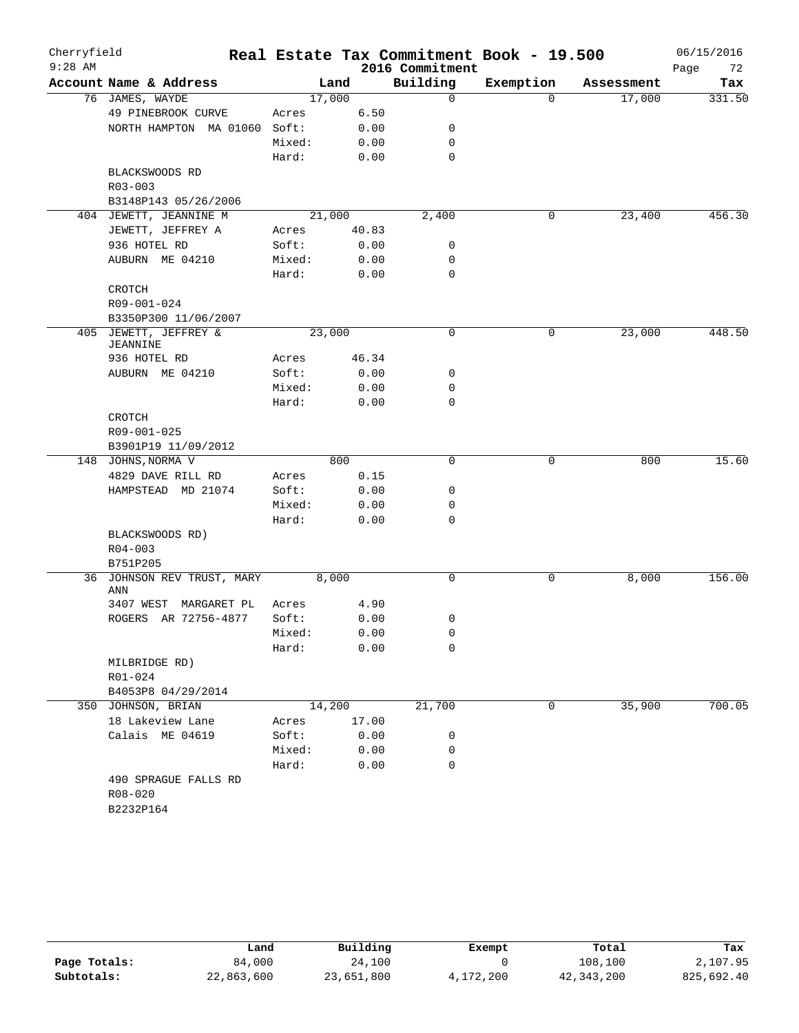| Cherryfield<br>$9:28$ AM |                                      |        |       | 2016 Commitment | Real Estate Tax Commitment Book - 19.500 |            | 06/15/2016<br>Page<br>72 |
|--------------------------|--------------------------------------|--------|-------|-----------------|------------------------------------------|------------|--------------------------|
|                          | Account Name & Address               |        | Land  | Building        | Exemption                                | Assessment | Tax                      |
|                          | 76 JAMES, WAYDE                      | 17,000 |       | 0               | $\Omega$                                 | 17,000     | 331.50                   |
|                          | 49 PINEBROOK CURVE                   | Acres  | 6.50  |                 |                                          |            |                          |
|                          | NORTH HAMPTON MA 01060               | Soft:  | 0.00  | 0               |                                          |            |                          |
|                          |                                      | Mixed: | 0.00  | 0               |                                          |            |                          |
|                          |                                      | Hard:  | 0.00  | 0               |                                          |            |                          |
|                          | BLACKSWOODS RD                       |        |       |                 |                                          |            |                          |
|                          | R03-003                              |        |       |                 |                                          |            |                          |
|                          | B3148P143 05/26/2006                 |        |       |                 |                                          |            |                          |
|                          | 404 JEWETT, JEANNINE M               | 21,000 |       | 2,400           | 0                                        | 23,400     | 456.30                   |
|                          | JEWETT, JEFFREY A                    | Acres  | 40.83 |                 |                                          |            |                          |
|                          | 936 HOTEL RD                         | Soft:  | 0.00  | 0               |                                          |            |                          |
|                          | AUBURN ME 04210                      | Mixed: | 0.00  | 0               |                                          |            |                          |
|                          |                                      | Hard:  | 0.00  | 0               |                                          |            |                          |
|                          | CROTCH                               |        |       |                 |                                          |            |                          |
|                          | R09-001-024                          |        |       |                 |                                          |            |                          |
|                          | B3350P300 11/06/2007                 |        |       |                 |                                          |            |                          |
| 405                      | JEWETT, JEFFREY &<br><b>JEANNINE</b> | 23,000 |       | 0               | 0                                        | 23,000     | 448.50                   |
|                          | 936 HOTEL RD                         | Acres  | 46.34 |                 |                                          |            |                          |
|                          | AUBURN ME 04210                      | Soft:  | 0.00  | 0               |                                          |            |                          |
|                          |                                      | Mixed: | 0.00  | 0               |                                          |            |                          |
|                          |                                      | Hard:  | 0.00  | 0               |                                          |            |                          |
|                          | CROTCH                               |        |       |                 |                                          |            |                          |
|                          | R09-001-025                          |        |       |                 |                                          |            |                          |
|                          | B3901P19 11/09/2012                  |        |       |                 |                                          |            |                          |
|                          | 148 JOHNS, NORMA V                   |        | 800   | 0               | 0                                        | 800        | 15.60                    |
|                          | 4829 DAVE RILL RD                    | Acres  | 0.15  |                 |                                          |            |                          |
|                          | HAMPSTEAD MD 21074                   | Soft:  | 0.00  | 0               |                                          |            |                          |
|                          |                                      | Mixed: | 0.00  | 0               |                                          |            |                          |
|                          |                                      | Hard:  | 0.00  | 0               |                                          |            |                          |
|                          | BLACKSWOODS RD)                      |        |       |                 |                                          |            |                          |
|                          | $R04 - 003$                          |        |       |                 |                                          |            |                          |
|                          | B751P205                             |        |       |                 |                                          |            |                          |
| 36                       | JOHNSON REV TRUST, MARY              | 8,000  |       | 0               | 0                                        | 8,000      | 156.00                   |
|                          | ANN                                  |        |       |                 |                                          |            |                          |
|                          | 3407 WEST<br>MARGARET PL             | Acres  | 4.90  |                 |                                          |            |                          |
|                          | ROGERS AR 72756-4877                 | Soft:  | 0.00  | 0               |                                          |            |                          |
|                          |                                      | Mixed: | 0.00  | 0               |                                          |            |                          |
|                          |                                      | Hard:  | 0.00  | 0               |                                          |            |                          |
|                          | MILBRIDGE RD)                        |        |       |                 |                                          |            |                          |
|                          | R01-024                              |        |       |                 |                                          |            |                          |
|                          | B4053P8 04/29/2014                   |        |       |                 |                                          |            |                          |
|                          | 350 JOHNSON, BRIAN                   | 14,200 |       | 21,700          | $\mathbf 0$                              | 35,900     | 700.05                   |
|                          | 18 Lakeview Lane                     | Acres  | 17.00 |                 |                                          |            |                          |
|                          | Calais ME 04619                      | Soft:  | 0.00  | 0               |                                          |            |                          |
|                          |                                      | Mixed: | 0.00  | 0               |                                          |            |                          |
|                          |                                      | Hard:  | 0.00  | 0               |                                          |            |                          |
|                          | 490 SPRAGUE FALLS RD                 |        |       |                 |                                          |            |                          |
|                          | $R08 - 020$                          |        |       |                 |                                          |            |                          |
|                          | B2232P164                            |        |       |                 |                                          |            |                          |

|              | Land       | Building   | Exempt    | Total      | Tax        |
|--------------|------------|------------|-----------|------------|------------|
| Page Totals: | 84,000     | 24,100     |           | 108,100    | 2,107.95   |
| Subtotals:   | 22,863,600 | 23,651,800 | 4,172,200 | 42,343,200 | 825,692.40 |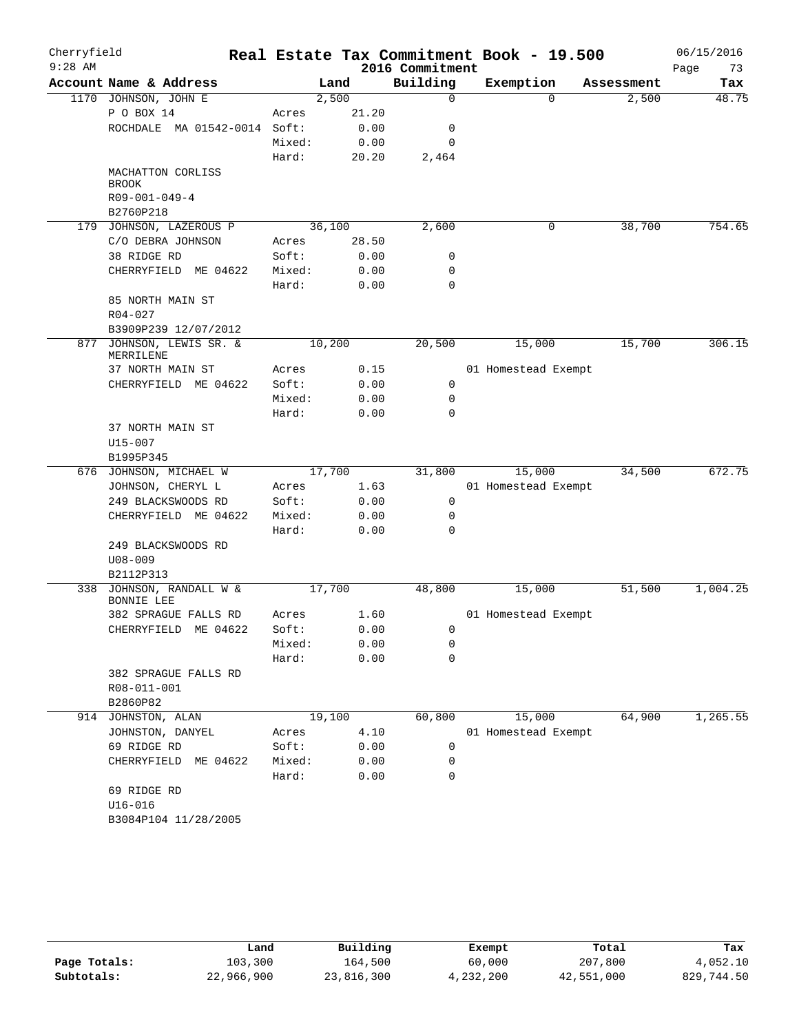| Cherryfield<br>$9:28$ AM |                                     |        |        | 2016 Commitment                       | Real Estate Tax Commitment Book - 19.500 |            | 06/15/2016<br>Page<br>73 |
|--------------------------|-------------------------------------|--------|--------|---------------------------------------|------------------------------------------|------------|--------------------------|
|                          | Account Name & Address              |        | Land   | Building                              | Exemption                                | Assessment | Tax                      |
|                          | 1170 JOHNSON, JOHN E                |        | 2,500  | $\mathbf 0$                           | $\Omega$                                 | 2,500      | 48.75                    |
|                          | P O BOX 14                          | Acres  | 21.20  |                                       |                                          |            |                          |
|                          | ROCHDALE MA 01542-0014 Soft:        |        | 0.00   | 0                                     |                                          |            |                          |
|                          |                                     | Mixed: | 0.00   | 0                                     |                                          |            |                          |
|                          |                                     | Hard:  | 20.20  | $\ensuremath{2}$ , $\ensuremath{464}$ |                                          |            |                          |
|                          | MACHATTON CORLISS<br><b>BROOK</b>   |        |        |                                       |                                          |            |                          |
|                          | $R09 - 001 - 049 - 4$               |        |        |                                       |                                          |            |                          |
|                          | B2760P218                           |        |        |                                       |                                          |            |                          |
|                          | 179 JOHNSON, LAZEROUS P             |        | 36,100 | 2,600                                 | 0                                        | 38,700     | 754.65                   |
|                          | C/O DEBRA JOHNSON                   | Acres  | 28.50  |                                       |                                          |            |                          |
|                          | 38 RIDGE RD                         | Soft:  | 0.00   | 0                                     |                                          |            |                          |
|                          | CHERRYFIELD ME 04622                | Mixed: | 0.00   | $\mathbf 0$                           |                                          |            |                          |
|                          |                                     | Hard:  | 0.00   | $\mathbf 0$                           |                                          |            |                          |
|                          | 85 NORTH MAIN ST                    |        |        |                                       |                                          |            |                          |
|                          |                                     |        |        |                                       |                                          |            |                          |
|                          | $R04 - 027$<br>B3909P239 12/07/2012 |        |        |                                       |                                          |            |                          |
| 877                      | JOHNSON, LEWIS SR. &<br>MERRILENE   |        | 10,200 | 20,500                                | 15,000                                   | 15,700     | 306.15                   |
|                          | 37 NORTH MAIN ST                    | Acres  | 0.15   |                                       | 01 Homestead Exempt                      |            |                          |
|                          | CHERRYFIELD ME 04622                | Soft:  | 0.00   | 0                                     |                                          |            |                          |
|                          |                                     | Mixed: | 0.00   | 0                                     |                                          |            |                          |
|                          |                                     | Hard:  | 0.00   | $\Omega$                              |                                          |            |                          |
|                          | 37 NORTH MAIN ST                    |        |        |                                       |                                          |            |                          |
|                          | $U15 - 007$                         |        |        |                                       |                                          |            |                          |
|                          | B1995P345                           |        |        |                                       |                                          |            |                          |
|                          | 676 JOHNSON, MICHAEL W              |        | 17,700 | 31,800                                | 15,000                                   | 34,500     | 672.75                   |
|                          | JOHNSON, CHERYL L                   | Acres  | 1.63   |                                       | 01 Homestead Exempt                      |            |                          |
|                          | 249 BLACKSWOODS RD                  | Soft:  | 0.00   | 0                                     |                                          |            |                          |
|                          | CHERRYFIELD ME 04622                | Mixed: | 0.00   | 0                                     |                                          |            |                          |
|                          |                                     | Hard:  | 0.00   | $\mathbf 0$                           |                                          |            |                          |
|                          | 249 BLACKSWOODS RD                  |        |        |                                       |                                          |            |                          |
|                          | $U08 - 009$                         |        |        |                                       |                                          |            |                          |
|                          | B2112P313                           |        |        |                                       |                                          |            |                          |
| 338                      | JOHNSON, RANDALL W &                |        | 17,700 | 48,800                                | 15,000                                   | 51,500     | 1,004.25                 |
|                          | BONNIE LEE                          |        |        |                                       |                                          |            |                          |
|                          | 382 SPRAGUE FALLS RD                | Acres  | 1.60   |                                       | 01 Homestead Exempt                      |            |                          |
|                          | CHERRYFIELD ME 04622                | Soft:  | 0.00   | 0                                     |                                          |            |                          |
|                          |                                     | Mixed: | 0.00   | 0                                     |                                          |            |                          |
|                          |                                     | Hard:  | 0.00   | 0                                     |                                          |            |                          |
|                          | 382 SPRAGUE FALLS RD                |        |        |                                       |                                          |            |                          |
|                          | R08-011-001                         |        |        |                                       |                                          |            |                          |
|                          | B2860P82                            |        |        |                                       |                                          |            |                          |
|                          | 914 JOHNSTON, ALAN                  |        | 19,100 | 60,800                                | 15,000                                   | 64,900     | 1, 265.55                |
|                          | JOHNSTON, DANYEL                    | Acres  | 4.10   |                                       | 01 Homestead Exempt                      |            |                          |
|                          | 69 RIDGE RD                         | Soft:  | 0.00   | 0                                     |                                          |            |                          |
|                          | CHERRYFIELD<br>ME 04622             | Mixed: | 0.00   | 0                                     |                                          |            |                          |
|                          |                                     | Hard:  | 0.00   | 0                                     |                                          |            |                          |
|                          | 69 RIDGE RD                         |        |        |                                       |                                          |            |                          |
|                          | $U16 - 016$                         |        |        |                                       |                                          |            |                          |
|                          | B3084P104 11/28/2005                |        |        |                                       |                                          |            |                          |
|                          |                                     |        |        |                                       |                                          |            |                          |

|              | Land       | Building   | Exempt    | Total      | Tax        |
|--------------|------------|------------|-----------|------------|------------|
| Page Totals: | 103,300    | 164,500    | 60,000    | 207,800    | 4,052.10   |
| Subtotals:   | 22,966,900 | 23,816,300 | 4,232,200 | 42,551,000 | 829,744.50 |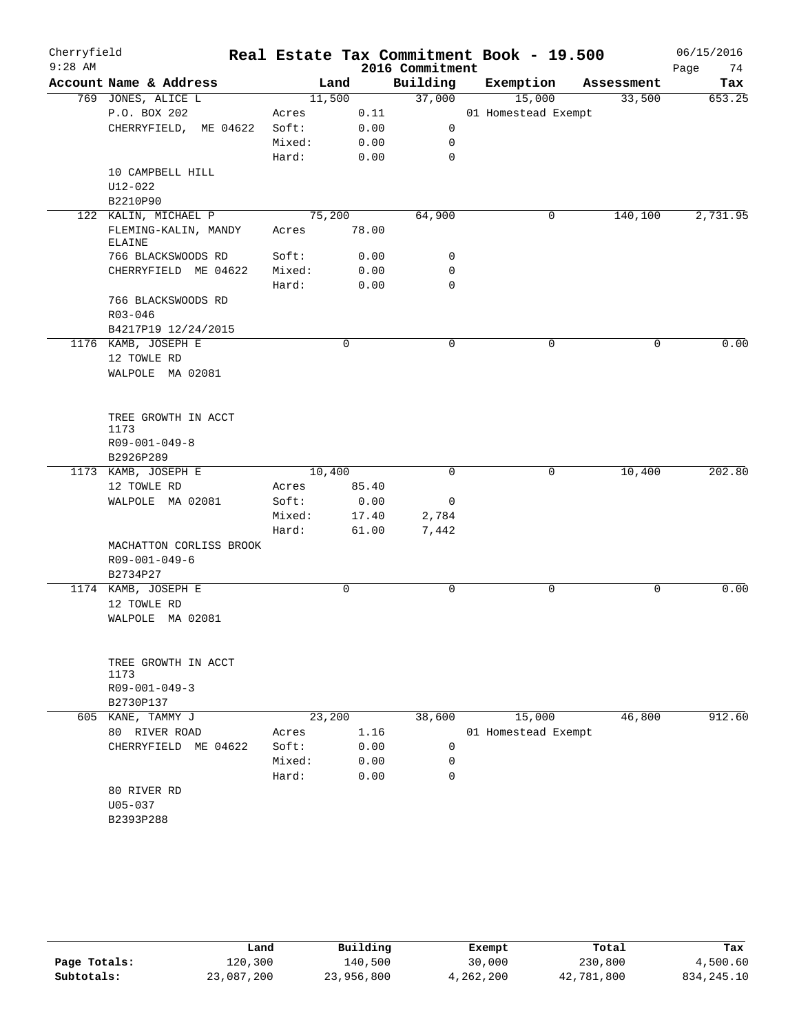| Cherryfield<br>$9:28$ AM |                                          |                |             | 2016 Commitment | Real Estate Tax Commitment Book - 19.500 |            | 06/15/2016<br>Page<br>74 |
|--------------------------|------------------------------------------|----------------|-------------|-----------------|------------------------------------------|------------|--------------------------|
|                          | Account Name & Address                   |                | Land        | Building        | Exemption                                | Assessment | Tax                      |
|                          | 769 JONES, ALICE L                       |                | 11,500      | 37,000          | 15,000                                   | 33,500     | 653.25                   |
|                          | P.O. BOX 202                             | Acres          | 0.11        |                 | 01 Homestead Exempt                      |            |                          |
|                          | CHERRYFIELD, ME 04622                    | Soft:          | 0.00        | 0               |                                          |            |                          |
|                          |                                          | Mixed:         | 0.00        | 0               |                                          |            |                          |
|                          |                                          | Hard:          | 0.00        | $\mathbf 0$     |                                          |            |                          |
|                          | 10 CAMPBELL HILL                         |                |             |                 |                                          |            |                          |
|                          | U12-022                                  |                |             |                 |                                          |            |                          |
|                          | B2210P90                                 |                |             |                 |                                          |            |                          |
|                          | 122 KALIN, MICHAEL P                     |                | 75,200      | 64,900          | 0                                        | 140,100    | 2,731.95                 |
|                          | FLEMING-KALIN, MANDY<br><b>ELAINE</b>    | Acres          | 78.00       |                 |                                          |            |                          |
|                          | 766 BLACKSWOODS RD                       | Soft:          | 0.00        | 0               |                                          |            |                          |
|                          | CHERRYFIELD ME 04622                     | Mixed:         | 0.00        | 0               |                                          |            |                          |
|                          |                                          | Hard:          | 0.00        | $\mathbf 0$     |                                          |            |                          |
|                          | 766 BLACKSWOODS RD                       |                |             |                 |                                          |            |                          |
|                          | R03-046                                  |                |             |                 |                                          |            |                          |
|                          | B4217P19 12/24/2015                      |                |             |                 |                                          |            |                          |
|                          | 1176 KAMB, JOSEPH E                      |                | 0           | $\mathbf 0$     | 0                                        | 0          | 0.00                     |
|                          | 12 TOWLE RD                              |                |             |                 |                                          |            |                          |
|                          | WALPOLE MA 02081                         |                |             |                 |                                          |            |                          |
|                          | TREE GROWTH IN ACCT                      |                |             |                 |                                          |            |                          |
|                          | 1173                                     |                |             |                 |                                          |            |                          |
|                          | $R09 - 001 - 049 - 8$                    |                |             |                 |                                          |            |                          |
|                          | B2926P289                                |                |             |                 |                                          |            |                          |
|                          | 1173 KAMB, JOSEPH E                      |                | 10,400      | 0               | 0                                        | 10,400     | 202.80                   |
|                          | 12 TOWLE RD                              | Acres          | 85.40       |                 |                                          |            |                          |
|                          | WALPOLE MA 02081                         | Soft:          | 0.00        | 0               |                                          |            |                          |
|                          |                                          | Mixed:         | 17.40       | 2,784           |                                          |            |                          |
|                          |                                          | Hard:          | 61.00       | 7,442           |                                          |            |                          |
|                          | MACHATTON CORLISS BROOK<br>R09-001-049-6 |                |             |                 |                                          |            |                          |
|                          | B2734P27                                 |                |             |                 |                                          |            |                          |
|                          | 1174 KAMB, JOSEPH E                      |                | $\mathbf 0$ | 0               | $\mathsf{O}$                             | 0          | 0.00                     |
|                          | 12 TOWLE RD                              |                |             |                 |                                          |            |                          |
|                          | WALPOLE MA 02081                         |                |             |                 |                                          |            |                          |
|                          |                                          |                |             |                 |                                          |            |                          |
|                          | TREE GROWTH IN ACCT                      |                |             |                 |                                          |            |                          |
|                          | 1173                                     |                |             |                 |                                          |            |                          |
|                          | $R09 - 001 - 049 - 3$                    |                |             |                 |                                          |            |                          |
|                          | B2730P137                                |                |             |                 |                                          |            |                          |
| 605                      | KANE, TAMMY J                            |                | 23,200      | 38,600          | 15,000                                   | 46,800     | 912.60                   |
|                          | 80 RIVER ROAD                            | Acres<br>Soft: | 1.16        |                 | 01 Homestead Exempt                      |            |                          |
|                          | CHERRYFIELD ME 04622                     |                | 0.00        | 0               |                                          |            |                          |
|                          |                                          | Mixed:         | 0.00        | 0<br>0          |                                          |            |                          |
|                          |                                          | Hard:          | 0.00        |                 |                                          |            |                          |
|                          | 80 RIVER RD<br>$U05 - 037$               |                |             |                 |                                          |            |                          |
|                          | B2393P288                                |                |             |                 |                                          |            |                          |
|                          |                                          |                |             |                 |                                          |            |                          |

|              | Land       | Building   | Exempt    | Total      | Tax          |
|--------------|------------|------------|-----------|------------|--------------|
| Page Totals: | 120,300    | 140,500    | 30,000    | 230,800    | 4,500.60     |
| Subtotals:   | 23,087,200 | 23,956,800 | 4,262,200 | 42,781,800 | 834, 245. 10 |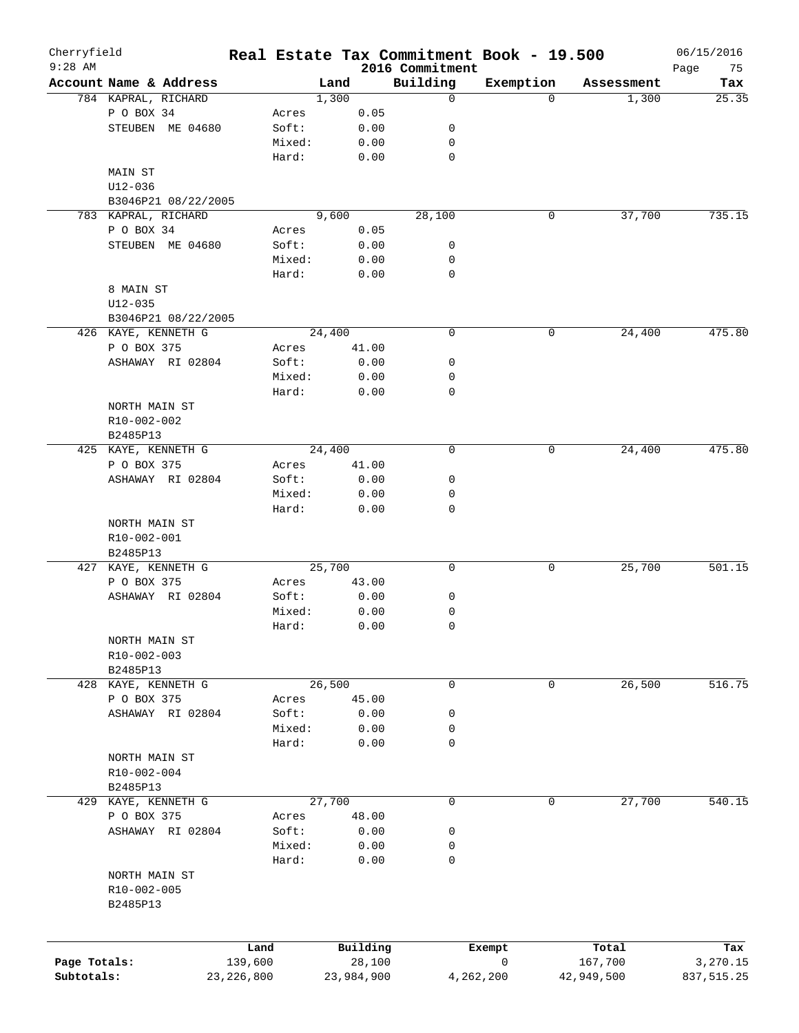| Cherryfield<br>$9:28$ AM |                        |              |        |        |            | Real Estate Tax Commitment Book - 19.500 |           |            |            | 06/15/2016        |
|--------------------------|------------------------|--------------|--------|--------|------------|------------------------------------------|-----------|------------|------------|-------------------|
|                          | Account Name & Address |              |        | Land   |            | 2016 Commitment<br>Building              | Exemption |            | Assessment | Page<br>75<br>Tax |
|                          | 784 KAPRAL, RICHARD    |              |        | 1,300  |            | 0                                        | $\Omega$  |            | 1,300      | 25.35             |
|                          | P O BOX 34             |              | Acres  |        | 0.05       |                                          |           |            |            |                   |
|                          | STEUBEN ME 04680       |              | Soft:  |        | 0.00       | 0                                        |           |            |            |                   |
|                          |                        |              | Mixed: |        | 0.00       | 0                                        |           |            |            |                   |
|                          |                        |              | Hard:  |        | 0.00       | $\mathbf 0$                              |           |            |            |                   |
|                          | MAIN ST                |              |        |        |            |                                          |           |            |            |                   |
|                          | $U12 - 036$            |              |        |        |            |                                          |           |            |            |                   |
|                          | B3046P21 08/22/2005    |              |        |        |            |                                          |           |            |            |                   |
|                          | 783 KAPRAL, RICHARD    |              |        | 9,600  |            | 28,100                                   | 0         |            | 37,700     | 735.15            |
|                          | P O BOX 34             |              | Acres  |        | 0.05       |                                          |           |            |            |                   |
|                          | STEUBEN ME 04680       |              | Soft:  |        | 0.00       | 0                                        |           |            |            |                   |
|                          |                        |              | Mixed: |        | 0.00       | 0                                        |           |            |            |                   |
|                          |                        |              | Hard:  |        | 0.00       | 0                                        |           |            |            |                   |
|                          | 8 MAIN ST              |              |        |        |            |                                          |           |            |            |                   |
|                          | $U12 - 035$            |              |        |        |            |                                          |           |            |            |                   |
|                          |                        |              |        |        |            |                                          |           |            |            |                   |
|                          | B3046P21 08/22/2005    |              |        |        |            |                                          |           |            |            |                   |
|                          | 426 KAYE, KENNETH G    |              |        | 24,400 |            | $\mathbf 0$                              | 0         |            | 24,400     | 475.80            |
|                          | P O BOX 375            |              | Acres  |        | 41.00      |                                          |           |            |            |                   |
|                          | ASHAWAY RI 02804       |              | Soft:  |        | 0.00       | 0                                        |           |            |            |                   |
|                          |                        |              | Mixed: |        | 0.00       | 0                                        |           |            |            |                   |
|                          |                        |              | Hard:  |        | 0.00       | 0                                        |           |            |            |                   |
|                          | NORTH MAIN ST          |              |        |        |            |                                          |           |            |            |                   |
|                          | R10-002-002            |              |        |        |            |                                          |           |            |            |                   |
|                          | B2485P13               |              |        |        |            |                                          |           |            |            |                   |
|                          | 425 KAYE, KENNETH G    |              |        | 24,400 |            | $\mathbf 0$                              | 0         |            | 24,400     | 475.80            |
|                          | P O BOX 375            |              | Acres  |        | 41.00      |                                          |           |            |            |                   |
|                          | ASHAWAY RI 02804       |              | Soft:  |        | 0.00       | 0                                        |           |            |            |                   |
|                          |                        |              | Mixed: |        | 0.00       | 0                                        |           |            |            |                   |
|                          |                        |              | Hard:  |        | 0.00       | $\mathbf 0$                              |           |            |            |                   |
|                          | NORTH MAIN ST          |              |        |        |            |                                          |           |            |            |                   |
|                          | R10-002-001            |              |        |        |            |                                          |           |            |            |                   |
|                          | B2485P13               |              |        |        |            |                                          |           |            |            |                   |
|                          | 427 KAYE, KENNETH G    |              |        | 25,700 |            | 0                                        | 0         |            | 25,700     | 501.15            |
|                          | P O BOX 375            |              | Acres  |        | 43.00      |                                          |           |            |            |                   |
|                          | ASHAWAY RI 02804       |              | Soft:  |        | 0.00       | 0                                        |           |            |            |                   |
|                          |                        |              | Mixed: |        | 0.00       | 0                                        |           |            |            |                   |
|                          |                        |              | Hard:  |        | 0.00       | 0                                        |           |            |            |                   |
|                          | NORTH MAIN ST          |              |        |        |            |                                          |           |            |            |                   |
|                          | R10-002-003            |              |        |        |            |                                          |           |            |            |                   |
|                          | B2485P13               |              |        |        |            |                                          |           |            |            |                   |
|                          | 428 KAYE, KENNETH G    |              |        | 26,500 |            | 0                                        | 0         |            | 26,500     | 516.75            |
|                          | P O BOX 375            |              | Acres  |        | 45.00      |                                          |           |            |            |                   |
|                          | ASHAWAY RI 02804       |              | Soft:  |        | 0.00       | 0                                        |           |            |            |                   |
|                          |                        |              | Mixed: |        | 0.00       | 0                                        |           |            |            |                   |
|                          |                        |              | Hard:  |        | 0.00       | 0                                        |           |            |            |                   |
|                          | NORTH MAIN ST          |              |        |        |            |                                          |           |            |            |                   |
|                          | R10-002-004            |              |        |        |            |                                          |           |            |            |                   |
|                          | B2485P13               |              |        |        |            |                                          |           |            |            |                   |
|                          | 429 KAYE, KENNETH G    |              |        | 27,700 |            | 0                                        | 0         |            | 27,700     | 540.15            |
|                          | P O BOX 375            |              | Acres  |        | 48.00      |                                          |           |            |            |                   |
|                          | ASHAWAY RI 02804       |              | Soft:  |        | 0.00       | 0                                        |           |            |            |                   |
|                          |                        |              | Mixed: |        | 0.00       | 0                                        |           |            |            |                   |
|                          |                        |              | Hard:  |        | 0.00       | 0                                        |           |            |            |                   |
|                          | NORTH MAIN ST          |              |        |        |            |                                          |           |            |            |                   |
|                          | R10-002-005            |              |        |        |            |                                          |           |            |            |                   |
|                          | B2485P13               |              |        |        |            |                                          |           |            |            |                   |
|                          |                        |              |        |        |            |                                          |           |            |            |                   |
|                          |                        |              |        |        |            |                                          |           |            |            |                   |
|                          |                        | Land         |        |        | Building   |                                          | Exempt    |            | Total      | Tax               |
| Page Totals:             |                        | 139,600      |        |        | 28,100     |                                          | 0         |            | 167,700    | 3,270.15          |
| Subtotals:               |                        | 23, 226, 800 |        |        | 23,984,900 | 4,262,200                                |           | 42,949,500 |            | 837,515.25        |
|                          |                        |              |        |        |            |                                          |           |            |            |                   |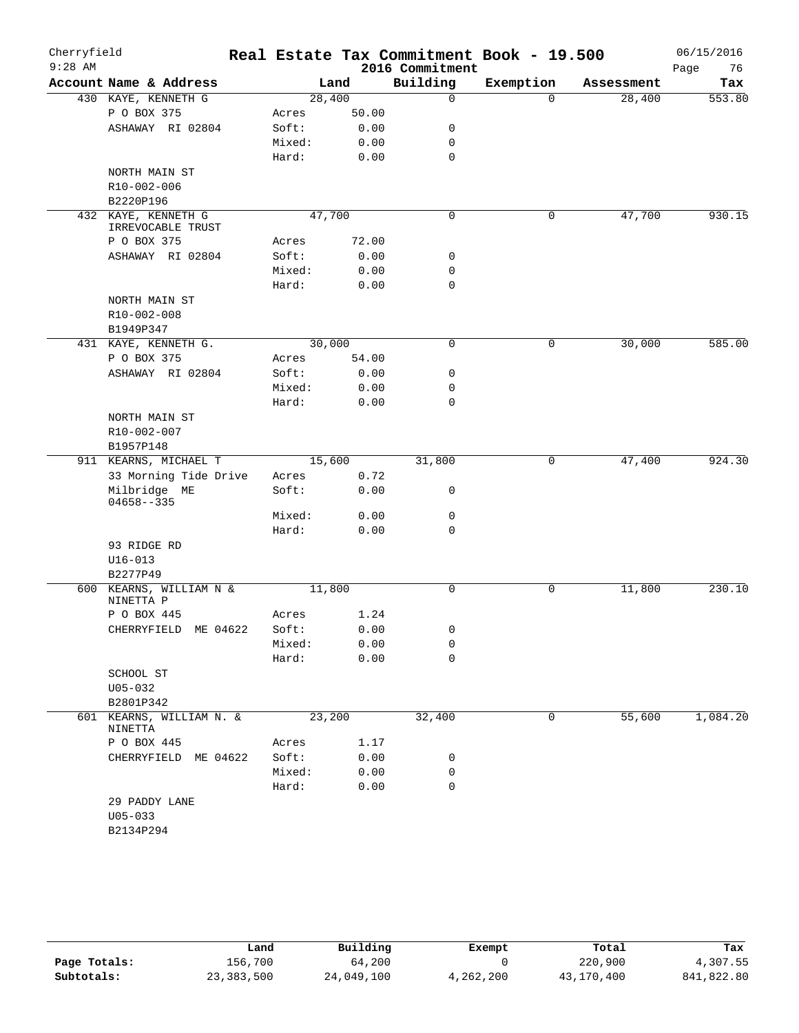| Cherryfield<br>$9:28$ AM |                                          |        |       | 2016 Commitment | Real Estate Tax Commitment Book - 19.500 |            | 06/15/2016<br>Page<br>76 |
|--------------------------|------------------------------------------|--------|-------|-----------------|------------------------------------------|------------|--------------------------|
|                          | Account Name & Address                   |        | Land  | Building        | Exemption                                | Assessment | Tax                      |
|                          | 430 KAYE, KENNETH G                      | 28,400 |       | $\mathbf 0$     | $\Omega$                                 | 28,400     | 553.80                   |
|                          | P O BOX 375                              | Acres  | 50.00 |                 |                                          |            |                          |
|                          | ASHAWAY RI 02804                         | Soft:  | 0.00  | 0               |                                          |            |                          |
|                          |                                          | Mixed: | 0.00  | 0               |                                          |            |                          |
|                          |                                          | Hard:  | 0.00  | $\mathbf 0$     |                                          |            |                          |
|                          | NORTH MAIN ST                            |        |       |                 |                                          |            |                          |
|                          | R10-002-006                              |        |       |                 |                                          |            |                          |
|                          | B2220P196                                |        |       |                 |                                          |            |                          |
|                          | 432 KAYE, KENNETH G<br>IRREVOCABLE TRUST | 47,700 |       | 0               | 0                                        | 47,700     | 930.15                   |
|                          | P O BOX 375                              | Acres  | 72.00 |                 |                                          |            |                          |
|                          | ASHAWAY RI 02804                         | Soft:  | 0.00  | 0               |                                          |            |                          |
|                          |                                          | Mixed: | 0.00  | 0               |                                          |            |                          |
|                          |                                          | Hard:  | 0.00  | $\mathbf 0$     |                                          |            |                          |
|                          | NORTH MAIN ST                            |        |       |                 |                                          |            |                          |
|                          | R10-002-008                              |        |       |                 |                                          |            |                          |
|                          | B1949P347                                |        |       |                 |                                          |            |                          |
|                          | 431 KAYE, KENNETH G.                     | 30,000 |       | $\mathbf 0$     | 0                                        | 30,000     | 585.00                   |
|                          | P O BOX 375                              | Acres  | 54.00 |                 |                                          |            |                          |
|                          | ASHAWAY RI 02804                         | Soft:  | 0.00  | 0               |                                          |            |                          |
|                          |                                          | Mixed: | 0.00  | 0               |                                          |            |                          |
|                          |                                          | Hard:  | 0.00  | 0               |                                          |            |                          |
|                          | NORTH MAIN ST                            |        |       |                 |                                          |            |                          |
|                          | R10-002-007                              |        |       |                 |                                          |            |                          |
|                          | B1957P148                                |        |       |                 |                                          |            |                          |
|                          | 911 KEARNS, MICHAEL T                    | 15,600 |       | 31,800          | 0                                        | 47,400     | 924.30                   |
|                          | 33 Morning Tide Drive                    | Acres  | 0.72  |                 |                                          |            |                          |
|                          | Milbridge ME<br>$04658 - -335$           | Soft:  | 0.00  | 0               |                                          |            |                          |
|                          |                                          | Mixed: | 0.00  | 0               |                                          |            |                          |
|                          |                                          | Hard:  | 0.00  | $\mathbf 0$     |                                          |            |                          |
|                          | 93 RIDGE RD                              |        |       |                 |                                          |            |                          |
|                          | $U16 - 013$                              |        |       |                 |                                          |            |                          |
|                          | B2277P49                                 |        |       |                 |                                          |            |                          |
|                          | 600 KEARNS, WILLIAM N &<br>NINETTA P     | 11,800 |       | 0               | 0                                        | 11,800     | 230.10                   |
|                          | P O BOX 445                              | Acres  | 1.24  |                 |                                          |            |                          |
|                          | CHERRYFIELD<br>ME 04622                  | Soft:  | 0.00  | 0               |                                          |            |                          |
|                          |                                          | Mixed: | 0.00  | 0               |                                          |            |                          |
|                          |                                          | Hard:  | 0.00  | 0               |                                          |            |                          |
|                          | SCHOOL ST                                |        |       |                 |                                          |            |                          |
|                          | $U05 - 032$                              |        |       |                 |                                          |            |                          |
|                          | B2801P342                                |        |       |                 |                                          |            |                          |
| 601                      | KEARNS, WILLIAM N. &<br>NINETTA          | 23,200 |       | 32,400          | 0                                        | 55,600     | 1,084.20                 |
|                          | P O BOX 445                              | Acres  | 1.17  |                 |                                          |            |                          |
|                          | CHERRYFIELD ME 04622                     | Soft:  | 0.00  | 0               |                                          |            |                          |
|                          |                                          | Mixed: | 0.00  | 0               |                                          |            |                          |
|                          |                                          | Hard:  | 0.00  | $\mathbf 0$     |                                          |            |                          |
|                          | 29 PADDY LANE                            |        |       |                 |                                          |            |                          |
|                          | $U05 - 033$                              |        |       |                 |                                          |            |                          |
|                          | B2134P294                                |        |       |                 |                                          |            |                          |
|                          |                                          |        |       |                 |                                          |            |                          |

|              | Land         | Building   | Exempt    | Total      | Tax        |
|--------------|--------------|------------|-----------|------------|------------|
| Page Totals: | 156,700      | 64,200     |           | 220,900    | 4,307.55   |
| Subtotals:   | 23, 383, 500 | 24,049,100 | 4,262,200 | 43,170,400 | 841,822.80 |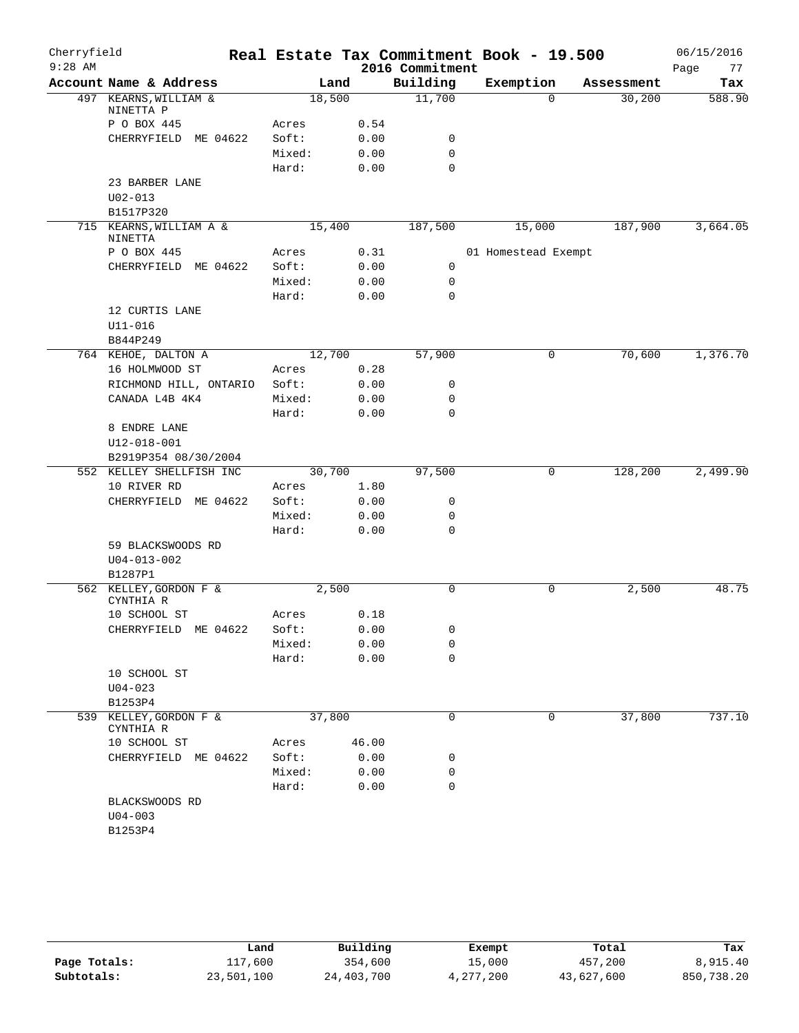| Cherryfield |                                     |                 |              |                  | Real Estate Tax Commitment Book - 19.500 |            | 06/15/2016 |
|-------------|-------------------------------------|-----------------|--------------|------------------|------------------------------------------|------------|------------|
| $9:28$ AM   |                                     |                 |              | 2016 Commitment  |                                          |            | 77<br>Page |
|             | Account Name & Address              |                 | Land         | Building         | Exemption                                | Assessment | Tax        |
|             | 497 KEARNS, WILLIAM &<br>NINETTA P  |                 | 18,500       | 11,700           | $\Omega$                                 | 30,200     | 588.90     |
|             | P O BOX 445                         | Acres           | 0.54         |                  |                                          |            |            |
|             | CHERRYFIELD ME 04622                | Soft:           | 0.00         | 0                |                                          |            |            |
|             |                                     | Mixed:          | 0.00         | $\mathbf 0$      |                                          |            |            |
|             |                                     | Hard:           | 0.00         | $\mathbf 0$      |                                          |            |            |
|             | 23 BARBER LANE                      |                 |              |                  |                                          |            |            |
|             | $U02 - 013$                         |                 |              |                  |                                          |            |            |
|             | B1517P320                           |                 |              |                  |                                          |            |            |
|             | 715 KEARNS, WILLIAM A &<br>NINETTA  |                 | 15,400       | 187,500          | 15,000                                   | 187,900    | 3,664.05   |
|             | P O BOX 445                         | Acres           | 0.31         |                  | 01 Homestead Exempt                      |            |            |
|             | CHERRYFIELD ME 04622                | Soft:           | 0.00         | 0                |                                          |            |            |
|             |                                     | Mixed:          | 0.00         | 0                |                                          |            |            |
|             |                                     | Hard:           | 0.00         | $\mathbf 0$      |                                          |            |            |
|             | 12 CURTIS LANE                      |                 |              |                  |                                          |            |            |
|             | $U11 - 016$                         |                 |              |                  |                                          |            |            |
|             | B844P249                            |                 |              |                  |                                          |            |            |
|             | 764 KEHOE, DALTON A                 |                 | 12,700       | 57,900           | $\mathbf 0$                              | 70,600     | 1,376.70   |
|             | 16 HOLMWOOD ST                      | Acres           | 0.28         |                  |                                          |            |            |
|             | RICHMOND HILL, ONTARIO              | Soft:           | 0.00         | 0                |                                          |            |            |
|             | CANADA L4B 4K4                      | Mixed:<br>Hard: | 0.00<br>0.00 | 0<br>$\mathbf 0$ |                                          |            |            |
|             | 8 ENDRE LANE                        |                 |              |                  |                                          |            |            |
|             | $U12 - 018 - 001$                   |                 |              |                  |                                          |            |            |
|             | B2919P354 08/30/2004                |                 |              |                  |                                          |            |            |
|             | 552 KELLEY SHELLFISH INC            |                 | 30,700       | 97,500           | 0                                        | 128,200    | 2,499.90   |
|             | 10 RIVER RD                         | Acres           | 1.80         |                  |                                          |            |            |
|             | CHERRYFIELD ME 04622                | Soft:           | 0.00         | 0                |                                          |            |            |
|             |                                     | Mixed:          | 0.00         | 0                |                                          |            |            |
|             |                                     | Hard:           | 0.00         | $\mathbf 0$      |                                          |            |            |
|             | 59 BLACKSWOODS RD                   |                 |              |                  |                                          |            |            |
|             | $U04 - 013 - 002$                   |                 |              |                  |                                          |            |            |
|             | B1287P1                             |                 |              |                  |                                          |            |            |
|             | 562 KELLEY, GORDON F &<br>CYNTHIA R |                 | 2,500        | $\mathbf 0$      | 0                                        | 2,500      | 48.75      |
|             | 10 SCHOOL ST                        | Acres           | 0.18         |                  |                                          |            |            |
|             | CHERRYFIELD ME 04622                | Soft:           | 0.00         | 0                |                                          |            |            |
|             |                                     | Mixed:          | 0.00         | 0                |                                          |            |            |
|             |                                     | Hard:           | 0.00         | 0                |                                          |            |            |
|             | 10 SCHOOL ST                        |                 |              |                  |                                          |            |            |
|             | $U04 - 023$<br>B1253P4              |                 |              |                  |                                          |            |            |
| 539         | KELLEY, GORDON F &<br>CYNTHIA R     |                 | 37,800       | 0                | 0                                        | 37,800     | 737.10     |
|             | 10 SCHOOL ST                        | Acres           | 46.00        |                  |                                          |            |            |
|             | CHERRYFIELD ME 04622                | Soft:           | 0.00         | 0                |                                          |            |            |
|             |                                     | Mixed:          | 0.00         | 0                |                                          |            |            |
|             |                                     | Hard:           | 0.00         | 0                |                                          |            |            |
|             | BLACKSWOODS RD                      |                 |              |                  |                                          |            |            |
|             | $U04 - 003$                         |                 |              |                  |                                          |            |            |
|             | B1253P4                             |                 |              |                  |                                          |            |            |
|             |                                     |                 |              |                  |                                          |            |            |

|              | Land       | Building   | Exempt    | Total      | Tax        |
|--------------|------------|------------|-----------|------------|------------|
| Page Totals: | 117,600    | 354,600    | 15,000    | 457,200    | 8,915.40   |
| Subtotals:   | 23,501,100 | 24,403,700 | 4,277,200 | 43,627,600 | 850,738.20 |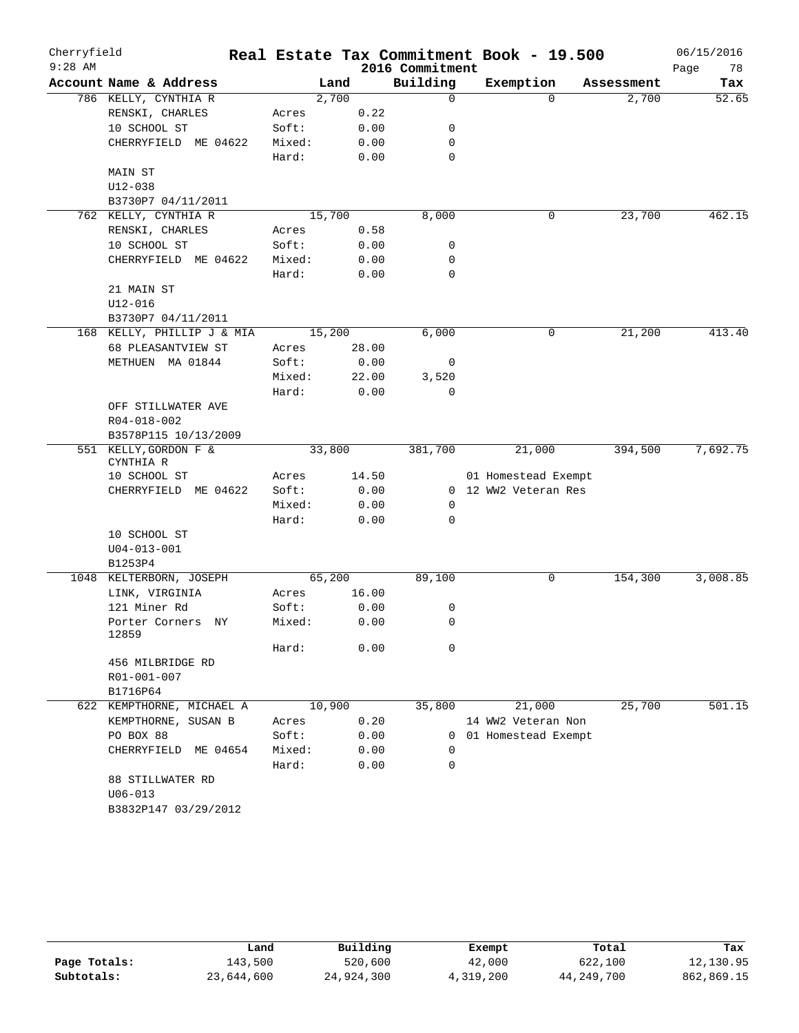| Cherryfield |                                |        |        |       |                 | Real Estate Tax Commitment Book - 19.500 |            | 06/15/2016 |
|-------------|--------------------------------|--------|--------|-------|-----------------|------------------------------------------|------------|------------|
| $9:28$ AM   |                                |        |        |       | 2016 Commitment |                                          |            | Page<br>78 |
|             | Account Name & Address         |        | Land   |       | Building        | Exemption                                | Assessment | Tax        |
|             | 786 KELLY, CYNTHIA R           |        | 2,700  |       | $\mathbf 0$     | 0                                        | 2,700      | 52.65      |
|             | RENSKI, CHARLES                | Acres  |        | 0.22  |                 |                                          |            |            |
|             | 10 SCHOOL ST                   | Soft:  |        | 0.00  | 0               |                                          |            |            |
|             | CHERRYFIELD ME 04622           | Mixed: |        | 0.00  | 0               |                                          |            |            |
|             |                                | Hard:  |        | 0.00  | 0               |                                          |            |            |
|             | MAIN ST                        |        |        |       |                 |                                          |            |            |
|             | $U12 - 038$                    |        |        |       |                 |                                          |            |            |
|             | B3730P7 04/11/2011             |        |        |       |                 |                                          |            |            |
|             | 762 KELLY, CYNTHIA R           |        | 15,700 |       | 8,000           | 0                                        | 23,700     | 462.15     |
|             | RENSKI, CHARLES                | Acres  |        | 0.58  |                 |                                          |            |            |
|             | 10 SCHOOL ST                   | Soft:  |        | 0.00  | 0               |                                          |            |            |
|             | CHERRYFIELD ME 04622           | Mixed: |        | 0.00  | 0               |                                          |            |            |
|             |                                | Hard:  |        | 0.00  | 0               |                                          |            |            |
|             | 21 MAIN ST                     |        |        |       |                 |                                          |            |            |
|             | U12-016                        |        |        |       |                 |                                          |            |            |
|             | B3730P7 04/11/2011             |        |        |       |                 |                                          |            |            |
|             | 168 KELLY, PHILLIP J & MIA     |        | 15,200 |       | 6,000           | 0                                        | 21,200     | 413.40     |
|             | 68 PLEASANTVIEW ST             | Acres  |        | 28.00 |                 |                                          |            |            |
|             | METHUEN MA 01844               | Soft:  |        | 0.00  | 0               |                                          |            |            |
|             |                                | Mixed: |        | 22.00 | 3,520           |                                          |            |            |
|             |                                | Hard:  |        | 0.00  | 0               |                                          |            |            |
|             | OFF STILLWATER AVE             |        |        |       |                 |                                          |            |            |
|             | R04-018-002                    |        |        |       |                 |                                          |            |            |
|             | B3578P115 10/13/2009           |        |        |       |                 |                                          |            |            |
| 551         | KELLY, GORDON F &<br>CYNTHIA R |        | 33,800 |       | 381,700         | 21,000                                   | 394,500    | 7,692.75   |
|             | 10 SCHOOL ST                   | Acres  |        | 14.50 |                 | 01 Homestead Exempt                      |            |            |
|             | CHERRYFIELD ME 04622           | Soft:  |        | 0.00  |                 | 0 12 WW2 Veteran Res                     |            |            |
|             |                                | Mixed: |        | 0.00  | 0               |                                          |            |            |
|             |                                | Hard:  |        | 0.00  | 0               |                                          |            |            |
|             | 10 SCHOOL ST                   |        |        |       |                 |                                          |            |            |
|             | $U04 - 013 - 001$              |        |        |       |                 |                                          |            |            |
|             | B1253P4                        |        |        |       |                 |                                          |            |            |
|             | 1048 KELTERBORN, JOSEPH        |        | 65,200 |       | 89,100          | 0                                        | 154,300    | 3,008.85   |
|             | LINK, VIRGINIA                 | Acres  |        | 16.00 |                 |                                          |            |            |
|             | 121 Miner Rd                   | Soft:  |        | 0.00  | 0               |                                          |            |            |
|             | Porter Corners NY<br>12859     | Mixed: |        | 0.00  | 0               |                                          |            |            |
|             |                                | Hard:  |        | 0.00  | 0               |                                          |            |            |
|             | 456 MILBRIDGE RD               |        |        |       |                 |                                          |            |            |
|             | R01-001-007                    |        |        |       |                 |                                          |            |            |
|             | B1716P64                       |        |        |       |                 |                                          |            |            |
|             | 622 KEMPTHORNE, MICHAEL A      |        | 10,900 |       | 35,800          | 21,000                                   | 25,700     | 501.15     |
|             | KEMPTHORNE, SUSAN B            | Acres  |        | 0.20  |                 | 14 WW2 Veteran Non                       |            |            |
|             | PO BOX 88                      | Soft:  |        | 0.00  | 0               | 01 Homestead Exempt                      |            |            |
|             | CHERRYFIELD ME 04654           | Mixed: |        | 0.00  | 0               |                                          |            |            |
|             |                                | Hard:  |        | 0.00  | $\Omega$        |                                          |            |            |
|             | 88 STILLWATER RD               |        |        |       |                 |                                          |            |            |
|             | $U06 - 013$                    |        |        |       |                 |                                          |            |            |
|             | B3832P147 03/29/2012           |        |        |       |                 |                                          |            |            |
|             |                                |        |        |       |                 |                                          |            |            |

|              | Land       | Building   | Exempt    | Total        | Tax        |
|--------------|------------|------------|-----------|--------------|------------|
| Page Totals: | 143,500    | 520,600    | 42,000    | 622,100      | 12,130.95  |
| Subtotals:   | 23,644,600 | 24,924,300 | 4,319,200 | 44, 249, 700 | 862,869.15 |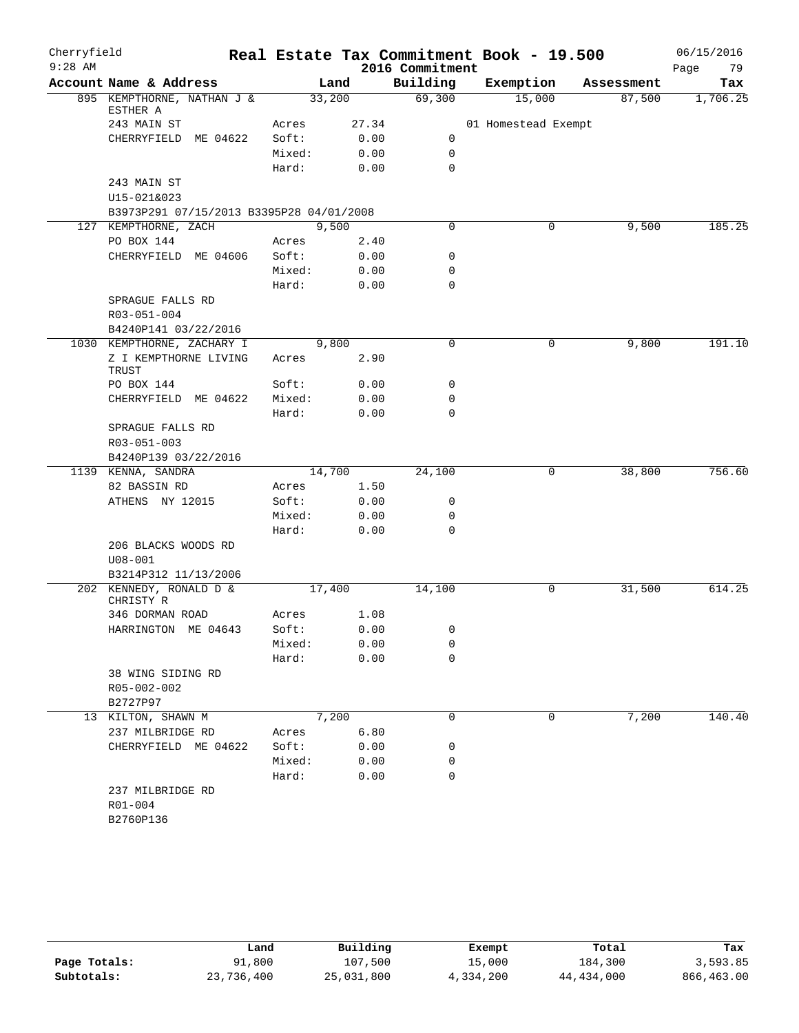| Cherryfield |                                          |        |       |                 | Real Estate Tax Commitment Book - 19.500 |            | 06/15/2016 |
|-------------|------------------------------------------|--------|-------|-----------------|------------------------------------------|------------|------------|
| $9:28$ AM   |                                          |        |       | 2016 Commitment |                                          |            | Page<br>79 |
|             | Account Name & Address                   |        | Land  | Building        | Exemption                                | Assessment | Tax        |
|             | 895 KEMPTHORNE, NATHAN J &<br>ESTHER A   | 33,200 |       | 69,300          | 15,000                                   | 87,500     | 1,706.25   |
|             | 243 MAIN ST                              | Acres  | 27.34 |                 | 01 Homestead Exempt                      |            |            |
|             | CHERRYFIELD ME 04622                     | Soft:  | 0.00  | 0               |                                          |            |            |
|             |                                          | Mixed: | 0.00  | 0               |                                          |            |            |
|             |                                          | Hard:  | 0.00  | $\mathbf 0$     |                                          |            |            |
|             | 243 MAIN ST                              |        |       |                 |                                          |            |            |
|             | U15-021&023                              |        |       |                 |                                          |            |            |
|             | B3973P291 07/15/2013 B3395P28 04/01/2008 |        |       |                 |                                          |            |            |
|             | 127 KEMPTHORNE, ZACH                     |        | 9,500 | $\mathbf 0$     | 0                                        | 9,500      | 185.25     |
|             | PO BOX 144                               | Acres  | 2.40  |                 |                                          |            |            |
|             | CHERRYFIELD ME 04606                     | Soft:  | 0.00  | 0               |                                          |            |            |
|             |                                          | Mixed: | 0.00  | 0               |                                          |            |            |
|             |                                          | Hard:  | 0.00  | $\mathbf 0$     |                                          |            |            |
|             | SPRAGUE FALLS RD                         |        |       |                 |                                          |            |            |
|             | R03-051-004                              |        |       |                 |                                          |            |            |
|             | B4240P141 03/22/2016                     |        |       |                 |                                          |            |            |
|             | 1030 KEMPTHORNE, ZACHARY I               |        | 9,800 | $\mathbf 0$     | 0                                        | 9,800      | 191.10     |
|             | Z I KEMPTHORNE LIVING<br>TRUST           | Acres  | 2.90  |                 |                                          |            |            |
|             | PO BOX 144                               | Soft:  | 0.00  | 0               |                                          |            |            |
|             | CHERRYFIELD ME 04622                     | Mixed: | 0.00  | 0               |                                          |            |            |
|             |                                          | Hard:  | 0.00  | $\Omega$        |                                          |            |            |
|             | SPRAGUE FALLS RD                         |        |       |                 |                                          |            |            |
|             | R03-051-003                              |        |       |                 |                                          |            |            |
|             | B4240P139 03/22/2016                     |        |       |                 |                                          |            |            |
|             | 1139 KENNA, SANDRA                       | 14,700 |       | 24,100          | 0                                        | 38,800     | 756.60     |
|             | 82 BASSIN RD                             | Acres  | 1.50  |                 |                                          |            |            |
|             | ATHENS NY 12015                          | Soft:  | 0.00  | 0               |                                          |            |            |
|             |                                          | Mixed: | 0.00  | 0               |                                          |            |            |
|             |                                          | Hard:  | 0.00  | 0               |                                          |            |            |
|             | 206 BLACKS WOODS RD<br>$U08 - 001$       |        |       |                 |                                          |            |            |
|             | B3214P312 11/13/2006                     |        |       |                 |                                          |            |            |
|             | 202 KENNEDY, RONALD D &<br>CHRISTY R     | 17,400 |       | 14,100          | 0                                        | 31,500     | 614.25     |
|             | 346 DORMAN ROAD                          | Acres  | 1.08  |                 |                                          |            |            |
|             | HARRINGTON ME 04643                      | Soft:  | 0.00  | 0               |                                          |            |            |
|             |                                          | Mixed: | 0.00  | 0               |                                          |            |            |
|             |                                          | Hard:  | 0.00  | 0               |                                          |            |            |
|             | 38 WING SIDING RD                        |        |       |                 |                                          |            |            |
|             | R05-002-002                              |        |       |                 |                                          |            |            |
|             | B2727P97                                 |        |       |                 |                                          |            |            |
|             | 13 KILTON, SHAWN M                       |        | 7,200 | $\mathbf 0$     | 0                                        | 7,200      | 140.40     |
|             | 237 MILBRIDGE RD                         | Acres  | 6.80  |                 |                                          |            |            |
|             | CHERRYFIELD ME 04622                     | Soft:  | 0.00  | 0               |                                          |            |            |
|             |                                          | Mixed: | 0.00  | 0               |                                          |            |            |
|             |                                          | Hard:  | 0.00  | 0               |                                          |            |            |
|             | 237 MILBRIDGE RD<br>R01-004<br>B2760P136 |        |       |                 |                                          |            |            |
|             |                                          |        |       |                 |                                          |            |            |

|              | Land       | Building   | Exempt    | Total        | Tax        |
|--------------|------------|------------|-----------|--------------|------------|
| Page Totals: | 91,800     | 107,500    | 15,000    | 184,300      | 3,593.85   |
| Subtotals:   | 23,736,400 | 25,031,800 | 4,334,200 | 44, 434, 000 | 866,463.00 |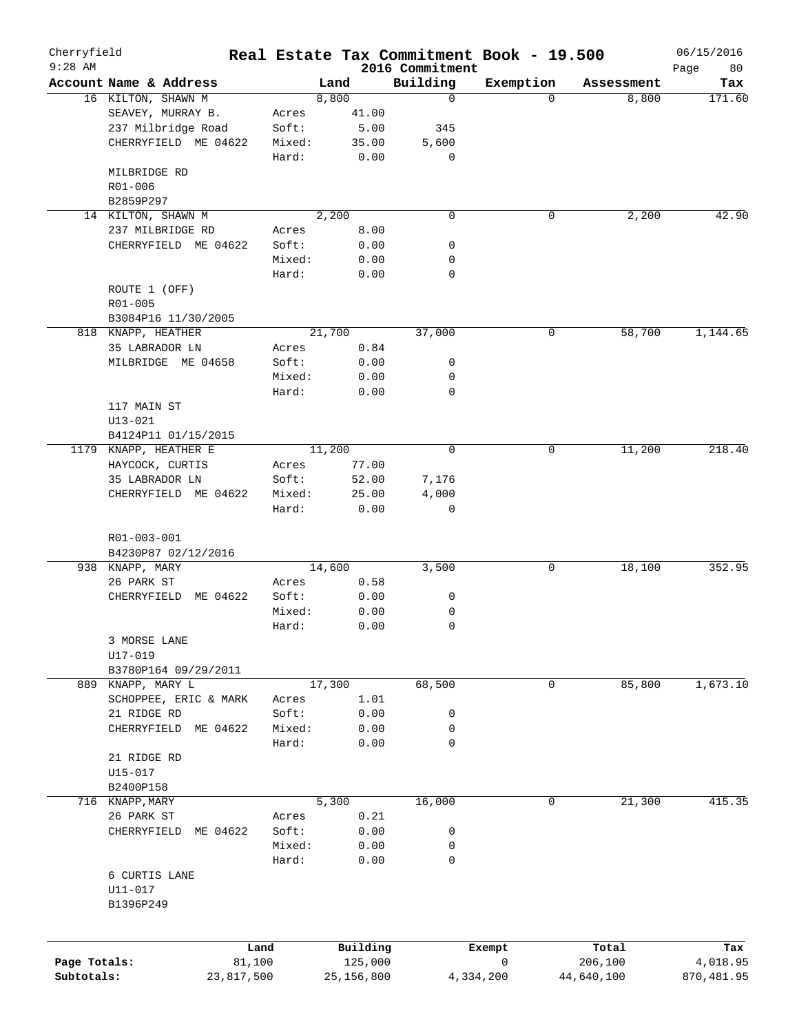| Cherryfield<br>$9:28$ AM |                         |        |                     | 2016 Commitment | Real Estate Tax Commitment Book - 19.500 |                  | 06/15/2016        |
|--------------------------|-------------------------|--------|---------------------|-----------------|------------------------------------------|------------------|-------------------|
|                          | Account Name & Address  |        | Land                | Building        | Exemption                                | Assessment       | 80<br>Page<br>Tax |
|                          | 16 KILTON, SHAWN M      |        | 8,800               | $\mathbf 0$     | $\Omega$                                 | 8,800            | 171.60            |
|                          | SEAVEY, MURRAY B.       | Acres  | 41.00               |                 |                                          |                  |                   |
|                          | 237 Milbridge Road      | Soft:  | 5.00                | 345             |                                          |                  |                   |
|                          | CHERRYFIELD ME 04622    | Mixed: | 35.00               | 5,600           |                                          |                  |                   |
|                          |                         | Hard:  | 0.00                | 0               |                                          |                  |                   |
|                          | MILBRIDGE RD            |        |                     |                 |                                          |                  |                   |
|                          | R01-006                 |        |                     |                 |                                          |                  |                   |
|                          | B2859P297               |        |                     |                 |                                          |                  |                   |
|                          | 14 KILTON, SHAWN M      |        | 2,200               | $\mathbf 0$     | 0                                        | 2,200            | 42.90             |
|                          | 237 MILBRIDGE RD        | Acres  | 8.00                |                 |                                          |                  |                   |
|                          | CHERRYFIELD ME 04622    | Soft:  | 0.00                | 0               |                                          |                  |                   |
|                          |                         | Mixed: | 0.00                | 0               |                                          |                  |                   |
|                          |                         | Hard:  | 0.00                | 0               |                                          |                  |                   |
|                          |                         |        |                     |                 |                                          |                  |                   |
|                          | ROUTE 1 (OFF)           |        |                     |                 |                                          |                  |                   |
|                          | R01-005                 |        |                     |                 |                                          |                  |                   |
|                          | B3084P16 11/30/2005     |        |                     |                 |                                          |                  |                   |
|                          | 818 KNAPP, HEATHER      |        | 21,700              | 37,000          | 0                                        | 58,700           | 1,144.65          |
|                          | 35 LABRADOR LN          | Acres  | 0.84                |                 |                                          |                  |                   |
|                          | MILBRIDGE ME 04658      | Soft:  | 0.00                | 0               |                                          |                  |                   |
|                          |                         | Mixed: | 0.00                | 0               |                                          |                  |                   |
|                          |                         | Hard:  | 0.00                | $\mathbf 0$     |                                          |                  |                   |
|                          | 117 MAIN ST             |        |                     |                 |                                          |                  |                   |
|                          | $U13 - 021$             |        |                     |                 |                                          |                  |                   |
|                          | B4124P11 01/15/2015     |        |                     |                 |                                          |                  |                   |
| 1179                     | KNAPP, HEATHER E        |        | 11,200              | $\mathbf 0$     | 0                                        | 11,200           | 218.40            |
|                          | HAYCOCK, CURTIS         | Acres  | 77.00               |                 |                                          |                  |                   |
|                          | 35 LABRADOR LN          | Soft:  | 52.00               | 7,176           |                                          |                  |                   |
|                          | CHERRYFIELD ME 04622    | Mixed: | 25.00               | 4,000           |                                          |                  |                   |
|                          |                         | Hard:  | 0.00                | $\mathbf 0$     |                                          |                  |                   |
|                          |                         |        |                     |                 |                                          |                  |                   |
|                          | R01-003-001             |        |                     |                 |                                          |                  |                   |
|                          | B4230P87 02/12/2016     |        |                     |                 |                                          |                  |                   |
|                          | 938 KNAPP, MARY         |        | 14,600              | 3,500           | 0                                        | 18,100           | 352.95            |
|                          | 26 PARK ST              | Acres  | 0.58                |                 |                                          |                  |                   |
|                          | ME 04622<br>CHERRYFIELD | Soft:  | 0.00                | 0               |                                          |                  |                   |
|                          |                         | Mixed: | 0.00                | 0               |                                          |                  |                   |
|                          |                         | Hard:  | 0.00                | 0               |                                          |                  |                   |
|                          | 3 MORSE LANE            |        |                     |                 |                                          |                  |                   |
|                          | $U17 - 019$             |        |                     |                 |                                          |                  |                   |
|                          | B3780P164 09/29/2011    |        |                     |                 |                                          |                  |                   |
|                          | 889 KNAPP, MARY L       |        | 17,300              | 68,500          | 0                                        | 85,800           | 1,673.10          |
|                          | SCHOPPEE, ERIC & MARK   | Acres  | 1.01                |                 |                                          |                  |                   |
|                          | 21 RIDGE RD             | Soft:  | 0.00                | 0               |                                          |                  |                   |
|                          | CHERRYFIELD<br>ME 04622 | Mixed: | 0.00                | 0               |                                          |                  |                   |
|                          |                         | Hard:  | 0.00                | 0               |                                          |                  |                   |
|                          | 21 RIDGE RD             |        |                     |                 |                                          |                  |                   |
|                          | U15-017                 |        |                     |                 |                                          |                  |                   |
|                          | B2400P158               |        |                     |                 |                                          |                  |                   |
|                          | 716 KNAPP, MARY         |        | 5,300               | 16,000          | 0                                        | 21,300           | 415.35            |
|                          | 26 PARK ST              | Acres  | 0.21                |                 |                                          |                  |                   |
|                          | ME 04622<br>CHERRYFIELD | Soft:  | 0.00                | 0               |                                          |                  |                   |
|                          |                         | Mixed: | 0.00                | 0               |                                          |                  |                   |
|                          |                         | Hard:  | 0.00                | 0               |                                          |                  |                   |
|                          | 6 CURTIS LANE           |        |                     |                 |                                          |                  |                   |
|                          | U11-017                 |        |                     |                 |                                          |                  |                   |
|                          | B1396P249               |        |                     |                 |                                          |                  |                   |
|                          |                         |        |                     |                 |                                          |                  |                   |
|                          |                         |        |                     |                 |                                          |                  |                   |
| Page Totals:             | 81,100                  | Land   | Building<br>125,000 |                 | Exempt<br>0                              | Total<br>206,100 | Tax<br>4,018.95   |
| Subtotals:               |                         |        | 25, 156, 800        |                 |                                          | 44,640,100       | 870,481.95        |
|                          | 23,817,500              |        |                     |                 | 4,334,200                                |                  |                   |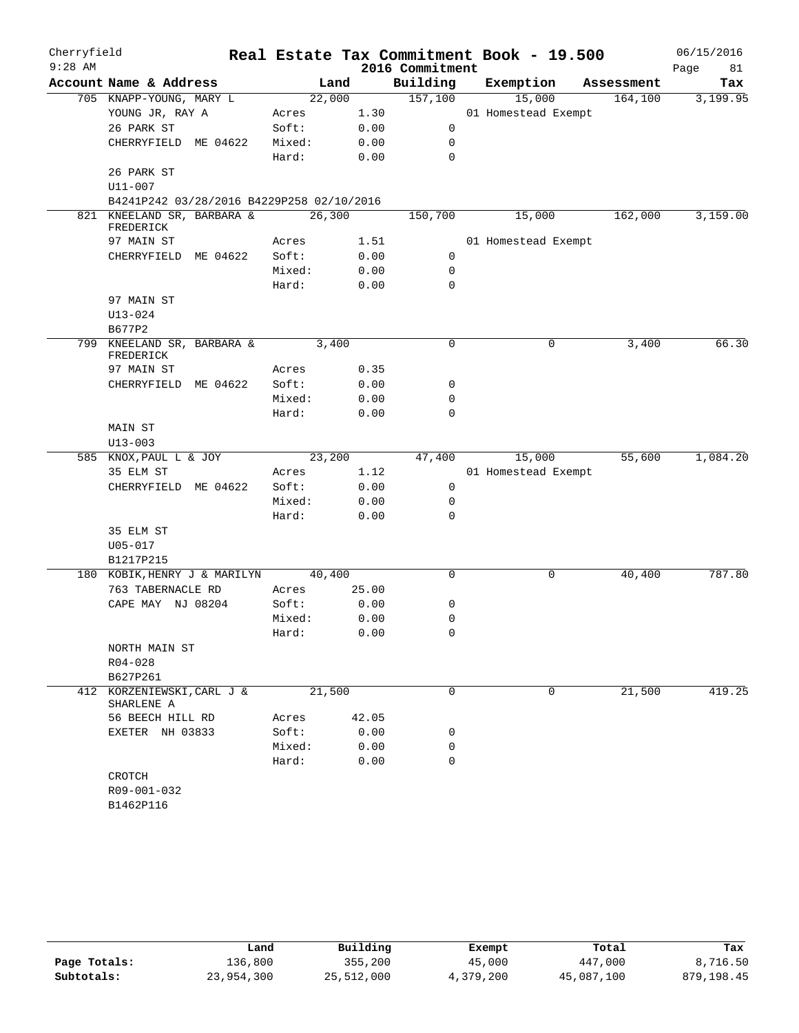| Cherryfield |                                           |        |        |                 | Real Estate Tax Commitment Book - 19.500 |            | 06/15/2016 |
|-------------|-------------------------------------------|--------|--------|-----------------|------------------------------------------|------------|------------|
| $9:28$ AM   |                                           |        |        | 2016 Commitment |                                          |            | Page<br>81 |
|             | Account Name & Address                    |        | Land   | Building        | Exemption                                | Assessment | Tax        |
|             | 705 KNAPP-YOUNG, MARY L                   |        | 22,000 | 157,100         | 15,000                                   | 164, 100   | 3,199.95   |
|             | YOUNG JR, RAY A                           | Acres  | 1.30   |                 | 01 Homestead Exempt                      |            |            |
|             | 26 PARK ST                                | Soft:  | 0.00   | 0               |                                          |            |            |
|             | CHERRYFIELD ME 04622                      | Mixed: | 0.00   | 0               |                                          |            |            |
|             |                                           | Hard:  | 0.00   | $\mathbf 0$     |                                          |            |            |
|             | 26 PARK ST                                |        |        |                 |                                          |            |            |
|             | U11-007                                   |        |        |                 |                                          |            |            |
|             | B4241P242 03/28/2016 B4229P258 02/10/2016 |        |        |                 |                                          |            |            |
|             | 821 KNEELAND SR, BARBARA &<br>FREDERICK   |        | 26,300 | 150,700         | 15,000                                   | 162,000    | 3,159.00   |
|             | 97 MAIN ST                                | Acres  | 1.51   |                 | 01 Homestead Exempt                      |            |            |
|             | CHERRYFIELD ME 04622                      | Soft:  | 0.00   | 0               |                                          |            |            |
|             |                                           | Mixed: | 0.00   | 0               |                                          |            |            |
|             |                                           | Hard:  | 0.00   | 0               |                                          |            |            |
|             | 97 MAIN ST                                |        |        |                 |                                          |            |            |
|             | $U13 - 024$                               |        |        |                 |                                          |            |            |
|             | B677P2                                    |        |        |                 |                                          |            |            |
|             | 799 KNEELAND SR, BARBARA & 3,400          |        |        | $\mathbf 0$     | 0                                        | 3,400      | 66.30      |
|             | FREDERICK                                 |        |        |                 |                                          |            |            |
|             | 97 MAIN ST                                | Acres  | 0.35   |                 |                                          |            |            |
|             | CHERRYFIELD ME 04622                      | Soft:  | 0.00   | 0               |                                          |            |            |
|             |                                           | Mixed: | 0.00   | $\mathbf 0$     |                                          |            |            |
|             |                                           | Hard:  | 0.00   | $\mathbf 0$     |                                          |            |            |
|             | MAIN ST                                   |        |        |                 |                                          |            |            |
|             | $U13 - 003$                               |        |        |                 |                                          |            |            |
|             | 585 KNOX, PAUL L & JOY                    |        | 23,200 | 47,400          | 15,000                                   | 55,600     | 1,084.20   |
|             | 35 ELM ST                                 | Acres  | 1.12   |                 | 01 Homestead Exempt                      |            |            |
|             | CHERRYFIELD ME 04622                      | Soft:  | 0.00   | 0               |                                          |            |            |
|             |                                           | Mixed: | 0.00   | 0               |                                          |            |            |
|             |                                           | Hard:  | 0.00   | 0               |                                          |            |            |
|             | 35 ELM ST                                 |        |        |                 |                                          |            |            |
|             | $U05 - 017$                               |        |        |                 |                                          |            |            |
|             | B1217P215                                 |        |        |                 |                                          |            |            |
|             | 180 KOBIK, HENRY J & MARILYN              |        | 40,400 | 0               | 0                                        | 40,400     | 787.80     |
|             | 763 TABERNACLE RD                         | Acres  | 25.00  |                 |                                          |            |            |
|             | CAPE MAY NJ 08204                         | Soft:  | 0.00   | 0               |                                          |            |            |
|             |                                           | Mixed: | 0.00   | 0               |                                          |            |            |
|             |                                           | Hard:  | 0.00   | $\Omega$        |                                          |            |            |
|             | NORTH MAIN ST                             |        |        |                 |                                          |            |            |
|             | R04-028                                   |        |        |                 |                                          |            |            |
|             | B627P261                                  |        |        |                 |                                          |            |            |
|             | 412 KORZENIEWSKI, CARL J &                |        | 21,500 | $\Omega$        | 0                                        | 21,500     | 419.25     |
|             | SHARLENE A                                |        |        |                 |                                          |            |            |
|             | 56 BEECH HILL RD                          | Acres  | 42.05  |                 |                                          |            |            |
|             | EXETER NH 03833                           | Soft:  | 0.00   | 0               |                                          |            |            |
|             |                                           | Mixed: | 0.00   | 0               |                                          |            |            |
|             |                                           | Hard:  | 0.00   | $\mathbf 0$     |                                          |            |            |
|             | CROTCH                                    |        |        |                 |                                          |            |            |
|             | R09-001-032                               |        |        |                 |                                          |            |            |
|             | B1462P116                                 |        |        |                 |                                          |            |            |

|              | Land       | Building   | Exempt    | Total      | Tax        |
|--------------|------------|------------|-----------|------------|------------|
| Page Totals: | 136,800    | 355,200    | 45,000    | 447,000    | 8,716.50   |
| Subtotals:   | 23,954,300 | 25,512,000 | 4,379,200 | 45,087,100 | 879,198.45 |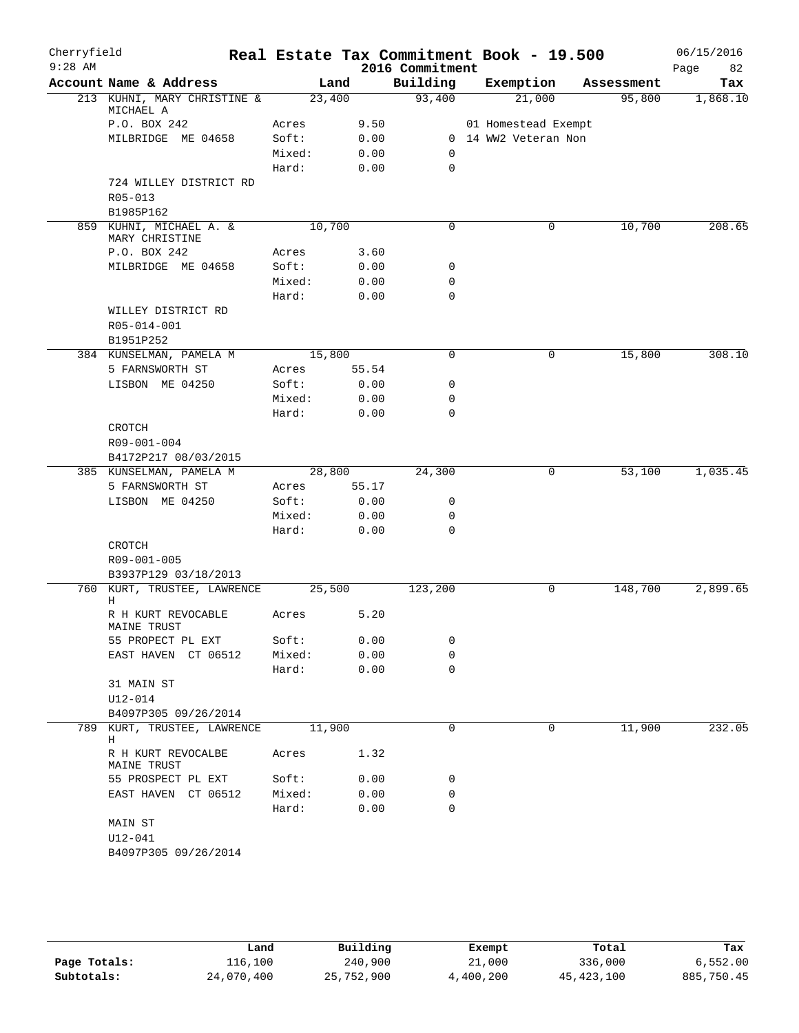| Building<br>Account Name & Address<br>Land<br>Exemption<br>Assessment<br>93,400<br>213 KUHNI, MARY CHRISTINE &<br>23,400<br>21,000<br>95,800<br>MICHAEL A<br>P.O. BOX 242<br>9.50<br>Acres<br>01 Homestead Exempt<br>Soft:<br>0.00<br>0 14 WW2 Veteran Non<br>MILBRIDGE ME 04658<br>Mixed:<br>0.00<br>0<br>Hard:<br>0.00<br>0<br>724 WILLEY DISTRICT RD<br>R05-013<br>B1985P162<br>859 KUHNI, MICHAEL A. &<br>10,700<br>$\Omega$<br>10,700<br>0<br>MARY CHRISTINE<br>P.O. BOX 242<br>Acres<br>3.60<br>MILBRIDGE ME 04658<br>Soft:<br>0.00<br>0<br>Mixed:<br>0.00<br>0<br>Hard:<br>$\mathbf 0$<br>0.00<br>WILLEY DISTRICT RD<br>R05-014-001<br>B1951P252<br>384 KUNSELMAN, PAMELA M<br>15,800<br>$\mathbf 0$<br>15,800<br>0<br>5 FARNSWORTH ST<br>Acres<br>55.54<br>Soft:<br>LISBON ME 04250<br>0.00<br>0<br>Mixed:<br>0.00<br>0<br>Hard:<br>0.00<br>0<br>CROTCH<br>R09-001-004<br>B4172P217 08/03/2015<br>28,800<br>24,300<br>385 KUNSELMAN, PAMELA M<br>0<br>53,100<br>5 FARNSWORTH ST<br>55.17<br>Acres<br>LISBON ME 04250<br>Soft:<br>0.00<br>0<br>0.00<br>Mixed:<br>0<br>Hard:<br>0.00<br>0<br>CROTCH<br>R09-001-005<br>B3937P129 03/18/2013<br>760 KURT, TRUSTEE, LAWRENCE<br>25,500<br>123,200<br>148,700<br>0<br>Н<br>5.20<br>R H KURT REVOCABLE<br>Acres<br>MAINE TRUST<br>Soft:<br>0.00<br>0<br>55 PROPECT PL EXT<br>EAST HAVEN CT 06512<br>Mixed:<br>0.00<br>0<br>0.00<br>$\mathbf 0$<br>Hard:<br>31 MAIN ST<br>U12-014<br>B4097P305 09/26/2014<br>11,900<br>789 KURT, TRUSTEE, LAWRENCE<br>0<br>0<br>11,900 | 06/15/2016<br>82<br>Page |
|------------------------------------------------------------------------------------------------------------------------------------------------------------------------------------------------------------------------------------------------------------------------------------------------------------------------------------------------------------------------------------------------------------------------------------------------------------------------------------------------------------------------------------------------------------------------------------------------------------------------------------------------------------------------------------------------------------------------------------------------------------------------------------------------------------------------------------------------------------------------------------------------------------------------------------------------------------------------------------------------------------------------------------------------------------------------------------------------------------------------------------------------------------------------------------------------------------------------------------------------------------------------------------------------------------------------------------------------------------------------------------------------------------------------------------------------------------------------------------------------------------------------|--------------------------|
|                                                                                                                                                                                                                                                                                                                                                                                                                                                                                                                                                                                                                                                                                                                                                                                                                                                                                                                                                                                                                                                                                                                                                                                                                                                                                                                                                                                                                                                                                                                        | Tax                      |
|                                                                                                                                                                                                                                                                                                                                                                                                                                                                                                                                                                                                                                                                                                                                                                                                                                                                                                                                                                                                                                                                                                                                                                                                                                                                                                                                                                                                                                                                                                                        | 1,868.10                 |
|                                                                                                                                                                                                                                                                                                                                                                                                                                                                                                                                                                                                                                                                                                                                                                                                                                                                                                                                                                                                                                                                                                                                                                                                                                                                                                                                                                                                                                                                                                                        |                          |
|                                                                                                                                                                                                                                                                                                                                                                                                                                                                                                                                                                                                                                                                                                                                                                                                                                                                                                                                                                                                                                                                                                                                                                                                                                                                                                                                                                                                                                                                                                                        |                          |
|                                                                                                                                                                                                                                                                                                                                                                                                                                                                                                                                                                                                                                                                                                                                                                                                                                                                                                                                                                                                                                                                                                                                                                                                                                                                                                                                                                                                                                                                                                                        |                          |
|                                                                                                                                                                                                                                                                                                                                                                                                                                                                                                                                                                                                                                                                                                                                                                                                                                                                                                                                                                                                                                                                                                                                                                                                                                                                                                                                                                                                                                                                                                                        |                          |
|                                                                                                                                                                                                                                                                                                                                                                                                                                                                                                                                                                                                                                                                                                                                                                                                                                                                                                                                                                                                                                                                                                                                                                                                                                                                                                                                                                                                                                                                                                                        |                          |
|                                                                                                                                                                                                                                                                                                                                                                                                                                                                                                                                                                                                                                                                                                                                                                                                                                                                                                                                                                                                                                                                                                                                                                                                                                                                                                                                                                                                                                                                                                                        |                          |
|                                                                                                                                                                                                                                                                                                                                                                                                                                                                                                                                                                                                                                                                                                                                                                                                                                                                                                                                                                                                                                                                                                                                                                                                                                                                                                                                                                                                                                                                                                                        |                          |
|                                                                                                                                                                                                                                                                                                                                                                                                                                                                                                                                                                                                                                                                                                                                                                                                                                                                                                                                                                                                                                                                                                                                                                                                                                                                                                                                                                                                                                                                                                                        | 208.65                   |
|                                                                                                                                                                                                                                                                                                                                                                                                                                                                                                                                                                                                                                                                                                                                                                                                                                                                                                                                                                                                                                                                                                                                                                                                                                                                                                                                                                                                                                                                                                                        |                          |
|                                                                                                                                                                                                                                                                                                                                                                                                                                                                                                                                                                                                                                                                                                                                                                                                                                                                                                                                                                                                                                                                                                                                                                                                                                                                                                                                                                                                                                                                                                                        |                          |
|                                                                                                                                                                                                                                                                                                                                                                                                                                                                                                                                                                                                                                                                                                                                                                                                                                                                                                                                                                                                                                                                                                                                                                                                                                                                                                                                                                                                                                                                                                                        |                          |
|                                                                                                                                                                                                                                                                                                                                                                                                                                                                                                                                                                                                                                                                                                                                                                                                                                                                                                                                                                                                                                                                                                                                                                                                                                                                                                                                                                                                                                                                                                                        |                          |
|                                                                                                                                                                                                                                                                                                                                                                                                                                                                                                                                                                                                                                                                                                                                                                                                                                                                                                                                                                                                                                                                                                                                                                                                                                                                                                                                                                                                                                                                                                                        |                          |
|                                                                                                                                                                                                                                                                                                                                                                                                                                                                                                                                                                                                                                                                                                                                                                                                                                                                                                                                                                                                                                                                                                                                                                                                                                                                                                                                                                                                                                                                                                                        |                          |
|                                                                                                                                                                                                                                                                                                                                                                                                                                                                                                                                                                                                                                                                                                                                                                                                                                                                                                                                                                                                                                                                                                                                                                                                                                                                                                                                                                                                                                                                                                                        |                          |
|                                                                                                                                                                                                                                                                                                                                                                                                                                                                                                                                                                                                                                                                                                                                                                                                                                                                                                                                                                                                                                                                                                                                                                                                                                                                                                                                                                                                                                                                                                                        |                          |
|                                                                                                                                                                                                                                                                                                                                                                                                                                                                                                                                                                                                                                                                                                                                                                                                                                                                                                                                                                                                                                                                                                                                                                                                                                                                                                                                                                                                                                                                                                                        | 308.10                   |
|                                                                                                                                                                                                                                                                                                                                                                                                                                                                                                                                                                                                                                                                                                                                                                                                                                                                                                                                                                                                                                                                                                                                                                                                                                                                                                                                                                                                                                                                                                                        |                          |
|                                                                                                                                                                                                                                                                                                                                                                                                                                                                                                                                                                                                                                                                                                                                                                                                                                                                                                                                                                                                                                                                                                                                                                                                                                                                                                                                                                                                                                                                                                                        |                          |
|                                                                                                                                                                                                                                                                                                                                                                                                                                                                                                                                                                                                                                                                                                                                                                                                                                                                                                                                                                                                                                                                                                                                                                                                                                                                                                                                                                                                                                                                                                                        |                          |
|                                                                                                                                                                                                                                                                                                                                                                                                                                                                                                                                                                                                                                                                                                                                                                                                                                                                                                                                                                                                                                                                                                                                                                                                                                                                                                                                                                                                                                                                                                                        |                          |
|                                                                                                                                                                                                                                                                                                                                                                                                                                                                                                                                                                                                                                                                                                                                                                                                                                                                                                                                                                                                                                                                                                                                                                                                                                                                                                                                                                                                                                                                                                                        |                          |
|                                                                                                                                                                                                                                                                                                                                                                                                                                                                                                                                                                                                                                                                                                                                                                                                                                                                                                                                                                                                                                                                                                                                                                                                                                                                                                                                                                                                                                                                                                                        |                          |
|                                                                                                                                                                                                                                                                                                                                                                                                                                                                                                                                                                                                                                                                                                                                                                                                                                                                                                                                                                                                                                                                                                                                                                                                                                                                                                                                                                                                                                                                                                                        |                          |
|                                                                                                                                                                                                                                                                                                                                                                                                                                                                                                                                                                                                                                                                                                                                                                                                                                                                                                                                                                                                                                                                                                                                                                                                                                                                                                                                                                                                                                                                                                                        | 1,035.45                 |
|                                                                                                                                                                                                                                                                                                                                                                                                                                                                                                                                                                                                                                                                                                                                                                                                                                                                                                                                                                                                                                                                                                                                                                                                                                                                                                                                                                                                                                                                                                                        |                          |
|                                                                                                                                                                                                                                                                                                                                                                                                                                                                                                                                                                                                                                                                                                                                                                                                                                                                                                                                                                                                                                                                                                                                                                                                                                                                                                                                                                                                                                                                                                                        |                          |
|                                                                                                                                                                                                                                                                                                                                                                                                                                                                                                                                                                                                                                                                                                                                                                                                                                                                                                                                                                                                                                                                                                                                                                                                                                                                                                                                                                                                                                                                                                                        |                          |
|                                                                                                                                                                                                                                                                                                                                                                                                                                                                                                                                                                                                                                                                                                                                                                                                                                                                                                                                                                                                                                                                                                                                                                                                                                                                                                                                                                                                                                                                                                                        |                          |
|                                                                                                                                                                                                                                                                                                                                                                                                                                                                                                                                                                                                                                                                                                                                                                                                                                                                                                                                                                                                                                                                                                                                                                                                                                                                                                                                                                                                                                                                                                                        |                          |
|                                                                                                                                                                                                                                                                                                                                                                                                                                                                                                                                                                                                                                                                                                                                                                                                                                                                                                                                                                                                                                                                                                                                                                                                                                                                                                                                                                                                                                                                                                                        |                          |
|                                                                                                                                                                                                                                                                                                                                                                                                                                                                                                                                                                                                                                                                                                                                                                                                                                                                                                                                                                                                                                                                                                                                                                                                                                                                                                                                                                                                                                                                                                                        |                          |
|                                                                                                                                                                                                                                                                                                                                                                                                                                                                                                                                                                                                                                                                                                                                                                                                                                                                                                                                                                                                                                                                                                                                                                                                                                                                                                                                                                                                                                                                                                                        | 2,899.65                 |
|                                                                                                                                                                                                                                                                                                                                                                                                                                                                                                                                                                                                                                                                                                                                                                                                                                                                                                                                                                                                                                                                                                                                                                                                                                                                                                                                                                                                                                                                                                                        |                          |
|                                                                                                                                                                                                                                                                                                                                                                                                                                                                                                                                                                                                                                                                                                                                                                                                                                                                                                                                                                                                                                                                                                                                                                                                                                                                                                                                                                                                                                                                                                                        |                          |
|                                                                                                                                                                                                                                                                                                                                                                                                                                                                                                                                                                                                                                                                                                                                                                                                                                                                                                                                                                                                                                                                                                                                                                                                                                                                                                                                                                                                                                                                                                                        |                          |
|                                                                                                                                                                                                                                                                                                                                                                                                                                                                                                                                                                                                                                                                                                                                                                                                                                                                                                                                                                                                                                                                                                                                                                                                                                                                                                                                                                                                                                                                                                                        |                          |
|                                                                                                                                                                                                                                                                                                                                                                                                                                                                                                                                                                                                                                                                                                                                                                                                                                                                                                                                                                                                                                                                                                                                                                                                                                                                                                                                                                                                                                                                                                                        |                          |
|                                                                                                                                                                                                                                                                                                                                                                                                                                                                                                                                                                                                                                                                                                                                                                                                                                                                                                                                                                                                                                                                                                                                                                                                                                                                                                                                                                                                                                                                                                                        |                          |
|                                                                                                                                                                                                                                                                                                                                                                                                                                                                                                                                                                                                                                                                                                                                                                                                                                                                                                                                                                                                                                                                                                                                                                                                                                                                                                                                                                                                                                                                                                                        |                          |
|                                                                                                                                                                                                                                                                                                                                                                                                                                                                                                                                                                                                                                                                                                                                                                                                                                                                                                                                                                                                                                                                                                                                                                                                                                                                                                                                                                                                                                                                                                                        |                          |
|                                                                                                                                                                                                                                                                                                                                                                                                                                                                                                                                                                                                                                                                                                                                                                                                                                                                                                                                                                                                                                                                                                                                                                                                                                                                                                                                                                                                                                                                                                                        |                          |
| Η                                                                                                                                                                                                                                                                                                                                                                                                                                                                                                                                                                                                                                                                                                                                                                                                                                                                                                                                                                                                                                                                                                                                                                                                                                                                                                                                                                                                                                                                                                                      | 232.05                   |
| R H KURT REVOCALBE<br>Acres<br>1.32                                                                                                                                                                                                                                                                                                                                                                                                                                                                                                                                                                                                                                                                                                                                                                                                                                                                                                                                                                                                                                                                                                                                                                                                                                                                                                                                                                                                                                                                                    |                          |
| MAINE TRUST                                                                                                                                                                                                                                                                                                                                                                                                                                                                                                                                                                                                                                                                                                                                                                                                                                                                                                                                                                                                                                                                                                                                                                                                                                                                                                                                                                                                                                                                                                            |                          |
| Soft:<br>0.00<br>55 PROSPECT PL EXT<br>0                                                                                                                                                                                                                                                                                                                                                                                                                                                                                                                                                                                                                                                                                                                                                                                                                                                                                                                                                                                                                                                                                                                                                                                                                                                                                                                                                                                                                                                                               |                          |
| Mixed:<br>0<br>EAST HAVEN CT 06512<br>0.00                                                                                                                                                                                                                                                                                                                                                                                                                                                                                                                                                                                                                                                                                                                                                                                                                                                                                                                                                                                                                                                                                                                                                                                                                                                                                                                                                                                                                                                                             |                          |
| Hard:<br>0.00<br>0                                                                                                                                                                                                                                                                                                                                                                                                                                                                                                                                                                                                                                                                                                                                                                                                                                                                                                                                                                                                                                                                                                                                                                                                                                                                                                                                                                                                                                                                                                     |                          |
| MAIN ST                                                                                                                                                                                                                                                                                                                                                                                                                                                                                                                                                                                                                                                                                                                                                                                                                                                                                                                                                                                                                                                                                                                                                                                                                                                                                                                                                                                                                                                                                                                |                          |
| $U12 - 041$                                                                                                                                                                                                                                                                                                                                                                                                                                                                                                                                                                                                                                                                                                                                                                                                                                                                                                                                                                                                                                                                                                                                                                                                                                                                                                                                                                                                                                                                                                            |                          |
| B4097P305 09/26/2014                                                                                                                                                                                                                                                                                                                                                                                                                                                                                                                                                                                                                                                                                                                                                                                                                                                                                                                                                                                                                                                                                                                                                                                                                                                                                                                                                                                                                                                                                                   |                          |
|                                                                                                                                                                                                                                                                                                                                                                                                                                                                                                                                                                                                                                                                                                                                                                                                                                                                                                                                                                                                                                                                                                                                                                                                                                                                                                                                                                                                                                                                                                                        |                          |

|              | Land       | Building   | Exempt    | Total        | Tax        |
|--------------|------------|------------|-----------|--------------|------------|
| Page Totals: | 116,100    | 240,900    | 21,000    | 336,000      | 6,552.00   |
| Subtotals:   | 24,070,400 | 25,752,900 | 4,400,200 | 45, 423, 100 | 885,750.45 |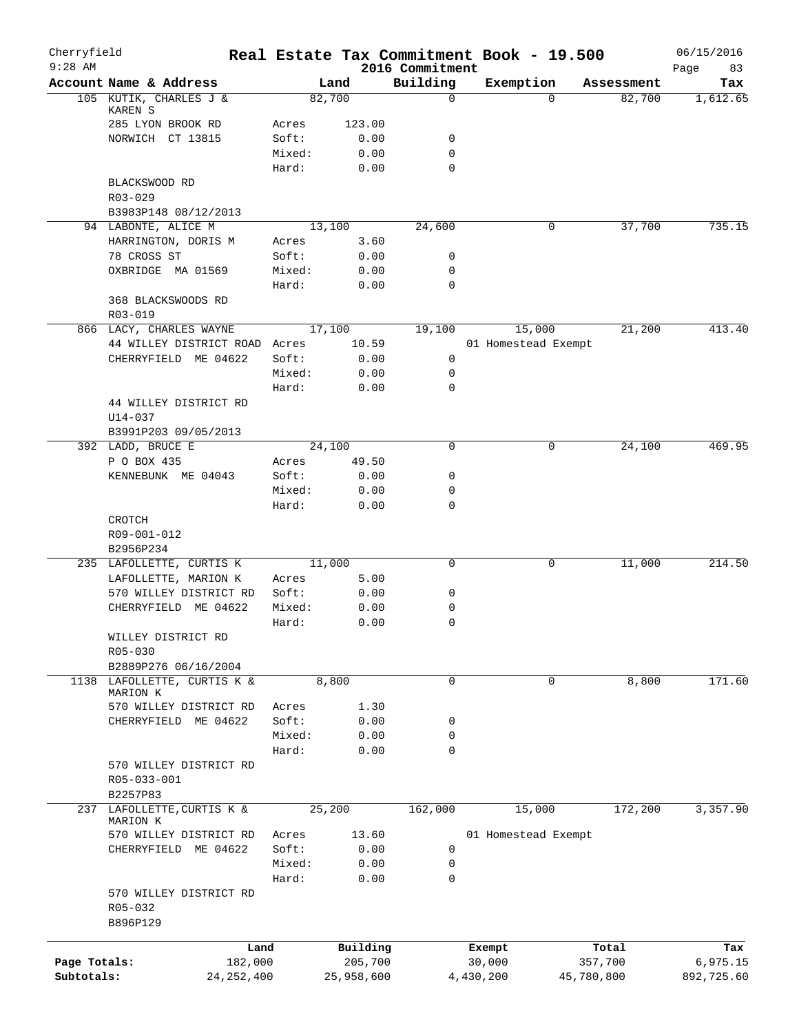| Cherryfield<br>$9:28$ AM |                                         |                |              | 2016 Commitment  | Real Estate Tax Commitment Book - 19.500 |          |            | 06/15/2016        |
|--------------------------|-----------------------------------------|----------------|--------------|------------------|------------------------------------------|----------|------------|-------------------|
|                          | Account Name & Address                  |                | Land         | Building         | Exemption                                |          | Assessment | 83<br>Page<br>Tax |
|                          | 105 KUTIK, CHARLES J &                  |                | 82,700       | $\mathbf 0$      |                                          | $\Omega$ | 82,700     | 1,612.65          |
|                          | KAREN S                                 |                |              |                  |                                          |          |            |                   |
|                          | 285 LYON BROOK RD                       | Acres          | 123.00       |                  |                                          |          |            |                   |
|                          | NORWICH CT 13815                        | Soft:          | 0.00         | 0                |                                          |          |            |                   |
|                          |                                         | Mixed:         | 0.00         | 0<br>$\mathbf 0$ |                                          |          |            |                   |
|                          | BLACKSWOOD RD                           | Hard:          | 0.00         |                  |                                          |          |            |                   |
|                          | $R03 - 029$                             |                |              |                  |                                          |          |            |                   |
|                          | B3983P148 08/12/2013                    |                |              |                  |                                          |          |            |                   |
|                          | 94 LABONTE, ALICE M                     |                | 13,100       | 24,600           |                                          | 0        | 37,700     | 735.15            |
|                          | HARRINGTON, DORIS M                     | Acres          | 3.60         |                  |                                          |          |            |                   |
|                          | 78 CROSS ST                             | Soft:          | 0.00         | 0                |                                          |          |            |                   |
|                          | OXBRIDGE MA 01569                       | Mixed:         | 0.00         | $\mathbf 0$      |                                          |          |            |                   |
|                          |                                         | Hard:          | 0.00         | $\mathbf 0$      |                                          |          |            |                   |
|                          | 368 BLACKSWOODS RD                      |                |              |                  |                                          |          |            |                   |
|                          | R03-019                                 |                |              |                  |                                          |          |            |                   |
|                          | 866 LACY, CHARLES WAYNE                 |                | 17,100       | 19,100           | 15,000                                   |          | 21,200     | 413.40            |
|                          | 44 WILLEY DISTRICT ROAD                 | Acres          | 10.59        |                  | 01 Homestead Exempt                      |          |            |                   |
|                          | CHERRYFIELD ME 04622                    | Soft:          | 0.00         | 0                |                                          |          |            |                   |
|                          |                                         | Mixed:         | 0.00         | 0                |                                          |          |            |                   |
|                          |                                         | Hard:          | 0.00         | $\mathbf 0$      |                                          |          |            |                   |
|                          | 44 WILLEY DISTRICT RD                   |                |              |                  |                                          |          |            |                   |
|                          | U14-037                                 |                |              |                  |                                          |          |            |                   |
|                          | B3991P203 09/05/2013                    |                |              |                  |                                          |          |            |                   |
|                          | 392 LADD, BRUCE E                       |                | 24,100       | 0                |                                          | 0        | 24,100     | 469.95            |
|                          | P O BOX 435<br>KENNEBUNK ME 04043       | Acres<br>Soft: | 49.50        | 0                |                                          |          |            |                   |
|                          |                                         | Mixed:         | 0.00<br>0.00 | 0                |                                          |          |            |                   |
|                          |                                         | Hard:          | 0.00         | 0                |                                          |          |            |                   |
|                          | CROTCH                                  |                |              |                  |                                          |          |            |                   |
|                          | R09-001-012                             |                |              |                  |                                          |          |            |                   |
|                          | B2956P234                               |                |              |                  |                                          |          |            |                   |
|                          | 235 LAFOLLETTE, CURTIS K                |                | 11,000       | $\mathbf 0$      |                                          | 0        | 11,000     | 214.50            |
|                          | LAFOLLETTE, MARION K                    | Acres          | 5.00         |                  |                                          |          |            |                   |
|                          | 570 WILLEY DISTRICT RD                  | Soft:          | 0.00         | 0                |                                          |          |            |                   |
|                          | CHERRYFIELD ME 04622                    | Mixed:         | 0.00         | 0                |                                          |          |            |                   |
|                          |                                         | Hard:          | 0.00         | 0                |                                          |          |            |                   |
|                          | WILLEY DISTRICT RD                      |                |              |                  |                                          |          |            |                   |
|                          | R05-030                                 |                |              |                  |                                          |          |            |                   |
|                          | B2889P276 06/16/2004                    |                |              |                  |                                          |          |            |                   |
|                          | 1138 LAFOLLETTE, CURTIS K &<br>MARION K |                | 8,800        | $\mathbf 0$      |                                          | 0        | 8,800      | 171.60            |
|                          | 570 WILLEY DISTRICT RD                  | Acres          | 1.30         |                  |                                          |          |            |                   |
|                          | CHERRYFIELD ME 04622                    | Soft:          | 0.00         | 0                |                                          |          |            |                   |
|                          |                                         | Mixed:         | 0.00         | 0                |                                          |          |            |                   |
|                          |                                         | Hard:          | 0.00         | $\mathbf 0$      |                                          |          |            |                   |
|                          | 570 WILLEY DISTRICT RD                  |                |              |                  |                                          |          |            |                   |
|                          | R05-033-001                             |                |              |                  |                                          |          |            |                   |
|                          | B2257P83                                |                |              |                  |                                          |          |            |                   |
| 237                      | LAFOLLETTE, CURTIS K &                  |                | 25,200       | 162,000          | 15,000                                   |          | 172,200    | 3,357.90          |
|                          | MARION K                                |                |              |                  |                                          |          |            |                   |
|                          | 570 WILLEY DISTRICT RD                  | Acres          | 13.60        |                  | 01 Homestead Exempt                      |          |            |                   |
|                          | CHERRYFIELD ME 04622                    | Soft:          | 0.00         | $\mathbf 0$      |                                          |          |            |                   |
|                          |                                         | Mixed:         | 0.00         | 0                |                                          |          |            |                   |
|                          |                                         | Hard:          | 0.00         | $\Omega$         |                                          |          |            |                   |
|                          | 570 WILLEY DISTRICT RD<br>R05-032       |                |              |                  |                                          |          |            |                   |
|                          | B896P129                                |                |              |                  |                                          |          |            |                   |
|                          |                                         |                |              |                  |                                          |          |            |                   |
|                          | Land                                    |                | Building     |                  | Exempt                                   |          | Total      | Tax               |
| Page Totals:             | 182,000                                 |                | 205,700      |                  | 30,000                                   |          | 357,700    | 6,975.15          |
| Subtotals:               | 24, 252, 400                            |                | 25,958,600   |                  | 4,430,200                                |          | 45,780,800 | 892,725.60        |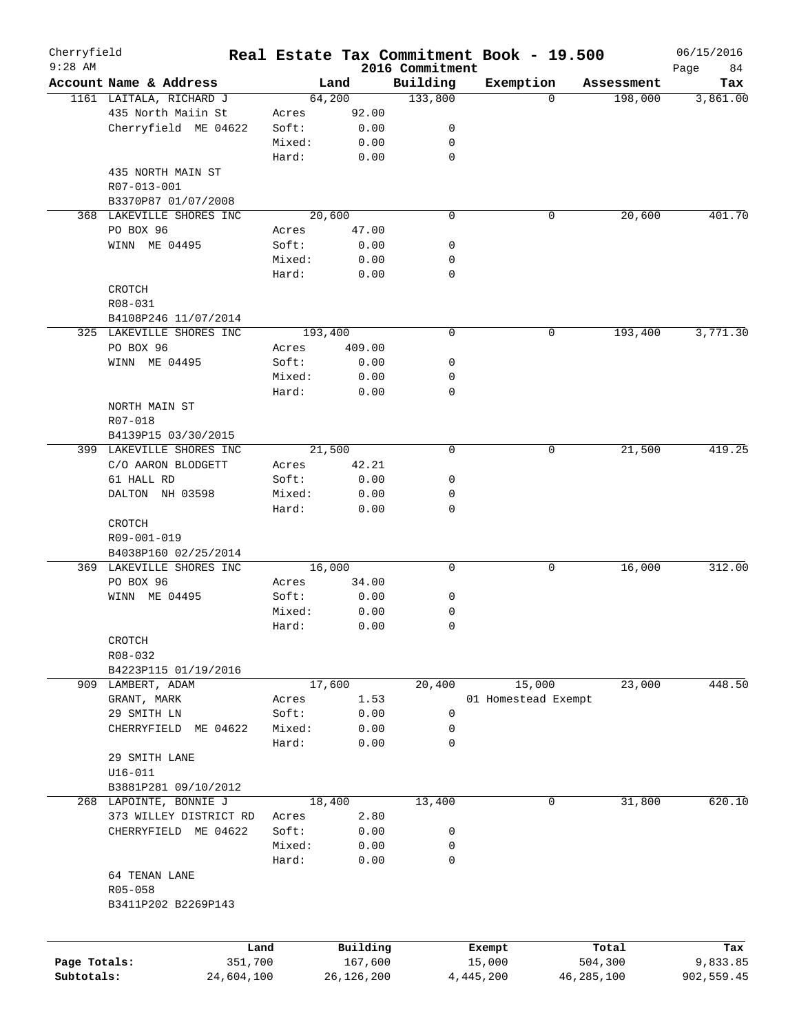| Cherryfield  |                          |        |            |                             | Real Estate Tax Commitment Book - 19.500 |              |            | 06/15/2016        |
|--------------|--------------------------|--------|------------|-----------------------------|------------------------------------------|--------------|------------|-------------------|
| $9:28$ AM    | Account Name & Address   |        | Land       | 2016 Commitment<br>Building | Exemption                                |              | Assessment | Page<br>84<br>Tax |
|              | 1161 LAITALA, RICHARD J  |        | 64,200     | 133,800                     |                                          | $\Omega$     | 198,000    | 3,861.00          |
|              | 435 North Maiin St       | Acres  | 92.00      |                             |                                          |              |            |                   |
|              |                          |        |            |                             |                                          |              |            |                   |
|              | Cherryfield ME 04622     | Soft:  | 0.00       | 0                           |                                          |              |            |                   |
|              |                          | Mixed: | 0.00       | 0                           |                                          |              |            |                   |
|              |                          | Hard:  | 0.00       | $\mathbf 0$                 |                                          |              |            |                   |
|              | 435 NORTH MAIN ST        |        |            |                             |                                          |              |            |                   |
|              | R07-013-001              |        |            |                             |                                          |              |            |                   |
|              | B3370P87 01/07/2008      |        |            |                             |                                          |              |            |                   |
|              | 368 LAKEVILLE SHORES INC |        | 20,600     | 0                           |                                          | 0            | 20,600     | 401.70            |
|              | PO BOX 96                | Acres  | 47.00      |                             |                                          |              |            |                   |
|              | WINN ME 04495            | Soft:  | 0.00       | 0                           |                                          |              |            |                   |
|              |                          | Mixed: | 0.00       | 0                           |                                          |              |            |                   |
|              |                          | Hard:  | 0.00       | 0                           |                                          |              |            |                   |
|              | CROTCH                   |        |            |                             |                                          |              |            |                   |
|              | R08-031                  |        |            |                             |                                          |              |            |                   |
|              | B4108P246 11/07/2014     |        |            |                             |                                          |              |            |                   |
|              | 325 LAKEVILLE SHORES INC |        | 193,400    | 0                           |                                          | 0            | 193,400    | 3,771.30          |
|              | PO BOX 96                | Acres  | 409.00     |                             |                                          |              |            |                   |
|              | WINN ME 04495            | Soft:  | 0.00       | 0                           |                                          |              |            |                   |
|              |                          | Mixed: | 0.00       | 0                           |                                          |              |            |                   |
|              |                          | Hard:  | 0.00       | 0                           |                                          |              |            |                   |
|              | NORTH MAIN ST            |        |            |                             |                                          |              |            |                   |
|              | R07-018                  |        |            |                             |                                          |              |            |                   |
|              | B4139P15 03/30/2015      |        |            |                             |                                          |              |            |                   |
|              | 399 LAKEVILLE SHORES INC |        | 21,500     | $\mathbf 0$                 |                                          | 0            | 21,500     | 419.25            |
|              | C/O AARON BLODGETT       |        | 42.21      |                             |                                          |              |            |                   |
|              |                          | Acres  |            |                             |                                          |              |            |                   |
|              | 61 HALL RD               | Soft:  | 0.00       | 0                           |                                          |              |            |                   |
|              | DALTON NH 03598          | Mixed: | 0.00       | 0                           |                                          |              |            |                   |
|              |                          | Hard:  | 0.00       | 0                           |                                          |              |            |                   |
|              | CROTCH                   |        |            |                             |                                          |              |            |                   |
|              | R09-001-019              |        |            |                             |                                          |              |            |                   |
|              | B4038P160 02/25/2014     |        |            |                             |                                          |              |            |                   |
|              | 369 LAKEVILLE SHORES INC |        | 16,000     | 0                           |                                          | 0            | 16,000     | 312.00            |
|              | PO BOX 96                | Acres  | 34.00      |                             |                                          |              |            |                   |
|              | WINN ME 04495            | Soft:  | 0.00       | 0                           |                                          |              |            |                   |
|              |                          | Mixed: | 0.00       | 0                           |                                          |              |            |                   |
|              |                          | Hard:  | 0.00       | 0                           |                                          |              |            |                   |
|              | CROTCH                   |        |            |                             |                                          |              |            |                   |
|              | R08-032                  |        |            |                             |                                          |              |            |                   |
|              | B4223P115 01/19/2016     |        |            |                             |                                          |              |            |                   |
|              | 909 LAMBERT, ADAM        |        | 17,600     | 20,400                      | 15,000                                   |              | 23,000     | 448.50            |
|              | GRANT, MARK              | Acres  | 1.53       |                             | 01 Homestead Exempt                      |              |            |                   |
|              | 29 SMITH LN              | Soft:  | 0.00       | 0                           |                                          |              |            |                   |
|              | CHERRYFIELD<br>ME 04622  | Mixed: | 0.00       | 0                           |                                          |              |            |                   |
|              |                          | Hard:  | 0.00       | $\mathbf 0$                 |                                          |              |            |                   |
|              | 29 SMITH LANE            |        |            |                             |                                          |              |            |                   |
|              | $U16 - 011$              |        |            |                             |                                          |              |            |                   |
|              | B3881P281 09/10/2012     |        |            |                             |                                          |              |            |                   |
|              | 268 LAPOINTE, BONNIE J   |        | 18,400     | 13,400                      |                                          | 0            | 31,800     | 620.10            |
|              | 373 WILLEY DISTRICT RD   | Acres  | 2.80       |                             |                                          |              |            |                   |
|              | CHERRYFIELD ME 04622     | Soft:  | 0.00       | 0                           |                                          |              |            |                   |
|              |                          | Mixed: | 0.00       | 0                           |                                          |              |            |                   |
|              |                          | Hard:  | 0.00       | $\mathbf 0$                 |                                          |              |            |                   |
|              | 64 TENAN LANE            |        |            |                             |                                          |              |            |                   |
|              |                          |        |            |                             |                                          |              |            |                   |
|              | R05-058                  |        |            |                             |                                          |              |            |                   |
|              | B3411P202 B2269P143      |        |            |                             |                                          |              |            |                   |
|              |                          |        |            |                             |                                          |              |            |                   |
|              |                          | Land   | Building   |                             | Exempt                                   |              | Total      | Tax               |
| Page Totals: | 351,700                  |        | 167,600    |                             | 15,000                                   |              | 504,300    | 9,833.85          |
| Subtotals:   | 24,604,100               |        | 26,126,200 |                             | 4,445,200                                | 46, 285, 100 |            | 902,559.45        |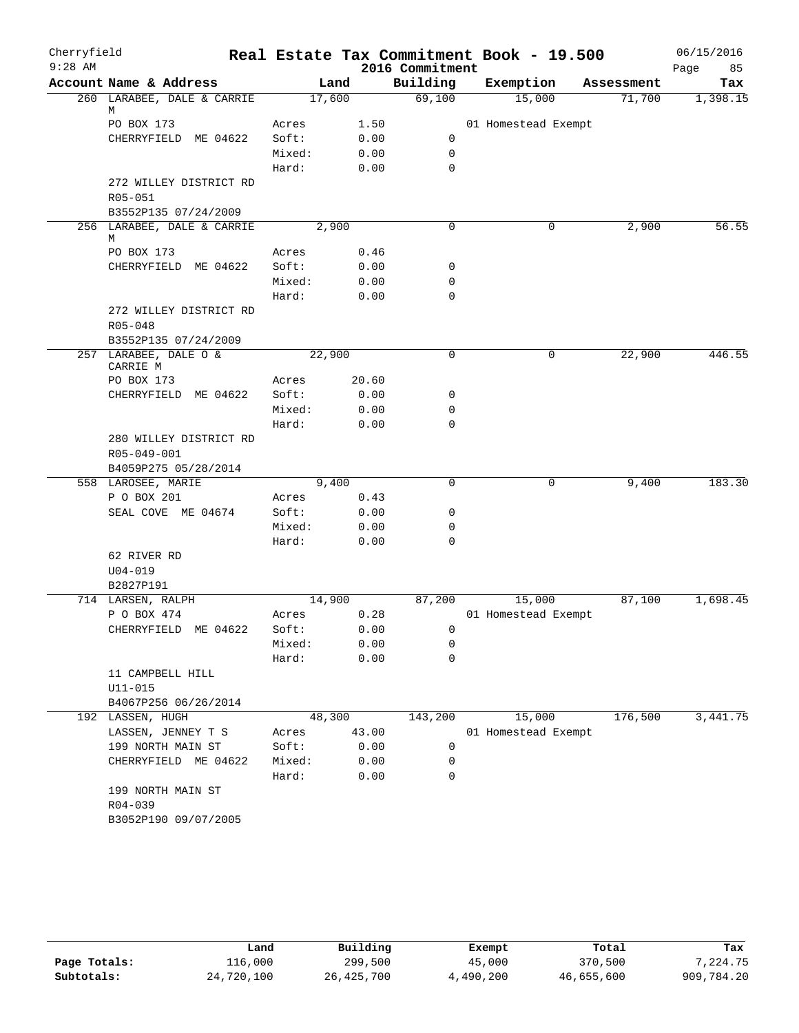| Cherryfield |                                               |        |       |                 | Real Estate Tax Commitment Book - 19.500 |            | 06/15/2016 |
|-------------|-----------------------------------------------|--------|-------|-----------------|------------------------------------------|------------|------------|
| $9:28$ AM   |                                               |        |       | 2016 Commitment |                                          |            | 85<br>Page |
|             | Account Name & Address                        |        | Land  | Building        | Exemption                                | Assessment | Tax        |
|             | 260 LARABEE, DALE & CARRIE                    | 17,600 |       | 69,100          | 15,000                                   | 71,700     | 1,398.15   |
|             | М<br>PO BOX 173                               | Acres  | 1.50  |                 | 01 Homestead Exempt                      |            |            |
|             | CHERRYFIELD ME 04622                          | Soft:  | 0.00  | 0               |                                          |            |            |
|             |                                               | Mixed: | 0.00  | 0               |                                          |            |            |
|             |                                               | Hard:  | 0.00  | $\mathbf 0$     |                                          |            |            |
|             | 272 WILLEY DISTRICT RD                        |        |       |                 |                                          |            |            |
|             | R05-051                                       |        |       |                 |                                          |            |            |
|             | B3552P135 07/24/2009                          |        |       |                 |                                          |            |            |
|             | 256 LARABEE, DALE & CARRIE                    |        | 2,900 | $\Omega$        | 0                                        | 2,900      | 56.55      |
|             | М                                             |        |       |                 |                                          |            |            |
|             | PO BOX 173                                    | Acres  | 0.46  |                 |                                          |            |            |
|             | CHERRYFIELD ME 04622                          | Soft:  | 0.00  | 0               |                                          |            |            |
|             |                                               | Mixed: | 0.00  | 0               |                                          |            |            |
|             |                                               | Hard:  | 0.00  | 0               |                                          |            |            |
|             | 272 WILLEY DISTRICT RD                        |        |       |                 |                                          |            |            |
|             | R05-048                                       |        |       |                 |                                          |            |            |
|             | B3552P135 07/24/2009<br>257 LARABEE, DALE O & | 22,900 |       | $\mathbf 0$     |                                          | 22,900     | 446.55     |
|             | CARRIE M                                      |        |       |                 | 0                                        |            |            |
|             | PO BOX 173                                    | Acres  | 20.60 |                 |                                          |            |            |
|             | CHERRYFIELD ME 04622                          | Soft:  | 0.00  | 0               |                                          |            |            |
|             |                                               | Mixed: | 0.00  | 0               |                                          |            |            |
|             |                                               | Hard:  | 0.00  | 0               |                                          |            |            |
|             | 280 WILLEY DISTRICT RD                        |        |       |                 |                                          |            |            |
|             | R05-049-001                                   |        |       |                 |                                          |            |            |
|             | B4059P275 05/28/2014                          |        |       |                 |                                          |            |            |
|             | 558 LAROSEE, MARIE                            | 9,400  |       | $\mathbf 0$     | 0                                        | 9,400      | 183.30     |
|             | P O BOX 201                                   | Acres  | 0.43  |                 |                                          |            |            |
|             | SEAL COVE ME 04674                            | Soft:  | 0.00  | 0               |                                          |            |            |
|             |                                               | Mixed: | 0.00  | 0               |                                          |            |            |
|             |                                               | Hard:  | 0.00  | 0               |                                          |            |            |
|             | 62 RIVER RD                                   |        |       |                 |                                          |            |            |
|             | $U04 - 019$                                   |        |       |                 |                                          |            |            |
|             | B2827P191                                     |        |       |                 |                                          |            |            |
|             | 714 LARSEN, RALPH                             | 14,900 |       | 87,200          | 15,000                                   | 87,100     | 1,698.45   |
|             | P O BOX 474                                   | Acres  | 0.28  |                 | 01 Homestead Exempt                      |            |            |
|             | CHERRYFIELD ME 04622                          | Soft:  | 0.00  | 0               |                                          |            |            |
|             |                                               | Mixed: | 0.00  | 0               |                                          |            |            |
|             | 11 CAMPBELL HILL                              | Hard:  | 0.00  | 0               |                                          |            |            |
|             |                                               |        |       |                 |                                          |            |            |
|             | $U11 - 015$<br>B4067P256 06/26/2014           |        |       |                 |                                          |            |            |
|             | 192 LASSEN, HUGH                              | 48,300 |       | 143,200         | 15,000                                   | 176,500    | 3,441.75   |
|             | LASSEN, JENNEY T S                            | Acres  | 43.00 |                 | 01 Homestead Exempt                      |            |            |
|             | 199 NORTH MAIN ST                             | Soft:  | 0.00  | 0               |                                          |            |            |
|             | CHERRYFIELD ME 04622                          | Mixed: | 0.00  | 0               |                                          |            |            |
|             |                                               | Hard:  | 0.00  | 0               |                                          |            |            |
|             | 199 NORTH MAIN ST                             |        |       |                 |                                          |            |            |
|             | R04-039                                       |        |       |                 |                                          |            |            |
|             | B3052P190 09/07/2005                          |        |       |                 |                                          |            |            |
|             |                                               |        |       |                 |                                          |            |            |

|              | Land       | Building   | Exempt    | Total      | Tax        |
|--------------|------------|------------|-----------|------------|------------|
| Page Totals: | 116,000    | 299,500    | 45,000    | 370,500    | 7.224.75   |
| Subtotals:   | 24,720,100 | 26,425,700 | 4,490,200 | 46,655,600 | 909,784.20 |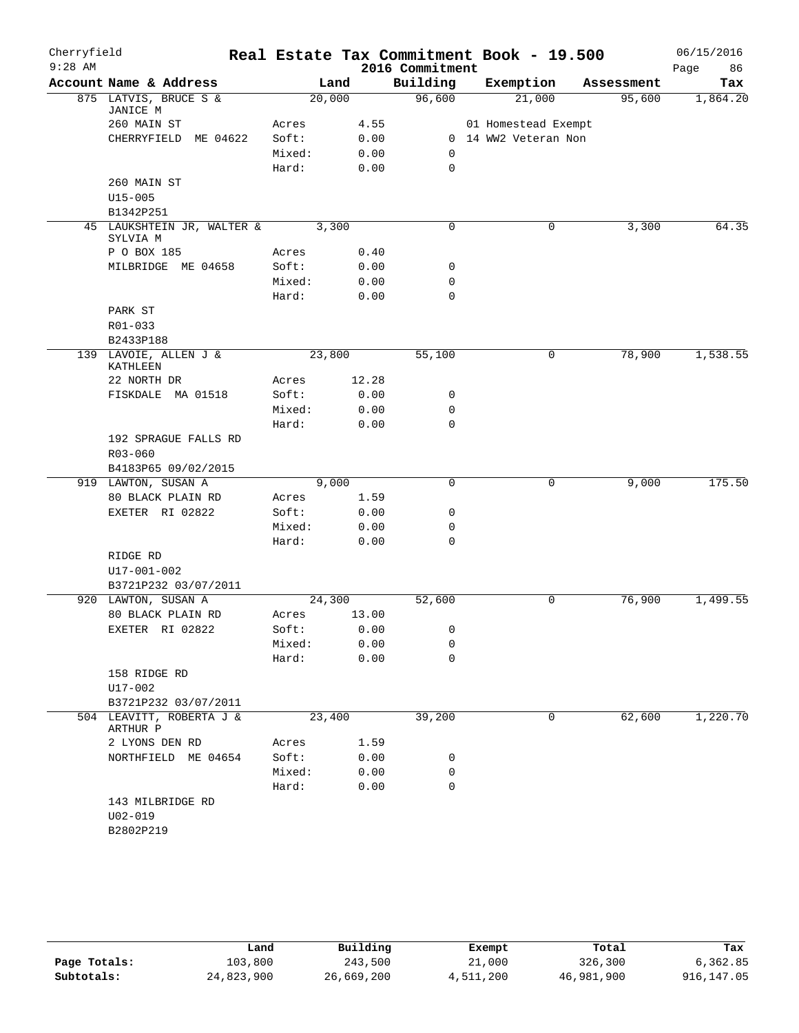| Cherryfield |                                             |        |       | Real Estate Tax Commitment Book - 19.500 |                      |        |            | 06/15/2016 |
|-------------|---------------------------------------------|--------|-------|------------------------------------------|----------------------|--------|------------|------------|
| $9:28$ AM   |                                             |        |       | 2016 Commitment                          |                      |        |            | 86<br>Page |
|             | Account Name & Address                      |        | Land  | Building                                 | Exemption            |        | Assessment | Tax        |
|             | 875 LATVIS, BRUCE S &<br>JANICE M           | 20,000 |       | 96,600                                   |                      | 21,000 | 95,600     | 1,864.20   |
|             | 260 MAIN ST                                 | Acres  | 4.55  |                                          | 01 Homestead Exempt  |        |            |            |
|             | CHERRYFIELD<br>ME 04622                     | Soft:  | 0.00  |                                          | 0 14 WW2 Veteran Non |        |            |            |
|             |                                             | Mixed: | 0.00  | $\mathbf 0$                              |                      |        |            |            |
|             |                                             | Hard:  | 0.00  | $\mathbf 0$                              |                      |        |            |            |
|             | 260 MAIN ST                                 |        |       |                                          |                      |        |            |            |
|             | $U15 - 005$                                 |        |       |                                          |                      |        |            |            |
|             | B1342P251                                   |        |       |                                          |                      |        |            |            |
|             | 45 LAUKSHTEIN JR, WALTER &<br>SYLVIA M      | 3,300  |       | $\mathbf 0$                              |                      | 0      | 3,300      | 64.35      |
|             | P O BOX 185                                 | Acres  | 0.40  |                                          |                      |        |            |            |
|             | MILBRIDGE ME 04658                          | Soft:  | 0.00  | 0                                        |                      |        |            |            |
|             |                                             | Mixed: | 0.00  | $\mathbf 0$                              |                      |        |            |            |
|             |                                             | Hard:  | 0.00  | $\mathbf 0$                              |                      |        |            |            |
|             | PARK ST                                     |        |       |                                          |                      |        |            |            |
|             | R01-033                                     |        |       |                                          |                      |        |            |            |
|             | B2433P188                                   |        |       |                                          |                      |        |            |            |
|             | 139 LAVOIE, ALLEN J &                       | 23,800 |       | 55,100                                   |                      | 0      | 78,900     | 1,538.55   |
|             | KATHLEEN                                    |        |       |                                          |                      |        |            |            |
|             | 22 NORTH DR                                 | Acres  | 12.28 |                                          |                      |        |            |            |
|             | FISKDALE MA 01518                           | Soft:  | 0.00  | 0                                        |                      |        |            |            |
|             |                                             | Mixed: | 0.00  | 0                                        |                      |        |            |            |
|             |                                             | Hard:  | 0.00  | $\mathbf 0$                              |                      |        |            |            |
|             | 192 SPRAGUE FALLS RD                        |        |       |                                          |                      |        |            |            |
|             | $R03 - 060$                                 |        |       |                                          |                      |        |            |            |
|             | B4183P65 09/02/2015                         |        |       |                                          |                      |        |            |            |
|             | 919 LAWTON, SUSAN A                         | 9,000  |       | $\mathsf{O}$                             |                      | 0      | 9,000      | 175.50     |
|             | 80 BLACK PLAIN RD                           | Acres  | 1.59  |                                          |                      |        |            |            |
|             | EXETER RI 02822                             | Soft:  | 0.00  | 0                                        |                      |        |            |            |
|             |                                             | Mixed: | 0.00  | 0                                        |                      |        |            |            |
|             |                                             | Hard:  | 0.00  | $\mathbf 0$                              |                      |        |            |            |
|             | RIDGE RD                                    |        |       |                                          |                      |        |            |            |
|             | U17-001-002                                 |        |       |                                          |                      |        |            |            |
|             | B3721P232 03/07/2011<br>920 LAWTON, SUSAN A | 24,300 |       | 52,600                                   |                      | 0      | 76,900     | 1,499.55   |
|             | 80 BLACK PLAIN RD                           | Acres  | 13.00 |                                          |                      |        |            |            |
|             | EXETER RI 02822                             | Soft:  | 0.00  | 0                                        |                      |        |            |            |
|             |                                             | Mixed: | 0.00  | 0                                        |                      |        |            |            |
|             |                                             | Hard:  | 0.00  | 0                                        |                      |        |            |            |
|             | 158 RIDGE RD                                |        |       |                                          |                      |        |            |            |
|             | U17-002                                     |        |       |                                          |                      |        |            |            |
|             | B3721P232 03/07/2011                        |        |       |                                          |                      |        |            |            |
| 504         | LEAVITT, ROBERTA J &                        | 23,400 |       | 39,200                                   |                      | 0      | 62,600     | 1,220.70   |
|             | ARTHUR P<br>2 LYONS DEN RD                  | Acres  | 1.59  |                                          |                      |        |            |            |
|             | NORTHFIELD ME 04654                         | Soft:  | 0.00  | 0                                        |                      |        |            |            |
|             |                                             | Mixed: | 0.00  | 0                                        |                      |        |            |            |
|             |                                             | Hard:  | 0.00  | $\mathbf 0$                              |                      |        |            |            |
|             | 143 MILBRIDGE RD                            |        |       |                                          |                      |        |            |            |
|             | $U02 - 019$                                 |        |       |                                          |                      |        |            |            |
|             | B2802P219                                   |        |       |                                          |                      |        |            |            |
|             |                                             |        |       |                                          |                      |        |            |            |

|              | Land       | Building   | Exempt    | Total      | Tax        |
|--------------|------------|------------|-----------|------------|------------|
| Page Totals: | 103,800    | 243,500    | 21,000    | 326,300    | 6,362.85   |
| Subtotals:   | 24,823,900 | 26,669,200 | 4,511,200 | 46,981,900 | 916,147.05 |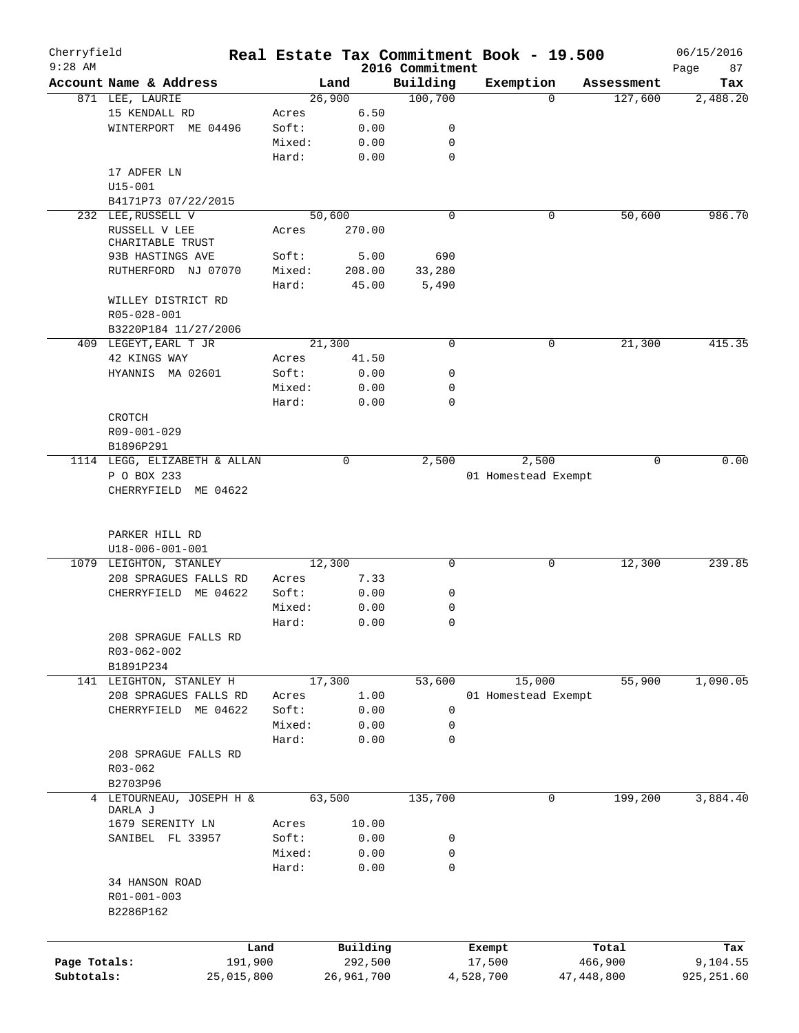| Cherryfield  |                                            |                 |                 |                 | Real Estate Tax Commitment Book - 19.500 |            |            | 06/15/2016  |
|--------------|--------------------------------------------|-----------------|-----------------|-----------------|------------------------------------------|------------|------------|-------------|
| $9:28$ AM    | Account Name & Address                     |                 |                 | 2016 Commitment |                                          |            |            | Page<br>87  |
|              |                                            |                 | Land            | Building        | Exemption                                |            | Assessment | Tax         |
|              | 871 LEE, LAURIE                            |                 | 26,900          | 100,700         |                                          | $\Omega$   | 127,600    | 2,488.20    |
|              | 15 KENDALL RD                              | Acres           | 6.50            |                 |                                          |            |            |             |
|              | WINTERPORT ME 04496                        | Soft:           | 0.00            | 0               |                                          |            |            |             |
|              |                                            | Mixed:          | 0.00            | 0               |                                          |            |            |             |
|              |                                            | Hard:           | 0.00            | $\mathbf 0$     |                                          |            |            |             |
|              | 17 ADFER LN                                |                 |                 |                 |                                          |            |            |             |
|              | $U15 - 001$                                |                 |                 |                 |                                          |            |            |             |
|              | B4171P73 07/22/2015                        |                 |                 |                 |                                          |            |            |             |
|              | 232 LEE, RUSSELL V                         |                 | 50,600          | $\Omega$        |                                          | 0          | 50,600     | 986.70      |
|              | RUSSELL V LEE<br>CHARITABLE TRUST          | Acres           | 270.00          |                 |                                          |            |            |             |
|              | 93B HASTINGS AVE                           | Soft:           | 5.00            | 690             |                                          |            |            |             |
|              | RUTHERFORD NJ 07070                        | Mixed:<br>Hard: | 208.00<br>45.00 | 33,280<br>5,490 |                                          |            |            |             |
|              | WILLEY DISTRICT RD                         |                 |                 |                 |                                          |            |            |             |
|              | R05-028-001                                |                 |                 |                 |                                          |            |            |             |
|              | B3220P184 11/27/2006                       |                 |                 |                 |                                          |            |            |             |
|              | 409 LEGEYT, EARL T JR                      |                 | 21,300          | $\mathbf 0$     |                                          | 0          | 21,300     | 415.35      |
|              | 42 KINGS WAY                               | Acres           | 41.50           |                 |                                          |            |            |             |
|              | HYANNIS MA 02601                           | Soft:           | 0.00            | 0               |                                          |            |            |             |
|              |                                            | Mixed:          | 0.00            | 0               |                                          |            |            |             |
|              |                                            | Hard:           | 0.00            | $\mathbf 0$     |                                          |            |            |             |
|              | CROTCH                                     |                 |                 |                 |                                          |            |            |             |
|              | R09-001-029                                |                 |                 |                 |                                          |            |            |             |
|              | B1896P291                                  |                 |                 |                 |                                          |            |            |             |
|              | 1114 LEGG, ELIZABETH & ALLAN               |                 | 0               | 2,500           | 2,500                                    |            | $\Omega$   | 0.00        |
|              | P O BOX 233                                |                 |                 |                 |                                          |            |            |             |
|              | CHERRYFIELD ME 04622                       |                 |                 |                 | 01 Homestead Exempt                      |            |            |             |
|              | PARKER HILL RD                             |                 |                 |                 |                                          |            |            |             |
|              | U18-006-001-001                            |                 |                 |                 |                                          |            |            |             |
|              | 1079 LEIGHTON, STANLEY                     |                 | 12,300          | $\mathbf 0$     |                                          | 0          | 12,300     | 239.85      |
|              | 208 SPRAGUES FALLS RD                      | Acres           | 7.33            |                 |                                          |            |            |             |
|              | CHERRYFIELD ME 04622                       | Soft:           | 0.00            | 0               |                                          |            |            |             |
|              |                                            | Mixed:          | 0.00            | 0               |                                          |            |            |             |
|              |                                            | Hard:           | 0.00            | $\mathbf 0$     |                                          |            |            |             |
|              | 208 SPRAGUE FALLS RD                       |                 |                 |                 |                                          |            |            |             |
|              | R03-062-002                                |                 |                 |                 |                                          |            |            |             |
|              | B1891P234                                  |                 |                 |                 |                                          |            |            |             |
|              | 141 LEIGHTON, STANLEY H                    |                 | 17,300          | 53,600          | 15,000                                   |            | 55,900     | 1,090.05    |
|              | 208 SPRAGUES FALLS RD                      | Acres           | 1.00            |                 | 01 Homestead Exempt                      |            |            |             |
|              | CHERRYFIELD ME 04622                       | Soft:           | 0.00            | $\mathbf 0$     |                                          |            |            |             |
|              |                                            | Mixed:          | 0.00            | 0               |                                          |            |            |             |
|              |                                            | Hard:           | 0.00            | $\mathbf 0$     |                                          |            |            |             |
|              | 208 SPRAGUE FALLS RD                       |                 |                 |                 |                                          |            |            |             |
|              | R03-062                                    |                 |                 |                 |                                          |            |            |             |
|              | B2703P96                                   |                 |                 |                 |                                          |            |            |             |
|              | 4 LETOURNEAU, JOSEPH H &                   |                 | 63,500          | 135,700         |                                          | 0          | 199,200    | 3,884.40    |
|              | DARLA J                                    |                 |                 |                 |                                          |            |            |             |
|              | 1679 SERENITY LN                           | Acres           | 10.00           |                 |                                          |            |            |             |
|              | SANIBEL FL 33957                           | Soft:           | 0.00            | 0               |                                          |            |            |             |
|              |                                            | Mixed:          | 0.00            | 0               |                                          |            |            |             |
|              |                                            | Hard:           | 0.00            | $\mathbf 0$     |                                          |            |            |             |
|              | 34 HANSON ROAD<br>R01-001-003<br>B2286P162 |                 |                 |                 |                                          |            |            |             |
|              | Land                                       |                 | Building        |                 | Exempt                                   |            | Total      | Tax         |
| Page Totals: | 191,900                                    |                 | 292,500         |                 | 17,500                                   |            | 466,900    | 9,104.55    |
| Subtotals:   | 25,015,800                                 |                 | 26,961,700      |                 | 4,528,700                                | 47,448,800 |            | 925, 251.60 |
|              |                                            |                 |                 |                 |                                          |            |            |             |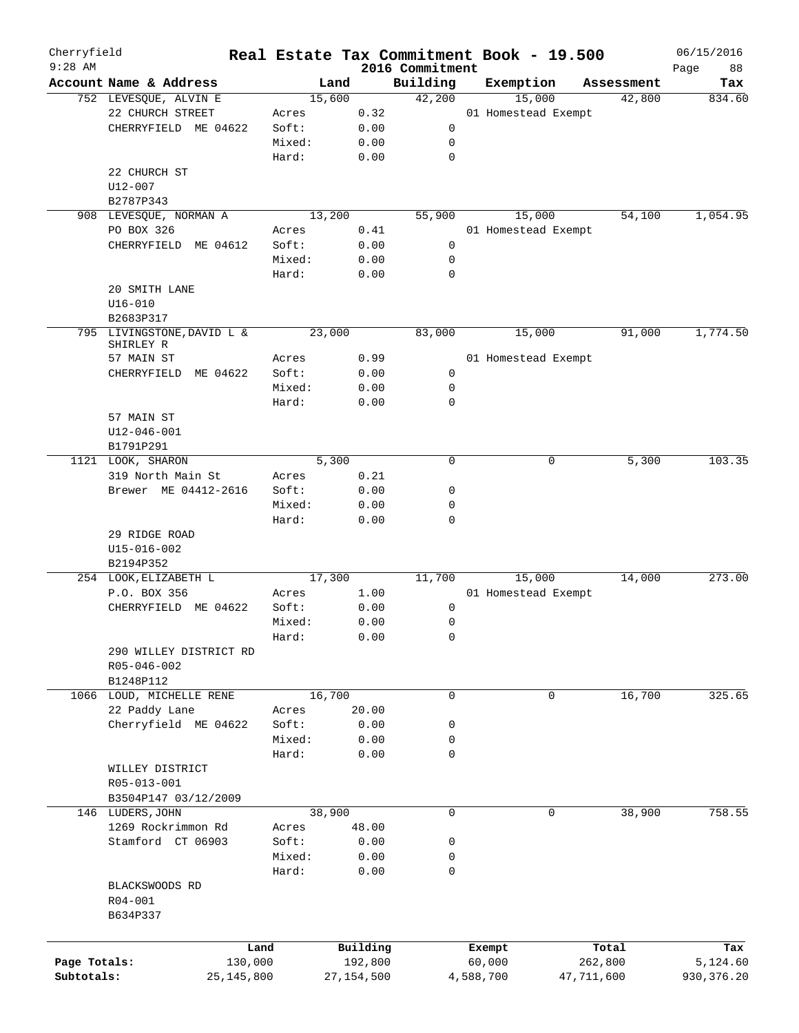| Cherryfield<br>$9:28$ AM |                            |        |              | 2016 Commitment | Real Estate Tax Commitment Book - 19.500 |            | 06/15/2016        |
|--------------------------|----------------------------|--------|--------------|-----------------|------------------------------------------|------------|-------------------|
|                          | Account Name & Address     | Land   |              | Building        | Exemption                                | Assessment | 88<br>Page<br>Tax |
|                          | 752 LEVESQUE, ALVIN E      | 15,600 |              | 42,200          | 15,000                                   | 42,800     | 834.60            |
|                          | 22 CHURCH STREET           | Acres  | 0.32         |                 | 01 Homestead Exempt                      |            |                   |
|                          | CHERRYFIELD ME 04622       | Soft:  | 0.00         | 0               |                                          |            |                   |
|                          |                            | Mixed: | 0.00         | 0               |                                          |            |                   |
|                          |                            | Hard:  | 0.00         | $\mathbf 0$     |                                          |            |                   |
|                          | 22 CHURCH ST               |        |              |                 |                                          |            |                   |
|                          | U12-007                    |        |              |                 |                                          |            |                   |
|                          | B2787P343                  |        |              |                 |                                          |            |                   |
|                          | 908 LEVESQUE, NORMAN A     | 13,200 |              | 55,900          | 15,000                                   | 54,100     | 1,054.95          |
|                          | PO BOX 326                 | Acres  | 0.41         |                 | 01 Homestead Exempt                      |            |                   |
|                          | CHERRYFIELD ME 04612       | Soft:  | 0.00         | 0               |                                          |            |                   |
|                          |                            | Mixed: | 0.00         | 0               |                                          |            |                   |
|                          |                            | Hard:  |              | $\mathbf 0$     |                                          |            |                   |
|                          |                            |        | 0.00         |                 |                                          |            |                   |
|                          | 20 SMITH LANE              |        |              |                 |                                          |            |                   |
|                          | $U16 - 010$                |        |              |                 |                                          |            |                   |
|                          | B2683P317                  |        |              |                 |                                          |            |                   |
|                          | 795 LIVINGSTONE, DAVID L & | 23,000 |              | 83,000          | 15,000                                   | 91,000     | 1,774.50          |
|                          | SHIRLEY R                  |        |              |                 |                                          |            |                   |
|                          | 57 MAIN ST                 | Acres  | 0.99         |                 | 01 Homestead Exempt                      |            |                   |
|                          | ME 04622<br>CHERRYFIELD    | Soft:  | 0.00         | 0               |                                          |            |                   |
|                          |                            | Mixed: | 0.00         | 0               |                                          |            |                   |
|                          |                            | Hard:  | 0.00         | 0               |                                          |            |                   |
|                          | 57 MAIN ST                 |        |              |                 |                                          |            |                   |
|                          | $U12 - 046 - 001$          |        |              |                 |                                          |            |                   |
|                          | B1791P291                  |        |              |                 |                                          |            |                   |
|                          | 1121 LOOK, SHARON          | 5,300  |              | 0               | 0                                        | 5,300      | 103.35            |
|                          | 319 North Main St          | Acres  | 0.21         |                 |                                          |            |                   |
|                          | Brewer ME 04412-2616       | Soft:  | 0.00         | 0               |                                          |            |                   |
|                          |                            | Mixed: | 0.00         | 0               |                                          |            |                   |
|                          |                            | Hard:  | 0.00         | $\mathbf 0$     |                                          |            |                   |
|                          | 29 RIDGE ROAD              |        |              |                 |                                          |            |                   |
|                          | $U15 - 016 - 002$          |        |              |                 |                                          |            |                   |
|                          | B2194P352                  |        |              |                 |                                          |            |                   |
|                          | 254 LOOK, ELIZABETH L      | 17,300 |              | 11,700          | 15,000                                   | 14,000     | 273.00            |
|                          | P.O. BOX 356               | Acres  | 1.00         |                 | 01 Homestead Exempt                      |            |                   |
|                          | CHERRYFIELD<br>ME 04622    | Soft:  | 0.00         | 0               |                                          |            |                   |
|                          |                            | Mixed: | 0.00         | 0               |                                          |            |                   |
|                          |                            | Hard:  | 0.00         | 0               |                                          |            |                   |
|                          | 290 WILLEY DISTRICT RD     |        |              |                 |                                          |            |                   |
|                          | R05-046-002                |        |              |                 |                                          |            |                   |
|                          | B1248P112                  |        |              |                 |                                          |            |                   |
|                          | 1066 LOUD, MICHELLE RENE   | 16,700 |              | $\mathbf 0$     | 0                                        | 16,700     | 325.65            |
|                          | 22 Paddy Lane              | Acres  | 20.00        |                 |                                          |            |                   |
|                          | Cherryfield ME 04622       | Soft:  | 0.00         | 0               |                                          |            |                   |
|                          |                            | Mixed: | 0.00         | 0               |                                          |            |                   |
|                          |                            | Hard:  | 0.00         | 0               |                                          |            |                   |
|                          | WILLEY DISTRICT            |        |              |                 |                                          |            |                   |
|                          |                            |        |              |                 |                                          |            |                   |
|                          | R05-013-001                |        |              |                 |                                          |            |                   |
|                          | B3504P147 03/12/2009       |        |              |                 |                                          |            |                   |
|                          | 146 LUDERS, JOHN           | 38,900 |              | $\mathbf 0$     | $\mathbf 0$                              | 38,900     | 758.55            |
|                          | 1269 Rockrimmon Rd         | Acres  | 48.00        |                 |                                          |            |                   |
|                          | Stamford CT 06903          | Soft:  | 0.00         | 0               |                                          |            |                   |
|                          |                            | Mixed: | 0.00         | 0               |                                          |            |                   |
|                          |                            | Hard:  | 0.00         | 0               |                                          |            |                   |
|                          | BLACKSWOODS RD             |        |              |                 |                                          |            |                   |
|                          | R04-001                    |        |              |                 |                                          |            |                   |
|                          | B634P337                   |        |              |                 |                                          |            |                   |
|                          |                            |        |              |                 |                                          |            |                   |
|                          |                            | Land   | Building     |                 | Exempt                                   | Total      | Tax               |
| Page Totals:             | 130,000                    |        | 192,800      |                 | 60,000                                   | 262,800    | 5,124.60          |
| Subtotals:               | 25,145,800                 |        | 27, 154, 500 |                 | 4,588,700                                | 47,711,600 | 930, 376.20       |
|                          |                            |        |              |                 |                                          |            |                   |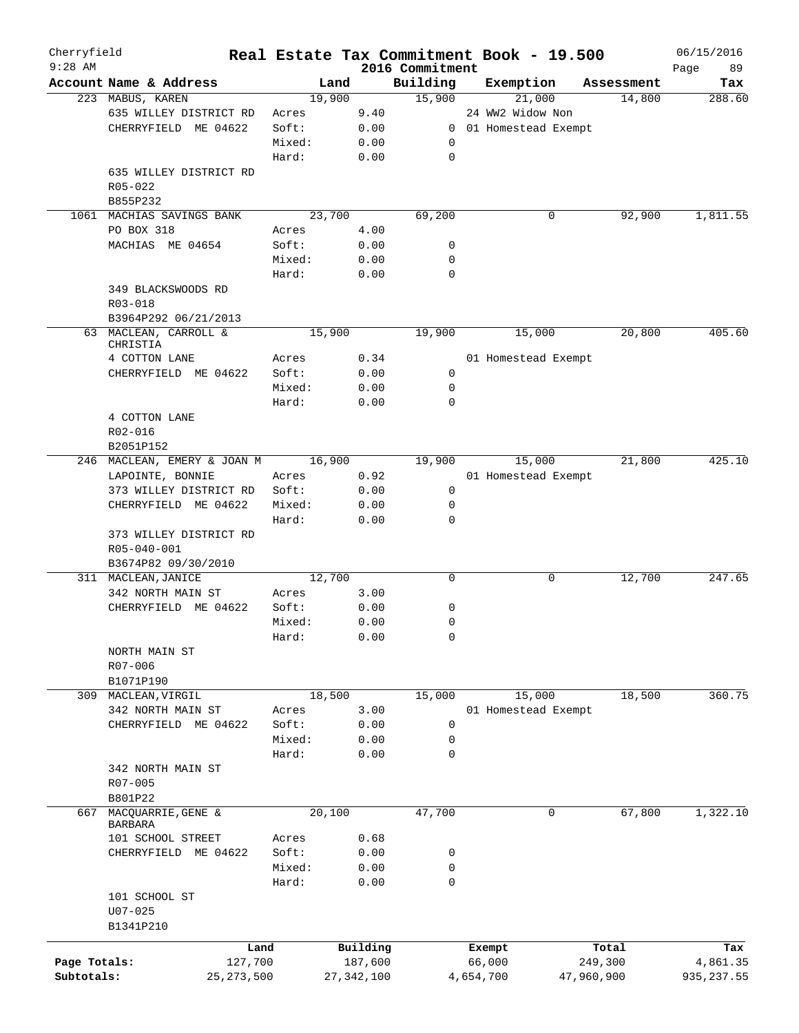| Cherryfield  |                             |              |        |              |                             | Real Estate Tax Commitment Book - 19.500 |            | 06/15/2016        |
|--------------|-----------------------------|--------------|--------|--------------|-----------------------------|------------------------------------------|------------|-------------------|
| $9:28$ AM    | Account Name & Address      |              | Land   |              | 2016 Commitment<br>Building | Exemption                                | Assessment | Page<br>89<br>Tax |
|              | 223 MABUS, KAREN            |              | 19,900 |              | 15,900                      | 21,000                                   | 14,800     | 288.60            |
|              | 635 WILLEY DISTRICT RD      |              | Acres  | 9.40         |                             | 24 WW2 Widow Non                         |            |                   |
|              | CHERRYFIELD ME 04622        |              | Soft:  | 0.00         |                             | 0 01 Homestead Exempt                    |            |                   |
|              |                             |              | Mixed: | 0.00         |                             |                                          |            |                   |
|              |                             |              |        |              | 0                           |                                          |            |                   |
|              |                             |              | Hard:  | 0.00         | $\mathbf 0$                 |                                          |            |                   |
|              | 635 WILLEY DISTRICT RD      |              |        |              |                             |                                          |            |                   |
|              | $R05 - 022$                 |              |        |              |                             |                                          |            |                   |
|              | B855P232                    |              |        |              |                             |                                          |            |                   |
| 1061         | MACHIAS SAVINGS BANK        |              | 23,700 |              | 69,200                      | 0                                        | 92,900     | 1,811.55          |
|              | PO BOX 318                  |              | Acres  | 4.00         |                             |                                          |            |                   |
|              | MACHIAS ME 04654            |              | Soft:  | 0.00         | 0                           |                                          |            |                   |
|              |                             |              | Mixed: | 0.00         | 0                           |                                          |            |                   |
|              |                             |              | Hard:  | 0.00         | $\mathbf 0$                 |                                          |            |                   |
|              | 349 BLACKSWOODS RD          |              |        |              |                             |                                          |            |                   |
|              | R03-018                     |              |        |              |                             |                                          |            |                   |
|              | B3964P292 06/21/2013        |              |        |              |                             |                                          |            |                   |
|              | 63 MACLEAN, CARROLL &       |              | 15,900 |              | 19,900                      | 15,000                                   | 20,800     | 405.60            |
|              | CHRISTIA                    |              |        |              |                             |                                          |            |                   |
|              | 4 COTTON LANE               |              | Acres  | 0.34         |                             | 01 Homestead Exempt                      |            |                   |
|              | CHERRYFIELD ME 04622        |              | Soft:  | 0.00         | 0                           |                                          |            |                   |
|              |                             |              | Mixed: | 0.00         | $\mathbf 0$                 |                                          |            |                   |
|              |                             |              | Hard:  | 0.00         | $\mathbf 0$                 |                                          |            |                   |
|              | 4 COTTON LANE               |              |        |              |                             |                                          |            |                   |
|              | R02-016                     |              |        |              |                             |                                          |            |                   |
|              | B2051P152                   |              |        |              |                             |                                          |            |                   |
|              | 246 MACLEAN, EMERY & JOAN M |              | 16,900 |              | 19,900                      | 15,000                                   | 21,800     | 425.10            |
|              | LAPOINTE, BONNIE            |              | Acres  | 0.92         |                             | 01 Homestead Exempt                      |            |                   |
|              | 373 WILLEY DISTRICT RD      |              | Soft:  | 0.00         | $\mathbf 0$                 |                                          |            |                   |
|              | CHERRYFIELD ME 04622        |              | Mixed: | 0.00         | 0                           |                                          |            |                   |
|              |                             |              | Hard:  | 0.00         | $\mathbf 0$                 |                                          |            |                   |
|              | 373 WILLEY DISTRICT RD      |              |        |              |                             |                                          |            |                   |
|              | R05-040-001                 |              |        |              |                             |                                          |            |                   |
|              |                             |              |        |              |                             |                                          |            |                   |
|              | B3674P82 09/30/2010         |              |        |              | $\mathsf{O}$                | 0                                        | 12,700     | 247.65            |
|              | 311 MACLEAN, JANICE         |              | 12,700 |              |                             |                                          |            |                   |
|              | 342 NORTH MAIN ST           |              | Acres  | 3.00         |                             |                                          |            |                   |
|              | CHERRYFIELD ME 04622        |              | Soft:  | 0.00         | 0                           |                                          |            |                   |
|              |                             |              | Mixed: | 0.00         | $\mathbf 0$                 |                                          |            |                   |
|              |                             |              | Hard:  | 0.00         | 0                           |                                          |            |                   |
|              | NORTH MAIN ST               |              |        |              |                             |                                          |            |                   |
|              | R07-006                     |              |        |              |                             |                                          |            |                   |
|              | B1071P190                   |              |        |              |                             |                                          |            |                   |
| 309          | MACLEAN, VIRGIL             |              | 18,500 |              | 15,000                      | 15,000                                   | 18,500     | 360.75            |
|              | 342 NORTH MAIN ST           |              | Acres  | 3.00         |                             | 01 Homestead Exempt                      |            |                   |
|              | CHERRYFIELD ME 04622        |              | Soft:  | 0.00         | $\mathbf 0$                 |                                          |            |                   |
|              |                             |              | Mixed: | 0.00         | 0                           |                                          |            |                   |
|              |                             |              | Hard:  | 0.00         | $\mathbf 0$                 |                                          |            |                   |
|              | 342 NORTH MAIN ST           |              |        |              |                             |                                          |            |                   |
|              | R07-005                     |              |        |              |                             |                                          |            |                   |
|              | B801P22                     |              |        |              |                             |                                          |            |                   |
| 667          | MACQUARRIE, GENE &          |              | 20,100 |              | 47,700                      | 0                                        | 67,800     | 1,322.10          |
|              | BARBARA                     |              |        |              |                             |                                          |            |                   |
|              | 101 SCHOOL STREET           |              | Acres  | 0.68         |                             |                                          |            |                   |
|              | CHERRYFIELD ME 04622        |              | Soft:  | 0.00         | 0                           |                                          |            |                   |
|              |                             |              | Mixed: | 0.00         | $\mathbf 0$                 |                                          |            |                   |
|              |                             |              | Hard:  | 0.00         | $\mathbf 0$                 |                                          |            |                   |
|              | 101 SCHOOL ST               |              |        |              |                             |                                          |            |                   |
|              | $U07 - 025$                 |              |        |              |                             |                                          |            |                   |
|              | B1341P210                   |              |        |              |                             |                                          |            |                   |
|              |                             |              |        |              |                             |                                          |            |                   |
|              |                             | Land         |        | Building     |                             | Exempt                                   | Total      | Tax               |
| Page Totals: |                             | 127,700      |        | 187,600      |                             | 66,000                                   | 249,300    | 4,861.35          |
| Subtotals:   |                             | 25, 273, 500 |        | 27, 342, 100 |                             | 4,654,700                                | 47,960,900 | 935, 237.55       |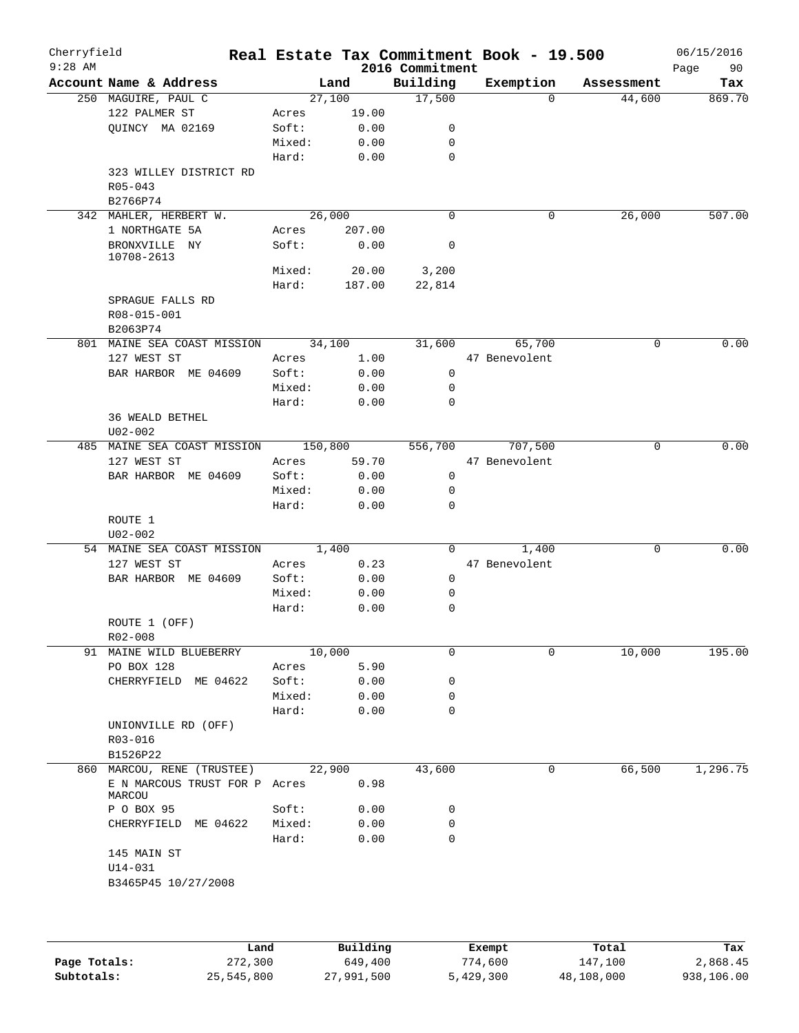| Cherryfield<br>$9:28$ AM |                               |         |        | 2016 Commitment | Real Estate Tax Commitment Book - 19.500 |          |            | 06/15/2016<br>Page<br>90 |
|--------------------------|-------------------------------|---------|--------|-----------------|------------------------------------------|----------|------------|--------------------------|
|                          | Account Name & Address        |         | Land   | Building        | Exemption                                |          | Assessment | Tax                      |
|                          | 250 MAGUIRE, PAUL C           |         | 27,100 | 17,500          |                                          | $\Omega$ | 44,600     | 869.70                   |
|                          | 122 PALMER ST                 | Acres   | 19.00  |                 |                                          |          |            |                          |
|                          | QUINCY MA 02169               | Soft:   | 0.00   | 0               |                                          |          |            |                          |
|                          |                               | Mixed:  | 0.00   | 0               |                                          |          |            |                          |
|                          |                               | Hard:   | 0.00   | 0               |                                          |          |            |                          |
|                          | 323 WILLEY DISTRICT RD        |         |        |                 |                                          |          |            |                          |
|                          | R05-043                       |         |        |                 |                                          |          |            |                          |
|                          | B2766P74                      |         |        |                 |                                          |          |            |                          |
|                          | 342 MAHLER, HERBERT W.        |         | 26,000 | $\mathbf 0$     |                                          | 0        | 26,000     | 507.00                   |
|                          | 1 NORTHGATE 5A                | Acres   | 207.00 |                 |                                          |          |            |                          |
|                          | BRONXVILLE NY                 | Soft:   | 0.00   | 0               |                                          |          |            |                          |
|                          | 10708-2613                    |         |        |                 |                                          |          |            |                          |
|                          |                               | Mixed:  | 20.00  | 3,200           |                                          |          |            |                          |
|                          |                               | Hard:   | 187.00 | 22,814          |                                          |          |            |                          |
|                          | SPRAGUE FALLS RD              |         |        |                 |                                          |          |            |                          |
|                          | R08-015-001                   |         |        |                 |                                          |          |            |                          |
|                          | B2063P74                      |         |        |                 |                                          |          |            |                          |
|                          | 801 MAINE SEA COAST MISSION   |         | 34,100 | 31,600          | 65,700                                   |          | 0          | 0.00                     |
|                          | 127 WEST ST                   | Acres   | 1.00   |                 | 47 Benevolent                            |          |            |                          |
|                          | BAR HARBOR ME 04609           | Soft:   | 0.00   | 0               |                                          |          |            |                          |
|                          |                               | Mixed:  | 0.00   | 0               |                                          |          |            |                          |
|                          |                               | Hard:   | 0.00   | 0               |                                          |          |            |                          |
|                          | 36 WEALD BETHEL               |         |        |                 |                                          |          |            |                          |
|                          | $U02 - 002$                   |         |        |                 |                                          |          |            |                          |
|                          | 485 MAINE SEA COAST MISSION   | 150,800 |        | 556,700         | 707,500                                  |          | 0          | 0.00                     |
|                          | 127 WEST ST                   | Acres   | 59.70  |                 | 47 Benevolent                            |          |            |                          |
|                          | BAR HARBOR ME 04609           | Soft:   | 0.00   | 0               |                                          |          |            |                          |
|                          |                               | Mixed:  | 0.00   | 0               |                                          |          |            |                          |
|                          |                               | Hard:   | 0.00   | $\mathbf 0$     |                                          |          |            |                          |
|                          | ROUTE 1                       |         |        |                 |                                          |          |            |                          |
|                          | $U02 - 002$                   |         |        |                 |                                          |          |            |                          |
|                          | 54 MAINE SEA COAST MISSION    |         | 1,400  | 0               | 1,400                                    |          | 0          | 0.00                     |
|                          | 127 WEST ST                   | Acres   | 0.23   |                 | 47 Benevolent                            |          |            |                          |
|                          | BAR HARBOR ME 04609           | Soft:   | 0.00   | 0               |                                          |          |            |                          |
|                          |                               | Mixed:  | 0.00   | 0               |                                          |          |            |                          |
|                          |                               | Hard:   | 0.00   | 0               |                                          |          |            |                          |
|                          | ROUTE 1 (OFF)                 |         |        |                 |                                          |          |            |                          |
|                          | $R02 - 008$                   |         |        |                 |                                          |          |            |                          |
|                          | 91 MAINE WILD BLUEBERRY       |         | 10,000 | 0               |                                          | 0        | 10,000     | 195.00                   |
|                          | PO BOX 128                    | Acres   | 5.90   |                 |                                          |          |            |                          |
|                          | CHERRYFIELD ME 04622          | Soft:   | 0.00   | 0               |                                          |          |            |                          |
|                          |                               | Mixed:  | 0.00   | 0               |                                          |          |            |                          |
|                          |                               | Hard:   | 0.00   | 0               |                                          |          |            |                          |
|                          | UNIONVILLE RD (OFF)           |         |        |                 |                                          |          |            |                          |
|                          | R03-016                       |         |        |                 |                                          |          |            |                          |
|                          | B1526P22                      |         |        |                 |                                          |          |            |                          |
|                          | 860 MARCOU, RENE (TRUSTEE)    |         | 22,900 | 43,600          |                                          | 0        | 66,500     | 1,296.75                 |
|                          | E N MARCOUS TRUST FOR P Acres |         | 0.98   |                 |                                          |          |            |                          |
|                          | MARCOU<br>P O BOX 95          | Soft:   | 0.00   | 0               |                                          |          |            |                          |
|                          |                               | Mixed:  | 0.00   | 0               |                                          |          |            |                          |
|                          | CHERRYFIELD ME 04622          |         |        | 0               |                                          |          |            |                          |
|                          |                               | Hard:   | 0.00   |                 |                                          |          |            |                          |
|                          | 145 MAIN ST                   |         |        |                 |                                          |          |            |                          |
|                          | $U14 - 031$                   |         |        |                 |                                          |          |            |                          |
|                          | B3465P45 10/27/2008           |         |        |                 |                                          |          |            |                          |
|                          |                               |         |        |                 |                                          |          |            |                          |
|                          |                               |         |        |                 |                                          |          |            |                          |
|                          |                               |         |        |                 |                                          |          |            |                          |

|              | Land       | Building   | Exempt    | Total      | Tax        |
|--------------|------------|------------|-----------|------------|------------|
| Page Totals: | 272,300    | 649,400    | 774,600   | 147,100    | 2,868.45   |
| Subtotals:   | 25,545,800 | 27,991,500 | 5,429,300 | 48,108,000 | 938,106.00 |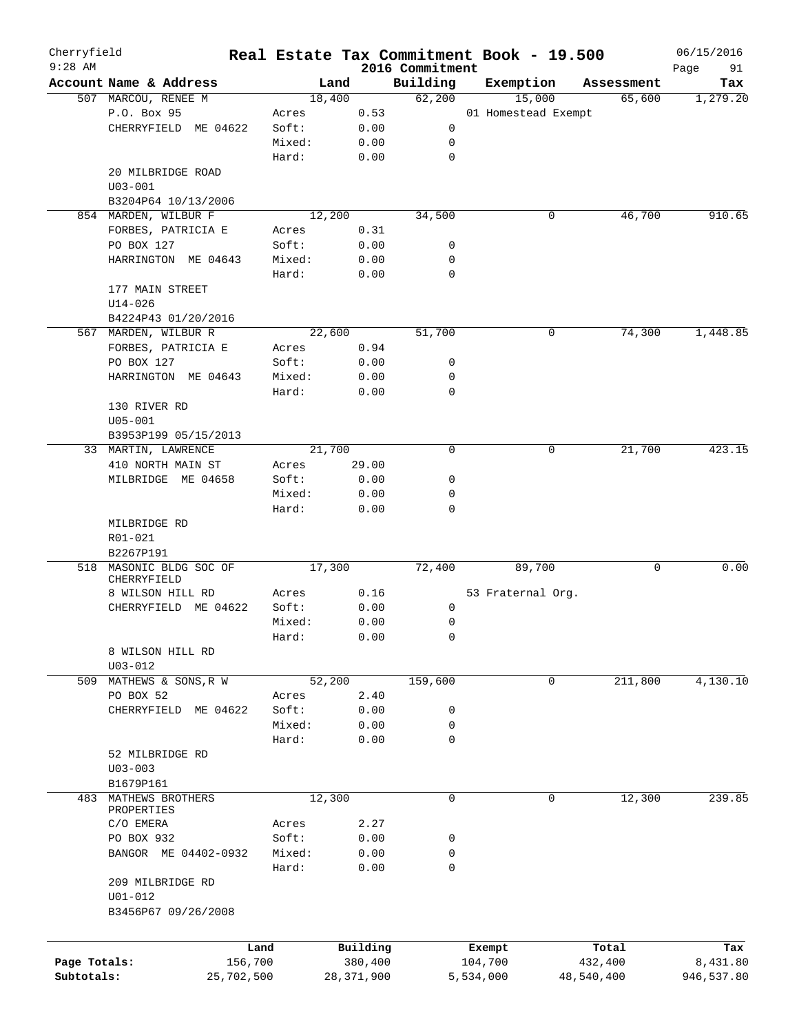| Cherryfield<br>$9:28$ AM |                         |            |              |          |                             | Real Estate Tax Commitment Book - 19.500 |            | 06/15/2016        |
|--------------------------|-------------------------|------------|--------------|----------|-----------------------------|------------------------------------------|------------|-------------------|
|                          | Account Name & Address  |            | Land         |          | 2016 Commitment<br>Building | Exemption                                | Assessment | Page<br>91<br>Tax |
|                          | 507 MARCOU, RENEE M     |            | 18,400       |          | 62,200                      | 15,000                                   | 65,600     | 1, 279.20         |
|                          | P.O. Box 95             | Acres      |              | 0.53     |                             | 01 Homestead Exempt                      |            |                   |
|                          | CHERRYFIELD ME 04622    | Soft:      |              | 0.00     | 0                           |                                          |            |                   |
|                          |                         | Mixed:     |              |          |                             |                                          |            |                   |
|                          |                         |            |              | 0.00     | 0                           |                                          |            |                   |
|                          |                         | Hard:      |              | 0.00     | $\mathbf 0$                 |                                          |            |                   |
|                          | 20 MILBRIDGE ROAD       |            |              |          |                             |                                          |            |                   |
|                          | $U03 - 001$             |            |              |          |                             |                                          |            |                   |
|                          | B3204P64 10/13/2006     |            |              |          |                             |                                          |            |                   |
|                          | 854 MARDEN, WILBUR F    |            | 12,200       |          | 34,500                      | 0                                        | 46,700     | 910.65            |
|                          | FORBES, PATRICIA E      | Acres      |              | 0.31     |                             |                                          |            |                   |
|                          | PO BOX 127              | Soft:      |              | 0.00     | 0                           |                                          |            |                   |
|                          | HARRINGTON ME 04643     | Mixed:     |              | 0.00     | 0                           |                                          |            |                   |
|                          |                         | Hard:      |              | 0.00     | $\mathbf 0$                 |                                          |            |                   |
|                          | 177 MAIN STREET         |            |              |          |                             |                                          |            |                   |
|                          | $U14 - 026$             |            |              |          |                             |                                          |            |                   |
|                          | B4224P43 01/20/2016     |            |              |          |                             |                                          |            |                   |
|                          | 567 MARDEN, WILBUR R    |            | 22,600       |          | 51,700                      | 0                                        | 74,300     | 1,448.85          |
|                          | FORBES, PATRICIA E      | Acres      |              | 0.94     |                             |                                          |            |                   |
|                          | PO BOX 127              | Soft:      |              | 0.00     | 0                           |                                          |            |                   |
|                          | HARRINGTON ME 04643     | Mixed:     |              | 0.00     | 0                           |                                          |            |                   |
|                          |                         | Hard:      |              | 0.00     | $\mathbf 0$                 |                                          |            |                   |
|                          | 130 RIVER RD            |            |              |          |                             |                                          |            |                   |
|                          | $U05 - 001$             |            |              |          |                             |                                          |            |                   |
|                          | B3953P199 05/15/2013    |            |              |          |                             |                                          |            |                   |
|                          | 33 MARTIN, LAWRENCE     |            | 21,700       |          | $\mathbf 0$                 | 0                                        | 21,700     | 423.15            |
|                          | 410 NORTH MAIN ST       | Acres      |              | 29.00    |                             |                                          |            |                   |
|                          | MILBRIDGE ME 04658      | Soft:      |              | 0.00     | 0                           |                                          |            |                   |
|                          |                         | Mixed:     |              | 0.00     | 0                           |                                          |            |                   |
|                          |                         | Hard:      |              | 0.00     | $\mathbf 0$                 |                                          |            |                   |
|                          | MILBRIDGE RD            |            |              |          |                             |                                          |            |                   |
|                          | R01-021                 |            |              |          |                             |                                          |            |                   |
|                          | B2267P191               |            |              |          |                             |                                          |            |                   |
| 518                      | MASONIC BLDG SOC OF     |            | 17,300       |          | 72,400                      | 89,700                                   | 0          | 0.00              |
|                          | CHERRYFIELD             |            |              |          |                             |                                          |            |                   |
|                          | 8 WILSON HILL RD        | Acres      |              | 0.16     |                             | 53 Fraternal Org.                        |            |                   |
|                          | CHERRYFIELD ME 04622    | Soft:      |              | 0.00     | 0                           |                                          |            |                   |
|                          |                         | Mixed:     |              | 0.00     | 0                           |                                          |            |                   |
|                          |                         | Hard:      |              | 0.00     | 0                           |                                          |            |                   |
|                          | 8 WILSON HILL RD        |            |              |          |                             |                                          |            |                   |
|                          | $U03 - 012$             |            |              |          |                             |                                          |            |                   |
|                          | 509 MATHEWS & SONS, R W |            | 52,200       |          | 159,600                     | 0                                        | 211,800    | 4,130.10          |
|                          | PO BOX 52               | Acres      |              | 2.40     |                             |                                          |            |                   |
|                          | CHERRYFIELD ME 04622    | Soft:      |              | 0.00     | 0                           |                                          |            |                   |
|                          |                         |            |              |          | 0                           |                                          |            |                   |
|                          |                         | Mixed:     |              | 0.00     |                             |                                          |            |                   |
|                          |                         | Hard:      |              | 0.00     | 0                           |                                          |            |                   |
|                          | 52 MILBRIDGE RD         |            |              |          |                             |                                          |            |                   |
|                          | $U03 - 003$             |            |              |          |                             |                                          |            |                   |
|                          | B1679P161               |            |              |          |                             |                                          |            |                   |
| 483                      | MATHEWS BROTHERS        |            | 12,300       |          | 0                           | 0                                        | 12,300     | 239.85            |
|                          | PROPERTIES              | Acres      |              | 2.27     |                             |                                          |            |                   |
|                          | C/O EMERA               |            |              |          |                             |                                          |            |                   |
|                          | PO BOX 932              | Soft:      |              | 0.00     | 0                           |                                          |            |                   |
|                          | BANGOR ME 04402-0932    | Mixed:     |              | 0.00     | 0                           |                                          |            |                   |
|                          |                         | Hard:      |              | 0.00     | 0                           |                                          |            |                   |
|                          | 209 MILBRIDGE RD        |            |              |          |                             |                                          |            |                   |
|                          | $U01 - 012$             |            |              |          |                             |                                          |            |                   |
|                          | B3456P67 09/26/2008     |            |              |          |                             |                                          |            |                   |
|                          |                         |            |              |          |                             |                                          |            |                   |
|                          |                         | Land       |              | Building |                             | Exempt                                   | Total      | Tax               |
| Page Totals:             |                         | 156,700    |              | 380,400  |                             | 104,700                                  | 432,400    | 8,431.80          |
| Subtotals:               |                         | 25,702,500 | 28, 371, 900 |          |                             | 5,534,000                                | 48,540,400 | 946,537.80        |
|                          |                         |            |              |          |                             |                                          |            |                   |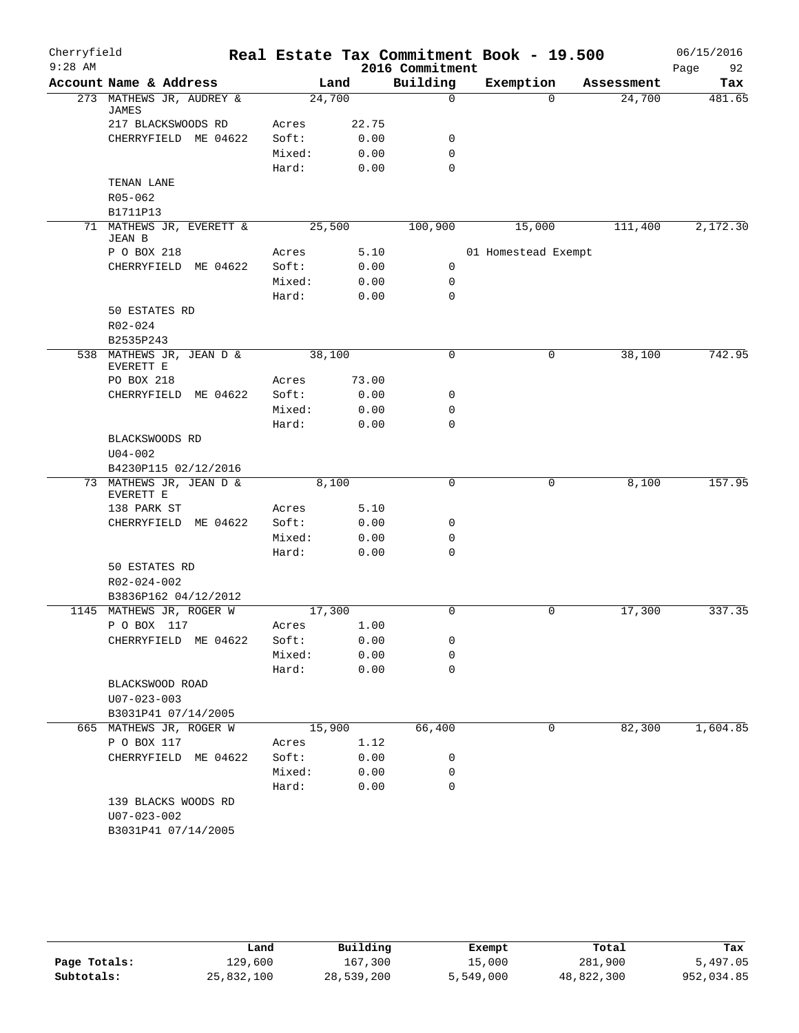| Cherryfield |                                           |                |              |                 | Real Estate Tax Commitment Book - 19.500 |            | 06/15/2016 |
|-------------|-------------------------------------------|----------------|--------------|-----------------|------------------------------------------|------------|------------|
| $9:28$ AM   |                                           |                |              | 2016 Commitment |                                          |            | Page<br>92 |
|             | Account Name & Address                    |                | Land         | Building        | Exemption                                | Assessment | Tax        |
|             | 273 MATHEWS JR, AUDREY &<br><b>JAMES</b>  | 24,700         |              | $\Omega$        | $\Omega$                                 | 24,700     | 481.65     |
|             | 217 BLACKSWOODS RD                        | Acres          | 22.75        |                 |                                          |            |            |
|             | CHERRYFIELD ME 04622                      | Soft:          | 0.00         | 0               |                                          |            |            |
|             |                                           | Mixed:         | 0.00         | 0               |                                          |            |            |
|             |                                           | Hard:          | 0.00         | $\mathbf 0$     |                                          |            |            |
|             | TENAN LANE                                |                |              |                 |                                          |            |            |
|             | R05-062                                   |                |              |                 |                                          |            |            |
|             | B1711P13                                  |                |              |                 |                                          |            |            |
|             | 71 MATHEWS JR, EVERETT &<br><b>JEAN B</b> |                | 25,500       | 100,900         | 15,000                                   | 111,400    | 2,172.30   |
|             | P O BOX 218                               | Acres          | 5.10         |                 | 01 Homestead Exempt                      |            |            |
|             | CHERRYFIELD ME 04622                      | Soft:          | 0.00         | 0               |                                          |            |            |
|             |                                           | Mixed:         | 0.00         | 0               |                                          |            |            |
|             |                                           | Hard:          | 0.00         | $\mathbf 0$     |                                          |            |            |
|             | 50 ESTATES RD                             |                |              |                 |                                          |            |            |
|             | R02-024                                   |                |              |                 |                                          |            |            |
|             | B2535P243                                 |                |              |                 |                                          |            |            |
|             | 538 MATHEWS JR, JEAN D &<br>EVERETT E     |                | 38,100       | $\mathbf 0$     | 0                                        | 38,100     | 742.95     |
|             | PO BOX 218                                | Acres          | 73.00        |                 |                                          |            |            |
|             | CHERRYFIELD ME 04622                      | Soft:          | 0.00         | 0               |                                          |            |            |
|             |                                           | Mixed:         | 0.00         | 0               |                                          |            |            |
|             |                                           | Hard:          | 0.00         | $\mathbf 0$     |                                          |            |            |
|             | BLACKSWOODS RD                            |                |              |                 |                                          |            |            |
|             | $U04 - 002$                               |                |              |                 |                                          |            |            |
|             | B4230P115 02/12/2016                      |                |              |                 |                                          |            |            |
|             | 73 MATHEWS JR, JEAN D &                   |                | 8,100        | $\mathbf 0$     | 0                                        | 8,100      | 157.95     |
|             | EVERETT E                                 |                |              |                 |                                          |            |            |
|             | 138 PARK ST                               | Acres          | 5.10         |                 |                                          |            |            |
|             | CHERRYFIELD ME 04622                      | Soft:          | 0.00         | 0               |                                          |            |            |
|             |                                           | Mixed:         | 0.00         | 0               |                                          |            |            |
|             |                                           | Hard:          | 0.00         | $\Omega$        |                                          |            |            |
|             | 50 ESTATES RD                             |                |              |                 |                                          |            |            |
|             | R02-024-002                               |                |              |                 |                                          |            |            |
|             | B3836P162 04/12/2012                      |                |              |                 |                                          |            |            |
|             | 1145 MATHEWS JR, ROGER W<br>P O BOX 117   | 17,300         |              | 0               | 0                                        | 17,300     | 337.35     |
|             | CHERRYFIELD ME 04622                      | Acres<br>Soft: | 1.00<br>0.00 | 0               |                                          |            |            |
|             |                                           | Mixed:         | 0.00         | 0               |                                          |            |            |
|             |                                           | Hard:          | 0.00         | 0               |                                          |            |            |
|             | BLACKSWOOD ROAD                           |                |              |                 |                                          |            |            |
|             | $U07 - 023 - 003$                         |                |              |                 |                                          |            |            |
|             | B3031P41 07/14/2005                       |                |              |                 |                                          |            |            |
|             | 665 MATHEWS JR, ROGER W                   |                | 15,900       | 66,400          | 0                                        | 82,300     | 1,604.85   |
|             | P O BOX 117                               | Acres          | 1.12         |                 |                                          |            |            |
|             | CHERRYFIELD ME 04622                      | Soft:          | 0.00         | 0               |                                          |            |            |
|             |                                           | Mixed:         | 0.00         | 0               |                                          |            |            |
|             |                                           | Hard:          | 0.00         | $\mathbf 0$     |                                          |            |            |
|             | 139 BLACKS WOODS RD                       |                |              |                 |                                          |            |            |
|             | U07-023-002                               |                |              |                 |                                          |            |            |
|             | B3031P41 07/14/2005                       |                |              |                 |                                          |            |            |
|             |                                           |                |              |                 |                                          |            |            |

|              | Land       | Building   | Exempt    | Total      | Tax        |
|--------------|------------|------------|-----------|------------|------------|
| Page Totals: | 129,600    | 167,300    | 15,000    | 281,900    | 5,497.05   |
| Subtotals:   | 25,832,100 | 28,539,200 | 5,549,000 | 48,822,300 | 952,034.85 |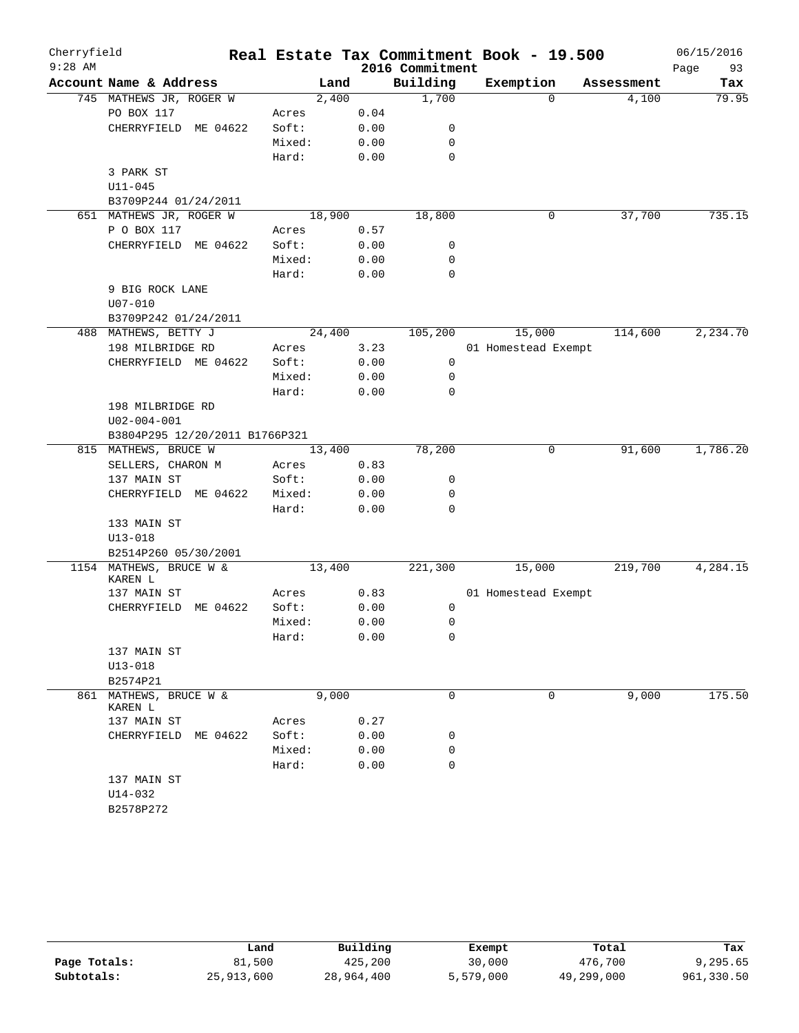| Cherryfield |                                    |          |        |        |      |                 | Real Estate Tax Commitment Book - 19.500 |            | 06/15/2016 |
|-------------|------------------------------------|----------|--------|--------|------|-----------------|------------------------------------------|------------|------------|
| $9:28$ AM   |                                    |          |        |        |      | 2016 Commitment |                                          |            | Page<br>93 |
|             | Account Name & Address             |          |        | Land   |      | Building        | Exemption                                | Assessment | Tax        |
|             | 745 MATHEWS JR, ROGER W            |          |        | 2,400  |      | 1,700           | $\Omega$                                 | 4,100      | 79.95      |
|             | PO BOX 117                         |          | Acres  |        | 0.04 |                 |                                          |            |            |
|             | CHERRYFIELD ME 04622               |          | Soft:  |        | 0.00 | 0               |                                          |            |            |
|             |                                    |          | Mixed: |        | 0.00 | 0               |                                          |            |            |
|             |                                    |          | Hard:  |        | 0.00 | $\mathbf 0$     |                                          |            |            |
|             | 3 PARK ST                          |          |        |        |      |                 |                                          |            |            |
|             | $U11 - 045$                        |          |        |        |      |                 |                                          |            |            |
|             | B3709P244 01/24/2011               |          |        |        |      |                 |                                          |            |            |
|             | 651 MATHEWS JR, ROGER W            |          |        | 18,900 |      | 18,800          | 0                                        | 37,700     | 735.15     |
|             | P O BOX 117                        |          | Acres  |        | 0.57 |                 |                                          |            |            |
|             | CHERRYFIELD ME 04622               |          | Soft:  |        | 0.00 | 0               |                                          |            |            |
|             |                                    |          | Mixed: |        | 0.00 | 0               |                                          |            |            |
|             |                                    |          | Hard:  |        | 0.00 | 0               |                                          |            |            |
|             | 9 BIG ROCK LANE                    |          |        |        |      |                 |                                          |            |            |
|             | $U07 - 010$                        |          |        |        |      |                 |                                          |            |            |
|             | B3709P242 01/24/2011               |          |        |        |      |                 |                                          |            |            |
|             | 488 MATHEWS, BETTY J               |          |        | 24,400 |      | 105,200         | 15,000                                   | 114,600    | 2, 234.70  |
|             | 198 MILBRIDGE RD                   |          | Acres  |        | 3.23 |                 | 01 Homestead Exempt                      |            |            |
|             | CHERRYFIELD ME 04622               |          | Soft:  |        | 0.00 | 0               |                                          |            |            |
|             |                                    |          | Mixed: |        | 0.00 | 0               |                                          |            |            |
|             |                                    |          | Hard:  |        | 0.00 | 0               |                                          |            |            |
|             | 198 MILBRIDGE RD                   |          |        |        |      |                 |                                          |            |            |
|             | $U02 - 004 - 001$                  |          |        |        |      |                 |                                          |            |            |
|             | B3804P295 12/20/2011 B1766P321     |          |        |        |      |                 |                                          |            |            |
|             | 815 MATHEWS, BRUCE W               |          |        | 13,400 |      | 78,200          | 0                                        | 91,600     | 1,786.20   |
|             | SELLERS, CHARON M                  |          | Acres  |        | 0.83 |                 |                                          |            |            |
|             | 137 MAIN ST                        |          | Soft:  |        | 0.00 | 0               |                                          |            |            |
|             | CHERRYFIELD ME 04622               |          | Mixed: |        | 0.00 | 0               |                                          |            |            |
|             |                                    |          | Hard:  |        | 0.00 | 0               |                                          |            |            |
|             | 133 MAIN ST                        |          |        |        |      |                 |                                          |            |            |
|             | $U13 - 018$                        |          |        |        |      |                 |                                          |            |            |
|             | B2514P260 05/30/2001               |          |        |        |      |                 |                                          |            |            |
|             | 1154 MATHEWS, BRUCE W &<br>KAREN L |          |        | 13,400 |      | 221,300         | 15,000                                   | 219,700    | 4,284.15   |
|             | 137 MAIN ST                        |          | Acres  |        | 0.83 |                 | 01 Homestead Exempt                      |            |            |
|             | CHERRYFIELD                        | ME 04622 | Soft:  |        | 0.00 | 0               |                                          |            |            |
|             |                                    |          | Mixed: |        | 0.00 | 0               |                                          |            |            |
|             |                                    |          | Hard:  |        | 0.00 | 0               |                                          |            |            |
|             | 137 MAIN ST                        |          |        |        |      |                 |                                          |            |            |
|             | $U13 - 018$                        |          |        |        |      |                 |                                          |            |            |
|             | B2574P21                           |          |        |        |      |                 |                                          |            |            |
|             | 861 MATHEWS, BRUCE W &<br>KAREN L  |          |        | 9,000  |      | $\mathbf 0$     | 0                                        | 9,000      | 175.50     |
|             | 137 MAIN ST                        |          | Acres  |        | 0.27 |                 |                                          |            |            |
|             | CHERRYFIELD ME 04622               |          | Soft:  |        | 0.00 | 0               |                                          |            |            |
|             |                                    |          | Mixed: |        | 0.00 | 0               |                                          |            |            |
|             |                                    |          | Hard:  |        | 0.00 | $\mathbf 0$     |                                          |            |            |
|             | 137 MAIN ST                        |          |        |        |      |                 |                                          |            |            |
|             | U14-032                            |          |        |        |      |                 |                                          |            |            |
|             | B2578P272                          |          |        |        |      |                 |                                          |            |            |

|              | Land       | Building   | Exempt    | Total      | Tax        |
|--------------|------------|------------|-----------|------------|------------|
| Page Totals: | 81,500     | 425,200    | 30,000    | 476,700    | 9,295.65   |
| Subtotals:   | 25,913,600 | 28,964,400 | 5,579,000 | 49,299,000 | 961,330.50 |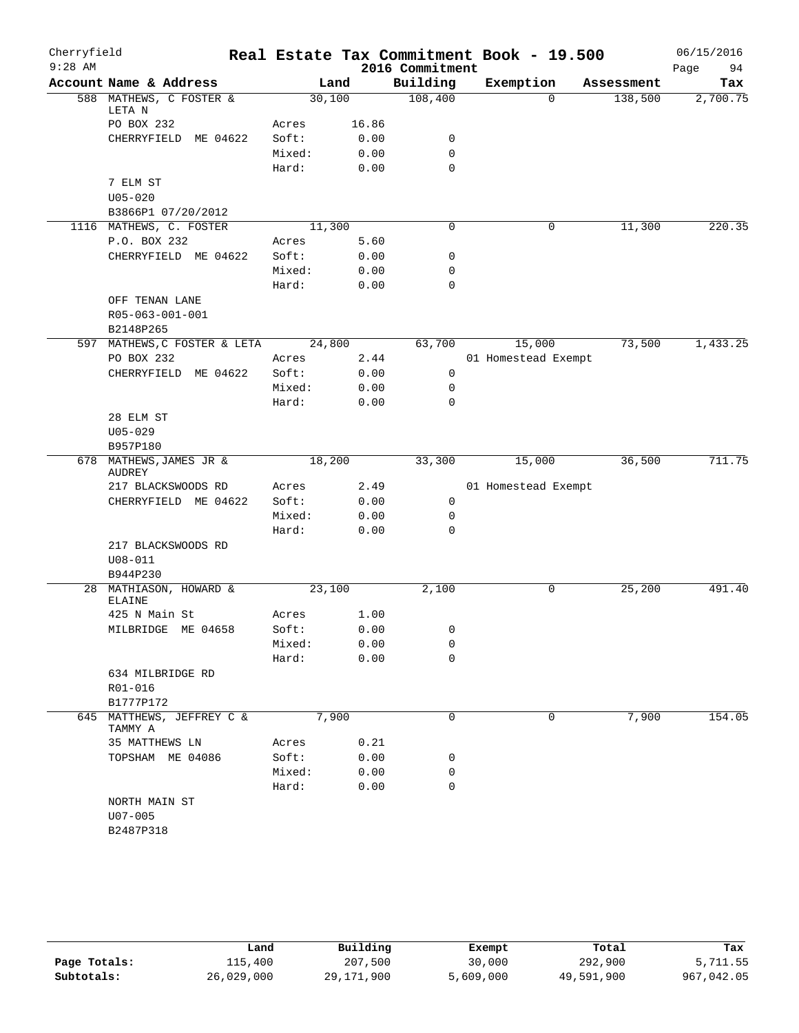| Cherryfield |                                          |        |       |                 | Real Estate Tax Commitment Book - 19.500 |            | 06/15/2016 |
|-------------|------------------------------------------|--------|-------|-----------------|------------------------------------------|------------|------------|
| $9:28$ AM   |                                          |        |       | 2016 Commitment |                                          |            | 94<br>Page |
|             | Account Name & Address                   |        | Land  | Building        | Exemption                                | Assessment | Tax        |
|             | 588 MATHEWS, C FOSTER &<br>LETA N        | 30,100 |       | 108,400         | $\Omega$                                 | 138,500    | 2,700.75   |
|             | PO BOX 232                               | Acres  | 16.86 |                 |                                          |            |            |
|             | CHERRYFIELD ME 04622                     | Soft:  | 0.00  | 0               |                                          |            |            |
|             |                                          | Mixed: | 0.00  | 0               |                                          |            |            |
|             |                                          | Hard:  | 0.00  | $\mathbf 0$     |                                          |            |            |
|             | 7 ELM ST                                 |        |       |                 |                                          |            |            |
|             | $U05 - 020$                              |        |       |                 |                                          |            |            |
|             | B3866P1 07/20/2012                       |        |       |                 |                                          |            |            |
|             | 1116 MATHEWS, C. FOSTER                  | 11,300 |       | 0               | 0                                        | 11,300     | 220.35     |
|             | P.O. BOX 232                             | Acres  | 5.60  |                 |                                          |            |            |
|             | CHERRYFIELD ME 04622                     | Soft:  | 0.00  | $\mathbf 0$     |                                          |            |            |
|             |                                          | Mixed: | 0.00  | $\mathbf 0$     |                                          |            |            |
|             |                                          | Hard:  | 0.00  | $\mathbf 0$     |                                          |            |            |
|             | OFF TENAN LANE                           |        |       |                 |                                          |            |            |
|             | R05-063-001-001                          |        |       |                 |                                          |            |            |
|             | B2148P265                                |        |       |                 |                                          |            |            |
|             | 597 MATHEWS, C FOSTER & LETA             | 24,800 |       | 63,700          | 15,000                                   | 73,500     | 1,433.25   |
|             | PO BOX 232                               | Acres  | 2.44  |                 | 01 Homestead Exempt                      |            |            |
|             | CHERRYFIELD ME 04622                     | Soft:  | 0.00  | 0               |                                          |            |            |
|             |                                          | Mixed: | 0.00  | 0               |                                          |            |            |
|             |                                          | Hard:  | 0.00  | 0               |                                          |            |            |
|             | 28 ELM ST                                |        |       |                 |                                          |            |            |
|             | $U05 - 029$                              |        |       |                 |                                          |            |            |
|             | B957P180                                 |        |       |                 |                                          |            |            |
|             | 678 MATHEWS, JAMES JR &<br><b>AUDREY</b> | 18,200 |       | 33,300          | 15,000                                   | 36,500     | 711.75     |
|             | 217 BLACKSWOODS RD                       | Acres  | 2.49  |                 | 01 Homestead Exempt                      |            |            |
|             | CHERRYFIELD ME 04622                     | Soft:  | 0.00  | 0               |                                          |            |            |
|             |                                          | Mixed: | 0.00  | 0               |                                          |            |            |
|             |                                          | Hard:  | 0.00  | $\mathbf 0$     |                                          |            |            |
|             | 217 BLACKSWOODS RD                       |        |       |                 |                                          |            |            |
|             | $U08 - 011$                              |        |       |                 |                                          |            |            |
|             | B944P230                                 |        |       |                 |                                          |            |            |
|             | 28 MATHIASON, HOWARD &                   | 23,100 |       | 2,100           | 0                                        | 25,200     | 491.40     |
|             | <b>ELAINE</b><br>425 N Main St           | Acres  | 1.00  |                 |                                          |            |            |
|             | MILBRIDGE ME 04658                       | Soft:  | 0.00  | 0               |                                          |            |            |
|             |                                          | Mixed: | 0.00  | 0               |                                          |            |            |
|             |                                          | Hard:  | 0.00  | $\mathbf 0$     |                                          |            |            |
|             | 634 MILBRIDGE RD                         |        |       |                 |                                          |            |            |
|             | R01-016                                  |        |       |                 |                                          |            |            |
|             | B1777P172                                |        |       |                 |                                          |            |            |
| 645         | MATTHEWS, JEFFREY C &<br>TAMMY A         | 7,900  |       | $\mathbf 0$     | 0                                        | 7,900      | 154.05     |
|             | 35 MATTHEWS LN                           | Acres  | 0.21  |                 |                                          |            |            |
|             | TOPSHAM ME 04086                         | Soft:  | 0.00  | 0               |                                          |            |            |
|             |                                          | Mixed: | 0.00  | 0               |                                          |            |            |
|             |                                          | Hard:  | 0.00  | 0               |                                          |            |            |
|             | NORTH MAIN ST                            |        |       |                 |                                          |            |            |
|             | $U07 - 005$                              |        |       |                 |                                          |            |            |
|             | B2487P318                                |        |       |                 |                                          |            |            |
|             |                                          |        |       |                 |                                          |            |            |

|              | Land       | Building   | Exempt    | Total      | Tax        |
|--------------|------------|------------|-----------|------------|------------|
| Page Totals: | 115,400    | 207,500    | 30,000    | 292,900    | 5,711.55   |
| Subtotals:   | 26,029,000 | 29,171,900 | 5,609,000 | 49,591,900 | 967,042.05 |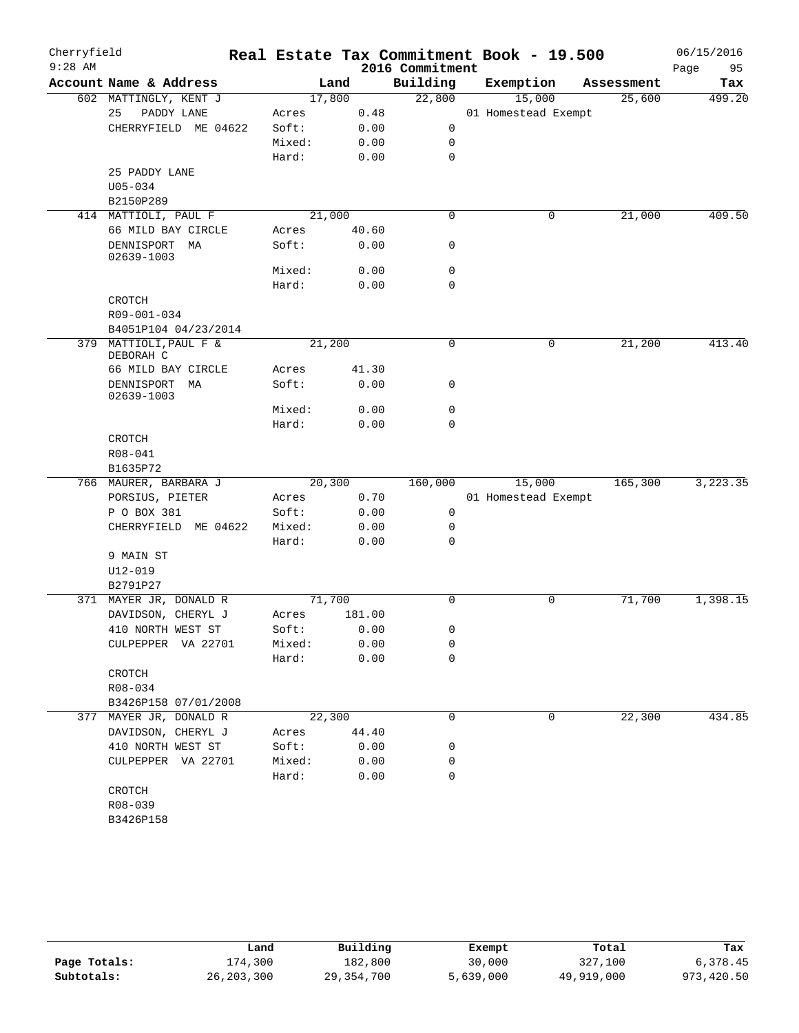| Cherryfield<br>$9:28$ AM |                                 |                 |        | 2016 Commitment | Real Estate Tax Commitment Book - 19.500 |            | 06/15/2016<br>Page<br>95 |
|--------------------------|---------------------------------|-----------------|--------|-----------------|------------------------------------------|------------|--------------------------|
|                          | Account Name & Address          | Land            |        | Building        | Exemption                                | Assessment | Tax                      |
|                          | 602 MATTINGLY, KENT J           | 17,800          |        | 22,800          | 15,000                                   | 25,600     | 499.20                   |
|                          | 25<br>PADDY LANE                | Acres           | 0.48   |                 | 01 Homestead Exempt                      |            |                          |
|                          | CHERRYFIELD ME 04622            | Soft:           | 0.00   | 0               |                                          |            |                          |
|                          |                                 | Mixed:          | 0.00   | 0               |                                          |            |                          |
|                          |                                 | Hard:           | 0.00   | $\mathbf 0$     |                                          |            |                          |
|                          | 25 PADDY LANE                   |                 |        |                 |                                          |            |                          |
|                          | $U05 - 034$                     |                 |        |                 |                                          |            |                          |
|                          | B2150P289                       |                 |        |                 |                                          |            |                          |
|                          | 414 MATTIOLI, PAUL F            | 21,000          |        | $\mathbf 0$     | 0                                        | 21,000     | 409.50                   |
|                          | 66 MILD BAY CIRCLE              | Acres           | 40.60  |                 |                                          |            |                          |
|                          | DENNISPORT MA<br>02639-1003     | Soft:           | 0.00   | 0               |                                          |            |                          |
|                          |                                 | Mixed:          | 0.00   | 0               |                                          |            |                          |
|                          |                                 | Hard:           | 0.00   | $\mathbf 0$     |                                          |            |                          |
|                          | CROTCH                          |                 |        |                 |                                          |            |                          |
|                          | R09-001-034                     |                 |        |                 |                                          |            |                          |
|                          | B4051P104 04/23/2014            |                 |        |                 |                                          |            |                          |
| 379                      | MATTIOLI, PAUL F &<br>DEBORAH C | 21,200          |        | $\mathbf 0$     | $\mathbf 0$                              | 21,200     | 413.40                   |
|                          | 66 MILD BAY CIRCLE              | Acres           | 41.30  |                 |                                          |            |                          |
|                          | DENNISPORT<br>MA<br>02639-1003  | Soft:           | 0.00   | 0               |                                          |            |                          |
|                          |                                 | Mixed:          | 0.00   | 0               |                                          |            |                          |
|                          |                                 | Hard:           | 0.00   | 0               |                                          |            |                          |
|                          | CROTCH                          |                 |        |                 |                                          |            |                          |
|                          | R08-041                         |                 |        |                 |                                          |            |                          |
|                          | B1635P72                        |                 |        |                 |                                          |            |                          |
|                          | 766 MAURER, BARBARA J           | 20,300          |        | 160,000         | 15,000                                   | 165,300    | 3, 223.35                |
|                          | PORSIUS, PIETER                 | Acres           | 0.70   |                 | 01 Homestead Exempt                      |            |                          |
|                          | P O BOX 381                     | Soft:           | 0.00   | 0               |                                          |            |                          |
|                          | CHERRYFIELD ME 04622            | Mixed:          | 0.00   | 0               |                                          |            |                          |
|                          |                                 | Hard:           | 0.00   | 0               |                                          |            |                          |
|                          | 9 MAIN ST                       |                 |        |                 |                                          |            |                          |
|                          | $U12 - 019$                     |                 |        |                 |                                          |            |                          |
|                          | B2791P27                        |                 |        |                 |                                          |            |                          |
|                          | 371 MAYER JR, DONALD R          | 71,700          |        | $\mathbf 0$     | $\mathbf 0$                              | 71,700     | 1,398.15                 |
|                          | DAVIDSON, CHERYL J              | Acres           | 181.00 |                 |                                          |            |                          |
|                          | 410 NORTH WEST ST               | Soft:           | 0.00   | 0               |                                          |            |                          |
|                          | CULPEPPER VA 22701              | Mixed:          | 0.00   | 0               |                                          |            |                          |
|                          |                                 | Hard:           | 0.00   | 0               |                                          |            |                          |
|                          | CROTCH                          |                 |        |                 |                                          |            |                          |
|                          | R08-034                         |                 |        |                 |                                          |            |                          |
|                          | B3426P158 07/01/2008            |                 |        |                 |                                          |            |                          |
| 377                      | MAYER JR, DONALD R              | 22,300          |        | 0               | 0                                        | 22,300     | 434.85                   |
|                          | DAVIDSON, CHERYL J              | Acres           | 44.40  |                 |                                          |            |                          |
|                          | 410 NORTH WEST ST               | Soft:           | 0.00   | 0               |                                          |            |                          |
|                          | CULPEPPER VA 22701              | Mixed:<br>Hard: | 0.00   | 0<br>0          |                                          |            |                          |
|                          |                                 |                 | 0.00   |                 |                                          |            |                          |
|                          | CROTCH                          |                 |        |                 |                                          |            |                          |
|                          | R08-039                         |                 |        |                 |                                          |            |                          |
|                          | B3426P158                       |                 |        |                 |                                          |            |                          |

|              | Land         | Building     | Exempt    | Total      | Tax        |
|--------------|--------------|--------------|-----------|------------|------------|
| Page Totals: | .74,300      | 182,800      | 30,000    | 327,100    | 6,378.45   |
| Subtotals:   | 26, 203, 300 | 29, 354, 700 | 5,639,000 | 49,919,000 | 973,420.50 |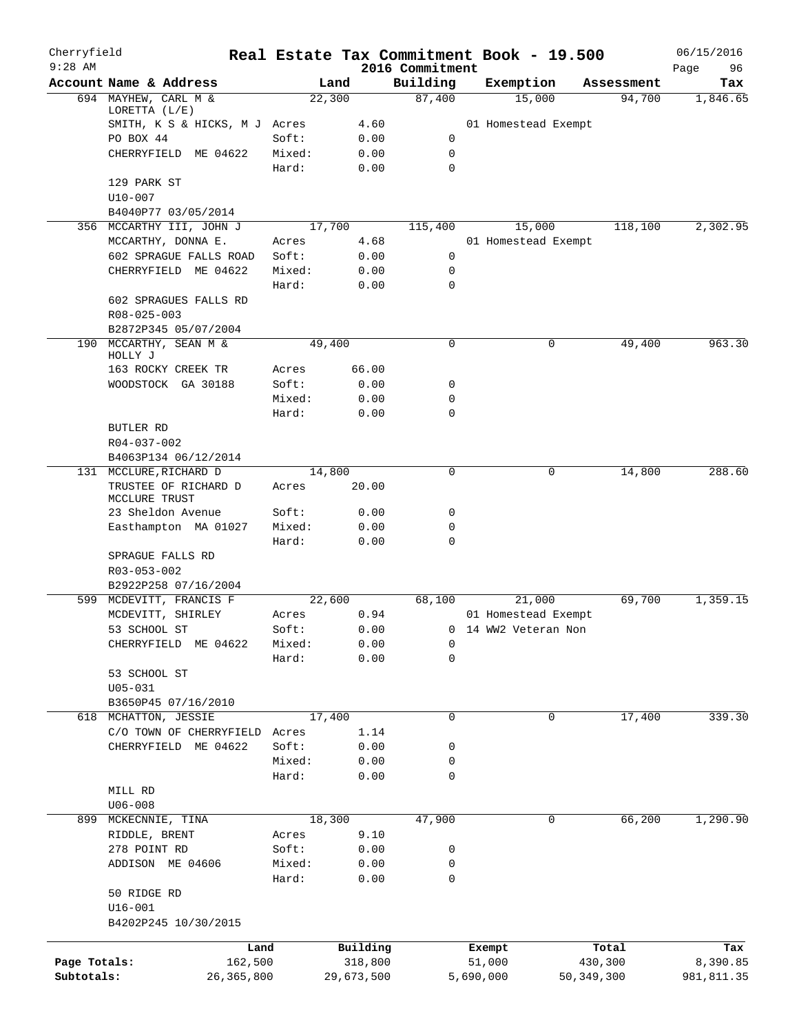| Cherryfield                |                                              |                 |                       |                             | Real Estate Tax Commitment Book - 19.500 |                         | 06/15/2016             |
|----------------------------|----------------------------------------------|-----------------|-----------------------|-----------------------------|------------------------------------------|-------------------------|------------------------|
| $9:28$ AM                  | Account Name & Address                       | Land            |                       | 2016 Commitment<br>Building | Exemption                                | Assessment              | Page<br>96<br>Tax      |
|                            | 694 MAYHEW, CARL M &                         | 22,300          |                       | 87,400                      | 15,000                                   | 94,700                  | 1,846.65               |
|                            | LORETTA $(L/E)$                              |                 |                       |                             |                                          |                         |                        |
|                            | SMITH, K S & HICKS, M J Acres                |                 | 4.60                  |                             | 01 Homestead Exempt                      |                         |                        |
|                            | PO BOX 44                                    | Soft:           | 0.00                  | 0<br>$\mathbf 0$            |                                          |                         |                        |
|                            | CHERRYFIELD ME 04622                         | Mixed:<br>Hard: | 0.00<br>0.00          | $\mathbf 0$                 |                                          |                         |                        |
|                            | 129 PARK ST                                  |                 |                       |                             |                                          |                         |                        |
|                            | $U10 - 007$                                  |                 |                       |                             |                                          |                         |                        |
|                            | B4040P77 03/05/2014                          |                 |                       |                             |                                          |                         |                        |
|                            | 356 MCCARTHY III, JOHN J                     | 17,700          |                       | 115,400                     | 15,000                                   | 118,100                 | 2,302.95               |
|                            | MCCARTHY, DONNA E.<br>602 SPRAGUE FALLS ROAD | Acres<br>Soft:  | 4.68<br>0.00          | 0                           | 01 Homestead Exempt                      |                         |                        |
|                            | CHERRYFIELD ME 04622                         | Mixed:          | 0.00                  | 0                           |                                          |                         |                        |
|                            |                                              | Hard:           | 0.00                  | $\mathbf 0$                 |                                          |                         |                        |
|                            | 602 SPRAGUES FALLS RD                        |                 |                       |                             |                                          |                         |                        |
|                            | R08-025-003                                  |                 |                       |                             |                                          |                         |                        |
|                            | B2872P345 05/07/2004                         |                 |                       |                             |                                          |                         |                        |
|                            | 190 MCCARTHY, SEAN M &<br>HOLLY J            | 49,400          |                       | 0                           | 0                                        | 49,400                  | 963.30                 |
|                            | 163 ROCKY CREEK TR                           | Acres           | 66.00                 |                             |                                          |                         |                        |
|                            | WOODSTOCK GA 30188                           | Soft:           | 0.00                  | 0                           |                                          |                         |                        |
|                            |                                              | Mixed:          | 0.00                  | 0                           |                                          |                         |                        |
|                            |                                              | Hard:           | 0.00                  | 0                           |                                          |                         |                        |
|                            | BUTLER RD                                    |                 |                       |                             |                                          |                         |                        |
|                            | R04-037-002                                  |                 |                       |                             |                                          |                         |                        |
|                            | B4063P134 06/12/2014                         |                 |                       |                             |                                          |                         |                        |
|                            | 131 MCCLURE, RICHARD D                       | 14,800          |                       | 0                           | 0                                        | 14,800                  | 288.60                 |
|                            | TRUSTEE OF RICHARD D<br>MCCLURE TRUST        | Acres           | 20.00                 |                             |                                          |                         |                        |
|                            | 23 Sheldon Avenue                            | Soft:           | 0.00                  | 0                           |                                          |                         |                        |
|                            | Easthampton MA 01027                         | Mixed:          | 0.00                  | 0                           |                                          |                         |                        |
|                            |                                              | Hard:           | 0.00                  | 0                           |                                          |                         |                        |
|                            | SPRAGUE FALLS RD<br>R03-053-002              |                 |                       |                             |                                          |                         |                        |
|                            | B2922P258 07/16/2004                         |                 |                       |                             |                                          |                         |                        |
|                            | 599 MCDEVITT, FRANCIS F                      | 22,600          |                       | 68,100                      | 21,000                                   | 69,700                  | 1,359.15               |
|                            | MCDEVITT, SHIRLEY                            | Acres           | 0.94                  |                             | 01 Homestead Exempt                      |                         |                        |
|                            | 53 SCHOOL ST                                 | Soft:           | 0.00                  |                             | 0 14 WW2 Veteran Non                     |                         |                        |
|                            | CHERRYFIELD ME 04622                         | Mixed:          | 0.00                  | 0                           |                                          |                         |                        |
|                            |                                              | Hard:           | 0.00                  | 0                           |                                          |                         |                        |
|                            | 53 SCHOOL ST                                 |                 |                       |                             |                                          |                         |                        |
|                            | $U05 - 031$                                  |                 |                       |                             |                                          |                         |                        |
|                            | B3650P45 07/16/2010                          |                 |                       |                             |                                          |                         |                        |
|                            | 618 MCHATTON, JESSIE                         | 17,400          |                       | $\mathbf 0$                 | $\mathbf 0$                              | 17,400                  | 339.30                 |
|                            | C/O TOWN OF CHERRYFIELD                      | Acres<br>Soft:  | 1.14                  |                             |                                          |                         |                        |
|                            | CHERRYFIELD ME 04622                         |                 | 0.00                  | 0                           |                                          |                         |                        |
|                            |                                              | Mixed:          | 0.00                  | 0<br>0                      |                                          |                         |                        |
|                            |                                              | Hard:           | 0.00                  |                             |                                          |                         |                        |
|                            | MILL RD<br>U06-008                           |                 |                       |                             |                                          |                         |                        |
| 899                        | MCKECNNIE, TINA                              | 18,300          |                       | 47,900                      | 0                                        | 66,200                  | 1,290.90               |
|                            | RIDDLE, BRENT                                | Acres           | 9.10                  |                             |                                          |                         |                        |
|                            | 278 POINT RD                                 | Soft:           | 0.00                  | 0                           |                                          |                         |                        |
|                            | ADDISON ME 04606                             | Mixed:          | 0.00                  | 0                           |                                          |                         |                        |
|                            |                                              | Hard:           | 0.00                  | 0                           |                                          |                         |                        |
|                            | 50 RIDGE RD                                  |                 |                       |                             |                                          |                         |                        |
|                            | $U16 - 001$                                  |                 |                       |                             |                                          |                         |                        |
|                            | B4202P245 10/30/2015                         |                 |                       |                             |                                          |                         |                        |
|                            | Land                                         |                 | Building              |                             | Exempt                                   | Total                   | Tax                    |
| Page Totals:<br>Subtotals: | 162,500<br>26, 365, 800                      |                 | 318,800<br>29,673,500 |                             | 51,000<br>5,690,000                      | 430,300<br>50, 349, 300 | 8,390.85<br>981,811.35 |
|                            |                                              |                 |                       |                             |                                          |                         |                        |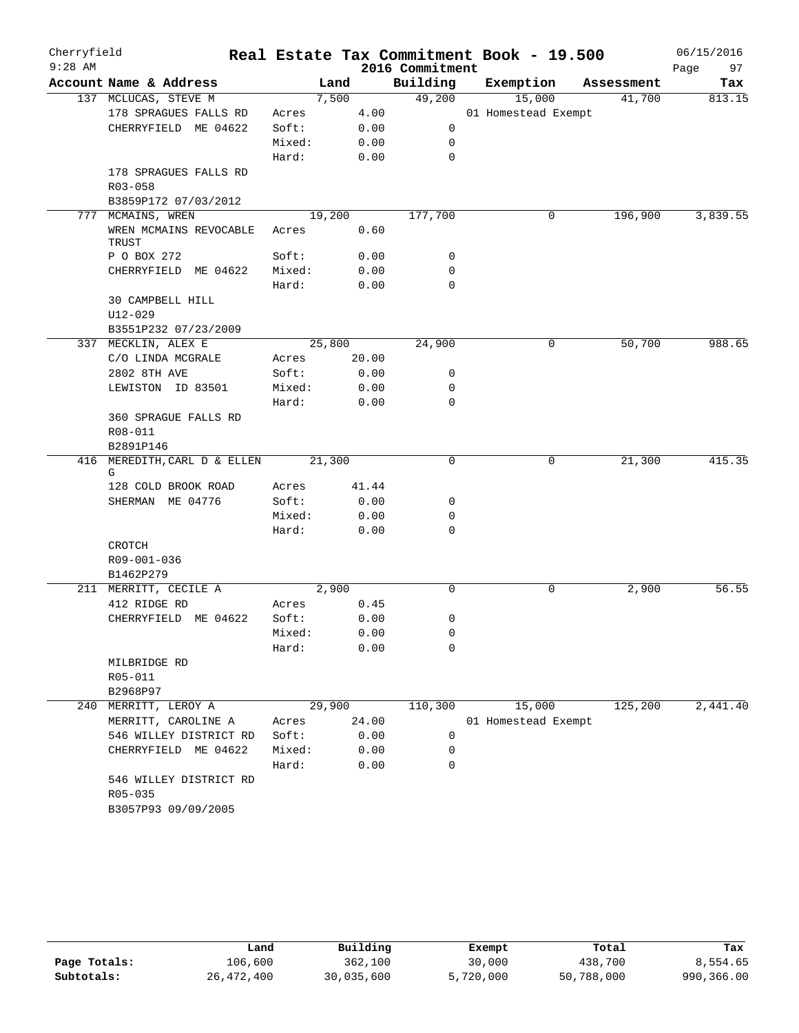| Cherryfield<br>$9:28$ AM |                                   |        |        | 2016 Commitment | Real Estate Tax Commitment Book - 19.500 |            | 06/15/2016<br>97<br>Page |
|--------------------------|-----------------------------------|--------|--------|-----------------|------------------------------------------|------------|--------------------------|
|                          | Account Name & Address            |        | Land   | Building        | Exemption                                | Assessment | Tax                      |
|                          | 137 MCLUCAS, STEVE M              |        | 7,500  | 49,200          | 15,000                                   | 41,700     | 813.15                   |
|                          | 178 SPRAGUES FALLS RD             | Acres  | 4.00   |                 | 01 Homestead Exempt                      |            |                          |
|                          | CHERRYFIELD ME 04622              | Soft:  | 0.00   | 0               |                                          |            |                          |
|                          |                                   | Mixed: | 0.00   | 0               |                                          |            |                          |
|                          |                                   | Hard:  | 0.00   | 0               |                                          |            |                          |
|                          | 178 SPRAGUES FALLS RD             |        |        |                 |                                          |            |                          |
|                          | R03-058                           |        |        |                 |                                          |            |                          |
|                          | B3859P172 07/03/2012              |        |        |                 |                                          |            |                          |
| 777                      | MCMAINS, WREN                     |        | 19,200 | 177,700         | 0                                        | 196,900    | 3,839.55                 |
|                          | WREN MCMAINS REVOCABLE<br>TRUST   | Acres  | 0.60   |                 |                                          |            |                          |
|                          | P O BOX 272                       | Soft:  | 0.00   | 0               |                                          |            |                          |
|                          | CHERRYFIELD ME 04622              | Mixed: | 0.00   | 0               |                                          |            |                          |
|                          |                                   | Hard:  | 0.00   | 0               |                                          |            |                          |
|                          | 30 CAMPBELL HILL                  |        |        |                 |                                          |            |                          |
|                          | $U12 - 029$                       |        |        |                 |                                          |            |                          |
|                          | B3551P232 07/23/2009              |        |        |                 |                                          |            |                          |
|                          | 337 MECKLIN, ALEX E               |        | 25,800 | 24,900          | 0                                        | 50,700     | 988.65                   |
|                          | C/O LINDA MCGRALE                 | Acres  | 20.00  |                 |                                          |            |                          |
|                          | 2802 8TH AVE                      | Soft:  | 0.00   | 0               |                                          |            |                          |
|                          | LEWISTON ID 83501                 | Mixed: | 0.00   | 0               |                                          |            |                          |
|                          |                                   | Hard:  | 0.00   | 0               |                                          |            |                          |
|                          | 360 SPRAGUE FALLS RD              |        |        |                 |                                          |            |                          |
|                          | R08-011                           |        |        |                 |                                          |            |                          |
|                          | B2891P146                         |        |        |                 |                                          |            |                          |
|                          | 416 MEREDITH, CARL D & ELLEN<br>G |        | 21,300 | 0               | 0                                        | 21,300     | 415.35                   |
|                          | 128 COLD BROOK ROAD               | Acres  | 41.44  |                 |                                          |            |                          |
|                          | SHERMAN ME 04776                  | Soft:  | 0.00   | 0               |                                          |            |                          |
|                          |                                   | Mixed: | 0.00   | 0               |                                          |            |                          |
|                          |                                   | Hard:  | 0.00   | 0               |                                          |            |                          |
|                          | CROTCH                            |        |        |                 |                                          |            |                          |
|                          | R09-001-036                       |        |        |                 |                                          |            |                          |
|                          | B1462P279                         |        |        |                 |                                          |            |                          |
|                          | 211 MERRITT, CECILE A             |        | 2,900  | 0               | 0                                        | 2,900      | 56.55                    |
|                          | 412 RIDGE RD                      | Acres  | 0.45   |                 |                                          |            |                          |
|                          | CHERRYFIELD ME 04622              | Soft:  | 0.00   | 0               |                                          |            |                          |
|                          |                                   | Mixed: | 0.00   | 0               |                                          |            |                          |
|                          |                                   | Hard:  | 0.00   | 0               |                                          |            |                          |
|                          | MILBRIDGE RD                      |        |        |                 |                                          |            |                          |
|                          | R05-011                           |        |        |                 |                                          |            |                          |
|                          | B2968P97                          |        |        |                 |                                          |            |                          |
|                          | 240 MERRITT, LEROY A              |        | 29,900 | 110,300         | 15,000                                   | 125,200    | 2,441.40                 |
|                          | MERRITT, CAROLINE A               | Acres  | 24.00  |                 | 01 Homestead Exempt                      |            |                          |
|                          | 546 WILLEY DISTRICT RD            | Soft:  | 0.00   | 0               |                                          |            |                          |
|                          | CHERRYFIELD ME 04622              | Mixed: | 0.00   | 0               |                                          |            |                          |
|                          |                                   | Hard:  | 0.00   | 0               |                                          |            |                          |
|                          | 546 WILLEY DISTRICT RD<br>R05-035 |        |        |                 |                                          |            |                          |
|                          | B3057P93 09/09/2005               |        |        |                 |                                          |            |                          |

|              | Land         | Building   | Exempt    | Total      | Tax        |
|--------------|--------------|------------|-----------|------------|------------|
| Page Totals: | 106,600      | 362,100    | 30,000    | 438,700    | 8,554.65   |
| Subtotals:   | 26, 472, 400 | 30,035,600 | 5,720,000 | 50,788,000 | 990,366.00 |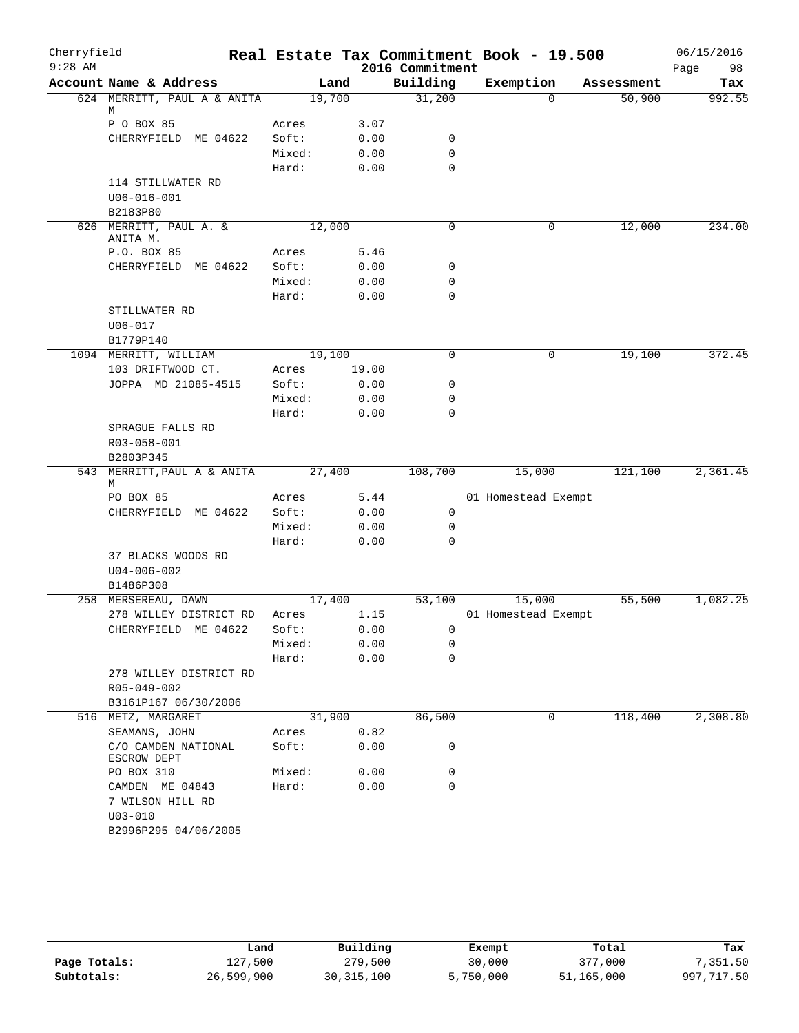| Cherryfield |                                                    |        |       |                    | Real Estate Tax Commitment Book - 19.500 |                      | 06/15/2016    |
|-------------|----------------------------------------------------|--------|-------|--------------------|------------------------------------------|----------------------|---------------|
| $9:28$ AM   | Account Name & Address                             |        |       | 2016 Commitment    |                                          |                      | Page<br>98    |
|             | 624 MERRITT, PAUL A & ANITA                        | 19,700 | Land  | Building<br>31,200 | Exemption<br>$\Omega$                    | Assessment<br>50,900 | Tax<br>992.55 |
|             | М                                                  |        |       |                    |                                          |                      |               |
|             | P O BOX 85                                         | Acres  | 3.07  |                    |                                          |                      |               |
|             | CHERRYFIELD ME 04622                               | Soft:  | 0.00  | 0                  |                                          |                      |               |
|             |                                                    | Mixed: | 0.00  | $\mathbf 0$        |                                          |                      |               |
|             |                                                    | Hard:  | 0.00  | $\mathbf 0$        |                                          |                      |               |
|             | 114 STILLWATER RD<br>$U06 - 016 - 001$<br>B2183P80 |        |       |                    |                                          |                      |               |
|             | 626 MERRITT, PAUL A. &                             | 12,000 |       | 0                  | 0                                        | 12,000               | 234.00        |
|             | ANITA M.                                           |        |       |                    |                                          |                      |               |
|             | P.O. BOX 85                                        | Acres  | 5.46  |                    |                                          |                      |               |
|             | CHERRYFIELD ME 04622                               | Soft:  | 0.00  | 0                  |                                          |                      |               |
|             |                                                    | Mixed: | 0.00  | 0                  |                                          |                      |               |
|             |                                                    | Hard:  | 0.00  | $\mathbf 0$        |                                          |                      |               |
|             | STILLWATER RD                                      |        |       |                    |                                          |                      |               |
|             | $U06 - 017$                                        |        |       |                    |                                          |                      |               |
|             | B1779P140                                          |        |       |                    |                                          |                      |               |
|             | 1094 MERRITT, WILLIAM                              | 19,100 |       | $\mathbf 0$        | 0                                        | 19,100               | 372.45        |
|             | 103 DRIFTWOOD CT.                                  | Acres  | 19.00 |                    |                                          |                      |               |
|             | JOPPA MD 21085-4515                                | Soft:  | 0.00  | $\mathbf 0$        |                                          |                      |               |
|             |                                                    | Mixed: | 0.00  | 0<br>$\mathbf 0$   |                                          |                      |               |
|             | SPRAGUE FALLS RD<br>R03-058-001                    | Hard:  | 0.00  |                    |                                          |                      |               |
|             | B2803P345                                          |        |       |                    |                                          |                      |               |
|             | 543 MERRITT, PAUL A & ANITA<br>М                   | 27,400 |       | 108,700            | 15,000                                   | 121,100              | 2,361.45      |
|             | PO BOX 85                                          | Acres  | 5.44  |                    | 01 Homestead Exempt                      |                      |               |
|             | CHERRYFIELD ME 04622                               | Soft:  | 0.00  | 0                  |                                          |                      |               |
|             |                                                    | Mixed: | 0.00  | 0                  |                                          |                      |               |
|             |                                                    | Hard:  | 0.00  | $\mathbf 0$        |                                          |                      |               |
|             | 37 BLACKS WOODS RD<br>$U04 - 006 - 002$            |        |       |                    |                                          |                      |               |
|             | B1486P308                                          |        |       |                    |                                          |                      |               |
|             | 258 MERSEREAU, DAWN                                | 17,400 |       | 53,100             | 15,000                                   | 55,500               | 1,082.25      |
|             | 278 WILLEY DISTRICT RD                             | Acres  | 1.15  |                    | 01 Homestead Exempt                      |                      |               |
|             | CHERRYFIELD ME 04622                               | Soft:  | 0.00  | $\overline{0}$     |                                          |                      |               |
|             |                                                    | Mixed: | 0.00  | 0<br>0             |                                          |                      |               |
|             | 278 WILLEY DISTRICT RD                             | Hard:  | 0.00  |                    |                                          |                      |               |
|             | R05-049-002                                        |        |       |                    |                                          |                      |               |
|             | B3161P167 06/30/2006                               |        |       |                    |                                          |                      |               |
|             | 516 METZ, MARGARET                                 | 31,900 |       | 86,500             | 0                                        | 118,400              | 2,308.80      |
|             | SEAMANS, JOHN                                      | Acres  | 0.82  |                    |                                          |                      |               |
|             | C/O CAMDEN NATIONAL<br>ESCROW DEPT                 | Soft:  | 0.00  | 0                  |                                          |                      |               |
|             | PO BOX 310                                         | Mixed: | 0.00  | 0                  |                                          |                      |               |
|             | CAMDEN ME 04843<br>7 WILSON HILL RD<br>$U03 - 010$ | Hard:  | 0.00  | $\mathbf 0$        |                                          |                      |               |
|             | B2996P295 04/06/2005                               |        |       |                    |                                          |                      |               |

|              | Land       | Building     | Exempt    | Total      | Tax        |
|--------------|------------|--------------|-----------|------------|------------|
| Page Totals: | 127,500    | 279,500      | 30,000    | 377,000    | 7,351.50   |
| Subtotals:   | 26,599,900 | 30, 315, 100 | 5,750,000 | 51,165,000 | 997,717.50 |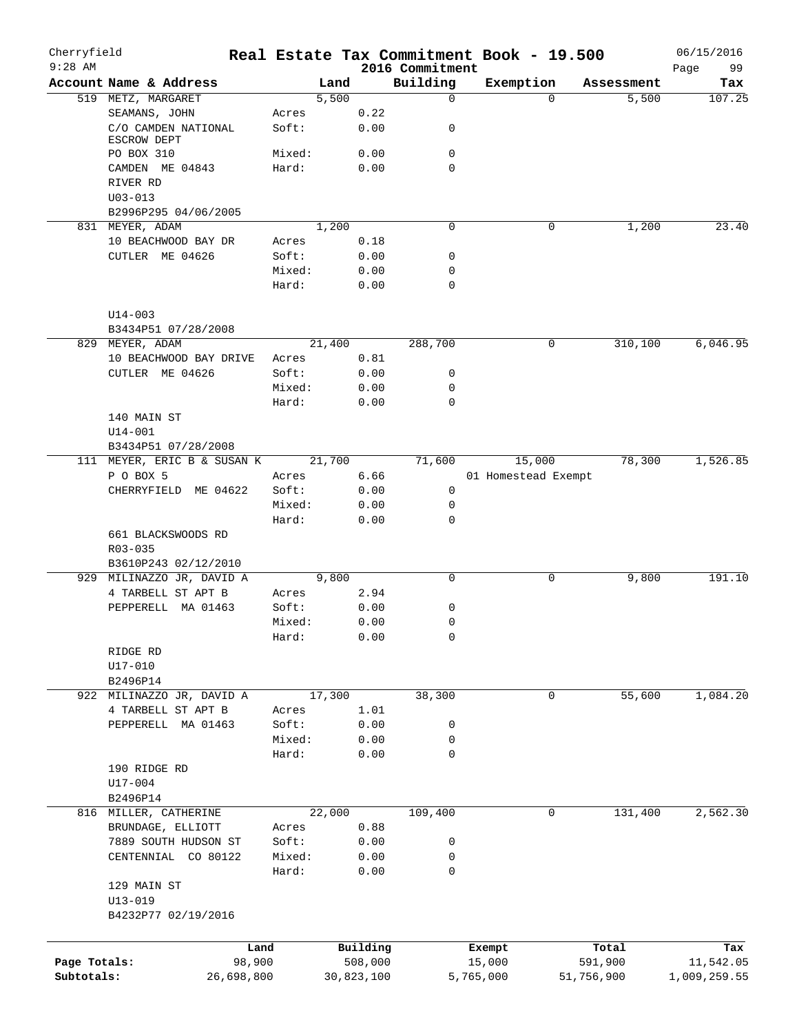| Cherryfield<br>$9:28$ AM |                                    |            |        |            | 2016 Commitment | Real Estate Tax Commitment Book - 19.500 |            |            | 06/15/2016<br>Page<br>99 |
|--------------------------|------------------------------------|------------|--------|------------|-----------------|------------------------------------------|------------|------------|--------------------------|
|                          | Account Name & Address             |            | Land   |            | Building        | Exemption                                |            | Assessment | Tax                      |
|                          | 519 METZ, MARGARET                 |            | 5,500  |            | $\mathbf 0$     |                                          | $\Omega$   | 5,500      | 107.25                   |
|                          | SEAMANS, JOHN                      |            | Acres  | 0.22       |                 |                                          |            |            |                          |
|                          | C/O CAMDEN NATIONAL<br>ESCROW DEPT |            | Soft:  | 0.00       | 0               |                                          |            |            |                          |
|                          | PO BOX 310                         |            | Mixed: | 0.00       | $\mathbf 0$     |                                          |            |            |                          |
|                          | CAMDEN ME 04843                    |            | Hard:  | 0.00       | $\mathbf 0$     |                                          |            |            |                          |
|                          | RIVER RD                           |            |        |            |                 |                                          |            |            |                          |
|                          | $U03 - 013$                        |            |        |            |                 |                                          |            |            |                          |
|                          | B2996P295 04/06/2005               |            |        |            |                 |                                          |            |            |                          |
|                          | 831 MEYER, ADAM                    |            | 1,200  |            | $\mathbf 0$     |                                          | 0          | 1,200      | 23.40                    |
|                          | 10 BEACHWOOD BAY DR                |            | Acres  | 0.18       |                 |                                          |            |            |                          |
|                          | CUTLER ME 04626                    |            | Soft:  | 0.00       | 0               |                                          |            |            |                          |
|                          |                                    |            | Mixed: | 0.00       | 0               |                                          |            |            |                          |
|                          |                                    |            | Hard:  | 0.00       | $\mathbf 0$     |                                          |            |            |                          |
|                          | $U14 - 003$                        |            |        |            |                 |                                          |            |            |                          |
|                          | B3434P51 07/28/2008                |            |        |            |                 |                                          |            |            |                          |
|                          | 829 MEYER, ADAM                    |            | 21,400 |            | 288,700         |                                          | 0          | 310,100    | 6,046.95                 |
|                          | 10 BEACHWOOD BAY DRIVE             |            | Acres  | 0.81       |                 |                                          |            |            |                          |
|                          | CUTLER ME 04626                    |            | Soft:  | 0.00       | 0               |                                          |            |            |                          |
|                          |                                    |            | Mixed: | 0.00       | 0               |                                          |            |            |                          |
|                          |                                    |            | Hard:  | 0.00       | 0               |                                          |            |            |                          |
|                          | 140 MAIN ST                        |            |        |            |                 |                                          |            |            |                          |
|                          | $U14 - 001$                        |            |        |            |                 |                                          |            |            |                          |
|                          | B3434P51 07/28/2008                |            |        |            |                 |                                          |            |            |                          |
|                          | 111 MEYER, ERIC B & SUSAN K        |            | 21,700 |            | 71,600          | 15,000                                   |            | 78,300     | 1,526.85                 |
|                          | P O BOX 5                          |            | Acres  | 6.66       |                 | 01 Homestead Exempt                      |            |            |                          |
|                          | CHERRYFIELD ME 04622               |            | Soft:  | 0.00       | $\mathbf 0$     |                                          |            |            |                          |
|                          |                                    |            | Mixed: | 0.00       | 0               |                                          |            |            |                          |
|                          |                                    |            | Hard:  | 0.00       | 0               |                                          |            |            |                          |
|                          | 661 BLACKSWOODS RD                 |            |        |            |                 |                                          |            |            |                          |
|                          | R03-035                            |            |        |            |                 |                                          |            |            |                          |
|                          | B3610P243 02/12/2010               |            |        |            |                 |                                          |            |            |                          |
|                          | 929 MILINAZZO JR, DAVID A          |            | 9,800  |            | $\mathbf 0$     |                                          | 0          | 9,800      | 191.10                   |
|                          | 4 TARBELL ST APT B                 |            | Acres  | 2.94       |                 |                                          |            |            |                          |
|                          | PEPPERELL MA 01463                 |            | Soft:  | 0.00       | 0               |                                          |            |            |                          |
|                          |                                    |            | Mixed: | 0.00       | 0               |                                          |            |            |                          |
|                          |                                    |            | Hard:  | 0.00       | 0               |                                          |            |            |                          |
|                          | RIDGE RD                           |            |        |            |                 |                                          |            |            |                          |
|                          | U17-010                            |            |        |            |                 |                                          |            |            |                          |
|                          | B2496P14                           |            |        |            |                 |                                          |            |            |                          |
|                          | 922 MILINAZZO JR, DAVID A          |            | 17,300 |            | 38,300          |                                          | 0          | 55,600     | 1,084.20                 |
|                          | 4 TARBELL ST APT B                 |            | Acres  | 1.01       |                 |                                          |            |            |                          |
|                          | PEPPERELL MA 01463                 |            | Soft:  | 0.00       | 0               |                                          |            |            |                          |
|                          |                                    |            | Mixed: | 0.00       | 0               |                                          |            |            |                          |
|                          |                                    |            | Hard:  | 0.00       | 0               |                                          |            |            |                          |
|                          | 190 RIDGE RD                       |            |        |            |                 |                                          |            |            |                          |
|                          | U17-004                            |            |        |            |                 |                                          |            |            |                          |
|                          | B2496P14                           |            |        |            |                 |                                          |            |            |                          |
|                          | 816 MILLER, CATHERINE              |            | 22,000 |            | 109,400         |                                          | 0          | 131,400    | 2,562.30                 |
|                          | BRUNDAGE, ELLIOTT                  |            | Acres  | 0.88       |                 |                                          |            |            |                          |
|                          | 7889 SOUTH HUDSON ST               |            | Soft:  | 0.00       | 0               |                                          |            |            |                          |
|                          | CENTENNIAL CO 80122                |            | Mixed: | 0.00       | 0               |                                          |            |            |                          |
|                          |                                    |            | Hard:  | 0.00       | 0               |                                          |            |            |                          |
|                          | 129 MAIN ST                        |            |        |            |                 |                                          |            |            |                          |
|                          | $U13 - 019$                        |            |        |            |                 |                                          |            |            |                          |
|                          | B4232P77 02/19/2016                |            |        |            |                 |                                          |            |            |                          |
|                          |                                    |            |        |            |                 |                                          |            |            |                          |
|                          |                                    | Land       |        | Building   |                 | Exempt                                   |            | Total      | Tax                      |
| Page Totals:             |                                    | 98,900     |        | 508,000    |                 | 15,000                                   |            | 591,900    | 11,542.05                |
| Subtotals:               |                                    | 26,698,800 |        | 30,823,100 |                 | 5,765,000                                | 51,756,900 |            | 1,009,259.55             |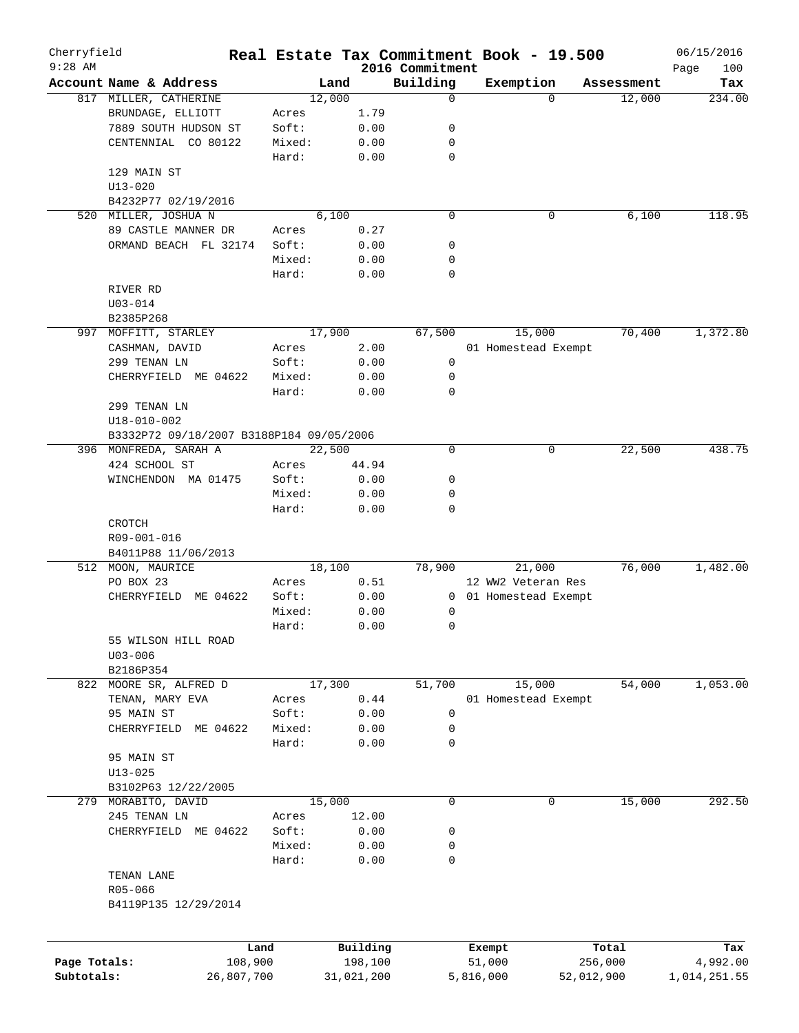| Cherryfield<br>$9:28$ AM |                                          |        |            |                             | Real Estate Tax Commitment Book - 19.500 |            | 06/15/2016         |
|--------------------------|------------------------------------------|--------|------------|-----------------------------|------------------------------------------|------------|--------------------|
|                          | Account Name & Address                   | Land   |            | 2016 Commitment<br>Building | Exemption                                | Assessment | Page<br>100<br>Tax |
|                          | 817 MILLER, CATHERINE                    | 12,000 |            | 0                           | $\Omega$                                 | 12,000     | 234.00             |
|                          | BRUNDAGE, ELLIOTT                        | Acres  | 1.79       |                             |                                          |            |                    |
|                          |                                          |        |            |                             |                                          |            |                    |
|                          | 7889 SOUTH HUDSON ST                     | Soft:  | 0.00       | 0                           |                                          |            |                    |
|                          | CENTENNIAL CO 80122                      | Mixed: | 0.00       | 0                           |                                          |            |                    |
|                          |                                          | Hard:  | 0.00       | $\mathbf 0$                 |                                          |            |                    |
|                          | 129 MAIN ST                              |        |            |                             |                                          |            |                    |
|                          | $U13 - 020$                              |        |            |                             |                                          |            |                    |
|                          | B4232P77 02/19/2016                      |        |            |                             |                                          |            |                    |
|                          | 520 MILLER, JOSHUA N                     | 6,100  |            | $\mathbf 0$                 | 0                                        | 6,100      | 118.95             |
|                          | 89 CASTLE MANNER DR                      | Acres  | 0.27       |                             |                                          |            |                    |
|                          | ORMAND BEACH FL 32174                    | Soft:  | 0.00       | 0                           |                                          |            |                    |
|                          |                                          | Mixed: | 0.00       | 0                           |                                          |            |                    |
|                          |                                          | Hard:  | 0.00       | 0                           |                                          |            |                    |
|                          | RIVER RD                                 |        |            |                             |                                          |            |                    |
|                          | $U03 - 014$                              |        |            |                             |                                          |            |                    |
|                          | B2385P268                                |        |            |                             |                                          |            |                    |
| 997                      | MOFFITT, STARLEY                         | 17,900 |            | 67,500                      | 15,000                                   | 70,400     | 1,372.80           |
|                          | CASHMAN, DAVID                           | Acres  | 2.00       |                             | 01 Homestead Exempt                      |            |                    |
|                          | 299 TENAN LN                             | Soft:  | 0.00       | 0                           |                                          |            |                    |
|                          | CHERRYFIELD ME 04622                     | Mixed: | 0.00       | 0                           |                                          |            |                    |
|                          |                                          | Hard:  |            | $\mathbf 0$                 |                                          |            |                    |
|                          |                                          |        | 0.00       |                             |                                          |            |                    |
|                          | 299 TENAN LN                             |        |            |                             |                                          |            |                    |
|                          | $U18 - 010 - 002$                        |        |            |                             |                                          |            |                    |
|                          | B3332P72 09/18/2007 B3188P184 09/05/2006 |        |            |                             |                                          |            |                    |
|                          | 396 MONFREDA, SARAH A                    | 22,500 |            | 0                           | 0                                        | 22,500     | 438.75             |
|                          | 424 SCHOOL ST                            | Acres  | 44.94      |                             |                                          |            |                    |
|                          | WINCHENDON MA 01475                      | Soft:  | 0.00       | 0                           |                                          |            |                    |
|                          |                                          | Mixed: | 0.00       | 0                           |                                          |            |                    |
|                          |                                          | Hard:  | 0.00       | $\mathbf 0$                 |                                          |            |                    |
|                          | CROTCH                                   |        |            |                             |                                          |            |                    |
|                          | R09-001-016                              |        |            |                             |                                          |            |                    |
|                          | B4011P88 11/06/2013                      |        |            |                             |                                          |            |                    |
|                          | 512 MOON, MAURICE                        | 18,100 |            | 78,900                      | 21,000                                   | 76,000     | 1,482.00           |
|                          | PO BOX 23                                | Acres  | 0.51       |                             | 12 WW2 Veteran Res                       |            |                    |
|                          | CHERRYFIELD ME 04622                     | Soft:  | 0.00       | $\mathbf{0}$                | 01 Homestead Exempt                      |            |                    |
|                          |                                          | Mixed: | 0.00       | 0                           |                                          |            |                    |
|                          |                                          | Hard:  | 0.00       | 0                           |                                          |            |                    |
|                          | 55 WILSON HILL ROAD                      |        |            |                             |                                          |            |                    |
|                          |                                          |        |            |                             |                                          |            |                    |
|                          | $U03 - 006$                              |        |            |                             |                                          |            |                    |
|                          | B2186P354                                |        |            |                             |                                          |            |                    |
|                          | 822 MOORE SR, ALFRED D                   | 17,300 |            | 51,700                      | 15,000                                   | 54,000     | 1,053.00           |
|                          | TENAN, MARY EVA                          | Acres  | 0.44       |                             | 01 Homestead Exempt                      |            |                    |
|                          | 95 MAIN ST                               | Soft:  | 0.00       | 0                           |                                          |            |                    |
|                          | CHERRYFIELD<br>ME 04622                  | Mixed: | 0.00       | 0                           |                                          |            |                    |
|                          |                                          | Hard:  | 0.00       | 0                           |                                          |            |                    |
|                          | 95 MAIN ST                               |        |            |                             |                                          |            |                    |
|                          | $U13 - 025$                              |        |            |                             |                                          |            |                    |
|                          | B3102P63 12/22/2005                      |        |            |                             |                                          |            |                    |
|                          | 279 MORABITO, DAVID                      | 15,000 |            | 0                           | 0                                        | 15,000     | 292.50             |
|                          | 245 TENAN LN                             | Acres  | 12.00      |                             |                                          |            |                    |
|                          | CHERRYFIELD ME 04622                     | Soft:  | 0.00       | 0                           |                                          |            |                    |
|                          |                                          | Mixed: | 0.00       | 0                           |                                          |            |                    |
|                          |                                          | Hard:  |            | 0                           |                                          |            |                    |
|                          |                                          |        | 0.00       |                             |                                          |            |                    |
|                          | TENAN LANE                               |        |            |                             |                                          |            |                    |
|                          | R05-066                                  |        |            |                             |                                          |            |                    |
|                          | B4119P135 12/29/2014                     |        |            |                             |                                          |            |                    |
|                          |                                          |        |            |                             |                                          |            |                    |
|                          |                                          | Land   | Building   |                             | Exempt                                   | Total      | Tax                |
| Page Totals:             | 108,900                                  |        | 198,100    |                             | 51,000                                   | 256,000    | 4,992.00           |
| Subtotals:               | 26,807,700                               |        | 31,021,200 |                             | 5,816,000                                | 52,012,900 | 1,014,251.55       |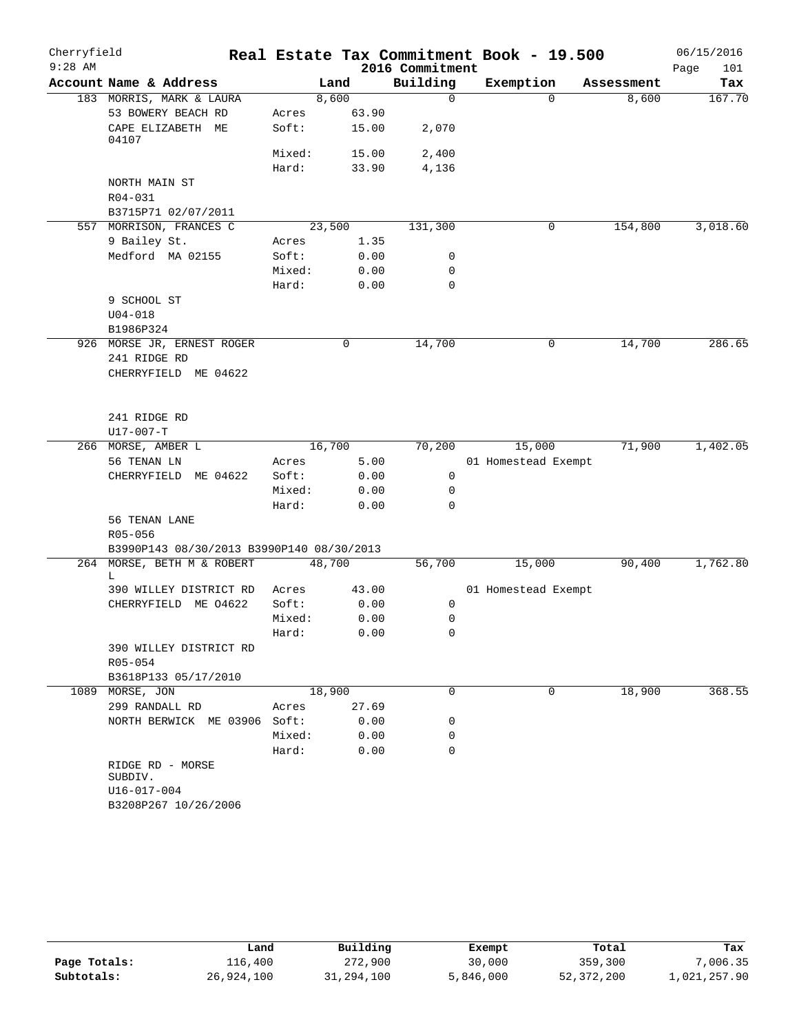| Cherryfield |                                                      |                 |        |                  | Real Estate Tax Commitment Book - 19.500 |            | 06/15/2016  |
|-------------|------------------------------------------------------|-----------------|--------|------------------|------------------------------------------|------------|-------------|
| $9:28$ AM   |                                                      |                 |        | 2016 Commitment  |                                          |            | Page<br>101 |
|             | Account Name & Address                               |                 | Land   | Building         | Exemption                                | Assessment | Tax         |
|             | 183 MORRIS, MARK & LAURA                             |                 | 8,600  | $\mathbf 0$      | $\Omega$                                 | 8,600      | 167.70      |
|             | 53 BOWERY BEACH RD                                   | Acres           | 63.90  |                  |                                          |            |             |
|             | CAPE ELIZABETH ME<br>04107                           | Soft:           | 15.00  | 2,070            |                                          |            |             |
|             |                                                      | Mixed:          | 15.00  | 2,400            |                                          |            |             |
|             |                                                      | Hard:           | 33.90  | 4,136            |                                          |            |             |
|             | NORTH MAIN ST<br>R04-031                             |                 |        |                  |                                          |            |             |
|             | B3715P71 02/07/2011                                  |                 |        |                  |                                          |            |             |
|             | 557 MORRISON, FRANCES C                              |                 | 23,500 | 131,300          | 0                                        | 154,800    | 3,018.60    |
|             | 9 Bailey St.                                         | Acres           | 1.35   |                  |                                          |            |             |
|             | Medford MA 02155                                     | Soft:           | 0.00   | 0                |                                          |            |             |
|             |                                                      | Mixed:          | 0.00   | 0                |                                          |            |             |
|             |                                                      | Hard:           | 0.00   | $\mathbf 0$      |                                          |            |             |
|             | 9 SCHOOL ST                                          |                 |        |                  |                                          |            |             |
|             | $U04 - 018$                                          |                 |        |                  |                                          |            |             |
|             | B1986P324                                            |                 |        |                  |                                          |            |             |
|             | 926 MORSE JR, ERNEST ROGER<br>241 RIDGE RD           |                 | 0      | 14,700           | 0                                        | 14,700     | 286.65      |
|             | CHERRYFIELD ME 04622                                 |                 |        |                  |                                          |            |             |
|             | 241 RIDGE RD                                         |                 |        |                  |                                          |            |             |
|             | $U17 - 007 - T$                                      |                 |        |                  |                                          |            |             |
|             | 266 MORSE, AMBER L                                   |                 | 16,700 | 70,200           | 15,000                                   | 71,900     | 1,402.05    |
|             | 56 TENAN LN                                          | Acres           | 5.00   |                  | 01 Homestead Exempt                      |            |             |
|             | CHERRYFIELD ME 04622                                 | Soft:           | 0.00   | 0<br>$\mathbf 0$ |                                          |            |             |
|             |                                                      | Mixed:<br>Hard: | 0.00   | $\mathbf 0$      |                                          |            |             |
|             | 56 TENAN LANE                                        |                 | 0.00   |                  |                                          |            |             |
|             |                                                      |                 |        |                  |                                          |            |             |
|             | R05-056<br>B3990P143 08/30/2013 B3990P140 08/30/2013 |                 |        |                  |                                          |            |             |
|             | 264 MORSE, BETH M & ROBERT                           |                 | 48,700 | 56,700           | 15,000                                   | 90,400     | 1,762.80    |
|             | L                                                    |                 |        |                  |                                          |            |             |
|             | 390 WILLEY DISTRICT RD                               | Acres           | 43.00  |                  | 01 Homestead Exempt                      |            |             |
|             | CHERRYFIELD ME 04622                                 | Soft:           | 0.00   | 0                |                                          |            |             |
|             |                                                      | Mixed:          | 0.00   | 0                |                                          |            |             |
|             |                                                      | Hard:           | 0.00   | $\mathbf 0$      |                                          |            |             |
|             | 390 WILLEY DISTRICT RD                               |                 |        |                  |                                          |            |             |
|             | R05-054                                              |                 |        |                  |                                          |            |             |
|             | B3618P133 05/17/2010                                 |                 |        |                  |                                          |            |             |
| 1089        | MORSE, JON                                           |                 | 18,900 | 0                | 0                                        | 18,900     | 368.55      |
|             | 299 RANDALL RD                                       | Acres           | 27.69  |                  |                                          |            |             |
|             | NORTH BERWICK ME 03906 Soft:                         |                 | 0.00   | 0                |                                          |            |             |
|             |                                                      | Mixed:          | 0.00   | 0                |                                          |            |             |
|             |                                                      | Hard:           | 0.00   | 0                |                                          |            |             |
|             | RIDGE RD - MORSE<br>SUBDIV.                          |                 |        |                  |                                          |            |             |
|             | U16-017-004<br>B3208P267 10/26/2006                  |                 |        |                  |                                          |            |             |

|              | Land       | Building   | Exempt    | Total      | Tax          |
|--------------|------------|------------|-----------|------------|--------------|
| Page Totals: | 116,400    | 272,900    | 30,000    | 359,300    | 7,006.35     |
| Subtotals:   | 26,924,100 | 31,294,100 | 5,846,000 | 52,372,200 | 1,021,257.90 |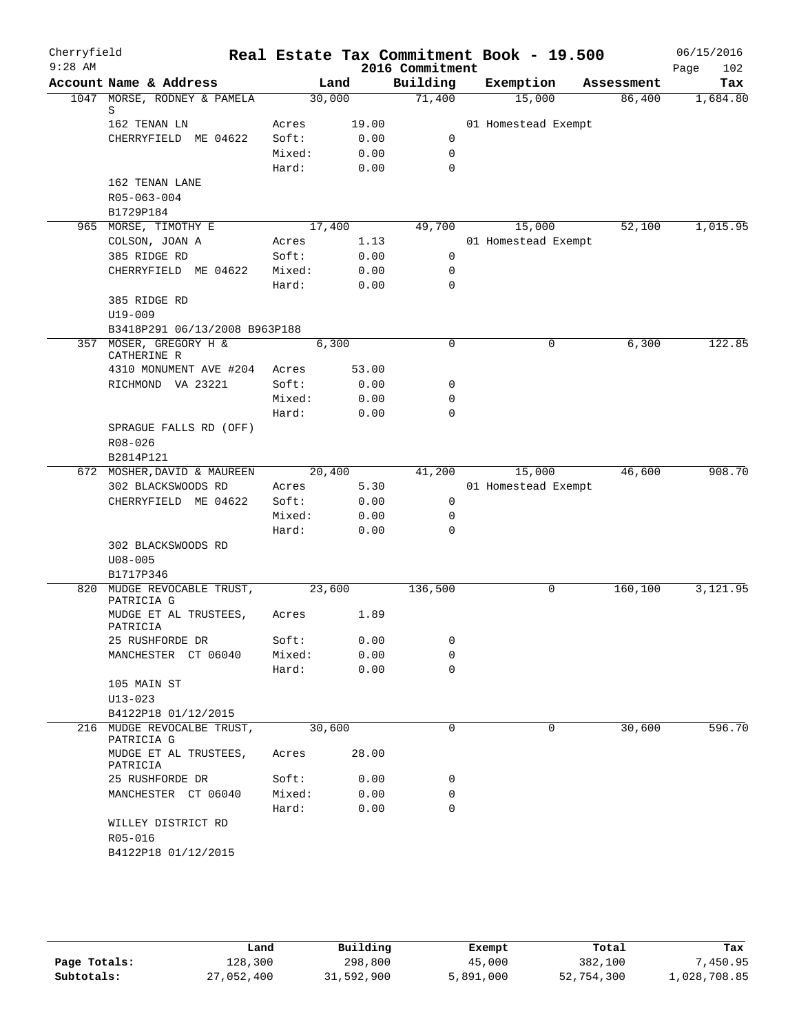| Cherryfield<br>$9:28$ AM |                                       |        |        | 2016 Commitment | Real Estate Tax Commitment Book - 19.500 |            | 06/15/2016<br>Page<br>102 |
|--------------------------|---------------------------------------|--------|--------|-----------------|------------------------------------------|------------|---------------------------|
|                          | Account Name & Address                |        | Land   | Building        | Exemption                                | Assessment | Tax                       |
|                          | 1047 MORSE, RODNEY & PAMELA           | 30,000 |        | 71,400          | 15,000                                   | 86,400     | 1,684.80                  |
|                          | S<br>162 TENAN LN                     | Acres  | 19.00  |                 | 01 Homestead Exempt                      |            |                           |
|                          | CHERRYFIELD ME 04622                  | Soft:  | 0.00   | 0               |                                          |            |                           |
|                          |                                       | Mixed: | 0.00   | $\mathbf 0$     |                                          |            |                           |
|                          |                                       | Hard:  | 0.00   | $\mathbf 0$     |                                          |            |                           |
|                          | 162 TENAN LANE                        |        |        |                 |                                          |            |                           |
|                          | R05-063-004                           |        |        |                 |                                          |            |                           |
|                          | B1729P184                             |        |        |                 |                                          |            |                           |
|                          |                                       |        |        |                 |                                          |            |                           |
|                          | 965 MORSE, TIMOTHY E                  |        | 17,400 | 49,700          | 15,000                                   | 52,100     | 1,015.95                  |
|                          | COLSON, JOAN A                        | Acres  | 1.13   |                 | 01 Homestead Exempt                      |            |                           |
|                          | 385 RIDGE RD                          | Soft:  | 0.00   | $\mathbf 0$     |                                          |            |                           |
|                          | CHERRYFIELD ME 04622                  | Mixed: | 0.00   | $\mathbf 0$     |                                          |            |                           |
|                          |                                       | Hard:  | 0.00   | $\mathbf 0$     |                                          |            |                           |
|                          | 385 RIDGE RD                          |        |        |                 |                                          |            |                           |
|                          | $U19 - 009$                           |        |        |                 |                                          |            |                           |
|                          | B3418P291 06/13/2008 B963P188         |        |        |                 |                                          |            |                           |
|                          | 357 MOSER, GREGORY H &<br>CATHERINE R |        | 6,300  | $\mathsf{O}$    | 0                                        | 6,300      | 122.85                    |
|                          | 4310 MONUMENT AVE #204                | Acres  | 53.00  |                 |                                          |            |                           |
|                          | RICHMOND VA 23221                     | Soft:  | 0.00   | 0               |                                          |            |                           |
|                          |                                       | Mixed: | 0.00   | 0               |                                          |            |                           |
|                          |                                       | Hard:  | 0.00   | $\Omega$        |                                          |            |                           |
|                          | SPRAGUE FALLS RD (OFF)                |        |        |                 |                                          |            |                           |
|                          | $R08 - 026$                           |        |        |                 |                                          |            |                           |
|                          | B2814P121                             |        |        |                 |                                          |            |                           |
|                          | 672 MOSHER, DAVID & MAUREEN           | 20,400 |        | 41,200          | 15,000                                   | 46,600     | 908.70                    |
|                          |                                       |        |        |                 |                                          |            |                           |
|                          | 302 BLACKSWOODS RD                    | Acres  | 5.30   |                 | 01 Homestead Exempt                      |            |                           |
|                          | CHERRYFIELD ME 04622                  | Soft:  | 0.00   | 0               |                                          |            |                           |
|                          |                                       | Mixed: | 0.00   | 0               |                                          |            |                           |
|                          |                                       | Hard:  | 0.00   | $\mathbf 0$     |                                          |            |                           |
|                          | 302 BLACKSWOODS RD                    |        |        |                 |                                          |            |                           |
|                          | $U08 - 005$                           |        |        |                 |                                          |            |                           |
|                          | B1717P346                             |        |        |                 |                                          |            |                           |
|                          | 820 MUDGE REVOCABLE TRUST,            | 23,600 |        | 136,500         | 0                                        | 160,100    | 3,121.95                  |
|                          | PATRICIA G                            | Acres  | 1.89   |                 |                                          |            |                           |
|                          | MUDGE ET AL TRUSTEES,<br>PATRICIA     |        |        |                 |                                          |            |                           |
|                          | 25 RUSHFORDE DR                       | Soft:  | 0.00   | 0               |                                          |            |                           |
|                          | MANCHESTER CT 06040                   | Mixed: | 0.00   | 0               |                                          |            |                           |
|                          |                                       | Hard:  | 0.00   | $\mathbf 0$     |                                          |            |                           |
|                          | 105 MAIN ST                           |        |        |                 |                                          |            |                           |
|                          | $U13 - 023$                           |        |        |                 |                                          |            |                           |
|                          | B4122P18 01/12/2015                   |        |        |                 |                                          |            |                           |
|                          | 216 MUDGE REVOCALBE TRUST,            | 30,600 |        | 0               | 0                                        | 30,600     | 596.70                    |
|                          | PATRICIA G                            |        |        |                 |                                          |            |                           |
|                          | MUDGE ET AL TRUSTEES,                 | Acres  | 28.00  |                 |                                          |            |                           |
|                          | PATRICIA                              |        |        |                 |                                          |            |                           |
|                          | 25 RUSHFORDE DR                       | Soft:  | 0.00   | 0               |                                          |            |                           |
|                          | MANCHESTER CT 06040                   | Mixed: | 0.00   | 0               |                                          |            |                           |
|                          |                                       | Hard:  | 0.00   | $\mathbf 0$     |                                          |            |                           |
|                          | WILLEY DISTRICT RD                    |        |        |                 |                                          |            |                           |
|                          | R05-016                               |        |        |                 |                                          |            |                           |
|                          | B4122P18 01/12/2015                   |        |        |                 |                                          |            |                           |
|                          |                                       |        |        |                 |                                          |            |                           |
|                          |                                       |        |        |                 |                                          |            |                           |

|              | Land       | Building   | Exempt    | Total      | Tax          |
|--------------|------------|------------|-----------|------------|--------------|
| Page Totals: | 128,300    | 298,800    | 45,000    | 382,100    | .450.95      |
| Subtotals:   | 27,052,400 | 31,592,900 | 5,891,000 | 52,754,300 | 1,028,708.85 |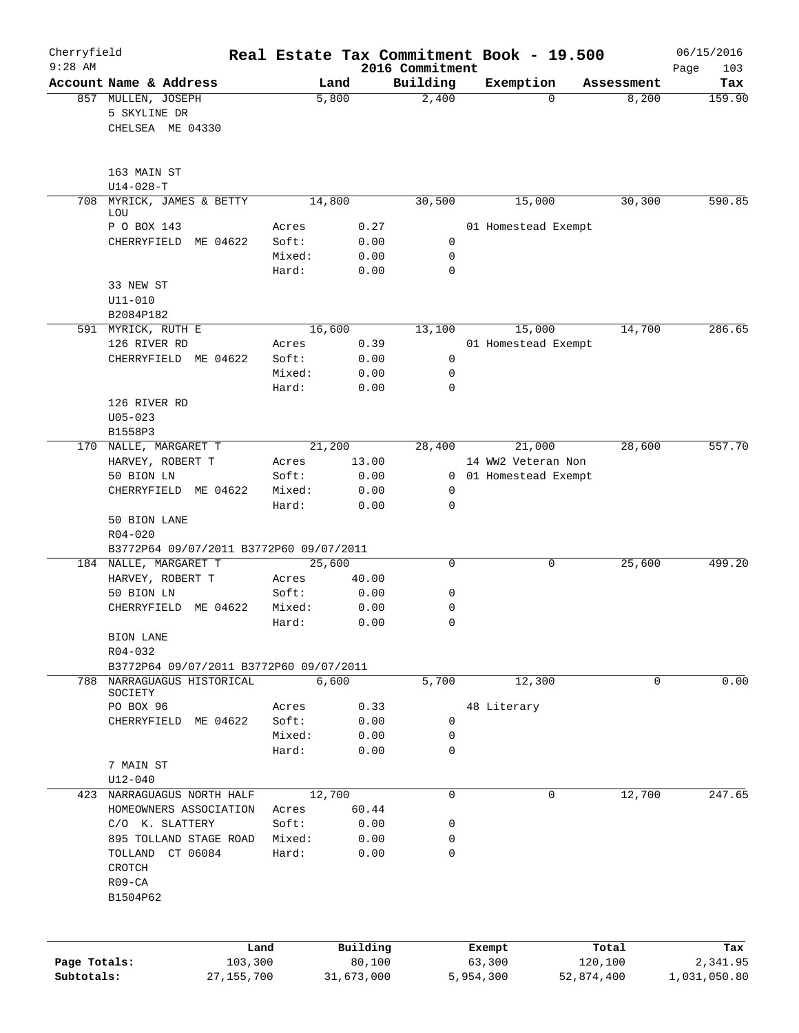| Cherryfield<br>$9:28$ AM |                                                        |                 |               |                             | Real Estate Tax Commitment Book - 19.500 |            | 06/15/2016         |
|--------------------------|--------------------------------------------------------|-----------------|---------------|-----------------------------|------------------------------------------|------------|--------------------|
|                          | Account Name & Address                                 | Land            |               | 2016 Commitment<br>Building | Exemption                                | Assessment | Page<br>103<br>Tax |
|                          | 857 MULLEN, JOSEPH<br>5 SKYLINE DR<br>CHELSEA ME 04330 | 5,800           |               | 2,400                       | $\Omega$                                 | 8,200      | 159.90             |
|                          | 163 MAIN ST<br>$U14 - 028 - T$                         |                 |               |                             |                                          |            |                    |
| 708                      | MYRICK, JAMES & BETTY<br>LOU                           | 14,800          |               | 30,500                      | 15,000                                   | 30, 300    | 590.85             |
|                          | P O BOX 143                                            | Acres           | 0.27          |                             | 01 Homestead Exempt                      |            |                    |
|                          | CHERRYFIELD<br>ME 04622                                | Soft:           | 0.00          | 0                           |                                          |            |                    |
|                          |                                                        | Mixed:          | 0.00          | 0                           |                                          |            |                    |
|                          |                                                        | Hard:           | 0.00          | $\mathbf 0$                 |                                          |            |                    |
|                          | 33 NEW ST<br>$U11 - 010$                               |                 |               |                             |                                          |            |                    |
|                          | B2084P182                                              |                 |               |                             |                                          |            |                    |
|                          | 591 MYRICK, RUTH E                                     | 16,600          |               | 13,100                      | 15,000                                   | 14,700     | 286.65             |
|                          | 126 RIVER RD                                           | Acres           | 0.39          |                             | 01 Homestead Exempt                      |            |                    |
|                          | CHERRYFIELD ME 04622                                   | Soft:           | 0.00          | $\mathsf{O}$                |                                          |            |                    |
|                          |                                                        | Mixed:          | 0.00          | $\mathbf 0$                 |                                          |            |                    |
|                          |                                                        | Hard:           | 0.00          | 0                           |                                          |            |                    |
|                          | 126 RIVER RD<br>$U05 - 023$                            |                 |               |                             |                                          |            |                    |
|                          | B1558P3                                                |                 |               |                             |                                          |            |                    |
|                          | 170 NALLE, MARGARET T                                  | 21,200          |               | 28,400                      | 21,000                                   | 28,600     | 557.70             |
|                          | HARVEY, ROBERT T                                       | Acres           | 13.00         |                             | 14 WW2 Veteran Non                       |            |                    |
|                          | 50 BION LN                                             | Soft:           | 0.00          | $\mathbf{0}$                | 01 Homestead Exempt                      |            |                    |
|                          | CHERRYFIELD ME 04622                                   | Mixed:<br>Hard: | 0.00<br>0.00  | 0<br>0                      |                                          |            |                    |
|                          | 50 BION LANE                                           |                 |               |                             |                                          |            |                    |
|                          | $R04 - 020$                                            |                 |               |                             |                                          |            |                    |
|                          | B3772P64 09/07/2011 B3772P60 09/07/2011                |                 |               |                             |                                          |            |                    |
|                          | 184 NALLE, MARGARET T<br>HARVEY, ROBERT T              | 25,600          |               | $\mathbf 0$                 | 0                                        | 25,600     | 499.20             |
|                          | 50 BION LN                                             | Acres<br>Soft:  | 40.00<br>0.00 | 0                           |                                          |            |                    |
|                          | CHERRYFIELD ME 04622                                   | Mixed:          | 0.00          | 0                           |                                          |            |                    |
|                          |                                                        | Hard:           | 0.00          | 0                           |                                          |            |                    |
|                          | BION LANE                                              |                 |               |                             |                                          |            |                    |
|                          | $R04 - 032$                                            |                 |               |                             |                                          |            |                    |
|                          | B3772P64 09/07/2011 B3772P60 09/07/2011                |                 |               |                             |                                          |            |                    |
|                          | 788 NARRAGUAGUS HISTORICAL<br>SOCIETY                  | 6,600           |               | 5,700                       | 12,300                                   | 0          | 0.00               |
|                          | PO BOX 96                                              | Acres           | 0.33          |                             | 48 Literary                              |            |                    |
|                          | CHERRYFIELD ME 04622                                   | Soft:           | 0.00          | 0                           |                                          |            |                    |
|                          |                                                        | Mixed:          | 0.00          | 0                           |                                          |            |                    |
|                          |                                                        | Hard:           | 0.00          | 0                           |                                          |            |                    |
|                          | 7 MAIN ST<br>$U12 - 040$                               |                 |               |                             |                                          |            |                    |
| 423                      | NARRAGUAGUS NORTH HALF                                 | 12,700          |               | 0                           | 0                                        | 12,700     | 247.65             |
|                          | HOMEOWNERS ASSOCIATION                                 | Acres           | 60.44         |                             |                                          |            |                    |
|                          | C/O K. SLATTERY                                        | Soft:           | 0.00          | 0                           |                                          |            |                    |
|                          | 895 TOLLAND STAGE ROAD                                 | Mixed:          | 0.00          | 0                           |                                          |            |                    |
|                          | TOLLAND CT 06084<br>CROTCH                             | Hard:           | 0.00          | 0                           |                                          |            |                    |
|                          | $R09 - CA$<br>B1504P62                                 |                 |               |                             |                                          |            |                    |
|                          |                                                        |                 |               |                             |                                          |            |                    |
|                          | Land                                                   |                 | Building      |                             | Exempt                                   | Total      | Tax                |
| Page Totals:             | 103,300                                                |                 | 80,100        |                             | 63,300                                   | 120,100    | 2,341.95           |
| Subtotals:               | 27, 155, 700                                           |                 | 31,673,000    |                             | 5,954,300                                | 52,874,400 | 1,031,050.80       |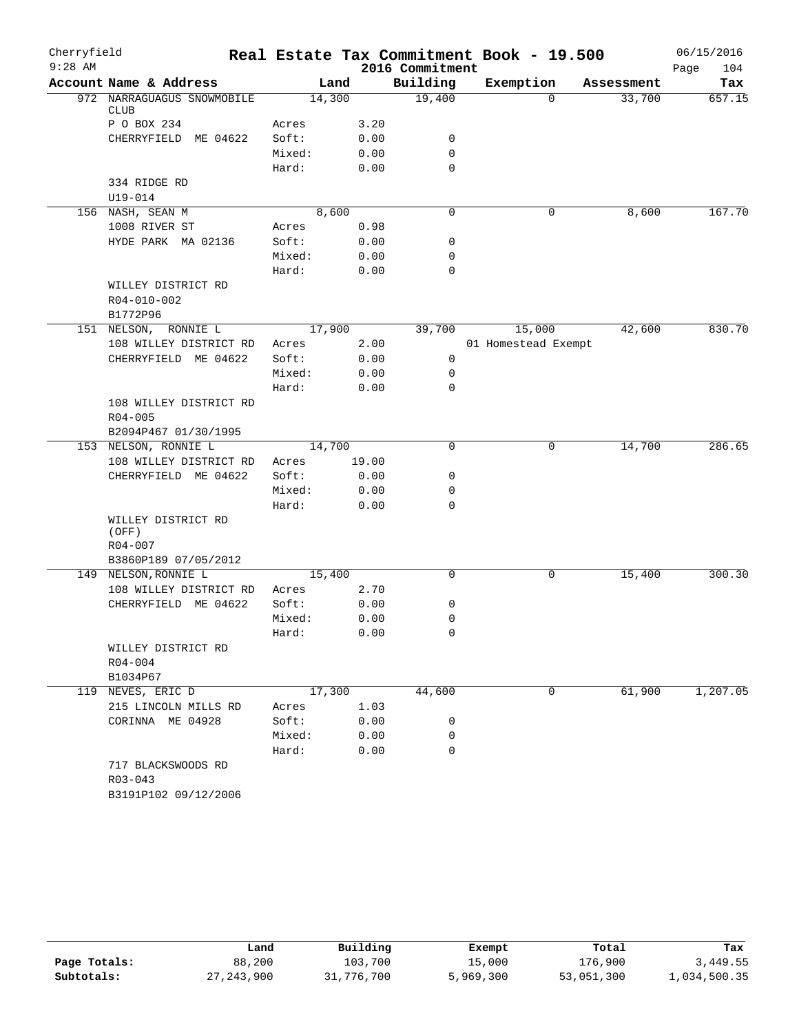| Cherryfield |                                               |        |        |                 | Real Estate Tax Commitment Book - 19.500 |            | 06/15/2016  |
|-------------|-----------------------------------------------|--------|--------|-----------------|------------------------------------------|------------|-------------|
| $9:28$ AM   |                                               |        |        | 2016 Commitment |                                          |            | 104<br>Page |
|             | Account Name & Address                        |        | Land   | Building        | Exemption                                | Assessment | Tax         |
|             | 972 NARRAGUAGUS SNOWMOBILE<br><b>CLUB</b>     | 14,300 |        | 19,400          | $\Omega$                                 | 33,700     | 657.15      |
|             | P O BOX 234                                   | Acres  | 3.20   |                 |                                          |            |             |
|             | CHERRYFIELD ME 04622                          | Soft:  | 0.00   | 0               |                                          |            |             |
|             |                                               | Mixed: | 0.00   | $\mathbf 0$     |                                          |            |             |
|             |                                               | Hard:  | 0.00   | 0               |                                          |            |             |
|             | 334 RIDGE RD                                  |        |        |                 |                                          |            |             |
|             | $U19 - 014$                                   |        |        |                 |                                          |            |             |
|             | 156 NASH, SEAN M                              |        | 8,600  | $\mathbf 0$     | 0                                        | 8,600      | 167.70      |
|             | 1008 RIVER ST                                 | Acres  | 0.98   |                 |                                          |            |             |
|             | HYDE PARK MA 02136                            | Soft:  | 0.00   | 0               |                                          |            |             |
|             |                                               | Mixed: | 0.00   | 0               |                                          |            |             |
|             |                                               | Hard:  | 0.00   | 0               |                                          |            |             |
|             | WILLEY DISTRICT RD<br>R04-010-002<br>B1772P96 |        |        |                 |                                          |            |             |
|             | 151 NELSON, RONNIE L                          | 17,900 |        | 39,700          | 15,000                                   | 42,600     | 830.70      |
|             | 108 WILLEY DISTRICT RD                        | Acres  | 2.00   |                 | 01 Homestead Exempt                      |            |             |
|             | CHERRYFIELD ME 04622                          | Soft:  | 0.00   | $\mathbf 0$     |                                          |            |             |
|             |                                               | Mixed: | 0.00   | 0               |                                          |            |             |
|             |                                               | Hard:  | 0.00   | $\mathbf 0$     |                                          |            |             |
|             | 108 WILLEY DISTRICT RD<br>$R04 - 005$         |        |        |                 |                                          |            |             |
|             | B2094P467 01/30/1995                          |        |        |                 |                                          |            |             |
|             | 153 NELSON, RONNIE L                          | 14,700 |        | $\mathbf 0$     | 0                                        | 14,700     | 286.65      |
|             | 108 WILLEY DISTRICT RD                        | Acres  | 19.00  |                 |                                          |            |             |
|             | CHERRYFIELD ME 04622                          | Soft:  | 0.00   | 0               |                                          |            |             |
|             |                                               | Mixed: | 0.00   | 0               |                                          |            |             |
|             |                                               | Hard:  | 0.00   | $\mathbf 0$     |                                          |            |             |
|             | WILLEY DISTRICT RD<br>(OFF)<br>R04-007        |        |        |                 |                                          |            |             |
|             | B3860P189 07/05/2012                          |        |        |                 |                                          |            |             |
|             | 149 NELSON, RONNIE L                          | 15,400 |        | 0               | 0                                        | 15,400     | 300.30      |
|             | 108 WILLEY DISTRICT RD                        | Acres  | 2.70   |                 |                                          |            |             |
|             | CHERRYFIELD ME 04622                          | Soft:  | 0.00   | 0               |                                          |            |             |
|             |                                               | Mixed: | 0.00   | 0               |                                          |            |             |
|             |                                               | Hard:  | 0.00   | $\Omega$        |                                          |            |             |
|             | WILLEY DISTRICT RD                            |        |        |                 |                                          |            |             |
|             | R04-004                                       |        |        |                 |                                          |            |             |
|             | B1034P67                                      |        |        |                 |                                          |            |             |
|             | 119 NEVES, ERIC D                             |        | 17,300 | 44,600          | $\mathbf 0$                              | 61,900     | 1,207.05    |
|             | 215 LINCOLN MILLS RD                          | Acres  | 1.03   |                 |                                          |            |             |
|             | CORINNA ME 04928                              | Soft:  | 0.00   | 0               |                                          |            |             |
|             |                                               | Mixed: | 0.00   | 0               |                                          |            |             |
|             |                                               | Hard:  | 0.00   | 0               |                                          |            |             |
|             | 717 BLACKSWOODS RD<br>$R03 - 043$             |        |        |                 |                                          |            |             |
|             | B3191P102 09/12/2006                          |        |        |                 |                                          |            |             |

|              | Land         | Building   | Exempt    | Total      | Tax          |
|--------------|--------------|------------|-----------|------------|--------------|
| Page Totals: | 88,200       | 103,700    | 15,000    | 176,900    | 3,449.55     |
| Subtotals:   | 27, 243, 900 | 31,776,700 | 5,969,300 | 53,051,300 | 1,034,500.35 |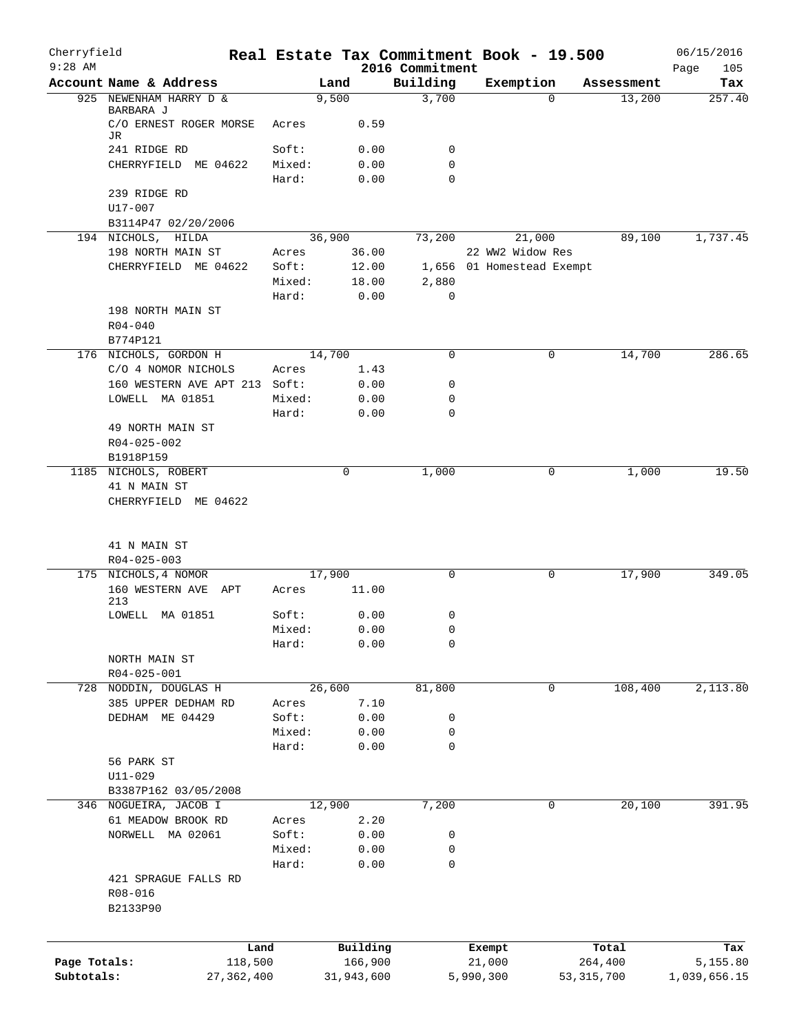| Cherryfield<br>$9:28$ AM |                                             |        |            |          | Real Estate Tax Commitment Book - 19.500 |                           |             |              | 06/15/2016         |
|--------------------------|---------------------------------------------|--------|------------|----------|------------------------------------------|---------------------------|-------------|--------------|--------------------|
|                          | Account Name & Address                      |        | Land       |          | 2016 Commitment<br>Building              | Exemption                 |             | Assessment   | Page<br>105<br>Tax |
|                          | 925 NEWENHAM HARRY D &                      |        | 9,500      |          | 3,700                                    |                           | 0           | 13,200       | 257.40             |
|                          | BARBARA J<br>C/O ERNEST ROGER MORSE         | Acres  |            | 0.59     |                                          |                           |             |              |                    |
|                          | JR<br>241 RIDGE RD                          | Soft:  |            | 0.00     | 0                                        |                           |             |              |                    |
|                          | CHERRYFIELD ME 04622                        | Mixed: |            | 0.00     | 0                                        |                           |             |              |                    |
|                          |                                             | Hard:  |            | 0.00     | $\Omega$                                 |                           |             |              |                    |
|                          | 239 RIDGE RD                                |        |            |          |                                          |                           |             |              |                    |
|                          | $U17 - 007$                                 |        |            |          |                                          |                           |             |              |                    |
|                          | B3114P47 02/20/2006                         |        |            |          |                                          |                           |             |              |                    |
|                          | 194 NICHOLS, HILDA                          |        | 36,900     |          | 73,200                                   | 21,000                    |             | 89,100       | 1,737.45           |
|                          | 198 NORTH MAIN ST                           | Acres  |            | 36.00    |                                          | 22 WW2 Widow Res          |             |              |                    |
|                          | CHERRYFIELD ME 04622                        | Soft:  |            | 12.00    |                                          | 1,656 01 Homestead Exempt |             |              |                    |
|                          |                                             | Mixed: |            | 18.00    | 2,880                                    |                           |             |              |                    |
|                          |                                             | Hard:  |            | 0.00     | $\mathbf 0$                              |                           |             |              |                    |
|                          | 198 NORTH MAIN ST                           |        |            |          |                                          |                           |             |              |                    |
|                          | $R04 - 040$                                 |        |            |          |                                          |                           |             |              |                    |
|                          | B774P121                                    |        |            |          |                                          |                           |             |              |                    |
|                          | 176 NICHOLS, GORDON H                       |        | 14,700     |          | 0                                        |                           | 0           | 14,700       | 286.65             |
|                          | C/O 4 NOMOR NICHOLS                         | Acres  |            | 1.43     |                                          |                           |             |              |                    |
|                          | 160 WESTERN AVE APT 213 Soft:               |        |            | 0.00     | 0                                        |                           |             |              |                    |
|                          | LOWELL MA 01851                             | Mixed: |            | 0.00     | 0                                        |                           |             |              |                    |
|                          |                                             | Hard:  |            | 0.00     | 0                                        |                           |             |              |                    |
|                          | 49 NORTH MAIN ST<br>R04-025-002             |        |            |          |                                          |                           |             |              |                    |
|                          | B1918P159                                   |        |            |          |                                          |                           |             |              |                    |
|                          | 1185 NICHOLS, ROBERT                        |        | 0          |          | 1,000                                    |                           | 0           | 1,000        | 19.50              |
|                          | 41 N MAIN ST                                |        |            |          |                                          |                           |             |              |                    |
|                          | CHERRYFIELD ME 04622                        |        |            |          |                                          |                           |             |              |                    |
|                          | 41 N MAIN ST<br>$R04 - 025 - 003$           |        | 17,900     |          | $\mathbf 0$                              |                           |             |              | 349.05             |
|                          | 175 NICHOLS, 4 NOMOR<br>160 WESTERN AVE APT | Acres  |            | 11.00    |                                          |                           | 0           | 17,900       |                    |
|                          | 213                                         |        |            |          |                                          |                           |             |              |                    |
|                          | LOWELL MA 01851                             | Soft:  |            | 0.00     | 0                                        |                           |             |              |                    |
|                          |                                             | Mixed: |            | 0.00     | 0                                        |                           |             |              |                    |
|                          |                                             | Hard:  |            | 0.00     | 0                                        |                           |             |              |                    |
|                          | NORTH MAIN ST                               |        |            |          |                                          |                           |             |              |                    |
|                          | $R04 - 025 - 001$                           |        |            |          |                                          |                           |             |              |                    |
|                          | 728 NODDIN, DOUGLAS H                       |        | 26,600     |          | 81,800                                   |                           | $\mathbf 0$ | 108,400      | 2,113.80           |
|                          | 385 UPPER DEDHAM RD                         | Acres  |            | 7.10     |                                          |                           |             |              |                    |
|                          | DEDHAM ME 04429                             | Soft:  |            | 0.00     | 0                                        |                           |             |              |                    |
|                          |                                             | Mixed: |            | 0.00     | 0                                        |                           |             |              |                    |
|                          |                                             | Hard:  |            | 0.00     | 0                                        |                           |             |              |                    |
|                          | 56 PARK ST                                  |        |            |          |                                          |                           |             |              |                    |
|                          | $U11 - 029$<br>B3387P162 03/05/2008         |        |            |          |                                          |                           |             |              |                    |
|                          | 346 NOGUEIRA, JACOB I                       |        | 12,900     |          | 7,200                                    |                           | 0           | 20,100       | 391.95             |
|                          | 61 MEADOW BROOK RD                          | Acres  |            | 2.20     |                                          |                           |             |              |                    |
|                          | NORWELL MA 02061                            | Soft:  |            | 0.00     | 0                                        |                           |             |              |                    |
|                          |                                             | Mixed: |            | 0.00     | 0                                        |                           |             |              |                    |
|                          |                                             | Hard:  |            | 0.00     | 0                                        |                           |             |              |                    |
|                          | 421 SPRAGUE FALLS RD                        |        |            |          |                                          |                           |             |              |                    |
|                          | R08-016                                     |        |            |          |                                          |                           |             |              |                    |
|                          | B2133P90                                    |        |            |          |                                          |                           |             |              |                    |
|                          |                                             |        |            |          |                                          |                           |             |              |                    |
|                          | Land                                        |        |            | Building |                                          | Exempt                    |             | Total        | Tax                |
| Page Totals:             | 118,500                                     |        |            | 166,900  |                                          | 21,000                    |             | 264,400      | 5,155.80           |
| Subtotals:               | 27, 362, 400                                |        | 31,943,600 |          |                                          | 5,990,300                 |             | 53, 315, 700 | 1,039,656.15       |
|                          |                                             |        |            |          |                                          |                           |             |              |                    |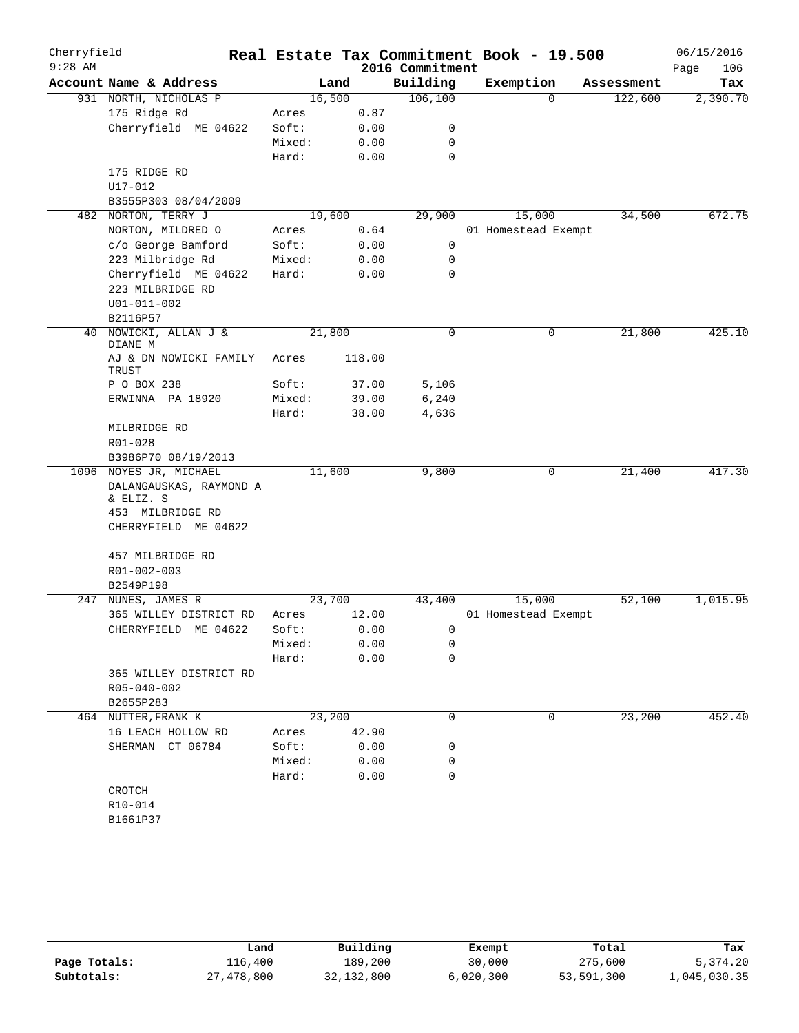| Cherryfield<br>$9:28$ AM |                                      |        |        | 2016 Commitment | Real Estate Tax Commitment Book - 19.500 |            | 06/15/2016<br>Page<br>106 |
|--------------------------|--------------------------------------|--------|--------|-----------------|------------------------------------------|------------|---------------------------|
|                          | Account Name & Address               |        | Land   | Building        | Exemption                                | Assessment | Tax                       |
|                          | 931 NORTH, NICHOLAS P                |        | 16,500 | 106, 100        | $\Omega$                                 | 122,600    | 2,390.70                  |
|                          | 175 Ridge Rd                         | Acres  | 0.87   |                 |                                          |            |                           |
|                          | Cherryfield ME 04622                 | Soft:  | 0.00   | 0               |                                          |            |                           |
|                          |                                      | Mixed: | 0.00   | 0               |                                          |            |                           |
|                          |                                      | Hard:  | 0.00   | $\mathbf 0$     |                                          |            |                           |
|                          | 175 RIDGE RD                         |        |        |                 |                                          |            |                           |
|                          | U17-012                              |        |        |                 |                                          |            |                           |
|                          | B3555P303 08/04/2009                 |        |        |                 |                                          |            |                           |
|                          | 482 NORTON, TERRY J                  |        | 19,600 | 29,900          | 15,000                                   | 34,500     | 672.75                    |
|                          | NORTON, MILDRED O                    | Acres  | 0.64   |                 | 01 Homestead Exempt                      |            |                           |
|                          | c/o George Bamford                   | Soft:  | 0.00   | 0               |                                          |            |                           |
|                          | 223 Milbridge Rd                     | Mixed: | 0.00   | 0               |                                          |            |                           |
|                          | Cherryfield ME 04622                 | Hard:  | 0.00   | $\mathbf 0$     |                                          |            |                           |
|                          | 223 MILBRIDGE RD                     |        |        |                 |                                          |            |                           |
|                          | U01-011-002                          |        |        |                 |                                          |            |                           |
|                          | B2116P57                             |        |        |                 |                                          |            |                           |
| 40                       | NOWICKI, ALLAN J &<br>DIANE M        |        | 21,800 | $\mathbf 0$     | 0                                        | 21,800     | 425.10                    |
|                          | AJ & DN NOWICKI FAMILY<br>TRUST      | Acres  | 118.00 |                 |                                          |            |                           |
|                          | P O BOX 238                          | Soft:  | 37.00  | 5,106           |                                          |            |                           |
|                          | ERWINNA PA 18920                     | Mixed: | 39.00  | 6,240           |                                          |            |                           |
|                          |                                      | Hard:  | 38.00  | 4,636           |                                          |            |                           |
|                          | MILBRIDGE RD                         |        |        |                 |                                          |            |                           |
|                          | R01-028                              |        |        |                 |                                          |            |                           |
|                          | B3986P70 08/19/2013                  |        |        |                 |                                          |            |                           |
|                          | 1096 NOYES JR, MICHAEL               |        | 11,600 | 9,800           | 0                                        | 21,400     | 417.30                    |
|                          | DALANGAUSKAS, RAYMOND A<br>& ELIZ. S |        |        |                 |                                          |            |                           |
|                          | 453 MILBRIDGE RD                     |        |        |                 |                                          |            |                           |
|                          | CHERRYFIELD ME 04622                 |        |        |                 |                                          |            |                           |
|                          | 457 MILBRIDGE RD                     |        |        |                 |                                          |            |                           |
|                          | R01-002-003                          |        |        |                 |                                          |            |                           |
|                          | B2549P198                            |        |        |                 |                                          |            |                           |
| 247                      | NUNES, JAMES R                       |        | 23,700 | 43,400          | 15,000                                   | 52,100     | 1,015.95                  |
|                          | 365 WILLEY DISTRICT RD               | Acres  | 12.00  |                 | 01 Homestead Exempt                      |            |                           |
|                          | CHERRYFIELD ME 04622                 | Soft:  | 0.00   | 0               |                                          |            |                           |
|                          |                                      | Mixed: | 0.00   | 0               |                                          |            |                           |
|                          |                                      | Hard:  | 0.00   | 0               |                                          |            |                           |
|                          | 365 WILLEY DISTRICT RD               |        |        |                 |                                          |            |                           |
|                          | R05-040-002                          |        |        |                 |                                          |            |                           |
|                          | B2655P283                            |        |        |                 |                                          |            |                           |
|                          | 464 NUTTER, FRANK K                  |        | 23,200 | 0               | 0                                        | 23,200     | 452.40                    |
|                          | 16 LEACH HOLLOW RD                   | Acres  | 42.90  |                 |                                          |            |                           |
|                          | SHERMAN CT 06784                     | Soft:  | 0.00   | 0               |                                          |            |                           |
|                          |                                      | Mixed: | 0.00   | 0               |                                          |            |                           |
|                          |                                      | Hard:  | 0.00   | 0               |                                          |            |                           |
|                          | CROTCH                               |        |        |                 |                                          |            |                           |
|                          | R10-014                              |        |        |                 |                                          |            |                           |
|                          | B1661P37                             |        |        |                 |                                          |            |                           |
|                          |                                      |        |        |                 |                                          |            |                           |

|              | Land       | Building   | Exempt    | Total      | Tax          |
|--------------|------------|------------|-----------|------------|--------------|
| Page Totals: | 116,400    | 189,200    | 30,000    | 275,600    | 5,374.20     |
| Subtotals:   | 27,478,800 | 32,132,800 | 6,020,300 | 53,591,300 | 1,045,030.35 |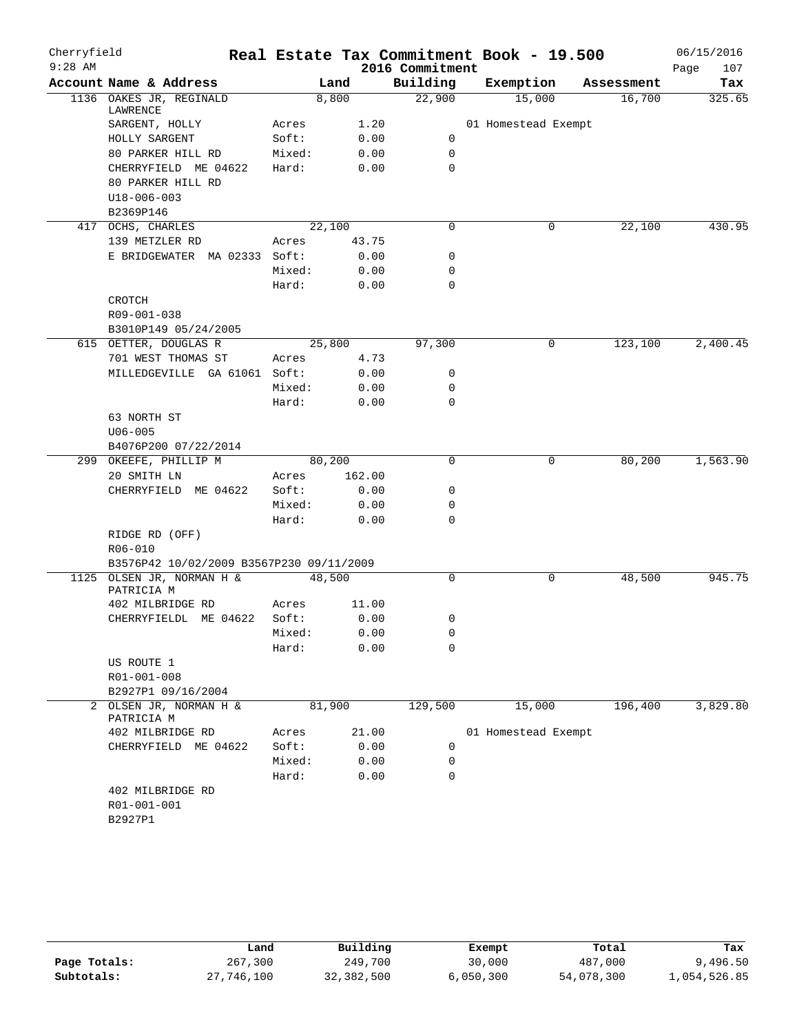| Cherryfield |                                          |        |        |        |                 | Real Estate Tax Commitment Book - 19.500 |            | 06/15/2016  |
|-------------|------------------------------------------|--------|--------|--------|-----------------|------------------------------------------|------------|-------------|
| $9:28$ AM   |                                          |        |        |        | 2016 Commitment |                                          |            | Page<br>107 |
|             | Account Name & Address                   |        | Land   |        | Building        | Exemption                                | Assessment | Tax         |
|             | 1136 OAKES JR, REGINALD<br>LAWRENCE      |        | 8,800  |        | 22,900          | 15,000                                   | 16,700     | 325.65      |
|             | SARGENT, HOLLY                           | Acres  |        | 1.20   |                 | 01 Homestead Exempt                      |            |             |
|             | HOLLY SARGENT                            | Soft:  |        | 0.00   | 0               |                                          |            |             |
|             | 80 PARKER HILL RD                        | Mixed: |        | 0.00   | 0               |                                          |            |             |
|             | CHERRYFIELD ME 04622                     | Hard:  |        | 0.00   | 0               |                                          |            |             |
|             | 80 PARKER HILL RD                        |        |        |        |                 |                                          |            |             |
|             | $U18 - 006 - 003$                        |        |        |        |                 |                                          |            |             |
|             | B2369P146                                |        |        |        |                 |                                          |            |             |
|             | 417 OCHS, CHARLES                        |        | 22,100 |        | 0               | 0                                        | 22,100     | 430.95      |
|             | 139 METZLER RD                           | Acres  |        | 43.75  |                 |                                          |            |             |
|             | E BRIDGEWATER MA 02333 Soft:             |        |        | 0.00   | 0               |                                          |            |             |
|             |                                          | Mixed: |        | 0.00   | 0               |                                          |            |             |
|             |                                          | Hard:  |        | 0.00   | $\mathbf 0$     |                                          |            |             |
|             | <b>CROTCH</b>                            |        |        |        |                 |                                          |            |             |
|             | R09-001-038                              |        |        |        |                 |                                          |            |             |
|             | B3010P149 05/24/2005                     |        |        |        |                 |                                          |            |             |
|             | 615 OETTER, DOUGLAS R                    |        | 25,800 |        | 97,300          | 0                                        | 123,100    | 2,400.45    |
|             | 701 WEST THOMAS ST                       | Acres  |        | 4.73   |                 |                                          |            |             |
|             | MILLEDGEVILLE GA 61061 Soft:             |        |        | 0.00   | 0               |                                          |            |             |
|             |                                          | Mixed: |        | 0.00   | 0               |                                          |            |             |
|             |                                          | Hard:  |        | 0.00   | 0               |                                          |            |             |
|             | 63 NORTH ST                              |        |        |        |                 |                                          |            |             |
|             | $U06 - 005$                              |        |        |        |                 |                                          |            |             |
|             | B4076P200 07/22/2014                     |        |        |        |                 |                                          |            |             |
|             | 299 OKEEFE, PHILLIP M                    |        | 80,200 |        | $\Omega$        | 0                                        | 80,200     | 1,563.90    |
|             | 20 SMITH LN                              | Acres  |        | 162.00 |                 |                                          |            |             |
|             | CHERRYFIELD ME 04622                     | Soft:  |        | 0.00   | 0               |                                          |            |             |
|             |                                          | Mixed: |        | 0.00   | 0               |                                          |            |             |
|             |                                          | Hard:  |        | 0.00   | 0               |                                          |            |             |
|             | RIDGE RD (OFF)                           |        |        |        |                 |                                          |            |             |
|             | R06-010                                  |        |        |        |                 |                                          |            |             |
|             | B3576P42 10/02/2009 B3567P230 09/11/2009 |        |        |        |                 |                                          |            |             |
|             | 1125 OLSEN JR, NORMAN H &<br>PATRICIA M  |        | 48,500 |        | $\mathbf 0$     | 0                                        | 48,500     | 945.75      |
|             | 402 MILBRIDGE RD                         | Acres  |        | 11.00  |                 |                                          |            |             |
|             | CHERRYFIELDL ME 04622                    | Soft:  |        | 0.00   | 0               |                                          |            |             |
|             |                                          | Mixed: |        | 0.00   | 0               |                                          |            |             |
|             |                                          | Hard:  |        | 0.00   | 0               |                                          |            |             |
|             | US ROUTE 1                               |        |        |        |                 |                                          |            |             |
|             | R01-001-008                              |        |        |        |                 |                                          |            |             |
|             | B2927P1 09/16/2004                       |        |        |        |                 |                                          |            |             |
| 2           | OLSEN JR, NORMAN H &<br>PATRICIA M       |        | 81,900 |        | 129,500         | 15,000                                   | 196,400    | 3,829.80    |
|             | 402 MILBRIDGE RD                         | Acres  |        | 21.00  |                 | 01 Homestead Exempt                      |            |             |
|             | CHERRYFIELD ME 04622                     | Soft:  |        | 0.00   | 0               |                                          |            |             |
|             |                                          | Mixed: |        | 0.00   | 0               |                                          |            |             |
|             |                                          | Hard:  |        | 0.00   | 0               |                                          |            |             |
|             | 402 MILBRIDGE RD                         |        |        |        |                 |                                          |            |             |
|             | R01-001-001                              |        |        |        |                 |                                          |            |             |
|             | B2927P1                                  |        |        |        |                 |                                          |            |             |
|             |                                          |        |        |        |                 |                                          |            |             |

|              | Land       | Building   | Exempt    | Total      | Tax          |
|--------------|------------|------------|-----------|------------|--------------|
| Page Totals: | 267,300    | 249,700    | 30,000    | 487,000    | 9,496.50     |
| Subtotals:   | 27,746,100 | 32,382,500 | 6,050,300 | 54,078,300 | 1,054,526.85 |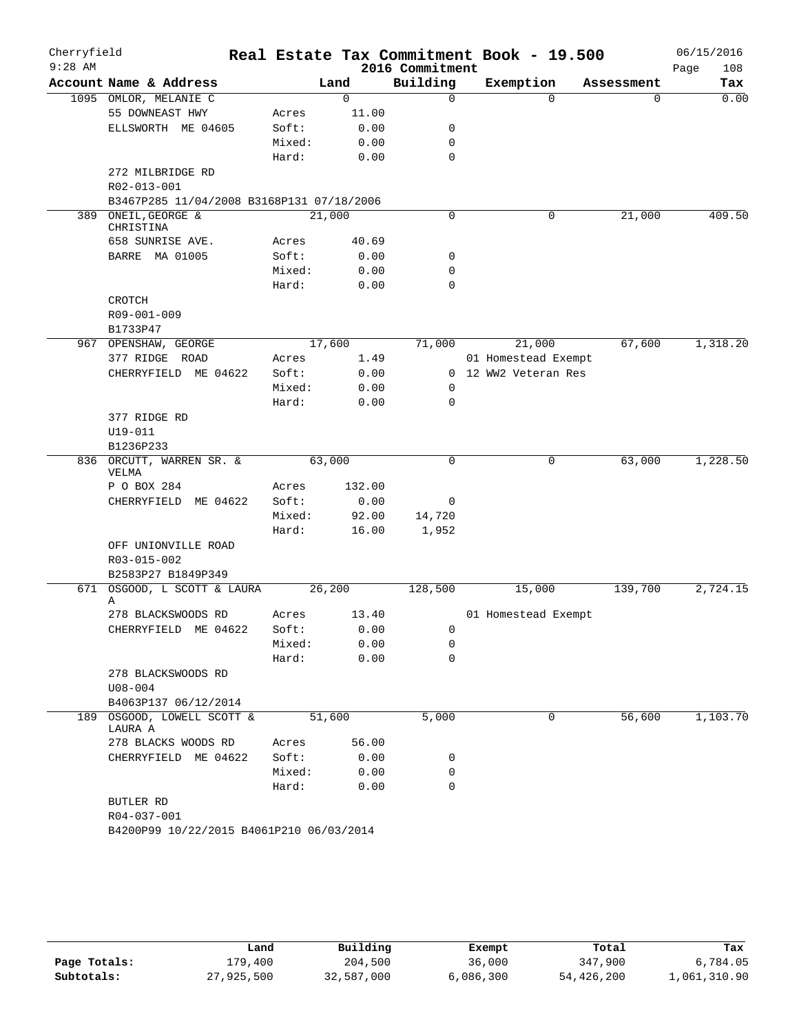| Cherryfield<br>$9:28$ AM |                                           |        |        |        | Real Estate Tax Commitment Book - 19.500<br>2016 Commitment |                      |          |            | 06/15/2016<br>108<br>Page |
|--------------------------|-------------------------------------------|--------|--------|--------|-------------------------------------------------------------|----------------------|----------|------------|---------------------------|
|                          | Account Name & Address                    |        | Land   |        | Building                                                    | Exemption            |          | Assessment | Tax                       |
|                          | 1095 OMLOR, MELANIE C                     |        | 0      |        | $\mathbf 0$                                                 |                      | $\Omega$ | 0          | 0.00                      |
|                          | 55 DOWNEAST HWY                           | Acres  |        | 11.00  |                                                             |                      |          |            |                           |
|                          | ELLSWORTH ME 04605                        | Soft:  |        | 0.00   | 0                                                           |                      |          |            |                           |
|                          |                                           | Mixed: |        | 0.00   | 0                                                           |                      |          |            |                           |
|                          |                                           | Hard:  |        | 0.00   | $\mathbf 0$                                                 |                      |          |            |                           |
|                          | 272 MILBRIDGE RD                          |        |        |        |                                                             |                      |          |            |                           |
|                          | R02-013-001                               |        |        |        |                                                             |                      |          |            |                           |
|                          | B3467P285 11/04/2008 B3168P131 07/18/2006 |        |        |        |                                                             |                      |          |            |                           |
| 389                      | ONEIL, GEORGE &<br>CHRISTINA              |        | 21,000 |        | $\mathbf 0$                                                 |                      | 0        | 21,000     | 409.50                    |
|                          | 658 SUNRISE AVE.                          | Acres  |        | 40.69  |                                                             |                      |          |            |                           |
|                          | BARRE MA 01005                            | Soft:  |        | 0.00   | 0                                                           |                      |          |            |                           |
|                          |                                           | Mixed: |        | 0.00   | 0                                                           |                      |          |            |                           |
|                          |                                           | Hard:  |        | 0.00   | $\mathbf 0$                                                 |                      |          |            |                           |
|                          | <b>CROTCH</b>                             |        |        |        |                                                             |                      |          |            |                           |
|                          | R09-001-009                               |        |        |        |                                                             |                      |          |            |                           |
|                          | B1733P47                                  |        |        |        |                                                             |                      |          |            |                           |
|                          | 967 OPENSHAW, GEORGE                      |        | 17,600 |        | 71,000                                                      | 21,000               |          | 67,600     | 1,318.20                  |
|                          | 377 RIDGE ROAD                            | Acres  |        | 1.49   |                                                             | 01 Homestead Exempt  |          |            |                           |
|                          | CHERRYFIELD ME 04622                      | Soft:  |        | 0.00   |                                                             | 0 12 WW2 Veteran Res |          |            |                           |
|                          |                                           | Mixed: |        | 0.00   | 0                                                           |                      |          |            |                           |
|                          |                                           | Hard:  |        | 0.00   | 0                                                           |                      |          |            |                           |
|                          | 377 RIDGE RD                              |        |        |        |                                                             |                      |          |            |                           |
|                          | U19-011                                   |        |        |        |                                                             |                      |          |            |                           |
|                          | B1236P233                                 |        |        |        |                                                             |                      |          |            |                           |
|                          | 836 ORCUTT, WARREN SR. &<br>VELMA         |        | 63,000 |        | $\Omega$                                                    |                      | 0        | 63,000     | 1,228.50                  |
|                          | P O BOX 284                               | Acres  |        | 132.00 |                                                             |                      |          |            |                           |
|                          | CHERRYFIELD ME 04622                      | Soft:  |        | 0.00   | 0                                                           |                      |          |            |                           |
|                          |                                           | Mixed: |        | 92.00  | 14,720                                                      |                      |          |            |                           |
|                          |                                           | Hard:  |        | 16.00  | 1,952                                                       |                      |          |            |                           |
|                          | OFF UNIONVILLE ROAD                       |        |        |        |                                                             |                      |          |            |                           |
|                          | R03-015-002                               |        |        |        |                                                             |                      |          |            |                           |
|                          | B2583P27 B1849P349                        |        |        |        |                                                             |                      |          |            |                           |
| 671                      | OSGOOD, L SCOTT & LAURA                   |        | 26,200 |        | 128,500                                                     | 15,000               |          | 139,700    | 2,724.15                  |
|                          | Α                                         |        |        |        |                                                             |                      |          |            |                           |
|                          | 278 BLACKSWOODS RD                        | Acres  |        | 13.40  |                                                             | 01 Homestead Exempt  |          |            |                           |
|                          | CHERRYFIELD ME 04622                      | Soft:  |        | 0.00   | 0                                                           |                      |          |            |                           |
|                          |                                           | Mixed: |        | 0.00   | 0                                                           |                      |          |            |                           |
|                          |                                           | Hard:  |        | 0.00   | 0                                                           |                      |          |            |                           |
|                          | 278 BLACKSWOODS RD                        |        |        |        |                                                             |                      |          |            |                           |
|                          | $U08 - 004$                               |        |        |        |                                                             |                      |          |            |                           |
|                          | B4063P137 06/12/2014                      |        |        |        |                                                             |                      |          |            |                           |
| 189                      | OSGOOD, LOWELL SCOTT &<br>LAURA A         |        | 51,600 |        | 5,000                                                       |                      | 0        | 56,600     | 1,103.70                  |
|                          | 278 BLACKS WOODS RD                       | Acres  |        | 56.00  |                                                             |                      |          |            |                           |
|                          | CHERRYFIELD ME 04622                      | Soft:  |        | 0.00   | 0                                                           |                      |          |            |                           |
|                          |                                           | Mixed: |        | 0.00   | 0                                                           |                      |          |            |                           |
|                          |                                           | Hard:  |        | 0.00   | 0                                                           |                      |          |            |                           |
|                          |                                           |        |        |        |                                                             |                      |          |            |                           |
|                          | BUTLER RD                                 |        |        |        |                                                             |                      |          |            |                           |
|                          | R04-037-001                               |        |        |        |                                                             |                      |          |            |                           |

|              | Land       | Building   | Exempt    | Total      | Tax          |
|--------------|------------|------------|-----------|------------|--------------|
| Page Totals: | 179,400    | 204,500    | 36,000    | 347,900    | 6,784.05     |
| Subtotals:   | 27,925,500 | 32,587,000 | 6,086,300 | 54,426,200 | 1,061,310.90 |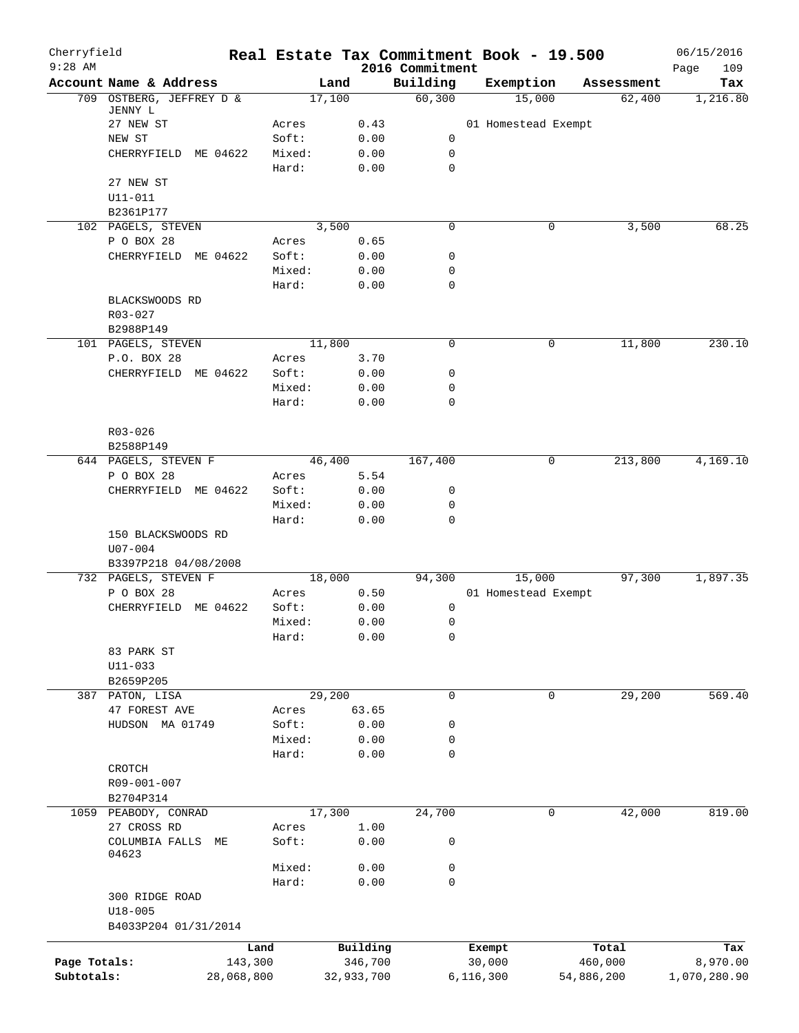| Cherryfield<br>$9:28$ AM |                                   |            | Real Estate Tax Commitment Book - 19.500 |              | 2016 Commitment  |                     |   |            | 06/15/2016<br>109<br>Page |
|--------------------------|-----------------------------------|------------|------------------------------------------|--------------|------------------|---------------------|---|------------|---------------------------|
|                          | Account Name & Address            |            | Land                                     |              | Building         | Exemption           |   | Assessment | Tax                       |
|                          | 709 OSTBERG, JEFFREY D &          |            | 17,100                                   |              | 60,300           | 15,000              |   | 62,400     | 1,216.80                  |
|                          | JENNY L                           |            |                                          |              |                  |                     |   |            |                           |
|                          | 27 NEW ST                         |            | Acres                                    | 0.43         |                  | 01 Homestead Exempt |   |            |                           |
|                          | NEW ST                            |            | Soft:                                    | 0.00         | 0                |                     |   |            |                           |
|                          | CHERRYFIELD                       | ME 04622   | Mixed:<br>Hard:                          | 0.00<br>0.00 | 0<br>$\mathbf 0$ |                     |   |            |                           |
|                          | 27 NEW ST                         |            |                                          |              |                  |                     |   |            |                           |
|                          | U11-011                           |            |                                          |              |                  |                     |   |            |                           |
|                          | B2361P177                         |            |                                          |              |                  |                     |   |            |                           |
|                          | 102 PAGELS, STEVEN                |            | 3,500                                    |              | 0                |                     | 0 | 3,500      | 68.25                     |
|                          | P O BOX 28                        |            | Acres                                    | 0.65         |                  |                     |   |            |                           |
|                          | CHERRYFIELD ME 04622              |            | Soft:                                    | 0.00         | 0                |                     |   |            |                           |
|                          |                                   |            | Mixed:                                   | 0.00         | 0                |                     |   |            |                           |
|                          |                                   |            | Hard:                                    | 0.00         | $\mathbf 0$      |                     |   |            |                           |
|                          | BLACKSWOODS RD                    |            |                                          |              |                  |                     |   |            |                           |
|                          | R03-027                           |            |                                          |              |                  |                     |   |            |                           |
|                          | B2988P149                         |            |                                          |              |                  |                     |   |            |                           |
|                          | 101 PAGELS, STEVEN                |            | 11,800                                   |              | 0                |                     | 0 | 11,800     | 230.10                    |
|                          | P.O. BOX 28                       |            | Acres                                    | 3.70         |                  |                     |   |            |                           |
|                          | CHERRYFIELD ME 04622              |            | Soft:                                    | 0.00         | 0                |                     |   |            |                           |
|                          |                                   |            | Mixed:                                   | 0.00         | 0                |                     |   |            |                           |
|                          |                                   |            | Hard:                                    | 0.00         | 0                |                     |   |            |                           |
|                          |                                   |            |                                          |              |                  |                     |   |            |                           |
|                          | R03-026                           |            |                                          |              |                  |                     |   |            |                           |
|                          | B2588P149<br>644 PAGELS, STEVEN F |            | 46,400                                   |              | 167,400          |                     | 0 | 213,800    | 4,169.10                  |
|                          | P O BOX 28                        |            | Acres                                    | 5.54         |                  |                     |   |            |                           |
|                          | CHERRYFIELD                       | ME 04622   | Soft:                                    | 0.00         | 0                |                     |   |            |                           |
|                          |                                   |            | Mixed:                                   | 0.00         | 0                |                     |   |            |                           |
|                          |                                   |            | Hard:                                    | 0.00         | $\mathbf 0$      |                     |   |            |                           |
|                          | 150 BLACKSWOODS RD                |            |                                          |              |                  |                     |   |            |                           |
|                          | $U07 - 004$                       |            |                                          |              |                  |                     |   |            |                           |
|                          | B3397P218 04/08/2008              |            |                                          |              |                  |                     |   |            |                           |
|                          | 732 PAGELS, STEVEN F              |            | 18,000                                   |              | 94,300           | 15,000              |   | 97,300     | 1,897.35                  |
|                          | P O BOX 28                        |            | Acres                                    | 0.50         |                  | 01 Homestead Exempt |   |            |                           |
|                          | CHERRYFIELD                       | ME 04622   | Soft:                                    | 0.00         | 0                |                     |   |            |                           |
|                          |                                   |            | Mixed:                                   | 0.00         | 0                |                     |   |            |                           |
|                          |                                   |            | Hard:                                    | 0.00         | 0                |                     |   |            |                           |
|                          | 83 PARK ST                        |            |                                          |              |                  |                     |   |            |                           |
|                          | $U11 - 033$                       |            |                                          |              |                  |                     |   |            |                           |
|                          | B2659P205                         |            |                                          |              |                  |                     |   |            |                           |
|                          | 387 PATON, LISA                   |            | 29,200                                   |              | 0                |                     | 0 | 29,200     | 569.40                    |
|                          | 47 FOREST AVE                     |            | Acres                                    | 63.65        |                  |                     |   |            |                           |
|                          | HUDSON MA 01749                   |            | Soft:                                    | 0.00         | 0                |                     |   |            |                           |
|                          |                                   |            | Mixed:                                   | 0.00         | 0                |                     |   |            |                           |
|                          |                                   |            | Hard:                                    | 0.00         | 0                |                     |   |            |                           |
|                          | CROTCH                            |            |                                          |              |                  |                     |   |            |                           |
|                          | R09-001-007<br>B2704P314          |            |                                          |              |                  |                     |   |            |                           |
|                          | 1059 PEABODY, CONRAD              |            | 17,300                                   |              | 24,700           |                     | 0 | 42,000     | 819.00                    |
|                          | 27 CROSS RD                       |            | Acres                                    | 1.00         |                  |                     |   |            |                           |
|                          | COLUMBIA FALLS                    | МE         | Soft:                                    | 0.00         | 0                |                     |   |            |                           |
|                          | 04623                             |            |                                          |              |                  |                     |   |            |                           |
|                          |                                   |            | Mixed:                                   | 0.00         | 0                |                     |   |            |                           |
|                          |                                   |            | Hard:                                    | 0.00         | $\mathbf 0$      |                     |   |            |                           |
|                          | 300 RIDGE ROAD                    |            |                                          |              |                  |                     |   |            |                           |
|                          | $U18 - 005$                       |            |                                          |              |                  |                     |   |            |                           |
|                          | B4033P204 01/31/2014              |            |                                          |              |                  |                     |   |            |                           |
|                          |                                   | Land       |                                          | Building     |                  | Exempt              |   | Total      | Tax                       |
| Page Totals:             |                                   | 143,300    |                                          | 346,700      |                  | 30,000              |   | 460,000    | 8,970.00                  |
| Subtotals:               |                                   | 28,068,800 |                                          | 32,933,700   |                  | 6, 116, 300         |   | 54,886,200 | 1,070,280.90              |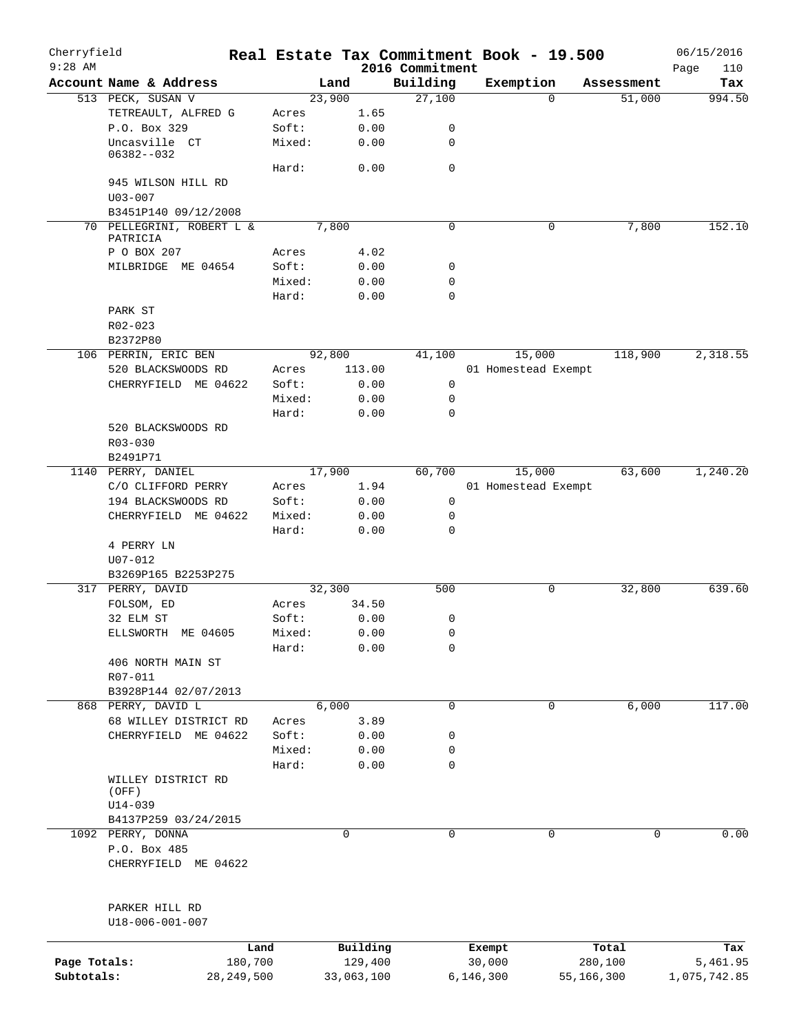| Cherryfield<br>$9:28$ AM |                                            |         |            |          | 2016 Commitment | Real Estate Tax Commitment Book - 19.500 |             |            | 06/15/2016         |
|--------------------------|--------------------------------------------|---------|------------|----------|-----------------|------------------------------------------|-------------|------------|--------------------|
|                          | Account Name & Address                     |         | Land       |          | Building        | Exemption                                |             | Assessment | Page<br>110<br>Tax |
|                          | 513 PECK, SUSAN V                          |         | 23,900     |          | 27,100          |                                          | $\Omega$    | 51,000     | 994.50             |
|                          | TETREAULT, ALFRED G                        | Acres   |            | 1.65     |                 |                                          |             |            |                    |
|                          | P.O. Box 329                               | Soft:   |            | 0.00     | 0               |                                          |             |            |                    |
|                          | Uncasville CT<br>$06382 - -032$            | Mixed:  |            | 0.00     | 0               |                                          |             |            |                    |
|                          |                                            | Hard:   |            | 0.00     | 0               |                                          |             |            |                    |
|                          | 945 WILSON HILL RD<br>$U03 - 007$          |         |            |          |                 |                                          |             |            |                    |
|                          | B3451P140 09/12/2008                       |         |            |          |                 |                                          |             |            |                    |
|                          | 70 PELLEGRINI, ROBERT L &<br>PATRICIA      |         | 7,800      |          | 0               |                                          | 0           | 7,800      | 152.10             |
|                          | P O BOX 207                                | Acres   |            | 4.02     |                 |                                          |             |            |                    |
|                          | MILBRIDGE<br>ME 04654                      | Soft:   |            | 0.00     | $\mathbf 0$     |                                          |             |            |                    |
|                          |                                            | Mixed:  |            | 0.00     | 0               |                                          |             |            |                    |
|                          |                                            | Hard:   |            | 0.00     | $\mathbf 0$     |                                          |             |            |                    |
|                          | PARK ST                                    |         |            |          |                 |                                          |             |            |                    |
|                          | $R02 - 023$                                |         |            |          |                 |                                          |             |            |                    |
|                          | B2372P80                                   |         |            |          |                 | 15,000                                   |             | 118,900    | 2,318.55           |
|                          | 106 PERRIN, ERIC BEN<br>520 BLACKSWOODS RD | Acres   | 92,800     | 113.00   | 41,100          | 01 Homestead Exempt                      |             |            |                    |
|                          | CHERRYFIELD ME 04622                       | Soft:   |            | 0.00     | $\mathbf 0$     |                                          |             |            |                    |
|                          |                                            | Mixed:  |            | 0.00     | 0               |                                          |             |            |                    |
|                          |                                            | Hard:   |            | 0.00     | $\mathbf 0$     |                                          |             |            |                    |
|                          | 520 BLACKSWOODS RD                         |         |            |          |                 |                                          |             |            |                    |
|                          | R03-030                                    |         |            |          |                 |                                          |             |            |                    |
|                          | B2491P71                                   |         |            |          |                 |                                          |             |            |                    |
|                          | 1140 PERRY, DANIEL                         |         | 17,900     |          | 60,700          | 15,000                                   |             | 63,600     | 1,240.20           |
|                          | C/O CLIFFORD PERRY                         | Acres   |            | 1.94     |                 | 01 Homestead Exempt                      |             |            |                    |
|                          | 194 BLACKSWOODS RD                         | Soft:   |            | 0.00     | 0               |                                          |             |            |                    |
|                          | CHERRYFIELD ME 04622                       | Mixed:  |            | 0.00     | 0               |                                          |             |            |                    |
|                          |                                            | Hard:   |            | 0.00     | 0               |                                          |             |            |                    |
|                          | 4 PERRY LN                                 |         |            |          |                 |                                          |             |            |                    |
|                          | $U07 - 012$                                |         |            |          |                 |                                          |             |            |                    |
|                          | B3269P165 B2253P275                        |         |            |          |                 |                                          |             |            |                    |
|                          | 317 PERRY, DAVID                           |         | 32,300     |          | 500             |                                          | 0           | 32,800     | 639.60             |
|                          | FOLSOM, ED                                 | Acres   |            | 34.50    |                 |                                          |             |            |                    |
|                          | 32 ELM ST                                  | Soft:   |            | 0.00     | 0               |                                          |             |            |                    |
|                          | ELLSWORTH ME 04605                         | Mixed:  |            | 0.00     | 0               |                                          |             |            |                    |
|                          |                                            | Hard:   |            | 0.00     | 0               |                                          |             |            |                    |
|                          | 406 NORTH MAIN ST                          |         |            |          |                 |                                          |             |            |                    |
|                          | R07-011                                    |         |            |          |                 |                                          |             |            |                    |
|                          | B3928P144 02/07/2013                       |         |            |          |                 |                                          |             |            |                    |
|                          | 868 PERRY, DAVID L                         |         | 6,000      |          | $\mathbf 0$     |                                          | $\mathbf 0$ | 6,000      | 117.00             |
|                          | 68 WILLEY DISTRICT RD                      | Acres   |            | 3.89     |                 |                                          |             |            |                    |
|                          | CHERRYFIELD ME 04622                       | Soft:   |            | 0.00     | 0               |                                          |             |            |                    |
|                          |                                            | Mixed:  |            | 0.00     | 0               |                                          |             |            |                    |
|                          |                                            | Hard:   |            | 0.00     | $\mathbf 0$     |                                          |             |            |                    |
|                          | WILLEY DISTRICT RD<br>(OFF)                |         |            |          |                 |                                          |             |            |                    |
|                          | $U14 - 039$                                |         |            |          |                 |                                          |             |            |                    |
|                          | B4137P259 03/24/2015                       |         |            |          |                 |                                          |             |            |                    |
|                          | 1092 PERRY, DONNA                          |         | 0          |          | $\mathbf 0$     |                                          | $\mathbf 0$ | 0          | 0.00               |
|                          | P.O. Box 485                               |         |            |          |                 |                                          |             |            |                    |
|                          | CHERRYFIELD ME 04622                       |         |            |          |                 |                                          |             |            |                    |
|                          | PARKER HILL RD                             |         |            |          |                 |                                          |             |            |                    |
|                          | U18-006-001-007                            |         |            |          |                 |                                          |             |            |                    |
|                          |                                            | Land    |            | Building |                 | Exempt                                   |             | Total      | Tax                |
| Page Totals:             |                                            | 180,700 |            | 129,400  |                 | 30,000                                   |             | 280,100    | 5,461.95           |
| Subtotals:               | 28, 249, 500                               |         | 33,063,100 |          |                 | 6,146,300                                | 55,166,300  |            | 1,075,742.85       |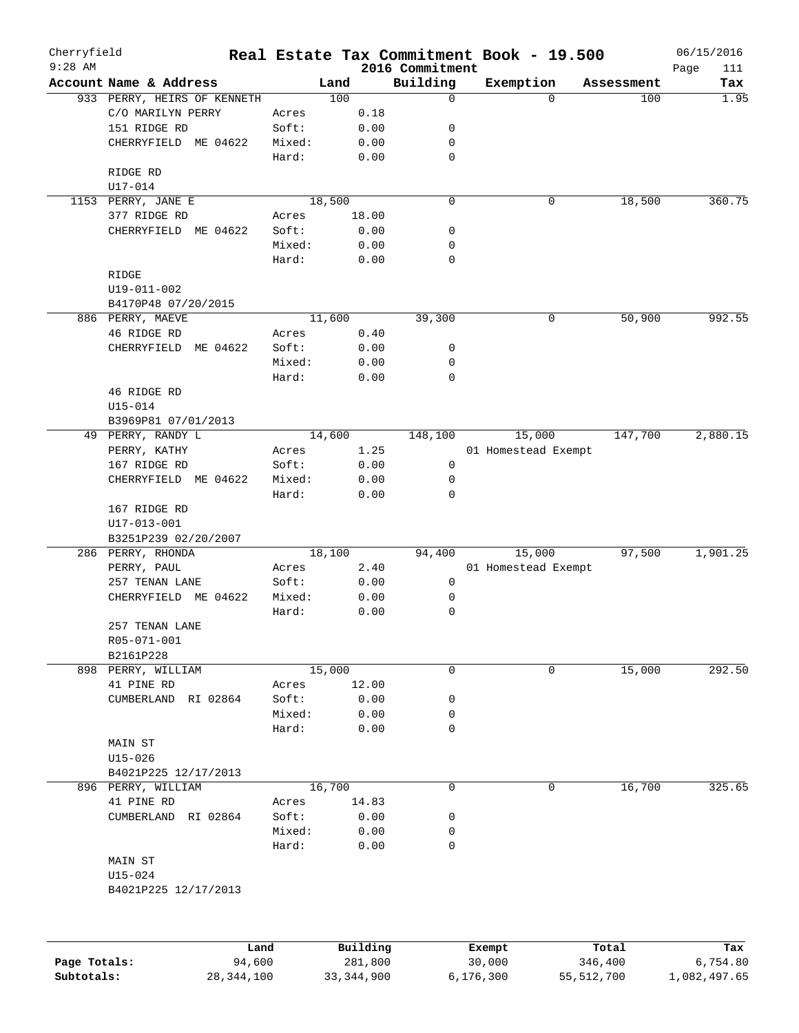| Cherryfield  |                             |        |          |                             | Real Estate Tax Commitment Book - 19.500 |             | 06/15/2016          |
|--------------|-----------------------------|--------|----------|-----------------------------|------------------------------------------|-------------|---------------------|
| $9:28$ AM    | Account Name & Address      |        | Land     | 2016 Commitment<br>Building | Exemption                                | Assessment  | Page<br>111<br>Tax  |
|              | 933 PERRY, HEIRS OF KENNETH |        | 100      | 0                           |                                          | $\Omega$    | 1.95<br>100         |
|              | C/O MARILYN PERRY           | Acres  | 0.18     |                             |                                          |             |                     |
|              | 151 RIDGE RD                | Soft:  | 0.00     | 0                           |                                          |             |                     |
|              | CHERRYFIELD ME 04622        | Mixed: | 0.00     | 0                           |                                          |             |                     |
|              |                             | Hard:  | 0.00     | 0                           |                                          |             |                     |
|              | RIDGE RD                    |        |          |                             |                                          |             |                     |
|              | U17-014                     |        |          |                             |                                          |             |                     |
|              | 1153 PERRY, JANE E          |        | 18,500   | 0                           |                                          | 0           | 18,500<br>360.75    |
|              | 377 RIDGE RD                | Acres  | 18.00    |                             |                                          |             |                     |
|              | CHERRYFIELD ME 04622        | Soft:  | 0.00     | 0                           |                                          |             |                     |
|              |                             | Mixed: | 0.00     | 0                           |                                          |             |                     |
|              |                             | Hard:  | 0.00     | $\mathbf 0$                 |                                          |             |                     |
|              | RIDGE                       |        |          |                             |                                          |             |                     |
|              | $U19 - 011 - 002$           |        |          |                             |                                          |             |                     |
|              | B4170P48 07/20/2015         |        |          |                             |                                          |             |                     |
|              | 886 PERRY, MAEVE            |        | 11,600   | 39,300                      |                                          | 0           | 992.55<br>50,900    |
|              | 46 RIDGE RD                 | Acres  | 0.40     |                             |                                          |             |                     |
|              | CHERRYFIELD<br>ME 04622     | Soft:  | 0.00     | 0                           |                                          |             |                     |
|              |                             | Mixed: | 0.00     | 0                           |                                          |             |                     |
|              |                             | Hard:  | 0.00     | $\mathbf 0$                 |                                          |             |                     |
|              | 46 RIDGE RD                 |        |          |                             |                                          |             |                     |
|              | $U15 - 014$                 |        |          |                             |                                          |             |                     |
|              | B3969P81 07/01/2013         |        |          |                             |                                          |             |                     |
|              | 49 PERRY, RANDY L           |        | 14,600   | 148,100                     | 15,000                                   |             | 2,880.15<br>147,700 |
|              | PERRY, KATHY                | Acres  | 1.25     |                             | 01 Homestead Exempt                      |             |                     |
|              | 167 RIDGE RD                | Soft:  | 0.00     | 0                           |                                          |             |                     |
|              | CHERRYFIELD ME 04622        | Mixed: | 0.00     | 0                           |                                          |             |                     |
|              |                             | Hard:  | 0.00     | 0                           |                                          |             |                     |
|              | 167 RIDGE RD                |        |          |                             |                                          |             |                     |
|              | U17-013-001                 |        |          |                             |                                          |             |                     |
|              | B3251P239 02/20/2007        |        |          |                             |                                          |             |                     |
|              | 286 PERRY, RHONDA           |        | 18,100   | 94,400                      | 15,000                                   |             | 1,901.25<br>97,500  |
|              | PERRY, PAUL                 | Acres  | 2.40     |                             | 01 Homestead Exempt                      |             |                     |
|              | 257 TENAN LANE              | Soft:  | 0.00     | $\mathsf{O}$                |                                          |             |                     |
|              | CHERRYFIELD ME 04622        | Mixed: | 0.00     | 0                           |                                          |             |                     |
|              |                             | Hard:  | 0.00     | 0                           |                                          |             |                     |
|              | 257 TENAN LANE              |        |          |                             |                                          |             |                     |
|              | R05-071-001                 |        |          |                             |                                          |             |                     |
|              | B2161P228                   |        |          |                             |                                          |             |                     |
| 898          | PERRY, WILLIAM              |        | 15,000   | 0                           |                                          | $\mathbf 0$ | 292.50<br>15,000    |
|              | 41 PINE RD                  | Acres  | 12.00    |                             |                                          |             |                     |
|              | CUMBERLAND<br>RI 02864      | Soft:  | 0.00     | 0                           |                                          |             |                     |
|              |                             | Mixed: | 0.00     | 0                           |                                          |             |                     |
|              |                             | Hard:  | 0.00     | 0                           |                                          |             |                     |
|              | MAIN ST                     |        |          |                             |                                          |             |                     |
|              | $U15 - 026$                 |        |          |                             |                                          |             |                     |
|              | B4021P225 12/17/2013        |        |          |                             |                                          |             |                     |
| 896          | PERRY, WILLIAM              |        | 16,700   | 0                           |                                          | 0           | 16,700<br>325.65    |
|              | 41 PINE RD                  | Acres  | 14.83    |                             |                                          |             |                     |
|              | CUMBERLAND RI 02864         | Soft:  | 0.00     | 0                           |                                          |             |                     |
|              |                             | Mixed: | 0.00     | 0                           |                                          |             |                     |
|              |                             | Hard:  | 0.00     | 0                           |                                          |             |                     |
|              | MAIN ST                     |        |          |                             |                                          |             |                     |
|              | U15-024                     |        |          |                             |                                          |             |                     |
|              | B4021P225 12/17/2013        |        |          |                             |                                          |             |                     |
|              |                             |        |          |                             |                                          |             |                     |
|              |                             |        |          |                             |                                          |             |                     |
|              | Land                        |        | Building |                             | Exempt                                   | Total       | Tax                 |
| Page Totals: | 94,600                      |        | 281,800  |                             | 30,000                                   | 346,400     | 6,754.80            |

**Subtotals:** 28,344,100 33,344,900 6,176,300 55,512,700 1,082,497.65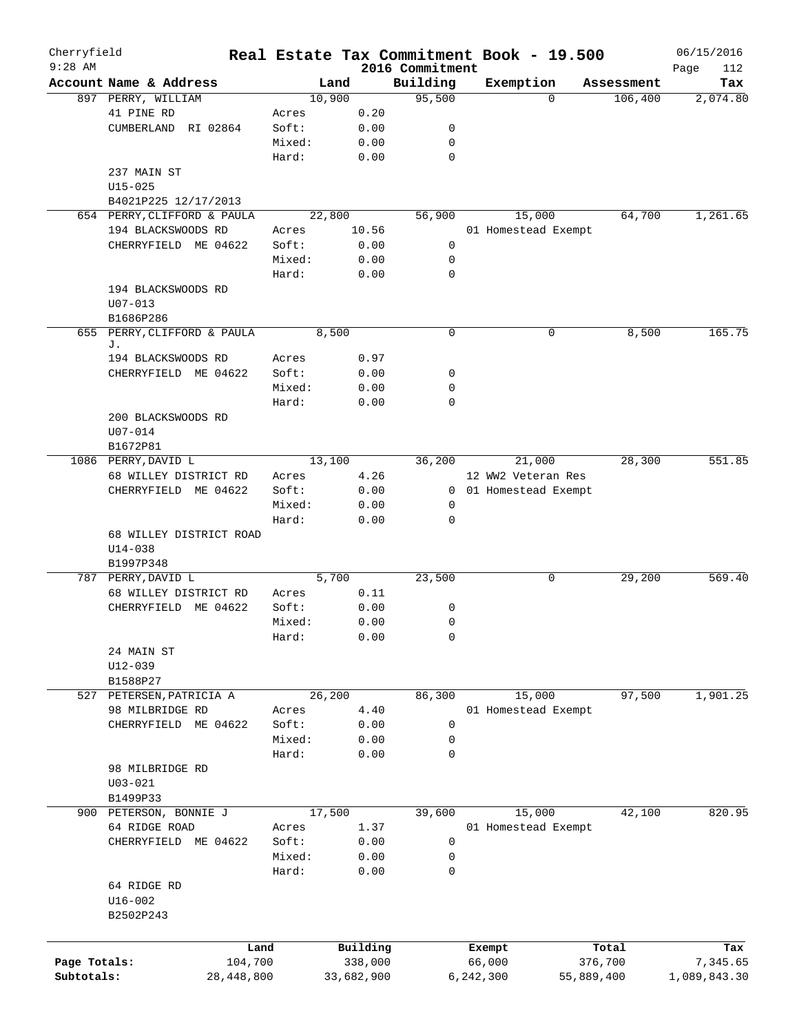| Cherryfield  |                                  |                |            |                             | Real Estate Tax Commitment Book - 19.500 |                       | 06/15/2016      |
|--------------|----------------------------------|----------------|------------|-----------------------------|------------------------------------------|-----------------------|-----------------|
| $9:28$ AM    | Account Name & Address           |                |            | 2016 Commitment<br>Building |                                          |                       | Page<br>112     |
|              |                                  | Land<br>10,900 |            | 95,500                      | Exemption<br>$\Omega$                    | Assessment<br>106,400 | Tax<br>2,074.80 |
|              | 897 PERRY, WILLIAM<br>41 PINE RD |                | 0.20       |                             |                                          |                       |                 |
|              | RI 02864                         | Acres<br>Soft: |            | 0                           |                                          |                       |                 |
|              | CUMBERLAND                       |                | 0.00       |                             |                                          |                       |                 |
|              |                                  | Mixed:         | 0.00       | 0                           |                                          |                       |                 |
|              |                                  | Hard:          | 0.00       | 0                           |                                          |                       |                 |
|              | 237 MAIN ST                      |                |            |                             |                                          |                       |                 |
|              | $U15 - 025$                      |                |            |                             |                                          |                       |                 |
|              | B4021P225 12/17/2013             |                |            |                             |                                          |                       |                 |
|              | 654 PERRY, CLIFFORD & PAULA      | 22,800         |            | 56,900                      | 15,000                                   | 64,700                | 1,261.65        |
|              | 194 BLACKSWOODS RD               | Acres          | 10.56      |                             | 01 Homestead Exempt                      |                       |                 |
|              | CHERRYFIELD ME 04622             | Soft:          | 0.00       | 0                           |                                          |                       |                 |
|              |                                  | Mixed:         | 0.00       | 0                           |                                          |                       |                 |
|              |                                  | Hard:          | 0.00       | $\mathbf 0$                 |                                          |                       |                 |
|              | 194 BLACKSWOODS RD               |                |            |                             |                                          |                       |                 |
|              | $U07 - 013$                      |                |            |                             |                                          |                       |                 |
|              | B1686P286                        |                |            |                             |                                          |                       |                 |
| 655          | PERRY, CLIFFORD & PAULA          | 8,500          |            | $\mathbf 0$                 | 0                                        | 8,500                 | 165.75          |
|              | J.                               |                |            |                             |                                          |                       |                 |
|              | 194 BLACKSWOODS RD               | Acres          | 0.97       |                             |                                          |                       |                 |
|              | CHERRYFIELD ME 04622             | Soft:          | 0.00       | 0                           |                                          |                       |                 |
|              |                                  | Mixed:         | 0.00       | 0                           |                                          |                       |                 |
|              |                                  | Hard:          | 0.00       | 0                           |                                          |                       |                 |
|              | 200 BLACKSWOODS RD               |                |            |                             |                                          |                       |                 |
|              | $U07 - 014$                      |                |            |                             |                                          |                       |                 |
|              | B1672P81                         |                |            |                             |                                          |                       |                 |
|              | 1086 PERRY, DAVID L              | 13,100         |            | 36,200                      | 21,000                                   | 28,300                | 551.85          |
|              | 68 WILLEY DISTRICT RD            | Acres          | 4.26       |                             | 12 WW2 Veteran Res                       |                       |                 |
|              | CHERRYFIELD ME 04622             | Soft:          | 0.00       |                             | 0 01 Homestead Exempt                    |                       |                 |
|              |                                  | Mixed:         | 0.00       | 0                           |                                          |                       |                 |
|              |                                  | Hard:          | 0.00       | 0                           |                                          |                       |                 |
|              | 68 WILLEY DISTRICT ROAD          |                |            |                             |                                          |                       |                 |
|              | $U14 - 038$                      |                |            |                             |                                          |                       |                 |
|              | B1997P348                        |                |            |                             |                                          |                       |                 |
|              | 787 PERRY, DAVID L               | 5,700          |            | 23,500                      | 0                                        | 29,200                | 569.40          |
|              | 68 WILLEY DISTRICT RD            | Acres          | 0.11       |                             |                                          |                       |                 |
|              | CHERRYFIELD<br>ME 04622          | Soft:          | 0.00       | 0                           |                                          |                       |                 |
|              |                                  | Mixed:         | 0.00       | 0                           |                                          |                       |                 |
|              |                                  | Hard:          | 0.00       | 0                           |                                          |                       |                 |
|              | 24 MAIN ST                       |                |            |                             |                                          |                       |                 |
|              | $U12 - 039$                      |                |            |                             |                                          |                       |                 |
|              | B1588P27                         |                |            |                             |                                          |                       |                 |
|              | 527 PETERSEN, PATRICIA A         | 26,200         |            | 86,300                      | 15,000                                   | 97,500                | 1,901.25        |
|              | 98 MILBRIDGE RD                  | Acres          | 4.40       |                             | 01 Homestead Exempt                      |                       |                 |
|              | CHERRYFIELD ME 04622             | Soft:          | 0.00       | 0                           |                                          |                       |                 |
|              |                                  | Mixed:         | 0.00       | 0                           |                                          |                       |                 |
|              |                                  | Hard:          | 0.00       | 0                           |                                          |                       |                 |
|              | 98 MILBRIDGE RD                  |                |            |                             |                                          |                       |                 |
|              | $U03 - 021$                      |                |            |                             |                                          |                       |                 |
|              | B1499P33                         |                |            |                             |                                          |                       |                 |
|              | 900 PETERSON, BONNIE J           | 17,500         |            | 39,600                      | 15,000                                   | 42,100                | 820.95          |
|              | 64 RIDGE ROAD                    |                | 1.37       |                             |                                          |                       |                 |
|              |                                  | Acres          |            |                             | 01 Homestead Exempt                      |                       |                 |
|              | CHERRYFIELD ME 04622             | Soft:          | 0.00       | $\mathbf 0$                 |                                          |                       |                 |
|              |                                  | Mixed:         | 0.00       | 0                           |                                          |                       |                 |
|              |                                  | Hard:          | 0.00       | 0                           |                                          |                       |                 |
|              | 64 RIDGE RD                      |                |            |                             |                                          |                       |                 |
|              | $U16 - 002$                      |                |            |                             |                                          |                       |                 |
|              | B2502P243                        |                |            |                             |                                          |                       |                 |
|              |                                  |                |            |                             |                                          |                       |                 |
|              | Land                             |                | Building   |                             | Exempt                                   | Total                 | Tax             |
| Page Totals: | 104,700                          |                | 338,000    |                             | 66,000                                   | 376,700               | 7,345.65        |
| Subtotals:   | 28,448,800                       |                | 33,682,900 |                             | 6,242,300                                | 55,889,400            | 1,089,843.30    |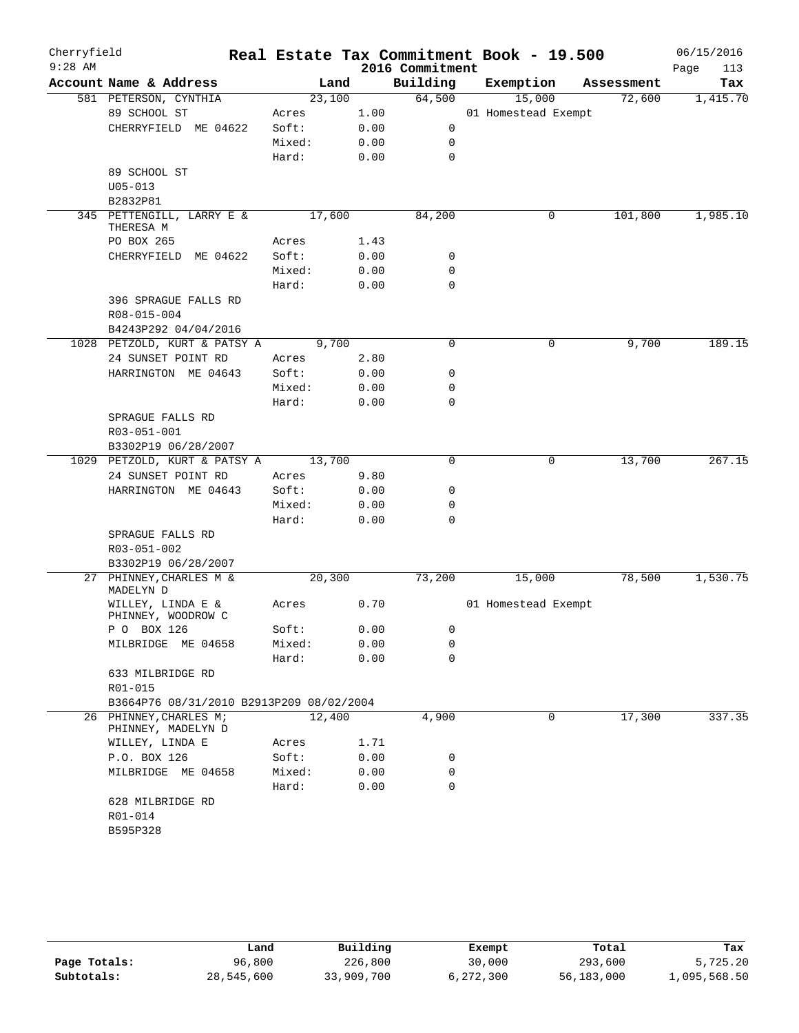| Cherryfield<br>$9:28$ AM |                                                    |                 |              | Real Estate Tax Commitment Book - 19.500<br>2016 Commitment |                     |        |            | 06/15/2016<br>Page<br>113 |
|--------------------------|----------------------------------------------------|-----------------|--------------|-------------------------------------------------------------|---------------------|--------|------------|---------------------------|
|                          | Account Name & Address                             | Land            |              | Building                                                    | Exemption           |        | Assessment | Tax                       |
|                          | 581 PETERSON, CYNTHIA                              | 23,100          |              | 64,500                                                      |                     | 15,000 | 72,600     | 1,415.70                  |
|                          | 89 SCHOOL ST                                       | Acres           | 1.00         |                                                             | 01 Homestead Exempt |        |            |                           |
|                          | CHERRYFIELD ME 04622                               | Soft:           | 0.00         | 0                                                           |                     |        |            |                           |
|                          |                                                    | Mixed:          | 0.00         | 0                                                           |                     |        |            |                           |
|                          |                                                    | Hard:           | 0.00         | $\mathbf 0$                                                 |                     |        |            |                           |
|                          | 89 SCHOOL ST                                       |                 |              |                                                             |                     |        |            |                           |
|                          | $U05 - 013$                                        |                 |              |                                                             |                     |        |            |                           |
|                          | B2832P81                                           |                 |              |                                                             |                     |        |            |                           |
|                          | 345 PETTENGILL, LARRY E &<br>THERESA M             | 17,600          |              | 84,200                                                      |                     | 0      | 101,800    | 1,985.10                  |
|                          | PO BOX 265                                         | Acres           | 1.43         |                                                             |                     |        |            |                           |
|                          | CHERRYFIELD ME 04622                               | Soft:           | 0.00         | 0                                                           |                     |        |            |                           |
|                          |                                                    | Mixed:          | 0.00         | $\mathbf 0$                                                 |                     |        |            |                           |
|                          |                                                    | Hard:           | 0.00         | $\mathbf 0$                                                 |                     |        |            |                           |
|                          | 396 SPRAGUE FALLS RD                               |                 |              |                                                             |                     |        |            |                           |
|                          | R08-015-004                                        |                 |              |                                                             |                     |        |            |                           |
|                          | B4243P292 04/04/2016                               |                 |              |                                                             |                     |        |            |                           |
|                          | 1028 PETZOLD, KURT & PATSY A<br>24 SUNSET POINT RD | 9,700           |              | 0                                                           |                     | 0      | 9,700      | 189.15                    |
|                          |                                                    | Acres           | 2.80         | 0                                                           |                     |        |            |                           |
|                          | HARRINGTON ME 04643                                | Soft:<br>Mixed: | 0.00         | $\mathbf 0$                                                 |                     |        |            |                           |
|                          |                                                    | Hard:           | 0.00<br>0.00 | $\mathbf 0$                                                 |                     |        |            |                           |
|                          | SPRAGUE FALLS RD                                   |                 |              |                                                             |                     |        |            |                           |
|                          | R03-051-001                                        |                 |              |                                                             |                     |        |            |                           |
|                          | B3302P19 06/28/2007                                |                 |              |                                                             |                     |        |            |                           |
|                          | 1029 PETZOLD, KURT & PATSY A                       | 13,700          |              | $\Omega$                                                    |                     | 0      | 13,700     | 267.15                    |
|                          | 24 SUNSET POINT RD                                 | Acres           | 9.80         |                                                             |                     |        |            |                           |
|                          | HARRINGTON ME 04643                                | Soft:           | 0.00         | 0                                                           |                     |        |            |                           |
|                          |                                                    | Mixed:          | 0.00         | 0                                                           |                     |        |            |                           |
|                          |                                                    | Hard:           | 0.00         | $\mathbf 0$                                                 |                     |        |            |                           |
|                          | SPRAGUE FALLS RD                                   |                 |              |                                                             |                     |        |            |                           |
|                          | R03-051-002                                        |                 |              |                                                             |                     |        |            |                           |
|                          | B3302P19 06/28/2007                                |                 |              |                                                             |                     |        |            |                           |
|                          | 27 PHINNEY, CHARLES M &<br>MADELYN D               | 20,300          |              | 73,200                                                      |                     | 15,000 | 78,500     | 1,530.75                  |
|                          | WILLEY, LINDA E &<br>PHINNEY, WOODROW C            | Acres           | 0.70         |                                                             | 01 Homestead Exempt |        |            |                           |
|                          | P O BOX 126                                        | Soft:           | 0.00         | 0                                                           |                     |        |            |                           |
|                          | MILBRIDGE ME 04658                                 | Mixed:          | 0.00         | 0                                                           |                     |        |            |                           |
|                          |                                                    | Hard:           | 0.00         | 0                                                           |                     |        |            |                           |
|                          | 633 MILBRIDGE RD                                   |                 |              |                                                             |                     |        |            |                           |
|                          | R01-015                                            |                 |              |                                                             |                     |        |            |                           |
|                          | B3664P76 08/31/2010 B2913P209 08/02/2004           |                 |              |                                                             |                     |        |            |                           |
| 26                       | PHINNEY, CHARLES M;<br>PHINNEY, MADELYN D          | 12,400          |              | 4,900                                                       |                     | 0      | 17,300     | 337.35                    |
|                          | WILLEY, LINDA E                                    | Acres           | 1.71         |                                                             |                     |        |            |                           |
|                          | P.O. BOX 126                                       | Soft:           | 0.00         | 0                                                           |                     |        |            |                           |
|                          | MILBRIDGE ME 04658                                 | Mixed:          | 0.00         | 0                                                           |                     |        |            |                           |
|                          |                                                    | Hard:           | 0.00         | 0                                                           |                     |        |            |                           |
|                          | 628 MILBRIDGE RD                                   |                 |              |                                                             |                     |        |            |                           |
|                          | R01-014                                            |                 |              |                                                             |                     |        |            |                           |
|                          | B595P328                                           |                 |              |                                                             |                     |        |            |                           |
|                          |                                                    |                 |              |                                                             |                     |        |            |                           |

|              | Land       | Building   | Exempt    | Total      | Tax          |
|--------------|------------|------------|-----------|------------|--------------|
| Page Totals: | 96,800     | 226,800    | 30,000    | 293,600    | 5,725.20     |
| Subtotals:   | 28,545,600 | 33,909,700 | 6,272,300 | 56,183,000 | 1,095,568.50 |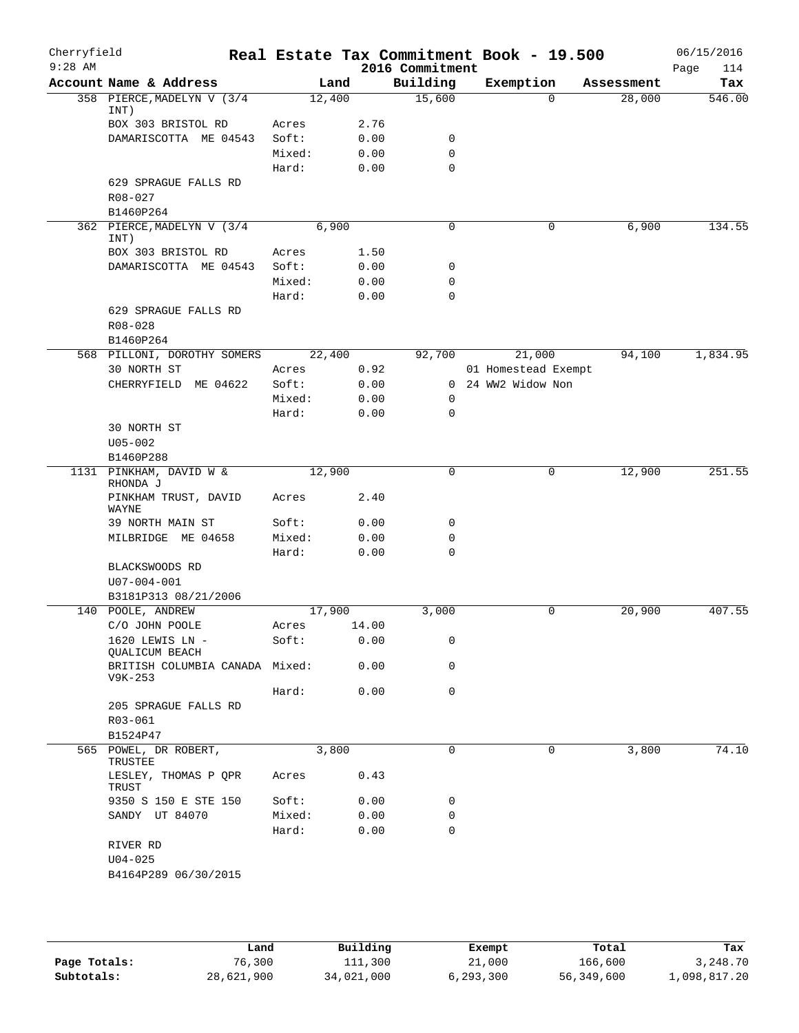| Cherryfield<br>$9:28$ AM |                                           |                 |              | Real Estate Tax Commitment Book - 19.500<br>2016 Commitment |                               |          |            | 06/15/2016<br>114 |
|--------------------------|-------------------------------------------|-----------------|--------------|-------------------------------------------------------------|-------------------------------|----------|------------|-------------------|
|                          | Account Name & Address                    | Land            |              | Building                                                    | Exemption                     |          | Assessment | Page<br>Tax       |
|                          | 358 PIERCE, MADELYN V (3/4                | 12,400          |              | 15,600                                                      |                               | $\Omega$ | 28,000     | 546.00            |
|                          | INT)<br>BOX 303 BRISTOL RD                | Acres           | 2.76         |                                                             |                               |          |            |                   |
|                          | DAMARISCOTTA ME 04543                     | Soft:           | 0.00         | 0                                                           |                               |          |            |                   |
|                          |                                           | Mixed:          | 0.00         | $\mathbf 0$                                                 |                               |          |            |                   |
|                          |                                           | Hard:           | 0.00         | $\mathbf 0$                                                 |                               |          |            |                   |
|                          | 629 SPRAGUE FALLS RD<br>R08-027           |                 |              |                                                             |                               |          |            |                   |
|                          | B1460P264                                 |                 |              |                                                             |                               |          |            |                   |
|                          | 362 PIERCE, MADELYN V (3/4<br>INT)        | 6,900           |              | 0                                                           |                               | 0        | 6,900      | 134.55            |
|                          | BOX 303 BRISTOL RD                        | Acres           | 1.50         |                                                             |                               |          |            |                   |
|                          | DAMARISCOTTA ME 04543                     | Soft:           | 0.00         | 0                                                           |                               |          |            |                   |
|                          |                                           | Mixed:          | 0.00         | 0                                                           |                               |          |            |                   |
|                          |                                           | Hard:           | 0.00         | $\mathbf 0$                                                 |                               |          |            |                   |
|                          | 629 SPRAGUE FALLS RD                      |                 |              |                                                             |                               |          |            |                   |
|                          | $R08 - 028$                               |                 |              |                                                             |                               |          |            |                   |
|                          | B1460P264                                 | 22,400          |              |                                                             |                               |          |            |                   |
|                          | 568 PILLONI, DOROTHY SOMERS               | Acres           |              | 92,700                                                      | 21,000<br>01 Homestead Exempt |          | 94,100     | 1,834.95          |
|                          | 30 NORTH ST                               |                 | 0.92         |                                                             | 0 24 WW2 Widow Non            |          |            |                   |
|                          | CHERRYFIELD ME 04622                      | Soft:<br>Mixed: | 0.00<br>0.00 | 0                                                           |                               |          |            |                   |
|                          |                                           | Hard:           | 0.00         | 0                                                           |                               |          |            |                   |
|                          | 30 NORTH ST                               |                 |              |                                                             |                               |          |            |                   |
|                          | $U05 - 002$                               |                 |              |                                                             |                               |          |            |                   |
|                          | B1460P288                                 |                 |              |                                                             |                               |          |            |                   |
|                          | 1131 PINKHAM, DAVID W &                   | 12,900          |              | $\mathbf 0$                                                 |                               | 0        | 12,900     | 251.55            |
|                          | RHONDA J<br>PINKHAM TRUST, DAVID          | Acres           | 2.40         |                                                             |                               |          |            |                   |
|                          | WAYNE                                     |                 |              |                                                             |                               |          |            |                   |
|                          | 39 NORTH MAIN ST                          | Soft:           | 0.00         | $\mathbf 0$                                                 |                               |          |            |                   |
|                          | MILBRIDGE ME 04658                        | Mixed:          | 0.00         | 0                                                           |                               |          |            |                   |
|                          |                                           | Hard:           | 0.00         | $\mathbf 0$                                                 |                               |          |            |                   |
|                          | BLACKSWOODS RD<br>$U07 - 004 - 001$       |                 |              |                                                             |                               |          |            |                   |
|                          | B3181P313 08/21/2006                      |                 |              |                                                             |                               |          |            |                   |
|                          | 140 POOLE, ANDREW                         | 17,900          |              | 3,000                                                       |                               | 0        | 20,900     | 407.55            |
|                          | C/O JOHN POOLE                            | Acres           | 14.00        |                                                             |                               |          |            |                   |
|                          | 1620 LEWIS LN -<br><b>QUALICUM BEACH</b>  | Soft:           | 0.00         | 0                                                           |                               |          |            |                   |
|                          | BRITISH COLUMBIA CANADA Mixed:<br>V9K-253 |                 | 0.00         | 0                                                           |                               |          |            |                   |
|                          |                                           | Hard:           | 0.00         | $\mathbf 0$                                                 |                               |          |            |                   |
|                          | 205 SPRAGUE FALLS RD                      |                 |              |                                                             |                               |          |            |                   |
|                          | R03-061                                   |                 |              |                                                             |                               |          |            |                   |
|                          | B1524P47<br>565 POWEL, DR ROBERT,         |                 |              | $\mathbf 0$                                                 |                               | 0        |            | 74.10             |
|                          | TRUSTEE                                   | 3,800           |              |                                                             |                               |          | 3,800      |                   |
|                          | LESLEY, THOMAS P QPR<br>TRUST             | Acres           | 0.43         |                                                             |                               |          |            |                   |
|                          | 9350 S 150 E STE 150                      | Soft:           | 0.00         | 0                                                           |                               |          |            |                   |
|                          | SANDY UT 84070                            | Mixed:          | 0.00         | 0                                                           |                               |          |            |                   |
|                          |                                           | Hard:           | 0.00         | $\mathbf 0$                                                 |                               |          |            |                   |
|                          | RIVER RD                                  |                 |              |                                                             |                               |          |            |                   |
|                          | $U04 - 025$                               |                 |              |                                                             |                               |          |            |                   |
|                          | B4164P289 06/30/2015                      |                 |              |                                                             |                               |          |            |                   |
|                          |                                           |                 |              |                                                             |                               |          |            |                   |
|                          |                                           |                 |              |                                                             |                               |          |            |                   |

|              | Land       | Building   | Exempt    | Total      | Tax          |
|--------------|------------|------------|-----------|------------|--------------|
| Page Totals: | 76,300     | 111,300    | 21,000    | 166,600    | 3,248.70     |
| Subtotals:   | 28,621,900 | 34,021,000 | 6,293,300 | 56,349,600 | 1,098,817.20 |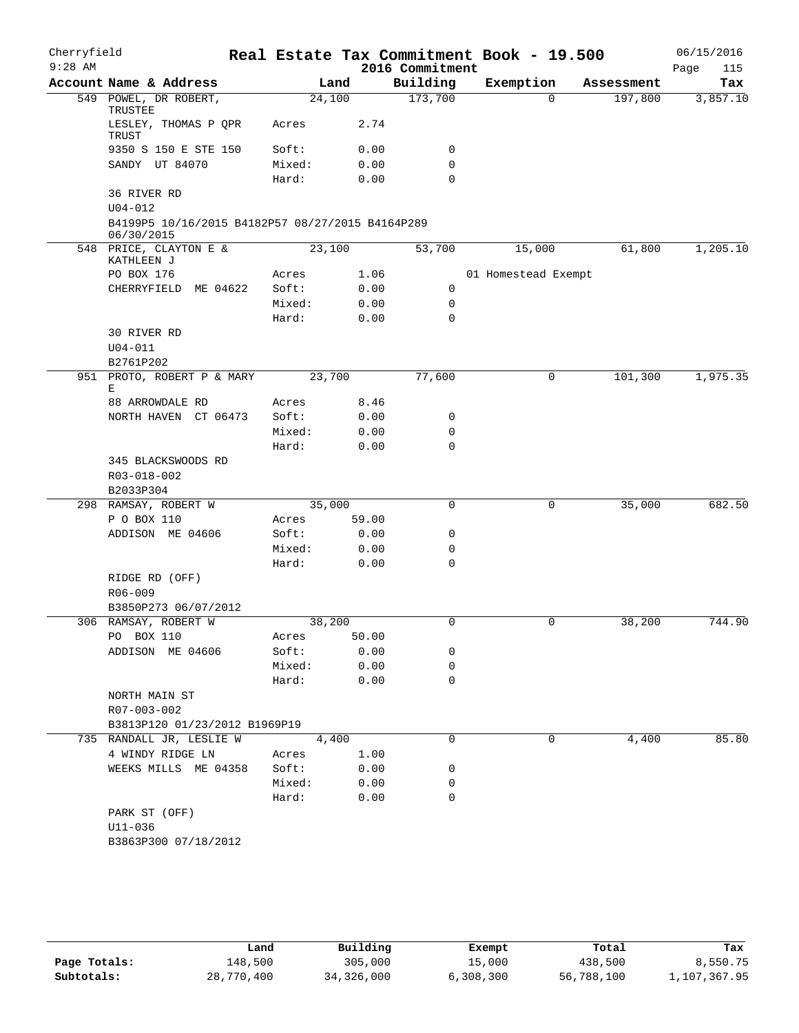| Cherryfield |                                                                |                 |              |                 | Real Estate Tax Commitment Book - 19.500 |            | 06/15/2016  |
|-------------|----------------------------------------------------------------|-----------------|--------------|-----------------|------------------------------------------|------------|-------------|
| $9:28$ AM   |                                                                |                 |              | 2016 Commitment |                                          |            | Page<br>115 |
|             | Account Name & Address                                         |                 | Land         | Building        | Exemption                                | Assessment | Tax         |
|             | 549 POWEL, DR ROBERT,<br>TRUSTEE                               | 24,100          |              | 173,700         | $\Omega$                                 | 197,800    | 3,857.10    |
|             | LESLEY, THOMAS P QPR<br>TRUST                                  | Acres           | 2.74         |                 |                                          |            |             |
|             | 9350 S 150 E STE 150                                           | Soft:           | 0.00         | 0               |                                          |            |             |
|             | SANDY UT 84070                                                 | Mixed:          | 0.00         | 0               |                                          |            |             |
|             |                                                                | Hard:           | 0.00         | $\mathbf 0$     |                                          |            |             |
|             | 36 RIVER RD<br>$U04 - 012$                                     |                 |              |                 |                                          |            |             |
|             | B4199P5 10/16/2015 B4182P57 08/27/2015 B4164P289<br>06/30/2015 |                 |              |                 |                                          |            |             |
|             | 548 PRICE, CLAYTON E &                                         | 23,100          |              | 53,700          | 15,000                                   | 61,800     | 1,205.10    |
|             | KATHLEEN J                                                     |                 |              |                 |                                          |            |             |
|             | PO BOX 176                                                     | Acres           | 1.06         | 0               | 01 Homestead Exempt                      |            |             |
|             | CHERRYFIELD ME 04622                                           | Soft:<br>Mixed: | 0.00<br>0.00 | $\mathbf 0$     |                                          |            |             |
|             |                                                                | Hard:           | 0.00         | 0               |                                          |            |             |
|             | 30 RIVER RD                                                    |                 |              |                 |                                          |            |             |
|             | $U04 - 011$                                                    |                 |              |                 |                                          |            |             |
|             | B2761P202                                                      |                 |              |                 |                                          |            |             |
|             | 951 PROTO, ROBERT P & MARY<br>Е                                | 23,700          |              | 77,600          | 0                                        | 101,300    | 1,975.35    |
|             | 88 ARROWDALE RD                                                | Acres           | 8.46         |                 |                                          |            |             |
|             | NORTH HAVEN CT 06473                                           | Soft:           | 0.00         | 0               |                                          |            |             |
|             |                                                                | Mixed:          | 0.00         | 0               |                                          |            |             |
|             |                                                                | Hard:           | 0.00         | $\mathbf 0$     |                                          |            |             |
|             | 345 BLACKSWOODS RD                                             |                 |              |                 |                                          |            |             |
|             | R03-018-002                                                    |                 |              |                 |                                          |            |             |
|             | B2033P304                                                      |                 |              |                 |                                          |            |             |
|             | 298 RAMSAY, ROBERT W                                           | 35,000          |              | $\mathbf 0$     | 0                                        | 35,000     | 682.50      |
|             | P O BOX 110                                                    | Acres           | 59.00        |                 |                                          |            |             |
|             | ADDISON ME 04606                                               | Soft:           | 0.00         | 0               |                                          |            |             |
|             |                                                                | Mixed:          | 0.00         | 0               |                                          |            |             |
|             |                                                                | Hard:           | 0.00         | 0               |                                          |            |             |
|             | RIDGE RD (OFF)                                                 |                 |              |                 |                                          |            |             |
|             | $R06 - 009$                                                    |                 |              |                 |                                          |            |             |
|             | B3850P273 06/07/2012                                           |                 |              |                 |                                          |            |             |
|             | 306 RAMSAY, ROBERT W                                           | 38,200          |              | 0               | 0                                        | 38,200     | 744.90      |
|             | PO BOX 110                                                     | Acres           | 50.00        |                 |                                          |            |             |
|             | ADDISON ME 04606                                               | Soft:           | 0.00         | 0               |                                          |            |             |
|             |                                                                | Mixed:          | 0.00         | 0               |                                          |            |             |
|             |                                                                | Hard:           | 0.00         | 0               |                                          |            |             |
|             | NORTH MAIN ST                                                  |                 |              |                 |                                          |            |             |
|             | R07-003-002<br>B3813P120 01/23/2012 B1969P19                   |                 |              |                 |                                          |            |             |
|             | 735 RANDALL JR, LESLIE W                                       |                 | 4,400        | 0               | 0                                        | 4,400      | 85.80       |
|             | 4 WINDY RIDGE LN                                               | Acres           | 1.00         |                 |                                          |            |             |
|             | WEEKS MILLS ME 04358                                           | Soft:           | 0.00         | 0               |                                          |            |             |
|             |                                                                | Mixed:          | 0.00         | 0               |                                          |            |             |
|             |                                                                | Hard:           | 0.00         | 0               |                                          |            |             |
|             | PARK ST (OFF)                                                  |                 |              |                 |                                          |            |             |
|             | $U11 - 036$                                                    |                 |              |                 |                                          |            |             |
|             | B3863P300 07/18/2012                                           |                 |              |                 |                                          |            |             |
|             |                                                                |                 |              |                 |                                          |            |             |
|             |                                                                |                 |              |                 |                                          |            |             |

|              | Land       | Building   | Exempt    | Total      | Tax          |
|--------------|------------|------------|-----------|------------|--------------|
| Page Totals: | 148,500    | 305,000    | 15,000    | 438,500    | 8,550.75     |
| Subtotals:   | 28,770,400 | 34,326,000 | 6,308,300 | 56,788,100 | 1,107,367.95 |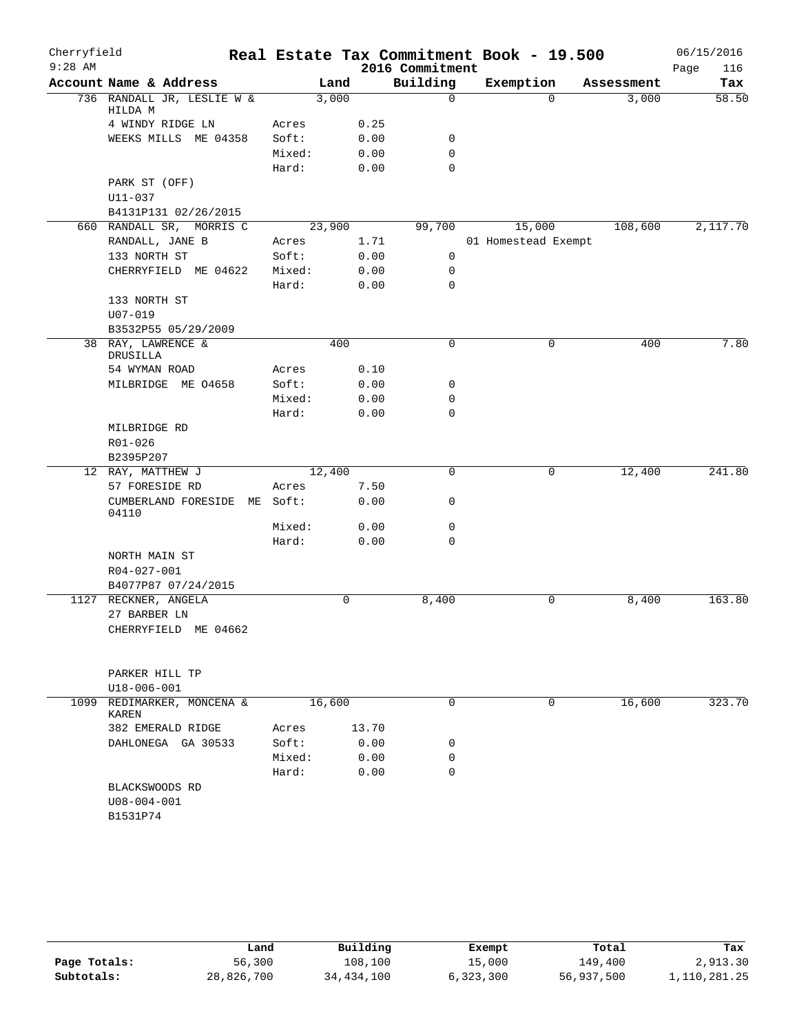| Cherryfield |                                       |        |        |       |                 | Real Estate Tax Commitment Book - 19.500 |            | 06/15/2016  |
|-------------|---------------------------------------|--------|--------|-------|-----------------|------------------------------------------|------------|-------------|
| $9:28$ AM   |                                       |        |        |       | 2016 Commitment |                                          |            | 116<br>Page |
|             | Account Name & Address                |        | Land   |       | Building        | Exemption                                | Assessment | Tax         |
|             | 736 RANDALL JR, LESLIE W &<br>HILDA M |        | 3,000  |       | $\mathbf 0$     | $\Omega$                                 | 3,000      | 58.50       |
|             | 4 WINDY RIDGE LN                      | Acres  |        | 0.25  |                 |                                          |            |             |
|             | WEEKS MILLS ME 04358                  | Soft:  |        | 0.00  | 0               |                                          |            |             |
|             |                                       | Mixed: |        | 0.00  | $\mathbf 0$     |                                          |            |             |
|             |                                       | Hard:  |        | 0.00  | $\mathbf 0$     |                                          |            |             |
|             | PARK ST (OFF)                         |        |        |       |                 |                                          |            |             |
|             | U11-037                               |        |        |       |                 |                                          |            |             |
|             | B4131P131 02/26/2015                  |        |        |       |                 |                                          |            |             |
|             | 660 RANDALL SR, MORRIS C              |        | 23,900 |       | 99,700          | 15,000                                   | 108,600    | 2,117.70    |
|             | RANDALL, JANE B                       | Acres  |        | 1.71  |                 | 01 Homestead Exempt                      |            |             |
|             | 133 NORTH ST                          | Soft:  |        | 0.00  | $\mathbf 0$     |                                          |            |             |
|             | CHERRYFIELD ME 04622                  | Mixed: |        | 0.00  | $\mathbf 0$     |                                          |            |             |
|             |                                       | Hard:  |        | 0.00  | $\mathbf 0$     |                                          |            |             |
|             | 133 NORTH ST                          |        |        |       |                 |                                          |            |             |
|             | $U07 - 019$                           |        |        |       |                 |                                          |            |             |
|             | B3532P55 05/29/2009                   |        |        |       |                 |                                          |            |             |
|             | 38 RAY, LAWRENCE &<br>DRUSILLA        |        | 400    |       | 0               | 0                                        | 400        | 7.80        |
|             | 54 WYMAN ROAD                         | Acres  |        | 0.10  |                 |                                          |            |             |
|             | MILBRIDGE ME 04658                    | Soft:  |        | 0.00  | 0               |                                          |            |             |
|             |                                       | Mixed: |        | 0.00  | 0               |                                          |            |             |
|             |                                       | Hard:  |        | 0.00  | $\mathbf 0$     |                                          |            |             |
|             | MILBRIDGE RD                          |        |        |       |                 |                                          |            |             |
|             | R01-026                               |        |        |       |                 |                                          |            |             |
|             | B2395P207                             |        |        |       |                 |                                          |            |             |
|             | 12 RAY, MATTHEW J                     |        | 12,400 |       | 0               | 0                                        | 12,400     | 241.80      |
|             | 57 FORESIDE RD                        | Acres  |        | 7.50  |                 |                                          |            |             |
|             | CUMBERLAND FORESIDE<br>ME<br>04110    | Soft:  |        | 0.00  | 0               |                                          |            |             |
|             |                                       | Mixed: |        | 0.00  | 0               |                                          |            |             |
|             |                                       | Hard:  |        | 0.00  | 0               |                                          |            |             |
|             | NORTH MAIN ST                         |        |        |       |                 |                                          |            |             |
|             | R04-027-001                           |        |        |       |                 |                                          |            |             |
|             | B4077P87 07/24/2015                   |        |        |       |                 |                                          |            |             |
|             | 1127 RECKNER, ANGELA                  |        | 0      |       | 8,400           | 0                                        | 8,400      | 163.80      |
|             | 27 BARBER LN                          |        |        |       |                 |                                          |            |             |
|             | CHERRYFIELD ME 04662                  |        |        |       |                 |                                          |            |             |
|             |                                       |        |        |       |                 |                                          |            |             |
|             | PARKER HILL TP                        |        |        |       |                 |                                          |            |             |
|             | U18-006-001                           |        |        |       |                 |                                          |            |             |
| 1099        | REDIMARKER, MONCENA &<br>KAREN        |        | 16,600 |       | 0               | $\Omega$                                 | 16,600     | 323.70      |
|             | 382 EMERALD RIDGE                     | Acres  |        | 13.70 |                 |                                          |            |             |
|             | DAHLONEGA GA 30533                    | Soft:  |        | 0.00  | 0               |                                          |            |             |
|             |                                       | Mixed: |        | 0.00  | 0               |                                          |            |             |
|             |                                       | Hard:  |        | 0.00  | $\Omega$        |                                          |            |             |
|             | BLACKSWOODS RD                        |        |        |       |                 |                                          |            |             |
|             | $U08 - 004 - 001$                     |        |        |       |                 |                                          |            |             |
|             | B1531P74                              |        |        |       |                 |                                          |            |             |
|             |                                       |        |        |       |                 |                                          |            |             |

|              | Land       | Building   | Exempt    | Total      | Tax          |
|--------------|------------|------------|-----------|------------|--------------|
| Page Totals: | 56,300     | 108,100    | 15,000    | 149,400    | 2,913.30     |
| Subtotals:   | 28,826,700 | 34,434,100 | 6,323,300 | 56,937,500 | 1,110,281.25 |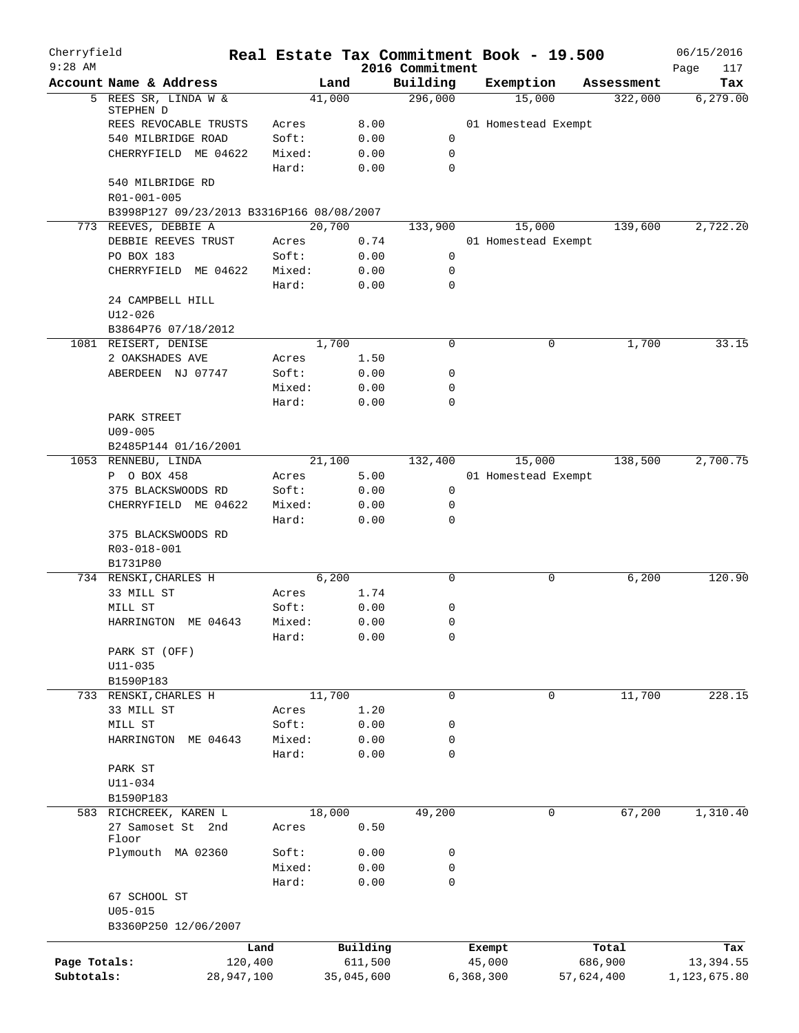| Cherryfield<br>$9:28$ AM |                                            |            |                 |              | 2016 Commitment  | Real Estate Tax Commitment Book - 19.500 |            | 06/15/2016<br>117 |
|--------------------------|--------------------------------------------|------------|-----------------|--------------|------------------|------------------------------------------|------------|-------------------|
|                          | Account Name & Address                     |            | Land            |              | Building         | Exemption                                | Assessment | Page<br>Tax       |
|                          | 5 REES SR, LINDA W &                       |            | 41,000          |              | 296,000          | 15,000                                   | 322,000    | 6, 279.00         |
|                          | STEPHEN D                                  |            |                 |              |                  |                                          |            |                   |
|                          | REES REVOCABLE TRUSTS                      |            | Acres           | 8.00         |                  | 01 Homestead Exempt                      |            |                   |
|                          | 540 MILBRIDGE ROAD<br>CHERRYFIELD ME 04622 |            | Soft:<br>Mixed: | 0.00<br>0.00 | 0<br>$\mathbf 0$ |                                          |            |                   |
|                          |                                            |            | Hard:           | 0.00         | 0                |                                          |            |                   |
|                          | 540 MILBRIDGE RD                           |            |                 |              |                  |                                          |            |                   |
|                          | R01-001-005                                |            |                 |              |                  |                                          |            |                   |
|                          | B3998P127 09/23/2013 B3316P166 08/08/2007  |            |                 |              |                  |                                          |            |                   |
|                          | 773 REEVES, DEBBIE A                       |            | 20,700          |              | 133,900          | 15,000                                   | 139,600    | 2,722.20          |
|                          | DEBBIE REEVES TRUST                        |            | Acres           | 0.74         |                  | 01 Homestead Exempt                      |            |                   |
|                          | PO BOX 183                                 |            | Soft:           | 0.00         | 0                |                                          |            |                   |
|                          | CHERRYFIELD ME 04622                       |            | Mixed:          | 0.00         | 0                |                                          |            |                   |
|                          |                                            |            | Hard:           | 0.00         | 0                |                                          |            |                   |
|                          | 24 CAMPBELL HILL                           |            |                 |              |                  |                                          |            |                   |
|                          | U12-026                                    |            |                 |              |                  |                                          |            |                   |
|                          | B3864P76 07/18/2012                        |            |                 |              |                  |                                          |            |                   |
|                          | 1081 REISERT, DENISE                       |            | 1,700           |              | $\mathbf 0$      | 0                                        | 1,700      | 33.15             |
|                          | 2 OAKSHADES AVE                            |            | Acres           | 1.50         |                  |                                          |            |                   |
|                          | ABERDEEN NJ 07747                          |            | Soft:           | 0.00         | 0                |                                          |            |                   |
|                          |                                            |            | Mixed:          | 0.00         | 0                |                                          |            |                   |
|                          |                                            |            | Hard:           | 0.00         | 0                |                                          |            |                   |
|                          | PARK STREET<br>$U09 - 005$                 |            |                 |              |                  |                                          |            |                   |
|                          | B2485P144 01/16/2001                       |            |                 |              |                  |                                          |            |                   |
|                          | 1053 RENNEBU, LINDA                        |            | 21,100          |              | 132,400          | 15,000                                   | 138,500    | 2,700.75          |
|                          | P O BOX 458                                |            | Acres           | 5.00         |                  | 01 Homestead Exempt                      |            |                   |
|                          | 375 BLACKSWOODS RD                         |            | Soft:           | 0.00         | 0                |                                          |            |                   |
|                          | CHERRYFIELD ME 04622                       |            | Mixed:          | 0.00         | 0                |                                          |            |                   |
|                          |                                            |            | Hard:           | 0.00         | 0                |                                          |            |                   |
|                          | 375 BLACKSWOODS RD                         |            |                 |              |                  |                                          |            |                   |
|                          | R03-018-001                                |            |                 |              |                  |                                          |            |                   |
|                          | B1731P80                                   |            |                 |              |                  |                                          |            |                   |
|                          | 734 RENSKI, CHARLES H                      |            | 6,200           |              | 0                | 0                                        | 6, 200     | 120.90            |
|                          | 33 MILL ST                                 |            | Acres           | 1.74         |                  |                                          |            |                   |
|                          | MILL ST                                    |            | Soft:           | 0.00         | 0                |                                          |            |                   |
|                          | HARRINGTON ME 04643                        |            | Mixed:          | 0.00         | 0                |                                          |            |                   |
|                          |                                            |            | Hard:           | 0.00         | 0                |                                          |            |                   |
|                          | PARK ST (OFF)                              |            |                 |              |                  |                                          |            |                   |
|                          | $U11 - 035$                                |            |                 |              |                  |                                          |            |                   |
|                          | B1590P183<br>733 RENSKI, CHARLES H         |            | 11,700          |              | $\mathbf 0$      | 0                                        | 11,700     | 228.15            |
|                          | 33 MILL ST                                 |            | Acres           | 1.20         |                  |                                          |            |                   |
|                          | MILL ST                                    |            | Soft:           | 0.00         | 0                |                                          |            |                   |
|                          | HARRINGTON<br>ME 04643                     |            | Mixed:          | 0.00         | 0                |                                          |            |                   |
|                          |                                            |            | Hard:           | 0.00         | 0                |                                          |            |                   |
|                          | PARK ST                                    |            |                 |              |                  |                                          |            |                   |
|                          | $U11 - 034$                                |            |                 |              |                  |                                          |            |                   |
|                          | B1590P183                                  |            |                 |              |                  |                                          |            |                   |
|                          | 583 RICHCREEK, KAREN L                     |            | 18,000          |              | 49,200           | $\mathbf 0$                              | 67,200     | 1,310.40          |
|                          | 27 Samoset St 2nd                          |            | Acres           | 0.50         |                  |                                          |            |                   |
|                          | Floor                                      |            |                 |              |                  |                                          |            |                   |
|                          | Plymouth MA 02360                          |            | Soft:           | 0.00         | 0                |                                          |            |                   |
|                          |                                            |            | Mixed:          | 0.00         | 0                |                                          |            |                   |
|                          |                                            |            | Hard:           | 0.00         | $\mathbf 0$      |                                          |            |                   |
|                          | 67 SCHOOL ST<br>$U05 - 015$                |            |                 |              |                  |                                          |            |                   |
|                          | B3360P250 12/06/2007                       |            |                 |              |                  |                                          |            |                   |
|                          |                                            |            |                 |              |                  |                                          |            |                   |
|                          |                                            | Land       |                 | Building     |                  | Exempt                                   | Total      | Tax               |
| Page Totals:             |                                            | 120,400    |                 | 611,500      |                  | 45,000                                   | 686,900    | 13,394.55         |
| Subtotals:               |                                            | 28,947,100 |                 | 35,045,600   |                  | 6,368,300                                | 57,624,400 | 1,123,675.80      |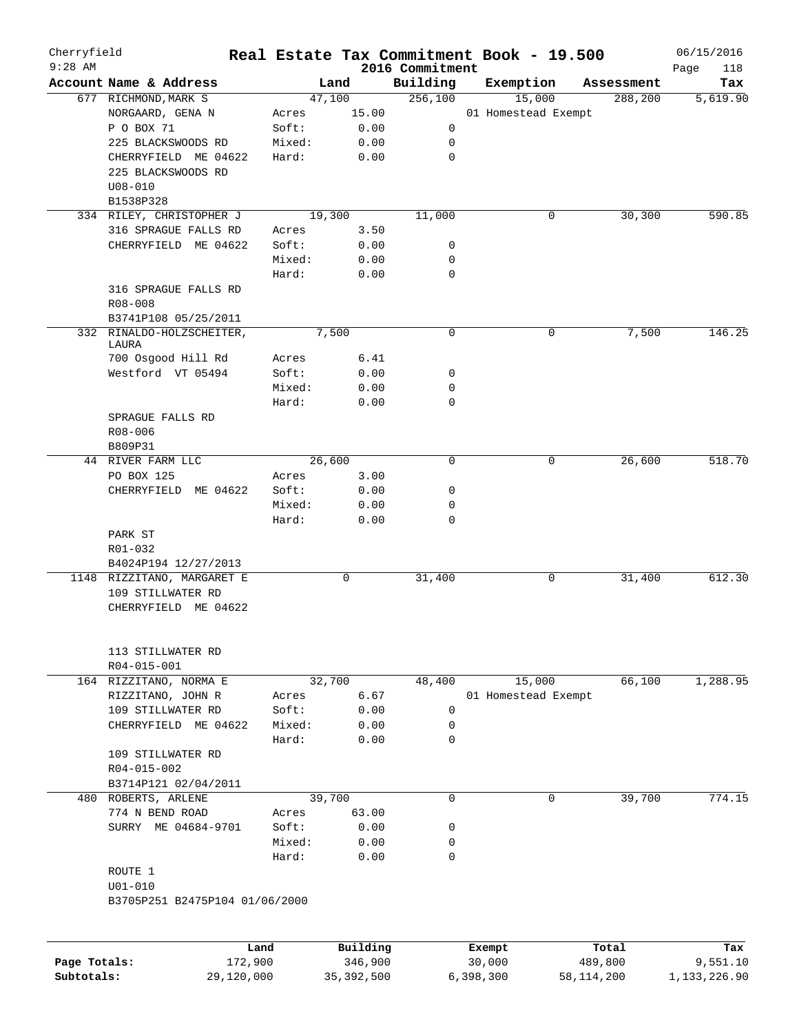| Cherryfield<br>$9:28$ AM |                                |         |        |        |          | Real Estate Tax Commitment Book - 19.500<br>2016 Commitment |        |                     |            | 06/15/2016<br>Page<br>118 |
|--------------------------|--------------------------------|---------|--------|--------|----------|-------------------------------------------------------------|--------|---------------------|------------|---------------------------|
|                          | Account Name & Address         |         |        | Land   |          | Building                                                    |        | Exemption           | Assessment | Tax                       |
|                          | 677 RICHMOND, MARK S           |         |        | 47,100 |          | 256,100                                                     |        | 15,000              | 288,200    | 5,619.90                  |
|                          | NORGAARD, GENA N               |         | Acres  |        | 15.00    |                                                             |        | 01 Homestead Exempt |            |                           |
|                          | P O BOX 71                     |         | Soft:  |        | 0.00     | 0                                                           |        |                     |            |                           |
|                          | 225 BLACKSWOODS RD             |         | Mixed: |        | 0.00     | 0                                                           |        |                     |            |                           |
|                          | CHERRYFIELD ME 04622           |         | Hard:  |        | 0.00     | $\mathbf 0$                                                 |        |                     |            |                           |
|                          | 225 BLACKSWOODS RD             |         |        |        |          |                                                             |        |                     |            |                           |
|                          | $U08 - 010$                    |         |        |        |          |                                                             |        |                     |            |                           |
|                          | B1538P328                      |         |        |        |          |                                                             |        |                     |            |                           |
|                          | 334 RILEY, CHRISTOPHER J       |         |        | 19,300 |          | 11,000                                                      |        | 0                   | 30,300     | 590.85                    |
|                          | 316 SPRAGUE FALLS RD           |         | Acres  |        | 3.50     |                                                             |        |                     |            |                           |
|                          | CHERRYFIELD ME 04622           |         | Soft:  |        | 0.00     | 0                                                           |        |                     |            |                           |
|                          |                                |         | Mixed: |        | 0.00     | 0                                                           |        |                     |            |                           |
|                          |                                |         | Hard:  |        | 0.00     | $\mathbf 0$                                                 |        |                     |            |                           |
|                          | 316 SPRAGUE FALLS RD           |         |        |        |          |                                                             |        |                     |            |                           |
|                          | $R08 - 008$                    |         |        |        |          |                                                             |        |                     |            |                           |
|                          | B3741P108 05/25/2011           |         |        |        |          |                                                             |        |                     |            |                           |
|                          | 332 RINALDO-HOLZSCHEITER,      |         |        | 7,500  |          | $\mathbf 0$                                                 |        | 0                   | 7,500      | 146.25                    |
|                          | LAURA                          |         |        |        |          |                                                             |        |                     |            |                           |
|                          | 700 Osgood Hill Rd             |         | Acres  |        | 6.41     |                                                             |        |                     |            |                           |
|                          | Westford VT 05494              |         | Soft:  |        | 0.00     | 0                                                           |        |                     |            |                           |
|                          |                                |         | Mixed: |        | 0.00     | 0                                                           |        |                     |            |                           |
|                          |                                |         | Hard:  |        | 0.00     | $\mathbf 0$                                                 |        |                     |            |                           |
|                          | SPRAGUE FALLS RD               |         |        |        |          |                                                             |        |                     |            |                           |
|                          | R08-006                        |         |        |        |          |                                                             |        |                     |            |                           |
|                          | B809P31                        |         |        |        |          |                                                             |        |                     |            |                           |
|                          | 44 RIVER FARM LLC              |         |        | 26,600 |          | 0                                                           |        | 0                   | 26,600     | 518.70                    |
|                          | PO BOX 125                     |         | Acres  |        | 3.00     |                                                             |        |                     |            |                           |
|                          | CHERRYFIELD ME 04622           |         | Soft:  |        | 0.00     | 0                                                           |        |                     |            |                           |
|                          |                                |         | Mixed: |        | 0.00     | 0                                                           |        |                     |            |                           |
|                          |                                |         | Hard:  |        | 0.00     | $\mathbf 0$                                                 |        |                     |            |                           |
|                          | PARK ST                        |         |        |        |          |                                                             |        |                     |            |                           |
|                          | R01-032                        |         |        |        |          |                                                             |        |                     |            |                           |
|                          | B4024P194 12/27/2013           |         |        |        |          |                                                             |        |                     |            |                           |
|                          | 1148 RIZZITANO, MARGARET E     |         |        | 0      |          | 31,400                                                      |        | 0                   | 31,400     | 612.30                    |
|                          | 109 STILLWATER RD              |         |        |        |          |                                                             |        |                     |            |                           |
|                          | CHERRYFIELD ME 04622           |         |        |        |          |                                                             |        |                     |            |                           |
|                          | 113 STILLWATER RD              |         |        |        |          |                                                             |        |                     |            |                           |
|                          | R04-015-001                    |         |        |        |          |                                                             |        |                     |            |                           |
|                          | 164 RIZZITANO, NORMA E         |         |        | 32,700 |          | 48,400                                                      |        | 15,000              | 66,100     | 1,288.95                  |
|                          | RIZZITANO, JOHN R              |         | Acres  |        | 6.67     |                                                             |        | 01 Homestead Exempt |            |                           |
|                          | 109 STILLWATER RD              |         | Soft:  |        | 0.00     | $\mathbf 0$                                                 |        |                     |            |                           |
|                          | CHERRYFIELD ME 04622           |         | Mixed: |        | 0.00     | 0                                                           |        |                     |            |                           |
|                          |                                |         | Hard:  |        | 0.00     | $\mathbf 0$                                                 |        |                     |            |                           |
|                          | 109 STILLWATER RD              |         |        |        |          |                                                             |        |                     |            |                           |
|                          | R04-015-002                    |         |        |        |          |                                                             |        |                     |            |                           |
|                          | B3714P121 02/04/2011           |         |        |        |          |                                                             |        |                     |            |                           |
|                          | 480 ROBERTS, ARLENE            |         |        | 39,700 |          | $\mathbf 0$                                                 |        | 0                   | 39,700     | 774.15                    |
|                          | 774 N BEND ROAD                |         | Acres  |        | 63.00    |                                                             |        |                     |            |                           |
|                          | SURRY ME 04684-9701            |         | Soft:  |        | 0.00     | 0                                                           |        |                     |            |                           |
|                          |                                |         | Mixed: |        | 0.00     | 0                                                           |        |                     |            |                           |
|                          |                                |         | Hard:  |        | 0.00     | $\mathbf 0$                                                 |        |                     |            |                           |
|                          | ROUTE 1                        |         |        |        |          |                                                             |        |                     |            |                           |
|                          | $U01 - 010$                    |         |        |        |          |                                                             |        |                     |            |                           |
|                          | B3705P251 B2475P104 01/06/2000 |         |        |        |          |                                                             |        |                     |            |                           |
|                          |                                |         |        |        |          |                                                             |        |                     |            |                           |
|                          |                                | Land    |        |        | Building |                                                             | Exempt |                     | Total      | Tax                       |
| Page Totals:             |                                | 172,900 |        |        | 346,900  |                                                             | 30,000 |                     | 489,800    | 9,551.10                  |

**Subtotals:** 29,120,000 35,392,500 6,398,300 58,114,200 1,133,226.90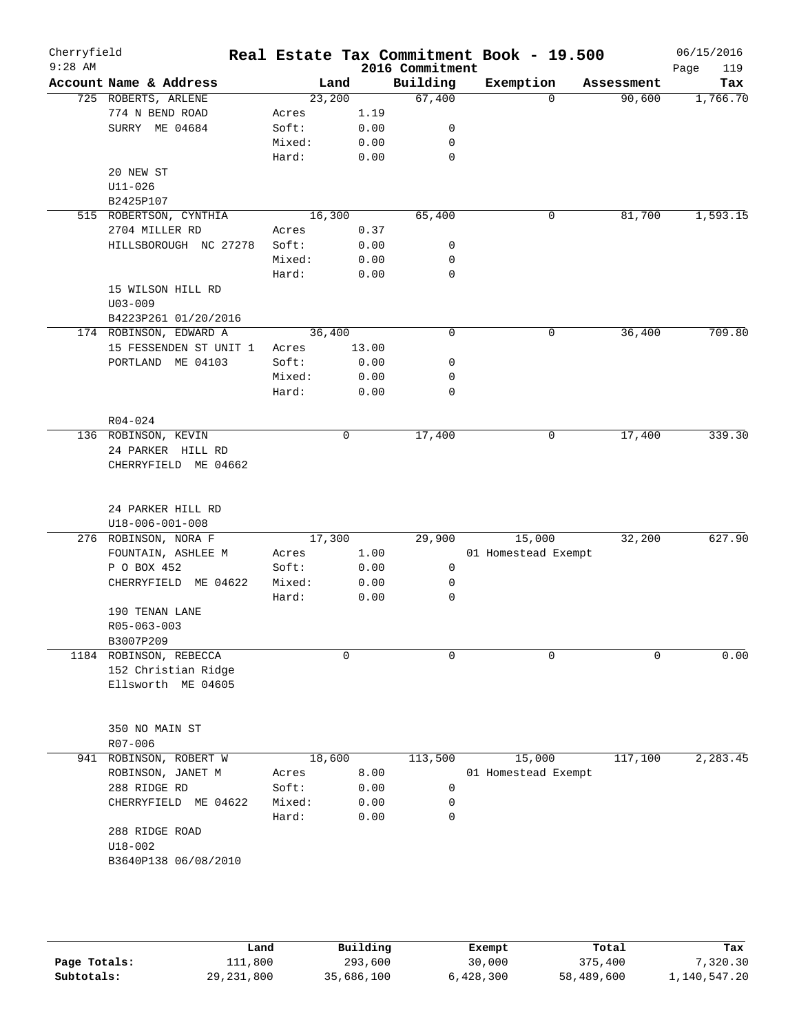| Cherryfield<br>$9:28$ AM |                                           |        |         |       | 2016 Commitment | Real Estate Tax Commitment Book - 19.500 |            | 06/15/2016<br>119<br>Page |
|--------------------------|-------------------------------------------|--------|---------|-------|-----------------|------------------------------------------|------------|---------------------------|
|                          | Account Name & Address                    |        | Land    |       | Building        | Exemption                                | Assessment | Tax                       |
|                          | 725 ROBERTS, ARLENE                       |        | 23,200  |       | 67,400          | $\Omega$                                 | 90,600     | 1,766.70                  |
|                          | 774 N BEND ROAD                           | Acres  |         | 1.19  |                 |                                          |            |                           |
|                          | SURRY ME 04684                            | Soft:  |         | 0.00  | 0               |                                          |            |                           |
|                          |                                           | Mixed: |         | 0.00  | 0               |                                          |            |                           |
|                          |                                           | Hard:  |         | 0.00  | $\mathbf 0$     |                                          |            |                           |
|                          | 20 NEW ST                                 |        |         |       |                 |                                          |            |                           |
|                          | $U11 - 026$                               |        |         |       |                 |                                          |            |                           |
|                          | B2425P107                                 |        |         |       |                 |                                          |            |                           |
|                          | 515 ROBERTSON, CYNTHIA                    |        | 16, 300 |       | 65,400          | 0                                        | 81,700     | 1,593.15                  |
|                          | 2704 MILLER RD                            | Acres  |         | 0.37  |                 |                                          |            |                           |
|                          | HILLSBOROUGH NC 27278                     | Soft:  |         | 0.00  | 0               |                                          |            |                           |
|                          |                                           | Mixed: |         | 0.00  | 0               |                                          |            |                           |
|                          |                                           | Hard:  |         | 0.00  | 0               |                                          |            |                           |
|                          | 15 WILSON HILL RD                         |        |         |       |                 |                                          |            |                           |
|                          | $U03 - 009$                               |        |         |       |                 |                                          |            |                           |
|                          | B4223P261 01/20/2016                      |        |         |       |                 |                                          |            |                           |
|                          | 174 ROBINSON, EDWARD A                    |        | 36,400  |       | $\mathbf 0$     | 0                                        | 36,400     | 709.80                    |
|                          | 15 FESSENDEN ST UNIT 1                    | Acres  |         | 13.00 |                 |                                          |            |                           |
|                          | PORTLAND ME 04103                         | Soft:  |         | 0.00  | 0               |                                          |            |                           |
|                          |                                           | Mixed: |         | 0.00  | 0               |                                          |            |                           |
|                          |                                           | Hard:  |         | 0.00  | 0               |                                          |            |                           |
|                          |                                           |        |         |       |                 |                                          |            |                           |
|                          | $R04 - 024$                               |        |         |       |                 |                                          |            |                           |
|                          | 136 ROBINSON, KEVIN                       |        |         | 0     | 17,400          | 0                                        | 17,400     | 339.30                    |
|                          | 24 PARKER HILL RD                         |        |         |       |                 |                                          |            |                           |
|                          | CHERRYFIELD ME 04662                      |        |         |       |                 |                                          |            |                           |
|                          |                                           |        |         |       |                 |                                          |            |                           |
|                          | 24 PARKER HILL RD                         |        |         |       |                 |                                          |            |                           |
|                          | U18-006-001-008                           |        |         |       |                 |                                          |            |                           |
|                          | 276 ROBINSON, NORA F                      |        | 17,300  |       | 29,900          | 15,000<br>01 Homestead Exempt            | 32,200     | 627.90                    |
|                          | FOUNTAIN, ASHLEE M                        | Acres  |         | 1.00  | $\mathbf 0$     |                                          |            |                           |
|                          | P O BOX 452<br>CHERRYFIELD ME 04622       | Soft:  |         | 0.00  | 0               |                                          |            |                           |
|                          |                                           | Mixed: |         | 0.00  |                 |                                          |            |                           |
|                          |                                           | Hard:  |         | 0.00  | 0               |                                          |            |                           |
|                          | 190 TENAN LANE<br>R05-063-003             |        |         |       |                 |                                          |            |                           |
|                          |                                           |        |         |       |                 |                                          |            |                           |
|                          | B3007P209                                 |        |         | 0     | $\Omega$        | 0                                        | $\Omega$   |                           |
|                          | 1184 ROBINSON, REBECCA                    |        |         |       |                 |                                          |            | 0.00                      |
|                          | 152 Christian Ridge<br>Ellsworth ME 04605 |        |         |       |                 |                                          |            |                           |
|                          |                                           |        |         |       |                 |                                          |            |                           |
|                          |                                           |        |         |       |                 |                                          |            |                           |
|                          | 350 NO MAIN ST                            |        |         |       |                 |                                          |            |                           |
|                          | R07-006                                   |        |         |       |                 |                                          |            |                           |
|                          | 941 ROBINSON, ROBERT W                    |        | 18,600  |       | 113,500         | 15,000                                   | 117,100    | 2,283.45                  |
|                          | ROBINSON, JANET M                         | Acres  |         | 8.00  |                 | 01 Homestead Exempt                      |            |                           |
|                          | 288 RIDGE RD                              | Soft:  |         | 0.00  | 0               |                                          |            |                           |
|                          | CHERRYFIELD ME 04622                      | Mixed: |         | 0.00  | 0               |                                          |            |                           |
|                          |                                           | Hard:  |         | 0.00  | 0               |                                          |            |                           |
|                          | 288 RIDGE ROAD                            |        |         |       |                 |                                          |            |                           |
|                          | $U18 - 002$                               |        |         |       |                 |                                          |            |                           |
|                          | B3640P138 06/08/2010                      |        |         |       |                 |                                          |            |                           |
|                          |                                           |        |         |       |                 |                                          |            |                           |
|                          |                                           |        |         |       |                 |                                          |            |                           |
|                          |                                           |        |         |       |                 |                                          |            |                           |
|                          |                                           |        |         |       |                 |                                          |            |                           |
|                          |                                           |        |         |       |                 |                                          |            |                           |

|              | Land         | Building   | Exempt    | Total      | Tax          |
|--------------|--------------|------------|-----------|------------|--------------|
| Page Totals: | 111,800      | 293,600    | 30,000    | 375,400    | 7,320.30     |
| Subtotals:   | 29, 231, 800 | 35,686,100 | 6,428,300 | 58,489,600 | 1,140,547.20 |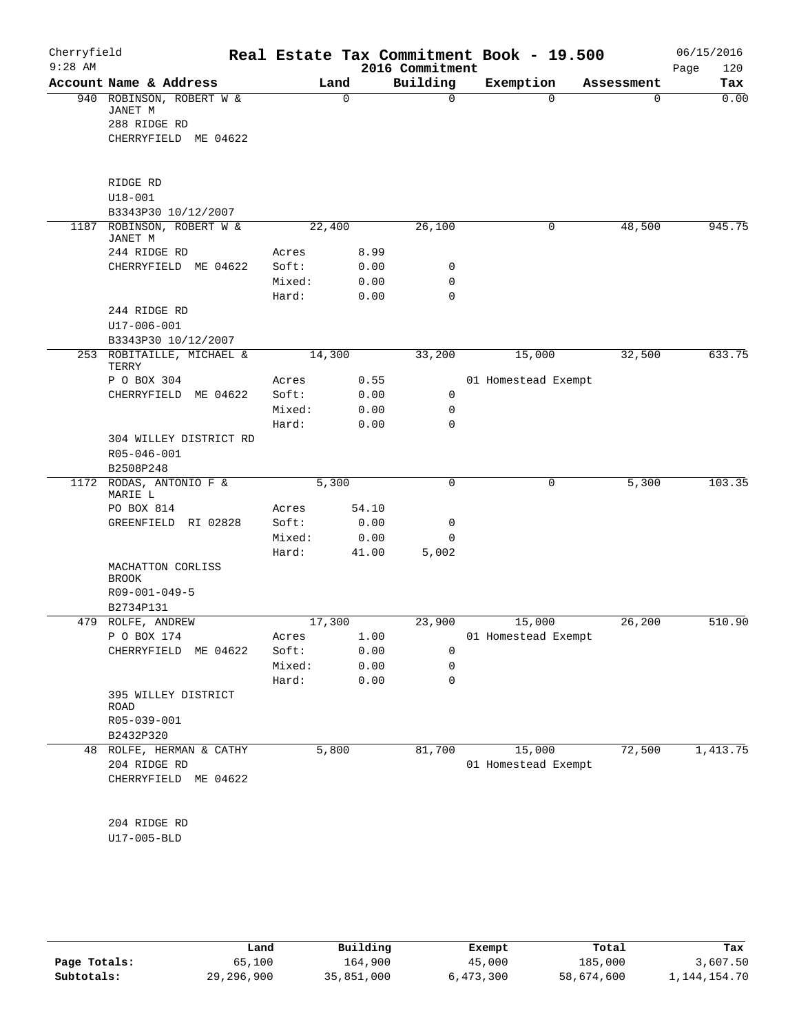| Cherryfield<br>$9:28$ AM |                                      |        |             | 2016 Commitment | Real Estate Tax Commitment Book - 19.500 |            | 06/15/2016<br>120<br>Page |
|--------------------------|--------------------------------------|--------|-------------|-----------------|------------------------------------------|------------|---------------------------|
|                          | Account Name & Address               |        | Land        | Building        | Exemption                                | Assessment | Tax                       |
|                          | 940 ROBINSON, ROBERT W &<br>JANET M  |        | $\mathbf 0$ | 0               | $\Omega$                                 | 0          | 0.00                      |
|                          | 288 RIDGE RD                         |        |             |                 |                                          |            |                           |
|                          | CHERRYFIELD ME 04622                 |        |             |                 |                                          |            |                           |
|                          |                                      |        |             |                 |                                          |            |                           |
|                          | RIDGE RD                             |        |             |                 |                                          |            |                           |
|                          | $U18 - 001$                          |        |             |                 |                                          |            |                           |
|                          | B3343P30 10/12/2007                  |        |             |                 |                                          |            |                           |
|                          | 1187 ROBINSON, ROBERT W &<br>JANET M |        | 22,400      | 26,100          | 0                                        | 48,500     | 945.75                    |
|                          | 244 RIDGE RD                         | Acres  | 8.99        |                 |                                          |            |                           |
|                          | CHERRYFIELD ME 04622                 | Soft:  | 0.00        | 0               |                                          |            |                           |
|                          |                                      | Mixed: | 0.00        | 0               |                                          |            |                           |
|                          |                                      | Hard:  | 0.00        | 0               |                                          |            |                           |
|                          | 244 RIDGE RD                         |        |             |                 |                                          |            |                           |
|                          | $U17 - 006 - 001$                    |        |             |                 |                                          |            |                           |
|                          | B3343P30 10/12/2007                  |        |             |                 |                                          |            |                           |
|                          | 253 ROBITAILLE, MICHAEL &<br>TERRY   |        | 14,300      | 33,200          | 15,000                                   | 32,500     | 633.75                    |
|                          | P O BOX 304                          | Acres  | 0.55        |                 | 01 Homestead Exempt                      |            |                           |
|                          | CHERRYFIELD<br>ME 04622              | Soft:  | 0.00        | 0               |                                          |            |                           |
|                          |                                      | Mixed: | 0.00        | 0               |                                          |            |                           |
|                          |                                      | Hard:  | 0.00        | 0               |                                          |            |                           |
|                          | 304 WILLEY DISTRICT RD               |        |             |                 |                                          |            |                           |
|                          | R05-046-001                          |        |             |                 |                                          |            |                           |
|                          | B2508P248                            |        |             |                 |                                          |            |                           |
| 1172                     | RODAS, ANTONIO F &<br>MARIE L        |        | 5,300       | 0               | 0                                        | 5,300      | 103.35                    |
|                          | PO BOX 814                           | Acres  | 54.10       |                 |                                          |            |                           |
|                          | GREENFIELD RI 02828                  | Soft:  | 0.00        | 0               |                                          |            |                           |
|                          |                                      | Mixed: | 0.00        | 0               |                                          |            |                           |
|                          |                                      | Hard:  | 41.00       | 5,002           |                                          |            |                           |
|                          | MACHATTON CORLISS<br><b>BROOK</b>    |        |             |                 |                                          |            |                           |
|                          | R09-001-049-5                        |        |             |                 |                                          |            |                           |
|                          | B2734P131                            |        |             |                 |                                          |            |                           |
|                          | 479 ROLFE, ANDREW                    |        | 17,300      | 23,900          | 15,000                                   | 26,200     | 510.90                    |
|                          | P O BOX 174                          | Acres  | 1.00        |                 | 01 Homestead Exempt                      |            |                           |
|                          | CHERRYFIELD ME 04622                 | Soft:  | 0.00        | 0               |                                          |            |                           |
|                          |                                      | Mixed: | 0.00        | 0               |                                          |            |                           |
|                          |                                      | Hard:  | 0.00        | 0               |                                          |            |                           |
|                          | 395 WILLEY DISTRICT<br>ROAD          |        |             |                 |                                          |            |                           |
|                          | R05-039-001                          |        |             |                 |                                          |            |                           |
|                          | B2432P320                            |        |             |                 |                                          |            |                           |
|                          | 48 ROLFE, HERMAN & CATHY             |        | 5,800       | 81,700          | 15,000                                   | 72,500     | 1,413.75                  |
|                          | 204 RIDGE RD                         |        |             |                 | 01 Homestead Exempt                      |            |                           |
|                          | CHERRYFIELD ME 04622                 |        |             |                 |                                          |            |                           |
|                          | 204 RIDGE RD                         |        |             |                 |                                          |            |                           |
|                          | U17-005-BLD                          |        |             |                 |                                          |            |                           |
|                          |                                      |        |             |                 |                                          |            |                           |

|              | Land         | Building   | Exempt    | Total      | Tax          |
|--------------|--------------|------------|-----------|------------|--------------|
| Page Totals: | 65,100       | 164,900    | 45,000    | 185,000    | 3,607.50     |
| Subtotals:   | 29, 296, 900 | 35,851,000 | 6,473,300 | 58,674,600 | 1,144,154.70 |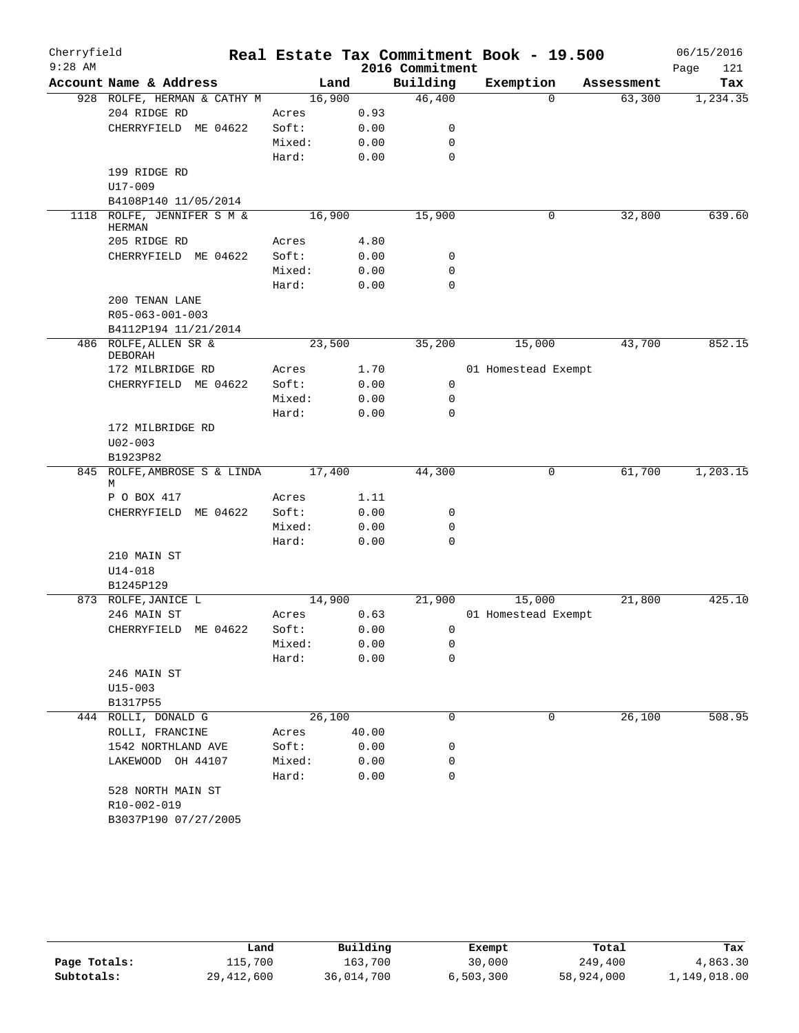| Cherryfield<br>$9:28$ AM |                                               |        |       | 2016 Commitment  | Real Estate Tax Commitment Book - 19.500 |            | 06/15/2016<br>Page<br>121 |
|--------------------------|-----------------------------------------------|--------|-------|------------------|------------------------------------------|------------|---------------------------|
|                          | Account Name & Address                        |        | Land  | Building         | Exemption                                | Assessment | Tax                       |
|                          | 928 ROLFE, HERMAN & CATHY M                   | 16,900 |       | 46,400           | $\Omega$                                 | 63,300     | 1,234.35                  |
|                          | 204 RIDGE RD                                  | Acres  | 0.93  |                  |                                          |            |                           |
|                          | CHERRYFIELD ME 04622                          | Soft:  | 0.00  | 0                |                                          |            |                           |
|                          |                                               | Mixed: | 0.00  | 0                |                                          |            |                           |
|                          |                                               | Hard:  | 0.00  | $\mathbf 0$      |                                          |            |                           |
|                          | 199 RIDGE RD                                  |        |       |                  |                                          |            |                           |
|                          | $U17 - 009$                                   |        |       |                  |                                          |            |                           |
|                          | B4108P140 11/05/2014                          |        |       |                  |                                          |            |                           |
| 1118                     | ROLFE, JENNIFER S M &                         | 16,900 |       | 15,900           | 0                                        | 32,800     | 639.60                    |
|                          | <b>HERMAN</b>                                 |        |       |                  |                                          |            |                           |
|                          | 205 RIDGE RD                                  | Acres  | 4.80  |                  |                                          |            |                           |
|                          | CHERRYFIELD ME 04622                          | Soft:  | 0.00  | 0                |                                          |            |                           |
|                          |                                               | Mixed: | 0.00  | $\mathbf 0$      |                                          |            |                           |
|                          |                                               | Hard:  | 0.00  | 0                |                                          |            |                           |
|                          | 200 TENAN LANE                                |        |       |                  |                                          |            |                           |
|                          | R05-063-001-003                               |        |       |                  |                                          |            |                           |
|                          | B4112P194 11/21/2014<br>486 ROLFE, ALLEN SR & | 23,500 |       | 35,200           | 15,000                                   | 43,700     | 852.15                    |
|                          | <b>DEBORAH</b>                                |        |       |                  |                                          |            |                           |
|                          | 172 MILBRIDGE RD                              | Acres  | 1.70  |                  | 01 Homestead Exempt                      |            |                           |
|                          | CHERRYFIELD ME 04622                          | Soft:  | 0.00  | 0                |                                          |            |                           |
|                          |                                               | Mixed: | 0.00  | 0                |                                          |            |                           |
|                          |                                               | Hard:  | 0.00  | $\Omega$         |                                          |            |                           |
|                          | 172 MILBRIDGE RD                              |        |       |                  |                                          |            |                           |
|                          | $U02 - 003$                                   |        |       |                  |                                          |            |                           |
|                          | B1923P82                                      |        |       |                  |                                          |            |                           |
| 845                      | ROLFE, AMBROSE S & LINDA                      | 17,400 |       | 44,300           | 0                                        | 61,700     | 1,203.15                  |
|                          | М                                             |        |       |                  |                                          |            |                           |
|                          | P O BOX 417                                   | Acres  | 1.11  |                  |                                          |            |                           |
|                          | CHERRYFIELD ME 04622                          | Soft:  | 0.00  | 0                |                                          |            |                           |
|                          |                                               | Mixed: | 0.00  | 0<br>$\mathbf 0$ |                                          |            |                           |
|                          |                                               | Hard:  | 0.00  |                  |                                          |            |                           |
|                          | 210 MAIN ST                                   |        |       |                  |                                          |            |                           |
|                          | $U14 - 018$<br>B1245P129                      |        |       |                  |                                          |            |                           |
|                          | 873 ROLFE, JANICE L                           | 14,900 |       | 21,900           | 15,000                                   | 21,800     | 425.10                    |
|                          | 246 MAIN ST                                   | Acres  | 0.63  |                  | 01 Homestead Exempt                      |            |                           |
|                          | CHERRYFIELD<br>ME 04622                       | Soft:  | 0.00  | 0                |                                          |            |                           |
|                          |                                               | Mixed: | 0.00  | 0                |                                          |            |                           |
|                          |                                               | Hard:  | 0.00  | 0                |                                          |            |                           |
|                          | 246 MAIN ST                                   |        |       |                  |                                          |            |                           |
|                          | $U15 - 003$                                   |        |       |                  |                                          |            |                           |
|                          | B1317P55                                      |        |       |                  |                                          |            |                           |
|                          | 444 ROLLI, DONALD G                           | 26,100 |       | 0                | 0                                        | 26,100     | 508.95                    |
|                          | ROLLI, FRANCINE                               | Acres  | 40.00 |                  |                                          |            |                           |
|                          | 1542 NORTHLAND AVE                            | Soft:  | 0.00  | 0                |                                          |            |                           |
|                          | LAKEWOOD OH 44107                             | Mixed: | 0.00  | 0                |                                          |            |                           |
|                          |                                               | Hard:  | 0.00  | 0                |                                          |            |                           |
|                          | 528 NORTH MAIN ST                             |        |       |                  |                                          |            |                           |
|                          | R10-002-019                                   |        |       |                  |                                          |            |                           |
|                          | B3037P190 07/27/2005                          |        |       |                  |                                          |            |                           |
|                          |                                               |        |       |                  |                                          |            |                           |

|              | Land         | Building   | Exempt    | Total      | Tax          |
|--------------|--------------|------------|-----------|------------|--------------|
| Page Totals: | 115,700      | 163,700    | 30,000    | 249,400    | 4,863.30     |
| Subtotals:   | 29, 412, 600 | 36,014,700 | 6,503,300 | 58,924,000 | 1,149,018.00 |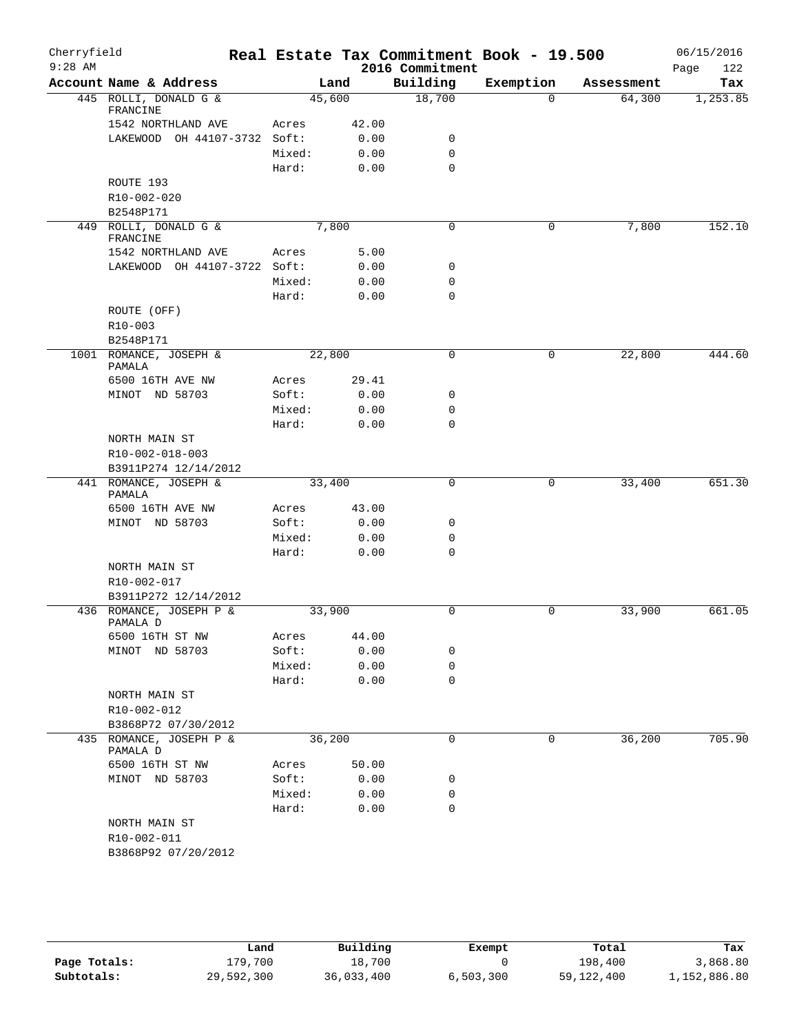| Cherryfield<br>$9:28$ AM |                                     |        |       | Real Estate Tax Commitment Book - 19.500<br>2016 Commitment |             |            | 06/15/2016<br>122<br>Page |
|--------------------------|-------------------------------------|--------|-------|-------------------------------------------------------------|-------------|------------|---------------------------|
|                          | Account Name & Address              |        | Land  | Building                                                    | Exemption   | Assessment | Tax                       |
|                          | 445 ROLLI, DONALD G &<br>FRANCINE   | 45,600 |       | 18,700                                                      | $\Omega$    | 64,300     | 1,253.85                  |
|                          | 1542 NORTHLAND AVE                  | Acres  | 42.00 |                                                             |             |            |                           |
|                          | LAKEWOOD OH 44107-3732 Soft:        |        | 0.00  | 0                                                           |             |            |                           |
|                          |                                     | Mixed: | 0.00  | $\mathbf 0$                                                 |             |            |                           |
|                          |                                     | Hard:  | 0.00  | $\mathbf 0$                                                 |             |            |                           |
|                          | ROUTE 193                           |        |       |                                                             |             |            |                           |
|                          | R10-002-020                         |        |       |                                                             |             |            |                           |
|                          | B2548P171                           |        |       |                                                             |             |            |                           |
|                          | 449 ROLLI, DONALD G &<br>FRANCINE   | 7,800  |       | 0                                                           | 0           | 7,800      | 152.10                    |
|                          | 1542 NORTHLAND AVE                  | Acres  | 5.00  |                                                             |             |            |                           |
|                          | LAKEWOOD OH 44107-3722 Soft:        |        | 0.00  | 0                                                           |             |            |                           |
|                          |                                     | Mixed: | 0.00  | 0                                                           |             |            |                           |
|                          |                                     | Hard:  | 0.00  | $\mathbf 0$                                                 |             |            |                           |
|                          | ROUTE (OFF)                         |        |       |                                                             |             |            |                           |
|                          | $R10 - 003$                         |        |       |                                                             |             |            |                           |
|                          | B2548P171                           |        |       |                                                             |             |            |                           |
|                          | 1001 ROMANCE, JOSEPH &<br>PAMALA    | 22,800 |       | $\mathbf 0$                                                 | $\mathbf 0$ | 22,800     | 444.60                    |
|                          | 6500 16TH AVE NW                    | Acres  | 29.41 |                                                             |             |            |                           |
|                          | MINOT ND 58703                      | Soft:  | 0.00  | 0                                                           |             |            |                           |
|                          |                                     | Mixed: | 0.00  | $\mathbf 0$                                                 |             |            |                           |
|                          |                                     | Hard:  | 0.00  | 0                                                           |             |            |                           |
|                          | NORTH MAIN ST                       |        |       |                                                             |             |            |                           |
|                          | R10-002-018-003                     |        |       |                                                             |             |            |                           |
|                          | B3911P274 12/14/2012                |        |       |                                                             |             |            |                           |
|                          | 441 ROMANCE, JOSEPH &<br>PAMALA     | 33,400 |       | $\mathbf 0$                                                 | 0           | 33,400     | 651.30                    |
|                          | 6500 16TH AVE NW                    | Acres  | 43.00 |                                                             |             |            |                           |
|                          | MINOT ND 58703                      | Soft:  | 0.00  | 0                                                           |             |            |                           |
|                          |                                     | Mixed: | 0.00  | 0                                                           |             |            |                           |
|                          |                                     | Hard:  | 0.00  | $\mathbf 0$                                                 |             |            |                           |
|                          | NORTH MAIN ST                       |        |       |                                                             |             |            |                           |
|                          | R10-002-017                         |        |       |                                                             |             |            |                           |
|                          | B3911P272 12/14/2012                |        |       |                                                             |             |            |                           |
|                          | 436 ROMANCE, JOSEPH P &<br>PAMALA D | 33,900 |       | 0                                                           | 0           | 33,900     | 661.05                    |
|                          | 6500 16TH ST NW                     | Acres  | 44.00 |                                                             |             |            |                           |
|                          | MINOT ND 58703                      | Soft:  | 0.00  | 0                                                           |             |            |                           |
|                          |                                     | Mixed: | 0.00  | 0                                                           |             |            |                           |
|                          |                                     | Hard:  | 0.00  | $\mathbf 0$                                                 |             |            |                           |
|                          | NORTH MAIN ST                       |        |       |                                                             |             |            |                           |
|                          | R10-002-012<br>B3868P72 07/30/2012  |        |       |                                                             |             |            |                           |
|                          | 435 ROMANCE, JOSEPH P &             | 36,200 |       | $\mathbf 0$                                                 | 0           | 36,200     | 705.90                    |
|                          | PAMALA D                            |        |       |                                                             |             |            |                           |
|                          | 6500 16TH ST NW                     | Acres  | 50.00 |                                                             |             |            |                           |
|                          | MINOT ND 58703                      | Soft:  | 0.00  | 0                                                           |             |            |                           |
|                          |                                     | Mixed: | 0.00  | 0                                                           |             |            |                           |
|                          |                                     | Hard:  | 0.00  | $\mathbf 0$                                                 |             |            |                           |
|                          | NORTH MAIN ST                       |        |       |                                                             |             |            |                           |
|                          | R10-002-011                         |        |       |                                                             |             |            |                           |
|                          | B3868P92 07/20/2012                 |        |       |                                                             |             |            |                           |

|              | Land       | Building   | Exempt    | Total      | Tax          |
|--------------|------------|------------|-----------|------------|--------------|
| Page Totals: | L79,700    | 18,700     |           | 198,400    | 3,868.80     |
| Subtotals:   | 29,592,300 | 36,033,400 | 6,503,300 | 59,122,400 | 1,152,886.80 |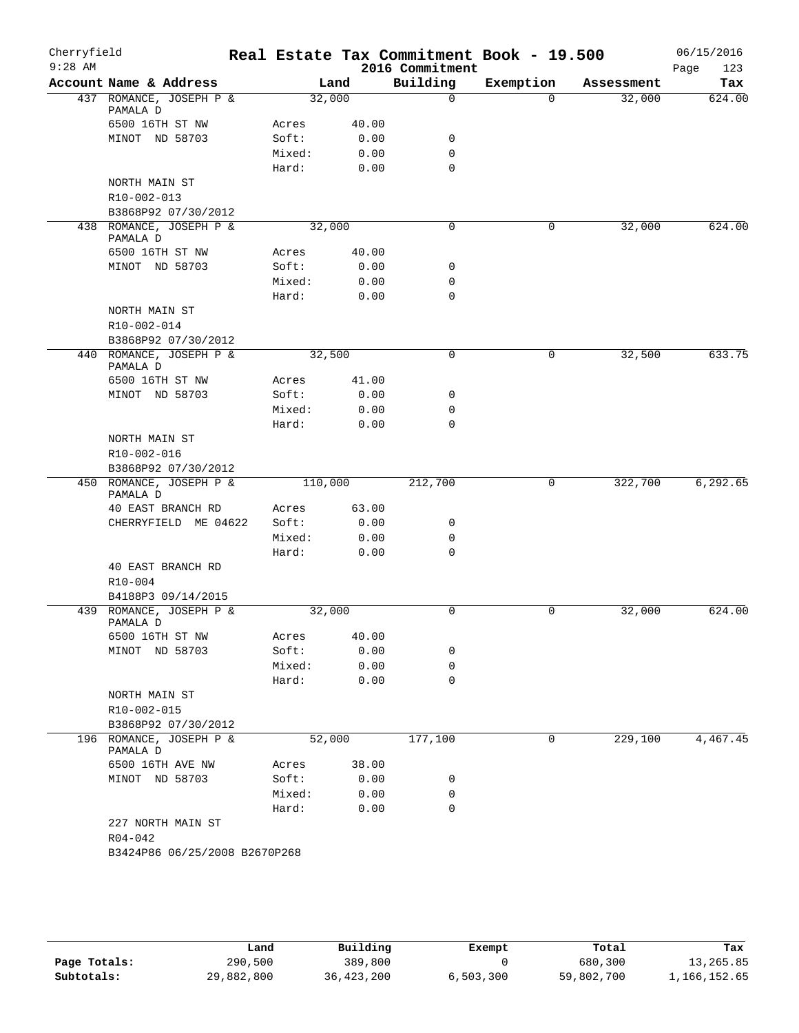| Cherryfield<br>$9:28$ AM |                                     |         |       | Real Estate Tax Commitment Book - 19.500<br>2016 Commitment |             |            | 06/15/2016<br>123<br>Page |
|--------------------------|-------------------------------------|---------|-------|-------------------------------------------------------------|-------------|------------|---------------------------|
|                          | Account Name & Address              |         | Land  | Building                                                    | Exemption   | Assessment | Tax                       |
|                          | 437 ROMANCE, JOSEPH P &<br>PAMALA D | 32,000  |       | $\mathbf 0$                                                 | $\Omega$    | 32,000     | 624.00                    |
|                          | 6500 16TH ST NW                     | Acres   | 40.00 |                                                             |             |            |                           |
|                          | MINOT ND 58703                      | Soft:   | 0.00  | 0                                                           |             |            |                           |
|                          |                                     | Mixed:  | 0.00  | $\mathbf 0$                                                 |             |            |                           |
|                          |                                     | Hard:   | 0.00  | $\mathbf 0$                                                 |             |            |                           |
|                          | NORTH MAIN ST                       |         |       |                                                             |             |            |                           |
|                          | R10-002-013                         |         |       |                                                             |             |            |                           |
|                          | B3868P92 07/30/2012                 |         |       |                                                             |             |            |                           |
|                          | 438 ROMANCE, JOSEPH P &             | 32,000  |       | $\mathbf 0$                                                 | 0           | 32,000     | 624.00                    |
|                          | PAMALA D                            |         |       |                                                             |             |            |                           |
|                          | 6500 16TH ST NW                     | Acres   | 40.00 |                                                             |             |            |                           |
|                          | MINOT ND 58703                      | Soft:   | 0.00  | 0                                                           |             |            |                           |
|                          |                                     | Mixed:  | 0.00  | 0                                                           |             |            |                           |
|                          |                                     | Hard:   | 0.00  | $\mathbf 0$                                                 |             |            |                           |
|                          | NORTH MAIN ST                       |         |       |                                                             |             |            |                           |
|                          | R10-002-014                         |         |       |                                                             |             |            |                           |
|                          | B3868P92 07/30/2012                 |         |       |                                                             |             |            |                           |
|                          | 440 ROMANCE, JOSEPH P &<br>PAMALA D | 32,500  |       | $\mathbf 0$                                                 | $\mathbf 0$ | 32,500     | 633.75                    |
|                          | 6500 16TH ST NW                     | Acres   | 41.00 |                                                             |             |            |                           |
|                          | MINOT ND 58703                      | Soft:   | 0.00  | 0                                                           |             |            |                           |
|                          |                                     | Mixed:  | 0.00  | 0                                                           |             |            |                           |
|                          |                                     | Hard:   | 0.00  | $\mathbf 0$                                                 |             |            |                           |
|                          | NORTH MAIN ST                       |         |       |                                                             |             |            |                           |
|                          | R10-002-016                         |         |       |                                                             |             |            |                           |
|                          | B3868P92 07/30/2012                 |         |       |                                                             |             |            |                           |
|                          | 450 ROMANCE, JOSEPH P &             | 110,000 |       | 212,700                                                     | 0           | 322,700    | 6,292.65                  |
|                          | PAMALA D                            |         |       |                                                             |             |            |                           |
|                          | 40 EAST BRANCH RD                   | Acres   | 63.00 |                                                             |             |            |                           |
|                          | CHERRYFIELD ME 04622                | Soft:   | 0.00  | 0                                                           |             |            |                           |
|                          |                                     | Mixed:  | 0.00  | $\mathbf 0$                                                 |             |            |                           |
|                          |                                     | Hard:   | 0.00  | $\mathbf 0$                                                 |             |            |                           |
|                          | 40 EAST BRANCH RD                   |         |       |                                                             |             |            |                           |
|                          | $R10 - 004$                         |         |       |                                                             |             |            |                           |
|                          | B4188P3 09/14/2015                  |         |       |                                                             |             |            |                           |
|                          | 439 ROMANCE, JOSEPH P &<br>PAMALA D | 32,000  |       | 0                                                           | 0           | 32,000     | 624.00                    |
|                          | 6500 16TH ST NW                     | Acres   | 40.00 |                                                             |             |            |                           |
|                          | MINOT ND 58703                      | Soft:   | 0.00  | 0                                                           |             |            |                           |
|                          |                                     | Mixed:  | 0.00  | 0                                                           |             |            |                           |
|                          |                                     | Hard:   | 0.00  | $\mathbf 0$                                                 |             |            |                           |
|                          | NORTH MAIN ST                       |         |       |                                                             |             |            |                           |
|                          | R10-002-015                         |         |       |                                                             |             |            |                           |
|                          | B3868P92 07/30/2012                 |         |       |                                                             |             |            |                           |
|                          | 196 ROMANCE, JOSEPH P &<br>PAMALA D | 52,000  |       | 177,100                                                     | 0           | 229,100    | 4,467.45                  |
|                          | 6500 16TH AVE NW                    | Acres   | 38.00 |                                                             |             |            |                           |
|                          | MINOT ND 58703                      | Soft:   | 0.00  | 0                                                           |             |            |                           |
|                          |                                     | Mixed:  | 0.00  | $\mathbf 0$                                                 |             |            |                           |
|                          |                                     | Hard:   | 0.00  | 0                                                           |             |            |                           |
|                          | 227 NORTH MAIN ST                   |         |       |                                                             |             |            |                           |
|                          | R04-042                             |         |       |                                                             |             |            |                           |
|                          | B3424P86 06/25/2008 B2670P268       |         |       |                                                             |             |            |                           |

|              | Land       | Building     | Exempt    | Total      | Tax          |
|--------------|------------|--------------|-----------|------------|--------------|
| Page Totals: | 290,500    | 389,800      |           | 680,300    | 13,265.85    |
| Subtotals:   | 29,882,800 | 36, 423, 200 | 6,503,300 | 59,802,700 | 1,166,152.65 |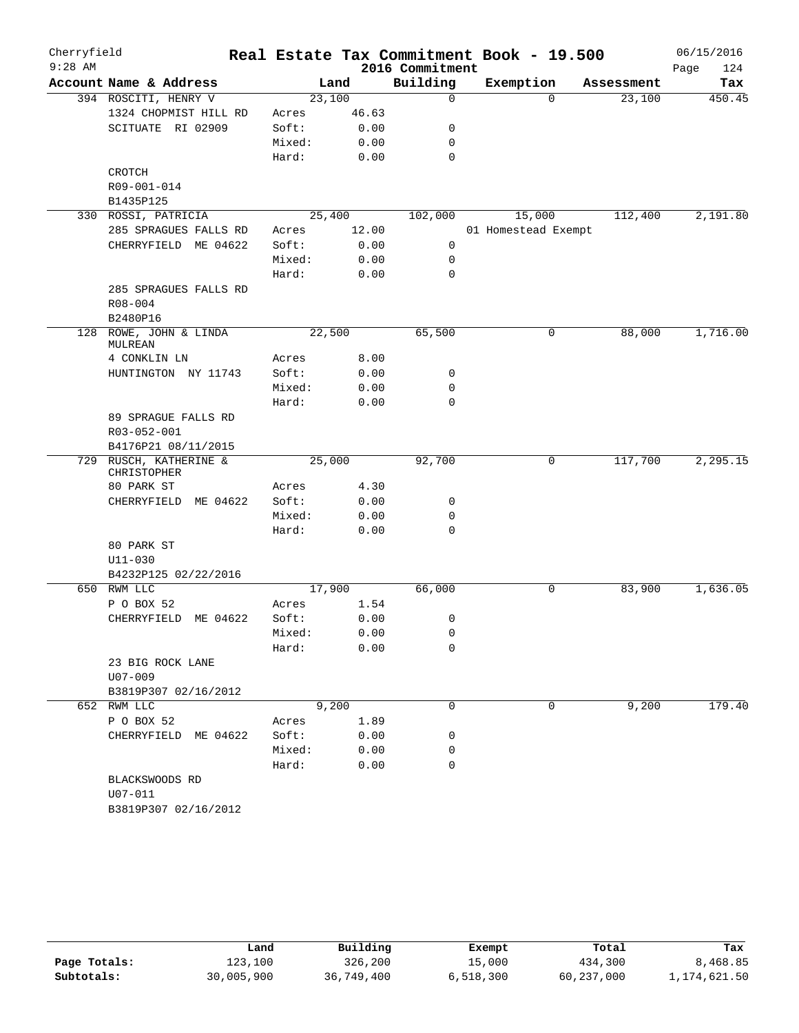| Cherryfield |                                       |        |        |                 | Real Estate Tax Commitment Book - 19.500 |            | 06/15/2016  |
|-------------|---------------------------------------|--------|--------|-----------------|------------------------------------------|------------|-------------|
| $9:28$ AM   |                                       |        |        | 2016 Commitment |                                          |            | 124<br>Page |
|             | Account Name & Address                |        | Land   | Building        | Exemption                                | Assessment | Tax         |
|             | 394 ROSCITI, HENRY V                  |        | 23,100 | $\mathbf 0$     | $\Omega$                                 | 23,100     | 450.45      |
|             | 1324 CHOPMIST HILL RD                 | Acres  | 46.63  |                 |                                          |            |             |
|             | SCITUATE RI 02909                     | Soft:  | 0.00   | 0               |                                          |            |             |
|             |                                       | Mixed: | 0.00   | 0               |                                          |            |             |
|             |                                       | Hard:  | 0.00   | $\mathbf 0$     |                                          |            |             |
|             | CROTCH                                |        |        |                 |                                          |            |             |
|             | R09-001-014                           |        |        |                 |                                          |            |             |
|             | B1435P125                             |        |        |                 |                                          |            |             |
|             | 330 ROSSI, PATRICIA                   |        | 25,400 | 102,000         | 15,000                                   | 112,400    | 2,191.80    |
|             | 285 SPRAGUES FALLS RD                 | Acres  | 12.00  |                 | 01 Homestead Exempt                      |            |             |
|             | CHERRYFIELD ME 04622                  | Soft:  | 0.00   | 0               |                                          |            |             |
|             |                                       | Mixed: | 0.00   | 0               |                                          |            |             |
|             |                                       | Hard:  | 0.00   | 0               |                                          |            |             |
|             | 285 SPRAGUES FALLS RD                 |        |        |                 |                                          |            |             |
|             | R08-004                               |        |        |                 |                                          |            |             |
|             | B2480P16                              |        |        |                 |                                          |            |             |
| 128         | ROWE, JOHN & LINDA<br>MULREAN         |        | 22,500 | 65,500          | 0                                        | 88,000     | 1,716.00    |
|             | 4 CONKLIN LN                          | Acres  | 8.00   |                 |                                          |            |             |
|             | HUNTINGTON NY 11743                   | Soft:  | 0.00   | 0               |                                          |            |             |
|             |                                       | Mixed: | 0.00   | $\mathbf 0$     |                                          |            |             |
|             |                                       | Hard:  | 0.00   | $\mathbf 0$     |                                          |            |             |
|             | 89 SPRAGUE FALLS RD                   |        |        |                 |                                          |            |             |
|             | R03-052-001                           |        |        |                 |                                          |            |             |
|             | B4176P21 08/11/2015                   |        |        |                 |                                          |            |             |
|             | 729 RUSCH, KATHERINE &<br>CHRISTOPHER |        | 25,000 | 92,700          | 0                                        | 117,700    | 2,295.15    |
|             | 80 PARK ST                            | Acres  | 4.30   |                 |                                          |            |             |
|             | CHERRYFIELD ME 04622                  | Soft:  | 0.00   | 0               |                                          |            |             |
|             |                                       | Mixed: | 0.00   | 0               |                                          |            |             |
|             |                                       | Hard:  | 0.00   | 0               |                                          |            |             |
|             | 80 PARK ST                            |        |        |                 |                                          |            |             |
|             | $U11 - 030$                           |        |        |                 |                                          |            |             |
|             | B4232P125 02/22/2016                  |        |        |                 |                                          |            |             |
|             | 650 RWM LLC                           |        | 17,900 | 66,000          | 0                                        | 83,900     | 1,636.05    |
|             | P O BOX 52                            | Acres  | 1.54   |                 |                                          |            |             |
|             | CHERRYFIELD ME 04622                  | Soft:  | 0.00   | 0               |                                          |            |             |
|             |                                       | Mixed: | 0.00   | 0               |                                          |            |             |
|             |                                       | Hard:  | 0.00   | 0               |                                          |            |             |
|             | 23 BIG ROCK LANE                      |        |        |                 |                                          |            |             |
|             | U07-009                               |        |        |                 |                                          |            |             |
|             | B3819P307 02/16/2012                  |        |        |                 |                                          |            |             |
|             | 652 RWM LLC                           |        | 9,200  | 0               | $\Omega$                                 | 9,200      | 179.40      |
|             | P O BOX 52                            | Acres  | 1.89   |                 |                                          |            |             |
|             | CHERRYFIELD ME 04622                  | Soft:  | 0.00   | 0               |                                          |            |             |
|             |                                       | Mixed: | 0.00   | 0               |                                          |            |             |
|             |                                       | Hard:  | 0.00   | $\mathbf 0$     |                                          |            |             |
|             | BLACKSWOODS RD                        |        |        |                 |                                          |            |             |
|             | U07-011                               |        |        |                 |                                          |            |             |
|             | B3819P307 02/16/2012                  |        |        |                 |                                          |            |             |

|              | Land       | Building   | Exempt    | Total      | Tax          |
|--------------|------------|------------|-----------|------------|--------------|
| Page Totals: | 123,100    | 326,200    | 15,000    | 434,300    | 8,468.85     |
| Subtotals:   | 30,005,900 | 36,749,400 | 6,518,300 | 60,237,000 | 1,174,621.50 |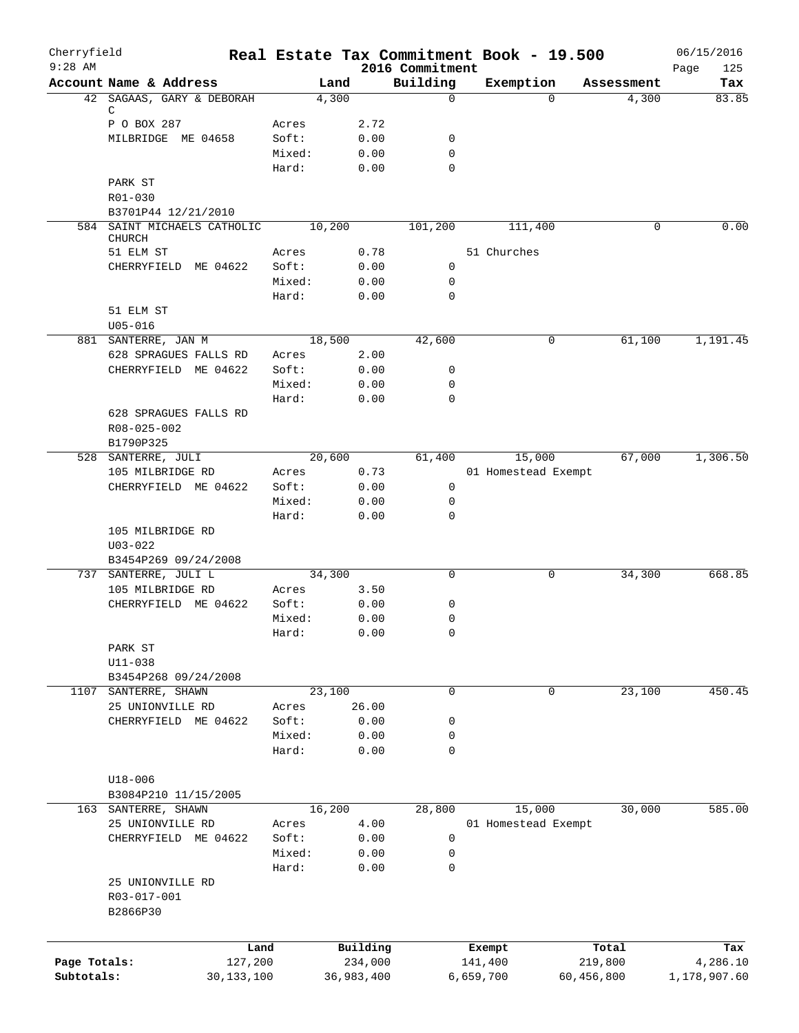| Cherryfield  |                                     | Real Estate Tax Commitment Book - 19.500 |            |                             |             |                     |            | 06/15/2016         |
|--------------|-------------------------------------|------------------------------------------|------------|-----------------------------|-------------|---------------------|------------|--------------------|
| $9:28$ AM    | Account Name & Address              |                                          | Land       | 2016 Commitment<br>Building | Exemption   |                     | Assessment | 125<br>Page<br>Tax |
|              | 42 SAGAAS, GARY & DEBORAH           |                                          | 4,300      | $\Omega$                    |             | $\Omega$            | 4,300      | 83.85              |
|              | С                                   |                                          |            |                             |             |                     |            |                    |
|              | P O BOX 287                         | Acres                                    | 2.72       |                             |             |                     |            |                    |
|              | MILBRIDGE ME 04658                  | Soft:                                    | 0.00       | 0                           |             |                     |            |                    |
|              |                                     | Mixed:                                   | 0.00       | 0<br>0                      |             |                     |            |                    |
|              | PARK ST                             | Hard:                                    | 0.00       |                             |             |                     |            |                    |
|              | R01-030                             |                                          |            |                             |             |                     |            |                    |
|              | B3701P44 12/21/2010                 |                                          |            |                             |             |                     |            |                    |
|              | 584 SAINT MICHAELS CATHOLIC         | 10,200                                   |            | 101,200                     |             | 111,400             | 0          | 0.00               |
|              | <b>CHURCH</b>                       |                                          |            |                             |             |                     |            |                    |
|              | 51 ELM ST                           | Acres                                    | 0.78       |                             | 51 Churches |                     |            |                    |
|              | CHERRYFIELD ME 04622                | Soft:                                    | 0.00       | 0                           |             |                     |            |                    |
|              |                                     | Mixed:                                   | 0.00       | 0                           |             |                     |            |                    |
|              |                                     | Hard:                                    | 0.00       | $\mathbf 0$                 |             |                     |            |                    |
|              | 51 ELM ST                           |                                          |            |                             |             |                     |            |                    |
|              | $U05 - 016$                         |                                          |            |                             |             |                     |            |                    |
|              | 881 SANTERRE, JAN M                 | 18,500                                   |            | 42,600                      |             | 0                   | 61,100     | 1,191.45           |
|              | 628 SPRAGUES FALLS RD               | Acres                                    | 2.00       |                             |             |                     |            |                    |
|              | CHERRYFIELD ME 04622                | Soft:                                    | 0.00       | 0                           |             |                     |            |                    |
|              |                                     | Mixed:                                   | 0.00       | 0                           |             |                     |            |                    |
|              |                                     | Hard:                                    | 0.00       | 0                           |             |                     |            |                    |
|              | 628 SPRAGUES FALLS RD               |                                          |            |                             |             |                     |            |                    |
|              | R08-025-002                         |                                          |            |                             |             |                     |            |                    |
|              | B1790P325                           |                                          |            |                             |             |                     |            |                    |
|              | 528 SANTERRE, JULI                  | 20,600                                   |            | 61,400                      |             | 15,000              | 67,000     | 1,306.50           |
|              | 105 MILBRIDGE RD                    | Acres                                    | 0.73       |                             |             | 01 Homestead Exempt |            |                    |
|              | CHERRYFIELD ME 04622                | Soft:                                    | 0.00       | $\mathbf 0$                 |             |                     |            |                    |
|              |                                     | Mixed:                                   | 0.00       | 0                           |             |                     |            |                    |
|              |                                     | Hard:                                    | 0.00       | 0                           |             |                     |            |                    |
|              | 105 MILBRIDGE RD                    |                                          |            |                             |             |                     |            |                    |
|              | $U03 - 022$                         |                                          |            |                             |             |                     |            |                    |
|              | B3454P269 09/24/2008                |                                          |            |                             |             |                     |            |                    |
| 737          | SANTERRE, JULI L                    | 34,300                                   |            | $\mathbf 0$                 |             | 0                   | 34,300     | 668.85             |
|              | 105 MILBRIDGE RD                    | Acres                                    | 3.50       |                             |             |                     |            |                    |
|              | CHERRYFIELD ME 04622                | Soft:                                    | 0.00       | 0                           |             |                     |            |                    |
|              |                                     | Mixed:                                   | 0.00       | 0                           |             |                     |            |                    |
|              |                                     | Hard:                                    | 0.00       | 0                           |             |                     |            |                    |
|              | PARK ST                             |                                          |            |                             |             |                     |            |                    |
|              | $U11 - 038$                         |                                          |            |                             |             |                     |            |                    |
|              | B3454P268 09/24/2008                |                                          |            |                             |             |                     |            |                    |
| 1107         | SANTERRE, SHAWN<br>25 UNIONVILLE RD | 23,100                                   |            | $\mathbf 0$                 |             | 0                   | 23,100     | 450.45             |
|              |                                     | Acres                                    | 26.00      |                             |             |                     |            |                    |
|              | CHERRYFIELD ME 04622                | Soft:                                    | 0.00       | 0                           |             |                     |            |                    |
|              |                                     | Mixed:                                   | 0.00       | 0                           |             |                     |            |                    |
|              |                                     | Hard:                                    | 0.00       | 0                           |             |                     |            |                    |
|              |                                     |                                          |            |                             |             |                     |            |                    |
|              | $U18 - 006$<br>B3084P210 11/15/2005 |                                          |            |                             |             |                     |            |                    |
|              |                                     |                                          |            |                             |             |                     | 30,000     | 585.00             |
| 163          | SANTERRE, SHAWN                     | 16,200                                   |            | 28,800                      |             | 15,000              |            |                    |
|              | 25 UNIONVILLE RD                    | Acres                                    | 4.00       |                             |             | 01 Homestead Exempt |            |                    |
|              | CHERRYFIELD ME 04622                | Soft:                                    | 0.00       | 0                           |             |                     |            |                    |
|              |                                     | Mixed:                                   | 0.00       | 0                           |             |                     |            |                    |
|              |                                     | Hard:                                    | 0.00       | 0                           |             |                     |            |                    |
|              | 25 UNIONVILLE RD                    |                                          |            |                             |             |                     |            |                    |
|              | R03-017-001                         |                                          |            |                             |             |                     |            |                    |
|              | B2866P30                            |                                          |            |                             |             |                     |            |                    |
|              |                                     |                                          |            |                             |             |                     |            |                    |
|              |                                     | Land                                     | Building   |                             | Exempt      |                     | Total      | Tax                |
| Page Totals: | 127,200                             |                                          | 234,000    |                             | 141,400     |                     | 219,800    | 4,286.10           |
| Subtotals:   | 30,133,100                          |                                          | 36,983,400 |                             | 6,659,700   | 60,456,800          |            | 1,178,907.60       |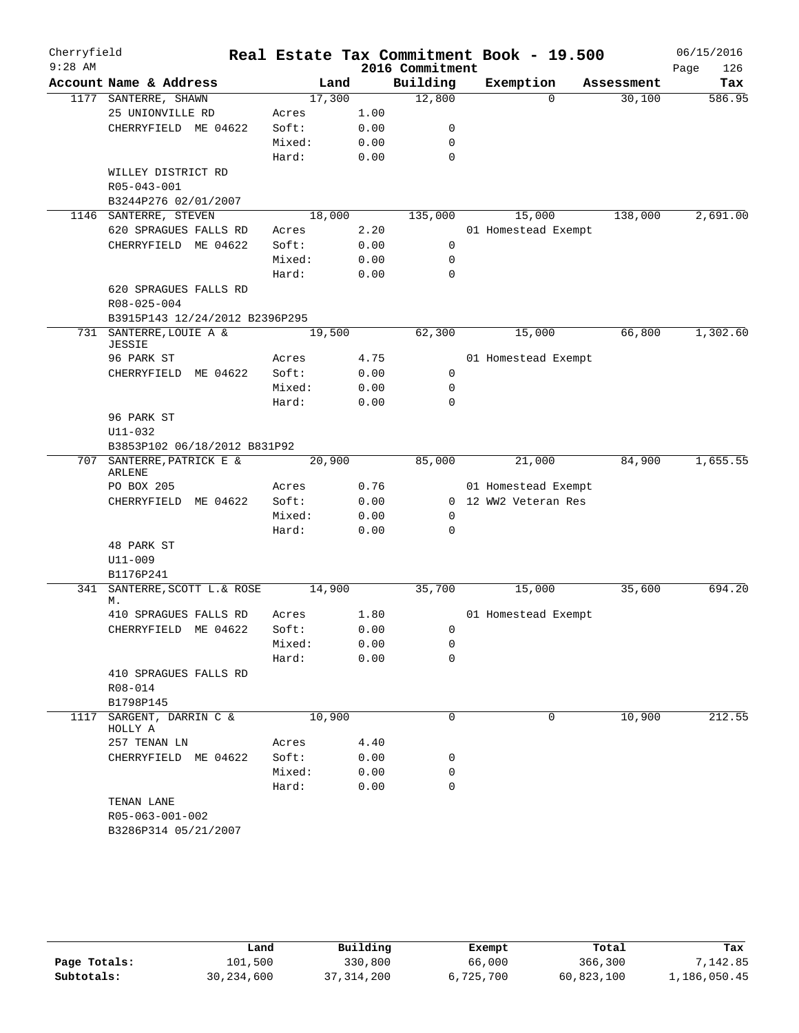| Cherryfield<br>$9:28$ AM |                                |        |      | 2016 Commitment | Real Estate Tax Commitment Book - 19.500 |            | 06/15/2016<br>126<br>Page |
|--------------------------|--------------------------------|--------|------|-----------------|------------------------------------------|------------|---------------------------|
|                          | Account Name & Address         | Land   |      | Building        | Exemption                                | Assessment | Tax                       |
|                          | 1177 SANTERRE, SHAWN           | 17,300 |      | 12,800          | $\Omega$                                 | 30,100     | 586.95                    |
|                          | 25 UNIONVILLE RD               | Acres  | 1.00 |                 |                                          |            |                           |
|                          | CHERRYFIELD ME 04622           | Soft:  | 0.00 | 0               |                                          |            |                           |
|                          |                                | Mixed: | 0.00 | $\mathbf 0$     |                                          |            |                           |
|                          |                                | Hard:  | 0.00 | $\mathbf 0$     |                                          |            |                           |
|                          | WILLEY DISTRICT RD             |        |      |                 |                                          |            |                           |
|                          | R05-043-001                    |        |      |                 |                                          |            |                           |
|                          | B3244P276 02/01/2007           |        |      |                 |                                          |            |                           |
|                          | 1146 SANTERRE, STEVEN          | 18,000 |      | 135,000         | 15,000                                   | 138,000    | 2,691.00                  |
|                          | 620 SPRAGUES FALLS RD          | Acres  | 2.20 |                 | 01 Homestead Exempt                      |            |                           |
|                          | CHERRYFIELD ME 04622           | Soft:  | 0.00 | 0               |                                          |            |                           |
|                          |                                | Mixed: | 0.00 | 0               |                                          |            |                           |
|                          |                                | Hard:  | 0.00 | $\mathbf 0$     |                                          |            |                           |
|                          | 620 SPRAGUES FALLS RD          |        |      |                 |                                          |            |                           |
|                          | R08-025-004                    |        |      |                 |                                          |            |                           |
|                          | B3915P143 12/24/2012 B2396P295 |        |      |                 |                                          |            |                           |
| 731                      | SANTERRE, LOUIE A &<br>JESSIE  | 19,500 |      | 62,300          | 15,000                                   | 66,800     | 1,302.60                  |
|                          | 96 PARK ST                     | Acres  | 4.75 |                 | 01 Homestead Exempt                      |            |                           |
|                          | CHERRYFIELD ME 04622           | Soft:  | 0.00 | $\mathbf 0$     |                                          |            |                           |
|                          |                                | Mixed: | 0.00 | $\mathbf 0$     |                                          |            |                           |
|                          |                                | Hard:  | 0.00 | $\mathbf 0$     |                                          |            |                           |
|                          | 96 PARK ST                     |        |      |                 |                                          |            |                           |
|                          | $U11 - 032$                    |        |      |                 |                                          |            |                           |
|                          | B3853P102 06/18/2012 B831P92   |        |      |                 |                                          |            |                           |
|                          | 707 SANTERRE, PATRICK E &      | 20,900 |      | 85,000          | 21,000                                   | 84,900     | 1,655.55                  |
|                          | ARLENE                         |        |      |                 |                                          |            |                           |
|                          | PO BOX 205                     | Acres  | 0.76 |                 | 01 Homestead Exempt                      |            |                           |
|                          | CHERRYFIELD<br>ME 04622        | Soft:  | 0.00 |                 | 0 12 WW2 Veteran Res                     |            |                           |
|                          |                                | Mixed: | 0.00 | 0               |                                          |            |                           |
|                          |                                | Hard:  | 0.00 | $\mathbf 0$     |                                          |            |                           |
|                          | 48 PARK ST                     |        |      |                 |                                          |            |                           |
|                          | $U11 - 009$                    |        |      |                 |                                          |            |                           |
|                          | B1176P241                      |        |      |                 |                                          |            |                           |
| 341                      | SANTERRE, SCOTT L.& ROSE       | 14,900 |      | 35,700          | 15,000                                   | 35,600     | 694.20                    |
|                          | М.                             |        |      |                 |                                          |            |                           |
|                          | 410 SPRAGUES FALLS RD          | Acres  | 1.80 |                 | 01 Homestead Exempt                      |            |                           |
|                          | CHERRYFIELD ME 04622           | Soft:  | 0.00 | 0               |                                          |            |                           |
|                          |                                | Mixed: | 0.00 | 0               |                                          |            |                           |
|                          |                                | Hard:  | 0.00 | 0               |                                          |            |                           |
|                          | 410 SPRAGUES FALLS RD          |        |      |                 |                                          |            |                           |
|                          | R08-014                        |        |      |                 |                                          |            |                           |
|                          | B1798P145                      |        |      |                 |                                          |            |                           |
| 1117                     | SARGENT, DARRIN C &<br>HOLLY A | 10,900 |      | $\mathbf 0$     | 0                                        | 10,900     | 212.55                    |
|                          | 257 TENAN LN                   | Acres  | 4.40 |                 |                                          |            |                           |
|                          | CHERRYFIELD ME 04622           | Soft:  | 0.00 | 0               |                                          |            |                           |
|                          |                                | Mixed: | 0.00 | $\mathbf 0$     |                                          |            |                           |
|                          |                                | Hard:  | 0.00 | $\Omega$        |                                          |            |                           |
|                          | TENAN LANE                     |        |      |                 |                                          |            |                           |
|                          | R05-063-001-002                |        |      |                 |                                          |            |                           |
|                          | B3286P314 05/21/2007           |        |      |                 |                                          |            |                           |
|                          |                                |        |      |                 |                                          |            |                           |

|              | Land       | Building     | Exempt    | Total      | Tax          |
|--------------|------------|--------------|-----------|------------|--------------|
| Page Totals: | 101,500    | 330,800      | 66,000    | 366,300    | 7,142.85     |
| Subtotals:   | 30,234,600 | 37, 314, 200 | 6,725,700 | 60,823,100 | 1,186,050.45 |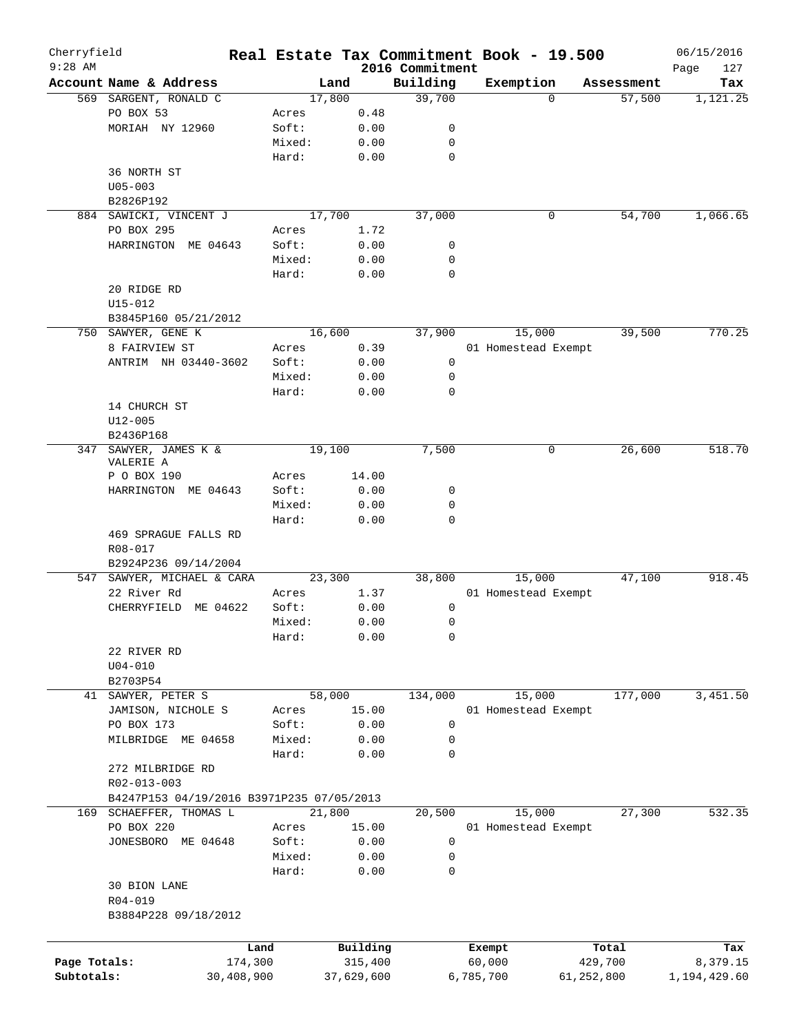| Cherryfield<br>$9:28$ AM |                                           |            |        |            |                             | Real Estate Tax Commitment Book - 19.500 |            |            | 06/15/2016         |
|--------------------------|-------------------------------------------|------------|--------|------------|-----------------------------|------------------------------------------|------------|------------|--------------------|
|                          | Account Name & Address                    |            |        | Land       | 2016 Commitment<br>Building | Exemption                                |            | Assessment | 127<br>Page<br>Tax |
|                          | 569 SARGENT, RONALD C                     |            |        | 17,800     | 39,700                      |                                          | $\Omega$   | 57,500     | 1,121.25           |
|                          | PO BOX 53                                 |            | Acres  | 0.48       |                             |                                          |            |            |                    |
|                          | MORIAH NY 12960                           |            | Soft:  | 0.00       | 0                           |                                          |            |            |                    |
|                          |                                           |            | Mixed: | 0.00       | 0                           |                                          |            |            |                    |
|                          |                                           |            | Hard:  | 0.00       | $\mathbf 0$                 |                                          |            |            |                    |
|                          | 36 NORTH ST                               |            |        |            |                             |                                          |            |            |                    |
|                          | $U05 - 003$                               |            |        |            |                             |                                          |            |            |                    |
|                          | B2826P192                                 |            |        |            |                             |                                          |            |            |                    |
|                          | 884 SAWICKI, VINCENT J                    |            |        | 17,700     | 37,000                      |                                          | 0          | 54,700     | 1,066.65           |
|                          | PO BOX 295                                |            |        |            |                             |                                          |            |            |                    |
|                          |                                           |            | Acres  | 1.72       |                             |                                          |            |            |                    |
|                          | HARRINGTON ME 04643                       |            | Soft:  | 0.00       | 0                           |                                          |            |            |                    |
|                          |                                           |            | Mixed: | 0.00       | 0                           |                                          |            |            |                    |
|                          |                                           |            | Hard:  | 0.00       | $\mathbf 0$                 |                                          |            |            |                    |
|                          | 20 RIDGE RD                               |            |        |            |                             |                                          |            |            |                    |
|                          | $U15 - 012$                               |            |        |            |                             |                                          |            |            |                    |
|                          | B3845P160 05/21/2012                      |            |        |            |                             |                                          |            |            |                    |
|                          | 750 SAWYER, GENE K                        |            |        | 16,600     | 37,900                      | 15,000                                   |            | 39,500     | 770.25             |
|                          | 8 FAIRVIEW ST                             |            | Acres  | 0.39       |                             | 01 Homestead Exempt                      |            |            |                    |
|                          | ANTRIM NH 03440-3602                      |            | Soft:  | 0.00       | 0                           |                                          |            |            |                    |
|                          |                                           |            | Mixed: | 0.00       | 0                           |                                          |            |            |                    |
|                          |                                           |            | Hard:  | 0.00       | $\mathbf 0$                 |                                          |            |            |                    |
|                          | 14 CHURCH ST                              |            |        |            |                             |                                          |            |            |                    |
|                          | $U12 - 005$                               |            |        |            |                             |                                          |            |            |                    |
|                          | B2436P168                                 |            |        |            |                             |                                          |            |            |                    |
| 347                      | SAWYER, JAMES K &                         |            |        | 19,100     | 7,500                       |                                          | 0          | 26,600     | 518.70             |
|                          | VALERIE A                                 |            |        |            |                             |                                          |            |            |                    |
|                          | P O BOX 190                               |            | Acres  | 14.00      |                             |                                          |            |            |                    |
|                          | HARRINGTON ME 04643                       |            | Soft:  | 0.00       | 0                           |                                          |            |            |                    |
|                          |                                           |            | Mixed: | 0.00       | 0                           |                                          |            |            |                    |
|                          |                                           |            | Hard:  | 0.00       | 0                           |                                          |            |            |                    |
|                          | 469 SPRAGUE FALLS RD                      |            |        |            |                             |                                          |            |            |                    |
|                          | R08-017                                   |            |        |            |                             |                                          |            |            |                    |
|                          | B2924P236 09/14/2004                      |            |        |            |                             |                                          |            |            |                    |
|                          | 547 SAWYER, MICHAEL & CARA                |            |        | 23,300     | 38,800                      | 15,000                                   |            | 47,100     | 918.45             |
|                          | 22 River Rd                               |            | Acres  | 1.37       |                             | 01 Homestead Exempt                      |            |            |                    |
|                          | CHERRYFIELD<br>ME 04622                   |            | Soft:  | 0.00       | 0                           |                                          |            |            |                    |
|                          |                                           |            |        |            |                             |                                          |            |            |                    |
|                          |                                           |            | Mixed: | 0.00       | 0                           |                                          |            |            |                    |
|                          |                                           |            | Hard:  | 0.00       | 0                           |                                          |            |            |                    |
|                          | 22 RIVER RD                               |            |        |            |                             |                                          |            |            |                    |
|                          | $U04 - 010$                               |            |        |            |                             |                                          |            |            |                    |
|                          | B2703P54                                  |            |        |            |                             |                                          |            |            |                    |
|                          | 41 SAWYER, PETER S                        |            |        | 58,000     | 134,000                     | 15,000                                   |            | 177,000    | 3,451.50           |
|                          | JAMISON, NICHOLE S                        |            | Acres  | 15.00      |                             | 01 Homestead Exempt                      |            |            |                    |
|                          | PO BOX 173                                |            | Soft:  | 0.00       | 0                           |                                          |            |            |                    |
|                          | MILBRIDGE ME 04658                        |            | Mixed: | 0.00       | 0                           |                                          |            |            |                    |
|                          |                                           |            | Hard:  | 0.00       | 0                           |                                          |            |            |                    |
|                          | 272 MILBRIDGE RD                          |            |        |            |                             |                                          |            |            |                    |
|                          | R02-013-003                               |            |        |            |                             |                                          |            |            |                    |
|                          | B4247P153 04/19/2016 B3971P235 07/05/2013 |            |        |            |                             |                                          |            |            |                    |
|                          | 169 SCHAEFFER, THOMAS L                   |            |        | 21,800     | 20,500                      | 15,000                                   |            | 27,300     | 532.35             |
|                          | PO BOX 220                                |            | Acres  | 15.00      |                             | 01 Homestead Exempt                      |            |            |                    |
|                          | JONESBORO ME 04648                        |            | Soft:  | 0.00       | 0                           |                                          |            |            |                    |
|                          |                                           |            | Mixed: | 0.00       | 0                           |                                          |            |            |                    |
|                          |                                           |            | Hard:  | 0.00       | 0                           |                                          |            |            |                    |
|                          |                                           |            |        |            |                             |                                          |            |            |                    |
|                          | 30 BION LANE                              |            |        |            |                             |                                          |            |            |                    |
|                          | R04-019                                   |            |        |            |                             |                                          |            |            |                    |
|                          | B3884P228 09/18/2012                      |            |        |            |                             |                                          |            |            |                    |
|                          |                                           |            |        |            |                             |                                          |            |            |                    |
|                          |                                           | Land       |        | Building   |                             | Exempt                                   |            | Total      | Tax                |
| Page Totals:             |                                           | 174,300    |        | 315,400    |                             | 60,000                                   |            | 429,700    | 8,379.15           |
| Subtotals:               |                                           | 30,408,900 |        | 37,629,600 |                             | 6,785,700                                | 61,252,800 |            | 1,194,429.60       |
|                          |                                           |            |        |            |                             |                                          |            |            |                    |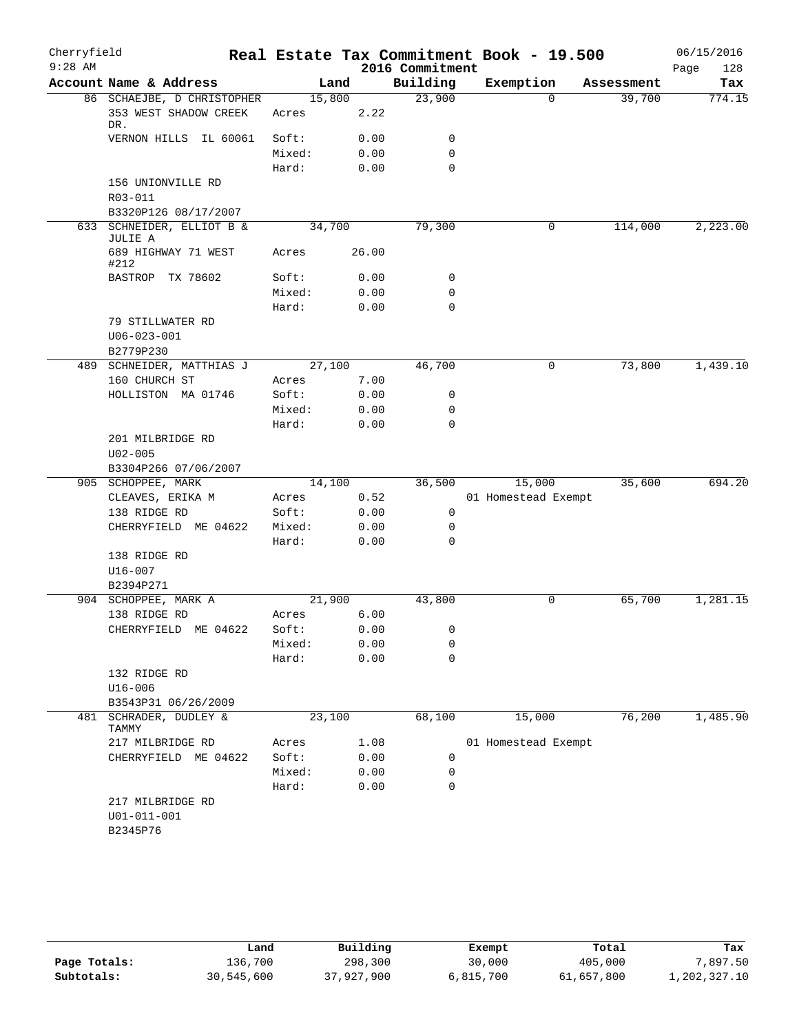| Cherryfield |                                        |                |       |                 | Real Estate Tax Commitment Book - 19.500 |            | 06/15/2016  |
|-------------|----------------------------------------|----------------|-------|-----------------|------------------------------------------|------------|-------------|
| $9:28$ AM   |                                        |                |       | 2016 Commitment |                                          |            | 128<br>Page |
|             | Account Name & Address                 |                | Land  | Building        | Exemption                                | Assessment | Tax         |
|             | 86 SCHAEJBE, D CHRISTOPHER             | 15,800         |       | 23,900          | $\Omega$                                 | 39,700     | 774.15      |
|             | 353 WEST SHADOW CREEK<br>DR.           | Acres          | 2.22  |                 |                                          |            |             |
|             | VERNON HILLS IL 60061                  | Soft:          | 0.00  | 0               |                                          |            |             |
|             |                                        | Mixed:         | 0.00  | $\mathbf 0$     |                                          |            |             |
|             |                                        | Hard:          | 0.00  | $\mathbf 0$     |                                          |            |             |
|             | 156 UNIONVILLE RD                      |                |       |                 |                                          |            |             |
|             | R03-011                                |                |       |                 |                                          |            |             |
|             | B3320P126 08/17/2007                   |                |       |                 |                                          |            |             |
|             | 633 SCHNEIDER, ELLIOT B &<br>JULIE A   | 34,700         |       | 79,300          | 0                                        | 114,000    | 2,223.00    |
|             | 689 HIGHWAY 71 WEST<br>#212            | Acres          | 26.00 |                 |                                          |            |             |
|             | BASTROP TX 78602                       | Soft:          | 0.00  | 0               |                                          |            |             |
|             |                                        | Mixed:         | 0.00  | 0               |                                          |            |             |
|             |                                        | Hard:          | 0.00  | 0               |                                          |            |             |
|             | 79 STILLWATER RD                       |                |       |                 |                                          |            |             |
|             | $U06 - 023 - 001$                      |                |       |                 |                                          |            |             |
|             | B2779P230                              |                |       |                 |                                          |            |             |
|             | 489 SCHNEIDER, MATTHIAS J              | 27,100         |       | 46,700          | 0                                        | 73,800     | 1,439.10    |
|             | 160 CHURCH ST                          | Acres          | 7.00  |                 |                                          |            |             |
|             | HOLLISTON MA 01746                     | Soft:          | 0.00  | 0               |                                          |            |             |
|             |                                        | Mixed:         | 0.00  | 0               |                                          |            |             |
|             |                                        | Hard:          | 0.00  | 0               |                                          |            |             |
|             | 201 MILBRIDGE RD                       |                |       |                 |                                          |            |             |
|             | $U02 - 005$                            |                |       |                 |                                          |            |             |
|             | B3304P266 07/06/2007                   |                |       |                 |                                          |            |             |
|             | 905 SCHOPPEE, MARK<br>CLEAVES, ERIKA M | 14,100         | 0.52  | 36,500          | 15,000<br>01 Homestead Exempt            | 35,600     | 694.20      |
|             | 138 RIDGE RD                           | Acres<br>Soft: | 0.00  | 0               |                                          |            |             |
|             | CHERRYFIELD ME 04622                   | Mixed:         | 0.00  | 0               |                                          |            |             |
|             |                                        | Hard:          | 0.00  | 0               |                                          |            |             |
|             | 138 RIDGE RD                           |                |       |                 |                                          |            |             |
|             | $U16 - 007$                            |                |       |                 |                                          |            |             |
|             | B2394P271                              |                |       |                 |                                          |            |             |
|             | 904 SCHOPPEE, MARK A                   | 21,900         |       | 43,800          | 0                                        | 65,700     | 1,281.15    |
|             | 138 RIDGE RD                           | Acres          | 6.00  |                 |                                          |            |             |
|             | CHERRYFIELD ME 04622                   | Soft:          | 0.00  | 0               |                                          |            |             |
|             |                                        | Mixed:         | 0.00  | 0               |                                          |            |             |
|             |                                        | Hard:          | 0.00  | 0               |                                          |            |             |
|             | 132 RIDGE RD                           |                |       |                 |                                          |            |             |
|             | U16-006                                |                |       |                 |                                          |            |             |
|             | B3543P31 06/26/2009                    |                |       |                 |                                          |            |             |
| 481         | SCHRADER, DUDLEY &<br>TAMMY            | 23,100         |       | 68,100          | 15,000                                   | 76,200     | 1,485.90    |
|             | 217 MILBRIDGE RD                       | Acres          | 1.08  |                 | 01 Homestead Exempt                      |            |             |
|             | CHERRYFIELD ME 04622                   | Soft:          | 0.00  | 0               |                                          |            |             |
|             |                                        | Mixed:         | 0.00  | 0               |                                          |            |             |
|             |                                        | Hard:          | 0.00  | 0               |                                          |            |             |
|             | 217 MILBRIDGE RD                       |                |       |                 |                                          |            |             |
|             | U01-011-001                            |                |       |                 |                                          |            |             |
|             | B2345P76                               |                |       |                 |                                          |            |             |
|             |                                        |                |       |                 |                                          |            |             |

|              | Land       | Building   | Exempt    | Total      | Tax          |
|--------------|------------|------------|-----------|------------|--------------|
| Page Totals: | 136,700    | 298,300    | 30,000    | 405,000    | 7,897.50     |
| Subtotals:   | 30,545,600 | 37,927,900 | 6,815,700 | 61,657,800 | 1,202,327.10 |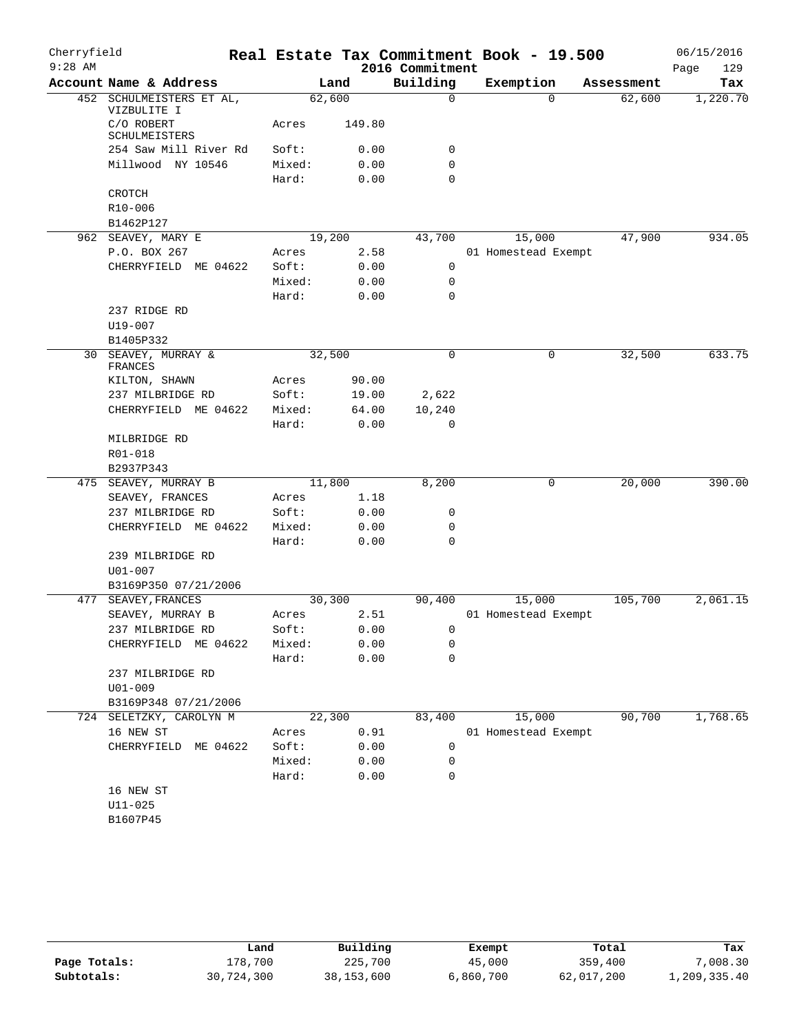| Cherryfield |                                         |        |        | Real Estate Tax Commitment Book - 19.500 |                     |          |            | 06/15/2016 |          |
|-------------|-----------------------------------------|--------|--------|------------------------------------------|---------------------|----------|------------|------------|----------|
| $9:28$ AM   |                                         |        |        | 2016 Commitment                          |                     |          |            | Page       | 129      |
|             | Account Name & Address                  | Land   |        | Building                                 | Exemption           |          | Assessment |            | Tax      |
|             | 452 SCHULMEISTERS ET AL,<br>VIZBULITE I | 62,600 |        | 0                                        |                     | $\Omega$ | 62,600     |            | 1,220.70 |
|             | C/O ROBERT<br>SCHULMEISTERS             | Acres  | 149.80 |                                          |                     |          |            |            |          |
|             | 254 Saw Mill River Rd                   | Soft:  | 0.00   | 0                                        |                     |          |            |            |          |
|             | Millwood NY 10546                       | Mixed: | 0.00   | 0                                        |                     |          |            |            |          |
|             |                                         | Hard:  | 0.00   | $\mathbf 0$                              |                     |          |            |            |          |
|             | CROTCH                                  |        |        |                                          |                     |          |            |            |          |
|             | $R10 - 006$                             |        |        |                                          |                     |          |            |            |          |
|             | B1462P127                               |        |        |                                          |                     |          |            |            |          |
|             | 962 SEAVEY, MARY E                      | 19,200 |        | 43,700                                   |                     | 15,000   | 47,900     |            | 934.05   |
|             | P.O. BOX 267                            | Acres  | 2.58   |                                          | 01 Homestead Exempt |          |            |            |          |
|             | CHERRYFIELD ME 04622                    | Soft:  | 0.00   | 0                                        |                     |          |            |            |          |
|             |                                         | Mixed: | 0.00   | 0                                        |                     |          |            |            |          |
|             |                                         | Hard:  | 0.00   | $\mathbf 0$                              |                     |          |            |            |          |
|             | 237 RIDGE RD<br>$U19 - 007$             |        |        |                                          |                     |          |            |            |          |
|             | B1405P332                               |        |        |                                          |                     |          |            |            |          |
|             | 30 SEAVEY, MURRAY &                     | 32,500 |        | $\mathbf 0$                              |                     | 0        | 32,500     |            | 633.75   |
|             | FRANCES                                 |        |        |                                          |                     |          |            |            |          |
|             | KILTON, SHAWN                           | Acres  | 90.00  |                                          |                     |          |            |            |          |
|             | 237 MILBRIDGE RD                        | Soft:  | 19.00  | 2,622                                    |                     |          |            |            |          |
|             | CHERRYFIELD ME 04622                    | Mixed: | 64.00  | 10,240                                   |                     |          |            |            |          |
|             |                                         | Hard:  | 0.00   | $\mathbf 0$                              |                     |          |            |            |          |
|             | MILBRIDGE RD                            |        |        |                                          |                     |          |            |            |          |
|             | R01-018                                 |        |        |                                          |                     |          |            |            |          |
|             | B2937P343                               |        |        |                                          |                     |          |            |            |          |
|             | 475 SEAVEY, MURRAY B                    | 11,800 |        | 8,200                                    |                     | 0        | 20,000     |            | 390.00   |
|             | SEAVEY, FRANCES                         | Acres  | 1.18   |                                          |                     |          |            |            |          |
|             | 237 MILBRIDGE RD                        | Soft:  | 0.00   | 0                                        |                     |          |            |            |          |
|             | CHERRYFIELD ME 04622                    | Mixed: | 0.00   | 0                                        |                     |          |            |            |          |
|             |                                         | Hard:  | 0.00   | $\mathbf 0$                              |                     |          |            |            |          |
|             | 239 MILBRIDGE RD                        |        |        |                                          |                     |          |            |            |          |
|             | $U01 - 007$                             |        |        |                                          |                     |          |            |            |          |
| 477         | B3169P350 07/21/2006                    | 30,300 |        | 90,400                                   |                     | 15,000   | 105,700    |            | 2,061.15 |
|             | SEAVEY, FRANCES<br>SEAVEY, MURRAY B     | Acres  | 2.51   |                                          | 01 Homestead Exempt |          |            |            |          |
|             | 237 MILBRIDGE RD                        | Soft:  | 0.00   | 0                                        |                     |          |            |            |          |
|             | CHERRYFIELD ME 04622                    | Mixed: | 0.00   | 0                                        |                     |          |            |            |          |
|             |                                         | Hard:  | 0.00   | 0                                        |                     |          |            |            |          |
|             | 237 MILBRIDGE RD                        |        |        |                                          |                     |          |            |            |          |
|             | U01-009                                 |        |        |                                          |                     |          |            |            |          |
|             | B3169P348 07/21/2006                    |        |        |                                          |                     |          |            |            |          |
|             | 724 SELETZKY, CAROLYN M                 | 22,300 |        | 83,400                                   |                     | 15,000   | 90,700     |            | 1,768.65 |
|             | 16 NEW ST                               | Acres  | 0.91   |                                          | 01 Homestead Exempt |          |            |            |          |
|             | CHERRYFIELD ME 04622                    | Soft:  | 0.00   | 0                                        |                     |          |            |            |          |
|             |                                         | Mixed: | 0.00   | 0                                        |                     |          |            |            |          |
|             |                                         | Hard:  | 0.00   | 0                                        |                     |          |            |            |          |
|             | 16 NEW ST                               |        |        |                                          |                     |          |            |            |          |
|             | $U11 - 025$                             |        |        |                                          |                     |          |            |            |          |
|             | B1607P45                                |        |        |                                          |                     |          |            |            |          |
|             |                                         |        |        |                                          |                     |          |            |            |          |

|              | Land       | Building     | Exempt    | Total      | Tax          |
|--------------|------------|--------------|-----------|------------|--------------|
| Page Totals: | 178,700    | 225,700      | 45,000    | 359,400    | 7,008.30     |
| Subtotals:   | 30,724,300 | 38, 153, 600 | 6,860,700 | 62,017,200 | 1,209,335.40 |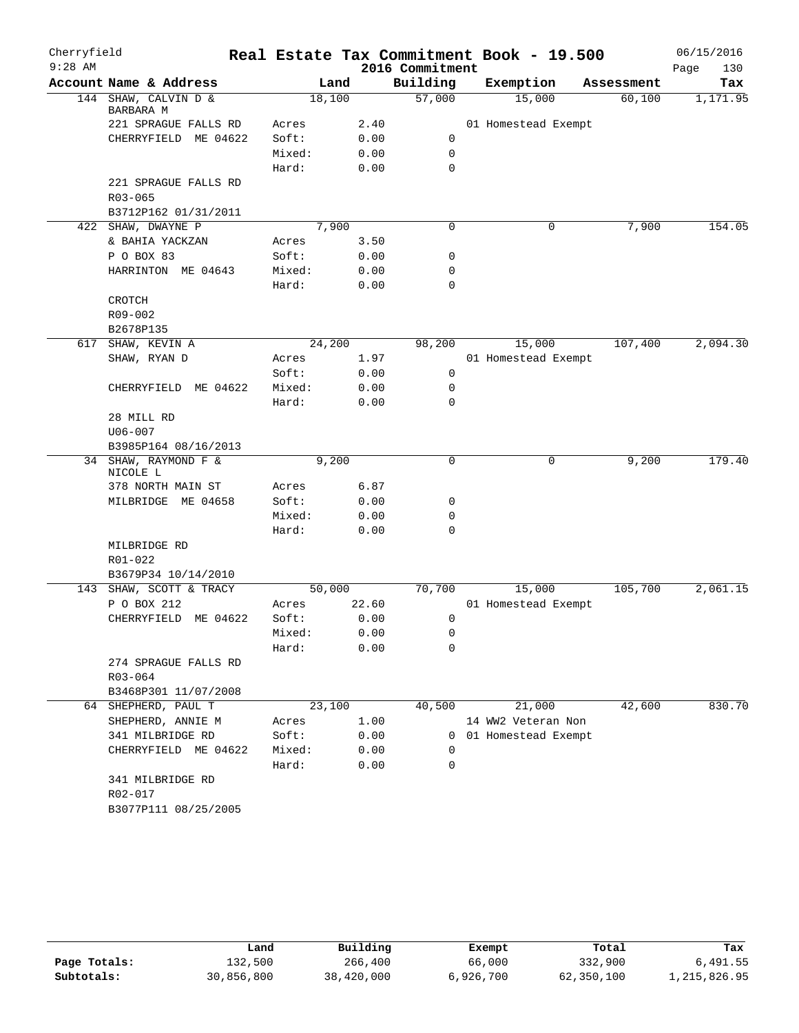| Cherryfield<br>$9:28$ AM |                                   |        |       | 2016 Commitment | Real Estate Tax Commitment Book - 19.500 |            | 06/15/2016<br>Page<br>130 |
|--------------------------|-----------------------------------|--------|-------|-----------------|------------------------------------------|------------|---------------------------|
|                          | Account Name & Address            |        | Land  | Building        | Exemption                                | Assessment | Tax                       |
|                          | 144 SHAW, CALVIN D &<br>BARBARA M | 18,100 |       | 57,000          | 15,000                                   | 60,100     | 1,171.95                  |
|                          | 221 SPRAGUE FALLS RD              | Acres  | 2.40  |                 | 01 Homestead Exempt                      |            |                           |
|                          | CHERRYFIELD ME 04622              | Soft:  | 0.00  | 0               |                                          |            |                           |
|                          |                                   | Mixed: | 0.00  | $\mathbf 0$     |                                          |            |                           |
|                          |                                   | Hard:  | 0.00  | 0               |                                          |            |                           |
|                          | 221 SPRAGUE FALLS RD              |        |       |                 |                                          |            |                           |
|                          | $R03 - 065$                       |        |       |                 |                                          |            |                           |
|                          | B3712P162 01/31/2011              |        |       |                 |                                          |            |                           |
|                          | 422 SHAW, DWAYNE P                | 7,900  |       | 0               | 0                                        | 7,900      | 154.05                    |
|                          | & BAHIA YACKZAN                   | Acres  | 3.50  |                 |                                          |            |                           |
|                          | P O BOX 83                        | Soft:  | 0.00  | 0               |                                          |            |                           |
|                          | HARRINTON ME 04643                | Mixed: | 0.00  | 0               |                                          |            |                           |
|                          |                                   | Hard:  | 0.00  | 0               |                                          |            |                           |
|                          | CROTCH                            |        |       |                 |                                          |            |                           |
|                          | R09-002                           |        |       |                 |                                          |            |                           |
|                          | B2678P135                         |        |       |                 |                                          |            |                           |
|                          | 617 SHAW, KEVIN A                 | 24,200 |       | 98,200          | 15,000                                   | 107,400    | 2,094.30                  |
|                          | SHAW, RYAN D                      | Acres  | 1.97  |                 | 01 Homestead Exempt                      |            |                           |
|                          |                                   | Soft:  | 0.00  | 0               |                                          |            |                           |
|                          | CHERRYFIELD ME 04622              | Mixed: | 0.00  | 0               |                                          |            |                           |
|                          |                                   | Hard:  | 0.00  | 0               |                                          |            |                           |
|                          | 28 MILL RD                        |        |       |                 |                                          |            |                           |
|                          | $U06 - 007$                       |        |       |                 |                                          |            |                           |
|                          | B3985P164 08/16/2013              |        |       |                 |                                          |            |                           |
|                          | 34 SHAW, RAYMOND F &<br>NICOLE L  |        | 9,200 | 0               | 0                                        | 9,200      | 179.40                    |
|                          | 378 NORTH MAIN ST                 | Acres  | 6.87  |                 |                                          |            |                           |
|                          | MILBRIDGE<br>ME 04658             | Soft:  | 0.00  | 0               |                                          |            |                           |
|                          |                                   | Mixed: | 0.00  | 0               |                                          |            |                           |
|                          |                                   | Hard:  | 0.00  | $\mathbf 0$     |                                          |            |                           |
|                          | MILBRIDGE RD                      |        |       |                 |                                          |            |                           |
|                          | R01-022                           |        |       |                 |                                          |            |                           |
|                          | B3679P34 10/14/2010               |        |       |                 |                                          |            |                           |
|                          | 143 SHAW, SCOTT & TRACY           | 50,000 |       | 70,700          | 15,000                                   | 105,700    | 2,061.15                  |
|                          | P O BOX 212                       | Acres  | 22.60 |                 | 01 Homestead Exempt                      |            |                           |
|                          | CHERRYFIELD ME 04622              | Soft:  | 0.00  | 0               |                                          |            |                           |
|                          |                                   | Mixed: | 0.00  | 0               |                                          |            |                           |
|                          |                                   | Hard:  | 0.00  | 0               |                                          |            |                           |
|                          | 274 SPRAGUE FALLS RD              |        |       |                 |                                          |            |                           |
|                          | R03-064                           |        |       |                 |                                          |            |                           |
|                          | B3468P301 11/07/2008              |        |       |                 |                                          |            |                           |
|                          | 64 SHEPHERD, PAUL T               | 23,100 |       | 40,500          | 21,000                                   | 42,600     | 830.70                    |
|                          | SHEPHERD, ANNIE M                 | Acres  | 1.00  |                 | 14 WW2 Veteran Non                       |            |                           |
|                          | 341 MILBRIDGE RD                  | Soft:  | 0.00  |                 | 0 01 Homestead Exempt                    |            |                           |
|                          | CHERRYFIELD ME 04622              | Mixed: | 0.00  | 0               |                                          |            |                           |
|                          |                                   | Hard:  | 0.00  | 0               |                                          |            |                           |
|                          | 341 MILBRIDGE RD                  |        |       |                 |                                          |            |                           |
|                          | R02-017                           |        |       |                 |                                          |            |                           |
|                          | B3077P111 08/25/2005              |        |       |                 |                                          |            |                           |

|              | úand       | Building   | Exempt    | Total      | Tax          |
|--------------|------------|------------|-----------|------------|--------------|
| Page Totals: | 132,500    | 266,400    | 66,000    | 332,900    | 6,491.55     |
| Subtotals:   | 30,856,800 | 38,420,000 | 6,926,700 | 62,350,100 | 1,215,826.95 |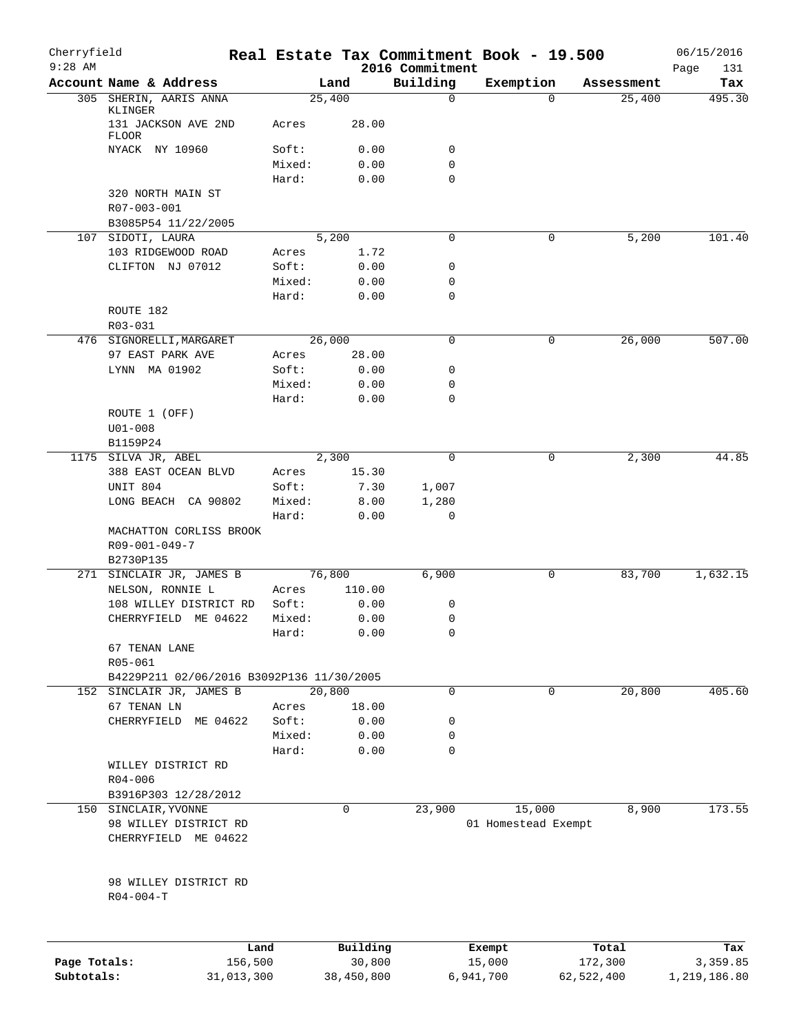| Cherryfield                |                                           |        |                      |                             | Real Estate Tax Commitment Book - 19.500 |            |            | 06/15/2016               |
|----------------------------|-------------------------------------------|--------|----------------------|-----------------------------|------------------------------------------|------------|------------|--------------------------|
| $9:28$ AM                  | Account Name & Address                    |        | Land                 | 2016 Commitment<br>Building | Exemption                                |            | Assessment | Page<br>131<br>Tax       |
|                            | 305 SHERIN, AARIS ANNA                    |        | 25,400               | $\mathbf 0$                 |                                          | $\Omega$   | 25,400     | 495.30                   |
|                            | KLINGER<br>131 JACKSON AVE 2ND            | Acres  | 28.00                |                             |                                          |            |            |                          |
|                            | <b>FLOOR</b>                              |        |                      |                             |                                          |            |            |                          |
|                            | NYACK NY 10960                            | Soft:  | 0.00                 | 0                           |                                          |            |            |                          |
|                            |                                           | Mixed: | 0.00                 | 0                           |                                          |            |            |                          |
|                            | 320 NORTH MAIN ST                         | Hard:  | 0.00                 | $\mathbf 0$                 |                                          |            |            |                          |
|                            | R07-003-001                               |        |                      |                             |                                          |            |            |                          |
|                            | B3085P54 11/22/2005<br>107 SIDOTI, LAURA  |        | 5,200                | 0                           |                                          | 0          | 5,200      | 101.40                   |
|                            | 103 RIDGEWOOD ROAD                        | Acres  | 1.72                 |                             |                                          |            |            |                          |
|                            | CLIFTON NJ 07012                          | Soft:  | 0.00                 | 0                           |                                          |            |            |                          |
|                            |                                           | Mixed: | 0.00                 | 0                           |                                          |            |            |                          |
|                            |                                           | Hard:  | 0.00                 | $\mathbf 0$                 |                                          |            |            |                          |
|                            | ROUTE 182                                 |        |                      |                             |                                          |            |            |                          |
|                            | R03-031                                   |        |                      |                             |                                          |            |            |                          |
|                            | 476 SIGNORELLI, MARGARET                  |        | 26,000               | 0                           |                                          | 0          | 26,000     | 507.00                   |
|                            | 97 EAST PARK AVE                          | Acres  | 28.00                |                             |                                          |            |            |                          |
|                            | LYNN MA 01902                             | Soft:  | 0.00                 | 0                           |                                          |            |            |                          |
|                            |                                           | Mixed: | 0.00                 | 0                           |                                          |            |            |                          |
|                            |                                           | Hard:  | 0.00                 | 0                           |                                          |            |            |                          |
|                            | ROUTE 1 (OFF)                             |        |                      |                             |                                          |            |            |                          |
|                            | $U01 - 008$                               |        |                      |                             |                                          |            |            |                          |
|                            | B1159P24                                  |        |                      |                             |                                          |            |            |                          |
|                            | 1175 SILVA JR, ABEL                       |        | 2,300                | 0                           |                                          | 0          | 2,300      | 44.85                    |
|                            | 388 EAST OCEAN BLVD                       | Acres  | 15.30                |                             |                                          |            |            |                          |
|                            | UNIT 804                                  | Soft:  | 7.30                 | 1,007                       |                                          |            |            |                          |
|                            | LONG BEACH CA 90802                       | Mixed: | 8.00                 | 1,280                       |                                          |            |            |                          |
|                            | MACHATTON CORLISS BROOK<br>R09-001-049-7  | Hard:  | 0.00                 | 0                           |                                          |            |            |                          |
|                            | B2730P135<br>271 SINCLAIR JR, JAMES B     |        | 76,800               | 6,900                       |                                          | 0          | 83,700     | 1,632.15                 |
|                            | NELSON, RONNIE L                          | Acres  | 110.00               |                             |                                          |            |            |                          |
|                            | 108 WILLEY DISTRICT RD                    | Soft:  | 0.00                 | 0                           |                                          |            |            |                          |
|                            | CHERRYFIELD ME 04622                      | Mixed: | 0.00                 | 0                           |                                          |            |            |                          |
|                            |                                           | Hard:  | 0.00                 | $\cap$                      |                                          |            |            |                          |
|                            | 67 TENAN LANE<br>R05-061                  |        |                      |                             |                                          |            |            |                          |
|                            | B4229P211 02/06/2016 B3092P136 11/30/2005 |        |                      |                             |                                          |            |            |                          |
|                            | 152 SINCLAIR JR, JAMES B                  |        | 20,800               | 0                           |                                          | 0          | 20,800     | 405.60                   |
|                            | 67 TENAN LN                               | Acres  | 18.00                |                             |                                          |            |            |                          |
|                            | CHERRYFIELD ME 04622                      | Soft:  | 0.00                 | 0                           |                                          |            |            |                          |
|                            |                                           | Mixed: | 0.00                 | 0                           |                                          |            |            |                          |
|                            |                                           | Hard:  | 0.00                 | 0                           |                                          |            |            |                          |
|                            | WILLEY DISTRICT RD                        |        |                      |                             |                                          |            |            |                          |
|                            | $R04 - 006$                               |        |                      |                             |                                          |            |            |                          |
|                            | B3916P303 12/28/2012                      |        |                      |                             |                                          |            |            |                          |
|                            | 150 SINCLAIR, YVONNE                      |        | 0                    | 23,900                      | 15,000                                   |            | 8,900      | 173.55                   |
|                            | 98 WILLEY DISTRICT RD                     |        |                      |                             | 01 Homestead Exempt                      |            |            |                          |
|                            | CHERRYFIELD ME 04622                      |        |                      |                             |                                          |            |            |                          |
|                            | 98 WILLEY DISTRICT RD<br>$R04 - 004 - T$  |        |                      |                             |                                          |            |            |                          |
|                            |                                           |        |                      |                             |                                          |            |            |                          |
|                            |                                           | Land   | Building             |                             | Exempt                                   |            | Total      | Tax                      |
| Page Totals:<br>Subtotals: | 156,500<br>31,013,300                     |        | 30,800<br>38,450,800 |                             | 15,000<br>6,941,700                      | 62,522,400 | 172,300    | 3,359.85<br>1,219,186.80 |
|                            |                                           |        |                      |                             |                                          |            |            |                          |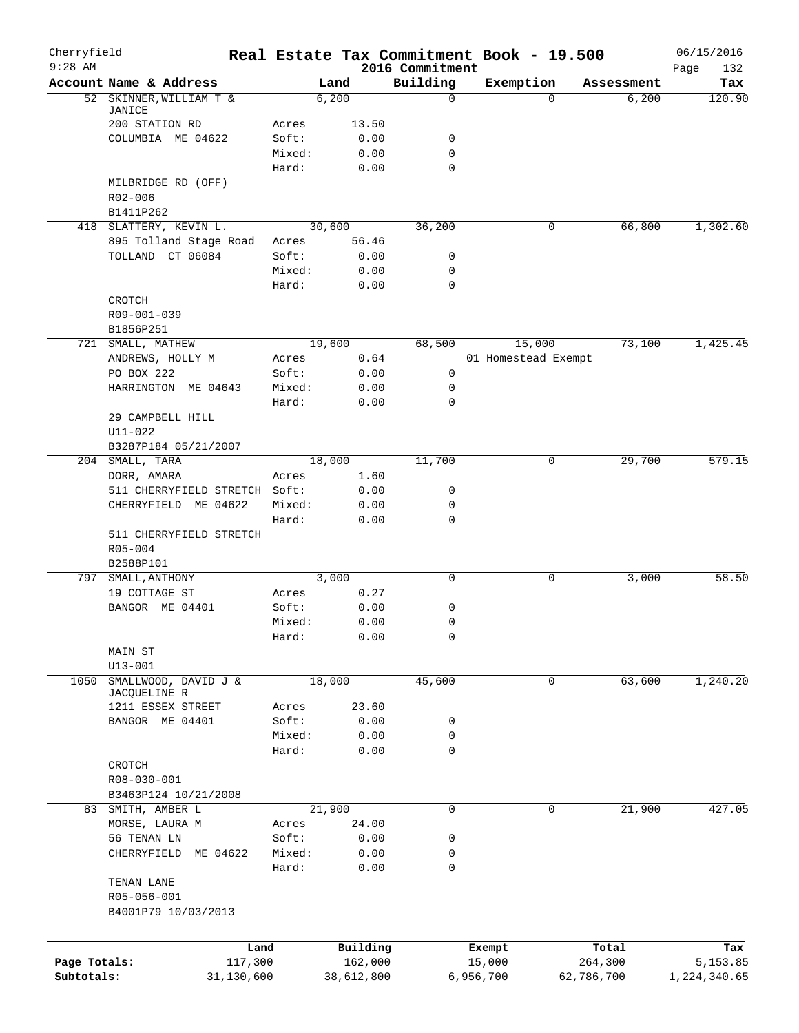| Cherryfield  |                               | Real Estate Tax Commitment Book - 19.500 |              |                             |           |                     |            | 06/15/2016         |
|--------------|-------------------------------|------------------------------------------|--------------|-----------------------------|-----------|---------------------|------------|--------------------|
| $9:28$ AM    | Account Name & Address        | Land                                     |              | 2016 Commitment<br>Building | Exemption |                     | Assessment | Page<br>132<br>Tax |
|              | 52 SKINNER, WILLIAM T &       | 6,200                                    |              | $\mathbf 0$                 |           | $\Omega$            | 6,200      | 120.90             |
|              | JANICE                        |                                          |              |                             |           |                     |            |                    |
|              | 200 STATION RD                | Acres                                    | 13.50        |                             |           |                     |            |                    |
|              | COLUMBIA ME 04622             | Soft:                                    | 0.00         | 0<br>0                      |           |                     |            |                    |
|              |                               | Mixed:<br>Hard:                          | 0.00<br>0.00 | 0                           |           |                     |            |                    |
|              | MILBRIDGE RD (OFF)            |                                          |              |                             |           |                     |            |                    |
|              | R02-006                       |                                          |              |                             |           |                     |            |                    |
|              | B1411P262                     |                                          |              |                             |           |                     |            |                    |
|              | 418 SLATTERY, KEVIN L.        | 30,600                                   |              | 36,200                      |           | 0                   | 66,800     | 1,302.60           |
|              | 895 Tolland Stage Road        | Acres                                    | 56.46        |                             |           |                     |            |                    |
|              | TOLLAND CT 06084              | Soft:                                    | 0.00         | 0                           |           |                     |            |                    |
|              |                               | Mixed:                                   | 0.00         | 0                           |           |                     |            |                    |
|              |                               | Hard:                                    | 0.00         | $\mathbf 0$                 |           |                     |            |                    |
|              | CROTCH                        |                                          |              |                             |           |                     |            |                    |
|              | R09-001-039                   |                                          |              |                             |           |                     |            |                    |
|              | B1856P251                     |                                          |              |                             |           |                     |            |                    |
|              | 721 SMALL, MATHEW             | 19,600                                   |              | 68,500                      |           | 15,000              | 73,100     | 1,425.45           |
|              | ANDREWS, HOLLY M              | Acres                                    | 0.64         |                             |           | 01 Homestead Exempt |            |                    |
|              | PO BOX 222                    | Soft:                                    | 0.00         | 0                           |           |                     |            |                    |
|              | HARRINGTON ME 04643           | Mixed:                                   | 0.00         | 0<br>0                      |           |                     |            |                    |
|              | 29 CAMPBELL HILL              | Hard:                                    | 0.00         |                             |           |                     |            |                    |
|              | $U11 - 022$                   |                                          |              |                             |           |                     |            |                    |
|              | B3287P184 05/21/2007          |                                          |              |                             |           |                     |            |                    |
|              | 204 SMALL, TARA               | 18,000                                   |              | 11,700                      |           | 0                   | 29,700     | 579.15             |
|              | DORR, AMARA                   | Acres                                    | 1.60         |                             |           |                     |            |                    |
|              | 511 CHERRYFIELD STRETCH Soft: |                                          | 0.00         | $\mathsf{O}$                |           |                     |            |                    |
|              | CHERRYFIELD ME 04622          | Mixed:                                   | 0.00         | 0                           |           |                     |            |                    |
|              |                               | Hard:                                    | 0.00         | $\mathbf 0$                 |           |                     |            |                    |
|              | 511 CHERRYFIELD STRETCH       |                                          |              |                             |           |                     |            |                    |
|              | R05-004                       |                                          |              |                             |           |                     |            |                    |
|              | B2588P101                     |                                          |              |                             |           |                     |            |                    |
|              | 797 SMALL, ANTHONY            | 3,000                                    |              | 0                           |           | 0                   | 3,000      | 58.50              |
|              | 19 COTTAGE ST                 | Acres                                    | 0.27         |                             |           |                     |            |                    |
|              | BANGOR ME 04401               | Soft:                                    | 0.00         | 0                           |           |                     |            |                    |
|              |                               | Mixed:                                   | 0.00         | 0                           |           |                     |            |                    |
|              |                               | Hard:                                    | 0.00         | 0                           |           |                     |            |                    |
|              | MAIN ST<br>$U13 - 001$        |                                          |              |                             |           |                     |            |                    |
| 1050         | SMALLWOOD, DAVID J &          | 18,000                                   |              | 45,600                      |           | 0                   | 63,600     | 1,240.20           |
|              | JACQUELINE R                  |                                          |              |                             |           |                     |            |                    |
|              | 1211 ESSEX STREET             | Acres                                    | 23.60        |                             |           |                     |            |                    |
|              | BANGOR ME 04401               | Soft:                                    | 0.00         | 0                           |           |                     |            |                    |
|              |                               | Mixed:                                   | 0.00         | 0                           |           |                     |            |                    |
|              |                               | Hard:                                    | 0.00         | 0                           |           |                     |            |                    |
|              | CROTCH                        |                                          |              |                             |           |                     |            |                    |
|              | R08-030-001                   |                                          |              |                             |           |                     |            |                    |
|              | B3463P124 10/21/2008          |                                          |              |                             |           |                     |            |                    |
| 83           | SMITH, AMBER L                | 21,900                                   |              | 0                           |           | 0                   | 21,900     | 427.05             |
|              | MORSE, LAURA M                | Acres                                    | 24.00        |                             |           |                     |            |                    |
|              | 56 TENAN LN                   | Soft:                                    | 0.00         | 0                           |           |                     |            |                    |
|              | CHERRYFIELD<br>ME 04622       | Mixed:                                   | 0.00         | 0                           |           |                     |            |                    |
|              |                               | Hard:                                    | 0.00         | 0                           |           |                     |            |                    |
|              | TENAN LANE                    |                                          |              |                             |           |                     |            |                    |
|              | R05-056-001                   |                                          |              |                             |           |                     |            |                    |
|              | B4001P79 10/03/2013           |                                          |              |                             |           |                     |            |                    |
|              |                               |                                          |              |                             |           |                     |            |                    |
|              | Land                          |                                          | Building     |                             | Exempt    |                     | Total      | Tax                |
| Page Totals: | 117,300                       |                                          | 162,000      |                             | 15,000    |                     | 264,300    | 5,153.85           |
| Subtotals:   | 31,130,600                    |                                          | 38,612,800   |                             | 6,956,700 | 62,786,700          |            | 1,224,340.65       |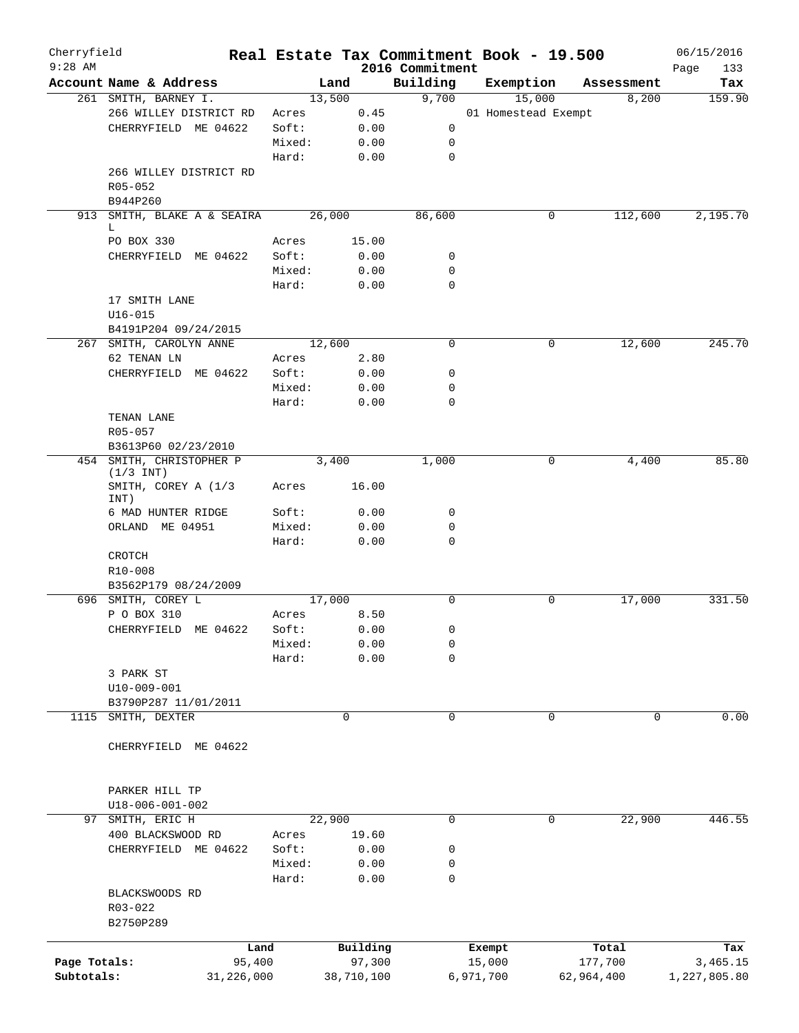| Cherryfield<br>$9:28$ AM |                                       |                 |              | 2016 Commitment | Real Estate Tax Commitment Book - 19.500 |             | 06/15/2016         |
|--------------------------|---------------------------------------|-----------------|--------------|-----------------|------------------------------------------|-------------|--------------------|
|                          | Account Name & Address                | Land            |              | Building        | Exemption                                | Assessment  | Page<br>133<br>Tax |
|                          | 261 SMITH, BARNEY I.                  | 13,500          |              | 9,700           | 15,000                                   | 8,200       | 159.90             |
|                          | 266 WILLEY DISTRICT RD                | Acres           | 0.45         |                 | 01 Homestead Exempt                      |             |                    |
|                          | CHERRYFIELD ME 04622                  | Soft:           | 0.00         | 0               |                                          |             |                    |
|                          |                                       | Mixed:          | 0.00         | 0               |                                          |             |                    |
|                          |                                       | Hard:           | 0.00         | $\mathbf 0$     |                                          |             |                    |
|                          | 266 WILLEY DISTRICT RD                |                 |              |                 |                                          |             |                    |
|                          | R05-052                               |                 |              |                 |                                          |             |                    |
|                          | B944P260                              |                 |              |                 |                                          |             |                    |
|                          | 913 SMITH, BLAKE A & SEAIRA           | 26,000          |              | 86,600          | 0                                        | 112,600     | 2,195.70           |
|                          | L                                     |                 |              |                 |                                          |             |                    |
|                          | PO BOX 330                            | Acres           | 15.00        |                 |                                          |             |                    |
|                          | CHERRYFIELD ME 04622                  | Soft:           | 0.00         | 0               |                                          |             |                    |
|                          |                                       | Mixed:          | 0.00         | $\mathbf 0$     |                                          |             |                    |
|                          |                                       | Hard:           | 0.00         | 0               |                                          |             |                    |
|                          | 17 SMITH LANE                         |                 |              |                 |                                          |             |                    |
|                          | $U16 - 015$                           |                 |              |                 |                                          |             |                    |
|                          | B4191P204 09/24/2015                  |                 |              |                 |                                          |             |                    |
|                          | 267 SMITH, CAROLYN ANNE               | 12,600          |              | $\mathbf 0$     | 0                                        | 12,600      | 245.70             |
|                          | 62 TENAN LN                           | Acres           | 2.80         |                 |                                          |             |                    |
|                          | CHERRYFIELD ME 04622                  | Soft:           | 0.00         | 0               |                                          |             |                    |
|                          |                                       | Mixed:          | 0.00         | 0               |                                          |             |                    |
|                          |                                       | Hard:           | 0.00         | 0               |                                          |             |                    |
|                          | TENAN LANE                            |                 |              |                 |                                          |             |                    |
|                          | R05-057                               |                 |              |                 |                                          |             |                    |
|                          | B3613P60 02/23/2010                   |                 |              |                 |                                          |             |                    |
|                          | 454 SMITH, CHRISTOPHER P              | 3,400           |              | 1,000           | 0                                        | 4,400       | 85.80              |
|                          | $(1/3$ INT)<br>SMITH, COREY A (1/3    | Acres           | 16.00        |                 |                                          |             |                    |
|                          | INT)<br>6 MAD HUNTER RIDGE            | Soft:           | 0.00         | 0               |                                          |             |                    |
|                          | ORLAND ME 04951                       | Mixed:          | 0.00         | 0               |                                          |             |                    |
|                          |                                       | Hard:           |              | 0               |                                          |             |                    |
|                          |                                       |                 | 0.00         |                 |                                          |             |                    |
|                          | CROTCH                                |                 |              |                 |                                          |             |                    |
|                          | R10-008<br>B3562P179 08/24/2009       |                 |              |                 |                                          |             |                    |
|                          | 696 SMITH, COREY L                    | 17,000          |              | $\mathbf 0$     | 0                                        | 17,000      | 331.50             |
|                          | P O BOX 310                           |                 |              |                 |                                          |             |                    |
|                          |                                       | Acres           | 8.50<br>0.00 | 0               |                                          |             |                    |
|                          | CHERRYFIELD ME 04622                  | Soft:<br>Mixed: |              |                 |                                          |             |                    |
|                          |                                       |                 | 0.00         | 0               |                                          |             |                    |
|                          | 3 PARK ST                             | Hard:           | 0.00         | 0               |                                          |             |                    |
|                          |                                       |                 |              |                 |                                          |             |                    |
|                          | U10-009-001                           |                 |              |                 |                                          |             |                    |
| 1115                     | B3790P287 11/01/2011<br>SMITH, DEXTER |                 | 0            | 0               | 0                                        | $\mathbf 0$ | 0.00               |
|                          |                                       |                 |              |                 |                                          |             |                    |
|                          | CHERRYFIELD ME 04622                  |                 |              |                 |                                          |             |                    |
|                          |                                       |                 |              |                 |                                          |             |                    |
|                          | PARKER HILL TP                        |                 |              |                 |                                          |             |                    |
| 97                       | U18-006-001-002<br>SMITH, ERIC H      | 22,900          |              | $\mathbf 0$     | 0                                        | 22,900      | 446.55             |
|                          |                                       |                 |              |                 |                                          |             |                    |
|                          | 400 BLACKSWOOD RD                     | Acres           | 19.60        |                 |                                          |             |                    |
|                          | CHERRYFIELD ME 04622                  | Soft:           | 0.00         | 0               |                                          |             |                    |
|                          |                                       | Mixed:          | 0.00         | 0               |                                          |             |                    |
|                          |                                       | Hard:           | 0.00         | 0               |                                          |             |                    |
|                          | BLACKSWOODS RD                        |                 |              |                 |                                          |             |                    |
|                          | R03-022                               |                 |              |                 |                                          |             |                    |
|                          | B2750P289                             |                 |              |                 |                                          |             |                    |
|                          | Land                                  |                 | Building     |                 | Exempt                                   | Total       | Tax                |
| Page Totals:             | 95,400                                |                 | 97,300       |                 | 15,000                                   | 177,700     | 3,465.15           |
| Subtotals:               | 31,226,000                            |                 | 38,710,100   |                 | 6,971,700                                | 62,964,400  | 1,227,805.80       |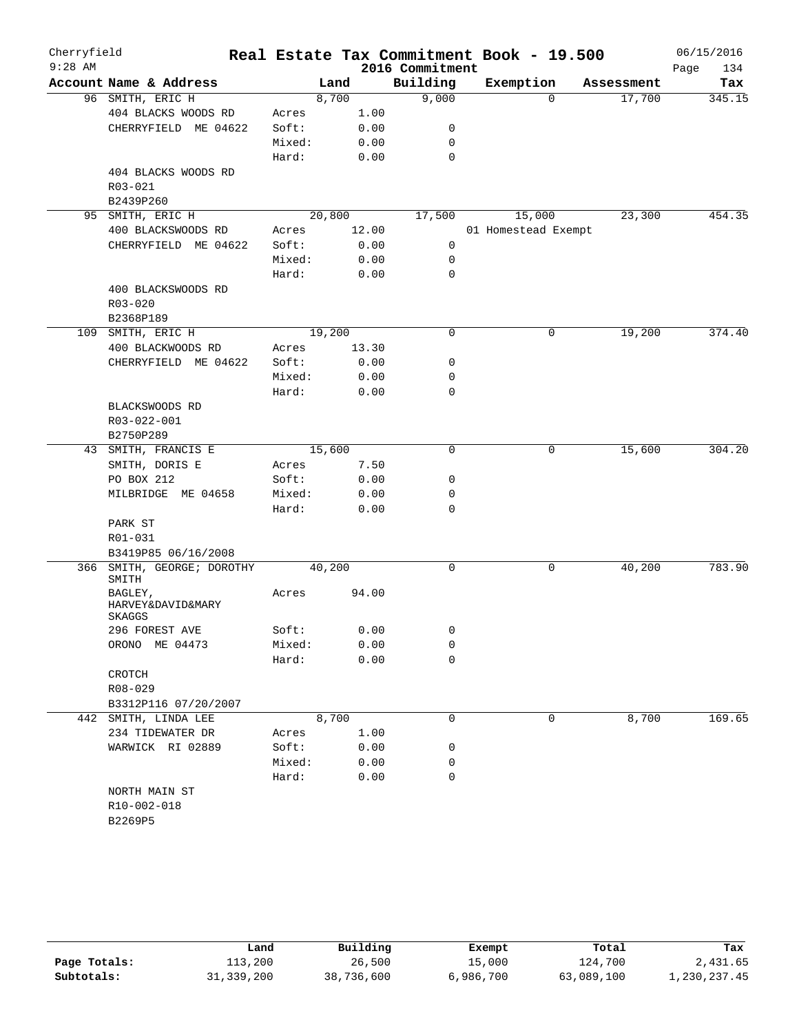| Cherryfield<br>$9:28$ AM |                                        |        |        |       | 2016 Commitment | Real Estate Tax Commitment Book - 19.500 |            | 06/15/2016<br>134<br>Page |
|--------------------------|----------------------------------------|--------|--------|-------|-----------------|------------------------------------------|------------|---------------------------|
|                          | Account Name & Address                 |        | Land   |       | Building        | Exemption                                | Assessment | Tax                       |
|                          | 96 SMITH, ERIC H                       |        | 8,700  |       | 9,000           | $\mathbf 0$                              | 17,700     | 345.15                    |
|                          | 404 BLACKS WOODS RD                    | Acres  |        | 1.00  |                 |                                          |            |                           |
|                          | CHERRYFIELD ME 04622                   | Soft:  |        | 0.00  | 0               |                                          |            |                           |
|                          |                                        | Mixed: |        | 0.00  | 0               |                                          |            |                           |
|                          |                                        | Hard:  |        | 0.00  | $\mathbf 0$     |                                          |            |                           |
|                          | 404 BLACKS WOODS RD                    |        |        |       |                 |                                          |            |                           |
|                          | $R03 - 021$                            |        |        |       |                 |                                          |            |                           |
|                          | B2439P260                              |        |        |       |                 |                                          |            |                           |
| 95                       | SMITH, ERIC H                          |        | 20,800 |       | 17,500          | 15,000                                   | 23,300     | 454.35                    |
|                          | 400 BLACKSWOODS RD                     | Acres  |        | 12.00 |                 | 01 Homestead Exempt                      |            |                           |
|                          | CHERRYFIELD ME 04622                   | Soft:  |        | 0.00  | 0               |                                          |            |                           |
|                          |                                        | Mixed: |        | 0.00  | 0               |                                          |            |                           |
|                          |                                        | Hard:  |        | 0.00  | $\mathbf 0$     |                                          |            |                           |
|                          | 400 BLACKSWOODS RD                     |        |        |       |                 |                                          |            |                           |
|                          | R03-020                                |        |        |       |                 |                                          |            |                           |
|                          | B2368P189                              |        |        |       |                 |                                          |            |                           |
|                          | 109 SMITH, ERIC H                      |        | 19,200 |       | 0               | 0                                        | 19,200     | 374.40                    |
|                          | 400 BLACKWOODS RD                      | Acres  |        | 13.30 |                 |                                          |            |                           |
|                          | CHERRYFIELD ME 04622                   | Soft:  |        | 0.00  | 0               |                                          |            |                           |
|                          |                                        | Mixed: |        | 0.00  | 0               |                                          |            |                           |
|                          |                                        | Hard:  |        | 0.00  | 0               |                                          |            |                           |
|                          | BLACKSWOODS RD                         |        |        |       |                 |                                          |            |                           |
|                          | R03-022-001                            |        |        |       |                 |                                          |            |                           |
|                          | B2750P289                              |        |        |       |                 |                                          |            |                           |
| 43                       | SMITH, FRANCIS E                       |        | 15,600 |       | $\mathbf 0$     | $\mathsf{O}$                             | 15,600     | 304.20                    |
|                          | SMITH, DORIS E                         | Acres  |        | 7.50  |                 |                                          |            |                           |
|                          | PO BOX 212                             | Soft:  |        | 0.00  | 0               |                                          |            |                           |
|                          | MILBRIDGE ME 04658                     | Mixed: |        | 0.00  | 0               |                                          |            |                           |
|                          |                                        | Hard:  |        | 0.00  | 0               |                                          |            |                           |
|                          | PARK ST                                |        |        |       |                 |                                          |            |                           |
|                          | R01-031                                |        |        |       |                 |                                          |            |                           |
|                          | B3419P85 06/16/2008                    |        |        |       |                 |                                          |            |                           |
| 366                      | SMITH, GEORGE; DOROTHY<br>SMITH        |        | 40,200 |       | $\mathbf 0$     | $\mathbf 0$                              | 40,200     | 783.90                    |
|                          | BAGLEY,<br>HARVEY&DAVID&MARY<br>SKAGGS | Acres  |        | 94.00 |                 |                                          |            |                           |
|                          | 296 FOREST AVE                         | Soft:  |        | 0.00  | 0               |                                          |            |                           |
|                          | ORONO ME 04473                         | Mixed: |        | 0.00  | 0               |                                          |            |                           |
|                          |                                        | Hard:  |        | 0.00  | 0               |                                          |            |                           |
|                          | CROTCH                                 |        |        |       |                 |                                          |            |                           |
|                          | R08-029                                |        |        |       |                 |                                          |            |                           |
|                          | B3312P116 07/20/2007                   |        |        |       |                 |                                          |            |                           |
|                          | 442 SMITH, LINDA LEE                   |        | 8,700  |       | 0               | $\mathsf{O}$                             | 8,700      | 169.65                    |
|                          | 234 TIDEWATER DR                       | Acres  |        | 1.00  |                 |                                          |            |                           |
|                          | WARWICK RI 02889                       | Soft:  |        | 0.00  | 0               |                                          |            |                           |
|                          |                                        | Mixed: |        | 0.00  | 0               |                                          |            |                           |
|                          |                                        | Hard:  |        | 0.00  | 0               |                                          |            |                           |
|                          | NORTH MAIN ST                          |        |        |       |                 |                                          |            |                           |
|                          | R10-002-018                            |        |        |       |                 |                                          |            |                           |
|                          | B2269P5                                |        |        |       |                 |                                          |            |                           |
|                          |                                        |        |        |       |                 |                                          |            |                           |

|              | Land         | Building   | Exempt    | Total      | Tax          |
|--------------|--------------|------------|-----------|------------|--------------|
| Page Totals: | 113,200      | 26,500     | 15,000    | 124,700    | 2,431.65     |
| Subtotals:   | 31, 339, 200 | 38,736,600 | 6,986,700 | 63,089,100 | 1,230,237.45 |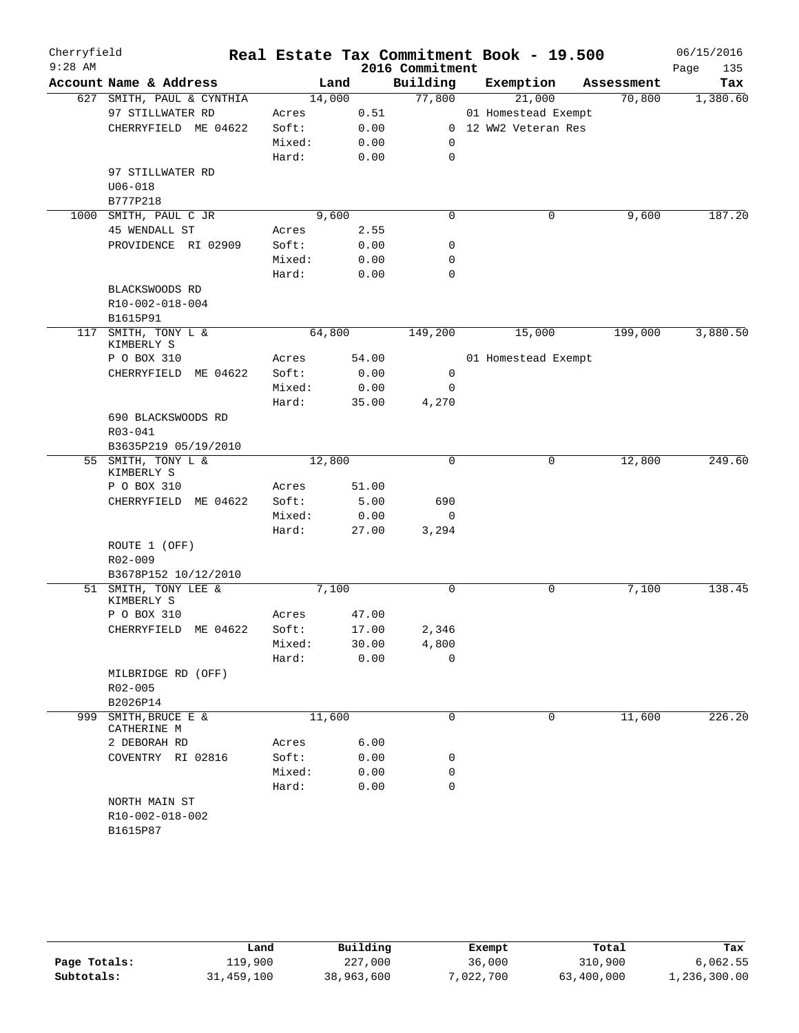| Cherryfield<br>$9:28$ AM |                                            |        |        | 2016 Commitment | Real Estate Tax Commitment Book - 19.500 |            | 06/15/2016<br>Page<br>135 |
|--------------------------|--------------------------------------------|--------|--------|-----------------|------------------------------------------|------------|---------------------------|
|                          | Account Name & Address                     |        | Land   | Building        | Exemption                                | Assessment | Tax                       |
|                          | 627 SMITH, PAUL & CYNTHIA                  |        | 14,000 | 77,800          | 21,000                                   | 70,800     | 1,380.60                  |
|                          | 97 STILLWATER RD                           | Acres  | 0.51   |                 | 01 Homestead Exempt                      |            |                           |
|                          | CHERRYFIELD ME 04622                       | Soft:  | 0.00   |                 | 0 12 WW2 Veteran Res                     |            |                           |
|                          |                                            | Mixed: | 0.00   | 0               |                                          |            |                           |
|                          |                                            | Hard:  | 0.00   | $\mathbf 0$     |                                          |            |                           |
|                          | 97 STILLWATER RD                           |        |        |                 |                                          |            |                           |
|                          | $U06 - 018$                                |        |        |                 |                                          |            |                           |
|                          | B777P218                                   |        |        |                 |                                          |            |                           |
| 1000                     | SMITH, PAUL C JR                           |        | 9,600  | $\mathbf 0$     | $\mathbf 0$                              | 9,600      | 187.20                    |
|                          | 45 WENDALL ST                              | Acres  | 2.55   |                 |                                          |            |                           |
|                          | PROVIDENCE RI 02909                        | Soft:  | 0.00   | 0               |                                          |            |                           |
|                          |                                            | Mixed: | 0.00   | 0               |                                          |            |                           |
|                          |                                            | Hard:  |        | 0               |                                          |            |                           |
|                          |                                            |        | 0.00   |                 |                                          |            |                           |
|                          | BLACKSWOODS RD                             |        |        |                 |                                          |            |                           |
|                          | R10-002-018-004                            |        |        |                 |                                          |            |                           |
|                          | B1615P91                                   |        |        |                 |                                          |            |                           |
| 117                      | SMITH, TONY L &<br>KIMBERLY S              |        | 64,800 | 149,200         | 15,000                                   | 199,000    | 3,880.50                  |
|                          | P O BOX 310                                | Acres  | 54.00  |                 | 01 Homestead Exempt                      |            |                           |
|                          | CHERRYFIELD ME 04622                       | Soft:  | 0.00   | 0               |                                          |            |                           |
|                          |                                            | Mixed: | 0.00   | $\mathbf 0$     |                                          |            |                           |
|                          |                                            | Hard:  | 35.00  | 4,270           |                                          |            |                           |
|                          | 690 BLACKSWOODS RD                         |        |        |                 |                                          |            |                           |
|                          |                                            |        |        |                 |                                          |            |                           |
|                          | R03-041                                    |        |        |                 |                                          |            |                           |
|                          | B3635P219 05/19/2010<br>55 SMITH, TONY L & |        | 12,800 | $\Omega$        | 0                                        | 12,800     | 249.60                    |
|                          | KIMBERLY S                                 |        |        |                 |                                          |            |                           |
|                          | P O BOX 310                                | Acres  | 51.00  |                 |                                          |            |                           |
|                          | CHERRYFIELD ME 04622                       | Soft:  | 5.00   | 690             |                                          |            |                           |
|                          |                                            | Mixed: | 0.00   | 0               |                                          |            |                           |
|                          |                                            | Hard:  | 27.00  | 3,294           |                                          |            |                           |
|                          | ROUTE 1 (OFF)                              |        |        |                 |                                          |            |                           |
|                          | R02-009                                    |        |        |                 |                                          |            |                           |
|                          | B3678P152 10/12/2010                       |        |        |                 |                                          |            |                           |
|                          | 51 SMITH, TONY LEE &                       |        | 7,100  | 0               | 0                                        | 7,100      | 138.45                    |
|                          | KIMBERLY S                                 |        |        |                 |                                          |            |                           |
|                          | P O BOX 310                                | Acres  | 47.00  |                 |                                          |            |                           |
|                          | CHERRYFIELD ME 04622                       | Soft:  | 17.00  | 2,346           |                                          |            |                           |
|                          |                                            | Mixed: | 30.00  | 4,800           |                                          |            |                           |
|                          |                                            | Hard:  | 0.00   | $\Omega$        |                                          |            |                           |
|                          | MILBRIDGE RD (OFF)                         |        |        |                 |                                          |            |                           |
|                          | R02-005                                    |        |        |                 |                                          |            |                           |
|                          | B2026P14                                   |        |        |                 |                                          |            |                           |
| 999                      | SMITH, BRUCE E &                           |        | 11,600 | $\mathbf 0$     | 0                                        | 11,600     | 226.20                    |
|                          | CATHERINE M                                |        |        |                 |                                          |            |                           |
|                          | 2 DEBORAH RD                               | Acres  | 6.00   |                 |                                          |            |                           |
|                          | COVENTRY RI 02816                          | Soft:  | 0.00   | 0               |                                          |            |                           |
|                          |                                            | Mixed: | 0.00   | 0               |                                          |            |                           |
|                          |                                            | Hard:  | 0.00   | 0               |                                          |            |                           |
|                          | NORTH MAIN ST                              |        |        |                 |                                          |            |                           |
|                          | R10-002-018-002                            |        |        |                 |                                          |            |                           |
|                          | B1615P87                                   |        |        |                 |                                          |            |                           |
|                          |                                            |        |        |                 |                                          |            |                           |

|              | Land       | Building   | Exempt    | Total      | Tax          |
|--------------|------------|------------|-----------|------------|--------------|
| Page Totals: | 119,900    | 227,000    | 36,000    | 310,900    | 6,062.55     |
| Subtotals:   | 31,459,100 | 38,963,600 | 7,022,700 | 63,400,000 | 1,236,300.00 |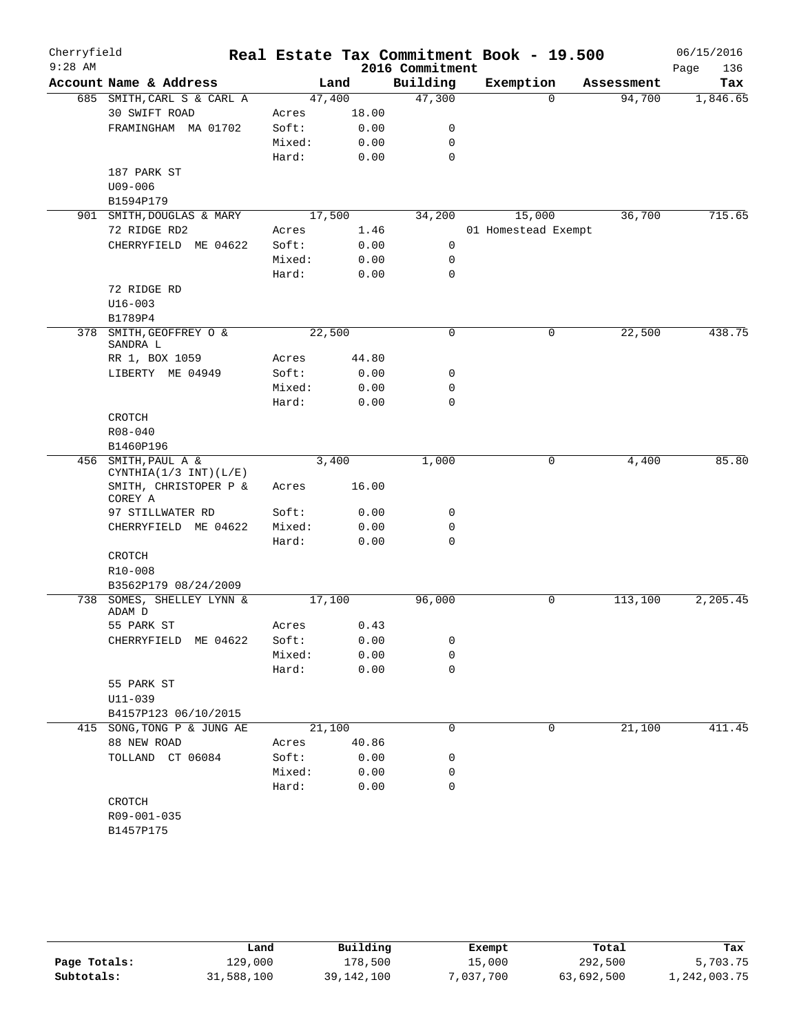| Cherryfield |                                  |                |       |                             | Real Estate Tax Commitment Book - 19.500 |            | 06/15/2016         |
|-------------|----------------------------------|----------------|-------|-----------------------------|------------------------------------------|------------|--------------------|
| $9:28$ AM   | Account Name & Address           |                | Land  | 2016 Commitment<br>Building | Exemption                                | Assessment | 136<br>Page<br>Tax |
|             | 685 SMITH, CARL S & CARL A       | 47,400         |       | 47,300                      | $\Omega$                                 | 94,700     | 1,846.65           |
|             | 30 SWIFT ROAD                    |                | 18.00 |                             |                                          |            |                    |
|             | FRAMINGHAM MA 01702              | Acres<br>Soft: | 0.00  |                             |                                          |            |                    |
|             |                                  |                |       | 0                           |                                          |            |                    |
|             |                                  | Mixed:         | 0.00  | 0<br>$\mathbf 0$            |                                          |            |                    |
|             |                                  | Hard:          | 0.00  |                             |                                          |            |                    |
|             | 187 PARK ST                      |                |       |                             |                                          |            |                    |
|             | $U09 - 006$<br>B1594P179         |                |       |                             |                                          |            |                    |
|             | 901 SMITH, DOUGLAS & MARY        | 17,500         |       | 34,200                      | 15,000                                   | 36,700     | 715.65             |
|             | 72 RIDGE RD2                     | Acres          | 1.46  |                             | 01 Homestead Exempt                      |            |                    |
|             | CHERRYFIELD ME 04622             | Soft:          | 0.00  | 0                           |                                          |            |                    |
|             |                                  | Mixed:         | 0.00  | 0                           |                                          |            |                    |
|             |                                  | Hard:          | 0.00  | $\mathbf 0$                 |                                          |            |                    |
|             | 72 RIDGE RD                      |                |       |                             |                                          |            |                    |
|             | $U16 - 003$                      |                |       |                             |                                          |            |                    |
|             | B1789P4                          |                |       |                             |                                          |            |                    |
|             | 378 SMITH, GEOFFREY O &          | 22,500         |       | $\mathbf 0$                 | $\mathbf 0$                              | 22,500     | 438.75             |
|             | SANDRA L                         |                |       |                             |                                          |            |                    |
|             | RR 1, BOX 1059                   | Acres          | 44.80 |                             |                                          |            |                    |
|             | LIBERTY ME 04949                 | Soft:          | 0.00  | 0                           |                                          |            |                    |
|             |                                  | Mixed:         | 0.00  | $\mathbf 0$                 |                                          |            |                    |
|             |                                  | Hard:          | 0.00  | $\mathbf 0$                 |                                          |            |                    |
|             | CROTCH                           |                |       |                             |                                          |            |                    |
|             | R08-040                          |                |       |                             |                                          |            |                    |
|             | B1460P196                        |                |       |                             |                                          |            |                    |
|             | 456 SMITH, PAUL A &              |                | 3,400 | 1,000                       | $\mathbf 0$                              | 4,400      | 85.80              |
|             | CYNTHIA $(1/3$ INT $)(L/E)$      |                |       |                             |                                          |            |                    |
|             | SMITH, CHRISTOPER P &<br>COREY A | Acres          | 16.00 |                             |                                          |            |                    |
|             | 97 STILLWATER RD                 | Soft:          | 0.00  | 0                           |                                          |            |                    |
|             | CHERRYFIELD ME 04622             | Mixed:         | 0.00  | $\mathbf 0$                 |                                          |            |                    |
|             |                                  | Hard:          | 0.00  | 0                           |                                          |            |                    |
|             | <b>CROTCH</b>                    |                |       |                             |                                          |            |                    |
|             | R10-008                          |                |       |                             |                                          |            |                    |
|             | B3562P179 08/24/2009             |                |       |                             |                                          |            |                    |
| 738         | SOMES, SHELLEY LYNN &<br>ADAM D  | 17,100         |       | 96,000                      | 0                                        | 113,100    | 2,205.45           |
|             | 55 PARK ST                       | Acres          | 0.43  |                             |                                          |            |                    |
|             | CHERRYFIELD ME 04622             | Soft:          | 0.00  | 0                           |                                          |            |                    |
|             |                                  | Mixed:         | 0.00  | 0                           |                                          |            |                    |
|             |                                  | Hard:          | 0.00  | 0                           |                                          |            |                    |
|             | 55 PARK ST                       |                |       |                             |                                          |            |                    |
|             | $U11 - 039$                      |                |       |                             |                                          |            |                    |
|             | B4157P123 06/10/2015             |                |       |                             |                                          |            |                    |
|             | 415 SONG, TONG P & JUNG AE       | 21,100         |       | 0                           | 0                                        | 21,100     | 411.45             |
|             | 88 NEW ROAD                      | Acres          | 40.86 |                             |                                          |            |                    |
|             | TOLLAND CT 06084                 | Soft:          | 0.00  | 0                           |                                          |            |                    |
|             |                                  | Mixed:         | 0.00  | 0                           |                                          |            |                    |
|             |                                  | Hard:          | 0.00  | 0                           |                                          |            |                    |
|             | CROTCH                           |                |       |                             |                                          |            |                    |
|             | R09-001-035                      |                |       |                             |                                          |            |                    |
|             | B1457P175                        |                |       |                             |                                          |            |                    |
|             |                                  |                |       |                             |                                          |            |                    |

|              | Land       | Building     | Exempt    | Total      | Tax          |
|--------------|------------|--------------|-----------|------------|--------------|
| Page Totals: | 129,000    | 178,500      | 15,000    | 292,500    | 5,703.75     |
| Subtotals:   | 31,588,100 | 39, 142, 100 | 7,037,700 | 63,692,500 | 1,242,003.75 |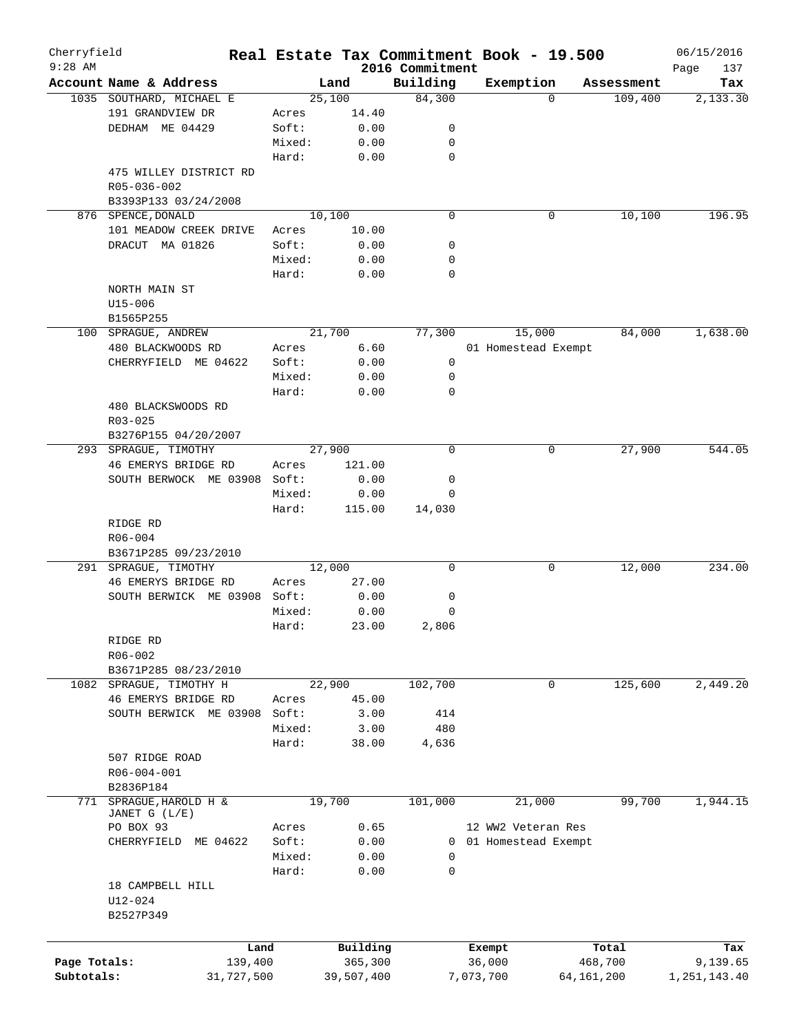| Cherryfield<br>$9:28$ AM |                                              |        |            |                             | Real Estate Tax Commitment Book - 19.500 |              |            | 06/15/2016         |
|--------------------------|----------------------------------------------|--------|------------|-----------------------------|------------------------------------------|--------------|------------|--------------------|
|                          | Account Name & Address                       |        | Land       | 2016 Commitment<br>Building | Exemption                                |              | Assessment | Page<br>137<br>Tax |
|                          | 1035 SOUTHARD, MICHAEL E                     |        | 25,100     | 84,300                      |                                          | $\Omega$     | 109,400    | 2,133.30           |
|                          | 191 GRANDVIEW DR                             | Acres  | 14.40      |                             |                                          |              |            |                    |
|                          | DEDHAM ME 04429                              | Soft:  | 0.00       | 0                           |                                          |              |            |                    |
|                          |                                              | Mixed: | 0.00       | 0                           |                                          |              |            |                    |
|                          |                                              | Hard:  | 0.00       | $\mathbf 0$                 |                                          |              |            |                    |
|                          | 475 WILLEY DISTRICT RD                       |        |            |                             |                                          |              |            |                    |
|                          | R05-036-002                                  |        |            |                             |                                          |              |            |                    |
|                          | B3393P133 03/24/2008                         |        |            |                             |                                          |              |            |                    |
|                          |                                              |        | 10,100     | 0                           |                                          | 0            | 10,100     | 196.95             |
|                          | 876 SPENCE, DONALD                           |        |            |                             |                                          |              |            |                    |
|                          | 101 MEADOW CREEK DRIVE                       | Acres  | 10.00      |                             |                                          |              |            |                    |
|                          | DRACUT MA 01826                              | Soft:  | 0.00       | 0                           |                                          |              |            |                    |
|                          |                                              | Mixed: | 0.00       | 0                           |                                          |              |            |                    |
|                          |                                              | Hard:  | 0.00       | 0                           |                                          |              |            |                    |
|                          | NORTH MAIN ST                                |        |            |                             |                                          |              |            |                    |
|                          | $U15 - 006$                                  |        |            |                             |                                          |              |            |                    |
|                          | B1565P255                                    |        |            |                             |                                          |              |            |                    |
|                          | 100 SPRAGUE, ANDREW                          |        | 21,700     | 77,300                      | 15,000                                   |              | 84,000     | 1,638.00           |
|                          | 480 BLACKWOODS RD                            | Acres  | 6.60       |                             | 01 Homestead Exempt                      |              |            |                    |
|                          | CHERRYFIELD ME 04622                         | Soft:  | 0.00       | 0                           |                                          |              |            |                    |
|                          |                                              | Mixed: | 0.00       | 0                           |                                          |              |            |                    |
|                          |                                              | Hard:  | 0.00       | $\mathbf 0$                 |                                          |              |            |                    |
|                          | 480 BLACKSWOODS RD                           |        |            |                             |                                          |              |            |                    |
|                          | $R03 - 025$                                  |        |            |                             |                                          |              |            |                    |
|                          | B3276P155 04/20/2007                         |        |            |                             |                                          |              |            |                    |
|                          | 293 SPRAGUE, TIMOTHY                         |        | 27,900     | 0                           |                                          | 0            | 27,900     | 544.05             |
|                          | 46 EMERYS BRIDGE RD                          | Acres  | 121.00     |                             |                                          |              |            |                    |
|                          | SOUTH BERWOCK ME 03908                       | Soft:  | 0.00       | 0                           |                                          |              |            |                    |
|                          |                                              | Mixed: | 0.00       | 0                           |                                          |              |            |                    |
|                          |                                              | Hard:  | 115.00     | 14,030                      |                                          |              |            |                    |
|                          | RIDGE RD                                     |        |            |                             |                                          |              |            |                    |
|                          | R06-004                                      |        |            |                             |                                          |              |            |                    |
|                          |                                              |        |            |                             |                                          |              |            |                    |
|                          | B3671P285 09/23/2010<br>291 SPRAGUE, TIMOTHY |        | 12,000     | 0                           |                                          | 0            | 12,000     | 234.00             |
|                          | 46 EMERYS BRIDGE RD                          |        |            |                             |                                          |              |            |                    |
|                          |                                              | Acres  | 27.00      |                             |                                          |              |            |                    |
|                          | SOUTH BERWICK ME 03908                       | Soft:  | 0.00       | 0                           |                                          |              |            |                    |
|                          |                                              | Mixed: | 0.00       | 0                           |                                          |              |            |                    |
|                          |                                              | Hard:  | 23.00      | 2,806                       |                                          |              |            |                    |
|                          | RIDGE RD                                     |        |            |                             |                                          |              |            |                    |
|                          | R06-002                                      |        |            |                             |                                          |              |            |                    |
|                          | B3671P285 08/23/2010                         |        |            |                             |                                          |              |            |                    |
| 1082                     | SPRAGUE, TIMOTHY H                           |        | 22,900     | 102,700                     |                                          | 0            | 125,600    | 2,449.20           |
|                          | 46 EMERYS BRIDGE RD                          | Acres  | 45.00      |                             |                                          |              |            |                    |
|                          | SOUTH BERWICK ME 03908                       | Soft:  | 3.00       | 414                         |                                          |              |            |                    |
|                          |                                              | Mixed: | 3.00       | 480                         |                                          |              |            |                    |
|                          |                                              | Hard:  | 38.00      | 4,636                       |                                          |              |            |                    |
|                          | 507 RIDGE ROAD                               |        |            |                             |                                          |              |            |                    |
|                          | R06-004-001                                  |        |            |                             |                                          |              |            |                    |
|                          | B2836P184                                    |        |            |                             |                                          |              |            |                    |
|                          | 771 SPRAGUE, HAROLD H &                      |        | 19,700     | 101,000                     | 21,000                                   |              | 99,700     | 1,944.15           |
|                          | JANET G (L/E)                                |        |            |                             |                                          |              |            |                    |
|                          | PO BOX 93                                    | Acres  | 0.65       |                             | 12 WW2 Veteran Res                       |              |            |                    |
|                          | CHERRYFIELD ME 04622                         | Soft:  | 0.00       | 0                           | 01 Homestead Exempt                      |              |            |                    |
|                          |                                              | Mixed: | 0.00       | 0                           |                                          |              |            |                    |
|                          |                                              | Hard:  | 0.00       | 0                           |                                          |              |            |                    |
|                          | 18 CAMPBELL HILL                             |        |            |                             |                                          |              |            |                    |
|                          | U12-024                                      |        |            |                             |                                          |              |            |                    |
|                          | B2527P349                                    |        |            |                             |                                          |              |            |                    |
|                          |                                              |        |            |                             |                                          |              |            |                    |
|                          |                                              |        |            |                             |                                          |              |            |                    |
|                          | Land                                         |        | Building   |                             | Exempt                                   |              | Total      | Tax                |
| Page Totals:             | 139,400                                      |        | 365,300    |                             | 36,000                                   |              | 468,700    | 9,139.65           |
| Subtotals:               | 31,727,500                                   |        | 39,507,400 |                             | 7,073,700                                | 64, 161, 200 |            | 1,251,143.40       |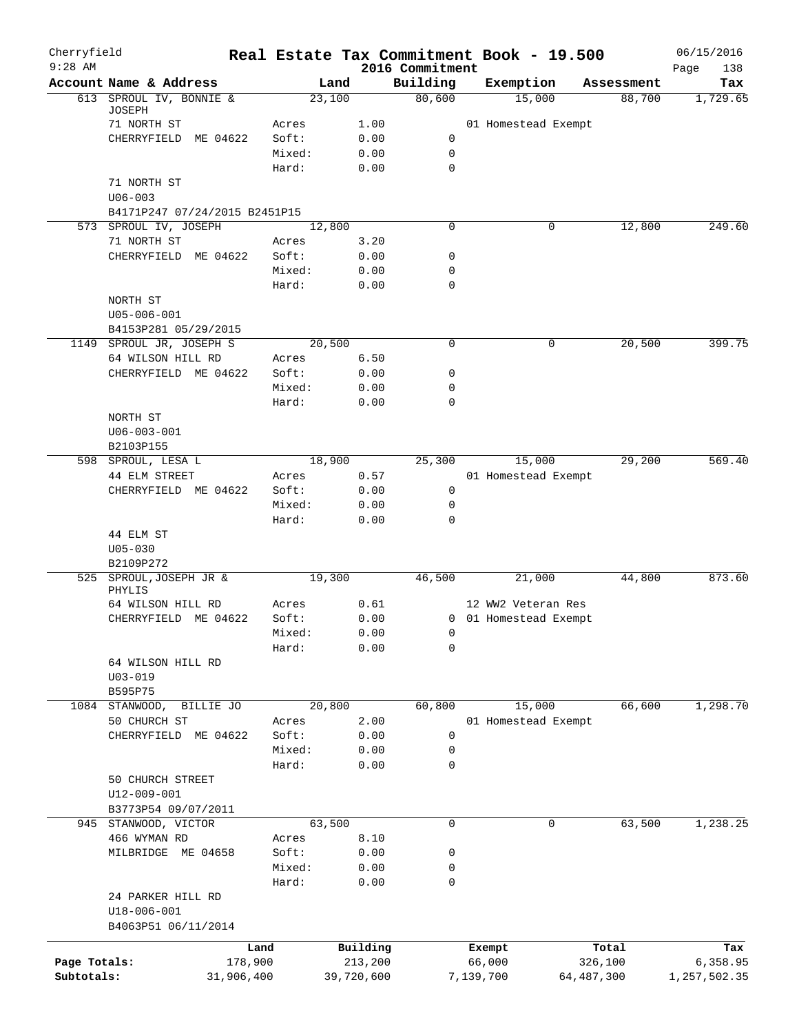| Cherryfield<br>$9:28$ AM |                                   |         |            | 2016 Commitment | Real Estate Tax Commitment Book - 19.500 |              | 06/15/2016<br>Page<br>138 |
|--------------------------|-----------------------------------|---------|------------|-----------------|------------------------------------------|--------------|---------------------------|
|                          | Account Name & Address            | Land    |            | Building        | Exemption                                | Assessment   | Tax                       |
|                          | 613 SPROUL IV, BONNIE &<br>JOSEPH | 23,100  |            | 80,600          | 15,000                                   | 88,700       | 1,729.65                  |
|                          | 71 NORTH ST                       | Acres   | 1.00       |                 | 01 Homestead Exempt                      |              |                           |
|                          | CHERRYFIELD ME 04622              | Soft:   | 0.00       | 0               |                                          |              |                           |
|                          |                                   | Mixed:  | 0.00       | $\mathbf 0$     |                                          |              |                           |
|                          |                                   | Hard:   | 0.00       | $\mathbf 0$     |                                          |              |                           |
|                          | 71 NORTH ST                       |         |            |                 |                                          |              |                           |
|                          | $U06 - 003$                       |         |            |                 |                                          |              |                           |
|                          | B4171P247 07/24/2015 B2451P15     |         |            |                 |                                          |              |                           |
|                          | 573 SPROUL IV, JOSEPH             | 12,800  |            | $\Omega$        | 0                                        | 12,800       | 249.60                    |
|                          | 71 NORTH ST                       | Acres   | 3.20       |                 |                                          |              |                           |
|                          | CHERRYFIELD ME 04622              | Soft:   | 0.00       | 0               |                                          |              |                           |
|                          |                                   | Mixed:  | 0.00       | 0               |                                          |              |                           |
|                          |                                   | Hard:   | 0.00       | 0               |                                          |              |                           |
|                          | NORTH ST                          |         |            |                 |                                          |              |                           |
|                          | U05-006-001                       |         |            |                 |                                          |              |                           |
|                          | B4153P281 05/29/2015              |         |            |                 |                                          |              |                           |
|                          | 1149 SPROUL JR, JOSEPH S          | 20,500  |            | 0               | 0                                        | 20,500       | 399.75                    |
|                          | 64 WILSON HILL RD                 | Acres   | 6.50       |                 |                                          |              |                           |
|                          | CHERRYFIELD ME 04622              | Soft:   | 0.00       | 0               |                                          |              |                           |
|                          |                                   | Mixed:  | 0.00       | 0               |                                          |              |                           |
|                          |                                   | Hard:   | 0.00       | $\Omega$        |                                          |              |                           |
|                          | NORTH ST                          |         |            |                 |                                          |              |                           |
|                          | $U06 - 003 - 001$                 |         |            |                 |                                          |              |                           |
|                          | B2103P155                         |         |            |                 |                                          |              |                           |
|                          | 598 SPROUL, LESA L                | 18,900  |            | 25,300          | 15,000                                   | 29,200       | 569.40                    |
|                          | 44 ELM STREET                     | Acres   | 0.57       |                 | 01 Homestead Exempt                      |              |                           |
|                          | CHERRYFIELD ME 04622              | Soft:   | 0.00       | $\mathbf 0$     |                                          |              |                           |
|                          |                                   | Mixed:  | 0.00       | 0               |                                          |              |                           |
|                          |                                   | Hard:   | 0.00       | $\mathbf 0$     |                                          |              |                           |
|                          | 44 ELM ST                         |         |            |                 |                                          |              |                           |
|                          | $U05 - 030$                       |         |            |                 |                                          |              |                           |
|                          | B2109P272                         |         |            |                 |                                          |              |                           |
|                          | 525 SPROUL, JOSEPH JR &           | 19,300  |            | 46,500          | 21,000                                   | 44,800       | 873.60                    |
|                          | PHYLIS                            |         |            |                 |                                          |              |                           |
|                          | 64 WILSON HILL RD                 | Acres   | 0.61       |                 | 12 WW2 Veteran Res                       |              |                           |
|                          | CHERRYFIELD ME 04622              | Soft:   | 0.00       |                 | 0 01 Homestead Exempt                    |              |                           |
|                          |                                   | Mixed:  | 0.00       | $\overline{0}$  |                                          |              |                           |
|                          |                                   | Hard:   | 0.00       | 0               |                                          |              |                           |
|                          | 64 WILSON HILL RD                 |         |            |                 |                                          |              |                           |
|                          | $U03 - 019$                       |         |            |                 |                                          |              |                           |
|                          | B595P75                           |         |            |                 |                                          |              |                           |
| 1084                     | STANWOOD,<br>BILLIE JO            | 20,800  |            | 60,800          | 15,000                                   | 66,600       | 1,298.70                  |
|                          | 50 CHURCH ST                      | Acres   | 2.00       |                 | 01 Homestead Exempt                      |              |                           |
|                          | CHERRYFIELD ME 04622              | Soft:   | 0.00       | 0               |                                          |              |                           |
|                          |                                   | Mixed:  | 0.00       | 0               |                                          |              |                           |
|                          |                                   | Hard:   | 0.00       | 0               |                                          |              |                           |
|                          | 50 CHURCH STREET                  |         |            |                 |                                          |              |                           |
|                          | U12-009-001                       |         |            |                 |                                          |              |                           |
|                          | B3773P54 09/07/2011               |         |            |                 |                                          |              |                           |
| 945                      | STANWOOD, VICTOR                  | 63,500  |            | 0               | 0                                        | 63,500       | 1,238.25                  |
|                          | 466 WYMAN RD                      | Acres   | 8.10       |                 |                                          |              |                           |
|                          | MILBRIDGE ME 04658                | Soft:   | 0.00       | 0               |                                          |              |                           |
|                          |                                   | Mixed:  | 0.00       | 0               |                                          |              |                           |
|                          |                                   | Hard:   | 0.00       | 0               |                                          |              |                           |
|                          | 24 PARKER HILL RD                 |         |            |                 |                                          |              |                           |
|                          | $U18 - 006 - 001$                 |         |            |                 |                                          |              |                           |
|                          | B4063P51 06/11/2014               |         |            |                 |                                          |              |                           |
|                          |                                   | Land    | Building   |                 | Exempt                                   | Total        | Tax                       |
| Page Totals:             |                                   | 178,900 | 213,200    |                 | 66,000                                   | 326,100      | 6,358.95                  |
| Subtotals:               | 31,906,400                        |         | 39,720,600 |                 | 7,139,700                                | 64, 487, 300 | 1,257,502.35              |
|                          |                                   |         |            |                 |                                          |              |                           |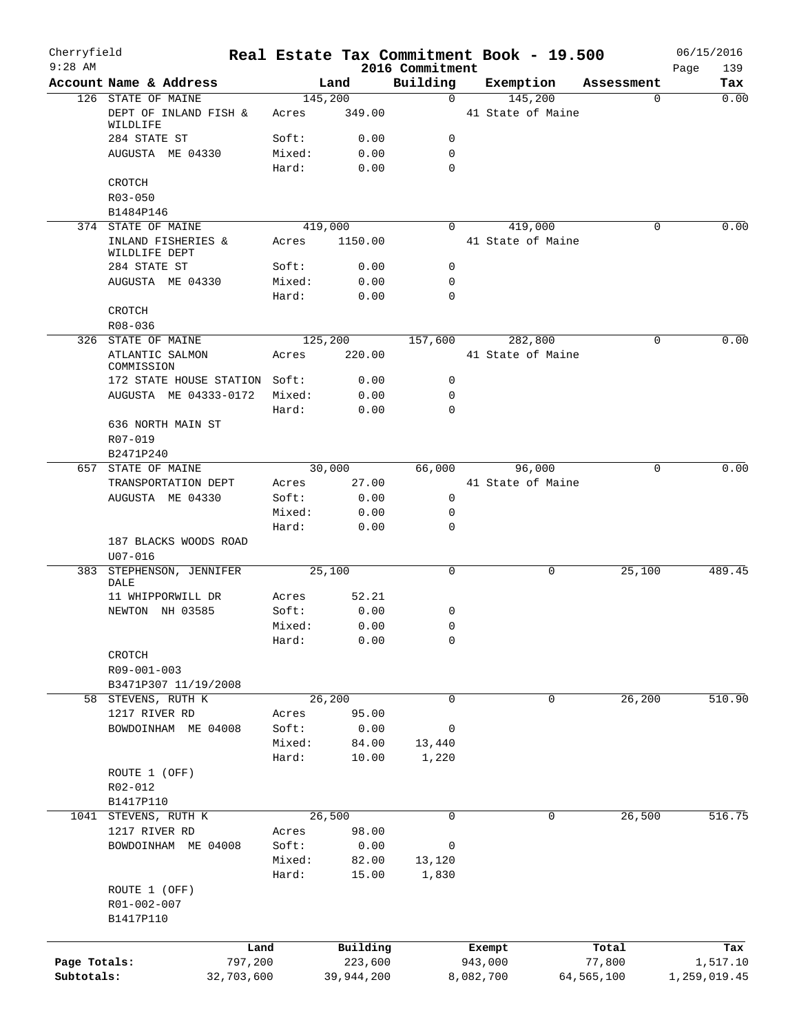| Cherryfield  |                                           |         |                 |                             | Real Estate Tax Commitment Book - 19.500 |                 | 06/15/2016   |
|--------------|-------------------------------------------|---------|-----------------|-----------------------------|------------------------------------------|-----------------|--------------|
| $9:28$ AM    | Account Name & Address                    |         |                 | 2016 Commitment<br>Building |                                          |                 | 139<br>Page  |
|              | 126 STATE OF MAINE                        |         | Land<br>145,200 | $\mathbf 0$                 | Exemption<br>145,200                     | Assessment<br>0 | Tax<br>0.00  |
|              | DEPT OF INLAND FISH &<br>WILDLIFE         | Acres   | 349.00          |                             | 41 State of Maine                        |                 |              |
|              | 284 STATE ST                              | Soft:   | 0.00            | $\mathbf 0$                 |                                          |                 |              |
|              | AUGUSTA ME 04330                          | Mixed:  | 0.00            | $\mathbf 0$                 |                                          |                 |              |
|              |                                           | Hard:   | 0.00            | $\Omega$                    |                                          |                 |              |
|              | CROTCH                                    |         |                 |                             |                                          |                 |              |
|              | R03-050                                   |         |                 |                             |                                          |                 |              |
|              | B1484P146                                 |         |                 |                             |                                          |                 |              |
|              | 374 STATE OF MAINE                        |         | 419,000         | $\Omega$                    | 419,000                                  | 0               | 0.00         |
|              | INLAND FISHERIES &<br>WILDLIFE DEPT       | Acres   | 1150.00         |                             | 41 State of Maine                        |                 |              |
|              | 284 STATE ST                              | Soft:   | 0.00            | 0                           |                                          |                 |              |
|              | AUGUSTA ME 04330                          | Mixed:  | 0.00            | $\mathbf 0$                 |                                          |                 |              |
|              |                                           | Hard:   | 0.00            | $\mathbf 0$                 |                                          |                 |              |
|              | CROTCH                                    |         |                 |                             |                                          |                 |              |
|              | R08-036                                   |         |                 |                             |                                          |                 |              |
|              | 326 STATE OF MAINE                        |         | 125,200         | 157,600                     | 282,800                                  | $\Omega$        | 0.00         |
|              | ATLANTIC SALMON<br>COMMISSION             | Acres   | 220.00          |                             | 41 State of Maine                        |                 |              |
|              | 172 STATE HOUSE STATION Soft:             |         | 0.00            | $\mathbf 0$                 |                                          |                 |              |
|              | AUGUSTA ME 04333-0172                     | Mixed:  | 0.00            | $\mathbf 0$                 |                                          |                 |              |
|              |                                           | Hard:   | 0.00            | $\mathbf 0$                 |                                          |                 |              |
|              | 636 NORTH MAIN ST<br>R07-019              |         |                 |                             |                                          |                 |              |
|              | B2471P240                                 |         |                 |                             |                                          |                 |              |
| 657          | STATE OF MAINE                            |         | 30,000          | 66,000                      | 96,000                                   | 0               | 0.00         |
|              | TRANSPORTATION DEPT                       | Acres   | 27.00           |                             | 41 State of Maine                        |                 |              |
|              | AUGUSTA ME 04330                          | Soft:   | 0.00            | $\mathbf 0$                 |                                          |                 |              |
|              |                                           | Mixed:  | 0.00            | 0                           |                                          |                 |              |
|              |                                           | Hard:   | 0.00            | $\mathbf 0$                 |                                          |                 |              |
|              | 187 BLACKS WOODS ROAD<br>$U07 - 016$      |         |                 |                             |                                          |                 |              |
| 383          | STEPHENSON, JENNIFER                      |         | 25,100          | $\mathbf 0$                 | 0                                        | 25,100          | 489.45       |
|              | DALE                                      |         |                 |                             |                                          |                 |              |
|              | 11 WHIPPORWILL DR                         | Acres   | 52.21           |                             |                                          |                 |              |
|              | NEWTON NH 03585                           | Soft:   | 0.00            | 0                           |                                          |                 |              |
|              |                                           | Mixed:  | 0.00            | $\mathbf 0$                 |                                          |                 |              |
|              |                                           | Hard:   | 0.00            | 0                           |                                          |                 |              |
|              | CROTCH                                    |         |                 |                             |                                          |                 |              |
|              | R09-001-003                               |         |                 |                             |                                          |                 |              |
|              | B3471P307 11/19/2008                      |         |                 |                             |                                          |                 |              |
|              | 58 STEVENS, RUTH K                        |         | 26,200          | $\mathbf 0$                 | 0                                        | 26,200          | 510.90       |
|              | 1217 RIVER RD                             | Acres   | 95.00           |                             |                                          |                 |              |
|              | BOWDOINHAM ME 04008                       | Soft:   | 0.00            | $\mathbf 0$                 |                                          |                 |              |
|              |                                           | Mixed:  | 84.00           | 13,440                      |                                          |                 |              |
|              |                                           | Hard:   | 10.00           | 1,220                       |                                          |                 |              |
|              | ROUTE 1 (OFF)                             |         |                 |                             |                                          |                 |              |
|              | R02-012                                   |         |                 |                             |                                          |                 |              |
|              | B1417P110                                 |         |                 |                             |                                          |                 |              |
|              | 1041 STEVENS, RUTH K                      |         | 26,500          | 0                           | 0                                        | 26,500          | 516.75       |
|              | 1217 RIVER RD                             | Acres   | 98.00           |                             |                                          |                 |              |
|              | BOWDOINHAM ME 04008                       | Soft:   | 0.00            | $\mathbf 0$                 |                                          |                 |              |
|              |                                           | Mixed:  | 82.00           | 13,120                      |                                          |                 |              |
|              |                                           | Hard:   | 15.00           | 1,830                       |                                          |                 |              |
|              | ROUTE 1 (OFF)<br>R01-002-007<br>B1417P110 |         |                 |                             |                                          |                 |              |
|              |                                           |         |                 |                             |                                          |                 |              |
|              |                                           | Land    | Building        |                             | Exempt                                   | Total           | Tax          |
| Page Totals: |                                           | 797,200 | 223,600         |                             | 943,000                                  | 77,800          | 1,517.10     |
| Subtotals:   | 32,703,600                                |         | 39,944,200      |                             | 8,082,700                                | 64,565,100      | 1,259,019.45 |
|              |                                           |         |                 |                             |                                          |                 |              |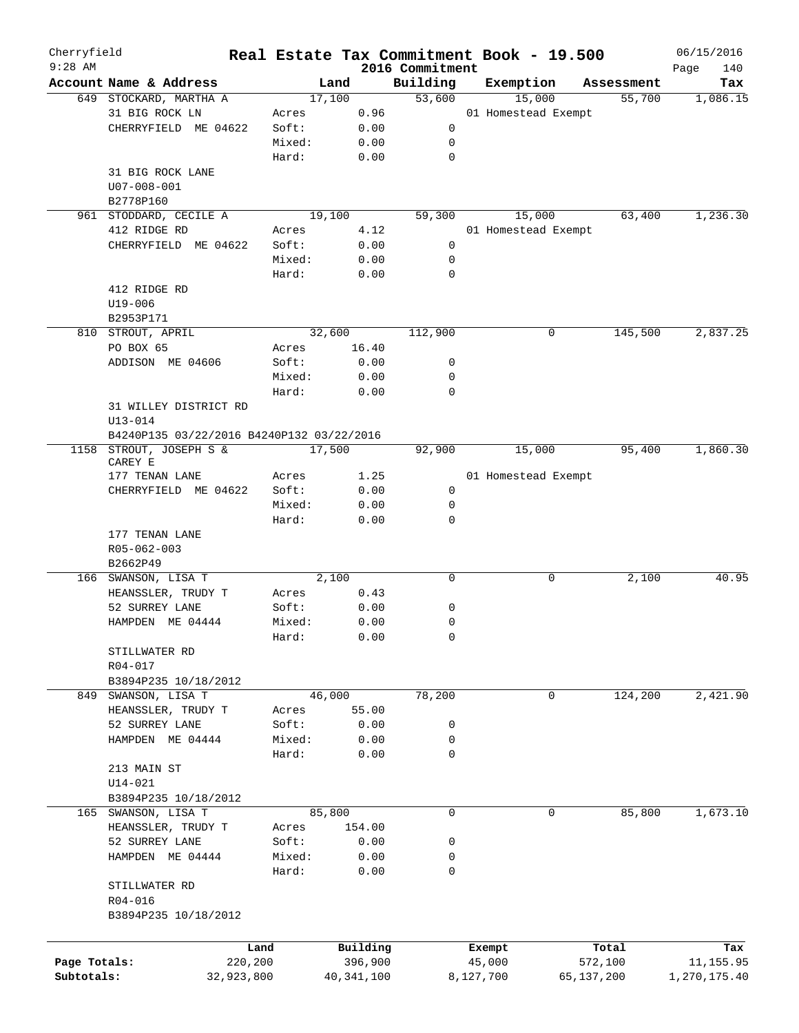| Cherryfield  |                                           |         |        |            |                             | Real Estate Tax Commitment Book - 19.500 |            |            | 06/15/2016         |
|--------------|-------------------------------------------|---------|--------|------------|-----------------------------|------------------------------------------|------------|------------|--------------------|
| $9:28$ AM    | Account Name & Address                    |         | Land   |            | 2016 Commitment<br>Building | Exemption                                |            | Assessment | Page<br>140<br>Tax |
|              | 649 STOCKARD, MARTHA A                    |         | 17,100 |            | 53,600                      | 15,000                                   |            | 55,700     | 1,086.15           |
|              | 31 BIG ROCK LN                            | Acres   |        | 0.96       |                             | 01 Homestead Exempt                      |            |            |                    |
|              | CHERRYFIELD ME 04622                      | Soft:   |        | 0.00       | 0                           |                                          |            |            |                    |
|              |                                           | Mixed:  |        | 0.00       | 0                           |                                          |            |            |                    |
|              |                                           | Hard:   |        | 0.00       | 0                           |                                          |            |            |                    |
|              | 31 BIG ROCK LANE                          |         |        |            |                             |                                          |            |            |                    |
|              | $U07 - 008 - 001$                         |         |        |            |                             |                                          |            |            |                    |
|              | B2778P160                                 |         |        |            |                             |                                          |            |            |                    |
|              | 961 STODDARD, CECILE A                    |         | 19,100 |            | 59,300                      | 15,000                                   |            | 63,400     | 1,236.30           |
|              | 412 RIDGE RD                              | Acres   |        | 4.12       |                             | 01 Homestead Exempt                      |            |            |                    |
|              | CHERRYFIELD ME 04622                      | Soft:   |        | 0.00       | 0                           |                                          |            |            |                    |
|              |                                           | Mixed:  |        | 0.00       | 0                           |                                          |            |            |                    |
|              |                                           | Hard:   |        | 0.00       | 0                           |                                          |            |            |                    |
|              | 412 RIDGE RD                              |         |        |            |                             |                                          |            |            |                    |
|              | U19-006                                   |         |        |            |                             |                                          |            |            |                    |
|              | B2953P171                                 |         |        |            |                             |                                          |            |            |                    |
|              | 810 STROUT, APRIL                         |         | 32,600 |            | 112,900                     | 0                                        |            | 145,500    | 2,837.25           |
|              | PO BOX 65                                 | Acres   |        | 16.40      |                             |                                          |            |            |                    |
|              | ADDISON ME 04606                          | Soft:   |        | 0.00       | 0                           |                                          |            |            |                    |
|              |                                           | Mixed:  |        | 0.00       | 0                           |                                          |            |            |                    |
|              |                                           | Hard:   |        | 0.00       | 0                           |                                          |            |            |                    |
|              | 31 WILLEY DISTRICT RD                     |         |        |            |                             |                                          |            |            |                    |
|              | $U13 - 014$                               |         |        |            |                             |                                          |            |            |                    |
|              | B4240P135 03/22/2016 B4240P132 03/22/2016 |         |        |            |                             |                                          |            |            |                    |
|              | 1158 STROUT, JOSEPH S &<br>CAREY E        |         | 17,500 |            | 92,900                      | 15,000                                   |            | 95,400     | 1,860.30           |
|              | 177 TENAN LANE                            | Acres   |        | 1.25       |                             | 01 Homestead Exempt                      |            |            |                    |
|              | CHERRYFIELD ME 04622                      | Soft:   |        | 0.00       | 0                           |                                          |            |            |                    |
|              |                                           | Mixed:  |        | 0.00       | 0                           |                                          |            |            |                    |
|              |                                           | Hard:   |        | 0.00       | 0                           |                                          |            |            |                    |
|              | 177 TENAN LANE                            |         |        |            |                             |                                          |            |            |                    |
|              | R05-062-003                               |         |        |            |                             |                                          |            |            |                    |
|              | B2662P49                                  |         |        |            |                             |                                          |            |            |                    |
|              | 166 SWANSON, LISA T                       |         | 2,100  |            | 0                           | 0                                        |            | 2,100      | 40.95              |
|              | HEANSSLER, TRUDY T                        | Acres   |        | 0.43       |                             |                                          |            |            |                    |
|              | 52 SURREY LANE                            | Soft:   |        | 0.00       | 0                           |                                          |            |            |                    |
|              | HAMPDEN ME 04444                          | Mixed:  |        | 0.00       | 0                           |                                          |            |            |                    |
|              |                                           | Hard:   |        | 0.00       | 0                           |                                          |            |            |                    |
|              | STILLWATER RD                             |         |        |            |                             |                                          |            |            |                    |
|              | R04-017                                   |         |        |            |                             |                                          |            |            |                    |
|              | B3894P235 10/18/2012                      |         |        |            |                             |                                          |            |            |                    |
|              | 849 SWANSON, LISA T                       |         | 46,000 |            | 78,200                      | $\mathbf 0$                              |            | 124,200    | 2,421.90           |
|              | HEANSSLER, TRUDY T                        | Acres   |        | 55.00      |                             |                                          |            |            |                    |
|              | 52 SURREY LANE                            | Soft:   |        | 0.00       | 0                           |                                          |            |            |                    |
|              | HAMPDEN ME 04444                          | Mixed:  |        | 0.00       | 0                           |                                          |            |            |                    |
|              |                                           | Hard:   |        | 0.00       | 0                           |                                          |            |            |                    |
|              | 213 MAIN ST                               |         |        |            |                             |                                          |            |            |                    |
|              | $U14 - 021$                               |         |        |            |                             |                                          |            |            |                    |
|              | B3894P235 10/18/2012                      |         |        |            |                             |                                          |            |            |                    |
|              | 165 SWANSON, LISA T                       |         | 85,800 |            | $\mathbf 0$                 | 0                                        |            | 85,800     | 1, 673.10          |
|              | HEANSSLER, TRUDY T                        | Acres   |        | 154.00     |                             |                                          |            |            |                    |
|              | 52 SURREY LANE                            | Soft:   |        | 0.00       | 0                           |                                          |            |            |                    |
|              | HAMPDEN ME 04444                          | Mixed:  |        | 0.00       | 0                           |                                          |            |            |                    |
|              |                                           | Hard:   |        | 0.00       | 0                           |                                          |            |            |                    |
|              | STILLWATER RD                             |         |        |            |                             |                                          |            |            |                    |
|              | R04-016                                   |         |        |            |                             |                                          |            |            |                    |
|              | B3894P235 10/18/2012                      |         |        |            |                             |                                          |            |            |                    |
|              |                                           |         |        |            |                             |                                          |            |            |                    |
|              |                                           | Land    |        | Building   |                             | Exempt                                   |            | Total      | Tax                |
| Page Totals: |                                           | 220,200 |        | 396,900    |                             | 45,000                                   | 572,100    |            | 11,155.95          |
| Subtotals:   | 32,923,800                                |         |        | 40,341,100 |                             | 8,127,700                                | 65,137,200 |            | 1,270,175.40       |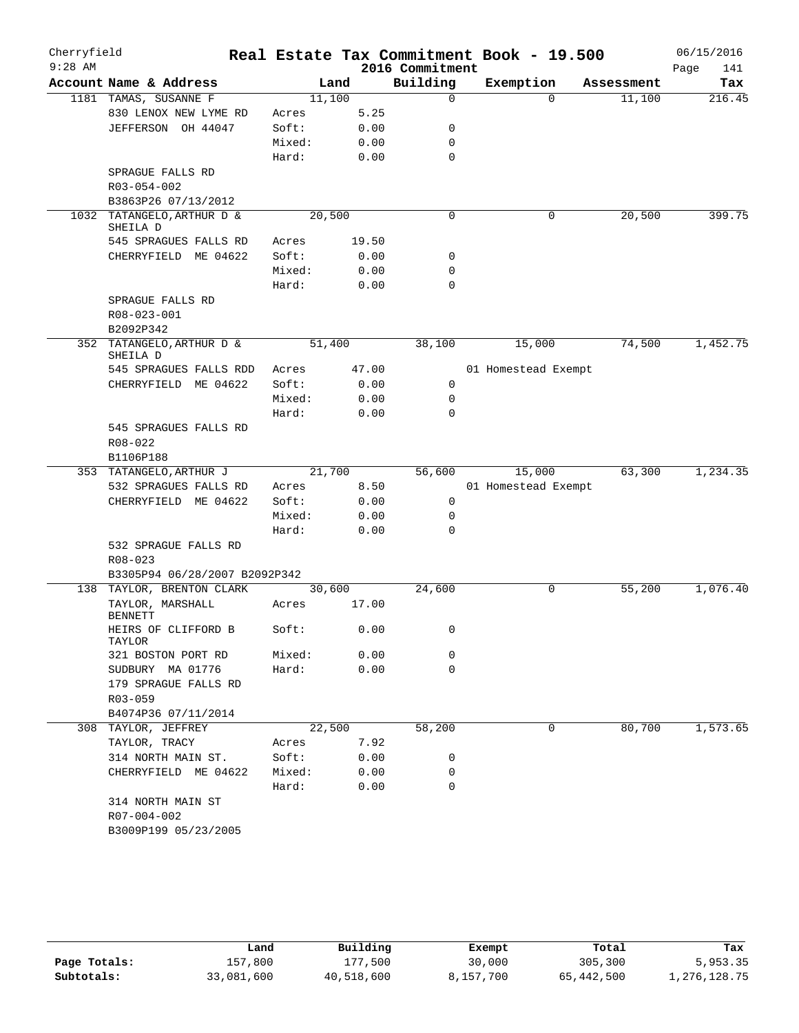| Cherryfield |                                    |                               |        |                 | Real Estate Tax Commitment Book - 19.500 |            | 06/15/2016  |
|-------------|------------------------------------|-------------------------------|--------|-----------------|------------------------------------------|------------|-------------|
| $9:28$ AM   |                                    |                               |        | 2016 Commitment |                                          |            | Page<br>141 |
|             | Account Name & Address             |                               | Land   | Building        | Exemption                                | Assessment | Tax         |
|             | 1181 TAMAS, SUSANNE F              |                               | 11,100 | $\mathbf 0$     | $\Omega$                                 | 11,100     | 216.45      |
|             | 830 LENOX NEW LYME RD              | Acres                         | 5.25   |                 |                                          |            |             |
|             | JEFFERSON OH 44047                 | Soft:                         | 0.00   | 0               |                                          |            |             |
|             |                                    | Mixed:                        | 0.00   | 0               |                                          |            |             |
|             |                                    | Hard:                         | 0.00   | $\mathbf 0$     |                                          |            |             |
|             | SPRAGUE FALLS RD                   |                               |        |                 |                                          |            |             |
|             | R03-054-002                        |                               |        |                 |                                          |            |             |
|             | B3863P26 07/13/2012                |                               |        |                 |                                          |            |             |
| 1032        | TATANGELO, ARTHUR D &<br>SHEILA D  |                               | 20,500 | $\mathbf 0$     | 0                                        | 20,500     | 399.75      |
|             | 545 SPRAGUES FALLS RD              | Acres                         | 19.50  |                 |                                          |            |             |
|             | CHERRYFIELD ME 04622               | Soft:                         | 0.00   | 0               |                                          |            |             |
|             |                                    | Mixed:                        | 0.00   | 0               |                                          |            |             |
|             |                                    | Hard:                         | 0.00   | $\mathbf 0$     |                                          |            |             |
|             | SPRAGUE FALLS RD                   |                               |        |                 |                                          |            |             |
|             | R08-023-001                        |                               |        |                 |                                          |            |             |
|             | B2092P342                          |                               |        |                 |                                          |            |             |
|             | 352 TATANGELO, ARTHUR D &          |                               | 51,400 | 38,100          | 15,000                                   | 74,500     | 1,452.75    |
|             | SHEILA D                           |                               |        |                 |                                          |            |             |
|             | 545 SPRAGUES FALLS RDD             | Acres                         | 47.00  |                 | 01 Homestead Exempt                      |            |             |
|             | CHERRYFIELD ME 04622               | Soft:                         | 0.00   | 0               |                                          |            |             |
|             |                                    | Mixed:                        | 0.00   | 0               |                                          |            |             |
|             |                                    | Hard:                         | 0.00   | $\Omega$        |                                          |            |             |
|             | 545 SPRAGUES FALLS RD              |                               |        |                 |                                          |            |             |
|             | $R08 - 022$                        |                               |        |                 |                                          |            |             |
|             | B1106P188                          |                               |        |                 |                                          |            |             |
|             | 353 TATANGELO, ARTHUR J            |                               | 21,700 | 56,600          | 15,000                                   | 63,300     | 1,234.35    |
|             | 532 SPRAGUES FALLS RD              | Acres                         | 8.50   |                 | 01 Homestead Exempt                      |            |             |
|             | CHERRYFIELD ME 04622               | Soft:                         | 0.00   | 0               |                                          |            |             |
|             |                                    | Mixed:                        | 0.00   | 0               |                                          |            |             |
|             |                                    | Hard:                         | 0.00   | 0               |                                          |            |             |
|             | 532 SPRAGUE FALLS RD               |                               |        |                 |                                          |            |             |
|             | $R08 - 023$                        |                               |        |                 |                                          |            |             |
|             |                                    | B3305P94 06/28/2007 B2092P342 |        |                 |                                          |            |             |
|             | 138 TAYLOR, BRENTON CLARK          |                               | 30,600 | 24,600          | 0                                        | 55,200     | 1,076.40    |
|             | TAYLOR, MARSHALL<br><b>BENNETT</b> | Acres                         | 17.00  |                 |                                          |            |             |
|             | HEIRS OF CLIFFORD B                | Soft:                         | 0.00   | 0               |                                          |            |             |
|             | TAYLOR                             |                               |        |                 |                                          |            |             |
|             | 321 BOSTON PORT RD                 | Mixed:                        | 0.00   | 0               |                                          |            |             |
|             | SUDBURY MA 01776                   | Hard:                         | 0.00   | $\mathbf 0$     |                                          |            |             |
|             | 179 SPRAGUE FALLS RD               |                               |        |                 |                                          |            |             |
|             | R03-059                            |                               |        |                 |                                          |            |             |
|             | B4074P36 07/11/2014                |                               |        |                 |                                          |            |             |
|             | 308 TAYLOR, JEFFREY                |                               | 22,500 | 58,200          | 0                                        | 80,700     | 1,573.65    |
|             | TAYLOR, TRACY                      | Acres                         | 7.92   |                 |                                          |            |             |
|             | 314 NORTH MAIN ST.                 | Soft:                         | 0.00   | 0               |                                          |            |             |
|             | CHERRYFIELD ME 04622               | Mixed:                        | 0.00   | 0               |                                          |            |             |
|             |                                    | Hard:                         | 0.00   | 0               |                                          |            |             |
|             | 314 NORTH MAIN ST                  |                               |        |                 |                                          |            |             |
|             | R07-004-002                        |                               |        |                 |                                          |            |             |
|             | B3009P199 05/23/2005               |                               |        |                 |                                          |            |             |
|             |                                    |                               |        |                 |                                          |            |             |

|              | Land       | Building   | Exempt    | Total      | Tax          |
|--------------|------------|------------|-----------|------------|--------------|
| Page Totals: | 157,800    | 177,500    | 30,000    | 305,300    | 5,953.35     |
| Subtotals:   | 33,081,600 | 40,518,600 | 8,157,700 | 65,442,500 | 1,276,128.75 |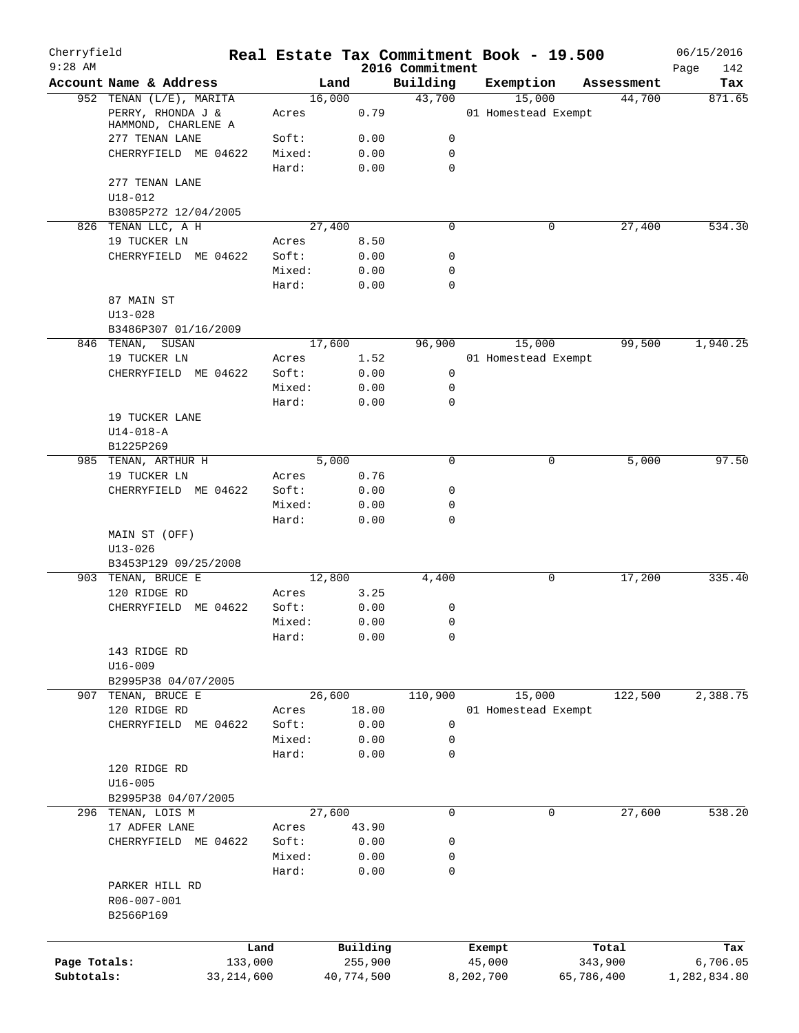| Cherryfield<br>$9:28$ AM |                                            |              |                |              | 2016 Commitment  | Real Estate Tax Commitment Book - 19.500 |            | 06/15/2016<br>Page<br>142 |
|--------------------------|--------------------------------------------|--------------|----------------|--------------|------------------|------------------------------------------|------------|---------------------------|
|                          | Account Name & Address                     |              | Land           |              | Building         | Exemption                                | Assessment | Tax                       |
|                          | 952 TENAN (L/E), MARITA                    |              | 16,000         |              | 43,700           | 15,000                                   | 44,700     | 871.65                    |
|                          | PERRY, RHONDA J &<br>HAMMOND, CHARLENE A   |              | Acres          | 0.79         |                  | 01 Homestead Exempt                      |            |                           |
|                          | 277 TENAN LANE                             |              | Soft:          | 0.00         | 0                |                                          |            |                           |
|                          | CHERRYFIELD ME 04622                       |              | Mixed:         | 0.00         | $\mathbf 0$      |                                          |            |                           |
|                          |                                            |              | Hard:          | 0.00         | 0                |                                          |            |                           |
|                          | 277 TENAN LANE                             |              |                |              |                  |                                          |            |                           |
|                          | $U18 - 012$                                |              |                |              |                  |                                          |            |                           |
|                          | B3085P272 12/04/2005                       |              |                |              |                  |                                          |            |                           |
|                          | 826 TENAN LLC, A H                         |              | 27,400         |              | 0                | 0                                        | 27,400     | 534.30                    |
|                          | 19 TUCKER LN                               |              | Acres<br>Soft: | 8.50         | 0                |                                          |            |                           |
|                          | CHERRYFIELD ME 04622                       |              | Mixed:         | 0.00<br>0.00 | 0                |                                          |            |                           |
|                          |                                            |              | Hard:          | 0.00         | 0                |                                          |            |                           |
|                          | 87 MAIN ST                                 |              |                |              |                  |                                          |            |                           |
|                          | $U13 - 028$                                |              |                |              |                  |                                          |            |                           |
|                          | B3486P307 01/16/2009                       |              |                |              |                  |                                          |            |                           |
|                          | 846 TENAN, SUSAN                           |              | 17,600         |              | 96,900           | 15,000                                   | 99,500     | 1,940.25                  |
|                          | 19 TUCKER LN                               |              | Acres          | 1.52         |                  | 01 Homestead Exempt                      |            |                           |
|                          | CHERRYFIELD ME 04622                       |              | Soft:          | 0.00         | 0                |                                          |            |                           |
|                          |                                            |              | Mixed:         | 0.00         | 0                |                                          |            |                           |
|                          |                                            |              | Hard:          | 0.00         | 0                |                                          |            |                           |
|                          | 19 TUCKER LANE                             |              |                |              |                  |                                          |            |                           |
|                          | $U14 - 018 - A$                            |              |                |              |                  |                                          |            |                           |
|                          | B1225P269                                  |              |                |              |                  |                                          |            |                           |
|                          | 985 TENAN, ARTHUR H                        |              | 5,000          |              | 0                | 0                                        | 5,000      | 97.50                     |
|                          | 19 TUCKER LN                               |              | Acres          | 0.76         |                  |                                          |            |                           |
|                          | CHERRYFIELD ME 04622                       |              | Soft:          | 0.00         | 0                |                                          |            |                           |
|                          |                                            |              | Mixed:         | 0.00         | 0                |                                          |            |                           |
|                          |                                            |              | Hard:          | 0.00         | 0                |                                          |            |                           |
|                          | MAIN ST (OFF)                              |              |                |              |                  |                                          |            |                           |
|                          | $U13 - 026$                                |              |                |              |                  |                                          |            |                           |
|                          | B3453P129 09/25/2008                       |              |                |              |                  |                                          |            |                           |
|                          | 903 TENAN, BRUCE E                         |              | 12,800         |              | 4,400            | 0                                        | 17,200     | 335.40                    |
|                          | 120 RIDGE RD                               |              | Acres          | 3.25         |                  |                                          |            |                           |
|                          | CHERRYFIELD ME 04622                       |              | Soft:          | 0.00         | 0<br>$\mathbf 0$ |                                          |            |                           |
|                          |                                            |              | Mixed:         | 0.00         | 0                |                                          |            |                           |
|                          | 143 RIDGE RD                               |              | Hard:          | 0.00         |                  |                                          |            |                           |
|                          | $U16 - 009$                                |              |                |              |                  |                                          |            |                           |
|                          | B2995P38 04/07/2005                        |              |                |              |                  |                                          |            |                           |
| 907                      | TENAN, BRUCE E                             |              | 26,600         |              | 110,900          | 15,000                                   | 122,500    | 2,388.75                  |
|                          | 120 RIDGE RD                               |              | Acres          | 18.00        |                  | 01 Homestead Exempt                      |            |                           |
|                          | CHERRYFIELD ME 04622                       |              | Soft:          | 0.00         | 0                |                                          |            |                           |
|                          |                                            |              | Mixed:         | 0.00         | 0                |                                          |            |                           |
|                          |                                            |              | Hard:          | 0.00         | 0                |                                          |            |                           |
|                          | 120 RIDGE RD                               |              |                |              |                  |                                          |            |                           |
|                          | $U16 - 005$                                |              |                |              |                  |                                          |            |                           |
|                          | B2995P38 04/07/2005                        |              |                |              |                  |                                          |            |                           |
|                          | 296 TENAN, LOIS M                          |              | 27,600         |              | $\mathbf 0$      | $\mathbf 0$                              | 27,600     | 538.20                    |
|                          | 17 ADFER LANE                              |              | Acres          | 43.90        |                  |                                          |            |                           |
|                          | CHERRYFIELD ME 04622                       |              | Soft:          | 0.00         | 0                |                                          |            |                           |
|                          |                                            |              | Mixed:         | 0.00         | 0                |                                          |            |                           |
|                          |                                            |              | Hard:          | 0.00         | 0                |                                          |            |                           |
|                          | PARKER HILL RD<br>R06-007-001<br>B2566P169 |              |                |              |                  |                                          |            |                           |
|                          |                                            |              |                |              |                  |                                          |            |                           |
|                          |                                            | Land         |                | Building     |                  | Exempt                                   | Total      | Tax                       |
| Page Totals:             |                                            | 133,000      |                | 255,900      |                  | 45,000                                   | 343,900    | 6,706.05                  |
| Subtotals:               |                                            | 33, 214, 600 |                | 40,774,500   |                  | 8,202,700                                | 65,786,400 | 1,282,834.80              |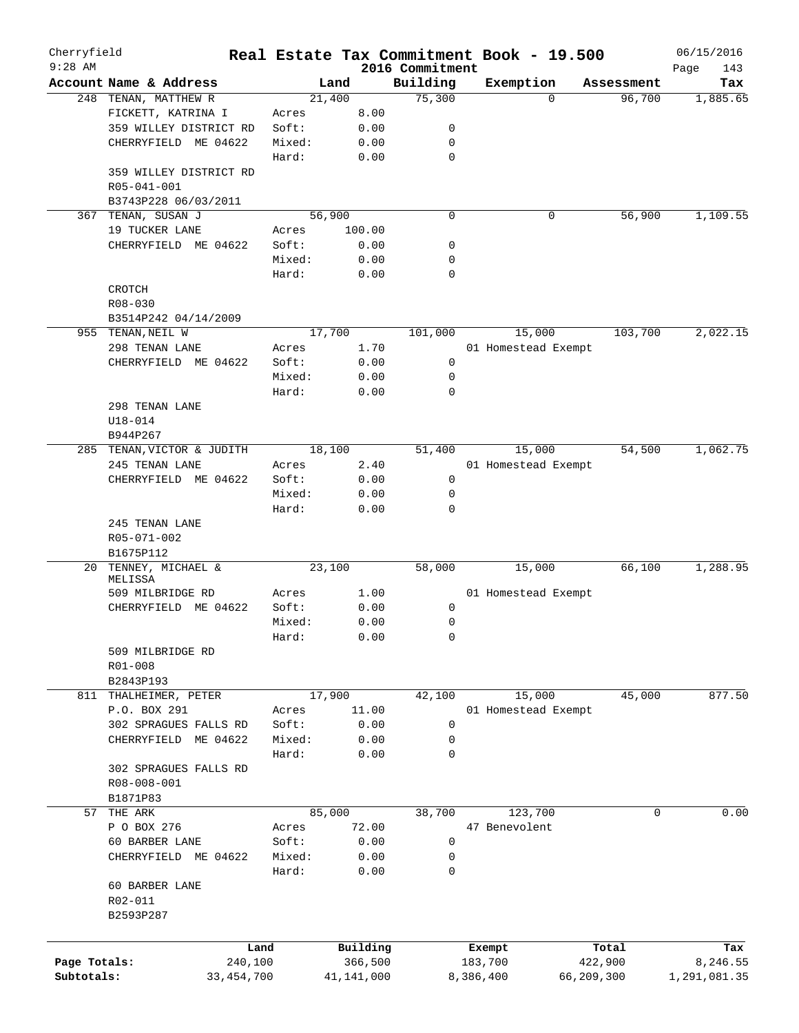| Cherryfield  |                              |        |            |                             | Real Estate Tax Commitment Book - 19.500 |            | 06/15/2016         |
|--------------|------------------------------|--------|------------|-----------------------------|------------------------------------------|------------|--------------------|
| $9:28$ AM    | Account Name & Address       |        | Land       | 2016 Commitment<br>Building | Exemption                                | Assessment | Page<br>143<br>Tax |
|              | 248 TENAN, MATTHEW R         | 21,400 |            | 75,300                      | $\Omega$                                 | 96,700     | 1,885.65           |
|              | FICKETT, KATRINA I           | Acres  | 8.00       |                             |                                          |            |                    |
|              | 359 WILLEY DISTRICT RD       | Soft:  | 0.00       | 0                           |                                          |            |                    |
|              | CHERRYFIELD ME 04622         | Mixed: | 0.00       | 0                           |                                          |            |                    |
|              |                              |        |            | 0                           |                                          |            |                    |
|              |                              | Hard:  | 0.00       |                             |                                          |            |                    |
|              | 359 WILLEY DISTRICT RD       |        |            |                             |                                          |            |                    |
|              | R05-041-001                  |        |            |                             |                                          |            |                    |
|              | B3743P228 06/03/2011         |        |            |                             |                                          |            |                    |
| 367          | TENAN, SUSAN J               | 56,900 |            | 0                           | 0                                        | 56,900     | 1,109.55           |
|              | 19 TUCKER LANE               | Acres  | 100.00     |                             |                                          |            |                    |
|              | CHERRYFIELD ME 04622         | Soft:  | 0.00       | 0                           |                                          |            |                    |
|              |                              | Mixed: | 0.00       | 0                           |                                          |            |                    |
|              |                              | Hard:  | 0.00       | 0                           |                                          |            |                    |
|              | CROTCH                       |        |            |                             |                                          |            |                    |
|              | R08-030                      |        |            |                             |                                          |            |                    |
|              | B3514P242 04/14/2009         |        |            |                             |                                          |            |                    |
|              | 955 TENAN, NEIL W            | 17,700 |            | 101,000                     | 15,000                                   | 103,700    | 2,022.15           |
|              | 298 TENAN LANE               | Acres  | 1.70       |                             | 01 Homestead Exempt                      |            |                    |
|              | CHERRYFIELD ME 04622         | Soft:  | 0.00       | 0                           |                                          |            |                    |
|              |                              | Mixed: | 0.00       | 0                           |                                          |            |                    |
|              |                              | Hard:  | 0.00       | $\mathbf 0$                 |                                          |            |                    |
|              | 298 TENAN LANE               |        |            |                             |                                          |            |                    |
|              | $U18 - 014$                  |        |            |                             |                                          |            |                    |
|              | B944P267                     |        |            |                             |                                          |            |                    |
|              | 285 TENAN, VICTOR & JUDITH   | 18,100 |            | 51,400                      | 15,000                                   | 54,500     | 1,062.75           |
|              | 245 TENAN LANE               | Acres  | 2.40       |                             | 01 Homestead Exempt                      |            |                    |
|              |                              | Soft:  | 0.00       | 0                           |                                          |            |                    |
|              | CHERRYFIELD ME 04622         |        |            |                             |                                          |            |                    |
|              |                              | Mixed: | 0.00       | 0                           |                                          |            |                    |
|              |                              | Hard:  | 0.00       | 0                           |                                          |            |                    |
|              | 245 TENAN LANE               |        |            |                             |                                          |            |                    |
|              | R05-071-002                  |        |            |                             |                                          |            |                    |
|              | B1675P112                    |        |            |                             |                                          |            |                    |
| 20           | TENNEY, MICHAEL &<br>MELISSA | 23,100 |            | 58,000                      | 15,000                                   | 66,100     | 1,288.95           |
|              | 509 MILBRIDGE RD             | Acres  | 1.00       |                             | 01 Homestead Exempt                      |            |                    |
|              | CHERRYFIELD ME 04622         | Soft:  | 0.00       | 0                           |                                          |            |                    |
|              |                              | Mixed: |            |                             |                                          |            |                    |
|              |                              |        | 0.00       | 0                           |                                          |            |                    |
|              |                              | Hard:  | 0.00       | 0                           |                                          |            |                    |
|              | 509 MILBRIDGE RD             |        |            |                             |                                          |            |                    |
|              | R01-008                      |        |            |                             |                                          |            |                    |
|              | B2843P193                    |        |            |                             |                                          |            |                    |
| 811          | THALHEIMER, PETER            | 17,900 |            | 42,100                      | 15,000                                   | 45,000     | 877.50             |
|              | P.O. BOX 291                 | Acres  | 11.00      |                             | 01 Homestead Exempt                      |            |                    |
|              | 302 SPRAGUES FALLS RD        | Soft:  | 0.00       | 0                           |                                          |            |                    |
|              | CHERRYFIELD<br>ME 04622      | Mixed: | 0.00       | 0                           |                                          |            |                    |
|              |                              | Hard:  | 0.00       | 0                           |                                          |            |                    |
|              | 302 SPRAGUES FALLS RD        |        |            |                             |                                          |            |                    |
|              | R08-008-001                  |        |            |                             |                                          |            |                    |
|              | B1871P83                     |        |            |                             |                                          |            |                    |
| 57           | THE ARK                      | 85,000 |            | 38,700                      | 123,700                                  | 0          | 0.00               |
|              | P O BOX 276                  | Acres  | 72.00      |                             | 47 Benevolent                            |            |                    |
|              | 60 BARBER LANE               | Soft:  | 0.00       | $\mathbf 0$                 |                                          |            |                    |
|              | CHERRYFIELD<br>ME 04622      | Mixed: | 0.00       | 0                           |                                          |            |                    |
|              |                              | Hard:  | 0.00       | 0                           |                                          |            |                    |
|              | 60 BARBER LANE               |        |            |                             |                                          |            |                    |
|              | R02-011                      |        |            |                             |                                          |            |                    |
|              |                              |        |            |                             |                                          |            |                    |
|              | B2593P287                    |        |            |                             |                                          |            |                    |
|              |                              |        |            |                             |                                          |            |                    |
|              |                              | Land   | Building   |                             | Exempt                                   | Total      | Tax                |
| Page Totals: | 240,100                      |        | 366,500    |                             | 183,700                                  | 422,900    | 8,246.55           |
| Subtotals:   | 33, 454, 700                 |        | 41,141,000 |                             | 8,386,400                                | 66,209,300 | 1,291,081.35       |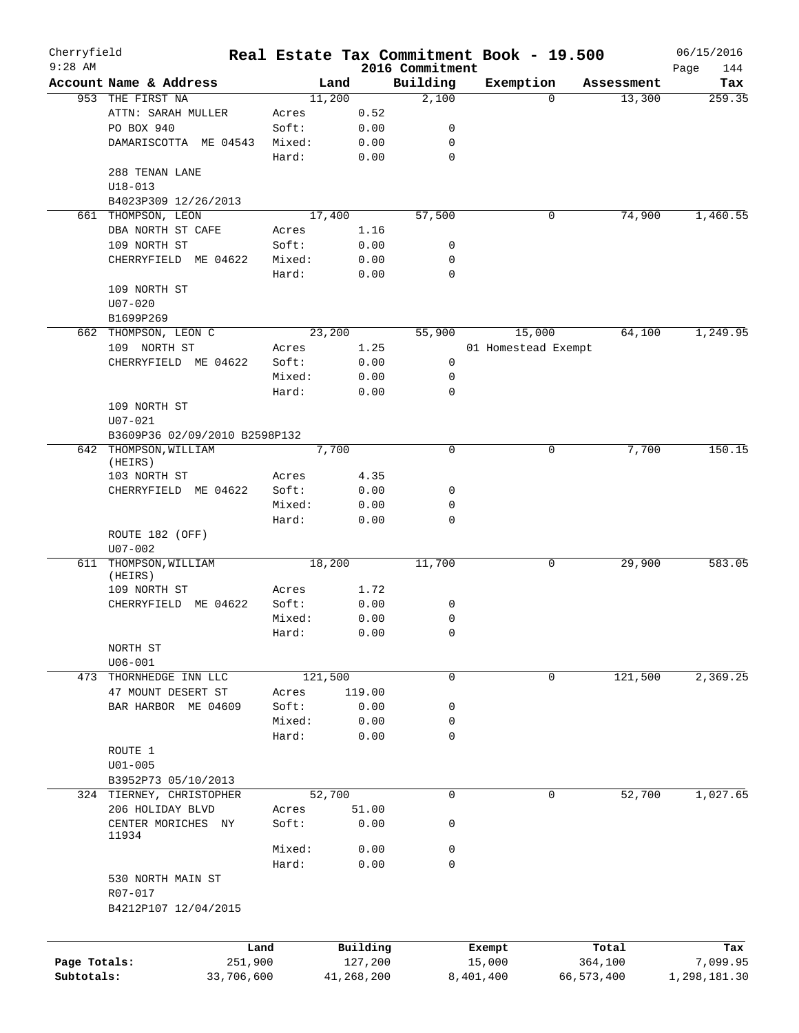| Cherryfield<br>$9:28$ AM |                               |         |         |            | 2016 Commitment | Real Estate Tax Commitment Book - 19.500 |            |            | 06/15/2016         |
|--------------------------|-------------------------------|---------|---------|------------|-----------------|------------------------------------------|------------|------------|--------------------|
|                          | Account Name & Address        |         | Land    |            | Building        | Exemption                                |            | Assessment | Page<br>144<br>Tax |
|                          | 953 THE FIRST NA              |         | 11,200  |            | 2,100           |                                          | $\Omega$   | 13,300     | 259.35             |
|                          | ATTN: SARAH MULLER            | Acres   |         | 0.52       |                 |                                          |            |            |                    |
|                          | PO BOX 940                    | Soft:   |         | 0.00       | 0               |                                          |            |            |                    |
|                          | DAMARISCOTTA ME 04543         | Mixed:  |         | 0.00       | 0               |                                          |            |            |                    |
|                          |                               | Hard:   |         | 0.00       | $\mathbf 0$     |                                          |            |            |                    |
|                          | 288 TENAN LANE                |         |         |            |                 |                                          |            |            |                    |
|                          | $U18 - 013$                   |         |         |            |                 |                                          |            |            |                    |
|                          | B4023P309 12/26/2013          |         |         |            |                 |                                          |            |            |                    |
| 661                      | THOMPSON, LEON                |         | 17,400  |            | 57,500          |                                          | 0          | 74,900     | 1,460.55           |
|                          | DBA NORTH ST CAFE             | Acres   |         | 1.16       |                 |                                          |            |            |                    |
|                          | 109 NORTH ST                  | Soft:   |         | 0.00       | 0               |                                          |            |            |                    |
|                          | CHERRYFIELD ME 04622          | Mixed:  |         | 0.00       | 0               |                                          |            |            |                    |
|                          |                               | Hard:   |         | 0.00       | $\mathbf 0$     |                                          |            |            |                    |
|                          | 109 NORTH ST                  |         |         |            |                 |                                          |            |            |                    |
|                          |                               |         |         |            |                 |                                          |            |            |                    |
|                          | $U07 - 020$                   |         |         |            |                 |                                          |            |            |                    |
|                          | B1699P269                     |         |         |            |                 |                                          |            |            |                    |
|                          | 662 THOMPSON, LEON C          |         | 23,200  |            | 55,900          | 15,000                                   |            | 64,100     | 1,249.95           |
|                          | 109 NORTH ST                  | Acres   |         | 1.25       |                 | 01 Homestead Exempt                      |            |            |                    |
|                          | CHERRYFIELD ME 04622          | Soft:   |         | 0.00       | 0               |                                          |            |            |                    |
|                          |                               | Mixed:  |         | 0.00       | 0               |                                          |            |            |                    |
|                          |                               | Hard:   |         | 0.00       | $\mathbf 0$     |                                          |            |            |                    |
|                          | 109 NORTH ST                  |         |         |            |                 |                                          |            |            |                    |
|                          | $U07 - 021$                   |         |         |            |                 |                                          |            |            |                    |
|                          | B3609P36 02/09/2010 B2598P132 |         |         |            |                 |                                          |            |            |                    |
|                          | 642 THOMPSON, WILLIAM         |         | 7,700   |            | $\mathbf 0$     |                                          | 0          | 7,700      | 150.15             |
|                          | (HEIRS)                       |         |         |            |                 |                                          |            |            |                    |
|                          | 103 NORTH ST                  | Acres   |         | 4.35       |                 |                                          |            |            |                    |
|                          | CHERRYFIELD ME 04622          | Soft:   |         | 0.00       | 0               |                                          |            |            |                    |
|                          |                               | Mixed:  |         | 0.00       | 0               |                                          |            |            |                    |
|                          |                               | Hard:   |         | 0.00       | 0               |                                          |            |            |                    |
|                          | ROUTE 182 (OFF)               |         |         |            |                 |                                          |            |            |                    |
|                          | $U07 - 002$                   |         |         |            |                 |                                          |            |            |                    |
| 611                      | THOMPSON, WILLIAM             |         | 18,200  |            | 11,700          |                                          | 0          | 29,900     | 583.05             |
|                          | (HEIRS)<br>109 NORTH ST       | Acres   |         | 1.72       |                 |                                          |            |            |                    |
|                          | CHERRYFIELD ME 04622          | Soft:   |         | 0.00       | 0               |                                          |            |            |                    |
|                          |                               | Mixed:  |         | 0.00       | 0               |                                          |            |            |                    |
|                          |                               |         |         |            | $\Omega$        |                                          |            |            |                    |
|                          |                               | Hard:   |         | 0.00       |                 |                                          |            |            |                    |
|                          | NORTH ST<br>$U06 - 001$       |         |         |            |                 |                                          |            |            |                    |
|                          |                               |         |         |            |                 |                                          |            | 121,500    |                    |
| 473                      | THORNHEDGE INN LLC            |         | 121,500 |            | $\mathbf 0$     |                                          | 0          |            | 2,369.25           |
|                          | 47 MOUNT DESERT ST            | Acres   |         | 119.00     |                 |                                          |            |            |                    |
|                          | BAR HARBOR ME 04609           | Soft:   |         | 0.00       | 0               |                                          |            |            |                    |
|                          |                               | Mixed:  |         | 0.00       | 0               |                                          |            |            |                    |
|                          |                               | Hard:   |         | 0.00       | 0               |                                          |            |            |                    |
|                          | ROUTE 1                       |         |         |            |                 |                                          |            |            |                    |
|                          | $U01 - 005$                   |         |         |            |                 |                                          |            |            |                    |
|                          | B3952P73 05/10/2013           |         |         |            |                 |                                          |            |            |                    |
|                          | 324 TIERNEY, CHRISTOPHER      |         | 52,700  |            | 0               |                                          | 0          | 52,700     | 1,027.65           |
|                          | 206 HOLIDAY BLVD              | Acres   |         | 51.00      |                 |                                          |            |            |                    |
|                          | CENTER MORICHES NY            | Soft:   |         | 0.00       | 0               |                                          |            |            |                    |
|                          | 11934                         |         |         |            |                 |                                          |            |            |                    |
|                          |                               | Mixed:  |         | 0.00       | 0               |                                          |            |            |                    |
|                          |                               | Hard:   |         | 0.00       | 0               |                                          |            |            |                    |
|                          | 530 NORTH MAIN ST             |         |         |            |                 |                                          |            |            |                    |
|                          | R07-017                       |         |         |            |                 |                                          |            |            |                    |
|                          | B4212P107 12/04/2015          |         |         |            |                 |                                          |            |            |                    |
|                          |                               |         |         |            |                 |                                          |            |            |                    |
|                          |                               | Land    |         | Building   |                 | Exempt                                   |            | Total      | Tax                |
| Page Totals:             |                               | 251,900 |         | 127,200    |                 | 15,000                                   |            | 364,100    | 7,099.95           |
| Subtotals:               | 33,706,600                    |         |         | 41,268,200 |                 | 8,401,400                                | 66,573,400 |            | 1,298,181.30       |
|                          |                               |         |         |            |                 |                                          |            |            |                    |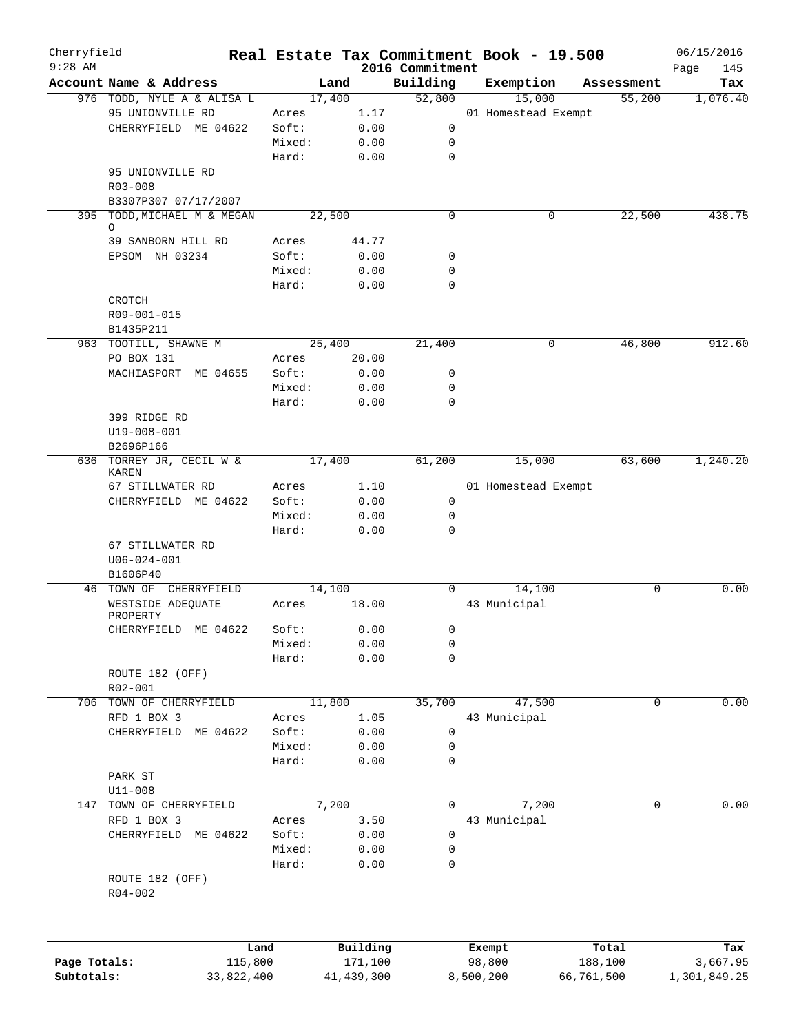| Cherryfield<br>$9:28$ AM |                                        |                 |              |                             | Real Estate Tax Commitment Book - 19.500 |                      | 06/15/2016         |
|--------------------------|----------------------------------------|-----------------|--------------|-----------------------------|------------------------------------------|----------------------|--------------------|
|                          | Account Name & Address                 | Land            |              | 2016 Commitment<br>Building | Exemption                                |                      | Page<br>145<br>Tax |
|                          | 976 TODD, NYLE A & ALISA L             | 17,400          |              | 52,800                      | 15,000                                   | Assessment<br>55,200 | 1,076.40           |
|                          | 95 UNIONVILLE RD                       | Acres           | 1.17         |                             | 01 Homestead Exempt                      |                      |                    |
|                          |                                        | Soft:           |              |                             |                                          |                      |                    |
|                          | CHERRYFIELD ME 04622                   |                 | 0.00         | 0                           |                                          |                      |                    |
|                          |                                        | Mixed:          | 0.00         | 0                           |                                          |                      |                    |
|                          |                                        | Hard:           | 0.00         | $\mathbf 0$                 |                                          |                      |                    |
|                          | 95 UNIONVILLE RD                       |                 |              |                             |                                          |                      |                    |
|                          | R03-008                                |                 |              |                             |                                          |                      |                    |
|                          | B3307P307 07/17/2007                   |                 |              |                             |                                          |                      |                    |
|                          | 395 TODD, MICHAEL M & MEGAN<br>$\circ$ | 22,500          |              | 0                           | 0                                        | 22,500               | 438.75             |
|                          | 39 SANBORN HILL RD                     | Acres           | 44.77        |                             |                                          |                      |                    |
|                          | EPSOM NH 03234                         | Soft:           | 0.00         | 0                           |                                          |                      |                    |
|                          |                                        | Mixed:          | 0.00         | 0                           |                                          |                      |                    |
|                          |                                        |                 |              | 0                           |                                          |                      |                    |
|                          |                                        | Hard:           | 0.00         |                             |                                          |                      |                    |
|                          | CROTCH                                 |                 |              |                             |                                          |                      |                    |
|                          | R09-001-015                            |                 |              |                             |                                          |                      |                    |
|                          | B1435P211                              |                 |              |                             |                                          |                      |                    |
|                          | 963 TOOTILL, SHAWNE M                  | 25,400          |              | 21,400                      | 0                                        | 46,800               | 912.60             |
|                          | PO BOX 131                             | Acres           | 20.00        |                             |                                          |                      |                    |
|                          | MACHIASPORT ME 04655                   | Soft:           | 0.00         | 0                           |                                          |                      |                    |
|                          |                                        | Mixed:          | 0.00         | 0                           |                                          |                      |                    |
|                          |                                        | Hard:           | 0.00         | $\mathbf 0$                 |                                          |                      |                    |
|                          | 399 RIDGE RD                           |                 |              |                             |                                          |                      |                    |
|                          | U19-008-001                            |                 |              |                             |                                          |                      |                    |
|                          | B2696P166                              |                 |              |                             |                                          |                      |                    |
|                          | 636 TORREY JR, CECIL W &               | 17,400          |              | 61,200                      | 15,000                                   | 63,600               | 1,240.20           |
|                          | KAREN                                  |                 |              |                             |                                          |                      |                    |
|                          | 67 STILLWATER RD                       | Acres           | 1.10         |                             | 01 Homestead Exempt                      |                      |                    |
|                          | CHERRYFIELD ME 04622                   | Soft:           | 0.00         | $\mathsf{O}$                |                                          |                      |                    |
|                          |                                        | Mixed:          | 0.00         | 0                           |                                          |                      |                    |
|                          |                                        | Hard:           | 0.00         | $\mathbf 0$                 |                                          |                      |                    |
|                          | 67 STILLWATER RD                       |                 |              |                             |                                          |                      |                    |
|                          | $U06 - 024 - 001$                      |                 |              |                             |                                          |                      |                    |
|                          | B1606P40                               |                 |              |                             |                                          |                      |                    |
|                          | 46 TOWN OF CHERRYFIELD                 | 14,100          |              | $\Omega$                    | 14,100                                   | 0                    | 0.00               |
|                          | WESTSIDE ADEQUATE                      | Acres           | 18.00        |                             | 43 Municipal                             |                      |                    |
|                          | PROPERTY                               |                 |              |                             |                                          |                      |                    |
|                          | CHERRYFIELD<br>ME 04622                | Soft:           | 0.00         | 0                           |                                          |                      |                    |
|                          |                                        | Mixed:          | 0.00         | 0                           |                                          |                      |                    |
|                          |                                        | Hard:           | 0.00         | 0                           |                                          |                      |                    |
|                          | ROUTE 182 (OFF)                        |                 |              |                             |                                          |                      |                    |
|                          | $R02 - 001$                            |                 |              |                             |                                          |                      |                    |
|                          | 706 TOWN OF CHERRYFIELD                | 11,800          |              | 35,700                      | 47,500                                   | 0                    | 0.00               |
|                          | RFD 1 BOX 3                            | Acres           | 1.05         |                             | 43 Municipal                             |                      |                    |
|                          | CHERRYFIELD<br>ME 04622                | Soft:           | 0.00         | 0                           |                                          |                      |                    |
|                          |                                        | Mixed:          | 0.00         | 0                           |                                          |                      |                    |
|                          |                                        | Hard:           | 0.00         | 0                           |                                          |                      |                    |
|                          | PARK ST                                |                 |              |                             |                                          |                      |                    |
|                          | $U11 - 008$                            |                 |              |                             |                                          |                      |                    |
| 147                      | TOWN OF CHERRYFIELD                    | 7,200           |              | 0                           | 7,200                                    | 0                    | 0.00               |
|                          | RFD 1 BOX 3                            | Acres           | 3.50         |                             | 43 Municipal                             |                      |                    |
|                          | CHERRYFIELD<br>ME 04622                | Soft:           | 0.00         | 0                           |                                          |                      |                    |
|                          |                                        |                 |              |                             |                                          |                      |                    |
|                          |                                        | Mixed:<br>Hard: | 0.00<br>0.00 | 0<br>0                      |                                          |                      |                    |
|                          |                                        |                 |              |                             |                                          |                      |                    |
|                          | ROUTE 182 (OFF)                        |                 |              |                             |                                          |                      |                    |
|                          | $R04 - 002$                            |                 |              |                             |                                          |                      |                    |
|                          |                                        |                 |              |                             |                                          |                      |                    |
|                          |                                        |                 |              |                             |                                          |                      |                    |
|                          |                                        | Land            | Building     |                             | Exempt                                   | Total                | Tax                |
| Page Totals:             | 115,800                                |                 | 171,100      |                             | 98,800                                   | 188,100              | 3,667.95           |
| Subtotals:               | 33,822,400                             |                 | 41, 439, 300 |                             | 8,500,200                                | 66,761,500           | 1,301,849.25       |
|                          |                                        |                 |              |                             |                                          |                      |                    |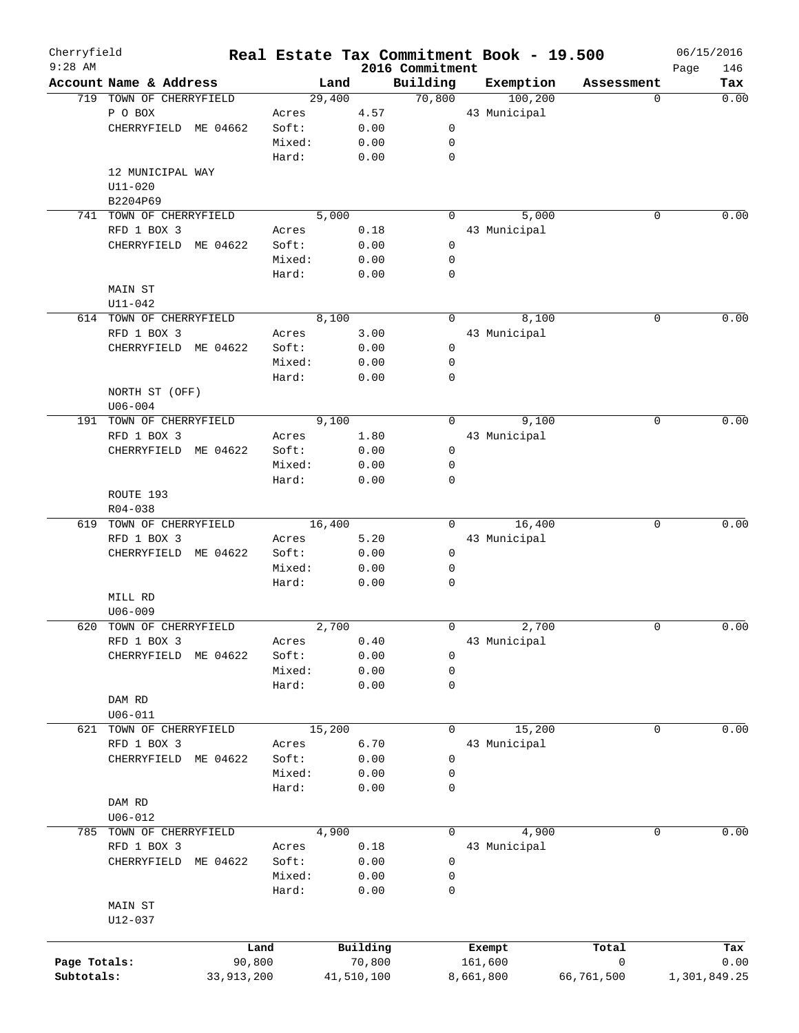| Cherryfield<br>$9:28$ AM |                         |            | Real Estate Tax Commitment Book - 19.500 |            | 2016 Commitment |                   |            | Page | 06/15/2016<br>146 |
|--------------------------|-------------------------|------------|------------------------------------------|------------|-----------------|-------------------|------------|------|-------------------|
|                          | Account Name & Address  |            | Land                                     |            | Building        | Exemption         | Assessment |      | Tax               |
|                          | 719 TOWN OF CHERRYFIELD |            | 29,400                                   |            | 70,800          | 100, 200          |            | 0    | 0.00              |
|                          | P O BOX                 |            | Acres                                    | 4.57       |                 | 43 Municipal      |            |      |                   |
|                          | CHERRYFIELD ME 04662    |            | Soft:                                    | 0.00       | 0               |                   |            |      |                   |
|                          |                         |            | Mixed:                                   | 0.00       | 0               |                   |            |      |                   |
|                          |                         |            | Hard:                                    | 0.00       | $\mathbf 0$     |                   |            |      |                   |
|                          | 12 MUNICIPAL WAY        |            |                                          |            |                 |                   |            |      |                   |
|                          | $U11 - 020$             |            |                                          |            |                 |                   |            |      |                   |
|                          | B2204P69                |            |                                          |            |                 |                   |            |      |                   |
| 741                      | TOWN OF CHERRYFIELD     |            | 5,000                                    |            | 0               | 5,000             |            | 0    | 0.00              |
|                          | RFD 1 BOX 3             |            | Acres                                    | 0.18       |                 | 43 Municipal      |            |      |                   |
|                          | CHERRYFIELD ME 04622    |            | Soft:                                    | 0.00       | 0               |                   |            |      |                   |
|                          |                         |            | Mixed:                                   | 0.00       | 0               |                   |            |      |                   |
|                          |                         |            | Hard:                                    | 0.00       | 0               |                   |            |      |                   |
|                          | MAIN ST                 |            |                                          |            |                 |                   |            |      |                   |
|                          |                         |            |                                          |            |                 |                   |            |      |                   |
|                          | $U11 - 042$             |            |                                          |            |                 | 8,100             |            |      |                   |
|                          | 614 TOWN OF CHERRYFIELD |            | 8,100                                    |            | 0               |                   |            | 0    | 0.00              |
|                          | RFD 1 BOX 3             |            | Acres                                    | 3.00       |                 | 43 Municipal      |            |      |                   |
|                          | CHERRYFIELD             | ME 04622   | Soft:                                    | 0.00       | 0               |                   |            |      |                   |
|                          |                         |            | Mixed:                                   | 0.00       | 0               |                   |            |      |                   |
|                          |                         |            | Hard:                                    | 0.00       | 0               |                   |            |      |                   |
|                          | NORTH ST (OFF)          |            |                                          |            |                 |                   |            |      |                   |
|                          | $U06 - 004$             |            |                                          |            |                 |                   |            |      |                   |
|                          | 191 TOWN OF CHERRYFIELD |            | 9,100                                    |            | 0               | 9,100             |            | 0    | 0.00              |
|                          | RFD 1 BOX 3             |            | Acres                                    | 1.80       |                 | 43 Municipal      |            |      |                   |
|                          | CHERRYFIELD ME 04622    |            | Soft:                                    | 0.00       | 0               |                   |            |      |                   |
|                          |                         |            | Mixed:                                   | 0.00       | 0               |                   |            |      |                   |
|                          |                         |            | Hard:                                    | 0.00       | 0               |                   |            |      |                   |
|                          | ROUTE 193               |            |                                          |            |                 |                   |            |      |                   |
|                          | R04-038                 |            |                                          |            |                 |                   |            |      |                   |
|                          | 619 TOWN OF CHERRYFIELD |            | 16,400                                   |            | $\Omega$        | 16,400            |            | 0    | 0.00              |
|                          | RFD 1 BOX 3             |            | Acres                                    | 5.20       |                 | 43 Municipal      |            |      |                   |
|                          | CHERRYFIELD             | ME 04622   | Soft:                                    | 0.00       | 0               |                   |            |      |                   |
|                          |                         |            | Mixed:                                   | 0.00       | 0               |                   |            |      |                   |
|                          |                         |            | Hard:                                    | 0.00       | 0               |                   |            |      |                   |
|                          | MILL RD                 |            |                                          |            |                 |                   |            |      |                   |
|                          |                         |            |                                          |            |                 |                   |            |      |                   |
|                          | $U06 - 009$             |            |                                          |            | 0               |                   |            |      |                   |
| 620                      | TOWN OF CHERRYFIELD     |            | 2,700                                    |            |                 | 2,700             |            | 0    | 0.00              |
|                          | RFD 1 BOX 3             |            | Acres                                    | 0.40       |                 | 43 Municipal      |            |      |                   |
|                          | CHERRYFIELD             | ME 04622   | Soft:                                    | 0.00       | 0               |                   |            |      |                   |
|                          |                         |            | Mixed:                                   | 0.00       | 0               |                   |            |      |                   |
|                          |                         |            | Hard:                                    | 0.00       | 0               |                   |            |      |                   |
|                          | DAM RD                  |            |                                          |            |                 |                   |            |      |                   |
|                          | $U06 - 011$             |            |                                          |            |                 |                   |            |      |                   |
|                          | 621 TOWN OF CHERRYFIELD |            | 15,200                                   |            | 0               | 15,200            |            | 0    | 0.00              |
|                          | RFD 1 BOX 3             |            | Acres                                    | 6.70       |                 | 43 Municipal      |            |      |                   |
|                          | CHERRYFIELD ME 04622    |            | Soft:                                    | 0.00       | 0               |                   |            |      |                   |
|                          |                         |            | Mixed:                                   | 0.00       | 0               |                   |            |      |                   |
|                          |                         |            | Hard:                                    | 0.00       | 0               |                   |            |      |                   |
|                          | DAM RD                  |            |                                          |            |                 |                   |            |      |                   |
|                          | $U06 - 012$             |            |                                          |            |                 |                   |            |      |                   |
|                          | 785 TOWN OF CHERRYFIELD |            | 4,900                                    |            | 0               | 4,900             |            | 0    | 0.00              |
|                          | RFD 1 BOX 3             |            | Acres                                    | 0.18       |                 | 43 Municipal      |            |      |                   |
|                          | CHERRYFIELD ME 04622    |            | Soft:                                    | 0.00       | 0               |                   |            |      |                   |
|                          |                         |            | Mixed:                                   | 0.00       | 0               |                   |            |      |                   |
|                          |                         |            | Hard:                                    | 0.00       | 0               |                   |            |      |                   |
|                          |                         |            |                                          |            |                 |                   |            |      |                   |
|                          | MAIN ST                 |            |                                          |            |                 |                   |            |      |                   |
|                          | $U12 - 037$             |            |                                          |            |                 |                   |            |      |                   |
|                          |                         | Land       |                                          | Building   |                 |                   |            |      |                   |
|                          |                         | 90,800     |                                          | 70,800     |                 | Exempt<br>161,600 | Total<br>0 |      | Tax<br>0.00       |
| Page Totals:             |                         |            |                                          |            |                 |                   |            |      |                   |
| Subtotals:               |                         | 33,913,200 |                                          | 41,510,100 |                 | 8,661,800         | 66,761,500 |      | 1,301,849.25      |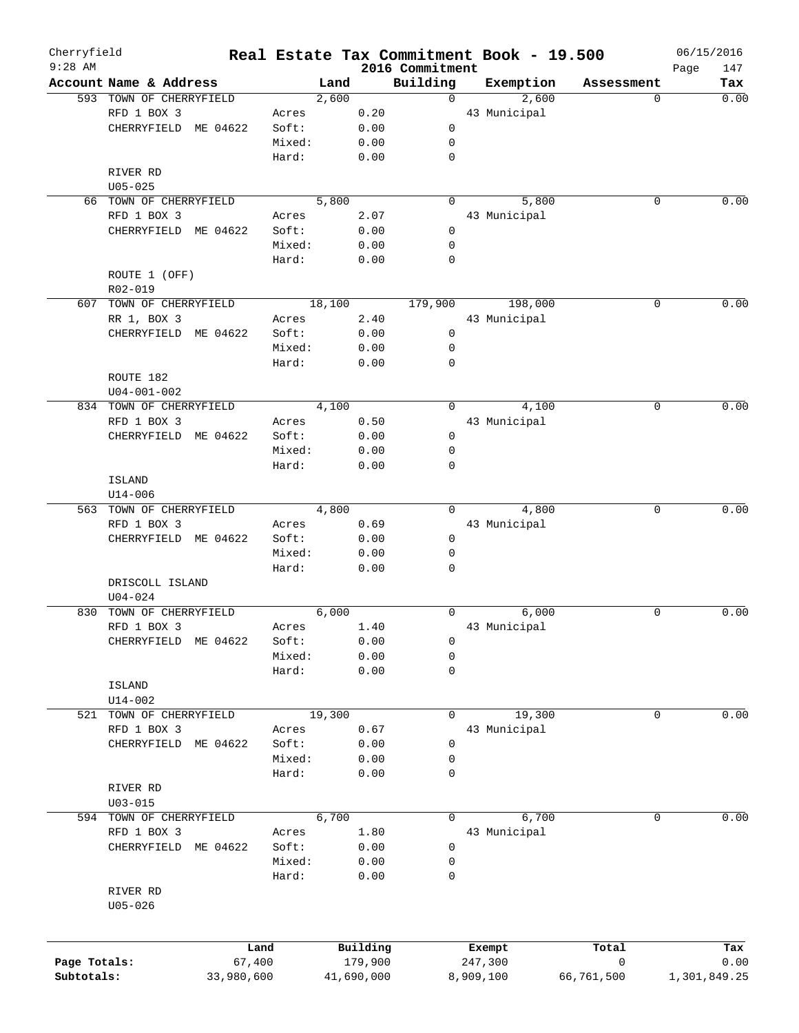| Cherryfield<br>$9:28$ AM |                         | Real Estate Tax Commitment Book - 19.500 |            |                             |              |            |             | 06/15/2016         |
|--------------------------|-------------------------|------------------------------------------|------------|-----------------------------|--------------|------------|-------------|--------------------|
|                          | Account Name & Address  | Land                                     |            | 2016 Commitment<br>Building | Exemption    |            | Assessment  | Page<br>147<br>Tax |
|                          | 593 TOWN OF CHERRYFIELD | 2,600                                    |            | 0                           |              | 2,600      | 0           | 0.00               |
|                          | RFD 1 BOX 3             | Acres                                    | 0.20       |                             | 43 Municipal |            |             |                    |
|                          | CHERRYFIELD ME 04622    | Soft:                                    | 0.00       | $\mathbf 0$                 |              |            |             |                    |
|                          |                         | Mixed:                                   | 0.00       | 0                           |              |            |             |                    |
|                          |                         | Hard:                                    | 0.00       | 0                           |              |            |             |                    |
|                          | RIVER RD                |                                          |            |                             |              |            |             |                    |
|                          | $U05 - 025$             |                                          |            |                             |              |            |             |                    |
|                          |                         |                                          |            |                             |              |            |             | 0.00               |
|                          | 66 TOWN OF CHERRYFIELD  | 5,800                                    |            | $\Omega$                    |              | 5,800      | 0           |                    |
|                          | RFD 1 BOX 3             | Acres                                    | 2.07       |                             | 43 Municipal |            |             |                    |
|                          | CHERRYFIELD ME 04622    | Soft:                                    | 0.00       | 0                           |              |            |             |                    |
|                          |                         | Mixed:                                   | 0.00       | 0                           |              |            |             |                    |
|                          |                         | Hard:                                    | 0.00       | 0                           |              |            |             |                    |
|                          | ROUTE 1 (OFF)           |                                          |            |                             |              |            |             |                    |
|                          | R02-019                 |                                          |            |                             |              |            |             |                    |
|                          | 607 TOWN OF CHERRYFIELD | 18,100                                   |            | 179,900                     |              | 198,000    | 0           | 0.00               |
|                          | RR 1, BOX 3             | Acres                                    | 2.40       |                             | 43 Municipal |            |             |                    |
|                          | ME 04622<br>CHERRYFIELD | Soft:                                    | 0.00       | $\mathbf 0$                 |              |            |             |                    |
|                          |                         | Mixed:                                   | 0.00       | $\mathbf 0$                 |              |            |             |                    |
|                          |                         | Hard:                                    | 0.00       | 0                           |              |            |             |                    |
|                          | ROUTE 182               |                                          |            |                             |              |            |             |                    |
|                          | $U04 - 001 - 002$       |                                          |            |                             |              |            |             |                    |
|                          | 834 TOWN OF CHERRYFIELD | 4,100                                    |            | 0                           |              | 4,100      | 0           | 0.00               |
|                          | RFD 1 BOX 3             | Acres                                    | 0.50       |                             | 43 Municipal |            |             |                    |
|                          |                         |                                          |            |                             |              |            |             |                    |
|                          | CHERRYFIELD ME 04622    | Soft:                                    | 0.00       | 0                           |              |            |             |                    |
|                          |                         | Mixed:                                   | 0.00       | 0                           |              |            |             |                    |
|                          |                         | Hard:                                    | 0.00       | 0                           |              |            |             |                    |
|                          | <b>ISLAND</b>           |                                          |            |                             |              |            |             |                    |
|                          | $U14 - 006$             |                                          |            |                             |              |            |             |                    |
|                          | 563 TOWN OF CHERRYFIELD | 4,800                                    |            | $\Omega$                    |              | 4,800      | $\mathbf 0$ | 0.00               |
|                          | RFD 1 BOX 3             | Acres                                    | 0.69       |                             | 43 Municipal |            |             |                    |
|                          | CHERRYFIELD ME 04622    | Soft:                                    | 0.00       | 0                           |              |            |             |                    |
|                          |                         | Mixed:                                   | 0.00       | 0                           |              |            |             |                    |
|                          |                         | Hard:                                    | 0.00       | 0                           |              |            |             |                    |
|                          | DRISCOLL ISLAND         |                                          |            |                             |              |            |             |                    |
|                          | $U04 - 024$             |                                          |            |                             |              |            |             |                    |
| 830                      | TOWN OF CHERRYFIELD     | 6,000                                    |            | 0                           |              | 6,000      | 0           | 0.00               |
|                          | RFD 1 BOX 3             | Acres                                    | 1.40       |                             | 43 Municipal |            |             |                    |
|                          | CHERRYFIELD ME 04622    | Soft:                                    | 0.00       | 0                           |              |            |             |                    |
|                          |                         | Mixed:                                   | 0.00       | 0                           |              |            |             |                    |
|                          |                         | Hard:                                    | 0.00       | 0                           |              |            |             |                    |
|                          |                         |                                          |            |                             |              |            |             |                    |
|                          | ISLAND                  |                                          |            |                             |              |            |             |                    |
|                          | $U14 - 002$             |                                          |            |                             |              |            |             |                    |
| 521                      | TOWN OF CHERRYFIELD     | 19,300                                   |            | 0                           |              | 19,300     | 0           | 0.00               |
|                          | RFD 1 BOX 3             | Acres                                    | 0.67       |                             | 43 Municipal |            |             |                    |
|                          | CHERRYFIELD<br>ME 04622 | Soft:                                    | 0.00       | 0                           |              |            |             |                    |
|                          |                         | Mixed:                                   | 0.00       | 0                           |              |            |             |                    |
|                          |                         | Hard:                                    | 0.00       | 0                           |              |            |             |                    |
|                          | RIVER RD                |                                          |            |                             |              |            |             |                    |
|                          | $U03 - 015$             |                                          |            |                             |              |            |             |                    |
| 594                      | TOWN OF CHERRYFIELD     | 6,700                                    |            | 0                           |              | 6,700      | 0           | 0.00               |
|                          | RFD 1 BOX 3             | Acres                                    | 1.80       |                             | 43 Municipal |            |             |                    |
|                          | CHERRYFIELD<br>ME 04622 | Soft:                                    | 0.00       | 0                           |              |            |             |                    |
|                          |                         | Mixed:                                   | 0.00       | 0                           |              |            |             |                    |
|                          |                         | Hard:                                    | 0.00       | 0                           |              |            |             |                    |
|                          | RIVER RD                |                                          |            |                             |              |            |             |                    |
|                          |                         |                                          |            |                             |              |            |             |                    |
|                          | $U05 - 026$             |                                          |            |                             |              |            |             |                    |
|                          |                         |                                          |            |                             |              |            |             |                    |
|                          |                         | Land                                     | Building   |                             |              |            | Total       | Tax                |
| Page Totals:             | 67,400                  |                                          | 179,900    |                             | Exempt       |            | 0           | 0.00               |
|                          |                         |                                          |            |                             | 247,300      |            |             |                    |
| Subtotals:               | 33,980,600              |                                          | 41,690,000 |                             | 8,909,100    | 66,761,500 |             | 1,301,849.25       |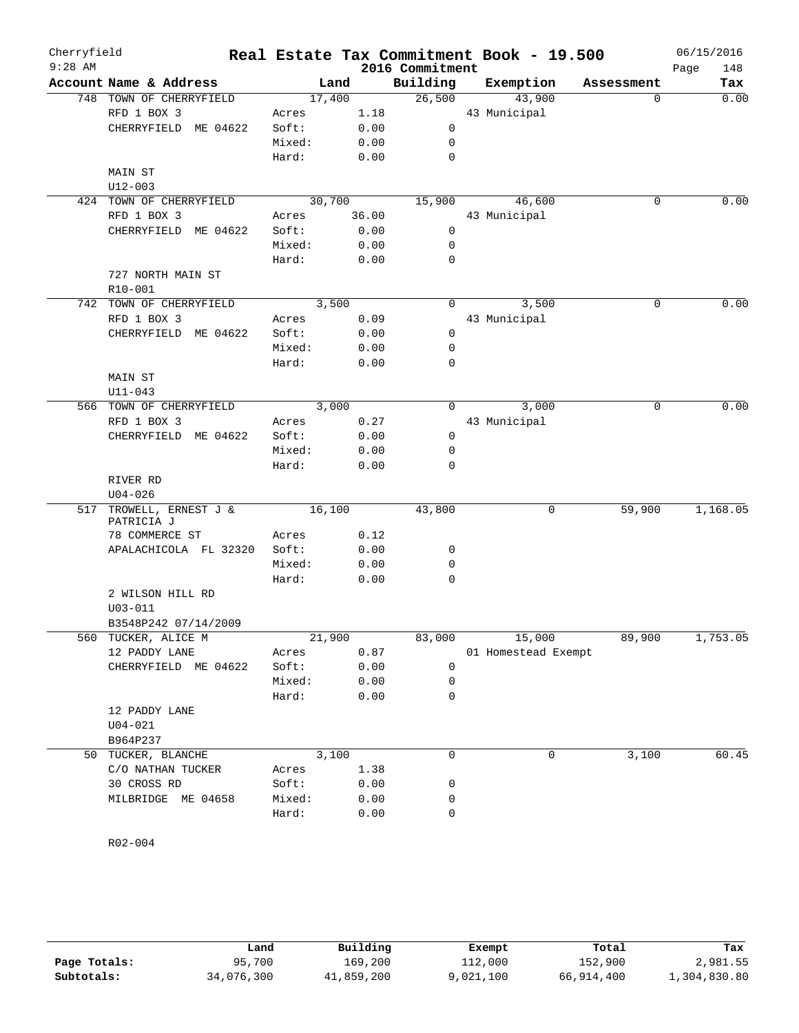| $9:28$ AM<br>2016 Commitment<br>148<br>Page<br>Account Name & Address<br>Building<br>Land<br>Exemption<br>Assessment<br>748 TOWN OF CHERRYFIELD<br>26,500<br>43,900<br>17,400<br>$\Omega$<br>RFD 1 BOX 3<br>1.18<br>43 Municipal<br>Acres<br>0.00<br>$\mathbf 0$<br>CHERRYFIELD ME 04622<br>Soft:<br>Mixed:<br>0.00<br>0<br>Hard:<br>0.00<br>$\mathbf 0$<br>MAIN ST<br>U12-003<br>30,700<br>15,900<br>46,600<br>424 TOWN OF CHERRYFIELD<br>0<br>RFD 1 BOX 3<br>36.00<br>43 Municipal<br>Acres<br>0.00<br>CHERRYFIELD ME 04622<br>Soft:<br>0<br>Mixed:<br>0.00<br>0<br>Hard:<br>0.00<br>0<br>727 NORTH MAIN ST<br>R10-001<br>3,500<br>0<br>742 TOWN OF CHERRYFIELD<br>3,500<br>$\Omega$<br>RFD 1 BOX 3<br>0.09<br>43 Municipal<br>Acres<br>CHERRYFIELD ME 04622<br>Soft:<br>0.00<br>0<br>$\mathbf 0$<br>Mixed:<br>0.00<br>Hard:<br>0.00<br>0<br><b>MAIN ST</b><br>$U11 - 043$<br>3,000<br>3,000<br>0<br>566 TOWN OF CHERRYFIELD<br>0<br>RFD 1 BOX 3<br>43 Municipal<br>Acres<br>0.27<br>CHERRYFIELD ME 04622<br>Soft:<br>0<br>0.00<br>Mixed:<br>0<br>0.00<br>Hard:<br>0.00<br>0<br>RIVER RD<br>$U04 - 026$<br>517 TROWELL, ERNEST J &<br>16,100<br>59,900<br>43,800<br>0<br>PATRICIA J<br>78 COMMERCE ST<br>Acres<br>0.12<br>Soft:<br>0.00<br>0<br>APALACHICOLA FL 32320<br>Mixed:<br>0.00<br>0<br>Hard:<br>0.00<br>0<br>2 WILSON HILL RD<br>$U03 - 011$<br>B3548P242 07/14/2009<br>560 TUCKER, ALICE M<br>21,900<br>83,000<br>15,000<br>89,900<br>12 PADDY LANE<br>Acres<br>0.87<br>01 Homestead Exempt<br>Soft:<br>CHERRYFIELD ME 04622<br>0.00<br>0<br>Mixed:<br>0.00<br>0<br>Hard:<br>0.00<br>0<br>12 PADDY LANE<br>$U04 - 021$<br>B964P237<br>3,100<br>3,100<br>$\mathbf 0$<br>TUCKER, BLANCHE<br>0<br>50<br>C/O NATHAN TUCKER<br>Acres<br>1.38<br>30 CROSS RD<br>Soft:<br>0<br>0.00<br>MILBRIDGE ME 04658<br>Mixed:<br>0<br>0.00<br>Hard:<br>0.00<br>0 | Cherryfield |  |  |  | Real Estate Tax Commitment Book - 19.500 | 06/15/2016 |      |
|-------------------------------------------------------------------------------------------------------------------------------------------------------------------------------------------------------------------------------------------------------------------------------------------------------------------------------------------------------------------------------------------------------------------------------------------------------------------------------------------------------------------------------------------------------------------------------------------------------------------------------------------------------------------------------------------------------------------------------------------------------------------------------------------------------------------------------------------------------------------------------------------------------------------------------------------------------------------------------------------------------------------------------------------------------------------------------------------------------------------------------------------------------------------------------------------------------------------------------------------------------------------------------------------------------------------------------------------------------------------------------------------------------------------------------------------------------------------------------------------------------------------------------------------------------------------------------------------------------------------------------------------------------------------------------------------------------------------------------------------------------------------------------------------------------------------------------------------------------------|-------------|--|--|--|------------------------------------------|------------|------|
|                                                                                                                                                                                                                                                                                                                                                                                                                                                                                                                                                                                                                                                                                                                                                                                                                                                                                                                                                                                                                                                                                                                                                                                                                                                                                                                                                                                                                                                                                                                                                                                                                                                                                                                                                                                                                                                             |             |  |  |  |                                          |            |      |
| 0.00<br>0.00<br>0.00<br>1,168.05<br>1,753.05<br>60.45                                                                                                                                                                                                                                                                                                                                                                                                                                                                                                                                                                                                                                                                                                                                                                                                                                                                                                                                                                                                                                                                                                                                                                                                                                                                                                                                                                                                                                                                                                                                                                                                                                                                                                                                                                                                       |             |  |  |  |                                          |            | Tax  |
|                                                                                                                                                                                                                                                                                                                                                                                                                                                                                                                                                                                                                                                                                                                                                                                                                                                                                                                                                                                                                                                                                                                                                                                                                                                                                                                                                                                                                                                                                                                                                                                                                                                                                                                                                                                                                                                             |             |  |  |  |                                          |            | 0.00 |
|                                                                                                                                                                                                                                                                                                                                                                                                                                                                                                                                                                                                                                                                                                                                                                                                                                                                                                                                                                                                                                                                                                                                                                                                                                                                                                                                                                                                                                                                                                                                                                                                                                                                                                                                                                                                                                                             |             |  |  |  |                                          |            |      |
|                                                                                                                                                                                                                                                                                                                                                                                                                                                                                                                                                                                                                                                                                                                                                                                                                                                                                                                                                                                                                                                                                                                                                                                                                                                                                                                                                                                                                                                                                                                                                                                                                                                                                                                                                                                                                                                             |             |  |  |  |                                          |            |      |
|                                                                                                                                                                                                                                                                                                                                                                                                                                                                                                                                                                                                                                                                                                                                                                                                                                                                                                                                                                                                                                                                                                                                                                                                                                                                                                                                                                                                                                                                                                                                                                                                                                                                                                                                                                                                                                                             |             |  |  |  |                                          |            |      |
|                                                                                                                                                                                                                                                                                                                                                                                                                                                                                                                                                                                                                                                                                                                                                                                                                                                                                                                                                                                                                                                                                                                                                                                                                                                                                                                                                                                                                                                                                                                                                                                                                                                                                                                                                                                                                                                             |             |  |  |  |                                          |            |      |
|                                                                                                                                                                                                                                                                                                                                                                                                                                                                                                                                                                                                                                                                                                                                                                                                                                                                                                                                                                                                                                                                                                                                                                                                                                                                                                                                                                                                                                                                                                                                                                                                                                                                                                                                                                                                                                                             |             |  |  |  |                                          |            |      |
|                                                                                                                                                                                                                                                                                                                                                                                                                                                                                                                                                                                                                                                                                                                                                                                                                                                                                                                                                                                                                                                                                                                                                                                                                                                                                                                                                                                                                                                                                                                                                                                                                                                                                                                                                                                                                                                             |             |  |  |  |                                          |            |      |
|                                                                                                                                                                                                                                                                                                                                                                                                                                                                                                                                                                                                                                                                                                                                                                                                                                                                                                                                                                                                                                                                                                                                                                                                                                                                                                                                                                                                                                                                                                                                                                                                                                                                                                                                                                                                                                                             |             |  |  |  |                                          |            |      |
|                                                                                                                                                                                                                                                                                                                                                                                                                                                                                                                                                                                                                                                                                                                                                                                                                                                                                                                                                                                                                                                                                                                                                                                                                                                                                                                                                                                                                                                                                                                                                                                                                                                                                                                                                                                                                                                             |             |  |  |  |                                          |            |      |
|                                                                                                                                                                                                                                                                                                                                                                                                                                                                                                                                                                                                                                                                                                                                                                                                                                                                                                                                                                                                                                                                                                                                                                                                                                                                                                                                                                                                                                                                                                                                                                                                                                                                                                                                                                                                                                                             |             |  |  |  |                                          |            |      |
|                                                                                                                                                                                                                                                                                                                                                                                                                                                                                                                                                                                                                                                                                                                                                                                                                                                                                                                                                                                                                                                                                                                                                                                                                                                                                                                                                                                                                                                                                                                                                                                                                                                                                                                                                                                                                                                             |             |  |  |  |                                          |            |      |
|                                                                                                                                                                                                                                                                                                                                                                                                                                                                                                                                                                                                                                                                                                                                                                                                                                                                                                                                                                                                                                                                                                                                                                                                                                                                                                                                                                                                                                                                                                                                                                                                                                                                                                                                                                                                                                                             |             |  |  |  |                                          |            |      |
|                                                                                                                                                                                                                                                                                                                                                                                                                                                                                                                                                                                                                                                                                                                                                                                                                                                                                                                                                                                                                                                                                                                                                                                                                                                                                                                                                                                                                                                                                                                                                                                                                                                                                                                                                                                                                                                             |             |  |  |  |                                          |            |      |
|                                                                                                                                                                                                                                                                                                                                                                                                                                                                                                                                                                                                                                                                                                                                                                                                                                                                                                                                                                                                                                                                                                                                                                                                                                                                                                                                                                                                                                                                                                                                                                                                                                                                                                                                                                                                                                                             |             |  |  |  |                                          |            |      |
|                                                                                                                                                                                                                                                                                                                                                                                                                                                                                                                                                                                                                                                                                                                                                                                                                                                                                                                                                                                                                                                                                                                                                                                                                                                                                                                                                                                                                                                                                                                                                                                                                                                                                                                                                                                                                                                             |             |  |  |  |                                          |            |      |
|                                                                                                                                                                                                                                                                                                                                                                                                                                                                                                                                                                                                                                                                                                                                                                                                                                                                                                                                                                                                                                                                                                                                                                                                                                                                                                                                                                                                                                                                                                                                                                                                                                                                                                                                                                                                                                                             |             |  |  |  |                                          |            |      |
|                                                                                                                                                                                                                                                                                                                                                                                                                                                                                                                                                                                                                                                                                                                                                                                                                                                                                                                                                                                                                                                                                                                                                                                                                                                                                                                                                                                                                                                                                                                                                                                                                                                                                                                                                                                                                                                             |             |  |  |  |                                          |            |      |
|                                                                                                                                                                                                                                                                                                                                                                                                                                                                                                                                                                                                                                                                                                                                                                                                                                                                                                                                                                                                                                                                                                                                                                                                                                                                                                                                                                                                                                                                                                                                                                                                                                                                                                                                                                                                                                                             |             |  |  |  |                                          |            |      |
|                                                                                                                                                                                                                                                                                                                                                                                                                                                                                                                                                                                                                                                                                                                                                                                                                                                                                                                                                                                                                                                                                                                                                                                                                                                                                                                                                                                                                                                                                                                                                                                                                                                                                                                                                                                                                                                             |             |  |  |  |                                          |            |      |
|                                                                                                                                                                                                                                                                                                                                                                                                                                                                                                                                                                                                                                                                                                                                                                                                                                                                                                                                                                                                                                                                                                                                                                                                                                                                                                                                                                                                                                                                                                                                                                                                                                                                                                                                                                                                                                                             |             |  |  |  |                                          |            |      |
|                                                                                                                                                                                                                                                                                                                                                                                                                                                                                                                                                                                                                                                                                                                                                                                                                                                                                                                                                                                                                                                                                                                                                                                                                                                                                                                                                                                                                                                                                                                                                                                                                                                                                                                                                                                                                                                             |             |  |  |  |                                          |            |      |
|                                                                                                                                                                                                                                                                                                                                                                                                                                                                                                                                                                                                                                                                                                                                                                                                                                                                                                                                                                                                                                                                                                                                                                                                                                                                                                                                                                                                                                                                                                                                                                                                                                                                                                                                                                                                                                                             |             |  |  |  |                                          |            |      |
|                                                                                                                                                                                                                                                                                                                                                                                                                                                                                                                                                                                                                                                                                                                                                                                                                                                                                                                                                                                                                                                                                                                                                                                                                                                                                                                                                                                                                                                                                                                                                                                                                                                                                                                                                                                                                                                             |             |  |  |  |                                          |            |      |
|                                                                                                                                                                                                                                                                                                                                                                                                                                                                                                                                                                                                                                                                                                                                                                                                                                                                                                                                                                                                                                                                                                                                                                                                                                                                                                                                                                                                                                                                                                                                                                                                                                                                                                                                                                                                                                                             |             |  |  |  |                                          |            |      |
|                                                                                                                                                                                                                                                                                                                                                                                                                                                                                                                                                                                                                                                                                                                                                                                                                                                                                                                                                                                                                                                                                                                                                                                                                                                                                                                                                                                                                                                                                                                                                                                                                                                                                                                                                                                                                                                             |             |  |  |  |                                          |            |      |
|                                                                                                                                                                                                                                                                                                                                                                                                                                                                                                                                                                                                                                                                                                                                                                                                                                                                                                                                                                                                                                                                                                                                                                                                                                                                                                                                                                                                                                                                                                                                                                                                                                                                                                                                                                                                                                                             |             |  |  |  |                                          |            |      |
|                                                                                                                                                                                                                                                                                                                                                                                                                                                                                                                                                                                                                                                                                                                                                                                                                                                                                                                                                                                                                                                                                                                                                                                                                                                                                                                                                                                                                                                                                                                                                                                                                                                                                                                                                                                                                                                             |             |  |  |  |                                          |            |      |
|                                                                                                                                                                                                                                                                                                                                                                                                                                                                                                                                                                                                                                                                                                                                                                                                                                                                                                                                                                                                                                                                                                                                                                                                                                                                                                                                                                                                                                                                                                                                                                                                                                                                                                                                                                                                                                                             |             |  |  |  |                                          |            |      |
|                                                                                                                                                                                                                                                                                                                                                                                                                                                                                                                                                                                                                                                                                                                                                                                                                                                                                                                                                                                                                                                                                                                                                                                                                                                                                                                                                                                                                                                                                                                                                                                                                                                                                                                                                                                                                                                             |             |  |  |  |                                          |            |      |
|                                                                                                                                                                                                                                                                                                                                                                                                                                                                                                                                                                                                                                                                                                                                                                                                                                                                                                                                                                                                                                                                                                                                                                                                                                                                                                                                                                                                                                                                                                                                                                                                                                                                                                                                                                                                                                                             |             |  |  |  |                                          |            |      |
|                                                                                                                                                                                                                                                                                                                                                                                                                                                                                                                                                                                                                                                                                                                                                                                                                                                                                                                                                                                                                                                                                                                                                                                                                                                                                                                                                                                                                                                                                                                                                                                                                                                                                                                                                                                                                                                             |             |  |  |  |                                          |            |      |
|                                                                                                                                                                                                                                                                                                                                                                                                                                                                                                                                                                                                                                                                                                                                                                                                                                                                                                                                                                                                                                                                                                                                                                                                                                                                                                                                                                                                                                                                                                                                                                                                                                                                                                                                                                                                                                                             |             |  |  |  |                                          |            |      |
|                                                                                                                                                                                                                                                                                                                                                                                                                                                                                                                                                                                                                                                                                                                                                                                                                                                                                                                                                                                                                                                                                                                                                                                                                                                                                                                                                                                                                                                                                                                                                                                                                                                                                                                                                                                                                                                             |             |  |  |  |                                          |            |      |
|                                                                                                                                                                                                                                                                                                                                                                                                                                                                                                                                                                                                                                                                                                                                                                                                                                                                                                                                                                                                                                                                                                                                                                                                                                                                                                                                                                                                                                                                                                                                                                                                                                                                                                                                                                                                                                                             |             |  |  |  |                                          |            |      |
|                                                                                                                                                                                                                                                                                                                                                                                                                                                                                                                                                                                                                                                                                                                                                                                                                                                                                                                                                                                                                                                                                                                                                                                                                                                                                                                                                                                                                                                                                                                                                                                                                                                                                                                                                                                                                                                             |             |  |  |  |                                          |            |      |
|                                                                                                                                                                                                                                                                                                                                                                                                                                                                                                                                                                                                                                                                                                                                                                                                                                                                                                                                                                                                                                                                                                                                                                                                                                                                                                                                                                                                                                                                                                                                                                                                                                                                                                                                                                                                                                                             |             |  |  |  |                                          |            |      |
|                                                                                                                                                                                                                                                                                                                                                                                                                                                                                                                                                                                                                                                                                                                                                                                                                                                                                                                                                                                                                                                                                                                                                                                                                                                                                                                                                                                                                                                                                                                                                                                                                                                                                                                                                                                                                                                             |             |  |  |  |                                          |            |      |
|                                                                                                                                                                                                                                                                                                                                                                                                                                                                                                                                                                                                                                                                                                                                                                                                                                                                                                                                                                                                                                                                                                                                                                                                                                                                                                                                                                                                                                                                                                                                                                                                                                                                                                                                                                                                                                                             |             |  |  |  |                                          |            |      |
|                                                                                                                                                                                                                                                                                                                                                                                                                                                                                                                                                                                                                                                                                                                                                                                                                                                                                                                                                                                                                                                                                                                                                                                                                                                                                                                                                                                                                                                                                                                                                                                                                                                                                                                                                                                                                                                             |             |  |  |  |                                          |            |      |
|                                                                                                                                                                                                                                                                                                                                                                                                                                                                                                                                                                                                                                                                                                                                                                                                                                                                                                                                                                                                                                                                                                                                                                                                                                                                                                                                                                                                                                                                                                                                                                                                                                                                                                                                                                                                                                                             |             |  |  |  |                                          |            |      |
|                                                                                                                                                                                                                                                                                                                                                                                                                                                                                                                                                                                                                                                                                                                                                                                                                                                                                                                                                                                                                                                                                                                                                                                                                                                                                                                                                                                                                                                                                                                                                                                                                                                                                                                                                                                                                                                             |             |  |  |  |                                          |            |      |
|                                                                                                                                                                                                                                                                                                                                                                                                                                                                                                                                                                                                                                                                                                                                                                                                                                                                                                                                                                                                                                                                                                                                                                                                                                                                                                                                                                                                                                                                                                                                                                                                                                                                                                                                                                                                                                                             |             |  |  |  |                                          |            |      |
|                                                                                                                                                                                                                                                                                                                                                                                                                                                                                                                                                                                                                                                                                                                                                                                                                                                                                                                                                                                                                                                                                                                                                                                                                                                                                                                                                                                                                                                                                                                                                                                                                                                                                                                                                                                                                                                             |             |  |  |  |                                          |            |      |
|                                                                                                                                                                                                                                                                                                                                                                                                                                                                                                                                                                                                                                                                                                                                                                                                                                                                                                                                                                                                                                                                                                                                                                                                                                                                                                                                                                                                                                                                                                                                                                                                                                                                                                                                                                                                                                                             |             |  |  |  |                                          |            |      |
|                                                                                                                                                                                                                                                                                                                                                                                                                                                                                                                                                                                                                                                                                                                                                                                                                                                                                                                                                                                                                                                                                                                                                                                                                                                                                                                                                                                                                                                                                                                                                                                                                                                                                                                                                                                                                                                             |             |  |  |  |                                          |            |      |
|                                                                                                                                                                                                                                                                                                                                                                                                                                                                                                                                                                                                                                                                                                                                                                                                                                                                                                                                                                                                                                                                                                                                                                                                                                                                                                                                                                                                                                                                                                                                                                                                                                                                                                                                                                                                                                                             |             |  |  |  |                                          |            |      |
|                                                                                                                                                                                                                                                                                                                                                                                                                                                                                                                                                                                                                                                                                                                                                                                                                                                                                                                                                                                                                                                                                                                                                                                                                                                                                                                                                                                                                                                                                                                                                                                                                                                                                                                                                                                                                                                             |             |  |  |  |                                          |            |      |
|                                                                                                                                                                                                                                                                                                                                                                                                                                                                                                                                                                                                                                                                                                                                                                                                                                                                                                                                                                                                                                                                                                                                                                                                                                                                                                                                                                                                                                                                                                                                                                                                                                                                                                                                                                                                                                                             |             |  |  |  |                                          |            |      |
|                                                                                                                                                                                                                                                                                                                                                                                                                                                                                                                                                                                                                                                                                                                                                                                                                                                                                                                                                                                                                                                                                                                                                                                                                                                                                                                                                                                                                                                                                                                                                                                                                                                                                                                                                                                                                                                             |             |  |  |  |                                          |            |      |
|                                                                                                                                                                                                                                                                                                                                                                                                                                                                                                                                                                                                                                                                                                                                                                                                                                                                                                                                                                                                                                                                                                                                                                                                                                                                                                                                                                                                                                                                                                                                                                                                                                                                                                                                                                                                                                                             |             |  |  |  |                                          |            |      |

R02-004

|              | Land       | Building   | Exempt    | Total      | Tax          |
|--------------|------------|------------|-----------|------------|--------------|
| Page Totals: | 95,700     | 169,200    | 112,000   | 152,900    | 2,981.55     |
| Subtotals:   | 34,076,300 | 41,859,200 | 9,021,100 | 66,914,400 | 1,304,830.80 |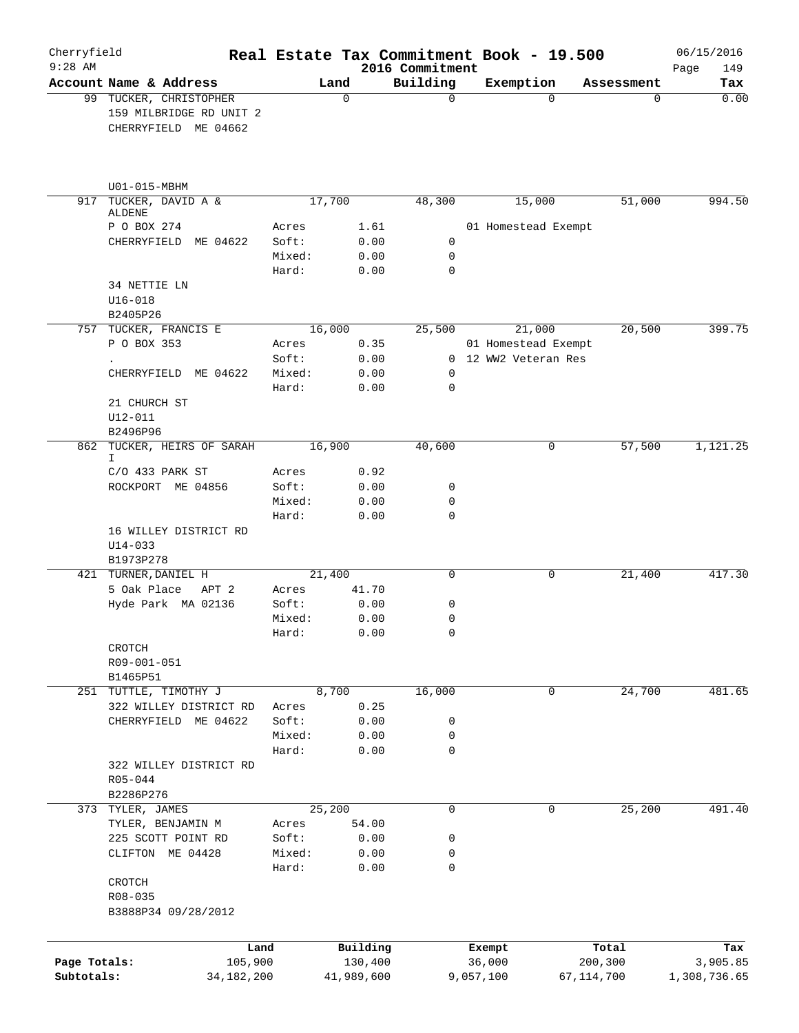| Cherryfield<br>$9:28$ AM |                                                                           |        |             |            | 2016 Commitment  | Real Estate Tax Commitment Book - 19.500 |              | 06/15/2016<br>149<br>Page |
|--------------------------|---------------------------------------------------------------------------|--------|-------------|------------|------------------|------------------------------------------|--------------|---------------------------|
|                          | Account Name & Address                                                    |        | Land        |            | Building         | Exemption                                | Assessment   | Tax                       |
|                          | 99 TUCKER, CHRISTOPHER<br>159 MILBRIDGE RD UNIT 2<br>CHERRYFIELD ME 04662 |        | $\mathbf 0$ |            | 0                | $\Omega$                                 | $\mathbf 0$  | 0.00                      |
|                          | U01-015-MBHM                                                              |        |             |            |                  |                                          |              |                           |
| 917                      | TUCKER, DAVID A &<br>ALDENE                                               |        | 17,700      |            | 48,300           | 15,000                                   | 51,000       | 994.50                    |
|                          | P O BOX 274                                                               | Acres  |             | 1.61       |                  | 01 Homestead Exempt                      |              |                           |
|                          | CHERRYFIELD ME 04622                                                      | Soft:  |             | 0.00       | $\mathsf{O}$     |                                          |              |                           |
|                          |                                                                           | Mixed: |             | 0.00       | $\mathbf 0$      |                                          |              |                           |
|                          | 34 NETTIE LN<br>$U16 - 018$                                               | Hard:  |             | 0.00       | $\mathbf 0$      |                                          |              |                           |
|                          | B2405P26                                                                  |        |             |            |                  |                                          |              |                           |
|                          | 757 TUCKER, FRANCIS E                                                     |        | 16,000      |            | 25,500           | 21,000                                   | 20,500       | 399.75                    |
|                          | P O BOX 353                                                               | Acres  |             | 0.35       |                  | 01 Homestead Exempt                      |              |                           |
|                          |                                                                           | Soft:  |             | 0.00       |                  | 0 12 WW2 Veteran Res                     |              |                           |
|                          | CHERRYFIELD ME 04622                                                      | Mixed: |             | 0.00       | 0<br>$\mathbf 0$ |                                          |              |                           |
|                          | 21 CHURCH ST                                                              | Hard:  |             | 0.00       |                  |                                          |              |                           |
|                          | $U12 - 011$                                                               |        |             |            |                  |                                          |              |                           |
|                          | B2496P96                                                                  |        |             |            |                  |                                          |              |                           |
| 862                      | TUCKER, HEIRS OF SARAH<br>I.                                              |        | 16,900      |            | 40,600           | 0                                        | 57,500       | 1,121.25                  |
|                          | $C/O$ 433 PARK ST                                                         | Acres  |             | 0.92       |                  |                                          |              |                           |
|                          | ROCKPORT ME 04856                                                         | Soft:  |             | 0.00       | 0                |                                          |              |                           |
|                          |                                                                           | Mixed: |             | 0.00       | 0                |                                          |              |                           |
|                          | 16 WILLEY DISTRICT RD<br>$U14 - 033$<br>B1973P278                         | Hard:  |             | 0.00       | $\mathbf 0$      |                                          |              |                           |
|                          | 421 TURNER, DANIEL H                                                      |        | 21,400      |            | 0                | 0                                        | 21,400       | 417.30                    |
|                          | 5 Oak Place<br>APT 2                                                      | Acres  |             | 41.70      |                  |                                          |              |                           |
|                          | Hyde Park MA 02136                                                        | Soft:  |             | 0.00       | 0                |                                          |              |                           |
|                          |                                                                           | Mixed: |             | 0.00       | 0                |                                          |              |                           |
|                          | CROTCH                                                                    | Hard:  |             | 0.00       | 0                |                                          |              |                           |
|                          | R09-001-051<br>B1465P51                                                   |        |             |            |                  |                                          |              |                           |
| 251                      | TUTTLE, TIMOTHY J                                                         |        | 8,700       |            | 16,000           | 0                                        | 24,700       | 481.65                    |
|                          | 322 WILLEY DISTRICT RD                                                    | Acres  |             | 0.25       |                  |                                          |              |                           |
|                          | CHERRYFIELD ME 04622                                                      | Soft:  |             | 0.00       | 0                |                                          |              |                           |
|                          |                                                                           | Mixed: |             | 0.00       | 0                |                                          |              |                           |
|                          |                                                                           | Hard:  |             | 0.00       | 0                |                                          |              |                           |
|                          | 322 WILLEY DISTRICT RD<br>R05-044                                         |        |             |            |                  |                                          |              |                           |
|                          | B2286P276                                                                 |        |             |            |                  |                                          |              |                           |
|                          | 373 TYLER, JAMES                                                          |        | 25,200      |            | 0                | 0                                        | 25,200       | 491.40                    |
|                          | TYLER, BENJAMIN M                                                         | Acres  |             | 54.00      |                  |                                          |              |                           |
|                          | 225 SCOTT POINT RD                                                        | Soft:  |             | 0.00       | 0                |                                          |              |                           |
|                          | CLIFTON ME 04428                                                          | Mixed: |             | 0.00       | 0                |                                          |              |                           |
|                          |                                                                           | Hard:  |             | 0.00       | 0                |                                          |              |                           |
|                          | CROTCH                                                                    |        |             |            |                  |                                          |              |                           |
|                          | R08-035<br>B3888P34 09/28/2012                                            |        |             |            |                  |                                          |              |                           |
|                          |                                                                           |        |             |            |                  |                                          |              |                           |
|                          |                                                                           | Land   |             | Building   |                  | Exempt                                   | Total        | Tax                       |
| Page Totals:             | 105,900                                                                   |        |             | 130,400    |                  | 36,000                                   | 200,300      | 3,905.85                  |
| Subtotals:               | 34, 182, 200                                                              |        |             | 41,989,600 |                  | 9,057,100                                | 67, 114, 700 | 1,308,736.65              |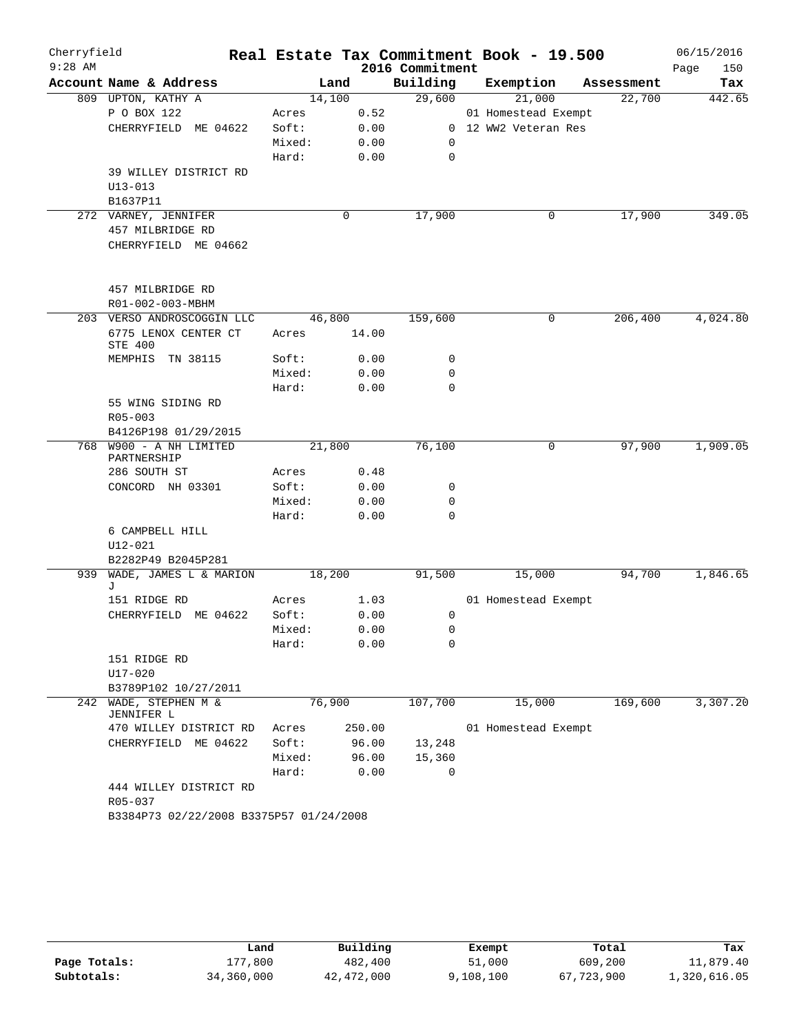| Cherryfield |                                         |                 |        |               |                       | Real Estate Tax Commitment Book - 19.500 |            | 06/15/2016  |
|-------------|-----------------------------------------|-----------------|--------|---------------|-----------------------|------------------------------------------|------------|-------------|
| $9:28$ AM   |                                         |                 |        |               | 2016 Commitment       |                                          |            | 150<br>Page |
|             | Account Name & Address                  |                 | Land   |               | Building              | Exemption                                | Assessment | Tax         |
|             | 809 UPTON, KATHY A                      |                 | 14,100 |               | 29,600                | 21,000                                   | 22,700     | 442.65      |
|             | P O BOX 122                             | Acres           |        | 0.52          |                       | 01 Homestead Exempt                      |            |             |
|             | CHERRYFIELD ME 04622                    | Soft:           |        | 0.00          |                       | 0 12 WW2 Veteran Res                     |            |             |
|             |                                         | Mixed:<br>Hard: |        | 0.00<br>0.00  | 0<br>$\mathbf 0$      |                                          |            |             |
|             | 39 WILLEY DISTRICT RD                   |                 |        |               |                       |                                          |            |             |
|             | $U13 - 013$                             |                 |        |               |                       |                                          |            |             |
|             | B1637P11                                |                 |        |               |                       |                                          |            |             |
|             | 272 VARNEY, JENNIFER                    |                 |        | 0             | 17,900                | 0                                        | 17,900     | 349.05      |
|             | 457 MILBRIDGE RD                        |                 |        |               |                       |                                          |            |             |
|             | CHERRYFIELD ME 04662                    |                 |        |               |                       |                                          |            |             |
|             | 457 MILBRIDGE RD                        |                 |        |               |                       |                                          |            |             |
|             | R01-002-003-MBHM                        |                 |        |               |                       |                                          |            |             |
|             | 203 VERSO ANDROSCOGGIN LLC              |                 | 46,800 |               | 159,600               | 0                                        | 206,400    | 4,024.80    |
|             | 6775 LENOX CENTER CT<br>STE 400         | Acres           |        | 14.00         |                       |                                          |            |             |
|             | MEMPHIS TN 38115                        | Soft:           |        | 0.00          | 0                     |                                          |            |             |
|             |                                         | Mixed:          |        | 0.00          | $\mathbf 0$           |                                          |            |             |
|             |                                         | Hard:           |        | 0.00          | $\mathbf 0$           |                                          |            |             |
|             | 55 WING SIDING RD<br>R05-003            |                 |        |               |                       |                                          |            |             |
|             | B4126P198 01/29/2015                    |                 |        |               |                       |                                          |            |             |
|             | 768 W900 - A NH LIMITED<br>PARTNERSHIP  |                 | 21,800 |               | 76,100                | 0                                        | 97,900     | 1,909.05    |
|             | 286 SOUTH ST                            | Acres           |        | 0.48          |                       |                                          |            |             |
|             | CONCORD NH 03301                        | Soft:           |        | 0.00          | 0                     |                                          |            |             |
|             |                                         | Mixed:          |        | 0.00          | $\mathbf 0$           |                                          |            |             |
|             |                                         | Hard:           |        | 0.00          | $\mathbf 0$           |                                          |            |             |
|             | 6 CAMPBELL HILL                         |                 |        |               |                       |                                          |            |             |
|             | $U12 - 021$<br>B2282P49 B2045P281       |                 |        |               |                       |                                          |            |             |
| 939         | WADE, JAMES L & MARION                  |                 | 18,200 |               | 91,500                | 15,000                                   | 94,700     | 1,846.65    |
|             | J                                       |                 |        |               |                       |                                          |            |             |
|             | 151 RIDGE RD                            | Acres           |        | 1.03          |                       | 01 Homestead Exempt                      |            |             |
|             | CHERRYFIELD ME 04622                    | Soft:           |        | 0.00          | 0                     |                                          |            |             |
|             |                                         | Mixed:          |        | 0.00          | $\mathbf{0}$          |                                          |            |             |
|             |                                         | Hard:           |        | 0.00          | 0                     |                                          |            |             |
|             | 151 RIDGE RD                            |                 |        |               |                       |                                          |            |             |
|             | U17-020                                 |                 |        |               |                       |                                          |            |             |
|             | B3789P102 10/27/2011                    |                 |        |               |                       |                                          |            |             |
| 242         | WADE, STEPHEN M &<br>JENNIFER L         |                 | 76,900 |               | 107,700               | 15,000                                   | 169,600    | 3,307.20    |
|             | 470 WILLEY DISTRICT RD                  | Acres           |        | 250.00        |                       | 01 Homestead Exempt                      |            |             |
|             | CHERRYFIELD ME 04622                    | Soft:           |        | 96.00         | 13,248                |                                          |            |             |
|             |                                         | Mixed:<br>Hard: |        | 96.00<br>0.00 | 15,360<br>$\mathbf 0$ |                                          |            |             |
|             | 444 WILLEY DISTRICT RD                  |                 |        |               |                       |                                          |            |             |
|             | R05-037                                 |                 |        |               |                       |                                          |            |             |
|             | B3384P73 02/22/2008 B3375P57 01/24/2008 |                 |        |               |                       |                                          |            |             |

|              | Land       | Building   | Exempt    | Total      | Tax          |
|--------------|------------|------------|-----------|------------|--------------|
| Page Totals: | 177,800    | 482,400    | 51,000    | 609,200    | 11,879.40    |
| Subtotals:   | 34,360,000 | 42,472,000 | 9,108,100 | 67,723,900 | 1,320,616.05 |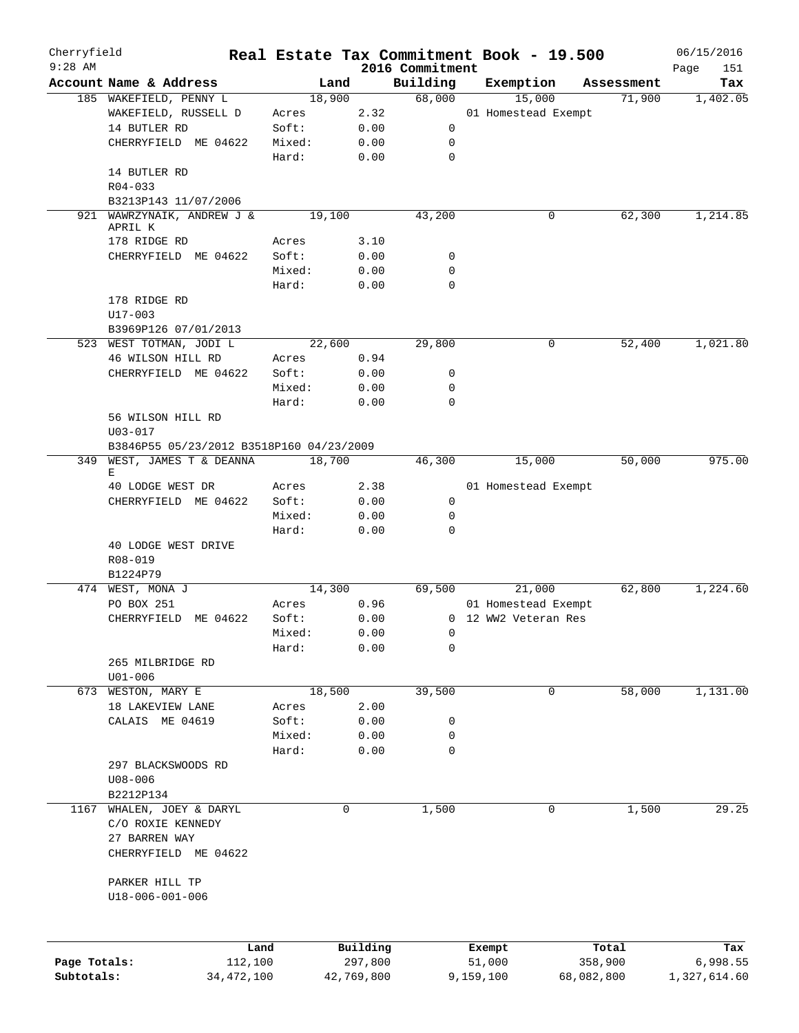| Cherryfield  |                                          |              |                |            |                 | Real Estate Tax Commitment Book - 19.500 |            | 06/15/2016   |
|--------------|------------------------------------------|--------------|----------------|------------|-----------------|------------------------------------------|------------|--------------|
| $9:28$ AM    |                                          |              |                |            | 2016 Commitment |                                          |            | Page<br>151  |
|              | Account Name & Address                   |              | Land<br>18,900 |            | Building        | Exemption                                | Assessment | Tax          |
|              | 185 WAKEFIELD, PENNY L                   |              |                |            | 68,000          | 15,000                                   | 71,900     | 1,402.05     |
|              | WAKEFIELD, RUSSELL D                     |              | Acres          | 2.32       |                 | 01 Homestead Exempt                      |            |              |
|              | 14 BUTLER RD                             |              | Soft:          | 0.00       | 0               |                                          |            |              |
|              | CHERRYFIELD ME 04622                     |              | Mixed:         | 0.00       | 0               |                                          |            |              |
|              |                                          |              | Hard:          | 0.00       | $\mathbf 0$     |                                          |            |              |
|              | 14 BUTLER RD                             |              |                |            |                 |                                          |            |              |
|              | $R04 - 033$                              |              |                |            |                 |                                          |            |              |
|              | B3213P143 11/07/2006                     |              |                |            |                 |                                          |            |              |
| 921          | WAWRZYNAIK, ANDREW J &<br>APRIL K        |              | 19,100         |            | 43,200          | 0                                        | 62,300     | 1,214.85     |
|              | 178 RIDGE RD                             |              | Acres          | 3.10       |                 |                                          |            |              |
|              | CHERRYFIELD ME 04622                     |              | Soft:          | 0.00       | 0               |                                          |            |              |
|              |                                          |              | Mixed:         | 0.00       | $\mathbf 0$     |                                          |            |              |
|              |                                          |              | Hard:          |            | 0               |                                          |            |              |
|              |                                          |              |                | 0.00       |                 |                                          |            |              |
|              | 178 RIDGE RD                             |              |                |            |                 |                                          |            |              |
|              | U17-003                                  |              |                |            |                 |                                          |            |              |
|              | B3969P126 07/01/2013                     |              |                |            |                 |                                          |            |              |
|              | 523 WEST TOTMAN, JODI L                  |              | 22,600         |            | 29,800          | 0                                        | 52,400     | 1,021.80     |
|              | 46 WILSON HILL RD                        |              | Acres          | 0.94       |                 |                                          |            |              |
|              | CHERRYFIELD ME 04622                     |              | Soft:          | 0.00       | 0               |                                          |            |              |
|              |                                          |              | Mixed:         | 0.00       | $\mathbf 0$     |                                          |            |              |
|              |                                          |              | Hard:          | 0.00       | $\Omega$        |                                          |            |              |
|              | 56 WILSON HILL RD                        |              |                |            |                 |                                          |            |              |
|              | $U03 - 017$                              |              |                |            |                 |                                          |            |              |
|              | B3846P55 05/23/2012 B3518P160 04/23/2009 |              |                |            |                 |                                          |            |              |
| 349          | WEST, JAMES T & DEANNA                   |              | 18,700         |            | 46,300          | 15,000                                   | 50,000     | 975.00       |
|              | Е                                        |              |                |            |                 |                                          |            |              |
|              | 40 LODGE WEST DR                         |              | Acres          | 2.38       |                 | 01 Homestead Exempt                      |            |              |
|              | CHERRYFIELD ME 04622                     |              | Soft:          | 0.00       | 0               |                                          |            |              |
|              |                                          |              | Mixed:         | 0.00       | 0               |                                          |            |              |
|              |                                          |              | Hard:          | 0.00       | 0               |                                          |            |              |
|              | 40 LODGE WEST DRIVE                      |              |                |            |                 |                                          |            |              |
|              | R08-019                                  |              |                |            |                 |                                          |            |              |
|              | B1224P79                                 |              |                |            |                 |                                          |            |              |
|              | 474 WEST, MONA J                         |              | 14,300         |            | 69,500          | 21,000                                   | 62,800     | 1,224.60     |
|              | PO BOX 251                               |              | Acres          | 0.96       |                 | 01 Homestead Exempt                      |            |              |
|              | CHERRYFIELD ME 04622                     |              | Soft:          | 0.00       |                 | 0 12 WW2 Veteran Res                     |            |              |
|              |                                          |              | Mixed:         | 0.00       | $\Omega$        |                                          |            |              |
|              |                                          |              | Hard:          | 0.00       | 0               |                                          |            |              |
|              | 265 MILBRIDGE RD                         |              |                |            |                 |                                          |            |              |
|              |                                          |              |                |            |                 |                                          |            |              |
|              | $U01 - 006$                              |              |                |            |                 |                                          |            |              |
| 673          | WESTON, MARY E                           |              | 18,500         |            | 39,500          | 0                                        | 58,000     | 1,131.00     |
|              | 18 LAKEVIEW LANE                         |              | Acres          | 2.00       |                 |                                          |            |              |
|              | CALAIS ME 04619                          |              | Soft:          | 0.00       | 0               |                                          |            |              |
|              |                                          |              | Mixed:         | 0.00       | 0               |                                          |            |              |
|              |                                          |              | Hard:          | 0.00       | 0               |                                          |            |              |
|              | 297 BLACKSWOODS RD                       |              |                |            |                 |                                          |            |              |
|              | $U08 - 006$                              |              |                |            |                 |                                          |            |              |
|              | B2212P134                                |              |                |            |                 |                                          |            |              |
| 1167         | WHALEN, JOEY & DARYL                     |              | 0              |            | 1,500           | 0                                        | 1,500      | 29.25        |
|              | C/O ROXIE KENNEDY                        |              |                |            |                 |                                          |            |              |
|              | 27 BARREN WAY                            |              |                |            |                 |                                          |            |              |
|              | CHERRYFIELD ME 04622                     |              |                |            |                 |                                          |            |              |
|              |                                          |              |                |            |                 |                                          |            |              |
|              | PARKER HILL TP                           |              |                |            |                 |                                          |            |              |
|              | U18-006-001-006                          |              |                |            |                 |                                          |            |              |
|              |                                          |              |                |            |                 |                                          |            |              |
|              |                                          |              |                |            |                 |                                          |            |              |
|              |                                          |              |                |            |                 |                                          |            |              |
|              |                                          | Land         |                | Building   |                 | Exempt                                   | Total      | Tax          |
| Page Totals: |                                          | 112,100      |                | 297,800    |                 | 51,000                                   | 358,900    | 6,998.55     |
| Subtotals:   |                                          | 34, 472, 100 |                | 42,769,800 |                 | 9,159,100                                | 68,082,800 | 1,327,614.60 |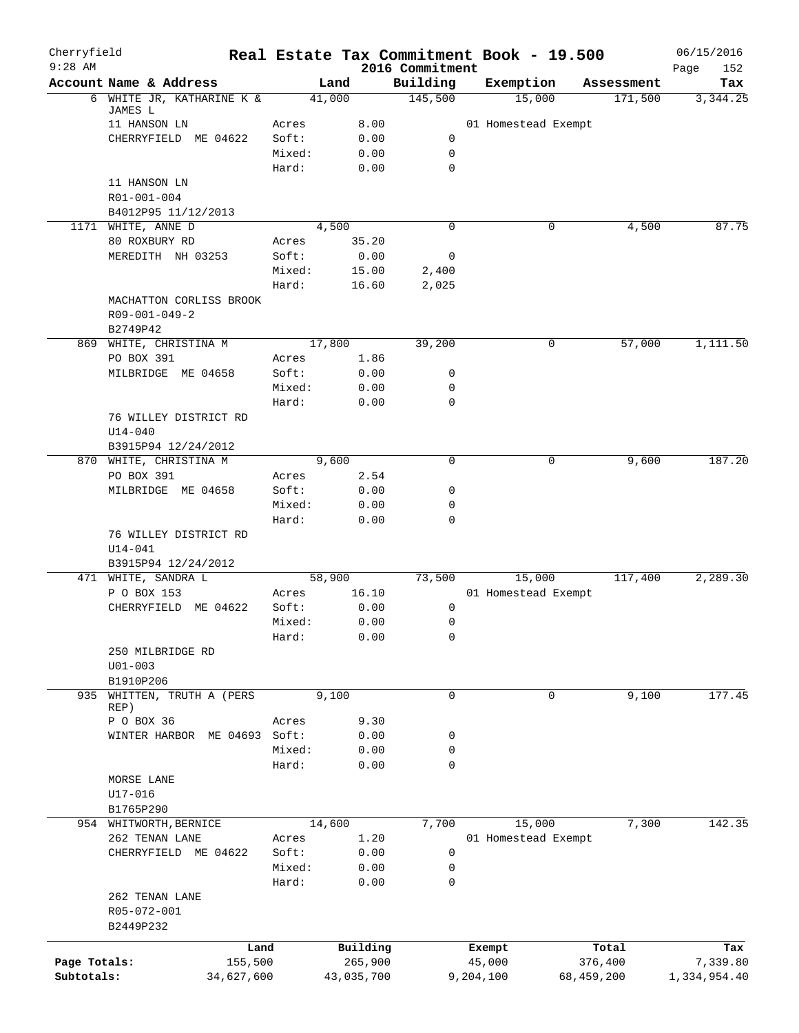| Cherryfield<br>$9:28$ AM |                                                  |                 |                     |                             |                  | Real Estate Tax Commitment Book - 19.500 |                  | 06/15/2016         |
|--------------------------|--------------------------------------------------|-----------------|---------------------|-----------------------------|------------------|------------------------------------------|------------------|--------------------|
|                          | Account Name & Address                           |                 | Land                | 2016 Commitment<br>Building |                  | Exemption                                | Assessment       | Page<br>152<br>Tax |
|                          | 6 WHITE JR, KATHARINE K &                        |                 | 41,000              | 145,500                     |                  | 15,000                                   | 171,500          | 3,344.25           |
|                          | JAMES L                                          |                 |                     |                             |                  |                                          |                  |                    |
|                          | 11 HANSON LN<br>CHERRYFIELD ME 04622             | Acres<br>Soft:  | 8.00<br>0.00        | 0                           |                  | 01 Homestead Exempt                      |                  |                    |
|                          |                                                  | Mixed:          | 0.00                | 0                           |                  |                                          |                  |                    |
|                          |                                                  | Hard:           | 0.00                | 0                           |                  |                                          |                  |                    |
|                          | 11 HANSON LN                                     |                 |                     |                             |                  |                                          |                  |                    |
|                          | R01-001-004                                      |                 |                     |                             |                  |                                          |                  |                    |
|                          | B4012P95 11/12/2013                              |                 |                     |                             |                  |                                          |                  |                    |
|                          | 1171 WHITE, ANNE D                               |                 | 4,500               | $\Omega$                    |                  | 0                                        | 4,500            | 87.75              |
|                          | 80 ROXBURY RD                                    | Acres           | 35.20               |                             |                  |                                          |                  |                    |
|                          | MEREDITH NH 03253                                | Soft:           | 0.00                | 0                           |                  |                                          |                  |                    |
|                          |                                                  | Mixed:          | 15.00               | 2,400                       |                  |                                          |                  |                    |
|                          |                                                  | Hard:           | 16.60               | 2,025                       |                  |                                          |                  |                    |
|                          | MACHATTON CORLISS BROOK<br>$R09 - 001 - 049 - 2$ |                 |                     |                             |                  |                                          |                  |                    |
|                          | B2749P42                                         |                 |                     |                             |                  |                                          |                  |                    |
|                          | 869 WHITE, CHRISTINA M                           |                 | 17,800              | 39,200                      |                  | 0                                        | 57,000           | 1,111.50           |
|                          | PO BOX 391                                       | Acres           | 1.86                |                             |                  |                                          |                  |                    |
|                          | MILBRIDGE ME 04658                               | Soft:           | 0.00                | 0                           |                  |                                          |                  |                    |
|                          |                                                  | Mixed:          | 0.00                | 0                           |                  |                                          |                  |                    |
|                          |                                                  | Hard:           | 0.00                | 0                           |                  |                                          |                  |                    |
|                          | 76 WILLEY DISTRICT RD                            |                 |                     |                             |                  |                                          |                  |                    |
|                          | $U14 - 040$                                      |                 |                     |                             |                  |                                          |                  |                    |
|                          | B3915P94 12/24/2012                              |                 |                     |                             |                  |                                          |                  |                    |
|                          | 870 WHITE, CHRISTINA M                           |                 | 9,600               | 0                           |                  | 0                                        | 9,600            | 187.20             |
|                          | PO BOX 391                                       | Acres           | 2.54                |                             |                  |                                          |                  |                    |
|                          | MILBRIDGE ME 04658                               | Soft:           | 0.00                | 0                           |                  |                                          |                  |                    |
|                          |                                                  | Mixed:          | 0.00                | 0                           |                  |                                          |                  |                    |
|                          | 76 WILLEY DISTRICT RD                            | Hard:           | 0.00                | 0                           |                  |                                          |                  |                    |
|                          | $U14 - 041$                                      |                 |                     |                             |                  |                                          |                  |                    |
|                          | B3915P94 12/24/2012                              |                 |                     |                             |                  |                                          |                  |                    |
|                          | 471 WHITE, SANDRA L                              |                 | 58,900              | 73,500                      |                  | 15,000                                   | 117,400          | 2,289.30           |
|                          | P O BOX 153                                      | Acres           | 16.10               |                             |                  | 01 Homestead Exempt                      |                  |                    |
|                          | CHERRYFIELD ME 04622                             | Soft:           | 0.00                | 0                           |                  |                                          |                  |                    |
|                          |                                                  | Mixed:          | 0.00                | 0                           |                  |                                          |                  |                    |
|                          |                                                  | Hard:           | 0.00                | 0                           |                  |                                          |                  |                    |
|                          | 250 MILBRIDGE RD                                 |                 |                     |                             |                  |                                          |                  |                    |
|                          | $U01 - 003$                                      |                 |                     |                             |                  |                                          |                  |                    |
|                          | B1910P206                                        |                 |                     |                             |                  |                                          |                  |                    |
| 935                      | WHITTEN, TRUTH A (PERS<br>REP)                   |                 | 9,100               | $\mathbf 0$                 |                  | $\mathbf 0$                              | 9,100            | 177.45             |
|                          | P O BOX 36                                       | Acres           | 9.30                |                             |                  |                                          |                  |                    |
|                          | WINTER HARBOR ME 04693 Soft:                     |                 | 0.00                | 0                           |                  |                                          |                  |                    |
|                          |                                                  | Mixed:          | 0.00                | 0                           |                  |                                          |                  |                    |
|                          |                                                  | Hard:           | 0.00                | $\mathbf 0$                 |                  |                                          |                  |                    |
|                          | MORSE LANE                                       |                 |                     |                             |                  |                                          |                  |                    |
|                          | U17-016                                          |                 |                     |                             |                  |                                          |                  |                    |
|                          | B1765P290                                        |                 |                     |                             |                  |                                          |                  |                    |
|                          | 954 WHITWORTH, BERNICE                           |                 | 14,600              | 7,700                       |                  | 15,000                                   | 7,300            | 142.35             |
|                          | 262 TENAN LANE                                   | Acres           | 1.20                |                             |                  | 01 Homestead Exempt                      |                  |                    |
|                          | CHERRYFIELD ME 04622                             | Soft:           | 0.00                | 0                           |                  |                                          |                  |                    |
|                          |                                                  | Mixed:          | 0.00                | 0                           |                  |                                          |                  |                    |
|                          | 262 TENAN LANE                                   | Hard:           | 0.00                | 0                           |                  |                                          |                  |                    |
|                          | R05-072-001                                      |                 |                     |                             |                  |                                          |                  |                    |
|                          | B2449P232                                        |                 |                     |                             |                  |                                          |                  |                    |
|                          |                                                  |                 |                     |                             |                  |                                          |                  |                    |
| Page Totals:             |                                                  | Land<br>155,500 | Building<br>265,900 |                             | Exempt<br>45,000 |                                          | Total<br>376,400 | Tax<br>7,339.80    |
| Subtotals:               | 34,627,600                                       |                 | 43,035,700          |                             | 9,204,100        |                                          | 68,459,200       | 1,334,954.40       |
|                          |                                                  |                 |                     |                             |                  |                                          |                  |                    |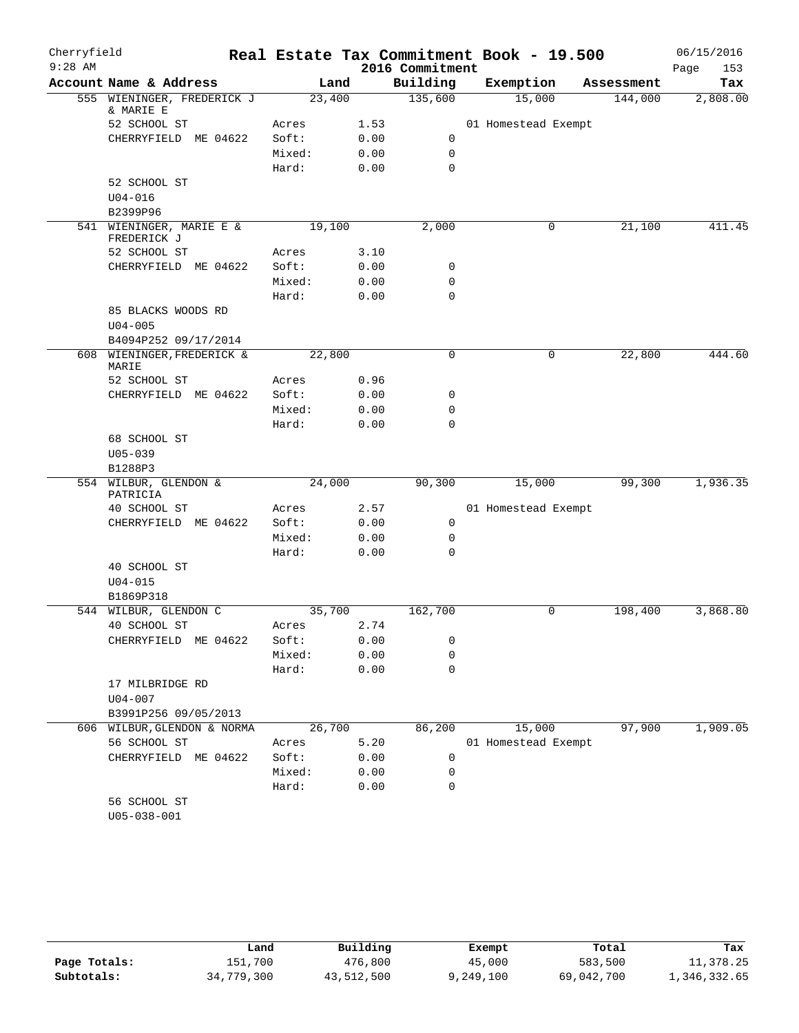| Cherryfield |                                         |        |              |                  | Real Estate Tax Commitment Book - 19.500 |            | 06/15/2016  |
|-------------|-----------------------------------------|--------|--------------|------------------|------------------------------------------|------------|-------------|
| $9:28$ AM   |                                         |        |              | 2016 Commitment  |                                          |            | Page<br>153 |
|             | Account Name & Address                  |        | Land         | Building         | Exemption                                | Assessment | Tax         |
|             | 555 WIENINGER, FREDERICK J<br>& MARIE E | 23,400 |              | 135,600          | 15,000                                   | 144,000    | 2,808.00    |
|             | 52 SCHOOL ST                            | Acres  | 1.53         |                  | 01 Homestead Exempt                      |            |             |
|             | CHERRYFIELD ME 04622                    | Soft:  | 0.00         | 0                |                                          |            |             |
|             |                                         | Mixed: | 0.00         | $\mathbf 0$      |                                          |            |             |
|             |                                         | Hard:  | 0.00         | $\mathbf 0$      |                                          |            |             |
|             | 52 SCHOOL ST                            |        |              |                  |                                          |            |             |
|             | $U04 - 016$                             |        |              |                  |                                          |            |             |
|             | B2399P96                                |        |              |                  |                                          |            |             |
|             | 541 WIENINGER, MARIE E &<br>FREDERICK J | 19,100 |              | 2,000            | 0                                        | 21,100     | 411.45      |
|             | 52 SCHOOL ST                            | Acres  | 3.10         |                  |                                          |            |             |
|             | CHERRYFIELD ME 04622                    | Soft:  | 0.00         | 0                |                                          |            |             |
|             |                                         | Mixed: | 0.00         | 0                |                                          |            |             |
|             |                                         | Hard:  | 0.00         | $\mathbf 0$      |                                          |            |             |
|             | 85 BLACKS WOODS RD                      |        |              |                  |                                          |            |             |
|             | $U04 - 005$                             |        |              |                  |                                          |            |             |
|             | B4094P252 09/17/2014                    |        |              |                  |                                          |            |             |
|             | 608 WIENINGER, FREDERICK &<br>MARIE     | 22,800 |              | $\mathbf 0$      | 0                                        | 22,800     | 444.60      |
|             | 52 SCHOOL ST                            | Acres  | 0.96         |                  |                                          |            |             |
|             | CHERRYFIELD ME 04622                    | Soft:  | 0.00         | 0                |                                          |            |             |
|             |                                         | Mixed: | 0.00         | 0                |                                          |            |             |
|             |                                         | Hard:  | 0.00         | $\mathbf 0$      |                                          |            |             |
|             | 68 SCHOOL ST                            |        |              |                  |                                          |            |             |
|             | $U05 - 039$                             |        |              |                  |                                          |            |             |
|             | B1288P3                                 |        |              |                  |                                          |            |             |
|             | 554 WILBUR, GLENDON &<br>PATRICIA       | 24,000 |              | 90,300           | 15,000                                   | 99,300     | 1,936.35    |
|             | 40 SCHOOL ST                            | Acres  | 2.57         |                  | 01 Homestead Exempt                      |            |             |
|             | CHERRYFIELD ME 04622                    | Soft:  | 0.00         | $\mathbf 0$      |                                          |            |             |
|             |                                         | Mixed: | 0.00         | $\mathbf 0$      |                                          |            |             |
|             |                                         | Hard:  | 0.00         | $\mathbf 0$      |                                          |            |             |
|             | 40 SCHOOL ST                            |        |              |                  |                                          |            |             |
|             | $U04 - 015$                             |        |              |                  |                                          |            |             |
|             | B1869P318                               |        |              |                  |                                          |            |             |
|             | 544 WILBUR, GLENDON C                   | 35,700 |              | 162,700          | 0                                        | 198,400    | 3,868.80    |
|             | 40 SCHOOL ST                            | Acres  | 2.74         |                  |                                          |            |             |
|             | CHERRYFIELD ME 04622                    | Soft:  | 0.00         | 0                |                                          |            |             |
|             |                                         | Mixed: | 0.00<br>0.00 | 0<br>$\mathbf 0$ |                                          |            |             |
|             | 17 MILBRIDGE RD                         | Hard:  |              |                  |                                          |            |             |
|             | $U04 - 007$                             |        |              |                  |                                          |            |             |
|             | B3991P256 09/05/2013                    |        |              |                  |                                          |            |             |
|             | 606 WILBUR, GLENDON & NORMA             | 26,700 |              | 86,200           | 15,000                                   | 97,900     | 1,909.05    |
|             | 56 SCHOOL ST                            | Acres  | 5.20         |                  | 01 Homestead Exempt                      |            |             |
|             | CHERRYFIELD ME 04622                    | Soft:  | 0.00         | 0                |                                          |            |             |
|             |                                         | Mixed: | 0.00         | 0                |                                          |            |             |
|             |                                         | Hard:  | 0.00         | $\mathbf 0$      |                                          |            |             |
|             | 56 SCHOOL ST                            |        |              |                  |                                          |            |             |
|             | $U05 - 038 - 001$                       |        |              |                  |                                          |            |             |
|             |                                         |        |              |                  |                                          |            |             |

|              | Land       | Building   | Exempt    | Total      | Tax          |
|--------------|------------|------------|-----------|------------|--------------|
| Page Totals: | 151,700    | 476,800    | 45,000    | 583,500    | 11,378.25    |
| Subtotals:   | 34,779,300 | 43,512,500 | 9,249,100 | 69,042,700 | 1,346,332.65 |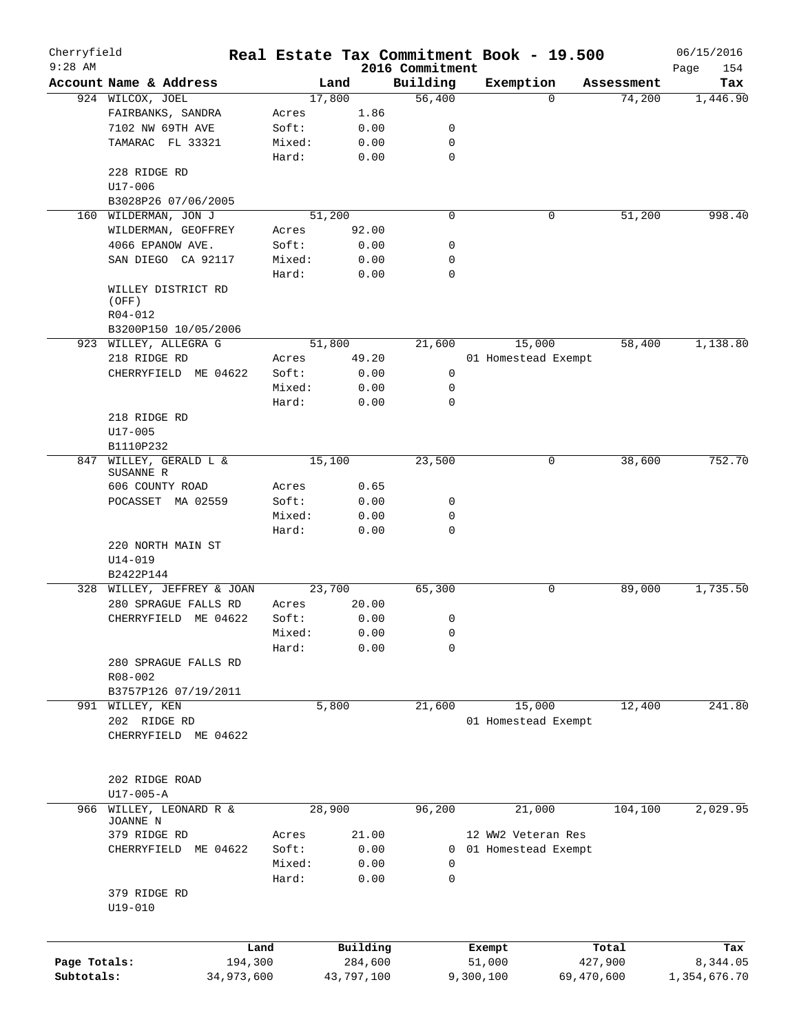| Cherryfield  |                            |            |        |            |                             | Real Estate Tax Commitment Book - 19.500 |            |            | 06/15/2016         |
|--------------|----------------------------|------------|--------|------------|-----------------------------|------------------------------------------|------------|------------|--------------------|
| $9:28$ AM    | Account Name & Address     |            |        | Land       | 2016 Commitment<br>Building | Exemption                                |            | Assessment | Page<br>154<br>Tax |
|              | 924 WILCOX, JOEL           |            | 17,800 |            | 56,400                      |                                          | 0          | 74,200     | 1,446.90           |
|              | FAIRBANKS, SANDRA          |            | Acres  | 1.86       |                             |                                          |            |            |                    |
|              | 7102 NW 69TH AVE           |            | Soft:  | 0.00       | 0                           |                                          |            |            |                    |
|              | TAMARAC FL 33321           |            | Mixed: | 0.00       | 0                           |                                          |            |            |                    |
|              |                            |            | Hard:  | 0.00       | $\mathbf 0$                 |                                          |            |            |                    |
|              | 228 RIDGE RD               |            |        |            |                             |                                          |            |            |                    |
|              | $U17 - 006$                |            |        |            |                             |                                          |            |            |                    |
|              | B3028P26 07/06/2005        |            |        |            |                             |                                          |            |            |                    |
| 160          | WILDERMAN, JON J           |            | 51,200 |            | $\mathbf 0$                 |                                          | 0          | 51,200     | 998.40             |
|              | WILDERMAN, GEOFFREY        |            | Acres  | 92.00      |                             |                                          |            |            |                    |
|              | 4066 EPANOW AVE.           |            | Soft:  | 0.00       | 0                           |                                          |            |            |                    |
|              | SAN DIEGO CA 92117         |            | Mixed: | 0.00       | 0                           |                                          |            |            |                    |
|              |                            |            | Hard:  | 0.00       | $\mathbf 0$                 |                                          |            |            |                    |
|              | WILLEY DISTRICT RD         |            |        |            |                             |                                          |            |            |                    |
|              | (OFF)                      |            |        |            |                             |                                          |            |            |                    |
|              | R04-012                    |            |        |            |                             |                                          |            |            |                    |
|              | B3200P150 10/05/2006       |            |        |            |                             |                                          |            |            |                    |
|              | 923 WILLEY, ALLEGRA G      |            | 51,800 |            | 21,600                      | 15,000                                   |            | 58,400     | 1,138.80           |
|              | 218 RIDGE RD               |            | Acres  | 49.20      |                             | 01 Homestead Exempt                      |            |            |                    |
|              | CHERRYFIELD ME 04622       |            | Soft:  | 0.00       | 0                           |                                          |            |            |                    |
|              |                            |            | Mixed: | 0.00       | 0                           |                                          |            |            |                    |
|              |                            |            | Hard:  | 0.00       | 0                           |                                          |            |            |                    |
|              | 218 RIDGE RD               |            |        |            |                             |                                          |            |            |                    |
|              | $U17 - 005$                |            |        |            |                             |                                          |            |            |                    |
|              | B1110P232                  |            |        |            |                             |                                          |            |            |                    |
| 847          | WILLEY, GERALD L &         |            | 15,100 |            | 23,500                      |                                          | 0          | 38,600     | 752.70             |
|              | SUSANNE R                  |            |        |            |                             |                                          |            |            |                    |
|              | 606 COUNTY ROAD            |            | Acres  | 0.65       |                             |                                          |            |            |                    |
|              | POCASSET MA 02559          |            | Soft:  | 0.00       | 0                           |                                          |            |            |                    |
|              |                            |            | Mixed: | 0.00       | 0                           |                                          |            |            |                    |
|              |                            |            | Hard:  | 0.00       | $\mathbf 0$                 |                                          |            |            |                    |
|              | 220 NORTH MAIN ST          |            |        |            |                             |                                          |            |            |                    |
|              | $U14 - 019$                |            |        |            |                             |                                          |            |            |                    |
|              | B2422P144                  |            |        |            |                             |                                          |            |            |                    |
|              | 328 WILLEY, JEFFREY & JOAN |            | 23,700 |            | 65,300                      |                                          | 0          | 89,000     | 1,735.50           |
|              | 280 SPRAGUE FALLS RD       |            | Acres  | 20.00      |                             |                                          |            |            |                    |
|              | CHERRYFIELD ME 04622       |            | Soft:  | 0.00       | 0                           |                                          |            |            |                    |
|              |                            |            | Mixed: | 0.00       | 0                           |                                          |            |            |                    |
|              |                            |            | Hard:  | 0.00       | 0                           |                                          |            |            |                    |
|              | 280 SPRAGUE FALLS RD       |            |        |            |                             |                                          |            |            |                    |
|              | R08-002                    |            |        |            |                             |                                          |            |            |                    |
|              | B3757P126 07/19/2011       |            |        |            |                             |                                          |            |            |                    |
|              | 991 WILLEY, KEN            |            |        | 5,800      | 21,600                      | 15,000                                   |            | 12,400     | 241.80             |
|              | 202 RIDGE RD               |            |        |            |                             | 01 Homestead Exempt                      |            |            |                    |
|              | CHERRYFIELD ME 04622       |            |        |            |                             |                                          |            |            |                    |
|              |                            |            |        |            |                             |                                          |            |            |                    |
|              |                            |            |        |            |                             |                                          |            |            |                    |
|              | 202 RIDGE ROAD             |            |        |            |                             |                                          |            |            |                    |
|              | $U17-005 - A$              |            |        |            |                             |                                          |            |            |                    |
| 966          | WILLEY, LEONARD R &        |            | 28,900 |            | 96,200                      | 21,000                                   |            | 104,100    | 2,029.95           |
|              | JOANNE N                   |            |        |            |                             |                                          |            |            |                    |
|              | 379 RIDGE RD               |            | Acres  | 21.00      |                             | 12 WW2 Veteran Res                       |            |            |                    |
|              | CHERRYFIELD ME 04622       |            | Soft:  | 0.00       | 0                           | 01 Homestead Exempt                      |            |            |                    |
|              |                            |            | Mixed: | 0.00       | 0                           |                                          |            |            |                    |
|              |                            |            | Hard:  | 0.00       | 0                           |                                          |            |            |                    |
|              | 379 RIDGE RD               |            |        |            |                             |                                          |            |            |                    |
|              | $U19 - 010$                |            |        |            |                             |                                          |            |            |                    |
|              |                            |            |        |            |                             |                                          |            |            |                    |
|              |                            |            |        |            |                             |                                          |            |            |                    |
|              |                            | Land       |        | Building   |                             | Exempt                                   |            | Total      | Tax                |
| Page Totals: |                            | 194,300    |        | 284,600    |                             | 51,000                                   |            | 427,900    | 8,344.05           |
| Subtotals:   |                            | 34,973,600 |        | 43,797,100 |                             | 9,300,100                                | 69,470,600 |            | 1,354,676.70       |
|              |                            |            |        |            |                             |                                          |            |            |                    |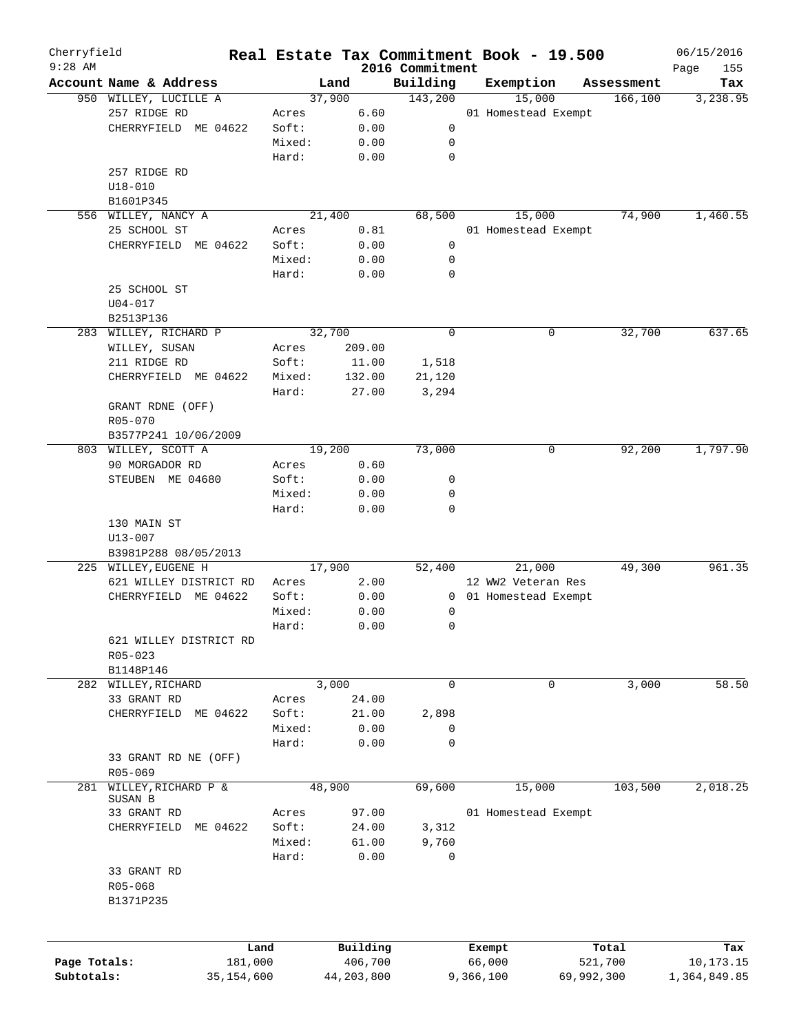| Cherryfield<br>$9:28$ AM   |                                |        |                       |                             | Real Estate Tax Commitment Book - 19.500 |                       | 06/15/2016                |
|----------------------------|--------------------------------|--------|-----------------------|-----------------------------|------------------------------------------|-----------------------|---------------------------|
|                            | Account Name & Address         |        | Land                  | 2016 Commitment<br>Building | Exemption                                | Assessment            | Page<br>155<br>Tax        |
|                            | 950 WILLEY, LUCILLE A          |        | 37,900                | 143,200                     | 15,000                                   | 166, 100              | 3,238.95                  |
|                            | 257 RIDGE RD                   | Acres  | 6.60                  |                             | 01 Homestead Exempt                      |                       |                           |
|                            | CHERRYFIELD ME 04622           | Soft:  | 0.00                  | 0                           |                                          |                       |                           |
|                            |                                | Mixed: | 0.00                  | 0                           |                                          |                       |                           |
|                            |                                | Hard:  | 0.00                  | $\mathbf 0$                 |                                          |                       |                           |
|                            |                                |        |                       |                             |                                          |                       |                           |
|                            | 257 RIDGE RD                   |        |                       |                             |                                          |                       |                           |
|                            | $U18 - 010$                    |        |                       |                             |                                          |                       |                           |
|                            | B1601P345                      |        |                       |                             |                                          |                       |                           |
|                            | 556 WILLEY, NANCY A            |        | 21,400                | 68,500                      | 15,000                                   | 74,900                | 1,460.55                  |
|                            | 25 SCHOOL ST                   | Acres  | 0.81                  |                             | 01 Homestead Exempt                      |                       |                           |
|                            | CHERRYFIELD ME 04622           | Soft:  | 0.00                  | 0                           |                                          |                       |                           |
|                            |                                | Mixed: | 0.00                  | 0                           |                                          |                       |                           |
|                            |                                | Hard:  | 0.00                  | 0                           |                                          |                       |                           |
|                            | 25 SCHOOL ST                   |        |                       |                             |                                          |                       |                           |
|                            | $U04 - 017$                    |        |                       |                             |                                          |                       |                           |
|                            | B2513P136                      |        |                       |                             |                                          |                       |                           |
|                            | 283 WILLEY, RICHARD P          | 32,700 |                       | 0                           | 0                                        | 32,700                | 637.65                    |
|                            | WILLEY, SUSAN                  | Acres  | 209.00                |                             |                                          |                       |                           |
|                            | 211 RIDGE RD                   | Soft:  | 11.00                 | 1,518                       |                                          |                       |                           |
|                            | CHERRYFIELD ME 04622           | Mixed: | 132.00                | 21,120                      |                                          |                       |                           |
|                            |                                | Hard:  | 27.00                 | 3,294                       |                                          |                       |                           |
|                            | GRANT RDNE (OFF)               |        |                       |                             |                                          |                       |                           |
|                            | R05-070                        |        |                       |                             |                                          |                       |                           |
|                            | B3577P241 10/06/2009           |        |                       |                             |                                          |                       |                           |
|                            | 803 WILLEY, SCOTT A            | 19,200 |                       | 73,000                      | 0                                        | 92,200                | 1,797.90                  |
|                            | 90 MORGADOR RD                 | Acres  | 0.60                  |                             |                                          |                       |                           |
|                            | STEUBEN ME 04680               | Soft:  | 0.00                  | 0                           |                                          |                       |                           |
|                            |                                | Mixed: | 0.00                  | 0                           |                                          |                       |                           |
|                            |                                | Hard:  | 0.00                  | 0                           |                                          |                       |                           |
|                            | 130 MAIN ST                    |        |                       |                             |                                          |                       |                           |
|                            | $U13 - 007$                    |        |                       |                             |                                          |                       |                           |
|                            | B3981P288 08/05/2013           |        |                       |                             |                                          |                       |                           |
|                            | 225 WILLEY, EUGENE H           | 17,900 |                       | 52,400                      | 21,000                                   | 49,300                | 961.35                    |
|                            | 621 WILLEY DISTRICT RD         | Acres  | 2.00                  |                             | 12 WW2 Veteran Res                       |                       |                           |
|                            | CHERRYFIELD ME 04622           | Soft:  | 0.00                  | $\overline{0}$              | 01 Homestead Exempt                      |                       |                           |
|                            |                                | Mixed: | 0.00                  | 0                           |                                          |                       |                           |
|                            |                                | Hard:  | 0.00                  | 0                           |                                          |                       |                           |
|                            | 621 WILLEY DISTRICT RD         |        |                       |                             |                                          |                       |                           |
|                            | R05-023                        |        |                       |                             |                                          |                       |                           |
|                            | B1148P146                      |        |                       |                             |                                          |                       |                           |
|                            | 282 WILLEY, RICHARD            |        | 3,000                 | 0                           | 0                                        | 3,000                 | 58.50                     |
|                            | 33 GRANT RD                    |        | 24.00                 |                             |                                          |                       |                           |
|                            |                                | Acres  |                       |                             |                                          |                       |                           |
|                            | CHERRYFIELD<br>ME 04622        | Soft:  | 21.00                 | 2,898                       |                                          |                       |                           |
|                            |                                | Mixed: | 0.00                  | 0                           |                                          |                       |                           |
|                            |                                | Hard:  | 0.00                  | 0                           |                                          |                       |                           |
|                            | 33 GRANT RD NE (OFF)           |        |                       |                             |                                          |                       |                           |
|                            | R05-069                        |        |                       |                             |                                          |                       |                           |
| 281                        | WILLEY, RICHARD P &<br>SUSAN B | 48,900 |                       | 69,600                      | 15,000                                   | 103,500               | 2,018.25                  |
|                            | 33 GRANT RD                    | Acres  | 97.00                 |                             |                                          |                       |                           |
|                            | ME 04622<br>CHERRYFIELD        | Soft:  | 24.00                 | 3,312                       | 01 Homestead Exempt                      |                       |                           |
|                            |                                | Mixed: | 61.00                 | 9,760                       |                                          |                       |                           |
|                            |                                |        |                       |                             |                                          |                       |                           |
|                            |                                | Hard:  | 0.00                  | 0                           |                                          |                       |                           |
|                            | 33 GRANT RD                    |        |                       |                             |                                          |                       |                           |
|                            | R05-068                        |        |                       |                             |                                          |                       |                           |
|                            | B1371P235                      |        |                       |                             |                                          |                       |                           |
|                            |                                |        |                       |                             |                                          |                       |                           |
|                            |                                |        |                       |                             |                                          |                       |                           |
|                            |                                | Land   | Building              |                             | Exempt                                   | Total                 | Tax                       |
|                            |                                |        |                       |                             |                                          |                       |                           |
| Page Totals:<br>Subtotals: | 181,000<br>35,154,600          |        | 406,700<br>44,203,800 |                             | 66,000<br>9,366,100                      | 521,700<br>69,992,300 | 10,173.15<br>1,364,849.85 |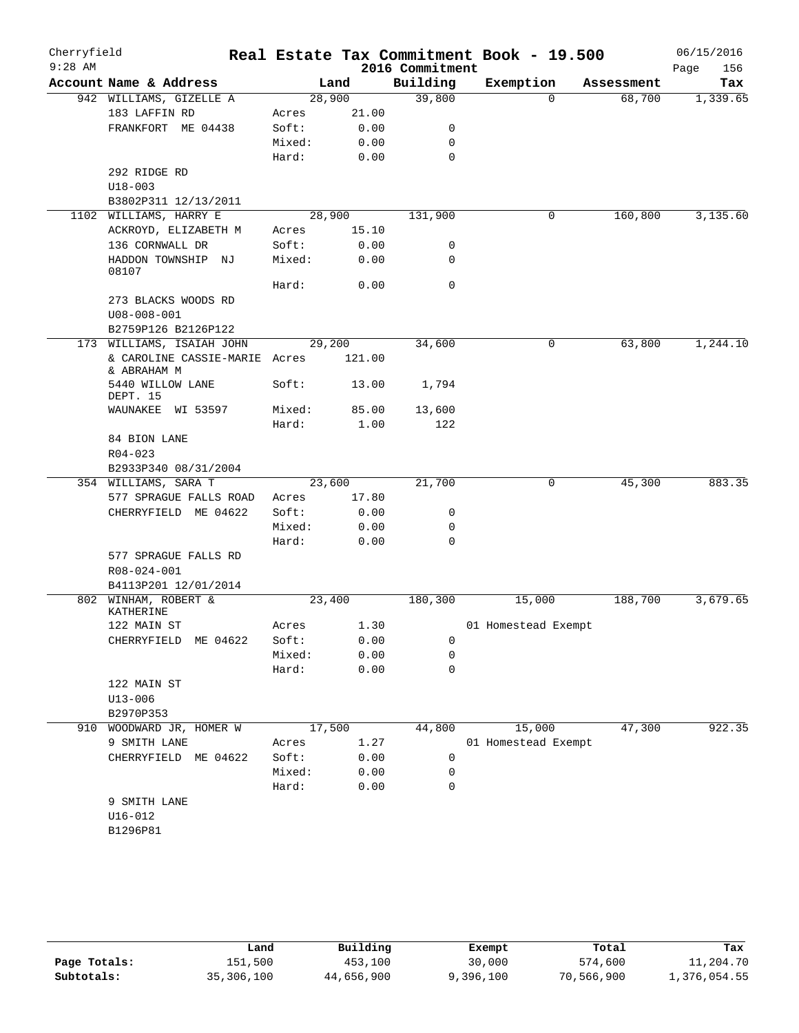| Cherryfield |                                              |        |               |                 | Real Estate Tax Commitment Book - 19.500 |            | 06/15/2016  |
|-------------|----------------------------------------------|--------|---------------|-----------------|------------------------------------------|------------|-------------|
| $9:28$ AM   |                                              |        |               | 2016 Commitment |                                          |            | 156<br>Page |
|             | Account Name & Address                       |        | Land          | Building        | Exemption                                | Assessment | Tax         |
|             | 942 WILLIAMS, GIZELLE A                      | 28,900 |               | 39,800          | $\Omega$                                 | 68,700     | 1,339.65    |
|             | 183 LAFFIN RD<br>FRANKFORT ME 04438          | Acres  | 21.00<br>0.00 |                 |                                          |            |             |
|             |                                              | Soft:  |               | 0<br>0          |                                          |            |             |
|             |                                              | Mixed: | 0.00          | $\mathbf 0$     |                                          |            |             |
|             |                                              | Hard:  | 0.00          |                 |                                          |            |             |
|             | 292 RIDGE RD                                 |        |               |                 |                                          |            |             |
|             | $U18 - 003$<br>B3802P311 12/13/2011          |        |               |                 |                                          |            |             |
|             | 1102 WILLIAMS, HARRY E                       | 28,900 |               | 131,900         | 0                                        | 160,800    | 3,135.60    |
|             | ACKROYD, ELIZABETH M                         | Acres  | 15.10         |                 |                                          |            |             |
|             | 136 CORNWALL DR                              | Soft:  | 0.00          | 0               |                                          |            |             |
|             | HADDON TOWNSHIP NJ                           | Mixed: | 0.00          | 0               |                                          |            |             |
|             | 08107                                        | Hard:  | 0.00          | $\mathbf 0$     |                                          |            |             |
|             | 273 BLACKS WOODS RD                          |        |               |                 |                                          |            |             |
|             | $U08 - 008 - 001$                            |        |               |                 |                                          |            |             |
|             | B2759P126 B2126P122                          |        |               |                 |                                          |            |             |
|             | 173 WILLIAMS, ISAIAH JOHN                    | 29,200 |               | 34,600          | 0                                        | 63,800     | 1,244.10    |
|             | & CAROLINE CASSIE-MARIE Acres<br>& ABRAHAM M |        | 121.00        |                 |                                          |            |             |
|             | 5440 WILLOW LANE<br>DEPT. 15                 | Soft:  | 13.00         | 1,794           |                                          |            |             |
|             | WAUNAKEE WI 53597                            | Mixed: | 85.00         | 13,600          |                                          |            |             |
|             |                                              | Hard:  | 1.00          | 122             |                                          |            |             |
|             | 84 BION LANE                                 |        |               |                 |                                          |            |             |
|             | $R04 - 023$                                  |        |               |                 |                                          |            |             |
|             | B2933P340 08/31/2004                         |        |               |                 |                                          |            |             |
|             | 354 WILLIAMS, SARA T                         | 23,600 |               | 21,700          | 0                                        | 45,300     | 883.35      |
|             | 577 SPRAGUE FALLS ROAD                       | Acres  | 17.80         |                 |                                          |            |             |
|             | CHERRYFIELD ME 04622                         | Soft:  | 0.00          | 0               |                                          |            |             |
|             |                                              | Mixed: | 0.00          | 0               |                                          |            |             |
|             |                                              | Hard:  | 0.00          | 0               |                                          |            |             |
|             | 577 SPRAGUE FALLS RD                         |        |               |                 |                                          |            |             |
|             | R08-024-001                                  |        |               |                 |                                          |            |             |
|             | B4113P201 12/01/2014                         |        |               |                 |                                          |            |             |
|             | 802 WINHAM, ROBERT &<br>KATHERINE            | 23,400 |               | 180,300         | 15,000                                   | 188,700    | 3,679.65    |
|             | 122 MAIN ST                                  | Acres  | 1.30          |                 | 01 Homestead Exempt                      |            |             |
|             | CHERRYFIELD ME 04622                         | Soft:  | 0.00          | 0               |                                          |            |             |
|             |                                              | Mixed: | 0.00          | 0               |                                          |            |             |
|             |                                              | Hard:  | 0.00          | $\mathbf 0$     |                                          |            |             |
|             | 122 MAIN ST                                  |        |               |                 |                                          |            |             |
|             | $U13 - 006$                                  |        |               |                 |                                          |            |             |
|             | B2970P353                                    |        |               |                 |                                          |            |             |
|             | 910 WOODWARD JR, HOMER W                     | 17,500 |               | 44,800          | 15,000                                   | 47,300     | 922.35      |
|             | 9 SMITH LANE                                 | Acres  | 1.27          |                 | 01 Homestead Exempt                      |            |             |
|             | CHERRYFIELD ME 04622                         | Soft:  | 0.00          | 0               |                                          |            |             |
|             |                                              | Mixed: | 0.00          | 0               |                                          |            |             |
|             |                                              | Hard:  | 0.00          | 0               |                                          |            |             |
|             | 9 SMITH LANE                                 |        |               |                 |                                          |            |             |
|             | $U16 - 012$                                  |        |               |                 |                                          |            |             |
|             | B1296P81                                     |        |               |                 |                                          |            |             |

|              | Land       | Building   | Exempt    | Total      | Tax          |
|--------------|------------|------------|-----------|------------|--------------|
| Page Totals: | 151,500    | 453,100    | 30,000    | 574,600    | 11,204.70    |
| Subtotals:   | 35,306,100 | 44,656,900 | 9,396,100 | 70,566,900 | 1,376,054.55 |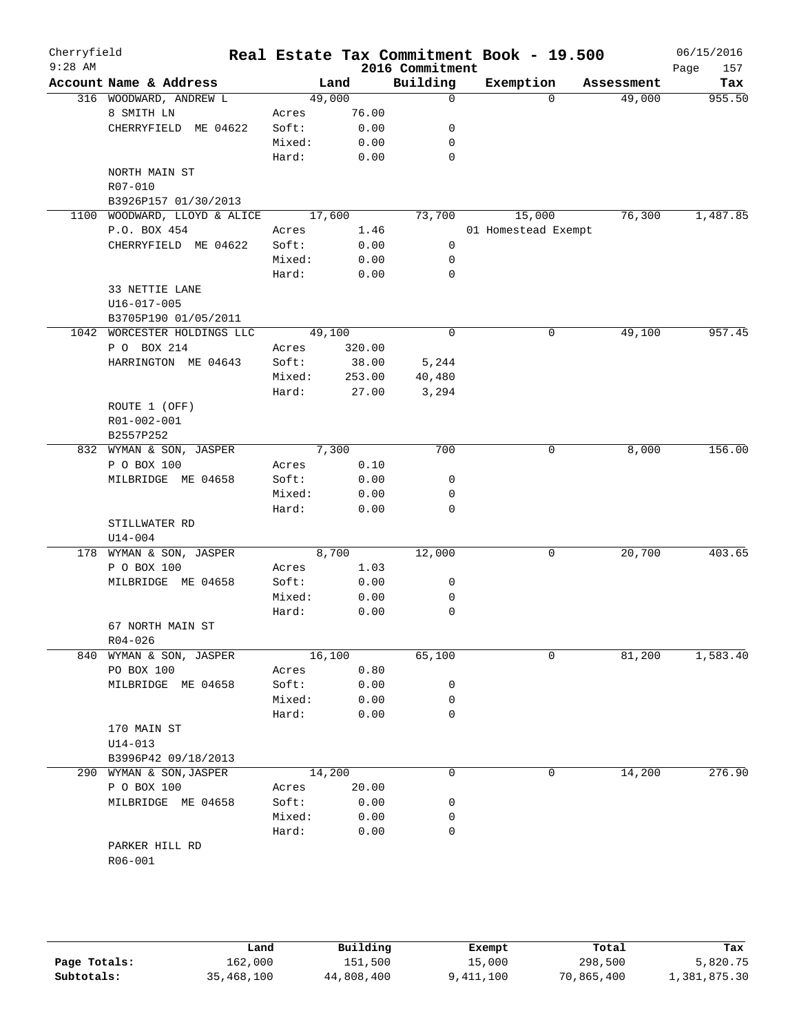| Cherryfield<br>$9:28$ AM |                         |        |        | 2016 Commitment | Real Estate Tax Commitment Book - 19.500 |            | 06/15/2016<br>Page<br>157 |
|--------------------------|-------------------------|--------|--------|-----------------|------------------------------------------|------------|---------------------------|
|                          | Account Name & Address  |        | Land   | Building        | Exemption                                | Assessment | Tax                       |
|                          | 316 WOODWARD, ANDREW L  | 49,000 |        | $\mathbf 0$     | $\Omega$                                 | 49,000     | 955.50                    |
|                          | 8 SMITH LN              | Acres  | 76.00  |                 |                                          |            |                           |
|                          | CHERRYFIELD ME 04622    | Soft:  | 0.00   | 0               |                                          |            |                           |
|                          |                         | Mixed: | 0.00   | 0               |                                          |            |                           |
|                          |                         | Hard:  | 0.00   | $\mathbf 0$     |                                          |            |                           |
|                          | NORTH MAIN ST           |        |        |                 |                                          |            |                           |
|                          | R07-010                 |        |        |                 |                                          |            |                           |
|                          | B3926P157 01/30/2013    |        |        |                 |                                          |            |                           |
| 1100                     | WOODWARD, LLOYD & ALICE | 17,600 |        | 73,700          | 15,000                                   | 76,300     | 1,487.85                  |
|                          | P.O. BOX 454            | Acres  | 1.46   |                 | 01 Homestead Exempt                      |            |                           |
|                          | CHERRYFIELD ME 04622    | Soft:  | 0.00   | 0               |                                          |            |                           |
|                          |                         | Mixed: | 0.00   | 0               |                                          |            |                           |
|                          |                         | Hard:  | 0.00   | 0               |                                          |            |                           |
|                          | 33 NETTIE LANE          |        |        |                 |                                          |            |                           |
|                          | U16-017-005             |        |        |                 |                                          |            |                           |
|                          | B3705P190 01/05/2011    |        |        |                 |                                          |            |                           |
| 1042                     | WORCESTER HOLDINGS LLC  | 49,100 |        | $\mathbf 0$     | 0                                        | 49,100     | 957.45                    |
|                          | P O BOX 214             | Acres  | 320.00 |                 |                                          |            |                           |
|                          | HARRINGTON ME 04643     | Soft:  | 38.00  | 5,244           |                                          |            |                           |
|                          |                         | Mixed: | 253.00 | 40,480          |                                          |            |                           |
|                          |                         | Hard:  | 27.00  | 3,294           |                                          |            |                           |
|                          | ROUTE 1 (OFF)           |        |        |                 |                                          |            |                           |
|                          | R01-002-001             |        |        |                 |                                          |            |                           |
|                          | B2557P252               |        |        |                 |                                          |            |                           |
|                          | 832 WYMAN & SON, JASPER |        | 7,300  | 700             | 0                                        | 8,000      | 156.00                    |
|                          | P O BOX 100             | Acres  | 0.10   |                 |                                          |            |                           |
|                          | MILBRIDGE ME 04658      | Soft:  | 0.00   | 0               |                                          |            |                           |
|                          |                         | Mixed: | 0.00   | 0               |                                          |            |                           |
|                          |                         | Hard:  | 0.00   | 0               |                                          |            |                           |
|                          | STILLWATER RD           |        |        |                 |                                          |            |                           |
|                          | $U14 - 004$             |        |        |                 |                                          |            |                           |
|                          | 178 WYMAN & SON, JASPER |        | 8,700  | 12,000          | 0                                        | 20,700     | 403.65                    |
|                          | P O BOX 100             | Acres  | 1.03   |                 |                                          |            |                           |
|                          | MILBRIDGE ME 04658      | Soft:  | 0.00   | 0               |                                          |            |                           |
|                          |                         | Mixed: | 0.00   | 0               |                                          |            |                           |
|                          |                         | Hard:  | 0.00   | 0               |                                          |            |                           |
|                          | 67 NORTH MAIN ST        |        |        |                 |                                          |            |                           |
|                          | $R04 - 026$             |        |        |                 |                                          |            |                           |
| 840                      | WYMAN & SON, JASPER     | 16,100 |        | 65,100          | 0                                        | 81,200     | 1,583.40                  |
|                          | PO BOX 100              | Acres  | 0.80   |                 |                                          |            |                           |
|                          | MILBRIDGE ME 04658      | Soft:  | 0.00   | 0               |                                          |            |                           |
|                          |                         | Mixed: | 0.00   | 0               |                                          |            |                           |
|                          |                         | Hard:  | 0.00   | 0               |                                          |            |                           |
|                          | 170 MAIN ST             |        |        |                 |                                          |            |                           |
|                          | $U14 - 013$             |        |        |                 |                                          |            |                           |
|                          | B3996P42 09/18/2013     |        |        |                 |                                          |            |                           |
|                          | 290 WYMAN & SON, JASPER | 14,200 |        | $\mathbf 0$     | 0                                        | 14,200     | 276.90                    |
|                          | P O BOX 100             | Acres  | 20.00  |                 |                                          |            |                           |
|                          | MILBRIDGE ME 04658      | Soft:  | 0.00   | 0               |                                          |            |                           |
|                          |                         | Mixed: | 0.00   | 0               |                                          |            |                           |
|                          |                         | Hard:  | 0.00   | 0               |                                          |            |                           |
|                          | PARKER HILL RD          |        |        |                 |                                          |            |                           |
|                          | R06-001                 |        |        |                 |                                          |            |                           |
|                          |                         |        |        |                 |                                          |            |                           |

|              | Land       | Building   | Exempt    | Total      | Tax          |
|--------------|------------|------------|-----------|------------|--------------|
| Page Totals: | 162,000    | 151,500    | 15,000    | 298,500    | 5,820.75     |
| Subtotals:   | 35,468,100 | 44,808,400 | 9,411,100 | 70,865,400 | 1,381,875.30 |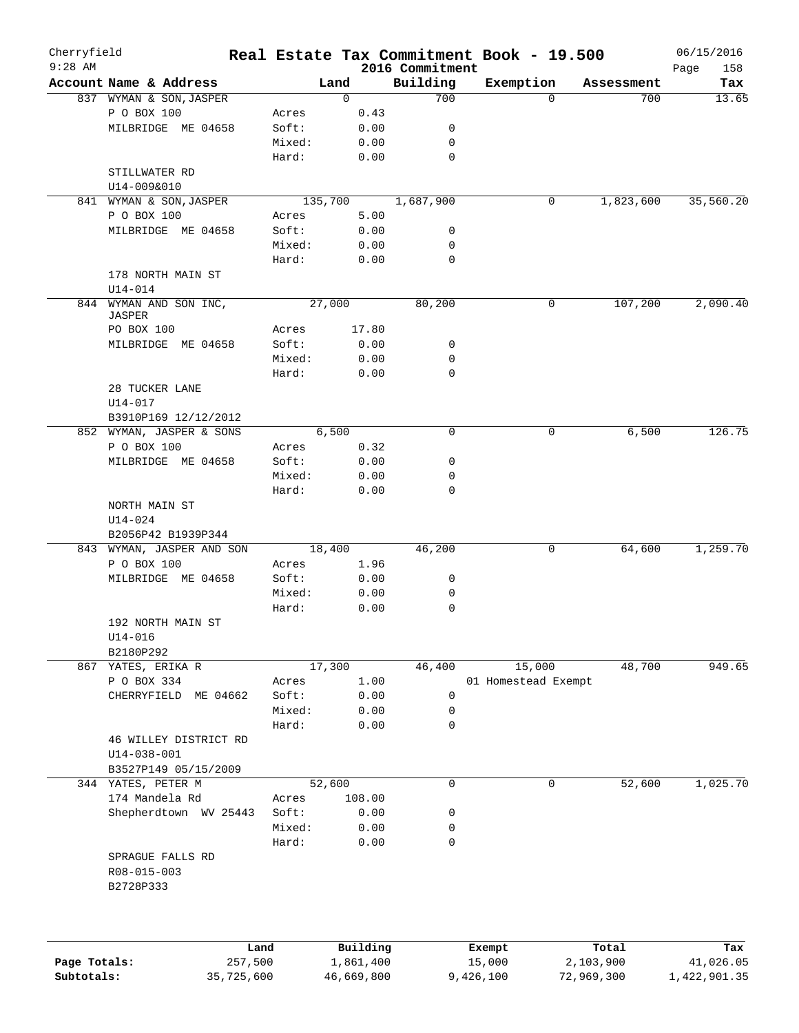| $9:28$ AM    | Account Name & Address<br>837 WYMAN & SON, JASPER<br>P O BOX 100<br>MILBRIDGE ME 04658 | Acres<br>Soft: | Land<br>0<br>0.43 | 2016 Commitment<br>Building<br>700 | Exemption           | $\Omega$    | Assessment<br>700 | Page<br>158<br>Tax<br>13.65 |
|--------------|----------------------------------------------------------------------------------------|----------------|-------------------|------------------------------------|---------------------|-------------|-------------------|-----------------------------|
|              |                                                                                        |                |                   |                                    |                     |             |                   |                             |
|              |                                                                                        |                |                   |                                    |                     |             |                   |                             |
|              |                                                                                        |                |                   |                                    |                     |             |                   |                             |
|              |                                                                                        |                |                   |                                    |                     |             |                   |                             |
|              |                                                                                        |                | 0.00              | 0                                  |                     |             |                   |                             |
|              |                                                                                        | Mixed:         | 0.00              | 0                                  |                     |             |                   |                             |
|              |                                                                                        | Hard:          | 0.00              | $\mathbf 0$                        |                     |             |                   |                             |
|              | STILLWATER RD                                                                          |                |                   |                                    |                     |             |                   |                             |
|              | U14-009&010                                                                            |                |                   |                                    |                     |             |                   |                             |
|              | 841 WYMAN & SON, JASPER                                                                |                | 135,700           | 1,687,900                          |                     | 0           | 1,823,600         | 35,560.20                   |
|              | P O BOX 100                                                                            | Acres          | 5.00              |                                    |                     |             |                   |                             |
|              | MILBRIDGE ME 04658                                                                     | Soft:          | 0.00              | 0                                  |                     |             |                   |                             |
|              |                                                                                        | Mixed:         | 0.00              | 0                                  |                     |             |                   |                             |
|              |                                                                                        | Hard:          | 0.00              | $\mathbf 0$                        |                     |             |                   |                             |
|              | 178 NORTH MAIN ST                                                                      |                |                   |                                    |                     |             |                   |                             |
|              | $U14 - 014$                                                                            |                |                   |                                    |                     |             |                   |                             |
| 844          | WYMAN AND SON INC,                                                                     |                | 27,000            | 80,200                             |                     | $\mathbf 0$ | 107,200           | 2,090.40                    |
|              | JASPER                                                                                 |                |                   |                                    |                     |             |                   |                             |
|              | PO BOX 100                                                                             | Acres          | 17.80             |                                    |                     |             |                   |                             |
|              | MILBRIDGE ME 04658                                                                     | Soft:          | 0.00              | 0                                  |                     |             |                   |                             |
|              |                                                                                        | Mixed:         | 0.00              | 0                                  |                     |             |                   |                             |
|              |                                                                                        | Hard:          | 0.00              | 0                                  |                     |             |                   |                             |
|              | 28 TUCKER LANE                                                                         |                |                   |                                    |                     |             |                   |                             |
|              | $U14 - 017$                                                                            |                |                   |                                    |                     |             |                   |                             |
|              | B3910P169 12/12/2012                                                                   |                |                   |                                    |                     |             |                   |                             |
|              | 852 WYMAN, JASPER & SONS                                                               |                | 6,500             | 0                                  |                     | 0           | 6,500             | 126.75                      |
|              | P O BOX 100                                                                            | Acres          | 0.32              |                                    |                     |             |                   |                             |
|              | MILBRIDGE ME 04658                                                                     | Soft:          | 0.00              | 0                                  |                     |             |                   |                             |
|              |                                                                                        | Mixed:         | 0.00              | 0                                  |                     |             |                   |                             |
|              |                                                                                        | Hard:          | 0.00              | 0                                  |                     |             |                   |                             |
|              | NORTH MAIN ST                                                                          |                |                   |                                    |                     |             |                   |                             |
|              |                                                                                        |                |                   |                                    |                     |             |                   |                             |
|              | $U14 - 024$                                                                            |                |                   |                                    |                     |             |                   |                             |
|              | B2056P42 B1939P344                                                                     |                |                   |                                    |                     |             |                   |                             |
|              | 843 WYMAN, JASPER AND SON                                                              |                | 18,400            | 46,200                             |                     | 0           | 64,600            | 1,259.70                    |
|              | P O BOX 100                                                                            | Acres          | 1.96              |                                    |                     |             |                   |                             |
|              | MILBRIDGE ME 04658                                                                     | Soft:          | 0.00              | 0                                  |                     |             |                   |                             |
|              |                                                                                        | Mixed:         | 0.00              | 0                                  |                     |             |                   |                             |
|              |                                                                                        | Hard:          | 0.00              | 0                                  |                     |             |                   |                             |
|              | 192 NORTH MAIN ST                                                                      |                |                   |                                    |                     |             |                   |                             |
|              | U14-016                                                                                |                |                   |                                    |                     |             |                   |                             |
|              | B2180P292                                                                              |                |                   |                                    |                     |             |                   |                             |
|              | 867 YATES, ERIKA R                                                                     |                | 17,300            | 46,400                             | 15,000              |             | 48,700            | 949.65                      |
|              | P O BOX 334                                                                            | Acres          | 1.00              |                                    | 01 Homestead Exempt |             |                   |                             |
|              | ME 04662<br>CHERRYFIELD                                                                | Soft:          | 0.00              | 0                                  |                     |             |                   |                             |
|              |                                                                                        | Mixed:         | 0.00              | 0                                  |                     |             |                   |                             |
|              |                                                                                        | Hard:          | 0.00              | 0                                  |                     |             |                   |                             |
|              | 46 WILLEY DISTRICT RD                                                                  |                |                   |                                    |                     |             |                   |                             |
|              | $U14 - 038 - 001$                                                                      |                |                   |                                    |                     |             |                   |                             |
|              | B3527P149 05/15/2009                                                                   |                |                   |                                    |                     |             |                   |                             |
|              | 344 YATES, PETER M                                                                     |                | 52,600            | 0                                  |                     | 0           | 52,600            | 1,025.70                    |
|              | 174 Mandela Rd                                                                         | Acres          | 108.00            |                                    |                     |             |                   |                             |
|              | Shepherdtown WV 25443                                                                  | Soft:          | 0.00              | 0                                  |                     |             |                   |                             |
|              |                                                                                        | Mixed:         | 0.00              | 0                                  |                     |             |                   |                             |
|              |                                                                                        | Hard:          | 0.00              | 0                                  |                     |             |                   |                             |
|              | SPRAGUE FALLS RD                                                                       |                |                   |                                    |                     |             |                   |                             |
|              | R08-015-003                                                                            |                |                   |                                    |                     |             |                   |                             |
|              | B2728P333                                                                              |                |                   |                                    |                     |             |                   |                             |
|              |                                                                                        |                |                   |                                    |                     |             |                   |                             |
|              | Land                                                                                   |                | Building          |                                    | Exempt              |             | Total             | Tax                         |
| Page Totals: | 257,500                                                                                |                | 1,861,400         |                                    | 15,000              | 2,103,900   |                   | 41,026.05                   |
| Subtotals:   | 35,725,600                                                                             |                | 46,669,800        |                                    | 9,426,100           | 72,969,300  |                   | 1,422,901.35                |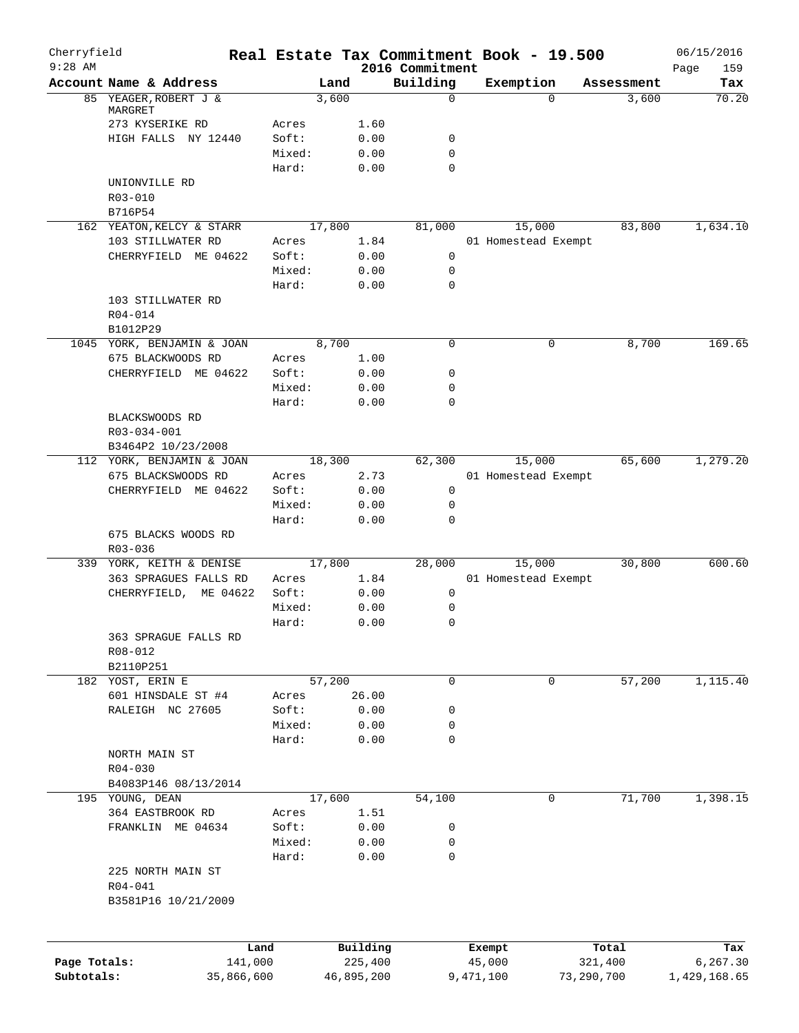| Cherryfield<br>$9:28$ AM |                               | Real Estate Tax Commitment Book - 19.500 |              | 2016 Commitment  |                     |            |            | 06/15/2016<br>159<br>Page |
|--------------------------|-------------------------------|------------------------------------------|--------------|------------------|---------------------|------------|------------|---------------------------|
|                          | Account Name & Address        | Land                                     |              | Building         | Exemption           |            | Assessment | Tax                       |
|                          | 85 YEAGER, ROBERT J &         | 3,600                                    |              | $\Omega$         |                     | $\Omega$   | 3,600      | 70.20                     |
|                          | MARGRET                       |                                          |              |                  |                     |            |            |                           |
|                          | 273 KYSERIKE RD               | Acres                                    | 1.60         |                  |                     |            |            |                           |
|                          | HIGH FALLS NY 12440           | Soft:                                    | 0.00         | 0<br>$\mathbf 0$ |                     |            |            |                           |
|                          |                               | Mixed:<br>Hard:                          | 0.00<br>0.00 | $\mathbf 0$      |                     |            |            |                           |
|                          | UNIONVILLE RD                 |                                          |              |                  |                     |            |            |                           |
|                          | R03-010                       |                                          |              |                  |                     |            |            |                           |
|                          | B716P54                       |                                          |              |                  |                     |            |            |                           |
|                          | 162 YEATON, KELCY & STARR     | 17,800                                   |              | 81,000           | 15,000              |            | 83,800     | 1,634.10                  |
|                          | 103 STILLWATER RD             | Acres                                    | 1.84         |                  | 01 Homestead Exempt |            |            |                           |
|                          | CHERRYFIELD ME 04622          | Soft:                                    | 0.00         | $\mathbf 0$      |                     |            |            |                           |
|                          |                               | Mixed:                                   | 0.00         | $\mathbf 0$      |                     |            |            |                           |
|                          |                               | Hard:                                    | 0.00         | 0                |                     |            |            |                           |
|                          | 103 STILLWATER RD             |                                          |              |                  |                     |            |            |                           |
|                          | R04-014                       |                                          |              |                  |                     |            |            |                           |
|                          | B1012P29                      |                                          |              |                  |                     |            |            |                           |
|                          | 1045 YORK, BENJAMIN & JOAN    | 8,700                                    |              | $\mathbf 0$      |                     | 0          | 8,700      | 169.65                    |
|                          | 675 BLACKWOODS RD             | Acres                                    | 1.00         |                  |                     |            |            |                           |
|                          | CHERRYFIELD ME 04622          | Soft:                                    | 0.00         | 0                |                     |            |            |                           |
|                          |                               | Mixed:                                   | 0.00         | $\mathbf 0$      |                     |            |            |                           |
|                          |                               | Hard:                                    | 0.00         | 0                |                     |            |            |                           |
|                          | BLACKSWOODS RD<br>R03-034-001 |                                          |              |                  |                     |            |            |                           |
|                          | B3464P2 10/23/2008            |                                          |              |                  |                     |            |            |                           |
|                          | 112 YORK, BENJAMIN & JOAN     | 18,300                                   |              | 62,300           | 15,000              |            | 65,600     | 1,279.20                  |
|                          | 675 BLACKSWOODS RD            | Acres                                    | 2.73         |                  | 01 Homestead Exempt |            |            |                           |
|                          | CHERRYFIELD ME 04622          | Soft:                                    | 0.00         | $\mathsf{O}$     |                     |            |            |                           |
|                          |                               | Mixed:                                   | 0.00         | 0                |                     |            |            |                           |
|                          |                               | Hard:                                    | 0.00         | 0                |                     |            |            |                           |
|                          | 675 BLACKS WOODS RD           |                                          |              |                  |                     |            |            |                           |
|                          | R03-036                       |                                          |              |                  |                     |            |            |                           |
|                          | 339 YORK, KEITH & DENISE      | 17,800                                   |              | 28,000           | 15,000              |            | 30,800     | 600.60                    |
|                          | 363 SPRAGUES FALLS RD         | Acres                                    | 1.84         |                  | 01 Homestead Exempt |            |            |                           |
|                          | CHERRYFIELD, ME 04622         | Soft:                                    | 0.00         | 0                |                     |            |            |                           |
|                          |                               | Mixed:<br>Hard:                          | 0.00<br>0.00 | 0<br>$\mathbf 0$ |                     |            |            |                           |
|                          | 363 SPRAGUE FALLS RD          |                                          |              |                  |                     |            |            |                           |
|                          | R08-012                       |                                          |              |                  |                     |            |            |                           |
|                          | B2110P251                     |                                          |              |                  |                     |            |            |                           |
|                          | 182 YOST, ERIN E              | 57,200                                   |              | 0                |                     | 0          | 57,200     | 1,115.40                  |
|                          | 601 HINSDALE ST #4            | Acres                                    | 26.00        |                  |                     |            |            |                           |
|                          | RALEIGH NC 27605              | Soft:                                    | 0.00         | 0                |                     |            |            |                           |
|                          |                               | Mixed:                                   | 0.00         | 0                |                     |            |            |                           |
|                          |                               | Hard:                                    | 0.00         | 0                |                     |            |            |                           |
|                          | NORTH MAIN ST                 |                                          |              |                  |                     |            |            |                           |
|                          | $R04 - 030$                   |                                          |              |                  |                     |            |            |                           |
|                          | B4083P146 08/13/2014          |                                          |              |                  |                     |            |            |                           |
|                          | 195 YOUNG, DEAN               | 17,600                                   |              | 54,100           |                     | 0          | 71,700     | 1,398.15                  |
|                          | 364 EASTBROOK RD              | Acres                                    | 1.51         |                  |                     |            |            |                           |
|                          | FRANKLIN ME 04634             | Soft:                                    | 0.00         | 0                |                     |            |            |                           |
|                          |                               | Mixed:                                   | 0.00         | 0                |                     |            |            |                           |
|                          |                               | Hard:                                    | 0.00         | 0                |                     |            |            |                           |
|                          | 225 NORTH MAIN ST             |                                          |              |                  |                     |            |            |                           |
|                          | R04-041                       |                                          |              |                  |                     |            |            |                           |
|                          | B3581P16 10/21/2009           |                                          |              |                  |                     |            |            |                           |
|                          |                               |                                          |              |                  |                     |            |            |                           |
|                          | Land                          |                                          | Building     |                  | Exempt              |            | Total      | Tax                       |
| Page Totals:             | 141,000                       |                                          | 225,400      |                  | 45,000              |            | 321,400    | 6,267.30                  |
| Subtotals:               | 35,866,600                    |                                          | 46,895,200   |                  | 9,471,100           | 73,290,700 |            | 1,429,168.65              |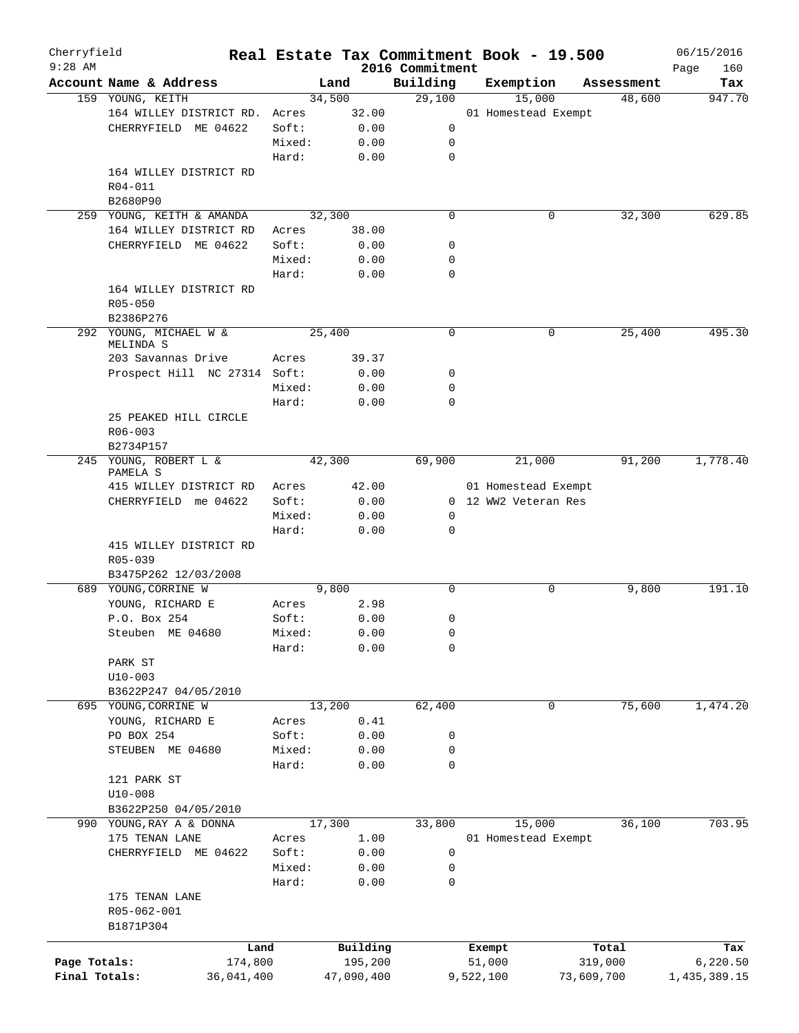| Cherryfield   |                                   |        |                |                             | Real Estate Tax Commitment Book - 19.500 |            |                      | 06/15/2016    |
|---------------|-----------------------------------|--------|----------------|-----------------------------|------------------------------------------|------------|----------------------|---------------|
| $9:28$ AM     | Account Name & Address            |        |                | 2016 Commitment<br>Building | Exemption                                |            |                      | Page<br>160   |
|               | 159 YOUNG, KEITH                  |        | Land<br>34,500 | 29,100                      | 15,000                                   |            | Assessment<br>48,600 | Tax<br>947.70 |
|               | 164 WILLEY DISTRICT RD.           | Acres  | 32.00          |                             | 01 Homestead Exempt                      |            |                      |               |
|               |                                   |        |                |                             |                                          |            |                      |               |
|               | CHERRYFIELD ME 04622              | Soft:  | 0.00           | 0                           |                                          |            |                      |               |
|               |                                   | Mixed: | 0.00           | 0                           |                                          |            |                      |               |
|               |                                   | Hard:  | 0.00           | 0                           |                                          |            |                      |               |
|               | 164 WILLEY DISTRICT RD            |        |                |                             |                                          |            |                      |               |
|               | R04-011                           |        |                |                             |                                          |            |                      |               |
|               | B2680P90                          |        |                |                             |                                          |            |                      |               |
|               | 259 YOUNG, KEITH & AMANDA         |        | 32,300         | 0                           |                                          | 0          | 32,300               | 629.85        |
|               | 164 WILLEY DISTRICT RD            | Acres  | 38.00          |                             |                                          |            |                      |               |
|               | CHERRYFIELD ME 04622              | Soft:  | 0.00           | 0                           |                                          |            |                      |               |
|               |                                   | Mixed: | 0.00           | 0                           |                                          |            |                      |               |
|               |                                   | Hard:  | 0.00           | 0                           |                                          |            |                      |               |
|               | 164 WILLEY DISTRICT RD            |        |                |                             |                                          |            |                      |               |
|               | $R05 - 050$                       |        |                |                             |                                          |            |                      |               |
|               | B2386P276                         |        |                |                             |                                          |            |                      |               |
|               | 292 YOUNG, MICHAEL W &            |        | 25,400         | 0                           |                                          | 0          | 25,400               | 495.30        |
|               | MELINDA S                         |        |                |                             |                                          |            |                      |               |
|               | 203 Savannas Drive                | Acres  | 39.37          |                             |                                          |            |                      |               |
|               | Prospect Hill NC 27314 Soft:      |        | 0.00           | 0                           |                                          |            |                      |               |
|               |                                   | Mixed: | 0.00           | 0                           |                                          |            |                      |               |
|               |                                   | Hard:  | 0.00           | $\Omega$                    |                                          |            |                      |               |
|               | 25 PEAKED HILL CIRCLE             |        |                |                             |                                          |            |                      |               |
|               | $R06 - 003$                       |        |                |                             |                                          |            |                      |               |
|               | B2734P157                         |        |                |                             |                                          |            |                      |               |
|               | 245 YOUNG, ROBERT L &<br>PAMELA S |        | 42,300         | 69,900                      | 21,000                                   |            | 91,200               | 1,778.40      |
|               | 415 WILLEY DISTRICT RD            | Acres  | 42.00          |                             | 01 Homestead Exempt                      |            |                      |               |
|               | CHERRYFIELD me 04622              | Soft:  | 0.00           |                             | 0 12 WW2 Veteran Res                     |            |                      |               |
|               |                                   | Mixed: | 0.00           | 0                           |                                          |            |                      |               |
|               |                                   | Hard:  | 0.00           | 0                           |                                          |            |                      |               |
|               | 415 WILLEY DISTRICT RD            |        |                |                             |                                          |            |                      |               |
|               | $R05 - 039$                       |        |                |                             |                                          |            |                      |               |
|               | B3475P262 12/03/2008              |        |                |                             |                                          |            |                      |               |
|               | 689 YOUNG, CORRINE W              |        | 9,800          | 0                           |                                          | 0          | 9,800                | 191.10        |
|               | YOUNG, RICHARD E                  | Acres  | 2.98           |                             |                                          |            |                      |               |
|               | P.O. Box 254                      | Soft:  | 0.00           | 0                           |                                          |            |                      |               |
|               |                                   | Mixed: | 0.00           | 0                           |                                          |            |                      |               |
|               | Steuben ME 04680                  |        |                |                             |                                          |            |                      |               |
|               |                                   | Hard:  | 0.00           | 0                           |                                          |            |                      |               |
|               | PARK ST                           |        |                |                             |                                          |            |                      |               |
|               | $U10 - 003$                       |        |                |                             |                                          |            |                      |               |
|               | B3622P247 04/05/2010              |        |                |                             |                                          |            |                      |               |
|               | 695 YOUNG, CORRINE W              |        | 13,200         | 62,400                      |                                          | 0          | 75,600               | 1,474.20      |
|               | YOUNG, RICHARD E                  | Acres  | 0.41           |                             |                                          |            |                      |               |
|               | PO BOX 254                        | Soft:  | 0.00           | 0                           |                                          |            |                      |               |
|               | STEUBEN ME 04680                  | Mixed: | 0.00           | 0                           |                                          |            |                      |               |
|               |                                   | Hard:  | 0.00           | 0                           |                                          |            |                      |               |
|               | 121 PARK ST                       |        |                |                             |                                          |            |                      |               |
|               | $U10 - 008$                       |        |                |                             |                                          |            |                      |               |
|               | B3622P250 04/05/2010              |        |                |                             |                                          |            |                      |               |
|               | 990 YOUNG, RAY A & DONNA          |        | 17,300         | 33,800                      | 15,000                                   |            | 36,100               | 703.95        |
|               | 175 TENAN LANE                    | Acres  | 1.00           |                             | 01 Homestead Exempt                      |            |                      |               |
|               | CHERRYFIELD ME 04622              | Soft:  | 0.00           | 0                           |                                          |            |                      |               |
|               |                                   | Mixed: | 0.00           | 0                           |                                          |            |                      |               |
|               |                                   | Hard:  | 0.00           | 0                           |                                          |            |                      |               |
|               | 175 TENAN LANE                    |        |                |                             |                                          |            |                      |               |
|               | R05-062-001                       |        |                |                             |                                          |            |                      |               |
|               | B1871P304                         |        |                |                             |                                          |            |                      |               |
|               |                                   | Land   | Building       |                             | Exempt                                   |            | Total                | Tax           |
| Page Totals:  | 174,800                           |        | 195,200        |                             | 51,000                                   |            | 319,000              | 6, 220.50     |
| Final Totals: | 36,041,400                        |        | 47,090,400     |                             | 9,522,100                                | 73,609,700 |                      | 1,435,389.15  |
|               |                                   |        |                |                             |                                          |            |                      |               |